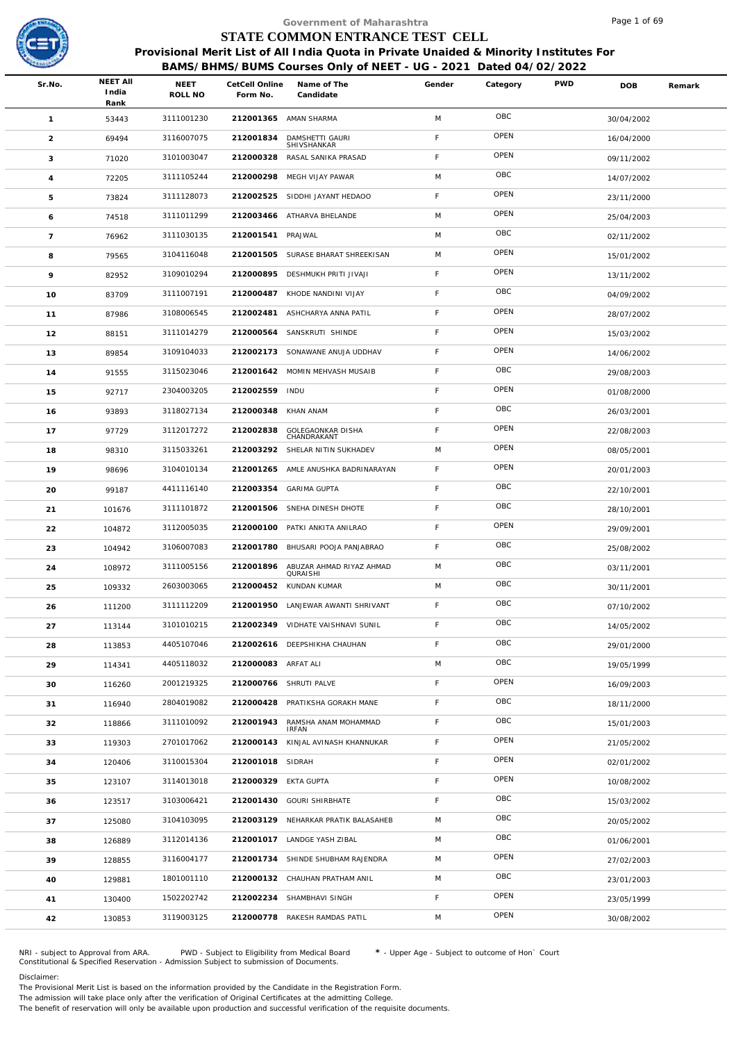

|                 |                          |                        |           |                               |                                                                                                                                                                                                                                                                                                                                                                                                                                                                                                                                                                                                                                                                                                                                                                                                                                                                                                                                                                                                                                                                                                                                                                                  |                           |                                 | Page 1 of 69                                                     |                                                                                        |
|-----------------|--------------------------|------------------------|-----------|-------------------------------|----------------------------------------------------------------------------------------------------------------------------------------------------------------------------------------------------------------------------------------------------------------------------------------------------------------------------------------------------------------------------------------------------------------------------------------------------------------------------------------------------------------------------------------------------------------------------------------------------------------------------------------------------------------------------------------------------------------------------------------------------------------------------------------------------------------------------------------------------------------------------------------------------------------------------------------------------------------------------------------------------------------------------------------------------------------------------------------------------------------------------------------------------------------------------------|---------------------------|---------------------------------|------------------------------------------------------------------|----------------------------------------------------------------------------------------|
|                 |                          |                        |           |                               |                                                                                                                                                                                                                                                                                                                                                                                                                                                                                                                                                                                                                                                                                                                                                                                                                                                                                                                                                                                                                                                                                                                                                                                  |                           |                                 |                                                                  |                                                                                        |
|                 |                          |                        |           |                               |                                                                                                                                                                                                                                                                                                                                                                                                                                                                                                                                                                                                                                                                                                                                                                                                                                                                                                                                                                                                                                                                                                                                                                                  |                           |                                 |                                                                  |                                                                                        |
| Sr.No.          | <b>NEET AII</b><br>India | <b>NEET</b><br>ROLL NO | Form No.  | Name of The<br>Candidate      | Gender                                                                                                                                                                                                                                                                                                                                                                                                                                                                                                                                                                                                                                                                                                                                                                                                                                                                                                                                                                                                                                                                                                                                                                           | Category                  | <b>PWD</b>                      | <b>DOB</b>                                                       | Remark                                                                                 |
| $\mathbf{1}$    | 53443                    | 3111001230             |           |                               | M                                                                                                                                                                                                                                                                                                                                                                                                                                                                                                                                                                                                                                                                                                                                                                                                                                                                                                                                                                                                                                                                                                                                                                                | OBC                       |                                 | 30/04/2002                                                       |                                                                                        |
| $\overline{2}$  | 69494                    | 3116007075             | 212001834 | DAMSHETTI GAURI               | F.                                                                                                                                                                                                                                                                                                                                                                                                                                                                                                                                                                                                                                                                                                                                                                                                                                                                                                                                                                                                                                                                                                                                                                               | OPEN                      |                                 | 16/04/2000                                                       |                                                                                        |
| 3               | 71020                    | 3101003047             | 212000328 | RASAL SANIKA PRASAD           | F                                                                                                                                                                                                                                                                                                                                                                                                                                                                                                                                                                                                                                                                                                                                                                                                                                                                                                                                                                                                                                                                                                                                                                                | OPEN                      |                                 | 09/11/2002                                                       |                                                                                        |
| $\overline{4}$  | 72205                    | 3111105244             |           |                               | M                                                                                                                                                                                                                                                                                                                                                                                                                                                                                                                                                                                                                                                                                                                                                                                                                                                                                                                                                                                                                                                                                                                                                                                | OBC                       |                                 | 14/07/2002                                                       |                                                                                        |
| $\mathbf 5$     | 73824                    | 3111128073             | 212002525 |                               | F.                                                                                                                                                                                                                                                                                                                                                                                                                                                                                                                                                                                                                                                                                                                                                                                                                                                                                                                                                                                                                                                                                                                                                                               | OPEN                      |                                 | 23/11/2000                                                       |                                                                                        |
| 6               | 74518                    | 3111011299             |           |                               | M                                                                                                                                                                                                                                                                                                                                                                                                                                                                                                                                                                                                                                                                                                                                                                                                                                                                                                                                                                                                                                                                                                                                                                                | OPEN                      |                                 | 25/04/2003                                                       |                                                                                        |
| $7\overline{ }$ | 76962                    | 3111030135             |           |                               | M                                                                                                                                                                                                                                                                                                                                                                                                                                                                                                                                                                                                                                                                                                                                                                                                                                                                                                                                                                                                                                                                                                                                                                                | OBC                       |                                 | 02/11/2002                                                       |                                                                                        |
| 8               | 79565                    | 3104116048             | 212001505 |                               | M                                                                                                                                                                                                                                                                                                                                                                                                                                                                                                                                                                                                                                                                                                                                                                                                                                                                                                                                                                                                                                                                                                                                                                                | OPEN                      |                                 | 15/01/2002                                                       |                                                                                        |
| 9               | 82952                    | 3109010294             | 212000895 |                               | F                                                                                                                                                                                                                                                                                                                                                                                                                                                                                                                                                                                                                                                                                                                                                                                                                                                                                                                                                                                                                                                                                                                                                                                | OPEN                      |                                 | 13/11/2002                                                       |                                                                                        |
| 10              | 83709                    | 3111007191             | 212000487 | KHODE NANDINI VIJAY           | F.                                                                                                                                                                                                                                                                                                                                                                                                                                                                                                                                                                                                                                                                                                                                                                                                                                                                                                                                                                                                                                                                                                                                                                               | OBC                       |                                 | 04/09/2002                                                       |                                                                                        |
| 11              | 87986                    | 3108006545             |           |                               | F                                                                                                                                                                                                                                                                                                                                                                                                                                                                                                                                                                                                                                                                                                                                                                                                                                                                                                                                                                                                                                                                                                                                                                                | OPEN                      |                                 | 28/07/2002                                                       |                                                                                        |
| 12              | 88151                    | 3111014279             |           |                               | F                                                                                                                                                                                                                                                                                                                                                                                                                                                                                                                                                                                                                                                                                                                                                                                                                                                                                                                                                                                                                                                                                                                                                                                | OPEN                      |                                 | 15/03/2002                                                       |                                                                                        |
| 13              | 89854                    | 3109104033             |           |                               | F                                                                                                                                                                                                                                                                                                                                                                                                                                                                                                                                                                                                                                                                                                                                                                                                                                                                                                                                                                                                                                                                                                                                                                                | OPEN                      |                                 | 14/06/2002                                                       |                                                                                        |
| 14              | 91555                    | 3115023046             |           |                               | F                                                                                                                                                                                                                                                                                                                                                                                                                                                                                                                                                                                                                                                                                                                                                                                                                                                                                                                                                                                                                                                                                                                                                                                | OBC                       |                                 | 29/08/2003                                                       |                                                                                        |
| 15              | 92717                    | 2304003205             |           |                               | F                                                                                                                                                                                                                                                                                                                                                                                                                                                                                                                                                                                                                                                                                                                                                                                                                                                                                                                                                                                                                                                                                                                                                                                | OPEN                      |                                 | 01/08/2000                                                       |                                                                                        |
| 16              | 93893                    | 3118027134             | 212000348 | KHAN ANAM                     | F.                                                                                                                                                                                                                                                                                                                                                                                                                                                                                                                                                                                                                                                                                                                                                                                                                                                                                                                                                                                                                                                                                                                                                                               | OBC                       |                                 | 26/03/2001                                                       |                                                                                        |
| 17              | 97729                    | 3112017272             | 212002838 | GOLEGAONKAR DISHA             | F                                                                                                                                                                                                                                                                                                                                                                                                                                                                                                                                                                                                                                                                                                                                                                                                                                                                                                                                                                                                                                                                                                                                                                                | OPEN                      |                                 | 22/08/2003                                                       |                                                                                        |
| 18              | 98310                    | 3115033261             | 212003292 |                               | M                                                                                                                                                                                                                                                                                                                                                                                                                                                                                                                                                                                                                                                                                                                                                                                                                                                                                                                                                                                                                                                                                                                                                                                | OPEN                      |                                 | 08/05/2001                                                       |                                                                                        |
| 19              | 98696                    | 3104010134             | 212001265 |                               | F.                                                                                                                                                                                                                                                                                                                                                                                                                                                                                                                                                                                                                                                                                                                                                                                                                                                                                                                                                                                                                                                                                                                                                                               | OPEN                      |                                 | 20/01/2003                                                       |                                                                                        |
| 20              | 99187                    | 4411116140             |           |                               | F.                                                                                                                                                                                                                                                                                                                                                                                                                                                                                                                                                                                                                                                                                                                                                                                                                                                                                                                                                                                                                                                                                                                                                                               | OBC                       |                                 | 22/10/2001                                                       |                                                                                        |
| 21              | 101676                   | 3111101872             | 212001506 |                               | F                                                                                                                                                                                                                                                                                                                                                                                                                                                                                                                                                                                                                                                                                                                                                                                                                                                                                                                                                                                                                                                                                                                                                                                | OBC                       |                                 | 28/10/2001                                                       |                                                                                        |
| 22              | 104872                   | 3112005035             |           |                               | F                                                                                                                                                                                                                                                                                                                                                                                                                                                                                                                                                                                                                                                                                                                                                                                                                                                                                                                                                                                                                                                                                                                                                                                | OPEN                      |                                 | 29/09/2001                                                       |                                                                                        |
| 23              | 104942                   | 3106007083             |           |                               | F                                                                                                                                                                                                                                                                                                                                                                                                                                                                                                                                                                                                                                                                                                                                                                                                                                                                                                                                                                                                                                                                                                                                                                                | OBC                       |                                 | 25/08/2002                                                       |                                                                                        |
| 24              | 108972                   | 3111005156             |           | OURAISHI                      | M                                                                                                                                                                                                                                                                                                                                                                                                                                                                                                                                                                                                                                                                                                                                                                                                                                                                                                                                                                                                                                                                                                                                                                                | OBC                       |                                 | 03/11/2001                                                       |                                                                                        |
| 25              | 109332                   | 2603003065             |           |                               | M                                                                                                                                                                                                                                                                                                                                                                                                                                                                                                                                                                                                                                                                                                                                                                                                                                                                                                                                                                                                                                                                                                                                                                                | OBC                       |                                 | 30/11/2001                                                       |                                                                                        |
| 26              | 111200                   | 3111112209             |           |                               | F                                                                                                                                                                                                                                                                                                                                                                                                                                                                                                                                                                                                                                                                                                                                                                                                                                                                                                                                                                                                                                                                                                                                                                                | OBC                       |                                 | 07/10/2002                                                       |                                                                                        |
| 27              | 113144                   | 3101010215             |           |                               | F.                                                                                                                                                                                                                                                                                                                                                                                                                                                                                                                                                                                                                                                                                                                                                                                                                                                                                                                                                                                                                                                                                                                                                                               | OBC                       |                                 | 14/05/2002                                                       |                                                                                        |
| 28              | 113853                   | 4405107046             |           |                               | F                                                                                                                                                                                                                                                                                                                                                                                                                                                                                                                                                                                                                                                                                                                                                                                                                                                                                                                                                                                                                                                                                                                                                                                | OBC                       |                                 | 29/01/2000                                                       |                                                                                        |
| 29              | 114341                   | 4405118032             |           |                               | M                                                                                                                                                                                                                                                                                                                                                                                                                                                                                                                                                                                                                                                                                                                                                                                                                                                                                                                                                                                                                                                                                                                                                                                | OBC                       |                                 | 19/05/1999                                                       |                                                                                        |
| 30              | 116260                   | 2001219325             |           |                               | F                                                                                                                                                                                                                                                                                                                                                                                                                                                                                                                                                                                                                                                                                                                                                                                                                                                                                                                                                                                                                                                                                                                                                                                | OPEN                      |                                 | 16/09/2003                                                       |                                                                                        |
| 31              | 116940                   | 2804019082             |           |                               | F.                                                                                                                                                                                                                                                                                                                                                                                                                                                                                                                                                                                                                                                                                                                                                                                                                                                                                                                                                                                                                                                                                                                                                                               | OBC                       |                                 | 18/11/2000                                                       |                                                                                        |
| 32              | 118866                   | 3111010092             | 212001943 | RAMSHA ANAM MOHAMMAD<br>IRFAN | F.                                                                                                                                                                                                                                                                                                                                                                                                                                                                                                                                                                                                                                                                                                                                                                                                                                                                                                                                                                                                                                                                                                                                                                               | OBC                       |                                 | 15/01/2003                                                       |                                                                                        |
| 33              | 119303                   | 2701017062             |           |                               | F                                                                                                                                                                                                                                                                                                                                                                                                                                                                                                                                                                                                                                                                                                                                                                                                                                                                                                                                                                                                                                                                                                                                                                                | OPEN                      |                                 | 21/05/2002                                                       |                                                                                        |
| 34              | 120406                   | 3110015304             |           |                               | F                                                                                                                                                                                                                                                                                                                                                                                                                                                                                                                                                                                                                                                                                                                                                                                                                                                                                                                                                                                                                                                                                                                                                                                | OPEN                      |                                 | 02/01/2002                                                       |                                                                                        |
| 35              | 123107                   | 3114013018             |           |                               | F                                                                                                                                                                                                                                                                                                                                                                                                                                                                                                                                                                                                                                                                                                                                                                                                                                                                                                                                                                                                                                                                                                                                                                                | OPEN                      |                                 | 10/08/2002                                                       |                                                                                        |
| 36              | 123517                   | 3103006421             |           |                               | F                                                                                                                                                                                                                                                                                                                                                                                                                                                                                                                                                                                                                                                                                                                                                                                                                                                                                                                                                                                                                                                                                                                                                                                | OBC                       |                                 | 15/03/2002                                                       |                                                                                        |
| 37              | 125080                   | 3104103095             |           |                               | M                                                                                                                                                                                                                                                                                                                                                                                                                                                                                                                                                                                                                                                                                                                                                                                                                                                                                                                                                                                                                                                                                                                                                                                | OBC                       |                                 | 20/05/2002                                                       |                                                                                        |
| 38              | 126889                   | 3112014136             |           |                               | M                                                                                                                                                                                                                                                                                                                                                                                                                                                                                                                                                                                                                                                                                                                                                                                                                                                                                                                                                                                                                                                                                                                                                                                | OBC                       |                                 | 01/06/2001                                                       |                                                                                        |
| 39              | 128855                   | 3116004177             |           |                               | M                                                                                                                                                                                                                                                                                                                                                                                                                                                                                                                                                                                                                                                                                                                                                                                                                                                                                                                                                                                                                                                                                                                                                                                | OPEN                      |                                 | 27/02/2003                                                       |                                                                                        |
| 40              | 129881                   | 1801001110             |           |                               | M                                                                                                                                                                                                                                                                                                                                                                                                                                                                                                                                                                                                                                                                                                                                                                                                                                                                                                                                                                                                                                                                                                                                                                                | OBC                       |                                 | 23/01/2003                                                       |                                                                                        |
| 41              | 130400                   | 1502202742             |           |                               | F                                                                                                                                                                                                                                                                                                                                                                                                                                                                                                                                                                                                                                                                                                                                                                                                                                                                                                                                                                                                                                                                                                                                                                                | OPEN                      |                                 | 23/05/1999                                                       |                                                                                        |
| 42              | 130853                   | 3119003125             |           |                               | M                                                                                                                                                                                                                                                                                                                                                                                                                                                                                                                                                                                                                                                                                                                                                                                                                                                                                                                                                                                                                                                                                                                                                                                | OPEN                      |                                 | 30/08/2002                                                       |                                                                                        |
|                 |                          | Rank                   |           |                               | CetCell Online<br>212001365 AMAN SHARMA<br>SHIVSHANKAR<br>212000298 MEGH VIJAY PAWAR<br>SIDDHI JAYANT HEDAOO<br>212003466 ATHARVA BHELANDE<br>212001541 PRAJWAL<br>SURASE BHARAT SHREEKISAN<br>DESHMUKH PRITI JIVAJI<br>212002481<br>ASHCHARYA ANNA PATIL<br>212000564<br>SANSKRUTI SHINDE<br>212002173 SONAWANE ANUJA UDDHAV<br>212001642 MOMIN MEHVASH MUSAIB<br>212002559 INDU<br>CHANDRAKANT<br>SHELAR NITIN SUKHADEV<br>AMLE ANUSHKA BADRINARAYAN<br>212003354<br><b>GARIMA GUPTA</b><br>SNEHA DINESH DHOTE<br>212000100 PATKI ANKITA ANILRAO<br>212001780 BHUSARI POOJA PANJABRAO<br>212001896 ABUZAR AHMAD RIYAZ AHMAD<br>212000452 KUNDAN KUMAR<br>212001950 LANJEWAR AWANTI SHRIVANT<br>212002349 VIDHATE VAISHNAVI SUNIL<br>212002616 DEEPSHIKHA CHAUHAN<br>212000083 ARFAT ALI<br>212000766 SHRUTI PALVE<br>212000428 PRATIKSHA GORAKH MANE<br>212000143 KINJAL AVINASH KHANNUKAR<br>212001018 SIDRAH<br>212000329 EKTA GUPTA<br>212001430 GOURI SHIRBHATE<br>212003129 NEHARKAR PRATIK BALASAHEB<br>212001017 LANDGE YASH ZIBAL<br>212001734 SHINDE SHUBHAM RAJENDRA<br>212000132 CHAUHAN PRATHAM ANIL<br>212002234 SHAMBHAVI SINGH<br>212000778 RAKESH RAMDAS PATIL | Government of Maharashtra | STATE COMMON ENTRANCE TEST CELL | BAMS/BHMS/BUMS Courses Only of NEET - UG - 2021 Dated 04/02/2022 | Provisional Merit List of All India Quota in Private Unaided & Minority Institutes For |

NRI - subject to Approval from ARA. PWD - Subject to Eligibility from Medical Board \* - Upper Age - Subject to outcome of Hon` Court<br>Constitutional & Specified Reservation - Admission Subject to submissio

Disclaimer:

The Provisional Merit List is based on the information provided by the Candidate in the Registration Form.

The admission will take place only after the verification of Original Certificates at the admitting College.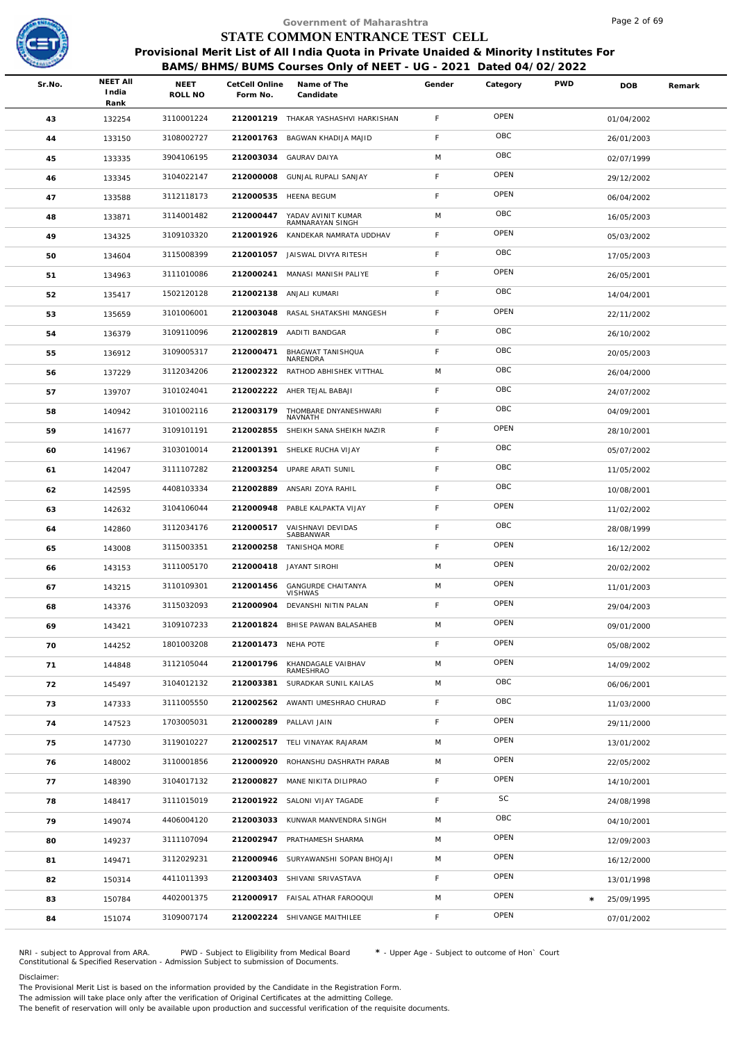

|        |                                  |                        |                            | Government of Maharashtra                                                                                                                                  |             |          |            | Page 2 of 69 |        |
|--------|----------------------------------|------------------------|----------------------------|------------------------------------------------------------------------------------------------------------------------------------------------------------|-------------|----------|------------|--------------|--------|
|        |                                  |                        |                            | STATE COMMON ENTRANCE TEST CELL                                                                                                                            |             |          |            |              |        |
|        |                                  |                        |                            | Provisional Merit List of All India Quota in Private Unaided & Minority Institutes For<br>BAMS/BHMS/BUMS Courses Only of NEET - UG - 2021 Dated 04/02/2022 |             |          |            |              |        |
| Sr.No. | <b>NEET AII</b><br>India<br>Rank | <b>NEET</b><br>ROLL NO | CetCell Online<br>Form No. | Name of The<br>Candidate                                                                                                                                   | Gender      | Category | <b>PWD</b> | <b>DOB</b>   | Remark |
| 43     | 132254                           | 3110001224             |                            | 212001219 THAKAR YASHASHVI HARKISHAN                                                                                                                       | F.          | OPEN     |            | 01/04/2002   |        |
| 44     | 133150                           | 3108002727             | 212001763                  | BAGWAN KHADIJA MAJID                                                                                                                                       | F.          | OBC      |            | 26/01/2003   |        |
| 45     | 133335                           | 3904106195             | 212003034                  | <b>GAURAV DAIYA</b>                                                                                                                                        | M           | OBC      |            | 02/07/1999   |        |
| 46     | 133345                           | 3104022147             |                            | 212000008 GUNJAL RUPALI SANJAY                                                                                                                             | F           | OPEN     |            | 29/12/2002   |        |
| 47     | 133588                           | 3112118173             | 212000535                  | <b>HEENA BEGUM</b>                                                                                                                                         | F.          | OPEN     |            | 06/04/2002   |        |
| 48     | 133871                           | 3114001482             | 212000447                  | YADAV AVINIT KUMAR<br>RAMNARAYAN SINGH                                                                                                                     | M           | OBC      |            | 16/05/2003   |        |
| 49     | 134325                           | 3109103320             |                            | 212001926 KANDEKAR NAMRATA UDDHAV                                                                                                                          | F.          | OPEN     |            | 05/03/2002   |        |
| 50     | 134604                           | 3115008399             |                            | 212001057 JAISWAL DIVYA RITESH                                                                                                                             | F.          | OBC      |            | 17/05/2003   |        |
| 51     | 134963                           | 3111010086             | 212000241                  | MANASI MANISH PALIYE                                                                                                                                       | F           | OPEN     |            | 26/05/2001   |        |
| 52     | 135417                           | 1502120128             | 212002138                  | ANJALI KUMARI                                                                                                                                              | F.          | OBC      |            | 14/04/2001   |        |
| 53     | 135659                           | 3101006001             |                            | 212003048 RASAL SHATAKSHI MANGESH                                                                                                                          | F           | OPEN     |            | 22/11/2002   |        |
| 54     | 136379                           | 3109110096             |                            | 212002819 AADITI BANDGAR                                                                                                                                   | F           | OBC      |            | 26/10/2002   |        |
| 55     | 136912                           | 3109005317             | 212000471                  | BHAGWAT TANISHQUA<br>NARENDRA                                                                                                                              | F           | OBC      |            | 20/05/2003   |        |
| 56     | 137229                           | 3112034206             |                            | 212002322 RATHOD ABHISHEK VITTHAL                                                                                                                          | M           | OBC      |            | 26/04/2000   |        |
| 57     | 139707                           | 3101024041             |                            | 212002222 AHER TEJAL BABAJI                                                                                                                                | F           | OBC      |            | 24/07/2002   |        |
| 58     | 140942                           | 3101002116             | 212003179                  | THOMBARE DNYANESHWARI<br>NAVNATH                                                                                                                           | $\mathsf F$ | OBC      |            | 04/09/2001   |        |
| 59     | 141677                           | 3109101191             | 212002855                  | SHEIKH SANA SHEIKH NAZIR                                                                                                                                   | F           | OPEN     |            | 28/10/2001   |        |
| 60     | 141967                           | 3103010014             | 212001391                  | SHELKE RUCHA VIJAY                                                                                                                                         | F.          | OBC      |            | 05/07/2002   |        |
| 61     | 142047                           | 3111107282             | 212003254                  | UPARE ARATI SUNIL                                                                                                                                          | F           | OBC      |            | 11/05/2002   |        |
| 62     | 142595                           | 4408103334             |                            | 212002889 ANSARI ZOYA RAHIL                                                                                                                                | F           | OBC      |            | 10/08/2001   |        |
| 63     | 142632                           | 3104106044             | 212000948                  | PABLE KALPAKTA VIJAY                                                                                                                                       | F           | OPEN     |            | 11/02/2002   |        |
| 64     | 142860                           | 3112034176             | 212000517                  | VAISHNAVI DEVIDAS<br>SABBANWAR                                                                                                                             | F           | OBC      |            | 28/08/1999   |        |
| 65     | 143008                           | 3115003351             | 212000258                  | TANISHQA MORE                                                                                                                                              | F.          | OPEN     |            | 16/12/2002   |        |
| 66     | 143153                           | 3111005170             |                            | 212000418 JAYANT SIROHI                                                                                                                                    | M           | OPEN     |            | 20/02/2002   |        |
| 67     | 143215                           | 3110109301             |                            | 212001456 GANGURDE CHAITANYA<br><b>VISHWAS</b>                                                                                                             | M           | OPEN     |            | 11/01/2003   |        |
| 68     | 143376                           | 3115032093             | 212000904                  | DEVANSHI NITIN PALAN                                                                                                                                       | F.          | OPEN     |            | 29/04/2003   |        |
| 69     | 143421                           | 3109107233             |                            | 212001824 BHISE PAWAN BALASAHEB                                                                                                                            | M           | OPEN     |            | 09/01/2000   |        |
| 70     | 144252                           | 1801003208             | 212001473 NEHA POTE        |                                                                                                                                                            | F.          | OPEN     |            | 05/08/2002   |        |
| 71     | 144848                           | 3112105044             | 212001796                  | KHANDAGALE VAIBHAV<br>RAMESHRAO                                                                                                                            | M           | OPEN     |            | 14/09/2002   |        |
| 72     | 145497                           | 3104012132             | 212003381                  | SURADKAR SUNIL KAILAS                                                                                                                                      | M           | OBC      |            | 06/06/2001   |        |
| 73     | 147333                           | 3111005550             |                            | 212002562 AWANTI UMESHRAO CHURAD                                                                                                                           | $\mathsf F$ | OBC      |            | 11/03/2000   |        |
| 74     | 147523                           | 1703005031             |                            | 212000289 PALLAVI JAIN                                                                                                                                     | F.          | OPEN     |            | 29/11/2000   |        |
| 75     | 147730                           | 3119010227             |                            | 212002517 TELI VINAYAK RAJARAM                                                                                                                             | M           | OPEN     |            | 13/01/2002   |        |
| 76     | 148002                           | 3110001856             |                            | 212000920 ROHANSHU DASHRATH PARAB                                                                                                                          | M           | OPEN     |            | 22/05/2002   |        |
| 77     | 148390                           | 3104017132             |                            | 212000827 MANE NIKITA DILIPRAO                                                                                                                             | F.          | OPEN     |            | 14/10/2001   |        |
| 78     | 148417                           | 3111015019             |                            | 212001922 SALONI VIJAY TAGADE                                                                                                                              | F           | SC       |            | 24/08/1998   |        |
| 79     | 149074                           | 4406004120             |                            | 212003033 KUNWAR MANVENDRA SINGH                                                                                                                           | M           | OBC      |            | 04/10/2001   |        |
| 80     | 149237                           | 3111107094             |                            | 212002947 PRATHAMESH SHARMA                                                                                                                                | M           | OPEN     |            | 12/09/2003   |        |
| 81     | 149471                           | 3112029231             |                            | 212000946 SURYAWANSHI SOPAN BHOJAJI                                                                                                                        | M           | OPEN     |            | 16/12/2000   |        |
| 82     | 150314                           | 4411011393             |                            | 212003403 SHIVANI SRIVASTAVA                                                                                                                               | F.          | OPEN     |            | 13/01/1998   |        |
| 83     | 150784                           | 4402001375             |                            | 212000917 FAISAL ATHAR FAROOQUI                                                                                                                            | M           | OPEN     | $\star$    | 25/09/1995   |        |
| 84     | 151074                           | 3109007174             |                            | 212002224 SHIVANGE MAITHILEE                                                                                                                               | F.          | OPEN     |            | 07/01/2002   |        |
|        |                                  |                        |                            |                                                                                                                                                            |             |          |            |              |        |

NRI - subject to Approval from ARA. PWD - Subject to Eligibility from Medical Board \* - Upper Age - Subject to outcome of Hon` Court<br>Constitutional & Specified Reservation - Admission Subject to submissio

Disclaimer:

The Provisional Merit List is based on the information provided by the Candidate in the Registration Form.

The admission will take place only after the verification of Original Certificates at the admitting College.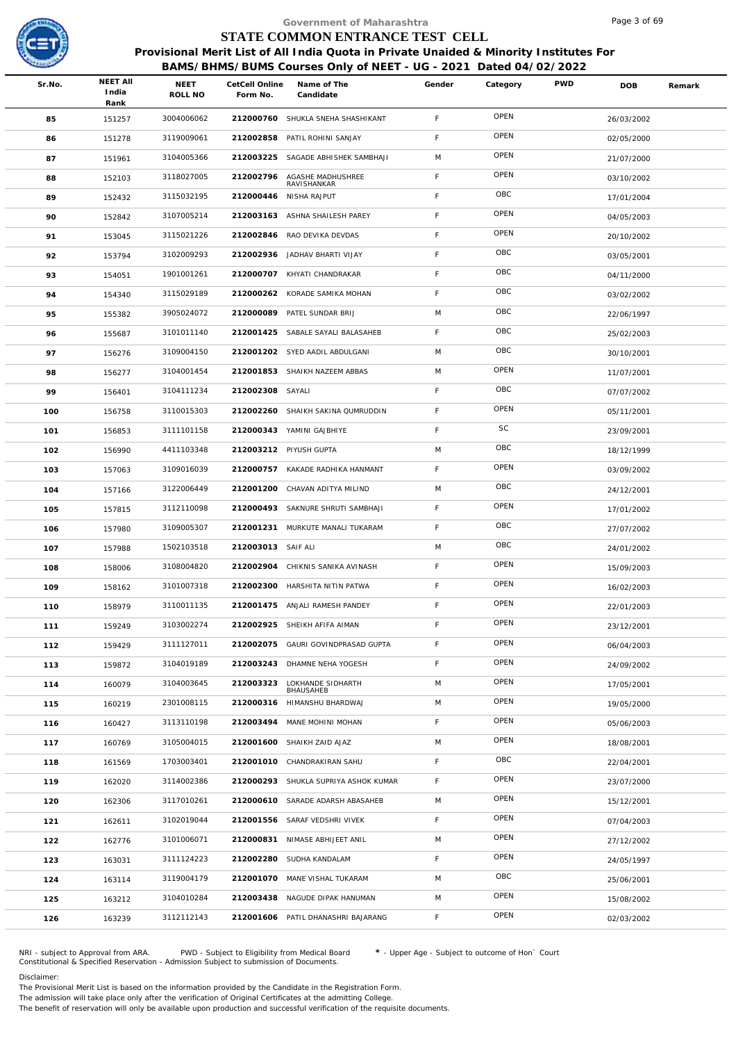

|        |                          |                 |                            | Government of Maharashtra                                                                    |             |          |            | Page 3 of 69 |        |
|--------|--------------------------|-----------------|----------------------------|----------------------------------------------------------------------------------------------|-------------|----------|------------|--------------|--------|
|        |                          |                 |                            | STATE COMMON ENTRANCE TEST CELL                                                              |             |          |            |              |        |
|        |                          |                 |                            | Provisional Merit List of All India Quota in Private Unaided & Minority Institutes For       |             |          |            |              |        |
| Sr.No. | <b>NEET AII</b><br>India | NEET<br>ROLL NO | CetCell Online<br>Form No. | BAMS/BHMS/BUMS Courses Only of NEET - UG - 2021 Dated 04/02/2022<br>Name of The<br>Candidate | Gender      | Category | <b>PWD</b> | <b>DOB</b>   | Remark |
|        | Rank                     |                 |                            |                                                                                              | F           | OPEN     |            |              |        |
| 85     | 151257                   | 3004006062      | 212000760<br>212002858     | SHUKLA SNEHA SHASHIKANT                                                                      | F           | OPEN     |            | 26/03/2002   |        |
| 86     | 151278                   | 3119009061      | 212003225                  | PATIL ROHINI SANJAY                                                                          | M           | OPEN     |            | 02/05/2000   |        |
| 87     | 151961                   | 3104005366      |                            | SAGADE ABHISHEK SAMBHAJI                                                                     |             | OPEN     |            | 21/07/2000   |        |
| 88     | 152103                   | 3118027005      | 212002796                  | AGASHE MADHUSHREE<br>RAVISHANKAR                                                             | F           | OBC      |            | 03/10/2002   |        |
| 89     | 152432                   | 3115032195      |                            | 212000446 NISHA RAJPUT                                                                       | $\mathsf F$ | OPEN     |            | 17/01/2004   |        |
| 90     | 152842                   | 3107005214      |                            | 212003163 ASHNA SHAILESH PAREY                                                               | F           | OPEN     |            | 04/05/2003   |        |
| 91     | 153045                   | 3115021226      |                            | 212002846 RAO DEVIKA DEVDAS                                                                  | F           | OBC      |            | 20/10/2002   |        |
| 92     | 153794                   | 3102009293      | 212002936                  | JADHAV BHARTI VIJAY                                                                          | F           | OBC      |            | 03/05/2001   |        |
| 93     | 154051                   | 1901001261      |                            | 212000707 KHYATI CHANDRAKAR                                                                  | F           | OBC      |            | 04/11/2000   |        |
| 94     | 154340                   | 3115029189      |                            | 212000262 KORADE SAMIKA MOHAN                                                                | F           |          |            | 03/02/2002   |        |
| 95     | 155382                   | 3905024072      |                            | 212000089 PATEL SUNDAR BRIJ                                                                  | M           | OBC      |            | 22/06/1997   |        |
| 96     | 155687                   | 3101011140      |                            | 212001425 SABALE SAYALI BALASAHEB                                                            | $\mathsf F$ | OBC      |            | 25/02/2003   |        |
| 97     | 156276                   | 3109004150      |                            | 212001202 SYED AADIL ABDULGANI                                                               | M           | OBC      |            | 30/10/2001   |        |
| 98     | 156277                   | 3104001454      |                            | 212001853 SHAIKH NAZEEM ABBAS                                                                | M           | OPEN     |            | 11/07/2001   |        |
| 99     | 156401                   | 3104111234      | 212002308 SAYALI           |                                                                                              | $\mathsf F$ | OBC      |            | 07/07/2002   |        |
| 100    | 156758                   | 3110015303      | 212002260                  | SHAIKH SAKINA QUMRUDDIN                                                                      | F           | OPEN     |            | 05/11/2001   |        |
| 101    | 156853                   | 3111101158      |                            | 212000343 YAMINI GAJBHIYE                                                                    | F           | SC       |            | 23/09/2001   |        |
| 102    | 156990                   | 4411103348      |                            | 212003212 PIYUSH GUPTA                                                                       | M           | OBC      |            | 18/12/1999   |        |
| 103    | 157063                   | 3109016039      |                            | 212000757 KAKADE RADHIKA HANMANT                                                             | F           | OPEN     |            | 03/09/2002   |        |
| 104    | 157166                   | 3122006449      |                            | 212001200 CHAVAN ADITYA MILIND                                                               | M           | OBC      |            | 24/12/2001   |        |
| 105    | 157815                   | 3112110098      | 212000493                  | SAKNURE SHRUTI SAMBHAJI                                                                      | $\mathsf F$ | OPEN     |            | 17/01/2002   |        |
| 106    | 157980                   | 3109005307      |                            | 212001231 MURKUTE MANALI TUKARAM                                                             | $\mathsf F$ | OBC      |            | 27/07/2002   |        |
| 107    | 157988                   | 1502103518      | 212003013 SAIF ALI         |                                                                                              | M           | OBC      |            | 24/01/2002   |        |
| 108    | 158006                   | 3108004820      |                            | 212002904 CHIKNIS SANIKA AVINASH                                                             | F           | OPEN     |            | 15/09/2003   |        |
| 109    | 158162                   | 3101007318      |                            | 212002300 HARSHITA NITIN PATWA                                                               | F           | OPEN     |            | 16/02/2003   |        |
| 110    | 158979                   | 3110011135      | 212001475                  | ANJALI RAMESH PANDEY                                                                         | F           | OPEN     |            | 22/01/2003   |        |
| 111    | 159249                   | 3103002274      | 212002925                  | SHEIKH AFIFA AIMAN                                                                           | $\mathsf F$ | OPEN     |            | 23/12/2001   |        |
| 112    | 159429                   | 3111127011      |                            | 212002075 GAURI GOVINDPRASAD GUPTA                                                           | F.          | OPEN     |            | 06/04/2003   |        |
| 113    | 159872                   | 3104019189      | 212003243                  | DHAMNE NEHA YOGESH                                                                           | F           | OPEN     |            | 24/09/2002   |        |
| 114    | 160079                   | 3104003645      | 212003323                  | LOKHANDE SIDHARTH<br>BHAUSAHEB                                                               | M           | OPEN     |            | 17/05/2001   |        |
| 115    | 160219                   | 2301008115      |                            | 212000316 HIMANSHU BHARDWAJ                                                                  | M           | OPEN     |            | 19/05/2000   |        |
| 116    | 160427                   | 3113110198      |                            | 212003494 MANE MOHINI MOHAN                                                                  | F           | OPEN     |            | 05/06/2003   |        |
| 117    | 160769                   | 3105004015      | 212001600                  | SHAIKH ZAID AJAZ                                                                             | M           | OPEN     |            | 18/08/2001   |        |
| 118    | 161569                   | 1703003401      | 212001010                  | CHANDRAKIRAN SAHU                                                                            | $\mathsf F$ | OBC      |            | 22/04/2001   |        |
| 119    | 162020                   | 3114002386      | 212000293                  | SHUKLA SUPRIYA ASHOK KUMAR                                                                   | $\mathsf F$ | OPEN     |            | 23/07/2000   |        |
| 120    | 162306                   | 3117010261      |                            | 212000610 SARADE ADARSH ABASAHEB                                                             | M           | OPEN     |            | 15/12/2001   |        |
| 121    | 162611                   | 3102019044      | 212001556                  | SARAF VEDSHRI VIVEK                                                                          | $\mathsf F$ | OPEN     |            | 07/04/2003   |        |
| 122    | 162776                   | 3101006071      | 212000831                  | NIMASE ABHIJEET ANIL                                                                         | M           | OPEN     |            | 27/12/2002   |        |
| 123    | 163031                   | 3111124223      | 212002280                  | SUDHA KANDALAM                                                                               | $\mathsf F$ | OPEN     |            | 24/05/1997   |        |
| 124    | 163114                   | 3119004179      |                            | 212001070 MANE VISHAL TUKARAM                                                                | M           | OBC      |            | 25/06/2001   |        |
| 125    | 163212                   | 3104010284      |                            | 212003438 NAGUDE DIPAK HANUMAN                                                               | M           | OPEN     |            | 15/08/2002   |        |
| 126    | 163239                   | 3112112143      |                            | 212001606 PATIL DHANASHRI BAJARANG                                                           | F.          | OPEN     |            | 02/03/2002   |        |
|        |                          |                 |                            |                                                                                              |             |          |            |              |        |

NRI - subject to Approval from ARA. PWD - Subject to Eligibility from Medical Board \* - Upper Age - Subject to outcome of Hon` Court<br>Constitutional & Specified Reservation - Admission Subject to submissio

Disclaimer:

The Provisional Merit List is based on the information provided by the Candidate in the Registration Form.

The admission will take place only after the verification of Original Certificates at the admitting College.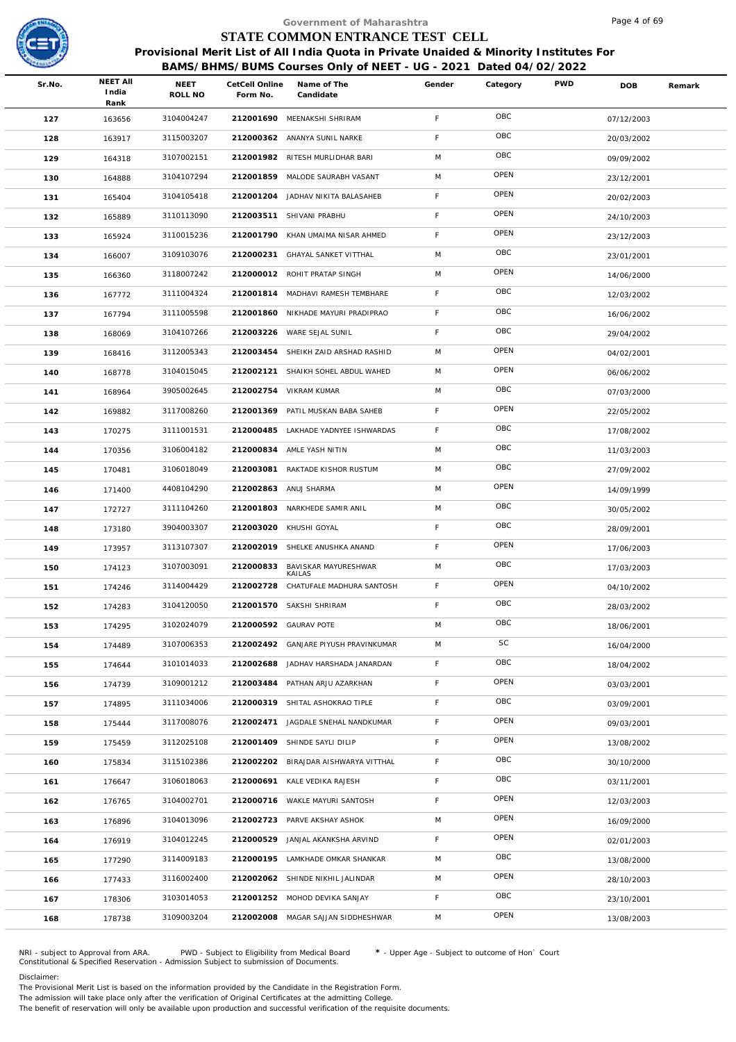

## **BAMS/BHMS/BUMS Courses Only of NEET - UG - 2021 Dated 04/02/2022**

|        |                                  |                          |                            | Government of Maharashtra                                                              |             |          |            | Page 4 of 69 |        |
|--------|----------------------------------|--------------------------|----------------------------|----------------------------------------------------------------------------------------|-------------|----------|------------|--------------|--------|
|        |                                  |                          |                            | STATE COMMON ENTRANCE TEST CELL                                                        |             |          |            |              |        |
|        |                                  |                          |                            | Provisional Merit List of All India Quota in Private Unaided & Minority Institutes For |             |          |            |              |        |
|        |                                  |                          |                            | BAMS/BHMS/BUMS Courses Only of NEET - UG - 2021 Dated 04/02/2022                       |             |          |            |              |        |
| Sr.No. | <b>NEET AII</b><br>India<br>Rank | NEET<br>ROLL NO          | CetCell Online<br>Form No. | Name of The<br>Candidate                                                               | Gender      | Category | <b>PWD</b> | DOB          | Remark |
| 127    | 163656                           | 3104004247               |                            | 212001690 MEENAKSHI SHRIRAM                                                            | F           | OBC      |            | 07/12/2003   |        |
| 128    | 163917                           | 3115003207               |                            | 212000362 ANANYA SUNIL NARKE                                                           | F           | OBC      |            | 20/03/2002   |        |
| 129    | 164318                           | 3107002151               |                            | 212001982 RITESH MURLIDHAR BARI                                                        | M           | OBC      |            | 09/09/2002   |        |
| 130    | 164888                           | 3104107294               |                            | 212001859 MALODE SAURABH VASANT                                                        | M           | OPEN     |            | 23/12/2001   |        |
| 131    | 165404                           | 3104105418               |                            | 212001204 JADHAV NIKITA BALASAHEB                                                      | $\mathsf F$ | OPEN     |            | 20/02/2003   |        |
| 132    | 165889                           | 3110113090               |                            | 212003511 SHIVANI PRABHU                                                               | $\mathsf F$ | OPEN     |            | 24/10/2003   |        |
| 133    | 165924                           | 3110015236               |                            | 212001790 KHAN UMAIMA NISAR AHMED                                                      | $\mathsf F$ | OPEN     |            | 23/12/2003   |        |
| 134    | 166007                           | 3109103076               |                            | 212000231 GHAYAL SANKET VITTHAL                                                        | M           | OBC      |            | 23/01/2001   |        |
| 135    | 166360                           | 3118007242               |                            | 212000012 ROHIT PRATAP SINGH                                                           | M           | OPEN     |            | 14/06/2000   |        |
| 136    | 167772                           | 3111004324               |                            | 212001814 MADHAVI RAMESH TEMBHARE                                                      | $\mathsf F$ | OBC      |            | 12/03/2002   |        |
| 137    | 167794                           | 3111005598               |                            | 212001860 NIKHADE MAYURI PRADIPRAO                                                     | $\mathsf F$ | OBC      |            | 16/06/2002   |        |
| 138    | 168069                           | 3104107266               |                            | 212003226 WARE SEJAL SUNIL                                                             | $\mathsf F$ | OBC      |            | 29/04/2002   |        |
| 139    | 168416                           | 3112005343               |                            | 212003454 SHEIKH ZAID ARSHAD RASHID                                                    | M           | OPEN     |            | 04/02/2001   |        |
| 140    | 168778                           | 3104015045               |                            | 212002121 SHAIKH SOHEL ABDUL WAHED                                                     | M           | OPEN     |            | 06/06/2002   |        |
| 141    | 168964                           | 3905002645               |                            | 212002754 VIKRAM KUMAR                                                                 | M           | OBC      |            | 07/03/2000   |        |
| 142    | 169882                           | 3117008260               | 212001369                  | PATIL MUSKAN BABA SAHEB                                                                | $\mathsf F$ | OPEN     |            | 22/05/2002   |        |
| 143    | 170275                           | 3111001531               |                            | 212000485 LAKHADE YADNYEE ISHWARDAS                                                    | $\mathsf F$ | OBC      |            | 17/08/2002   |        |
| 144    | 170356                           | 3106004182               |                            | 212000834 AMLE YASH NITIN                                                              | M           | OBC      |            | 11/03/2003   |        |
| 145    | 170481                           | 3106018049               |                            | 212003081 RAKTADE KISHOR RUSTUM                                                        | M           | OBC      |            | 27/09/2002   |        |
| 146    | 171400                           | 4408104290               |                            | 212002863 ANUJ SHARMA                                                                  | M           | OPEN     |            | 14/09/1999   |        |
| 147    | 172727                           | 3111104260               | 212001803                  | NARKHEDE SAMIR ANIL                                                                    | M           | OBC      |            | 30/05/2002   |        |
| 148    | 173180                           | 3904003307               |                            | 212003020 KHUSHI GOYAL                                                                 | $\mathsf F$ | OBC      |            | 28/09/2001   |        |
| 149    | 173957                           | 3113107307               |                            | 212002019 SHELKE ANUSHKA ANAND                                                         | F           | OPEN     |            | 17/06/2003   |        |
| 150    | 174123                           | 3107003091               |                            | 212000833 BAVISKAR MAYURESHWAR                                                         | M           | OBC      |            | 17/03/2003   |        |
| 151    | 174246                           | 3114004429               |                            | KAII AS<br>212002728 CHATUFALE MADHURA SANTOSH                                         | F.          | OPEN     |            | 04/10/2002   |        |
| 152    | 174283                           | 3104120050               |                            | 212001570 SAKSHI SHRIRAM                                                               | F           | OBC      |            | 28/03/2002   |        |
| 153    | 174295                           | 3102024079               |                            | 212000592 GAURAV POTE                                                                  | M           | OBC      |            | 18/06/2001   |        |
| 154    | 174489                           | 3107006353               |                            | 212002492 GANJARE PIYUSH PRAVINKUMAR                                                   | M           | SC       |            | 16/04/2000   |        |
| 155    | 174644                           | 3101014033               | 212002688                  | JADHAV HARSHADA JANARDAN                                                               | $\mathsf F$ | OBC      |            | 18/04/2002   |        |
| 156    | 174739                           | 3109001212               |                            | 212003484 PATHAN ARJU AZARKHAN                                                         | F.          | OPEN     |            | 03/03/2001   |        |
| 157    | 174895                           | 3111034006               |                            | 212000319 SHITAL ASHOKRAO TIPLE                                                        | F.          | OBC      |            | 03/09/2001   |        |
| 158    | 175444                           | 3117008076               |                            | 212002471 JAGDALE SNEHAL NANDKUMAR                                                     | $\mathsf F$ | OPEN     |            | 09/03/2001   |        |
| 159    | 175459                           | 3112025108               |                            | 212001409 SHINDE SAYLI DILIP                                                           | $\mathsf F$ | OPEN     |            | 13/08/2002   |        |
| 160    | 175834                           | 3115102386               |                            | 212002202 BIRAJDAR AISHWARYA VITTHAL                                                   | F.          | OBC      |            | 30/10/2000   |        |
| 161    | 176647                           | 3106018063               |                            | 212000691 KALE VEDIKA RAJESH                                                           | F.          | OBC      |            | 03/11/2001   |        |
|        | 176765                           | 3104002701               |                            | 212000716 WAKLE MAYURI SANTOSH                                                         | F.          | OPEN     |            | 12/03/2003   |        |
| 162    |                                  | 3104013096               | 212002723                  | PARVE AKSHAY ASHOK                                                                     | M           | OPEN     |            |              |        |
| 163    | 176896                           | 3104012245               |                            | 212000529 JANJAL AKANKSHA ARVIND                                                       | F.          | OPEN     |            | 16/09/2000   |        |
| 164    | 176919                           |                          |                            |                                                                                        | M           | OBC      |            | 02/01/2003   |        |
| 165    | 177290                           | 3114009183<br>3116002400 |                            | 212000195 LAMKHADE OMKAR SHANKAR<br>212002062 SHINDE NIKHIL JALINDAR                   | M           | OPEN     |            | 13/08/2000   |        |
| 166    | 177433                           | 3103014053               |                            | 212001252 MOHOD DEVIKA SANJAY                                                          | $\mathsf F$ | OBC      |            | 28/10/2003   |        |
| 167    | 178306                           |                          |                            |                                                                                        |             | OPEN     |            | 23/10/2001   |        |
| 168    | 178738                           | 3109003204               |                            | 212002008 MAGAR SAJJAN SIDDHESHWAR                                                     | M           |          |            | 13/08/2003   |        |

NRI - subject to Approval from ARA. PWD - Subject to Eligibility from Medical Board \* - Upper Age - Subject to outcome of Hon` Court<br>Constitutional & Specified Reservation - Admission Subject to submissio

Disclaimer:

The Provisional Merit List is based on the information provided by the Candidate in the Registration Form.

The admission will take place only after the verification of Original Certificates at the admitting College.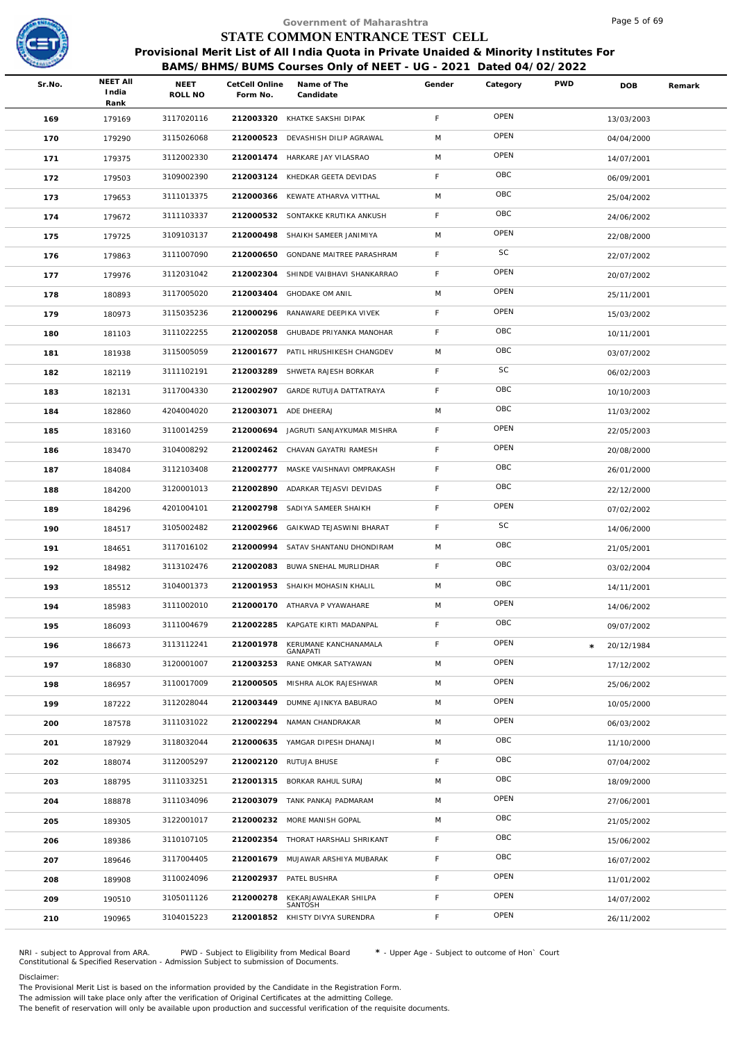

## **BAMS/BHMS/BUMS Courses Only of NEET - UG - 2021 Dated 04/02/2022**

|        |                                  |                        |                            | Government of Maharashtra                                                                                                                                  |             |          |            | Page 5 of 69 |        |
|--------|----------------------------------|------------------------|----------------------------|------------------------------------------------------------------------------------------------------------------------------------------------------------|-------------|----------|------------|--------------|--------|
|        |                                  |                        |                            | STATE COMMON ENTRANCE TEST CELL                                                                                                                            |             |          |            |              |        |
|        |                                  |                        |                            | Provisional Merit List of All India Quota in Private Unaided & Minority Institutes For<br>BAMS/BHMS/BUMS Courses Only of NEET - UG - 2021 Dated 04/02/2022 |             |          |            |              |        |
| Sr.No. | <b>NEET AII</b><br>India<br>Rank | <b>NEET</b><br>ROLL NO | CetCell Online<br>Form No. | Name of The<br>Candidate                                                                                                                                   | Gender      | Category | <b>PWD</b> | <b>DOB</b>   | Remark |
| 169    | 179169                           | 3117020116             |                            | 212003320 KHATKE SAKSHI DIPAK                                                                                                                              | F           | OPEN     |            | 13/03/2003   |        |
| 170    | 179290                           | 3115026068             | 212000523                  | DEVASHISH DILIP AGRAWAL                                                                                                                                    | M           | OPEN     |            | 04/04/2000   |        |
| 171    | 179375                           | 3112002330             |                            | 212001474 HARKARE JAY VILASRAO                                                                                                                             | M           | OPEN     |            | 14/07/2001   |        |
| 172    | 179503                           | 3109002390             |                            | 212003124 KHEDKAR GEETA DEVIDAS                                                                                                                            | $\mathsf F$ | OBC      |            | 06/09/2001   |        |
| 173    | 179653                           | 3111013375             | 212000366                  | KEWATE ATHARVA VITTHAL                                                                                                                                     | M           | OBC      |            | 25/04/2002   |        |
| 174    | 179672                           | 3111103337             |                            | 212000532 SONTAKKE KRUTIKA ANKUSH                                                                                                                          | $\mathsf F$ | OBC      |            | 24/06/2002   |        |
| 175    | 179725                           | 3109103137             |                            | 212000498 SHAIKH SAMEER JANIMIYA                                                                                                                           | M           | OPEN     |            | 22/08/2000   |        |
| 176    | 179863                           | 3111007090             | 212000650                  | GONDANE MAITREE PARASHRAM                                                                                                                                  | $\mathsf F$ | SC       |            | 22/07/2002   |        |
| 177    | 179976                           | 3112031042             |                            | 212002304 SHINDE VAIBHAVI SHANKARRAO                                                                                                                       | $\mathsf F$ | OPEN     |            | 20/07/2002   |        |
| 178    | 180893                           | 3117005020             | 212003404                  | <b>GHODAKE OM ANIL</b>                                                                                                                                     | M           | OPEN     |            | 25/11/2001   |        |
| 179    | 180973                           | 3115035236             | 212000296                  | RANAWARE DEEPIKA VIVEK                                                                                                                                     | $\mathsf F$ | OPEN     |            | 15/03/2002   |        |
| 180    | 181103                           | 3111022255             |                            | 212002058 GHUBADE PRIYANKA MANOHAR                                                                                                                         | $\mathsf F$ | OBC      |            | 10/11/2001   |        |
| 181    | 181938                           | 3115005059             |                            | 212001677 PATIL HRUSHIKESH CHANGDEV                                                                                                                        | M           | OBC      |            | 03/07/2002   |        |
| 182    | 182119                           | 3111102191             |                            | 212003289 SHWETA RAJESH BORKAR                                                                                                                             | $\mathsf F$ | SC       |            | 06/02/2003   |        |
| 183    | 182131                           | 3117004330             |                            | 212002907 GARDE RUTUJA DATTATRAYA                                                                                                                          | $\mathsf F$ | OBC      |            | 10/10/2003   |        |
| 184    | 182860                           | 4204004020             | 212003071 ADE DHEERAJ      |                                                                                                                                                            | M           | OBC      |            | 11/03/2002   |        |
| 185    | 183160                           | 3110014259             |                            | 212000694 JAGRUTI SANJAYKUMAR MISHRA                                                                                                                       | $\mathsf F$ | OPEN     |            | 22/05/2003   |        |
| 186    | 183470                           | 3104008292             |                            | 212002462 CHAVAN GAYATRI RAMESH                                                                                                                            | $\mathsf F$ | OPEN     |            | 20/08/2000   |        |
| 187    | 184084                           | 3112103408             |                            | 212002777 MASKE VAISHNAVI OMPRAKASH                                                                                                                        | $\mathsf F$ | OBC      |            | 26/01/2000   |        |
| 188    | 184200                           | 3120001013             |                            | 212002890 ADARKAR TEJASVI DEVIDAS                                                                                                                          | $\mathsf F$ | OBC      |            | 22/12/2000   |        |
| 189    | 184296                           | 4201004101             | 212002798                  | SADIYA SAMEER SHAIKH                                                                                                                                       | $\mathsf F$ | OPEN     |            | 07/02/2002   |        |
| 190    | 184517                           | 3105002482             |                            | 212002966 GAIKWAD TEJASWINI BHARAT                                                                                                                         | $\mathsf F$ | SC       |            | 14/06/2000   |        |
| 191    | 184651                           | 3117016102             | 212000994                  | SATAV SHANTANU DHONDIRAM                                                                                                                                   | M           | OBC      |            | 21/05/2001   |        |
| 192    | 184982                           | 3113102476             |                            | 212002083 BUWA SNEHAL MURLIDHAR                                                                                                                            | F           | OBC      |            | 03/02/2004   |        |
| 193    | 185512                           | 3104001373             |                            | 212001953 SHAIKH MOHASIN KHALIL                                                                                                                            | M           | OBC      |            | 14/11/2001   |        |
| 194    | 185983                           | 3111002010             |                            | 212000170 ATHARVA P VYAWAHARE                                                                                                                              | M           | OPEN     |            | 14/06/2002   |        |
| 195    | 186093                           | 3111004679             |                            | 212002285 KAPGATE KIRTI MADANPAL                                                                                                                           | F           | OBC      |            | 09/07/2002   |        |
| 196    | 186673                           | 3113112241             | 212001978                  | KERUMANE KANCHANAMALA<br><b>GANAPATI</b>                                                                                                                   | F           | OPEN     | $\star$    | 20/12/1984   |        |
| 197    | 186830                           | 3120001007             | 212003253                  | RANE OMKAR SATYAWAN                                                                                                                                        | M           | OPEN     |            | 17/12/2002   |        |
| 198    | 186957                           | 3110017009             | 212000505                  | MISHRA ALOK RAJESHWAR                                                                                                                                      | M           | OPEN     |            | 25/06/2002   |        |
| 199    | 187222                           | 3112028044             | 212003449                  | DUMNE AJINKYA BABURAO                                                                                                                                      | M           | OPEN     |            | 10/05/2000   |        |
| 200    | 187578                           | 3111031022             | 212002294                  | NAMAN CHANDRAKAR                                                                                                                                           | M           | OPEN     |            | 06/03/2002   |        |
| 201    | 187929                           | 3118032044             |                            | 212000635 YAMGAR DIPESH DHANAJI                                                                                                                            | M           | OBC      |            | 11/10/2000   |        |
| 202    | 188074                           | 3112005297             |                            | 212002120 RUTUJA BHUSE                                                                                                                                     | F           | OBC      |            | 07/04/2002   |        |
| 203    | 188795                           | 3111033251             |                            | 212001315 BORKAR RAHUL SURAJ                                                                                                                               | M           | OBC      |            | 18/09/2000   |        |
| 204    | 188878                           | 3111034096             |                            | 212003079 TANK PANKAJ PADMARAM                                                                                                                             | M           | OPEN     |            | 27/06/2001   |        |
| 205    | 189305                           | 3122001017             |                            | 212000232 MORE MANISH GOPAL                                                                                                                                | M           | OBC      |            | 21/05/2002   |        |
| 206    | 189386                           | 3110107105             |                            | 212002354 THORAT HARSHALI SHRIKANT                                                                                                                         | F           | OBC      |            | 15/06/2002   |        |
| 207    | 189646                           | 3117004405             |                            | 212001679 MUJAWAR ARSHIYA MUBARAK                                                                                                                          | $\mathsf F$ | OBC      |            | 16/07/2002   |        |
| 208    | 189908                           | 3110024096             |                            | 212002937 PATEL BUSHRA                                                                                                                                     | F           | OPEN     |            | 11/01/2002   |        |
| 209    | 190510                           | 3105011126             | 212000278                  | KEKARJAWALEKAR SHILPA<br>SANTOSH                                                                                                                           | F           | OPEN     |            | 14/07/2002   |        |
| 210    | 190965                           | 3104015223             |                            | 212001852 KHISTY DIVYA SURENDRA                                                                                                                            | F           | OPEN     |            | 26/11/2002   |        |
|        |                                  |                        |                            |                                                                                                                                                            |             |          |            |              |        |

NRI - subject to Approval from ARA. PWD - Subject to Eligibility from Medical Board \* - Upper Age - Subject to outcome of Hon` Court<br>Constitutional & Specified Reservation - Admission Subject to submissio

### Disclaimer:

The Provisional Merit List is based on the information provided by the Candidate in the Registration Form. The admission will take place only after the verification of Original Certificates at the admitting College.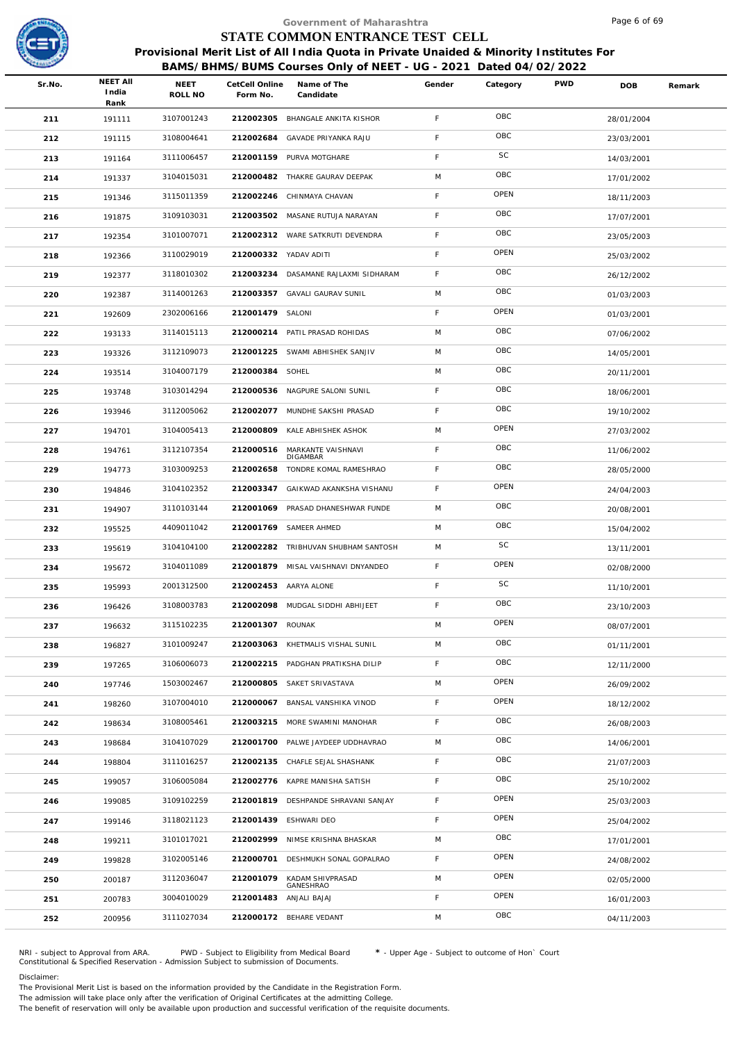

|        |                                  |                        |                            | Government of Maharashtra                                                                                                                                  |             |             |            | Page 6 of 69 |        |
|--------|----------------------------------|------------------------|----------------------------|------------------------------------------------------------------------------------------------------------------------------------------------------------|-------------|-------------|------------|--------------|--------|
|        |                                  |                        |                            | STATE COMMON ENTRANCE TEST CELL                                                                                                                            |             |             |            |              |        |
|        |                                  |                        |                            | Provisional Merit List of All India Quota in Private Unaided & Minority Institutes For<br>BAMS/BHMS/BUMS Courses Only of NEET - UG - 2021 Dated 04/02/2022 |             |             |            |              |        |
| Sr.No. | <b>NEET AII</b><br>India<br>Rank | <b>NEET</b><br>ROLL NO | CetCell Online<br>Form No. | Name of The<br>Candidate                                                                                                                                   | Gender      | Category    | <b>PWD</b> | <b>DOB</b>   | Remark |
| 211    | 191111                           | 3107001243             |                            | 212002305 BHANGALE ANKITA KISHOR                                                                                                                           | F           | OBC         |            | 28/01/2004   |        |
| 212    | 191115                           | 3108004641             | 212002684                  | GAVADE PRIYANKA RAJU                                                                                                                                       | F.          | OBC         |            | 23/03/2001   |        |
| 213    | 191164                           | 3111006457             |                            | 212001159 PURVA MOTGHARE                                                                                                                                   | F           | SC          |            | 14/03/2001   |        |
| 214    | 191337                           | 3104015031             |                            | 212000482 THAKRE GAURAV DEEPAK                                                                                                                             | M           | OBC         |            | 17/01/2002   |        |
| 215    | 191346                           | 3115011359             |                            | 212002246 CHINMAYA CHAVAN                                                                                                                                  | F.          | OPEN        |            | 18/11/2003   |        |
| 216    | 191875                           | 3109103031             |                            | 212003502 MASANE RUTUJA NARAYAN                                                                                                                            | F           | OBC         |            | 17/07/2001   |        |
| 217    | 192354                           | 3101007071             |                            | 212002312 WARE SATKRUTI DEVENDRA                                                                                                                           | F           | OBC         |            | 23/05/2003   |        |
| 218    | 192366                           | 3110029019             | 212000332 YADAV ADITI      |                                                                                                                                                            | F.          | OPEN        |            | 25/03/2002   |        |
| 219    | 192377                           | 3118010302             |                            | 212003234 DASAMANE RAJLAXMI SIDHARAM                                                                                                                       | F           | OBC         |            | 26/12/2002   |        |
| 220    | 192387                           | 3114001263             | 212003357                  | <b>GAVALI GAURAV SUNIL</b>                                                                                                                                 | M           | OBC         |            | 01/03/2003   |        |
| 221    | 192609                           | 2302006166             | 212001479 SALONI           |                                                                                                                                                            | F.          | OPEN        |            | 01/03/2001   |        |
| 222    | 193133                           | 3114015113             |                            | 212000214 PATIL PRASAD ROHIDAS                                                                                                                             | M           | OBC         |            | 07/06/2002   |        |
| 223    | 193326                           | 3112109073             | 212001225                  | SWAMI ABHISHEK SANJIV                                                                                                                                      | M           | OBC         |            | 14/05/2001   |        |
| 224    | 193514                           | 3104007179             | 212000384 SOHEL            |                                                                                                                                                            | M           | OBC         |            | 20/11/2001   |        |
| 225    | 193748                           | 3103014294             |                            | 212000536 NAGPURE SALONI SUNIL                                                                                                                             | F           | OBC         |            | 18/06/2001   |        |
| 226    | 193946                           | 3112005062             | 212002077                  | MUNDHE SAKSHI PRASAD                                                                                                                                       | F.          | OBC         |            | 19/10/2002   |        |
| 227    | 194701                           | 3104005413             |                            | 212000809 KALE ABHISHEK ASHOK                                                                                                                              | M           | OPEN        |            | 27/03/2002   |        |
| 228    | 194761                           | 3112107354             | 212000516                  | MARKANTE VAISHNAVI                                                                                                                                         | F.          | OBC         |            | 11/06/2002   |        |
| 229    | 194773                           | 3103009253             | 212002658                  | DIGAMBAR<br>TONDRE KOMAL RAMESHRAO                                                                                                                         | F           | OBC         |            | 28/05/2000   |        |
| 230    | 194846                           | 3104102352             | 212003347                  | GAIKWAD AKANKSHA VISHANU                                                                                                                                   | $\mathsf F$ | OPEN        |            | 24/04/2003   |        |
| 231    | 194907                           | 3110103144             | 212001069                  | PRASAD DHANESHWAR FUNDE                                                                                                                                    | M           | OBC         |            | 20/08/2001   |        |
| 232    | 195525                           | 4409011042             |                            | 212001769 SAMEER AHMED                                                                                                                                     | M           | OBC         |            | 15/04/2002   |        |
| 233    | 195619                           | 3104104100             |                            | 212002282 TRIBHUVAN SHUBHAM SANTOSH                                                                                                                        | M           | SC          |            | 13/11/2001   |        |
| 234    | 195672                           | 3104011089             |                            | 212001879 MISAL VAISHNAVI DNYANDEO                                                                                                                         | F.          | OPEN        |            | 02/08/2000   |        |
| 235    | 195993                           | 2001312500             |                            | 212002453 AARYA ALONE                                                                                                                                      | F.          | SC          |            | 11/10/2001   |        |
| 236    | 196426                           | 3108003783             |                            | 212002098 MUDGAL SIDDHI ABHIJEET                                                                                                                           | F.          | OBC         |            | 23/10/2003   |        |
| 237    | 196632                           | 3115102235             | 212001307 ROUNAK           |                                                                                                                                                            | M           | OPEN        |            | 08/07/2001   |        |
| 238    | 196827                           | 3101009247             |                            | 212003063 KHETMALIS VISHAL SUNIL                                                                                                                           | M           | OBC         |            | 01/11/2001   |        |
| 239    | 197265                           | 3106006073             |                            | 212002215 PADGHAN PRATIKSHA DILIP                                                                                                                          | $\mathsf F$ | OBC         |            | 12/11/2000   |        |
| 240    | 197746                           | 1503002467             |                            | 212000805 SAKET SRIVASTAVA                                                                                                                                 | M           | <b>OPEN</b> |            | 26/09/2002   |        |
| 241    | 198260                           | 3107004010             |                            | 212000067 BANSAL VANSHIKA VINOD                                                                                                                            | $\mathsf F$ | OPEN        |            | 18/12/2002   |        |
| 242    | 198634                           | 3108005461             |                            | 212003215 MORE SWAMINI MANOHAR                                                                                                                             | $\mathsf F$ | OBC         |            | 26/08/2003   |        |
| 243    | 198684                           | 3104107029             |                            | 212001700 PALWE JAYDEEP UDDHAVRAO                                                                                                                          | M           | OBC         |            | 14/06/2001   |        |
| 244    | 198804                           | 3111016257             |                            | 212002135 CHAFLE SEJAL SHASHANK                                                                                                                            | F.          | OBC         |            | 21/07/2003   |        |
| 245    | 199057                           | 3106005084             |                            | 212002776 KAPRE MANISHA SATISH                                                                                                                             | F.          | OBC         |            | 25/10/2002   |        |
| 246    | 199085                           | 3109102259             |                            | 212001819 DESHPANDE SHRAVANI SANJAY                                                                                                                        | F           | OPEN        |            | 25/03/2003   |        |
| 247    | 199146                           | 3118021123             |                            | 212001439 ESHWARI DEO                                                                                                                                      | F           | OPEN        |            | 25/04/2002   |        |
| 248    | 199211                           | 3101017021             |                            | 212002999 NIMSE KRISHNA BHASKAR                                                                                                                            | M           | OBC         |            | 17/01/2001   |        |
| 249    | 199828                           | 3102005146             |                            | 212000701 DESHMUKH SONAL GOPALRAO                                                                                                                          | F.          | OPEN        |            | 24/08/2002   |        |
| 250    | 200187                           | 3112036047             | 212001079                  | KADAM SHIVPRASAD                                                                                                                                           | M           | OPEN        |            | 02/05/2000   |        |
| 251    | 200783                           | 3004010029             |                            | GANESHRAO<br>212001483 ANJALI BAJAJ                                                                                                                        | F.          | OPEN        |            | 16/01/2003   |        |
| 252    | 200956                           | 3111027034             |                            | 212000172 BEHARE VEDANT                                                                                                                                    | M           | OBC         |            | 04/11/2003   |        |
|        |                                  |                        |                            |                                                                                                                                                            |             |             |            |              |        |

NRI - subject to Approval from ARA. PWD - Subject to Eligibility from Medical Board \* - Upper Age - Subject to outcome of Hon` Court<br>Constitutional & Specified Reservation - Admission Subject to submissio

Disclaimer:

The Provisional Merit List is based on the information provided by the Candidate in the Registration Form. The admission will take place only after the verification of Original Certificates at the admitting College.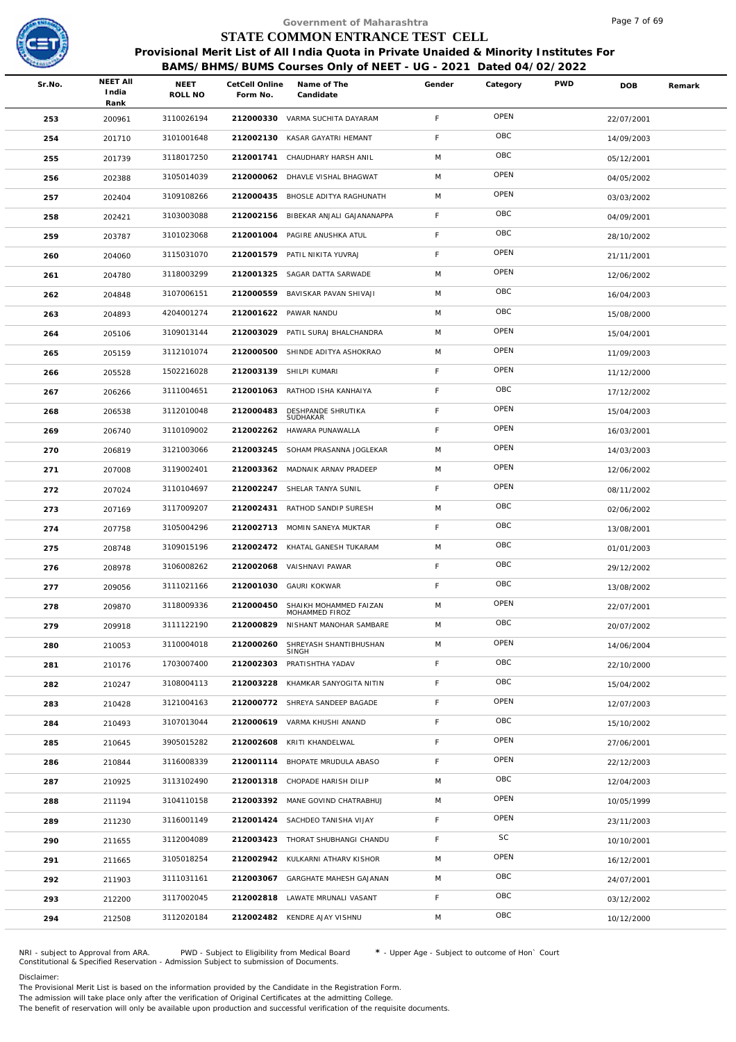

## **BAMS/BHMS/BUMS Courses Only of NEET - UG - 2021 Dated 04/02/2022**

| Sr.No. | <b>NEET AII</b><br>India | NEET<br>ROLL NO | Form No.  | Name of The<br>Candidate                 | Gender                                                                                                                                                                                                                                                                                                                                                                                                                                                                                                                                                                                                                                                                                                                                                                                                                                                                                                                                                                                                                                                                                                                                                                                                               | Category                  | <b>PWD</b>                                                           | <b>DOB</b>                                                       | Remark                                                                                                 |
|--------|--------------------------|-----------------|-----------|------------------------------------------|----------------------------------------------------------------------------------------------------------------------------------------------------------------------------------------------------------------------------------------------------------------------------------------------------------------------------------------------------------------------------------------------------------------------------------------------------------------------------------------------------------------------------------------------------------------------------------------------------------------------------------------------------------------------------------------------------------------------------------------------------------------------------------------------------------------------------------------------------------------------------------------------------------------------------------------------------------------------------------------------------------------------------------------------------------------------------------------------------------------------------------------------------------------------------------------------------------------------|---------------------------|----------------------------------------------------------------------|------------------------------------------------------------------|--------------------------------------------------------------------------------------------------------|
| 253    | 200961                   | 3110026194      |           |                                          | F                                                                                                                                                                                                                                                                                                                                                                                                                                                                                                                                                                                                                                                                                                                                                                                                                                                                                                                                                                                                                                                                                                                                                                                                                    | OPEN                      |                                                                      | 22/07/2001                                                       |                                                                                                        |
| 254    | 201710                   | 3101001648      | 212002130 | KASAR GAYATRI HEMANT                     | F                                                                                                                                                                                                                                                                                                                                                                                                                                                                                                                                                                                                                                                                                                                                                                                                                                                                                                                                                                                                                                                                                                                                                                                                                    | OBC                       |                                                                      | 14/09/2003                                                       |                                                                                                        |
| 255    | 201739                   | 3118017250      |           |                                          | M                                                                                                                                                                                                                                                                                                                                                                                                                                                                                                                                                                                                                                                                                                                                                                                                                                                                                                                                                                                                                                                                                                                                                                                                                    | OBC                       |                                                                      | 05/12/2001                                                       |                                                                                                        |
| 256    | 202388                   | 3105014039      |           |                                          | M                                                                                                                                                                                                                                                                                                                                                                                                                                                                                                                                                                                                                                                                                                                                                                                                                                                                                                                                                                                                                                                                                                                                                                                                                    | OPEN                      |                                                                      | 04/05/2002                                                       |                                                                                                        |
| 257    | 202404                   | 3109108266      | 212000435 |                                          | M                                                                                                                                                                                                                                                                                                                                                                                                                                                                                                                                                                                                                                                                                                                                                                                                                                                                                                                                                                                                                                                                                                                                                                                                                    | OPEN                      |                                                                      | 03/03/2002                                                       |                                                                                                        |
| 258    | 202421                   | 3103003088      |           |                                          | F                                                                                                                                                                                                                                                                                                                                                                                                                                                                                                                                                                                                                                                                                                                                                                                                                                                                                                                                                                                                                                                                                                                                                                                                                    | OBC                       |                                                                      | 04/09/2001                                                       |                                                                                                        |
| 259    | 203787                   | 3101023068      |           |                                          | $\mathsf F$                                                                                                                                                                                                                                                                                                                                                                                                                                                                                                                                                                                                                                                                                                                                                                                                                                                                                                                                                                                                                                                                                                                                                                                                          | OBC                       |                                                                      | 28/10/2002                                                       |                                                                                                        |
| 260    | 204060                   | 3115031070      |           |                                          | F                                                                                                                                                                                                                                                                                                                                                                                                                                                                                                                                                                                                                                                                                                                                                                                                                                                                                                                                                                                                                                                                                                                                                                                                                    | OPEN                      |                                                                      | 21/11/2001                                                       |                                                                                                        |
| 261    | 204780                   | 3118003299      |           |                                          | M                                                                                                                                                                                                                                                                                                                                                                                                                                                                                                                                                                                                                                                                                                                                                                                                                                                                                                                                                                                                                                                                                                                                                                                                                    | OPEN                      |                                                                      | 12/06/2002                                                       |                                                                                                        |
| 262    | 204848                   | 3107006151      |           |                                          | M                                                                                                                                                                                                                                                                                                                                                                                                                                                                                                                                                                                                                                                                                                                                                                                                                                                                                                                                                                                                                                                                                                                                                                                                                    | OBC                       |                                                                      | 16/04/2003                                                       |                                                                                                        |
| 263    | 204893                   | 4204001274      |           |                                          | M                                                                                                                                                                                                                                                                                                                                                                                                                                                                                                                                                                                                                                                                                                                                                                                                                                                                                                                                                                                                                                                                                                                                                                                                                    | OBC                       |                                                                      | 15/08/2000                                                       |                                                                                                        |
| 264    | 205106                   | 3109013144      |           |                                          | M                                                                                                                                                                                                                                                                                                                                                                                                                                                                                                                                                                                                                                                                                                                                                                                                                                                                                                                                                                                                                                                                                                                                                                                                                    | OPEN                      |                                                                      | 15/04/2001                                                       |                                                                                                        |
| 265    | 205159                   | 3112101074      |           |                                          | M                                                                                                                                                                                                                                                                                                                                                                                                                                                                                                                                                                                                                                                                                                                                                                                                                                                                                                                                                                                                                                                                                                                                                                                                                    | OPEN                      |                                                                      | 11/09/2003                                                       |                                                                                                        |
| 266    | 205528                   | 1502216028      |           |                                          | F                                                                                                                                                                                                                                                                                                                                                                                                                                                                                                                                                                                                                                                                                                                                                                                                                                                                                                                                                                                                                                                                                                                                                                                                                    | OPEN                      |                                                                      | 11/12/2000                                                       |                                                                                                        |
| 267    | 206266                   | 3111004651      |           |                                          | F                                                                                                                                                                                                                                                                                                                                                                                                                                                                                                                                                                                                                                                                                                                                                                                                                                                                                                                                                                                                                                                                                                                                                                                                                    | OBC                       |                                                                      | 17/12/2002                                                       |                                                                                                        |
| 268    | 206538                   | 3112010048      | 212000483 | DESHPANDE SHRUTIKA                       | $\mathsf F$                                                                                                                                                                                                                                                                                                                                                                                                                                                                                                                                                                                                                                                                                                                                                                                                                                                                                                                                                                                                                                                                                                                                                                                                          | OPEN                      |                                                                      | 15/04/2003                                                       |                                                                                                        |
| 269    | 206740                   | 3110109002      | 212002262 |                                          | F                                                                                                                                                                                                                                                                                                                                                                                                                                                                                                                                                                                                                                                                                                                                                                                                                                                                                                                                                                                                                                                                                                                                                                                                                    | OPEN                      |                                                                      | 16/03/2001                                                       |                                                                                                        |
| 270    | 206819                   | 3121003066      | 212003245 | SOHAM PRASANNA JOGLEKAR                  | M                                                                                                                                                                                                                                                                                                                                                                                                                                                                                                                                                                                                                                                                                                                                                                                                                                                                                                                                                                                                                                                                                                                                                                                                                    | OPEN                      |                                                                      | 14/03/2003                                                       |                                                                                                        |
| 271    | 207008                   | 3119002401      |           |                                          | M                                                                                                                                                                                                                                                                                                                                                                                                                                                                                                                                                                                                                                                                                                                                                                                                                                                                                                                                                                                                                                                                                                                                                                                                                    | OPEN                      |                                                                      | 12/06/2002                                                       |                                                                                                        |
| 272    | 207024                   | 3110104697      |           |                                          | F                                                                                                                                                                                                                                                                                                                                                                                                                                                                                                                                                                                                                                                                                                                                                                                                                                                                                                                                                                                                                                                                                                                                                                                                                    | OPEN                      |                                                                      | 08/11/2002                                                       |                                                                                                        |
| 273    | 207169                   | 3117009207      | 212002431 | RATHOD SANDIP SURESH                     | M                                                                                                                                                                                                                                                                                                                                                                                                                                                                                                                                                                                                                                                                                                                                                                                                                                                                                                                                                                                                                                                                                                                                                                                                                    | OBC                       |                                                                      | 02/06/2002                                                       |                                                                                                        |
| 274    | 207758                   | 3105004296      |           |                                          | F                                                                                                                                                                                                                                                                                                                                                                                                                                                                                                                                                                                                                                                                                                                                                                                                                                                                                                                                                                                                                                                                                                                                                                                                                    | OBC                       |                                                                      | 13/08/2001                                                       |                                                                                                        |
| 275    | 208748                   | 3109015196      |           |                                          | M                                                                                                                                                                                                                                                                                                                                                                                                                                                                                                                                                                                                                                                                                                                                                                                                                                                                                                                                                                                                                                                                                                                                                                                                                    | OBC                       |                                                                      | 01/01/2003                                                       |                                                                                                        |
| 276    | 208978                   | 3106008262      |           |                                          | F                                                                                                                                                                                                                                                                                                                                                                                                                                                                                                                                                                                                                                                                                                                                                                                                                                                                                                                                                                                                                                                                                                                                                                                                                    | OBC                       |                                                                      | 29/12/2002                                                       |                                                                                                        |
| 277    | 209056                   | 3111021166      |           |                                          | F.                                                                                                                                                                                                                                                                                                                                                                                                                                                                                                                                                                                                                                                                                                                                                                                                                                                                                                                                                                                                                                                                                                                                                                                                                   | OBC                       |                                                                      | 13/08/2002                                                       |                                                                                                        |
| 278    | 209870                   | 3118009336      | 212000450 | SHAIKH MOHAMMED FAIZAN<br>MOHAMMED FIROZ | M                                                                                                                                                                                                                                                                                                                                                                                                                                                                                                                                                                                                                                                                                                                                                                                                                                                                                                                                                                                                                                                                                                                                                                                                                    | OPEN                      |                                                                      | 22/07/2001                                                       |                                                                                                        |
| 279    | 209918                   | 3111122190      | 212000829 | NISHANT MANOHAR SAMBARE                  | M                                                                                                                                                                                                                                                                                                                                                                                                                                                                                                                                                                                                                                                                                                                                                                                                                                                                                                                                                                                                                                                                                                                                                                                                                    | OBC                       |                                                                      | 20/07/2002                                                       |                                                                                                        |
| 280    | 210053                   | 3110004018      | 212000260 | SHREYASH SHANTIBHUSHAN<br>SINGH          | M                                                                                                                                                                                                                                                                                                                                                                                                                                                                                                                                                                                                                                                                                                                                                                                                                                                                                                                                                                                                                                                                                                                                                                                                                    | OPEN                      |                                                                      | 14/06/2004                                                       |                                                                                                        |
| 281    | 210176                   | 1703007400      | 212002303 |                                          | F                                                                                                                                                                                                                                                                                                                                                                                                                                                                                                                                                                                                                                                                                                                                                                                                                                                                                                                                                                                                                                                                                                                                                                                                                    | OBC                       |                                                                      | 22/10/2000                                                       |                                                                                                        |
| 282    | 210247                   | 3108004113      |           |                                          | F                                                                                                                                                                                                                                                                                                                                                                                                                                                                                                                                                                                                                                                                                                                                                                                                                                                                                                                                                                                                                                                                                                                                                                                                                    | OBC                       |                                                                      | 15/04/2002                                                       |                                                                                                        |
| 283    | 210428                   | 3121004163      |           |                                          | $\mathsf F$                                                                                                                                                                                                                                                                                                                                                                                                                                                                                                                                                                                                                                                                                                                                                                                                                                                                                                                                                                                                                                                                                                                                                                                                          | OPEN                      |                                                                      | 12/07/2003                                                       |                                                                                                        |
| 284    | 210493                   | 3107013044      |           |                                          | F                                                                                                                                                                                                                                                                                                                                                                                                                                                                                                                                                                                                                                                                                                                                                                                                                                                                                                                                                                                                                                                                                                                                                                                                                    | OBC                       |                                                                      | 15/10/2002                                                       |                                                                                                        |
| 285    | 210645                   | 3905015282      |           |                                          | F                                                                                                                                                                                                                                                                                                                                                                                                                                                                                                                                                                                                                                                                                                                                                                                                                                                                                                                                                                                                                                                                                                                                                                                                                    | OPEN                      |                                                                      | 27/06/2001                                                       |                                                                                                        |
| 286    | 210844                   | 3116008339      |           |                                          | F                                                                                                                                                                                                                                                                                                                                                                                                                                                                                                                                                                                                                                                                                                                                                                                                                                                                                                                                                                                                                                                                                                                                                                                                                    | OPEN                      |                                                                      | 22/12/2003                                                       |                                                                                                        |
| 287    | 210925                   | 3113102490      |           |                                          | M                                                                                                                                                                                                                                                                                                                                                                                                                                                                                                                                                                                                                                                                                                                                                                                                                                                                                                                                                                                                                                                                                                                                                                                                                    | OBC                       |                                                                      | 12/04/2003                                                       |                                                                                                        |
| 288    | 211194                   | 3104110158      |           |                                          | M                                                                                                                                                                                                                                                                                                                                                                                                                                                                                                                                                                                                                                                                                                                                                                                                                                                                                                                                                                                                                                                                                                                                                                                                                    | OPEN                      |                                                                      | 10/05/1999                                                       |                                                                                                        |
| 289    | 211230                   | 3116001149      |           |                                          | F                                                                                                                                                                                                                                                                                                                                                                                                                                                                                                                                                                                                                                                                                                                                                                                                                                                                                                                                                                                                                                                                                                                                                                                                                    |                           |                                                                      | 23/11/2003                                                       |                                                                                                        |
| 290    | 211655                   | 3112004089      |           |                                          | F.                                                                                                                                                                                                                                                                                                                                                                                                                                                                                                                                                                                                                                                                                                                                                                                                                                                                                                                                                                                                                                                                                                                                                                                                                   | SC                        |                                                                      | 10/10/2001                                                       |                                                                                                        |
| 291    | 211665                   | 3105018254      |           |                                          | M                                                                                                                                                                                                                                                                                                                                                                                                                                                                                                                                                                                                                                                                                                                                                                                                                                                                                                                                                                                                                                                                                                                                                                                                                    |                           |                                                                      | 16/12/2001                                                       |                                                                                                        |
| 292    | 211903                   | 3111031161      |           |                                          | M                                                                                                                                                                                                                                                                                                                                                                                                                                                                                                                                                                                                                                                                                                                                                                                                                                                                                                                                                                                                                                                                                                                                                                                                                    |                           |                                                                      | 24/07/2001                                                       |                                                                                                        |
| 293    | 212200                   | 3117002045      |           |                                          | F                                                                                                                                                                                                                                                                                                                                                                                                                                                                                                                                                                                                                                                                                                                                                                                                                                                                                                                                                                                                                                                                                                                                                                                                                    |                           |                                                                      | 03/12/2002                                                       |                                                                                                        |
| 294    | 212508                   | 3112020184      |           |                                          | M                                                                                                                                                                                                                                                                                                                                                                                                                                                                                                                                                                                                                                                                                                                                                                                                                                                                                                                                                                                                                                                                                                                                                                                                                    |                           |                                                                      | 10/12/2000                                                       |                                                                                                        |
|        |                          | Rank            |           |                                          | CetCell Online<br>212000330 VARMA SUCHITA DAYARAM<br>212001741 CHAUDHARY HARSH ANIL<br>212000062 DHAVLE VISHAL BHAGWAT<br>BHOSLE ADITYA RAGHUNATH<br>212002156 BIBEKAR ANJALI GAJANANAPPA<br>212001004 PAGIRE ANUSHKA ATUL<br>212001579 PATIL NIKITA YUVRAJ<br>212001325 SAGAR DATTA SARWADE<br>212000559 BAVISKAR PAVAN SHIVAJI<br>212001622 PAWAR NANDU<br>212003029 PATIL SURAJ BHALCHANDRA<br>212000500 SHINDE ADITYA ASHOKRAO<br>212003139 SHILPI KUMARI<br>212001063 RATHOD ISHA KANHAIYA<br>SUDHAKAR<br>HAWARA PUNAWALLA<br>212003362 MADNAIK ARNAV PRADEEP<br>212002247 SHELAR TANYA SUNIL<br>212002713 MOMIN SANEYA MUKTAR<br>212002472 KHATAL GANESH TUKARAM<br>212002068 VAISHNAVI PAWAR<br>212001030 GAURI KOKWAR<br>PRATISHTHA YADAV<br>212003228 KHAMKAR SANYOGITA NITIN<br>212000772 SHREYA SANDEEP BAGADE<br>212000619 VARMA KHUSHI ANAND<br>212002608 KRITI KHANDELWAL<br>212001114 BHOPATE MRUDULA ABASO<br>212001318 CHOPADE HARISH DILIP<br>212003392 MANE GOVIND CHATRABHUJ<br>212001424 SACHDEO TANISHA VIJAY<br>212003423 THORAT SHUBHANGI CHANDU<br>212002942 KULKARNI ATHARV KISHOR<br>212003067 GARGHATE MAHESH GAJANAN<br>212002818 LAWATE MRUNALI VASANT<br>212002482 KENDRE AJAY VISHNU | Government of Maharashtra | STATE COMMON ENTRANCE TEST CELL<br>OPEN<br>OPEN<br>OBC<br>OBC<br>OBC | BAMS/BHMS/BUMS Courses Only of NEET - UG - 2021 Dated 04/02/2022 | Page / of 69<br>Provisional Merit List of All India Quota in Private Unaided & Minority Institutes For |

NRI - subject to Approval from ARA. PWD - Subject to Eligibility from Medical Board \* - Upper Age - Subject to outcome of Hon` Court<br>Constitutional & Specified Reservation - Admission Subject to submissio

### Disclaimer:

The Provisional Merit List is based on the information provided by the Candidate in the Registration Form. The admission will take place only after the verification of Original Certificates at the admitting College.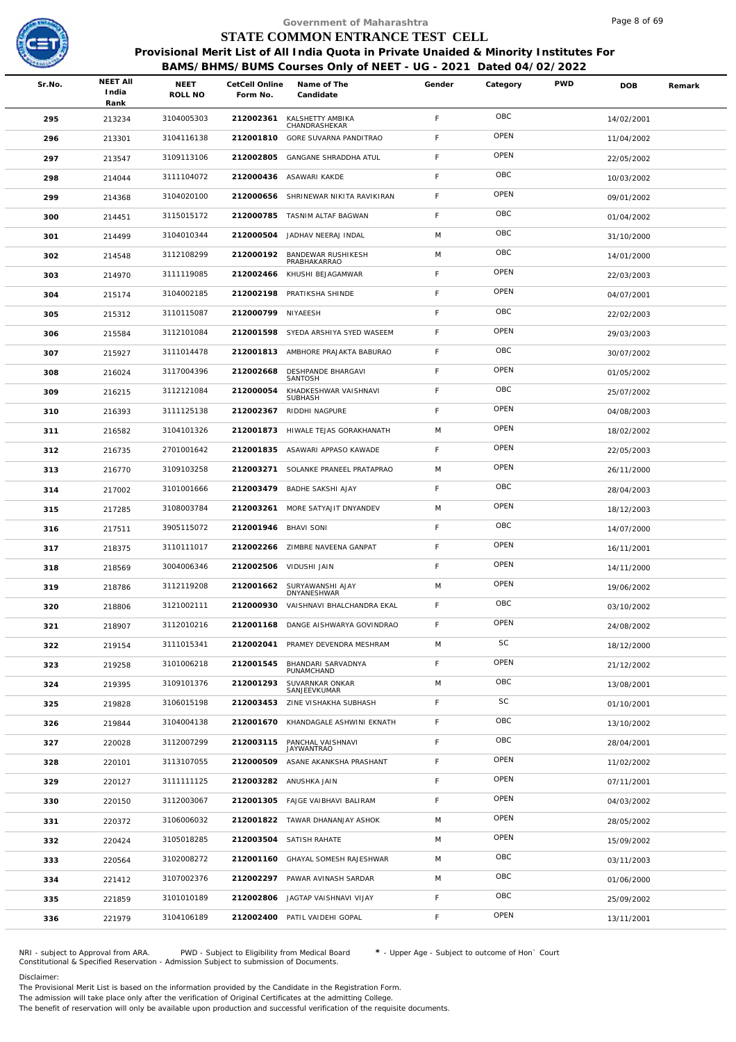

|        |                          |                        |           | Government of Maharashtra              |                                                                                                                                                                                                                                                                                                                                                                                                                                                                                                                                                          |           |                                 | Page 8 of 69                                                     |                                                                                        |
|--------|--------------------------|------------------------|-----------|----------------------------------------|----------------------------------------------------------------------------------------------------------------------------------------------------------------------------------------------------------------------------------------------------------------------------------------------------------------------------------------------------------------------------------------------------------------------------------------------------------------------------------------------------------------------------------------------------------|-----------|---------------------------------|------------------------------------------------------------------|----------------------------------------------------------------------------------------|
|        |                          |                        |           |                                        |                                                                                                                                                                                                                                                                                                                                                                                                                                                                                                                                                          |           |                                 |                                                                  |                                                                                        |
|        |                          |                        |           |                                        |                                                                                                                                                                                                                                                                                                                                                                                                                                                                                                                                                          |           |                                 |                                                                  |                                                                                        |
| Sr.No. | <b>NEET AII</b><br>India | <b>NEET</b><br>ROLL NO | Form No.  | Name of The<br>Candidate               | Gender                                                                                                                                                                                                                                                                                                                                                                                                                                                                                                                                                   | Category  | <b>PWD</b>                      | DOB                                                              | Remark                                                                                 |
| 295    | 213234                   | 3104005303             | 212002361 | KALSHETTY AMBIKA                       | F                                                                                                                                                                                                                                                                                                                                                                                                                                                                                                                                                        | OBC       |                                 | 14/02/2001                                                       |                                                                                        |
| 296    | 213301                   | 3104116138             | 212001810 | GORE SUVARNA PANDITRAO                 | F                                                                                                                                                                                                                                                                                                                                                                                                                                                                                                                                                        | OPEN      |                                 | 11/04/2002                                                       |                                                                                        |
| 297    | 213547                   | 3109113106             | 212002805 | GANGANE SHRADDHA ATUL                  | F                                                                                                                                                                                                                                                                                                                                                                                                                                                                                                                                                        | OPEN      |                                 | 22/05/2002                                                       |                                                                                        |
| 298    | 214044                   | 3111104072             |           |                                        | F                                                                                                                                                                                                                                                                                                                                                                                                                                                                                                                                                        | OBC       |                                 | 10/03/2002                                                       |                                                                                        |
| 299    | 214368                   | 3104020100             | 212000656 | SHRINEWAR NIKITA RAVIKIRAN             | F                                                                                                                                                                                                                                                                                                                                                                                                                                                                                                                                                        | OPEN      |                                 | 09/01/2002                                                       |                                                                                        |
| 300    | 214451                   | 3115015172             | 212000785 |                                        | F                                                                                                                                                                                                                                                                                                                                                                                                                                                                                                                                                        | OBC       |                                 | 01/04/2002                                                       |                                                                                        |
| 301    | 214499                   | 3104010344             | 212000504 | JADHAV NEERAJ INDAL                    | M                                                                                                                                                                                                                                                                                                                                                                                                                                                                                                                                                        | OBC       |                                 | 31/10/2000                                                       |                                                                                        |
| 302    | 214548                   | 3112108299             | 212000192 | BANDEWAR RUSHIKESH                     | M                                                                                                                                                                                                                                                                                                                                                                                                                                                                                                                                                        | OBC       |                                 | 14/01/2000                                                       |                                                                                        |
| 303    | 214970                   | 3111119085             | 212002466 | KHUSHI BEJAGAMWAR                      | F                                                                                                                                                                                                                                                                                                                                                                                                                                                                                                                                                        | OPEN      |                                 | 22/03/2003                                                       |                                                                                        |
| 304    | 215174                   | 3104002185             | 212002198 | PRATIKSHA SHINDE                       | F                                                                                                                                                                                                                                                                                                                                                                                                                                                                                                                                                        | OPEN      |                                 | 04/07/2001                                                       |                                                                                        |
| 305    | 215312                   | 3110115087             |           |                                        | F                                                                                                                                                                                                                                                                                                                                                                                                                                                                                                                                                        | OBC       |                                 | 22/02/2003                                                       |                                                                                        |
| 306    | 215584                   | 3112101084             |           |                                        | F                                                                                                                                                                                                                                                                                                                                                                                                                                                                                                                                                        | OPEN      |                                 | 29/03/2003                                                       |                                                                                        |
| 307    | 215927                   | 3111014478             | 212001813 |                                        | $\mathsf F$                                                                                                                                                                                                                                                                                                                                                                                                                                                                                                                                              | OBC       |                                 | 30/07/2002                                                       |                                                                                        |
| 308    | 216024                   | 3117004396             | 212002668 | DESHPANDE BHARGAVI                     | F                                                                                                                                                                                                                                                                                                                                                                                                                                                                                                                                                        | OPEN      |                                 | 01/05/2002                                                       |                                                                                        |
| 309    | 216215                   | 3112121084             | 212000054 | KHADKESHWAR VAISHNAVI                  | F                                                                                                                                                                                                                                                                                                                                                                                                                                                                                                                                                        | OBC       |                                 | 25/07/2002                                                       |                                                                                        |
| 310    | 216393                   | 3111125138             | 212002367 | RIDDHI NAGPURE                         | F                                                                                                                                                                                                                                                                                                                                                                                                                                                                                                                                                        | OPEN      |                                 | 04/08/2003                                                       |                                                                                        |
| 311    | 216582                   | 3104101326             |           |                                        | M                                                                                                                                                                                                                                                                                                                                                                                                                                                                                                                                                        | OPEN      |                                 | 18/02/2002                                                       |                                                                                        |
| 312    | 216735                   | 2701001642             | 212001835 | ASAWARI APPASO KAWADE                  | F                                                                                                                                                                                                                                                                                                                                                                                                                                                                                                                                                        | OPEN      |                                 | 22/05/2003                                                       |                                                                                        |
| 313    | 216770                   | 3109103258             | 212003271 | SOLANKE PRANEEL PRATAPRAO              | M                                                                                                                                                                                                                                                                                                                                                                                                                                                                                                                                                        | OPEN      |                                 | 26/11/2000                                                       |                                                                                        |
| 314    | 217002                   | 3101001666             |           |                                        | F                                                                                                                                                                                                                                                                                                                                                                                                                                                                                                                                                        | OBC       |                                 | 28/04/2003                                                       |                                                                                        |
| 315    | 217285                   | 3108003784             | 212003261 | MORE SATYAJIT DNYANDEV                 | M                                                                                                                                                                                                                                                                                                                                                                                                                                                                                                                                                        | OPEN      |                                 | 18/12/2003                                                       |                                                                                        |
| 316    | 217511                   | 3905115072             |           |                                        | F                                                                                                                                                                                                                                                                                                                                                                                                                                                                                                                                                        | OBC       |                                 | 14/07/2000                                                       |                                                                                        |
| 317    | 218375                   | 3110111017             |           |                                        | F                                                                                                                                                                                                                                                                                                                                                                                                                                                                                                                                                        | OPEN      |                                 | 16/11/2001                                                       |                                                                                        |
| 318    | 218569                   | 3004006346             |           |                                        | F                                                                                                                                                                                                                                                                                                                                                                                                                                                                                                                                                        | OPEN      |                                 | 14/11/2000                                                       |                                                                                        |
| 319    | 218786                   | 3112119208             | 212001662 | SURYAWANSHI AJAY                       | M                                                                                                                                                                                                                                                                                                                                                                                                                                                                                                                                                        | OPEN      |                                 | 19/06/2002                                                       |                                                                                        |
| 320    | 218806                   | 3121002111             | 212000930 | VAISHNAVI BHALCHANDRA EKAL             | F                                                                                                                                                                                                                                                                                                                                                                                                                                                                                                                                                        | OBC       |                                 | 03/10/2002                                                       |                                                                                        |
| 321    | 218907                   | 3112010216             | 212001168 | DANGE AISHWARYA GOVINDRAO              | F                                                                                                                                                                                                                                                                                                                                                                                                                                                                                                                                                        | OPEN      |                                 | 24/08/2002                                                       |                                                                                        |
| 322    | 219154                   | 3111015341             | 212002041 | PRAMEY DEVENDRA MESHRAM                | M                                                                                                                                                                                                                                                                                                                                                                                                                                                                                                                                                        | <b>SC</b> |                                 | 18/12/2000                                                       |                                                                                        |
| 323    | 219258                   | 3101006218             | 212001545 | BHANDARI SARVADNYA<br>PUNAMCHAND       | F                                                                                                                                                                                                                                                                                                                                                                                                                                                                                                                                                        | OPEN      |                                 | 21/12/2002                                                       |                                                                                        |
| 324    | 219395                   | 3109101376             | 212001293 | SUVARNKAR ONKAR<br>SANJEEVKUMAR        | M                                                                                                                                                                                                                                                                                                                                                                                                                                                                                                                                                        | OBC       |                                 | 13/08/2001                                                       |                                                                                        |
| 325    | 219828                   | 3106015198             |           |                                        | F.                                                                                                                                                                                                                                                                                                                                                                                                                                                                                                                                                       | SC        |                                 | 01/10/2001                                                       |                                                                                        |
| 326    | 219844                   | 3104004138             | 212001670 | KHANDAGALE ASHWINI EKNATH              | F                                                                                                                                                                                                                                                                                                                                                                                                                                                                                                                                                        | OBC       |                                 | 13/10/2002                                                       |                                                                                        |
| 327    | 220028                   | 3112007299             | 212003115 | PANCHAL VAISHNAVI<br><b>JAYWANTRAO</b> | F                                                                                                                                                                                                                                                                                                                                                                                                                                                                                                                                                        | OBC       |                                 | 28/04/2001                                                       |                                                                                        |
| 328    | 220101                   | 3113107055             | 212000509 | ASANE AKANKSHA PRASHANT                | F                                                                                                                                                                                                                                                                                                                                                                                                                                                                                                                                                        | OPEN      |                                 | 11/02/2002                                                       |                                                                                        |
| 329    | 220127                   | 3111111125             |           |                                        | F                                                                                                                                                                                                                                                                                                                                                                                                                                                                                                                                                        | OPEN      |                                 | 07/11/2001                                                       |                                                                                        |
| 330    | 220150                   | 3112003067             |           |                                        | F                                                                                                                                                                                                                                                                                                                                                                                                                                                                                                                                                        | OPEN      |                                 | 04/03/2002                                                       |                                                                                        |
| 331    | 220372                   | 3106006032             |           |                                        | M                                                                                                                                                                                                                                                                                                                                                                                                                                                                                                                                                        | OPEN      |                                 | 28/05/2002                                                       |                                                                                        |
| 332    | 220424                   | 3105018285             |           |                                        | M                                                                                                                                                                                                                                                                                                                                                                                                                                                                                                                                                        | OPEN      |                                 | 15/09/2002                                                       |                                                                                        |
| 333    | 220564                   | 3102008272             | 212001160 | GHAYAL SOMESH RAJESHWAR                | M                                                                                                                                                                                                                                                                                                                                                                                                                                                                                                                                                        | OBC       |                                 | 03/11/2003                                                       |                                                                                        |
| 334    | 221412                   | 3107002376             | 212002297 | PAWAR AVINASH SARDAR                   | M                                                                                                                                                                                                                                                                                                                                                                                                                                                                                                                                                        | OBC       |                                 | 01/06/2000                                                       |                                                                                        |
| 335    | 221859                   | 3101010189             | 212002806 | JAGTAP VAISHNAVI VIJAY                 | F                                                                                                                                                                                                                                                                                                                                                                                                                                                                                                                                                        | OBC       |                                 | 25/09/2002                                                       |                                                                                        |
| 336    | 221979                   | 3104106189             | 212002400 | PATIL VAIDEHI GOPAL                    | F                                                                                                                                                                                                                                                                                                                                                                                                                                                                                                                                                        | OPEN      |                                 | 13/11/2001                                                       |                                                                                        |
|        |                          | Rank                   |           |                                        | CetCell Online<br>CHANDRASHEKAR<br>212000436 ASAWARI KAKDE<br>TASNIM ALTAF BAGWAN<br>PRABHAKARRAO<br>212000799 NIYAEESH<br>212001598 SYEDA ARSHIYA SYED WASEEM<br>AMBHORE PRAJAKTA BABURAO<br>SANTOSH<br>SUBHASH<br>212001873 HIWALE TEJAS GORAKHANATH<br>212003479 BADHE SAKSHI AJAY<br>212001946 BHAVI SONI<br>212002266 ZIMBRE NAVEENA GANPAT<br>212002506 VIDUSHI JAIN<br>DNYANESHWAR<br>212003453 ZINE VISHAKHA SUBHASH<br>212003282 ANUSHKA JAIN<br>212001305 FAJGE VAIBHAVI BALIRAM<br>212001822 TAWAR DHANANJAY ASHOK<br>212003504 SATISH RAHATE |           | STATE COMMON ENTRANCE TEST CELL | BAMS/BHMS/BUMS Courses Only of NEET - UG - 2021 Dated 04/02/2022 | Provisional Merit List of All India Quota in Private Unaided & Minority Institutes For |

NRI - subject to Approval from ARA. PWD - Subject to Eligibility from Medical Board \* - Upper Age - Subject to outcome of Hon` Court<br>Constitutional & Specified Reservation - Admission Subject to submissio

### Disclaimer:

The Provisional Merit List is based on the information provided by the Candidate in the Registration Form. The admission will take place only after the verification of Original Certificates at the admitting College.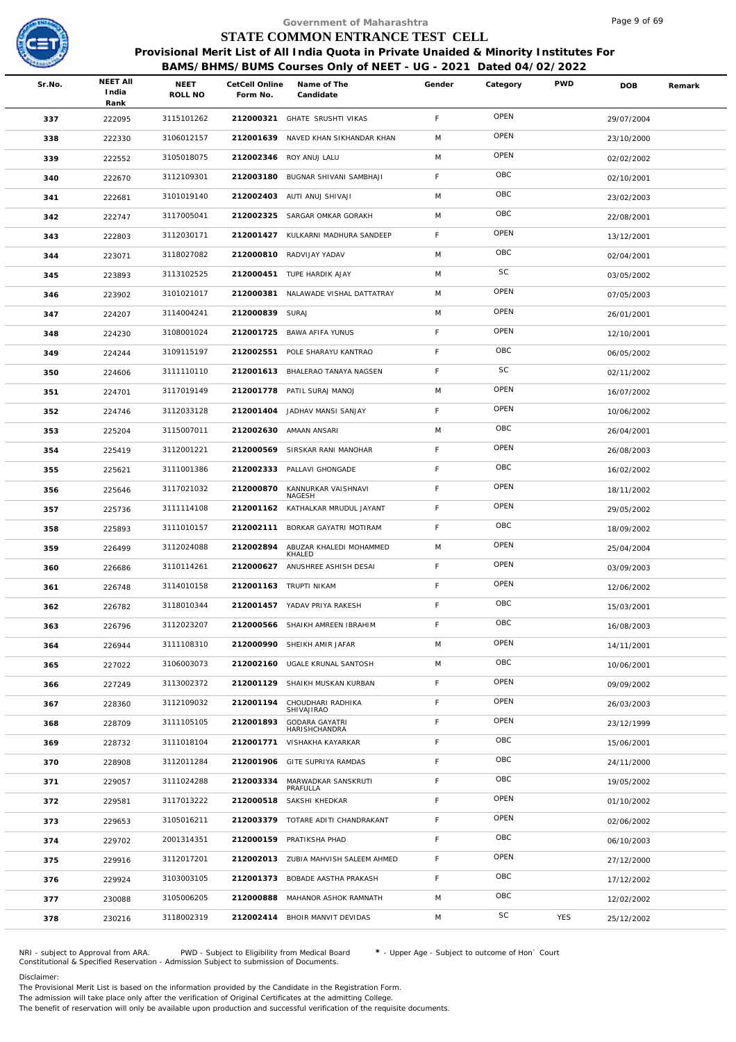

|        |                                  |                 |                            | Government of Maharashtra                                                              |             |          |            | Page 9 of 69 |        |
|--------|----------------------------------|-----------------|----------------------------|----------------------------------------------------------------------------------------|-------------|----------|------------|--------------|--------|
|        |                                  |                 |                            | STATE COMMON ENTRANCE TEST CELL                                                        |             |          |            |              |        |
|        |                                  |                 |                            | Provisional Merit List of All India Quota in Private Unaided & Minority Institutes For |             |          |            |              |        |
|        |                                  |                 |                            | BAMS/BHMS/BUMS Courses Only of NEET - UG - 2021 Dated 04/02/2022                       |             |          |            |              |        |
| Sr.No. | <b>NEET AII</b><br>India<br>Rank | NEET<br>ROLL NO | CetCell Online<br>Form No. | Name of The<br>Candidate                                                               | Gender      | Category | <b>PWD</b> | DOB          | Remark |
| 337    | 222095                           | 3115101262      |                            | 212000321 GHATE SRUSHTI VIKAS                                                          | F           | OPEN     |            | 29/07/2004   |        |
| 338    | 222330                           | 3106012157      | 212001639                  | NAVED KHAN SIKHANDAR KHAN                                                              | M           | OPEN     |            | 23/10/2000   |        |
| 339    | 222552                           | 3105018075      | 212002346                  | ROY ANUJ LALU                                                                          | M           | OPEN     |            | 02/02/2002   |        |
| 340    | 222670                           | 3112109301      |                            | 212003180 BUGNAR SHIVANI SAMBHAJI                                                      | F.          | OBC      |            | 02/10/2001   |        |
| 341    | 222681                           | 3101019140      | 212002403                  | AUTI ANUJ SHIVAJI                                                                      | M           | OBC      |            | 23/02/2003   |        |
| 342    | 222747                           | 3117005041      |                            | 212002325 SARGAR OMKAR GORAKH                                                          | M           | OBC      |            | 22/08/2001   |        |
| 343    | 222803                           | 3112030171      |                            | 212001427 KULKARNI MADHURA SANDEEP                                                     | F.          | OPEN     |            | 13/12/2001   |        |
| 344    | 223071                           | 3118027082      | 212000810                  | RADVIJAY YADAV                                                                         | M           | OBC      |            | 02/04/2001   |        |
| 345    | 223893                           | 3113102525      |                            | 212000451 TUPE HARDIK AJAY                                                             | M           | SC       |            | 03/05/2002   |        |
| 346    | 223902                           | 3101021017      | 212000381                  | NALAWADE VISHAL DATTATRAY                                                              | M           | OPEN     |            | 07/05/2003   |        |
| 347    | 224207                           | 3114004241      | 212000839 SURAJ            |                                                                                        | M           | OPEN     |            | 26/01/2001   |        |
| 348    | 224230                           | 3108001024      |                            | 212001725 BAWA AFIFA YUNUS                                                             | F           | OPEN     |            | 12/10/2001   |        |
| 349    | 224244                           | 3109115197      | 212002551                  | POLE SHARAYU KANTRAO                                                                   | F           | OBC      |            | 06/05/2002   |        |
| 350    | 224606                           | 3111110110      |                            | 212001613 BHALERAO TANAYA NAGSEN                                                       | F           | SC       |            | 02/11/2002   |        |
| 351    | 224701                           | 3117019149      |                            | 212001778 PATIL SURAJ MANOJ                                                            | M           | OPEN     |            | 16/07/2002   |        |
| 352    | 224746                           | 3112033128      | 212001404                  | JADHAV MANSI SANJAY                                                                    | F.          | OPEN     |            | 10/06/2002   |        |
| 353    | 225204                           | 3115007011      |                            | 212002630 AMAAN ANSARI                                                                 | M           | OBC      |            | 26/04/2001   |        |
| 354    | 225419                           | 3112001221      | 212000569                  | SIRSKAR RANI MANOHAR                                                                   | F           | OPEN     |            | 26/08/2003   |        |
| 355    | 225621                           | 3111001386      | 212002333                  | PALLAVI GHONGADE                                                                       | F           | OBC      |            | 16/02/2002   |        |
| 356    | 225646                           | 3117021032      | 212000870                  | KANNURKAR VAISHNAVI<br>NAGESH                                                          | F.          | OPEN     |            | 18/11/2002   |        |
| 357    | 225736                           | 3111114108      |                            | 212001162 KATHALKAR MRUDUL JAYANT                                                      | $\mathsf F$ | OPEN     |            | 29/05/2002   |        |
| 358    | 225893                           | 3111010157      |                            | 212002111 BORKAR GAYATRI MOTIRAM                                                       | F.          | OBC      |            | 18/09/2002   |        |
| 359    | 226499                           | 3112024088      | 212002894                  | ABUZAR KHALEDI MOHAMMED<br>KHALED                                                      | M           | OPEN     |            | 25/04/2004   |        |
| 360    | 226686                           | 3110114261      |                            | 212000627 ANUSHREE ASHISH DESAI                                                        | F           | OPEN     |            | 03/09/2003   |        |
| 361    | 226748                           | 3114010158      |                            | 212001163 TRUPTI NIKAM                                                                 | F.          | OPEN     |            | 12/06/2002   |        |
| 362    | 226782                           | 3118010344      |                            | 212001457 YADAV PRIYA RAKESH                                                           | F           | OBC      |            | 15/03/2001   |        |
| 363    | 226796                           | 3112023207      | 212000566                  | SHAIKH AMREEN IBRAHIM                                                                  | F           | OBC      |            | 16/08/2003   |        |
| 364    | 226944                           | 3111108310      |                            | 212000990 SHEIKH AMIR JAFAR                                                            | M           | OPEN     |            | 14/11/2001   |        |
| 365    | 227022                           | 3106003073      | 212002160                  | UGALE KRUNAL SANTOSH                                                                   | M           | OBC      |            | 10/06/2001   |        |
| 366    | 227249                           | 3113002372      |                            | 212001129 SHAIKH MUSKAN KURBAN                                                         | F           | OPEN     |            | 09/09/2002   |        |
| 367    | 228360                           | 3112109032      | 212001194                  | CHOUDHARI RADHIKA<br>SHIVAJIRAO                                                        | F.          | OPEN     |            | 26/03/2003   |        |
| 368    | 228709                           | 3111105105      | 212001893                  | <b>GODARA GAYATRI</b><br><b>HARISHCHANDRA</b>                                          | F           | OPEN     |            | 23/12/1999   |        |
| 369    | 228732                           | 3111018104      | 212001771                  | VISHAKHA KAYARKAR                                                                      | F           | OBC      |            | 15/06/2001   |        |
| 370    | 228908                           | 3112011284      | 212001906                  | GITE SUPRIYA RAMDAS                                                                    | F           | OBC      |            | 24/11/2000   |        |
| 371    | 229057                           | 3111024288      | 212003334                  | MARWADKAR SANSKRUTI<br>PRAFULLA                                                        | F           | OBC      |            | 19/05/2002   |        |
| 372    | 229581                           | 3117013222      | 212000518                  | SAKSHI KHEDKAR                                                                         | F           | OPEN     |            | 01/10/2002   |        |
| 373    | 229653                           | 3105016211      |                            | 212003379 TOTARE ADITI CHANDRAKANT                                                     | F           | OPEN     |            | 02/06/2002   |        |
| 374    | 229702                           | 2001314351      |                            | 212000159 PRATIKSHA PHAD                                                               | F           | OBC      |            | 06/10/2003   |        |
| 375    | 229916                           | 3112017201      |                            | 212002013 ZUBIA MAHVISH SALEEM AHMED                                                   | F           | OPEN     |            | 27/12/2000   |        |
| 376    | 229924                           | 3103003105      |                            | 212001373 BOBADE AASTHA PRAKASH                                                        | F           | OBC      |            | 17/12/2002   |        |
| 377    | 230088                           | 3105006205      | 212000888                  | MAHANOR ASHOK RAMNATH                                                                  | M           | OBC      |            | 12/02/2002   |        |
| 378    | 230216                           | 3118002319      |                            | 212002414 BHOIR MANVIT DEVIDAS                                                         | M           | SC       | YES        | 25/12/2002   |        |
|        |                                  |                 |                            |                                                                                        |             |          |            |              |        |

NRI - subject to Approval from ARA. PWD - Subject to Eligibility from Medical Board \* - Upper Age - Subject to outcome of Hon` Court<br>Constitutional & Specified Reservation - Admission Subject to submissio

Disclaimer:

The Provisional Merit List is based on the information provided by the Candidate in the Registration Form.

The admission will take place only after the verification of Original Certificates at the admitting College.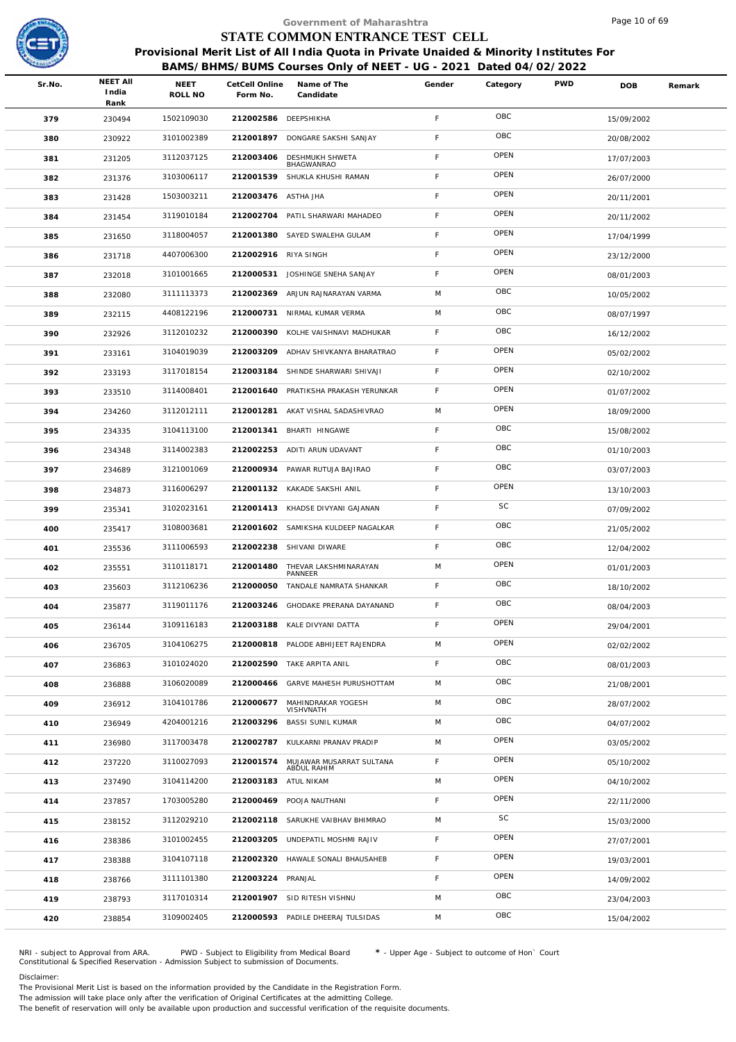

|        |                                  |                        |                            | Government of Maharashtra                                                              |             |          |            | Page 10 of 69 |        |
|--------|----------------------------------|------------------------|----------------------------|----------------------------------------------------------------------------------------|-------------|----------|------------|---------------|--------|
|        |                                  |                        |                            | STATE COMMON ENTRANCE TEST CELL                                                        |             |          |            |               |        |
|        |                                  |                        |                            | Provisional Merit List of All India Quota in Private Unaided & Minority Institutes For |             |          |            |               |        |
|        |                                  |                        |                            | BAMS/BHMS/BUMS Courses Only of NEET - UG - 2021 Dated 04/02/2022                       |             |          |            |               |        |
| Sr.No. | <b>NEET AII</b><br>India<br>Rank | <b>NEET</b><br>ROLL NO | CetCell Online<br>Form No. | Name of The<br>Candidate                                                               | Gender      | Category | <b>PWD</b> | <b>DOB</b>    | Remark |
| 379    | 230494                           | 1502109030             | 212002586 DEEPSHIKHA       |                                                                                        | F.          | OBC      |            | 15/09/2002    |        |
| 380    | 230922                           | 3101002389             | 212001897                  | DONGARE SAKSHI SANJAY                                                                  | F           | OBC      |            | 20/08/2002    |        |
| 381    | 231205                           | 3112037125             | 212003406                  | DESHMUKH SHWETA<br>BHAGWANRAO                                                          | F           | OPEN     |            | 17/07/2003    |        |
| 382    | 231376                           | 3103006117             |                            | 212001539 SHUKLA KHUSHI RAMAN                                                          | F           | OPEN     |            | 26/07/2000    |        |
| 383    | 231428                           | 1503003211             | 212003476 ASTHA JHA        |                                                                                        | F           | OPEN     |            | 20/11/2001    |        |
| 384    | 231454                           | 3119010184             |                            | 212002704 PATIL SHARWARI MAHADEO                                                       | F           | OPEN     |            | 20/11/2002    |        |
| 385    | 231650                           | 3118004057             |                            | 212001380 SAYED SWALEHA GULAM                                                          | F           | OPEN     |            | 17/04/1999    |        |
| 386    | 231718                           | 4407006300             | 212002916 RIYA SINGH       |                                                                                        | F           | OPEN     |            | 23/12/2000    |        |
| 387    | 232018                           | 3101001665             | 212000531                  | JOSHINGE SNEHA SANJAY                                                                  | $\mathsf F$ | OPEN     |            | 08/01/2003    |        |
| 388    | 232080                           | 3111113373             | 212002369                  | ARJUN RAJNARAYAN VARMA                                                                 | M           | OBC      |            | 10/05/2002    |        |
| 389    | 232115                           | 4408122196             | 212000731                  | NIRMAL KUMAR VERMA                                                                     | M           | OBC      |            | 08/07/1997    |        |
| 390    | 232926                           | 3112010232             | 212000390                  | KOLHE VAISHNAVI MADHUKAR                                                               | F           | OBC      |            | 16/12/2002    |        |
| 391    | 233161                           | 3104019039             | 212003209                  | ADHAV SHIVKANYA BHARATRAO                                                              | $\mathsf F$ | OPEN     |            | 05/02/2002    |        |
| 392    | 233193                           | 3117018154             |                            | 212003184 SHINDE SHARWARI SHIVAJI                                                      | F           | OPEN     |            | 02/10/2002    |        |
| 393    | 233510                           | 3114008401             |                            | 212001640 PRATIKSHA PRAKASH YERUNKAR                                                   | F           | OPEN     |            | 01/07/2002    |        |
| 394    | 234260                           | 3112012111             | 212001281                  | AKAT VISHAL SADASHIVRAO                                                                | M           | OPEN     |            | 18/09/2000    |        |
| 395    | 234335                           | 3104113100             | 212001341                  | BHARTI HINGAWE                                                                         | F           | OBC      |            | 15/08/2002    |        |
| 396    | 234348                           | 3114002383             |                            | 212002253 ADITI ARUN UDAVANT                                                           | F           | OBC      |            | 01/10/2003    |        |
| 397    | 234689                           | 3121001069             |                            | 212000934 PAWAR RUTUJA BAJIRAO                                                         | F           | OBC      |            | 03/07/2003    |        |
| 398    | 234873                           | 3116006297             |                            | 212001132 KAKADE SAKSHI ANIL                                                           | F           | OPEN     |            | 13/10/2003    |        |
| 399    | 235341                           | 3102023161             |                            | 212001413 KHADSE DIVYANI GAJANAN                                                       | F           | SC       |            | 07/09/2002    |        |
| 400    | 235417                           | 3108003681             |                            | 212001602 SAMIKSHA KULDEEP NAGALKAR                                                    | F           | OBC      |            | 21/05/2002    |        |
| 401    | 235536                           | 3111006593             |                            | 212002238 SHIVANI DIWARE                                                               | F           | OBC      |            | 12/04/2002    |        |
| 402    | 235551                           | 3110118171             |                            | 212001480 THEVAR LAKSHMINARAYAN<br>PANNEER                                             | M           | OPEN     |            | 01/01/2003    |        |
| 403    | 235603                           | 3112106236             |                            | 212000050 TANDALE NAMRATA SHANKAR                                                      | F.          | OBC      |            | 18/10/2002    |        |
| 404    | 235877                           | 3119011176             |                            | 212003246 GHODAKE PRERANA DAYANAND                                                     | F.          | OBC      |            | 08/04/2003    |        |
| 405    | 236144                           | 3109116183             |                            | 212003188 KALE DIVYANI DATTA                                                           | F.          | OPEN     |            | 29/04/2001    |        |
| 406    | 236705                           | 3104106275             |                            | 212000818 PALODE ABHIJEET RAJENDRA                                                     | M           | OPEN     |            | 02/02/2002    |        |
| 407    | 236863                           | 3101024020             |                            | 212002590 TAKE ARPITA ANIL                                                             | F           | OBC      |            | 08/01/2003    |        |
| 408    | 236888                           | 3106020089             |                            | 212000466 GARVE MAHESH PURUSHOTTAM                                                     | M           | OBC      |            | 21/08/2001    |        |
| 409    | 236912                           | 3104101786             | 212000677                  | MAHINDRAKAR YOGESH<br>VISHVNATH                                                        | M           | OBC      |            | 28/07/2002    |        |
| 410    | 236949                           | 4204001216             | 212003296                  | <b>BASSI SUNIL KUMAR</b>                                                               | M           | OBC      |            | 04/07/2002    |        |
| 411    | 236980                           | 3117003478             | 212002787                  | KULKARNI PRANAV PRADIP                                                                 | M           | OPEN     |            | 03/05/2002    |        |
| 412    | 237220                           | 3110027093             | 212001574                  | MUJAWAR MUSARRAT SULTANA<br>ABDUL RAHIM                                                | F           | OPEN     |            | 05/10/2002    |        |
| 413    | 237490                           | 3104114200             | 212003183 ATUL NIKAM       |                                                                                        | M           | OPEN     |            | 04/10/2002    |        |
| 414    | 237857                           | 1703005280             |                            | 212000469 POOJA NAUTHANI                                                               | F           | OPEN     |            | 22/11/2000    |        |
| 415    | 238152                           | 3112029210             |                            | 212002118 SARUKHE VAIBHAV BHIMRAO                                                      | M           | SC       |            | 15/03/2000    |        |
| 416    | 238386                           | 3101002455             |                            | 212003205 UNDEPATIL MOSHMI RAJIV                                                       | F.          | OPEN     |            | 27/07/2001    |        |
| 417    | 238388                           | 3104107118             |                            | 212002320 HAWALE SONALI BHAUSAHEB                                                      | F.          | OPEN     |            | 19/03/2001    |        |
| 418    | 238766                           | 3111101380             | 212003224 PRANJAL          |                                                                                        | F           | OPEN     |            | 14/09/2002    |        |
| 419    | 238793                           | 3117010314             |                            | 212001907 SID RITESH VISHNU                                                            | M           | OBC      |            | 23/04/2003    |        |
| 420    | 238854                           | 3109002405             |                            | 212000593 PADILE DHEERAJ TULSIDAS                                                      | M           | OBC      |            | 15/04/2002    |        |
|        |                                  |                        |                            |                                                                                        |             |          |            |               |        |

NRI - subject to Approval from ARA. PWD - Subject to Eligibility from Medical Board \* - Upper Age - Subject to outcome of Hon` Court<br>Constitutional & Specified Reservation - Admission Subject to submissio

Disclaimer:

The Provisional Merit List is based on the information provided by the Candidate in the Registration Form. The admission will take place only after the verification of Original Certificates at the admitting College.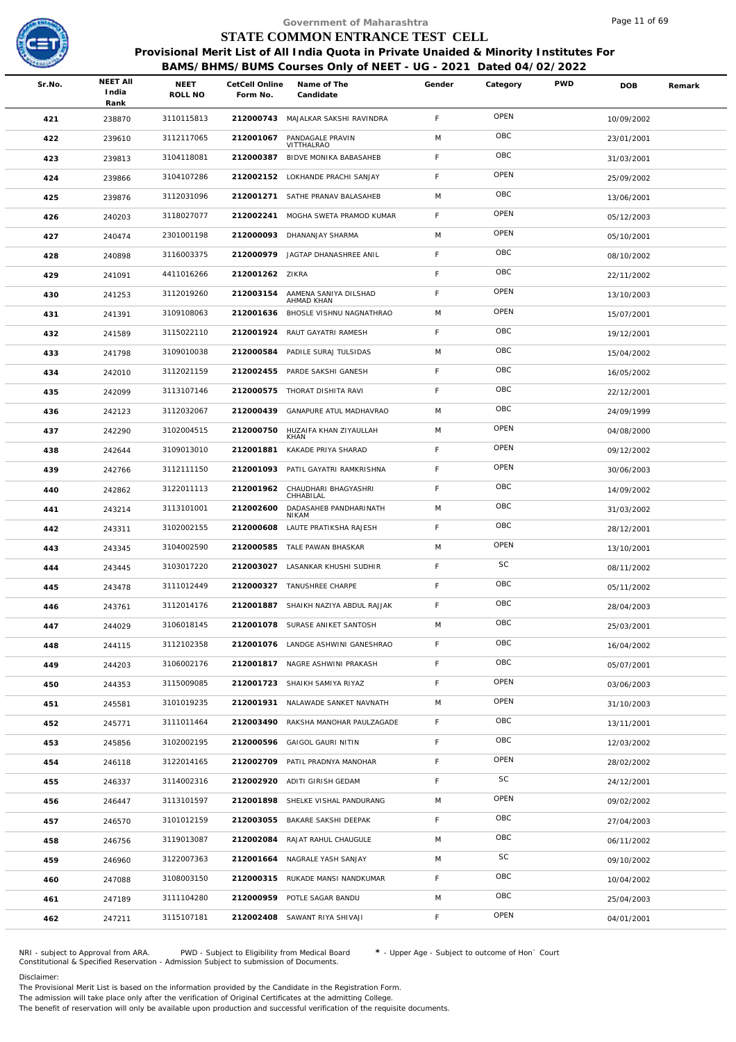

| STATE COMMON ENTRANCE TEST CELL<br>Provisional Merit List of All India Quota in Private Unaided & Minority Institutes For<br>BAMS/BHMS/BUMS Courses Only of NEET - UG - 2021 Dated 04/02/2022<br><b>NEET AII</b><br><b>PWD</b><br>NEET<br>Name of The<br>Gender<br>Sr.No.<br>CetCell Online<br>Category<br>DOB<br>India<br>ROLL NO<br>Form No.<br>Candidate<br>Rank<br>OPEN<br>F<br>3110115813<br>212000743 MAJALKAR SAKSHI RAVINDRA<br>421<br>238870<br>10/09/2002<br>OBC<br>M<br>3112117065<br>212001067<br>PANDAGALE PRAVIN<br>422<br>239610<br>23/01/2001<br>VITTHALRAO<br>OBC<br>F<br>3104118081<br>212000387<br>BIDVE MONIKA BABASAHEB<br>423<br>239813<br>31/03/2001<br>OPEN<br>F<br>3104107286<br>212002152 LOKHANDE PRACHI SANJAY<br>424<br>239866 | Remark<br>25/09/2002 |
|-------------------------------------------------------------------------------------------------------------------------------------------------------------------------------------------------------------------------------------------------------------------------------------------------------------------------------------------------------------------------------------------------------------------------------------------------------------------------------------------------------------------------------------------------------------------------------------------------------------------------------------------------------------------------------------------------------------------------------------------------------------|----------------------|
|                                                                                                                                                                                                                                                                                                                                                                                                                                                                                                                                                                                                                                                                                                                                                             |                      |
|                                                                                                                                                                                                                                                                                                                                                                                                                                                                                                                                                                                                                                                                                                                                                             |                      |
|                                                                                                                                                                                                                                                                                                                                                                                                                                                                                                                                                                                                                                                                                                                                                             |                      |
|                                                                                                                                                                                                                                                                                                                                                                                                                                                                                                                                                                                                                                                                                                                                                             |                      |
|                                                                                                                                                                                                                                                                                                                                                                                                                                                                                                                                                                                                                                                                                                                                                             |                      |
|                                                                                                                                                                                                                                                                                                                                                                                                                                                                                                                                                                                                                                                                                                                                                             |                      |
|                                                                                                                                                                                                                                                                                                                                                                                                                                                                                                                                                                                                                                                                                                                                                             |                      |
| OBC<br>M<br>3112031096<br>212001271<br>SATHE PRANAV BALASAHEB<br>425<br>239876<br>13/06/2001                                                                                                                                                                                                                                                                                                                                                                                                                                                                                                                                                                                                                                                                |                      |
| OPEN<br>F<br>3118027077<br>212002241<br>MOGHA SWETA PRAMOD KUMAR<br>426<br>240203<br>05/12/2003                                                                                                                                                                                                                                                                                                                                                                                                                                                                                                                                                                                                                                                             |                      |
| OPEN<br>M<br>2301001198<br>212000093<br>DHANANJAY SHARMA<br>427<br>240474<br>05/10/2001                                                                                                                                                                                                                                                                                                                                                                                                                                                                                                                                                                                                                                                                     |                      |
| OBC<br>F<br>3116003375<br>212000979<br>JAGTAP DHANASHREE ANIL<br>428<br>240898<br>08/10/2002                                                                                                                                                                                                                                                                                                                                                                                                                                                                                                                                                                                                                                                                |                      |
| OBC<br>F<br>4411016266<br>212001262 ZIKRA<br>429<br>241091<br>22/11/2002                                                                                                                                                                                                                                                                                                                                                                                                                                                                                                                                                                                                                                                                                    |                      |
| OPEN<br>F.<br>3112019260<br>212003154<br>AAMENA SANIYA DILSHAD<br>430<br>241253<br>13/10/2003<br>AHMAD KHAN                                                                                                                                                                                                                                                                                                                                                                                                                                                                                                                                                                                                                                                 |                      |
| OPEN<br>M<br>3109108063<br>212001636<br>BHOSLE VISHNU NAGNATHRAO<br>431<br>241391<br>15/07/2001                                                                                                                                                                                                                                                                                                                                                                                                                                                                                                                                                                                                                                                             |                      |
| OBC<br>F<br>3115022110<br>212001924<br>RAUT GAYATRI RAMESH<br>432<br>241589<br>19/12/2001                                                                                                                                                                                                                                                                                                                                                                                                                                                                                                                                                                                                                                                                   |                      |
| OBC<br>M<br>3109010038<br>212000584<br>PADILE SURAJ TULSIDAS<br>433<br>241798<br>15/04/2002                                                                                                                                                                                                                                                                                                                                                                                                                                                                                                                                                                                                                                                                 |                      |
| OBC<br>F<br>3112021159<br>212002455<br>PARDE SAKSHI GANESH<br>434<br>242010<br>16/05/2002                                                                                                                                                                                                                                                                                                                                                                                                                                                                                                                                                                                                                                                                   |                      |
| OBC<br>F<br>212000575<br>3113107146<br>THORAT DISHITA RAVI<br>242099<br>435<br>22/12/2001                                                                                                                                                                                                                                                                                                                                                                                                                                                                                                                                                                                                                                                                   |                      |
| OBC<br>M<br>3112032067<br>212000439<br>GANAPURE ATUL MADHAVRAO<br>436<br>242123<br>24/09/1999                                                                                                                                                                                                                                                                                                                                                                                                                                                                                                                                                                                                                                                               |                      |
| OPEN<br>M<br>3102004515<br>212000750<br>HUZAIFA KHAN ZIYAULLAH<br>437<br>242290<br>04/08/2000<br>KHAN                                                                                                                                                                                                                                                                                                                                                                                                                                                                                                                                                                                                                                                       |                      |
| OPEN<br>F<br>3109013010<br>212001881<br>KAKADE PRIYA SHARAD<br>438<br>242644<br>09/12/2002                                                                                                                                                                                                                                                                                                                                                                                                                                                                                                                                                                                                                                                                  |                      |
| OPEN<br>F<br>3112111150<br>212001093<br>PATIL GAYATRI RAMKRISHNA<br>439<br>242766<br>30/06/2003                                                                                                                                                                                                                                                                                                                                                                                                                                                                                                                                                                                                                                                             |                      |
| OBC<br>F<br>3122011113<br>212001962<br>CHAUDHARI BHAGYASHRI<br>440<br>242862<br>14/09/2002<br>CHHABILAL                                                                                                                                                                                                                                                                                                                                                                                                                                                                                                                                                                                                                                                     |                      |
| OBC<br>M<br>3113101001<br>212002600<br>DADASAHEB PANDHARINATH<br>441<br>243214<br>31/03/2002<br>NIKAM                                                                                                                                                                                                                                                                                                                                                                                                                                                                                                                                                                                                                                                       |                      |
| OBC<br>F.<br>3102002155<br>212000608<br>LAUTE PRATIKSHA RAJESH<br>442<br>243311<br>28/12/2001                                                                                                                                                                                                                                                                                                                                                                                                                                                                                                                                                                                                                                                               |                      |
| OPEN<br>M<br>3104002590<br>212000585<br>TALE PAWAN BHASKAR<br>443<br>243345<br>13/10/2001                                                                                                                                                                                                                                                                                                                                                                                                                                                                                                                                                                                                                                                                   |                      |
| SC<br>F<br>3103017220<br>212003027 LASANKAR KHUSHI SUDHIR<br>444<br>243445<br>08/11/2002                                                                                                                                                                                                                                                                                                                                                                                                                                                                                                                                                                                                                                                                    |                      |
| OBC<br>F.<br>3111012449<br>212000327 TANUSHREE CHARPE<br>445<br>243478<br>05/11/2002                                                                                                                                                                                                                                                                                                                                                                                                                                                                                                                                                                                                                                                                        |                      |
| OBC<br>F<br>SHAIKH NAZIYA ABDUL RAJJAK<br>3112014176<br>212001887<br>446<br>243761<br>28/04/2003                                                                                                                                                                                                                                                                                                                                                                                                                                                                                                                                                                                                                                                            |                      |
| OBC<br>M<br>3106018145<br>212001078 SURASE ANIKET SANTOSH<br>447<br>244029<br>25/03/2001                                                                                                                                                                                                                                                                                                                                                                                                                                                                                                                                                                                                                                                                    |                      |
| OBC<br>F.<br>3112102358<br>212001076 LANDGE ASHWINI GANESHRAO<br>448<br>244115<br>16/04/2002                                                                                                                                                                                                                                                                                                                                                                                                                                                                                                                                                                                                                                                                |                      |
| OBC<br>F.<br>3106002176<br>212001817 NAGRE ASHWINI PRAKASH<br>449<br>244203<br>05/07/2001                                                                                                                                                                                                                                                                                                                                                                                                                                                                                                                                                                                                                                                                   |                      |
| OPEN<br>F<br>3115009085<br>212001723 SHAIKH SAMIYA RIYAZ<br>450<br>244353<br>03/06/2003                                                                                                                                                                                                                                                                                                                                                                                                                                                                                                                                                                                                                                                                     |                      |
| OPEN<br>M<br>3101019235<br>212001931 NALAWADE SANKET NAVNATH<br>451<br>245581<br>31/10/2003                                                                                                                                                                                                                                                                                                                                                                                                                                                                                                                                                                                                                                                                 |                      |
| OBC<br>F.<br>3111011464<br>212003490<br>RAKSHA MANOHAR PAULZAGADE<br>452<br>245771<br>13/11/2001                                                                                                                                                                                                                                                                                                                                                                                                                                                                                                                                                                                                                                                            |                      |
| OBC<br>F.<br>3102002195<br>212000596<br>GAIGOL GAURI NITIN<br>453<br>245856<br>12/03/2002                                                                                                                                                                                                                                                                                                                                                                                                                                                                                                                                                                                                                                                                   |                      |
| OPEN<br>F.<br>3122014165<br>212002709<br>PATIL PRADNYA MANOHAR<br>454<br>246118<br>28/02/2002                                                                                                                                                                                                                                                                                                                                                                                                                                                                                                                                                                                                                                                               |                      |
| SC<br>F.<br>3114002316<br>212002920 ADITI GIRISH GEDAM<br>455<br>246337<br>24/12/2001                                                                                                                                                                                                                                                                                                                                                                                                                                                                                                                                                                                                                                                                       |                      |
| OPEN<br>3113101597<br>M<br>212001898 SHELKE VISHAL PANDURANG<br>456<br>246447<br>09/02/2002                                                                                                                                                                                                                                                                                                                                                                                                                                                                                                                                                                                                                                                                 |                      |
| OBC<br>F.<br>3101012159<br>212003055<br>BAKARE SAKSHI DEEPAK<br>457<br>246570<br>27/04/2003                                                                                                                                                                                                                                                                                                                                                                                                                                                                                                                                                                                                                                                                 |                      |
| OBC<br>3119013087<br>212002084<br>M<br>RAJAT RAHUL CHAUGULE<br>458<br>246756<br>06/11/2002                                                                                                                                                                                                                                                                                                                                                                                                                                                                                                                                                                                                                                                                  |                      |
| SC<br>M<br>3122007363<br>212001664 NAGRALE YASH SANJAY<br>459<br>246960<br>09/10/2002                                                                                                                                                                                                                                                                                                                                                                                                                                                                                                                                                                                                                                                                       |                      |
| OBC<br>F.<br>3108003150<br>212000315 RUKADE MANSI NANDKUMAR<br>460<br>247088<br>10/04/2002                                                                                                                                                                                                                                                                                                                                                                                                                                                                                                                                                                                                                                                                  |                      |
| OBC<br>M<br>3111104280<br>212000959 POTLE SAGAR BANDU<br>247189<br>461<br>25/04/2003                                                                                                                                                                                                                                                                                                                                                                                                                                                                                                                                                                                                                                                                        |                      |
| OPEN<br>F.<br>3115107181<br>212002408 SAWANT RIYA SHIVAJI<br>462<br>247211<br>04/01/2001                                                                                                                                                                                                                                                                                                                                                                                                                                                                                                                                                                                                                                                                    |                      |

NRI - subject to Approval from ARA. PWD - Subject to Eligibility from Medical Board \* - Upper Age - Subject to outcome of Hon` Court<br>Constitutional & Specified Reservation - Admission Subject to submissio

Disclaimer:

The Provisional Merit List is based on the information provided by the Candidate in the Registration Form.

The admission will take place only after the verification of Original Certificates at the admitting College.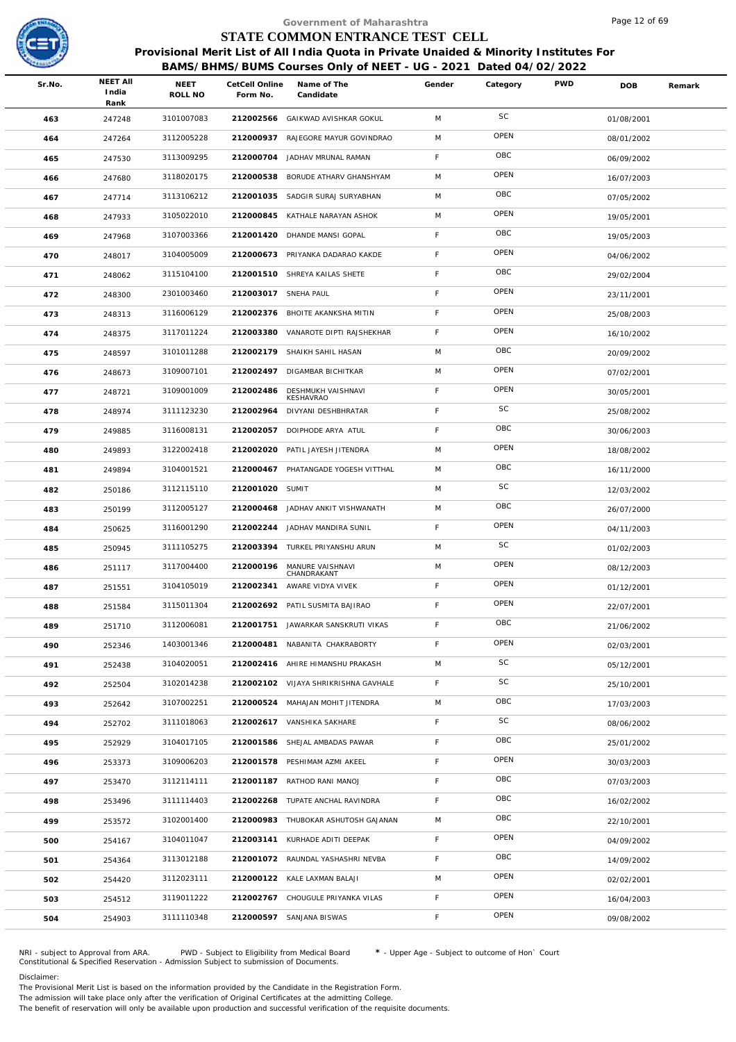

| Sr.No. | <b>NEET AII</b><br>India | <b>NEET</b><br>ROLL NO | Form No.  | Name of The<br>Candidate | Gender                                                                                                                                                                                                                                                                                                                                                                                                                                                                                                                                                                                                                                                                                                                                                                                                                                                                                                                                                                                                                                                                                                                                                                                                         | Category                  | <b>PWD</b>                      | <b>DOB</b>                                                       | Remark                                                                                                  |
|--------|--------------------------|------------------------|-----------|--------------------------|----------------------------------------------------------------------------------------------------------------------------------------------------------------------------------------------------------------------------------------------------------------------------------------------------------------------------------------------------------------------------------------------------------------------------------------------------------------------------------------------------------------------------------------------------------------------------------------------------------------------------------------------------------------------------------------------------------------------------------------------------------------------------------------------------------------------------------------------------------------------------------------------------------------------------------------------------------------------------------------------------------------------------------------------------------------------------------------------------------------------------------------------------------------------------------------------------------------|---------------------------|---------------------------------|------------------------------------------------------------------|---------------------------------------------------------------------------------------------------------|
| 463    | 247248                   | 3101007083             |           |                          | M                                                                                                                                                                                                                                                                                                                                                                                                                                                                                                                                                                                                                                                                                                                                                                                                                                                                                                                                                                                                                                                                                                                                                                                                              | SC                        |                                 | 01/08/2001                                                       |                                                                                                         |
| 464    | 247264                   | 3112005228             | 212000937 | RAJEGORE MAYUR GOVINDRAO | M                                                                                                                                                                                                                                                                                                                                                                                                                                                                                                                                                                                                                                                                                                                                                                                                                                                                                                                                                                                                                                                                                                                                                                                                              | OPEN                      |                                 | 08/01/2002                                                       |                                                                                                         |
| 465    | 247530                   | 3113009295             | 212000704 | JADHAV MRUNAL RAMAN      | F.                                                                                                                                                                                                                                                                                                                                                                                                                                                                                                                                                                                                                                                                                                                                                                                                                                                                                                                                                                                                                                                                                                                                                                                                             | OBC                       |                                 | 06/09/2002                                                       |                                                                                                         |
| 466    | 247680                   | 3118020175             |           |                          | M                                                                                                                                                                                                                                                                                                                                                                                                                                                                                                                                                                                                                                                                                                                                                                                                                                                                                                                                                                                                                                                                                                                                                                                                              | OPEN                      |                                 | 16/07/2003                                                       |                                                                                                         |
| 467    | 247714                   | 3113106212             | 212001035 | SADGIR SURAJ SURYABHAN   | M                                                                                                                                                                                                                                                                                                                                                                                                                                                                                                                                                                                                                                                                                                                                                                                                                                                                                                                                                                                                                                                                                                                                                                                                              | OBC                       |                                 | 07/05/2002                                                       |                                                                                                         |
| 468    | 247933                   | 3105022010             | 212000845 |                          | M                                                                                                                                                                                                                                                                                                                                                                                                                                                                                                                                                                                                                                                                                                                                                                                                                                                                                                                                                                                                                                                                                                                                                                                                              | OPEN                      |                                 | 19/05/2001                                                       |                                                                                                         |
| 469    | 247968                   | 3107003366             |           |                          | F                                                                                                                                                                                                                                                                                                                                                                                                                                                                                                                                                                                                                                                                                                                                                                                                                                                                                                                                                                                                                                                                                                                                                                                                              | OBC                       |                                 | 19/05/2003                                                       |                                                                                                         |
| 470    | 248017                   | 3104005009             |           |                          | F                                                                                                                                                                                                                                                                                                                                                                                                                                                                                                                                                                                                                                                                                                                                                                                                                                                                                                                                                                                                                                                                                                                                                                                                              | OPEN                      |                                 | 04/06/2002                                                       |                                                                                                         |
| 471    | 248062                   | 3115104100             |           |                          | F                                                                                                                                                                                                                                                                                                                                                                                                                                                                                                                                                                                                                                                                                                                                                                                                                                                                                                                                                                                                                                                                                                                                                                                                              | OBC                       |                                 | 29/02/2004                                                       |                                                                                                         |
| 472    | 248300                   | 2301003460             |           |                          | F.                                                                                                                                                                                                                                                                                                                                                                                                                                                                                                                                                                                                                                                                                                                                                                                                                                                                                                                                                                                                                                                                                                                                                                                                             | OPEN                      |                                 | 23/11/2001                                                       |                                                                                                         |
| 473    | 248313                   | 3116006129             |           |                          | F                                                                                                                                                                                                                                                                                                                                                                                                                                                                                                                                                                                                                                                                                                                                                                                                                                                                                                                                                                                                                                                                                                                                                                                                              | OPEN                      |                                 | 25/08/2003                                                       |                                                                                                         |
| 474    | 248375                   | 3117011224             |           |                          | F                                                                                                                                                                                                                                                                                                                                                                                                                                                                                                                                                                                                                                                                                                                                                                                                                                                                                                                                                                                                                                                                                                                                                                                                              | OPEN                      |                                 | 16/10/2002                                                       |                                                                                                         |
| 475    | 248597                   | 3101011288             | 212002179 | SHAIKH SAHIL HASAN       | M                                                                                                                                                                                                                                                                                                                                                                                                                                                                                                                                                                                                                                                                                                                                                                                                                                                                                                                                                                                                                                                                                                                                                                                                              | OBC                       |                                 | 20/09/2002                                                       |                                                                                                         |
| 476    | 248673                   | 3109007101             |           |                          | M                                                                                                                                                                                                                                                                                                                                                                                                                                                                                                                                                                                                                                                                                                                                                                                                                                                                                                                                                                                                                                                                                                                                                                                                              | OPEN                      |                                 | 07/02/2001                                                       |                                                                                                         |
| 477    | 248721                   | 3109001009             | 212002486 | DESHMUKH VAISHNAVI       | F                                                                                                                                                                                                                                                                                                                                                                                                                                                                                                                                                                                                                                                                                                                                                                                                                                                                                                                                                                                                                                                                                                                                                                                                              | OPEN                      |                                 | 30/05/2001                                                       |                                                                                                         |
| 478    | 248974                   | 3111123230             | 212002964 | DIVYANI DESHBHRATAR      | F.                                                                                                                                                                                                                                                                                                                                                                                                                                                                                                                                                                                                                                                                                                                                                                                                                                                                                                                                                                                                                                                                                                                                                                                                             | SC                        |                                 | 25/08/2002                                                       |                                                                                                         |
| 479    | 249885                   | 3116008131             |           |                          | F                                                                                                                                                                                                                                                                                                                                                                                                                                                                                                                                                                                                                                                                                                                                                                                                                                                                                                                                                                                                                                                                                                                                                                                                              | OBC                       |                                 | 30/06/2003                                                       |                                                                                                         |
| 480    | 249893                   | 3122002418             | 212002020 | PATIL JAYESH JITENDRA    | M                                                                                                                                                                                                                                                                                                                                                                                                                                                                                                                                                                                                                                                                                                                                                                                                                                                                                                                                                                                                                                                                                                                                                                                                              | OPEN                      |                                 | 18/08/2002                                                       |                                                                                                         |
| 481    | 249894                   | 3104001521             |           |                          | M                                                                                                                                                                                                                                                                                                                                                                                                                                                                                                                                                                                                                                                                                                                                                                                                                                                                                                                                                                                                                                                                                                                                                                                                              | OBC                       |                                 | 16/11/2000                                                       |                                                                                                         |
| 482    | 250186                   | 3112115110             |           |                          | M                                                                                                                                                                                                                                                                                                                                                                                                                                                                                                                                                                                                                                                                                                                                                                                                                                                                                                                                                                                                                                                                                                                                                                                                              | SC                        |                                 | 12/03/2002                                                       |                                                                                                         |
| 483    | 250199                   | 3112005127             | 212000468 | JADHAV ANKIT VISHWANATH  | M                                                                                                                                                                                                                                                                                                                                                                                                                                                                                                                                                                                                                                                                                                                                                                                                                                                                                                                                                                                                                                                                                                                                                                                                              | OBC                       |                                 | 26/07/2000                                                       |                                                                                                         |
| 484    | 250625                   | 3116001290             |           |                          | F.                                                                                                                                                                                                                                                                                                                                                                                                                                                                                                                                                                                                                                                                                                                                                                                                                                                                                                                                                                                                                                                                                                                                                                                                             | OPEN                      |                                 | 04/11/2003                                                       |                                                                                                         |
| 485    | 250945                   | 3111105275             |           |                          | M                                                                                                                                                                                                                                                                                                                                                                                                                                                                                                                                                                                                                                                                                                                                                                                                                                                                                                                                                                                                                                                                                                                                                                                                              | SC                        |                                 | 01/02/2003                                                       |                                                                                                         |
| 486    | 251117                   | 3117004400             |           | CHANDRAKANT              | M                                                                                                                                                                                                                                                                                                                                                                                                                                                                                                                                                                                                                                                                                                                                                                                                                                                                                                                                                                                                                                                                                                                                                                                                              | OPEN                      |                                 | 08/12/2003                                                       |                                                                                                         |
| 487    | 251551                   | 3104105019             |           |                          | F.                                                                                                                                                                                                                                                                                                                                                                                                                                                                                                                                                                                                                                                                                                                                                                                                                                                                                                                                                                                                                                                                                                                                                                                                             | OPEN                      |                                 | 01/12/2001                                                       |                                                                                                         |
| 488    | 251584                   | 3115011304             |           |                          | F                                                                                                                                                                                                                                                                                                                                                                                                                                                                                                                                                                                                                                                                                                                                                                                                                                                                                                                                                                                                                                                                                                                                                                                                              | OPEN                      |                                 | 22/07/2001                                                       |                                                                                                         |
| 489    | 251710                   | 3112006081             |           |                          | F.                                                                                                                                                                                                                                                                                                                                                                                                                                                                                                                                                                                                                                                                                                                                                                                                                                                                                                                                                                                                                                                                                                                                                                                                             | OBC                       |                                 | 21/06/2002                                                       |                                                                                                         |
| 490    | 252346                   | 1403001346             |           |                          | F.                                                                                                                                                                                                                                                                                                                                                                                                                                                                                                                                                                                                                                                                                                                                                                                                                                                                                                                                                                                                                                                                                                                                                                                                             | OPEN                      |                                 | 02/03/2001                                                       |                                                                                                         |
| 491    | 252438                   | 3104020051             |           |                          | M                                                                                                                                                                                                                                                                                                                                                                                                                                                                                                                                                                                                                                                                                                                                                                                                                                                                                                                                                                                                                                                                                                                                                                                                              | SC                        |                                 | 05/12/2001                                                       |                                                                                                         |
| 492    | 252504                   | 3102014238             |           |                          | F                                                                                                                                                                                                                                                                                                                                                                                                                                                                                                                                                                                                                                                                                                                                                                                                                                                                                                                                                                                                                                                                                                                                                                                                              | SC                        |                                 | 25/10/2001                                                       |                                                                                                         |
| 493    | 252642                   | 3107002251             |           |                          | M                                                                                                                                                                                                                                                                                                                                                                                                                                                                                                                                                                                                                                                                                                                                                                                                                                                                                                                                                                                                                                                                                                                                                                                                              | OBC                       |                                 | 17/03/2003                                                       |                                                                                                         |
| 494    | 252702                   | 3111018063             |           |                          | F                                                                                                                                                                                                                                                                                                                                                                                                                                                                                                                                                                                                                                                                                                                                                                                                                                                                                                                                                                                                                                                                                                                                                                                                              | SC                        |                                 | 08/06/2002                                                       |                                                                                                         |
| 495    | 252929                   | 3104017105             |           |                          | F                                                                                                                                                                                                                                                                                                                                                                                                                                                                                                                                                                                                                                                                                                                                                                                                                                                                                                                                                                                                                                                                                                                                                                                                              | OBC                       |                                 | 25/01/2002                                                       |                                                                                                         |
| 496    | 253373                   | 3109006203             |           |                          | F                                                                                                                                                                                                                                                                                                                                                                                                                                                                                                                                                                                                                                                                                                                                                                                                                                                                                                                                                                                                                                                                                                                                                                                                              | OPEN                      |                                 | 30/03/2003                                                       |                                                                                                         |
| 497    | 253470                   | 3112114111             |           |                          | F.                                                                                                                                                                                                                                                                                                                                                                                                                                                                                                                                                                                                                                                                                                                                                                                                                                                                                                                                                                                                                                                                                                                                                                                                             | OBC                       |                                 | 07/03/2003                                                       |                                                                                                         |
| 498    | 253496                   | 3111114403             |           |                          | F                                                                                                                                                                                                                                                                                                                                                                                                                                                                                                                                                                                                                                                                                                                                                                                                                                                                                                                                                                                                                                                                                                                                                                                                              | OBC                       |                                 | 16/02/2002                                                       |                                                                                                         |
| 499    | 253572                   | 3102001400             |           |                          | M                                                                                                                                                                                                                                                                                                                                                                                                                                                                                                                                                                                                                                                                                                                                                                                                                                                                                                                                                                                                                                                                                                                                                                                                              | OBC                       |                                 | 22/10/2001                                                       |                                                                                                         |
| 500    | 254167                   | 3104011047             |           |                          | F                                                                                                                                                                                                                                                                                                                                                                                                                                                                                                                                                                                                                                                                                                                                                                                                                                                                                                                                                                                                                                                                                                                                                                                                              | OPEN                      |                                 | 04/09/2002                                                       |                                                                                                         |
| 501    | 254364                   | 3113012188             |           |                          | F                                                                                                                                                                                                                                                                                                                                                                                                                                                                                                                                                                                                                                                                                                                                                                                                                                                                                                                                                                                                                                                                                                                                                                                                              | OBC                       |                                 | 14/09/2002                                                       |                                                                                                         |
| 502    | 254420                   | 3112023111             |           |                          | M                                                                                                                                                                                                                                                                                                                                                                                                                                                                                                                                                                                                                                                                                                                                                                                                                                                                                                                                                                                                                                                                                                                                                                                                              | OPEN                      |                                 | 02/02/2001                                                       |                                                                                                         |
| 503    | 254512                   | 3119011222             |           |                          | F.                                                                                                                                                                                                                                                                                                                                                                                                                                                                                                                                                                                                                                                                                                                                                                                                                                                                                                                                                                                                                                                                                                                                                                                                             | OPEN                      |                                 | 16/04/2003                                                       |                                                                                                         |
| 504    | 254903                   | 3111110348             |           |                          | F.                                                                                                                                                                                                                                                                                                                                                                                                                                                                                                                                                                                                                                                                                                                                                                                                                                                                                                                                                                                                                                                                                                                                                                                                             | OPEN                      |                                 | 09/08/2002                                                       |                                                                                                         |
|        |                          | Rank                   |           |                          | CetCell Online<br>212002566 GAIKWAD AVISHKAR GOKUL<br>212000538 BORUDE ATHARV GHANSHYAM<br>KATHALE NARAYAN ASHOK<br>212001420 DHANDE MANSI GOPAL<br>212000673 PRIYANKA DADARAO KAKDE<br>212001510 SHREYA KAILAS SHETE<br>212003017 SNEHA PAUL<br>212002376 BHOITE AKANKSHA MITIN<br>212003380 VANAROTE DIPTI RAJSHEKHAR<br>212002497 DIGAMBAR BICHITKAR<br>KESHAVRAO<br>212002057 DOIPHODE ARYA ATUL<br>212000467 PHATANGADE YOGESH VITTHAL<br>212001020 SUMIT<br>212002244 JADHAV MANDIRA SUNIL<br>212003394 TURKEL PRIYANSHU ARUN<br>212000196 MANURE VAISHNAVI<br>212002341 AWARE VIDYA VIVEK<br>212002692 PATIL SUSMITA BAJIRAO<br>212001751 JAWARKAR SANSKRUTI VIKAS<br>212000481 NABANITA CHAKRABORTY<br>212002416 AHIRE HIMANSHU PRAKASH<br>212002102 VIJAYA SHRIKRISHNA GAVHALE<br>212000524 MAHAJAN MOHIT JITENDRA<br>212002617 VANSHIKA SAKHARE<br>212001586 SHEJAL AMBADAS PAWAR<br>212001578 PESHIMAM AZMI AKEEL<br>212001187 RATHOD RANI MANOJ<br>212002268 TUPATE ANCHAL RAVINDRA<br>212000983 THUBOKAR ASHUTOSH GAJANAN<br>212003141 KURHADE ADITI DEEPAK<br>212001072 RAUNDAL YASHASHRI NEVBA<br>212000122 KALE LAXMAN BALAJI<br>212002767 CHOUGULE PRIYANKA VILAS<br>212000597 SANJANA BISWAS | Government of Maharashtra | STATE COMMON ENTRANCE TEST CELL | BAMS/BHMS/BUMS Courses Only of NEET - UG - 2021 Dated 04/02/2022 | Page 12 of 69<br>Provisional Merit List of All India Quota in Private Unaided & Minority Institutes For |

NRI - subject to Approval from ARA. PWD - Subject to Eligibility from Medical Board \* - Upper Age - Subject to outcome of Hon` Court<br>Constitutional & Specified Reservation - Admission Subject to submissio

Disclaimer:

The Provisional Merit List is based on the information provided by the Candidate in the Registration Form.

The admission will take place only after the verification of Original Certificates at the admitting College.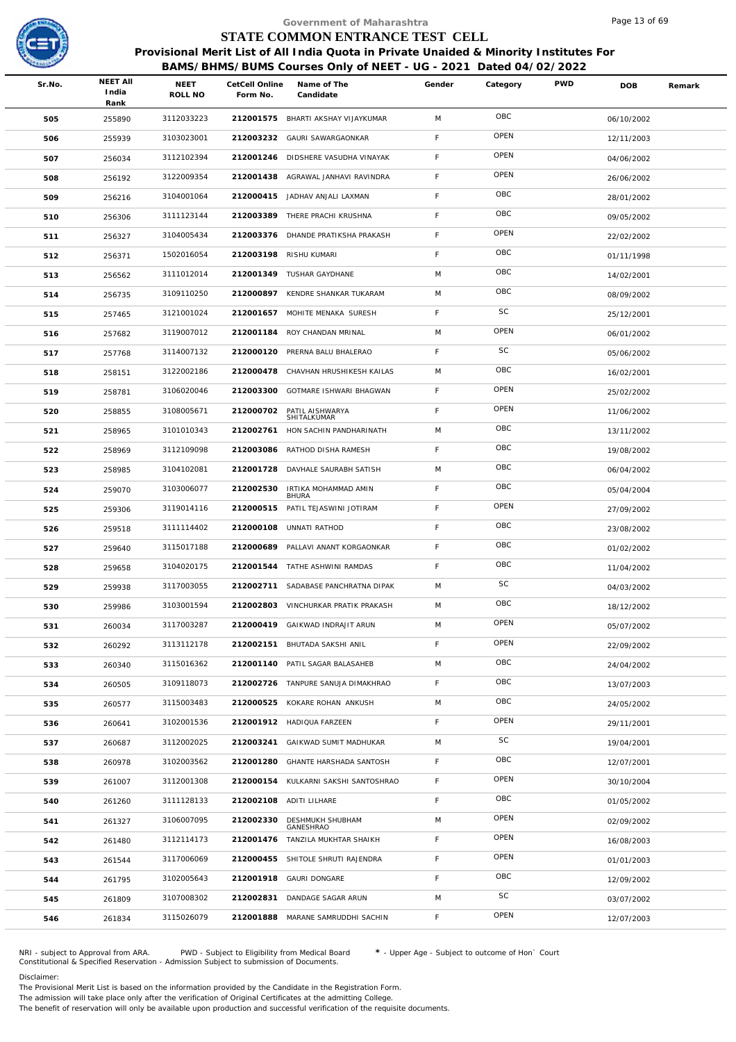

|        |                                  |                 |                            | Government of Maharashtra                                                              |             |           |            | Page 13 of 69 |        |
|--------|----------------------------------|-----------------|----------------------------|----------------------------------------------------------------------------------------|-------------|-----------|------------|---------------|--------|
|        |                                  |                 |                            | STATE COMMON ENTRANCE TEST CELL                                                        |             |           |            |               |        |
|        |                                  |                 |                            | Provisional Merit List of All India Quota in Private Unaided & Minority Institutes For |             |           |            |               |        |
|        |                                  |                 |                            | BAMS/BHMS/BUMS Courses Only of NEET - UG - 2021 Dated 04/02/2022                       |             |           |            |               |        |
| Sr.No. | <b>NEET AII</b><br>India<br>Rank | NEET<br>ROLL NO | CetCell Online<br>Form No. | Name of The<br>Candidate                                                               | Gender      | Category  | <b>PWD</b> | <b>DOB</b>    | Remark |
| 505    | 255890                           | 3112033223      |                            | 212001575 BHARTI AKSHAY VIJAYKUMAR                                                     | M           | OBC       |            | 06/10/2002    |        |
| 506    | 255939                           | 3103023001      | 212003232                  | GAURI SAWARGAONKAR                                                                     | F           | OPEN      |            | 12/11/2003    |        |
| 507    | 256034                           | 3112102394      |                            | 212001246 DIDSHERE VASUDHA VINAYAK                                                     | F           | OPEN      |            | 04/06/2002    |        |
| 508    | 256192                           | 3122009354      |                            | 212001438 AGRAWAL JANHAVI RAVINDRA                                                     | F.          | OPEN      |            | 26/06/2002    |        |
| 509    | 256216                           | 3104001064      |                            | 212000415 JADHAV ANJALI LAXMAN                                                         | F           | OBC       |            | 28/01/2002    |        |
| 510    | 256306                           | 3111123144      |                            | 212003389 THERE PRACHI KRUSHNA                                                         | F           | OBC       |            | 09/05/2002    |        |
| 511    | 256327                           | 3104005434      |                            | 212003376 DHANDE PRATIKSHA PRAKASH                                                     | F           | OPEN      |            | 22/02/2002    |        |
| 512    | 256371                           | 1502016054      | 212003198                  | RISHU KUMARI                                                                           | F           | OBC       |            | 01/11/1998    |        |
| 513    | 256562                           | 3111012014      |                            | 212001349 TUSHAR GAYDHANE                                                              | M           | OBC       |            | 14/02/2001    |        |
| 514    | 256735                           | 3109110250      | 212000897                  | KENDRE SHANKAR TUKARAM                                                                 | M           | OBC       |            | 08/09/2002    |        |
| 515    | 257465                           | 3121001024      |                            | 212001657 MOHITE MENAKA SURESH                                                         | F           | SC        |            | 25/12/2001    |        |
| 516    | 257682                           | 3119007012      |                            | 212001184 ROY CHANDAN MRINAL                                                           | M           | OPEN      |            | 06/01/2002    |        |
| 517    | 257768                           | 3114007132      | 212000120                  | PRERNA BALU BHALERAO                                                                   | F           | SC        |            | 05/06/2002    |        |
| 518    | 258151                           | 3122002186      | 212000478                  | CHAVHAN HRUSHIKESH KAILAS                                                              | M           | OBC       |            | 16/02/2001    |        |
| 519    | 258781                           | 3106020046      | 212003300                  | GOTMARE ISHWARI BHAGWAN                                                                | F.          | OPEN      |            | 25/02/2002    |        |
| 520    | 258855                           | 3108005671      | 212000702                  | PATIL AISHWARYA<br>SHITALKUMAR                                                         | $\mathsf F$ | OPEN      |            | 11/06/2002    |        |
| 521    | 258965                           | 3101010343      | 212002761                  | HON SACHIN PANDHARINATH                                                                | M           | OBC       |            | 13/11/2002    |        |
| 522    | 258969                           | 3112109098      | 212003086                  | RATHOD DISHA RAMESH                                                                    | F           | OBC       |            | 19/08/2002    |        |
| 523    | 258985                           | 3104102081      | 212001728                  | DAVHALE SAURABH SATISH                                                                 | M           | OBC       |            | 06/04/2002    |        |
| 524    | 259070                           | 3103006077      | 212002530                  | IRTIKA MOHAMMAD AMIN<br><b>BHURA</b>                                                   | F.          | OBC       |            | 05/04/2004    |        |
| 525    | 259306                           | 3119014116      | 212000515                  | PATIL TEJASWINI JOTIRAM                                                                | F           | OPEN      |            | 27/09/2002    |        |
| 526    | 259518                           | 3111114402      | 212000108                  | UNNATI RATHOD                                                                          | F           | OBC       |            | 23/08/2002    |        |
| 527    | 259640                           | 3115017188      | 212000689                  | PALLAVI ANANT KORGAONKAR                                                               | F           | OBC       |            | 01/02/2002    |        |
| 528    | 259658                           | 3104020175      |                            | 212001544 TATHE ASHWINI RAMDAS                                                         | F           | OBC       |            | 11/04/2002    |        |
| 529    | 259938                           | 3117003055      |                            | 212002711 SADABASE PANCHRATNA DIPAK                                                    | M           | <b>SC</b> |            | 04/03/2002    |        |
| 530    | 259986                           | 3103001594      | 212002803                  | VINCHURKAR PRATIK PRAKASH                                                              | M           | OBC       |            | 18/12/2002    |        |
| 531    | 260034                           | 3117003287      | 212000419                  | GAIKWAD INDRAJIT ARUN                                                                  | M           | OPEN      |            | 05/07/2002    |        |
| 532    | 260292                           | 3113112178      |                            | 212002151 BHUTADA SAKSHI ANIL                                                          | F           | OPEN      |            | 22/09/2002    |        |
| 533    | 260340                           | 3115016362      | 212001140                  | PATIL SAGAR BALASAHEB                                                                  | M           | OBC       |            | 24/04/2002    |        |
| 534    | 260505                           | 3109118073      |                            | 212002726 TANPURE SANUJA DIMAKHRAO                                                     | F           | OBC       |            | 13/07/2003    |        |
| 535    | 260577                           | 3115003483      |                            | 212000525 KOKARE ROHAN ANKUSH                                                          | M           | OBC       |            | 24/05/2002    |        |
| 536    | 260641                           | 3102001536      |                            | 212001912 HADIQUA FARZEEN                                                              | F           | OPEN      |            | 29/11/2001    |        |
| 537    | 260687                           | 3112002025      | 212003241                  | GAIKWAD SUMIT MADHUKAR                                                                 | M           | SC        |            | 19/04/2001    |        |
| 538    | 260978                           | 3102003562      | 212001280                  | GHANTE HARSHADA SANTOSH                                                                | F.          | OBC       |            | 12/07/2001    |        |
| 539    | 261007                           | 3112001308      |                            | 212000154 KULKARNI SAKSHI SANTOSHRAO                                                   | F.          | OPEN      |            | 30/10/2004    |        |
| 540    | 261260                           | 3111128133      |                            | 212002108 ADITI LILHARE                                                                | F           | OBC       |            | 01/05/2002    |        |
| 541    | 261327                           | 3106007095      | 212002330                  | DESHMUKH SHUBHAM<br>GANESHRAO                                                          | M           | OPEN      |            | 02/09/2002    |        |
| 542    | 261480                           | 3112114173      |                            | 212001476 TANZILA MUKHTAR SHAIKH                                                       | F.          | OPEN      |            | 16/08/2003    |        |
| 543    | 261544                           | 3117006069      | 212000455                  | SHITOLE SHRUTI RAJENDRA                                                                | F.          | OPEN      |            | 01/01/2003    |        |
| 544    | 261795                           | 3102005643      | 212001918                  | <b>GAURI DONGARE</b>                                                                   | F           | OBC       |            | 12/09/2002    |        |
| 545    | 261809                           | 3107008302      | 212002831                  | DANDAGE SAGAR ARUN                                                                     | M           | SC        |            | 03/07/2002    |        |
| 546    | 261834                           | 3115026079      | 212001888                  | MARANE SAMRUDDHI SACHIN                                                                | F.          | OPEN      |            | 12/07/2003    |        |
|        |                                  |                 |                            |                                                                                        |             |           |            |               |        |

NRI - subject to Approval from ARA. PWD - Subject to Eligibility from Medical Board \* - Upper Age - Subject to outcome of Hon` Court<br>Constitutional & Specified Reservation - Admission Subject to submissio

Disclaimer:

The Provisional Merit List is based on the information provided by the Candidate in the Registration Form.

The admission will take place only after the verification of Original Certificates at the admitting College.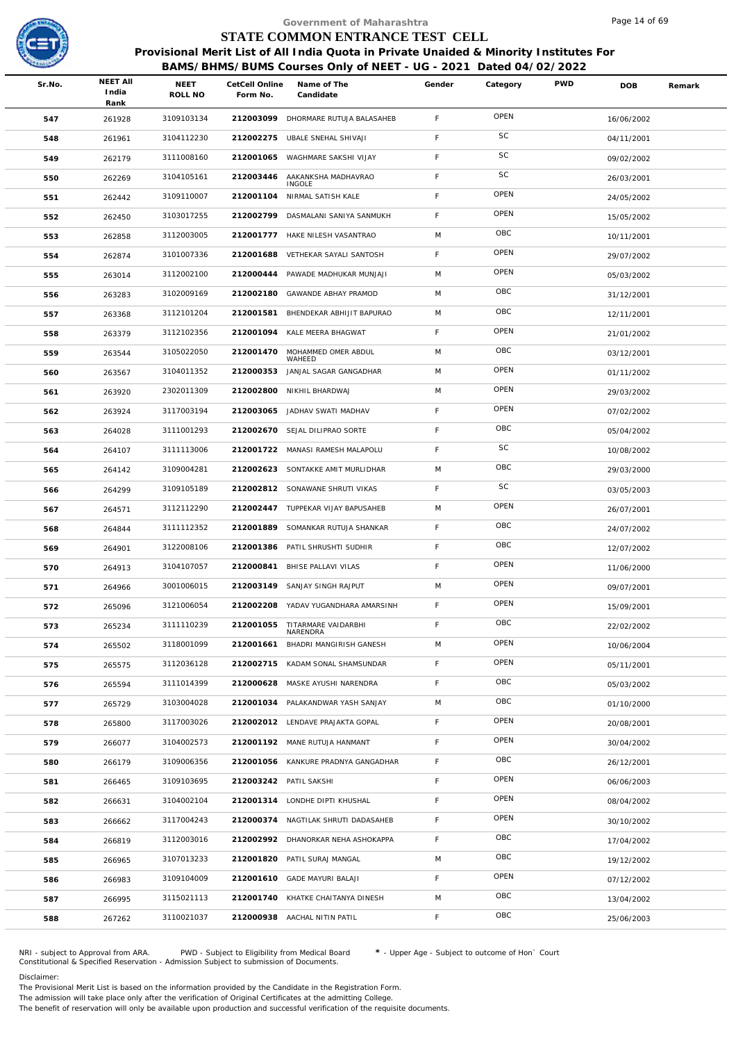

|        |                                  |                 |                            | Government of Maharashtra                                                                                                                                  |             |          |            | Page 14 of 69 |        |
|--------|----------------------------------|-----------------|----------------------------|------------------------------------------------------------------------------------------------------------------------------------------------------------|-------------|----------|------------|---------------|--------|
|        |                                  |                 |                            | STATE COMMON ENTRANCE TEST CELL                                                                                                                            |             |          |            |               |        |
|        |                                  |                 |                            | Provisional Merit List of All India Quota in Private Unaided & Minority Institutes For<br>BAMS/BHMS/BUMS Courses Only of NEET - UG - 2021 Dated 04/02/2022 |             |          |            |               |        |
| Sr.No. | <b>NEET AII</b><br>India<br>Rank | NEET<br>ROLL NO | CetCell Online<br>Form No. | Name of The<br>Candidate                                                                                                                                   | Gender      | Category | <b>PWD</b> | <b>DOB</b>    | Remark |
| 547    | 261928                           | 3109103134      |                            | 212003099 DHORMARE RUTUJA BALASAHEB                                                                                                                        | F           | OPEN     |            | 16/06/2002    |        |
| 548    | 261961                           | 3104112230      | 212002275                  | UBALE SNEHAL SHIVAJI                                                                                                                                       | F           | SC       |            | 04/11/2001    |        |
| 549    | 262179                           | 3111008160      | 212001065                  | WAGHMARE SAKSHI VIJAY                                                                                                                                      | F           | SC       |            | 09/02/2002    |        |
| 550    | 262269                           | 3104105161      | 212003446                  | AAKANKSHA MADHAVRAO<br><b>INGOLE</b>                                                                                                                       | F           | SC       |            | 26/03/2001    |        |
| 551    | 262442                           | 3109110007      |                            | 212001104 NIRMAL SATISH KALE                                                                                                                               | $\mathsf F$ | OPEN     |            | 24/05/2002    |        |
| 552    | 262450                           | 3103017255      | 212002799                  | DASMALANI SANIYA SANMUKH                                                                                                                                   | F.          | OPEN     |            | 15/05/2002    |        |
| 553    | 262858                           | 3112003005      |                            | 212001777 HAKE NILESH VASANTRAO                                                                                                                            | M           | OBC      |            | 10/11/2001    |        |
| 554    | 262874                           | 3101007336      | 212001688                  | VETHEKAR SAYALI SANTOSH                                                                                                                                    | F.          | OPEN     |            | 29/07/2002    |        |
| 555    | 263014                           | 3112002100      |                            | 212000444 PAWADE MADHUKAR MUNJAJI                                                                                                                          | M           | OPEN     |            | 05/03/2002    |        |
| 556    | 263283                           | 3102009169      | 212002180                  | GAWANDE ABHAY PRAMOD                                                                                                                                       | M           | OBC      |            | 31/12/2001    |        |
| 557    | 263368                           | 3112101204      | 212001581                  | BHENDEKAR ABHIJIT BAPURAO                                                                                                                                  | M           | OBC      |            | 12/11/2001    |        |
| 558    | 263379                           | 3112102356      | 212001094                  | KALE MEERA BHAGWAT                                                                                                                                         | F           | OPEN     |            | 21/01/2002    |        |
| 559    | 263544                           | 3105022050      | 212001470                  | MOHAMMED OMER ABDUL<br>WAHEED                                                                                                                              | M           | OBC      |            | 03/12/2001    |        |
| 560    | 263567                           | 3104011352      | 212000353                  | JANJAL SAGAR GANGADHAR                                                                                                                                     | M           | OPEN     |            | 01/11/2002    |        |
| 561    | 263920                           | 2302011309      | 212002800                  | NIKHIL BHARDWAJ                                                                                                                                            | M           | OPEN     |            | 29/03/2002    |        |
| 562    | 263924                           | 3117003194      | 212003065                  | JADHAV SWATI MADHAV                                                                                                                                        | F           | OPEN     |            | 07/02/2002    |        |
| 563    | 264028                           | 3111001293      |                            | 212002670 SEJAL DILIPRAO SORTE                                                                                                                             | F           | OBC      |            | 05/04/2002    |        |
| 564    | 264107                           | 3111113006      |                            | 212001722 MANASI RAMESH MALAPOLU                                                                                                                           | F           | SC       |            | 10/08/2002    |        |
| 565    | 264142                           | 3109004281      |                            | 212002623 SONTAKKE AMIT MURLIDHAR                                                                                                                          | M           | OBC      |            | 29/03/2000    |        |
| 566    | 264299                           | 3109105189      |                            | 212002812 SONAWANE SHRUTI VIKAS                                                                                                                            | F.          | SC       |            | 03/05/2003    |        |
| 567    | 264571                           | 3112112290      |                            | 212002447 TUPPEKAR VIJAY BAPUSAHEB                                                                                                                         | M           | OPEN     |            | 26/07/2001    |        |
| 568    | 264844                           | 3111112352      |                            | 212001889 SOMANKAR RUTUJA SHANKAR                                                                                                                          | F.          | OBC      |            | 24/07/2002    |        |
| 569    | 264901                           | 3122008106      | 212001386                  | PATIL SHRUSHTI SUDHIR                                                                                                                                      | F.          | OBC      |            | 12/07/2002    |        |
| 570    | 264913                           | 3104107057      |                            | 212000841 BHISE PALLAVI VILAS                                                                                                                              | F           | OPEN     |            | 11/06/2000    |        |
| 571    | 264966                           | 3001006015      |                            | 212003149 SANJAY SINGH RAJPUT                                                                                                                              | M           | OPEN     |            | 09/07/2001    |        |
| 572    | 265096                           | 3121006054      | 212002208                  | YADAV YUGANDHARA AMARSINH                                                                                                                                  | F.          | OPEN     |            | 15/09/2001    |        |
| 573    | 265234                           | 3111110239      | 212001055                  | TITARMARE VAIDARBHI<br>NARENDRA                                                                                                                            | F.          | OBC      |            | 22/02/2002    |        |
| 574    | 265502                           | 3118001099      | 212001661                  | BHADRI MANGIRISH GANESH                                                                                                                                    | M           | OPEN     |            | 10/06/2004    |        |
| 575    | 265575                           | 3112036128      | 212002715                  | KADAM SONAL SHAMSUNDAR                                                                                                                                     | F.          | OPEN     |            | 05/11/2001    |        |
| 576    | 265594                           | 3111014399      | 212000628                  | MASKE AYUSHI NARENDRA                                                                                                                                      | F           | OBC      |            | 05/03/2002    |        |
| 577    | 265729                           | 3103004028      | 212001034                  | PALAKANDWAR YASH SANJAY                                                                                                                                    | M           | OBC      |            | 01/10/2000    |        |
| 578    | 265800                           | 3117003026      |                            | 212002012 LENDAVE PRAJAKTA GOPAL                                                                                                                           | F.          | OPEN     |            | 20/08/2001    |        |
| 579    | 266077                           | 3104002573      |                            | 212001192 MANE RUTUJA HANMANT                                                                                                                              | F           | OPEN     |            | 30/04/2002    |        |
| 580    | 266179                           | 3109006356      |                            | 212001056 KANKURE PRADNYA GANGADHAR                                                                                                                        | F.          | OBC      |            | 26/12/2001    |        |
| 581    | 266465                           | 3109103695      |                            | 212003242 PATIL SAKSHI                                                                                                                                     | F           | OPEN     |            | 06/06/2003    |        |
| 582    | 266631                           | 3104002104      |                            | 212001314 LONDHE DIPTI KHUSHAL                                                                                                                             | F           | OPEN     |            | 08/04/2002    |        |
| 583    | 266662                           | 3117004243      |                            | 212000374 NAGTILAK SHRUTI DADASAHEB                                                                                                                        | F           | OPEN     |            | 30/10/2002    |        |
| 584    | 266819                           | 3112003016      |                            | 212002992 DHANORKAR NEHA ASHOKAPPA                                                                                                                         | F.          | OBC      |            | 17/04/2002    |        |
| 585    | 266965                           | 3107013233      | 212001820                  | PATIL SURAJ MANGAL                                                                                                                                         | M           | OBC      |            | 19/12/2002    |        |
| 586    | 266983                           | 3109104009      |                            | 212001610 GADE MAYURI BALAJI                                                                                                                               | F           | OPEN     |            | 07/12/2002    |        |
| 587    | 266995                           | 3115021113      |                            | 212001740 KHATKE CHAITANYA DINESH                                                                                                                          | M           | OBC      |            | 13/04/2002    |        |
| 588    | 267262                           | 3110021037      |                            | 212000938 AACHAL NITIN PATIL                                                                                                                               | F.          | OBC      |            | 25/06/2003    |        |
|        |                                  |                 |                            |                                                                                                                                                            |             |          |            |               |        |

NRI - subject to Approval from ARA. PWD - Subject to Eligibility from Medical Board \* - Upper Age - Subject to outcome of Hon` Court<br>Constitutional & Specified Reservation - Admission Subject to submissio

Disclaimer:

The Provisional Merit List is based on the information provided by the Candidate in the Registration Form.

The admission will take place only after the verification of Original Certificates at the admitting College.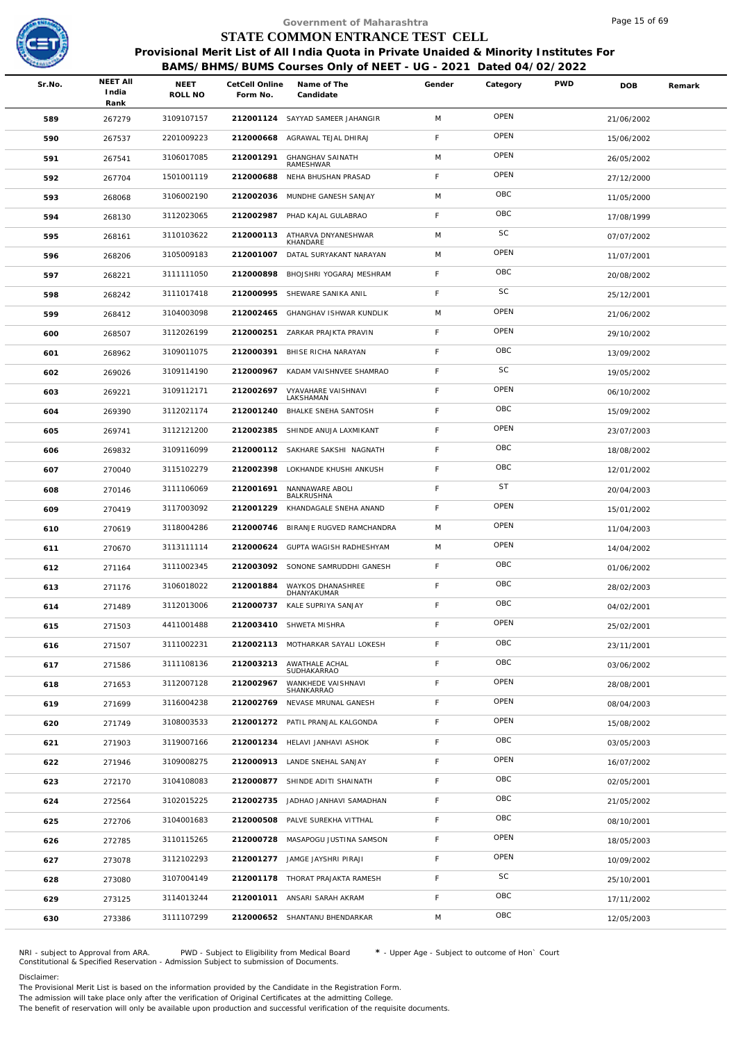

|        |                                  |                        |                            | Government of Maharashtra                                                                                                                                                                     |        |           |            | Page 15 of 69 |        |
|--------|----------------------------------|------------------------|----------------------------|-----------------------------------------------------------------------------------------------------------------------------------------------------------------------------------------------|--------|-----------|------------|---------------|--------|
|        |                                  |                        |                            | STATE COMMON ENTRANCE TEST CELL<br>Provisional Merit List of All India Quota in Private Unaided & Minority Institutes For<br>BAMS/BHMS/BUMS Courses Only of NEET - UG - 2021 Dated 04/02/2022 |        |           |            |               |        |
| Sr.No. | <b>NEET AII</b><br>India<br>Rank | <b>NEET</b><br>ROLL NO | CetCell Online<br>Form No. | Name of The<br>Candidate                                                                                                                                                                      | Gender | Category  | <b>PWD</b> | <b>DOB</b>    | Remark |
| 589    | 267279                           | 3109107157             |                            | 212001124 SAYYAD SAMEER JAHANGIR                                                                                                                                                              | M      | OPEN      |            | 21/06/2002    |        |
| 590    | 267537                           | 2201009223             | 212000668                  | AGRAWAL TEJAL DHIRAJ                                                                                                                                                                          | F.     | OPEN      |            | 15/06/2002    |        |
| 591    | 267541                           | 3106017085             | 212001291                  | <b>GHANGHAV SAINATH</b>                                                                                                                                                                       | M      | OPEN      |            | 26/05/2002    |        |
| 592    | 267704                           | 1501001119             | 212000688                  | RAMESHWAR<br>NEHA BHUSHAN PRASAD                                                                                                                                                              | F.     | OPEN      |            | 27/12/2000    |        |
| 593    | 268068                           | 3106002190             | 212002036                  | MUNDHE GANESH SANJAY                                                                                                                                                                          | M      | OBC       |            | 11/05/2000    |        |
| 594    | 268130                           | 3112023065             | 212002987                  | PHAD KAJAL GULABRAO                                                                                                                                                                           | F      | OBC       |            | 17/08/1999    |        |
| 595    | 268161                           | 3110103622             | 212000113                  | ATHARVA DNYANESHWAR                                                                                                                                                                           | M      | SC        |            | 07/07/2002    |        |
| 596    | 268206                           | 3105009183             | 212001007                  | KHANDARE<br>DATAL SURYAKANT NARAYAN                                                                                                                                                           | M      | OPEN      |            | 11/07/2001    |        |
| 597    | 268221                           | 3111111050             | 212000898                  | BHOJSHRI YOGARAJ MESHRAM                                                                                                                                                                      | F      | OBC       |            | 20/08/2002    |        |
| 598    | 268242                           | 3111017418             | 212000995                  | SHEWARE SANIKA ANIL                                                                                                                                                                           | F      | SC        |            | 25/12/2001    |        |
| 599    | 268412                           | 3104003098             | 212002465                  | GHANGHAV ISHWAR KUNDLIK                                                                                                                                                                       | M      | OPEN      |            | 21/06/2002    |        |
| 600    | 268507                           | 3112026199             |                            | 212000251 ZARKAR PRAJKTA PRAVIN                                                                                                                                                               | F.     | OPEN      |            | 29/10/2002    |        |
| 601    | 268962                           | 3109011075             | 212000391                  | BHISE RICHA NARAYAN                                                                                                                                                                           | F      | OBC       |            | 13/09/2002    |        |
| 602    | 269026                           | 3109114190             | 212000967                  | KADAM VAISHNVEE SHAMRAO                                                                                                                                                                       | F.     | SC        |            | 19/05/2002    |        |
| 603    | 269221                           | 3109112171             | 212002697                  | VYAVAHARE VAISHNAVI                                                                                                                                                                           | F      | OPEN      |            | 06/10/2002    |        |
| 604    | 269390                           | 3112021174             | 212001240                  | LAKSHAMAN<br>BHALKE SNEHA SANTOSH                                                                                                                                                             | F.     | OBC       |            | 15/09/2002    |        |
| 605    | 269741                           | 3112121200             |                            | 212002385 SHINDE ANUJA LAXMIKANT                                                                                                                                                              | F      | OPEN      |            | 23/07/2003    |        |
| 606    | 269832                           | 3109116099             |                            | 212000112 SAKHARE SAKSHI NAGNATH                                                                                                                                                              | F.     | OBC       |            | 18/08/2002    |        |
| 607    | 270040                           | 3115102279             |                            | 212002398 LOKHANDE KHUSHI ANKUSH                                                                                                                                                              | F      | OBC       |            | 12/01/2002    |        |
| 608    | 270146                           | 3111106069             | 212001691                  | NANNAWARE ABOLI<br>BALKRUSHNA                                                                                                                                                                 | F.     | <b>ST</b> |            | 20/04/2003    |        |
| 609    | 270419                           | 3117003092             | 212001229                  | KHANDAGALE SNEHA ANAND                                                                                                                                                                        | F      | OPEN      |            | 15/01/2002    |        |
| 610    | 270619                           | 3118004286             |                            | 212000746 BIRANJE RUGVED RAMCHANDRA                                                                                                                                                           | M      | OPEN      |            | 11/04/2003    |        |
| 611    | 270670                           | 3113111114             |                            | 212000624 GUPTA WAGISH RADHESHYAM                                                                                                                                                             | M      | OPEN      |            | 14/04/2002    |        |
| 612    | 271164                           | 3111002345             |                            | 212003092 SONONE SAMRUDDHI GANESH                                                                                                                                                             | F      | OBC       |            | 01/06/2002    |        |
| 613    | 271176                           | 3106018022             |                            | 212001884 WAYKOS DHANASHREE<br>DHANYAKUMAR                                                                                                                                                    | F.     | OBC       |            | 28/02/2003    |        |
| 614    | 271489                           | 3112013006             |                            | 212000737 KALE SUPRIYA SANJAY                                                                                                                                                                 | F.     | OBC       |            | 04/02/2001    |        |
| 615    | 271503                           | 4411001488             |                            | 212003410 SHWETA MISHRA                                                                                                                                                                       | F      | OPEN      |            | 25/02/2001    |        |
| 616    | 271507                           | 3111002231             |                            | 212002113 MOTHARKAR SAYALI LOKESH                                                                                                                                                             | F.     | OBC       |            | 23/11/2001    |        |
| 617    | 271586                           | 3111108136             | 212003213                  | AWATHALE ACHAL<br>SUDHAKARRAO                                                                                                                                                                 | F      | OBC       |            | 03/06/2002    |        |
| 618    | 271653                           | 3112007128             | 212002967                  | WANKHEDE VAISHNAVI<br>SHANKARRAO                                                                                                                                                              | F.     | OPEN      |            | 28/08/2001    |        |
| 619    | 271699                           | 3116004238             |                            | 212002769 NEVASE MRUNAL GANESH                                                                                                                                                                | F      | OPEN      |            | 08/04/2003    |        |
| 620    | 271749                           | 3108003533             |                            | 212001272 PATIL PRANJAL KALGONDA                                                                                                                                                              | F.     | OPEN      |            | 15/08/2002    |        |
| 621    | 271903                           | 3119007166             |                            | 212001234 HELAVI JANHAVI ASHOK                                                                                                                                                                | F      | OBC       |            | 03/05/2003    |        |
| 622    | 271946                           | 3109008275             |                            | 212000913 LANDE SNEHAL SANJAY                                                                                                                                                                 | F.     | OPEN      |            | 16/07/2002    |        |
| 623    | 272170                           | 3104108083             |                            | 212000877 SHINDE ADITI SHAINATH                                                                                                                                                               | F      | OBC       |            | 02/05/2001    |        |
| 624    | 272564                           | 3102015225             |                            | 212002735 JADHAO JANHAVI SAMADHAN                                                                                                                                                             | F.     | OBC       |            | 21/05/2002    |        |
| 625    | 272706                           | 3104001683             |                            | 212000508 PALVE SUREKHA VITTHAL                                                                                                                                                               | F      | OBC       |            | 08/10/2001    |        |
| 626    | 272785                           | 3110115265             |                            | 212000728 MASAPOGU JUSTINA SAMSON                                                                                                                                                             | F.     | OPEN      |            | 18/05/2003    |        |
| 627    | 273078                           | 3112102293             |                            | 212001277 JAMGE JAYSHRI PIRAJI                                                                                                                                                                | F.     | OPEN      |            | 10/09/2002    |        |
| 628    | 273080                           | 3107004149             |                            | 212001178 THORAT PRAJAKTA RAMESH                                                                                                                                                              | F.     | SC        |            | 25/10/2001    |        |
| 629    | 273125                           | 3114013244             |                            | 212001011 ANSARI SARAH AKRAM                                                                                                                                                                  | F      | OBC       |            | 17/11/2002    |        |
| 630    | 273386                           | 3111107299             |                            | 212000652 SHANTANU BHENDARKAR                                                                                                                                                                 | M      | OBC       |            | 12/05/2003    |        |
|        |                                  |                        |                            |                                                                                                                                                                                               |        |           |            |               |        |

NRI - subject to Approval from ARA. PWD - Subject to Eligibility from Medical Board \* - Upper Age - Subject to outcome of Hon` Court<br>Constitutional & Specified Reservation - Admission Subject to submissio

Disclaimer:

The Provisional Merit List is based on the information provided by the Candidate in the Registration Form.

The admission will take place only after the verification of Original Certificates at the admitting College.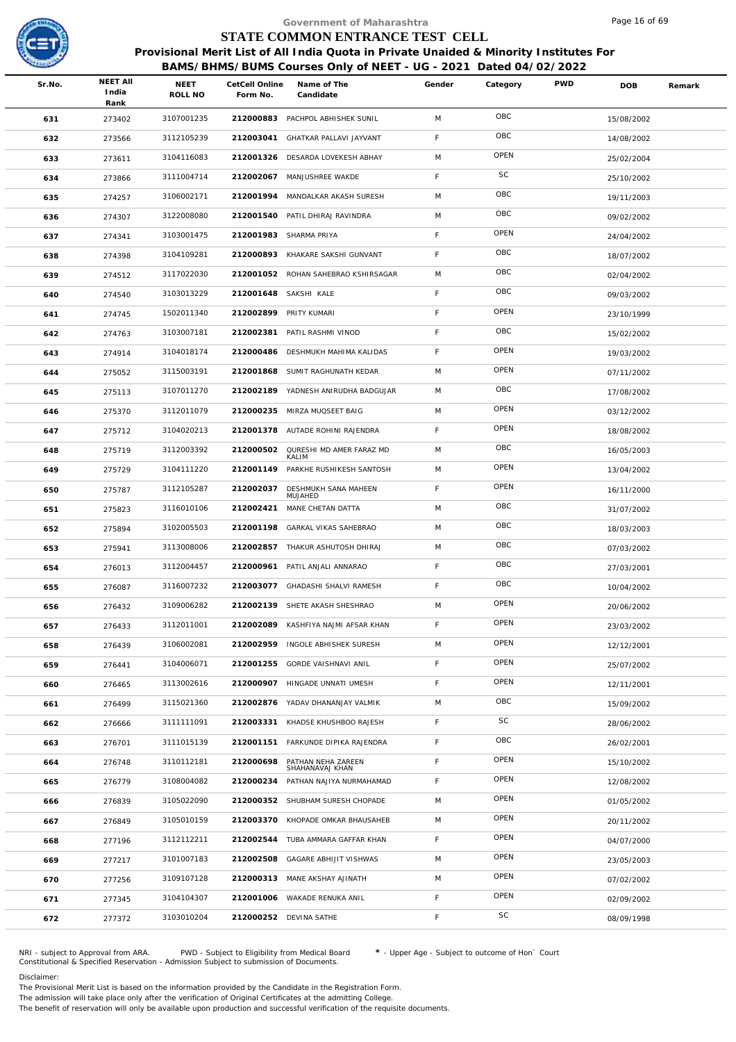

|        |                                  |                        |                            | Government of Maharashtra                                                                                                                                  |        |          |            | Page 16 of 69 |        |
|--------|----------------------------------|------------------------|----------------------------|------------------------------------------------------------------------------------------------------------------------------------------------------------|--------|----------|------------|---------------|--------|
|        |                                  |                        |                            | STATE COMMON ENTRANCE TEST CELL                                                                                                                            |        |          |            |               |        |
|        |                                  |                        |                            | Provisional Merit List of All India Quota in Private Unaided & Minority Institutes For<br>BAMS/BHMS/BUMS Courses Only of NEET - UG - 2021 Dated 04/02/2022 |        |          |            |               |        |
| Sr.No. | <b>NEET AII</b><br>India<br>Rank | <b>NEET</b><br>ROLL NO | CetCell Online<br>Form No. | Name of The<br>Candidate                                                                                                                                   | Gender | Category | <b>PWD</b> | <b>DOB</b>    | Remark |
| 631    | 273402                           | 3107001235             |                            | 212000883 PACHPOL ABHISHEK SUNIL                                                                                                                           | M      | OBC      |            | 15/08/2002    |        |
| 632    | 273566                           | 3112105239             | 212003041                  | GHATKAR PALLAVI JAYVANT                                                                                                                                    | F      | OBC      |            | 14/08/2002    |        |
| 633    | 273611                           | 3104116083             |                            | 212001326 DESARDA LOVEKESH ABHAY                                                                                                                           | M      | OPEN     |            | 25/02/2004    |        |
| 634    | 273866                           | 3111004714             |                            | 212002067 MANJUSHREE WAKDE                                                                                                                                 | F      | SC       |            | 25/10/2002    |        |
| 635    | 274257                           | 3106002171             | 212001994                  | MANDALKAR AKASH SURESH                                                                                                                                     | M      | OBC      |            | 19/11/2003    |        |
| 636    | 274307                           | 3122008080             |                            | 212001540 PATIL DHIRAJ RAVINDRA                                                                                                                            | M      | OBC      |            | 09/02/2002    |        |
| 637    | 274341                           | 3103001475             |                            | 212001983 SHARMA PRIYA                                                                                                                                     | F      | OPEN     |            | 24/04/2002    |        |
| 638    | 274398                           | 3104109281             | 212000893                  | KHAKARE SAKSHI GUNVANT                                                                                                                                     | F      | OBC      |            | 18/07/2002    |        |
| 639    | 274512                           | 3117022030             |                            | 212001052 ROHAN SAHEBRAO KSHIRSAGAR                                                                                                                        | M      | OBC      |            | 02/04/2002    |        |
| 640    | 274540                           | 3103013229             | 212001648                  | SAKSHI KALE                                                                                                                                                | F.     | OBC      |            | 09/03/2002    |        |
| 641    | 274745                           | 1502011340             |                            | 212002899 PRITY KUMARI                                                                                                                                     | F      | OPEN     |            | 23/10/1999    |        |
| 642    | 274763                           | 3103007181             |                            | 212002381 PATIL RASHMI VINOD                                                                                                                               | F      | OBC      |            | 15/02/2002    |        |
| 643    | 274914                           | 3104018174             | 212000486                  | DESHMUKH MAHIMA KALIDAS                                                                                                                                    | F      | OPEN     |            | 19/03/2002    |        |
| 644    | 275052                           | 3115003191             | 212001868                  | SUMIT RAGHUNATH KEDAR                                                                                                                                      | M      | OPEN     |            | 07/11/2002    |        |
| 645    | 275113                           | 3107011270             |                            | 212002189 YADNESH ANIRUDHA BADGUJAR                                                                                                                        | M      | OBC      |            | 17/08/2002    |        |
| 646    | 275370                           | 3112011079             |                            | 212000235 MIRZA MUQSEET BAIG                                                                                                                               | M      | OPEN     |            | 03/12/2002    |        |
| 647    | 275712                           | 3104020213             |                            | 212001378 AUTADE ROHINI RAJENDRA                                                                                                                           | F      | OPEN     |            | 18/08/2002    |        |
| 648    | 275719                           | 3112003392             | 212000502                  | QURESHI MD AMER FARAZ MD<br>KALIM                                                                                                                          | M      | OBC      |            | 16/05/2003    |        |
| 649    | 275729                           | 3104111220             | 212001149                  | PARKHE RUSHIKESH SANTOSH                                                                                                                                   | M      | OPEN     |            | 13/04/2002    |        |
| 650    | 275787                           | 3112105287             | 212002037                  | DESHMUKH SANA MAHEEN<br>MUJAHED                                                                                                                            | F.     | OPEN     |            | 16/11/2000    |        |
| 651    | 275823                           | 3116010106             |                            | 212002421 MANE CHETAN DATTA                                                                                                                                | M      | OBC      |            | 31/07/2002    |        |
| 652    | 275894                           | 3102005503             | 212001198                  | GARKAL VIKAS SAHEBRAO                                                                                                                                      | M      | OBC      |            | 18/03/2003    |        |
| 653    | 275941                           | 3113008006             |                            | 212002857 THAKUR ASHUTOSH DHIRAJ                                                                                                                           | M      | OBC      |            | 07/03/2002    |        |
| 654    | 276013                           | 3112004457             |                            | 212000961 PATIL ANJALI ANNARAO                                                                                                                             | F      | OBC      |            | 27/03/2001    |        |
| 655    | 276087                           | 3116007232             |                            | 212003077 GHADASHI SHALVI RAMESH                                                                                                                           | F.     | OBC      |            | 10/04/2002    |        |
| 656    | 276432                           | 3109006282             | 212002139                  | SHETE AKASH SHESHRAO                                                                                                                                       | M      | OPEN     |            | 20/06/2002    |        |
| 657    | 276433                           | 3112011001             | 212002089                  | KASHFIYA NAJMI AFSAR KHAN                                                                                                                                  | F.     | OPEN     |            | 23/03/2002    |        |
| 658    | 276439                           | 3106002081             |                            | 212002959 INGOLE ABHISHEK SURESH                                                                                                                           | M      | OPEN     |            | 12/12/2001    |        |
| 659    | 276441                           | 3104006071             | 212001255                  | GORDE VAISHNAVI ANIL                                                                                                                                       | F      | OPEN     |            | 25/07/2002    |        |
| 660    | 276465                           | 3113002616             |                            | 212000907 HINGADE UNNATI UMESH                                                                                                                             | F      | OPEN     |            | 12/11/2001    |        |
| 661    | 276499                           | 3115021360             |                            | 212002876 YADAV DHANANJAY VALMIK                                                                                                                           | M      | OBC      |            | 15/09/2002    |        |
| 662    | 276666                           | 3111111091             | 212003331                  | KHADSE KHUSHBOO RAJESH                                                                                                                                     | F.     | SC       |            | 28/06/2002    |        |
| 663    | 276701                           | 3111015139             |                            | 212001151 FARKUNDE DIPIKA RAJENDRA                                                                                                                         | F      | OBC      |            | 26/02/2001    |        |
| 664    | 276748                           | 3110112181             | 212000698                  | PATHAN NEHA ZAREEN<br>SHAHANAVAJ KHAN                                                                                                                      | F      | OPEN     |            | 15/10/2002    |        |
| 665    | 276779                           | 3108004082             | 212000234                  | PATHAN NAJIYA NURMAHAMAD                                                                                                                                   | F.     | OPEN     |            | 12/08/2002    |        |
| 666    | 276839                           | 3105022090             |                            | 212000352 SHUBHAM SURESH CHOPADE                                                                                                                           | M      | OPEN     |            | 01/05/2002    |        |
| 667    | 276849                           | 3105010159             | 212003370                  | KHOPADE OMKAR BHAUSAHEB                                                                                                                                    | M      | OPEN     |            | 20/11/2002    |        |
| 668    | 277196                           | 3112112211             | 212002544                  | TUBA AMMARA GAFFAR KHAN                                                                                                                                    | F.     | OPEN     |            | 04/07/2000    |        |
| 669    | 277217                           | 3101007183             | 212002508                  | GAGARE ABHIJIT VISHWAS                                                                                                                                     | M      | OPEN     |            | 23/05/2003    |        |
| 670    | 277256                           | 3109107128             |                            | 212000313 MANE AKSHAY AJINATH                                                                                                                              | M      | OPEN     |            | 07/02/2002    |        |
| 671    | 277345                           | 3104104307             |                            | 212001006 WAKADE RENUKA ANIL                                                                                                                               | F      | OPEN     |            | 02/09/2002    |        |
| 672    | 277372                           | 3103010204             |                            | 212000252 DEVINA SATHE                                                                                                                                     | F      | SC       |            | 08/09/1998    |        |
|        |                                  |                        |                            |                                                                                                                                                            |        |          |            |               |        |

NRI - subject to Approval from ARA. PWD - Subject to Eligibility from Medical Board \* - Upper Age - Subject to outcome of Hon` Court<br>Constitutional & Specified Reservation - Admission Subject to submissio

Disclaimer:

The Provisional Merit List is based on the information provided by the Candidate in the Registration Form.

The admission will take place only after the verification of Original Certificates at the admitting College.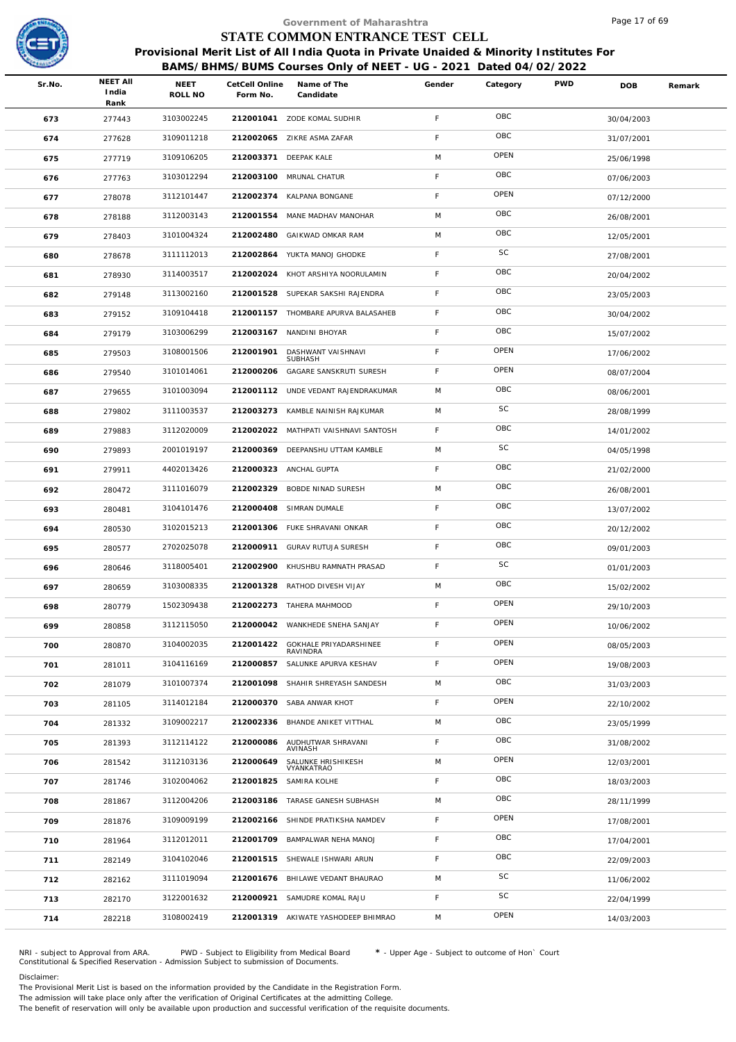

| Remark<br>30/04/2003<br>31/07/2001<br>25/06/1998<br>07/06/2003 |
|----------------------------------------------------------------|
|                                                                |
|                                                                |
|                                                                |
|                                                                |
|                                                                |
|                                                                |
|                                                                |
| 07/12/2000                                                     |
| 26/08/2001                                                     |
| 12/05/2001                                                     |
| 27/08/2001                                                     |
| 20/04/2002                                                     |
| 23/05/2003                                                     |
| 30/04/2002                                                     |
| 15/07/2002                                                     |
| 17/06/2002                                                     |
| 08/07/2004                                                     |
| 08/06/2001                                                     |
| 28/08/1999                                                     |
| 14/01/2002                                                     |
| 04/05/1998                                                     |
| 21/02/2000                                                     |
| 26/08/2001                                                     |
| 13/07/2002                                                     |
| 20/12/2002                                                     |
| 09/01/2003                                                     |
| 01/01/2003                                                     |
| 15/02/2002                                                     |
| 29/10/2003                                                     |
| 10/06/2002                                                     |
| 08/05/2003                                                     |
| 19/08/2003                                                     |
| 31/03/2003                                                     |
| 22/10/2002                                                     |
| 23/05/1999                                                     |
| 31/08/2002                                                     |
| 12/03/2001                                                     |
| 18/03/2003                                                     |
| 28/11/1999                                                     |
| 17/08/2001                                                     |
| 17/04/2001                                                     |
| 22/09/2003                                                     |
| 11/06/2002                                                     |
| 22/04/1999                                                     |
|                                                                |
|                                                                |

NRI - subject to Approval from ARA. PWD - Subject to Eligibility from Medical Board \* - Upper Age - Subject to outcome of Hon` Court<br>Constitutional & Specified Reservation - Admission Subject to submissio

Disclaimer:

The Provisional Merit List is based on the information provided by the Candidate in the Registration Form.

The admission will take place only after the verification of Original Certificates at the admitting College.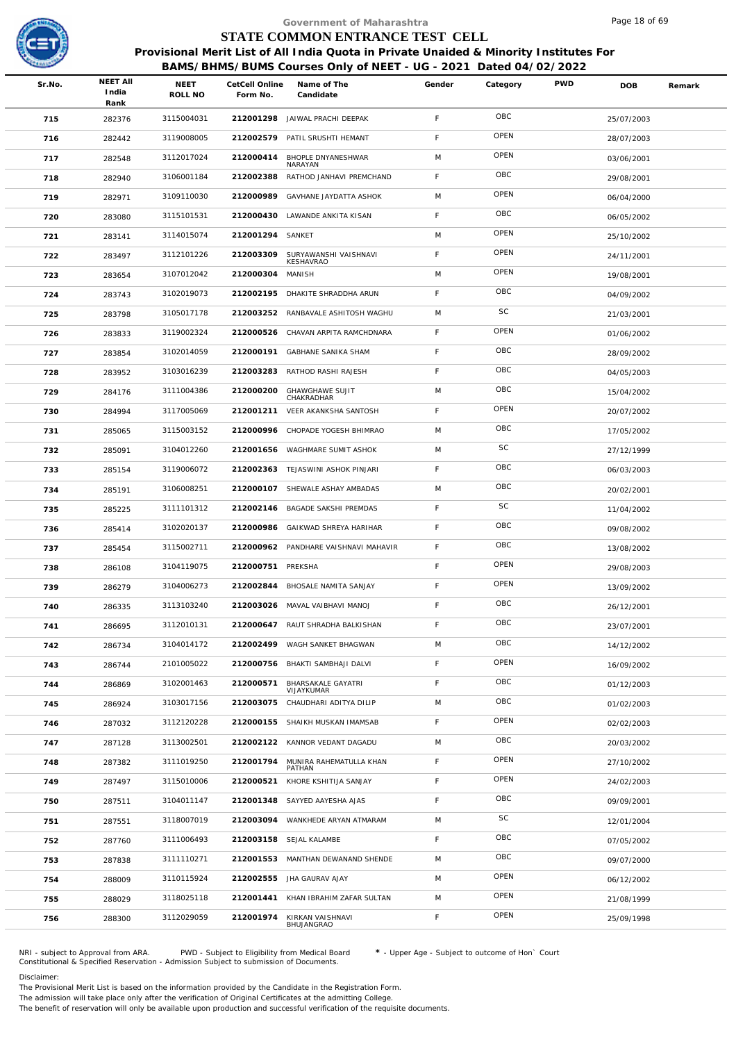

|        |                                  |                 |                            | Government of Maharashtra                                                                                                                                  |             |          |            | Page 18 of 69 |        |
|--------|----------------------------------|-----------------|----------------------------|------------------------------------------------------------------------------------------------------------------------------------------------------------|-------------|----------|------------|---------------|--------|
|        |                                  |                 |                            | STATE COMMON ENTRANCE TEST CELL                                                                                                                            |             |          |            |               |        |
|        |                                  |                 |                            | Provisional Merit List of All India Quota in Private Unaided & Minority Institutes For<br>BAMS/BHMS/BUMS Courses Only of NEET - UG - 2021 Dated 04/02/2022 |             |          |            |               |        |
| Sr.No. | <b>NEET AII</b><br>India<br>Rank | NEET<br>ROLL NO | CetCell Online<br>Form No. | Name of The<br>Candidate                                                                                                                                   | Gender      | Category | <b>PWD</b> | DOB           | Remark |
| 715    | 282376                           | 3115004031      |                            | 212001298 JAIWAL PRACHI DEEPAK                                                                                                                             | F           | OBC      |            | 25/07/2003    |        |
| 716    | 282442                           | 3119008005      | 212002579                  | PATIL SRUSHTI HEMANT                                                                                                                                       | F           | OPEN     |            | 28/07/2003    |        |
| 717    | 282548                           | 3112017024      | 212000414                  | BHOPLE DNYANESHWAR                                                                                                                                         | M           | OPEN     |            | 03/06/2001    |        |
| 718    | 282940                           | 3106001184      | 212002388                  | NARAYAN<br>RATHOD JANHAVI PREMCHAND                                                                                                                        | F           | OBC      |            | 29/08/2001    |        |
| 719    | 282971                           | 3109110030      | 212000989                  | GAVHANE JAYDATTA ASHOK                                                                                                                                     | M           | OPEN     |            | 06/04/2000    |        |
| 720    | 283080                           | 3115101531      | 212000430                  | LAWANDE ANKITA KISAN                                                                                                                                       | F.          | OBC      |            | 06/05/2002    |        |
| 721    | 283141                           | 3114015074      | 212001294 SANKET           |                                                                                                                                                            | M           | OPEN     |            | 25/10/2002    |        |
| 722    | 283497                           | 3112101226      | 212003309                  | SURYAWANSHI VAISHNAVI                                                                                                                                      | F           | OPEN     |            | 24/11/2001    |        |
| 723    | 283654                           | 3107012042      | 212000304                  | KESHAVRAO<br>MANISH                                                                                                                                        | M           | OPEN     |            | 19/08/2001    |        |
| 724    | 283743                           | 3102019073      | 212002195                  | DHAKITE SHRADDHA ARUN                                                                                                                                      | F.          | OBC      |            | 04/09/2002    |        |
| 725    | 283798                           | 3105017178      | 212003252                  | RANBAVALE ASHITOSH WAGHU                                                                                                                                   | M           | SC       |            | 21/03/2001    |        |
| 726    | 283833                           | 3119002324      | 212000526                  | CHAVAN ARPITA RAMCHDNARA                                                                                                                                   | F           | OPEN     |            | 01/06/2002    |        |
| 727    | 283854                           | 3102014059      | 212000191                  | <b>GABHANE SANIKA SHAM</b>                                                                                                                                 | $\mathsf F$ | OBC      |            | 28/09/2002    |        |
| 728    | 283952                           | 3103016239      | 212003283                  | RATHOD RASHI RAJESH                                                                                                                                        | F           | OBC      |            | 04/05/2003    |        |
| 729    | 284176                           | 3111004386      | 212000200                  | <b>GHAWGHAWE SUJIT</b><br>CHAKRADHAR                                                                                                                       | M           | OBC      |            | 15/04/2002    |        |
| 730    | 284994                           | 3117005069      | 212001211                  | VEER AKANKSHA SANTOSH                                                                                                                                      | F.          | OPEN     |            | 20/07/2002    |        |
| 731    | 285065                           | 3115003152      | 212000996                  | CHOPADE YOGESH BHIMRAO                                                                                                                                     | M           | OBC      |            | 17/05/2002    |        |
| 732    | 285091                           | 3104012260      | 212001656                  | WAGHMARE SUMIT ASHOK                                                                                                                                       | M           | SC       |            | 27/12/1999    |        |
| 733    | 285154                           | 3119006072      | 212002363                  | TEJASWINI ASHOK PINJARI                                                                                                                                    | F.          | OBC      |            | 06/03/2003    |        |
| 734    | 285191                           | 3106008251      |                            | 212000107 SHEWALE ASHAY AMBADAS                                                                                                                            | M           | OBC      |            | 20/02/2001    |        |
| 735    | 285225                           | 3111101312      | 212002146                  | BAGADE SAKSHI PREMDAS                                                                                                                                      | F           | SC       |            | 11/04/2002    |        |
| 736    | 285414                           | 3102020137      | 212000986                  | GAIKWAD SHREYA HARIHAR                                                                                                                                     | F           | OBC      |            | 09/08/2002    |        |
| 737    | 285454                           | 3115002711      | 212000962                  | PANDHARE VAISHNAVI MAHAVIR                                                                                                                                 | F.          | OBC      |            | 13/08/2002    |        |
| 738    | 286108                           | 3104119075      | 212000751 PREKSHA          |                                                                                                                                                            | F           | OPEN     |            | 29/08/2003    |        |
| 739    | 286279                           | 3104006273      |                            | 212002844 BHOSALE NAMITA SANJAY                                                                                                                            | F.          | OPEN     |            | 13/09/2002    |        |
| 740    | 286335                           | 3113103240      | 212003026                  | MAVAL VAIBHAVI MANOJ                                                                                                                                       | F           | OBC      |            | 26/12/2001    |        |
| 741    | 286695                           | 3112010131      |                            | 212000647 RAUT SHRADHA BALKISHAN                                                                                                                           | F.          | OBC      |            | 23/07/2001    |        |
| 742    | 286734                           | 3104014172      |                            | 212002499 WAGH SANKET BHAGWAN                                                                                                                              | M           | OBC      |            | 14/12/2002    |        |
| 743    | 286744                           | 2101005022      | 212000756                  | BHAKTI SAMBHAJI DALVI                                                                                                                                      | F           | OPEN     |            | 16/09/2002    |        |
| 744    | 286869                           | 3102001463      | 212000571                  | <b>BHARSAKALE GAYATRI</b><br>VIJAYKUMAR                                                                                                                    | F           | OBC      |            | 01/12/2003    |        |
| 745    | 286924                           | 3103017156      | 212003075                  | CHAUDHARI ADITYA DILIP                                                                                                                                     | M           | OBC      |            | 01/02/2003    |        |
| 746    | 287032                           | 3112120228      | 212000155                  | SHAIKH MUSKAN IMAMSAB                                                                                                                                      | F           | OPEN     |            | 02/02/2003    |        |
| 747    | 287128                           | 3113002501      |                            | 212002122 KANNOR VEDANT DAGADU                                                                                                                             | M           | OBC      |            | 20/03/2002    |        |
| 748    | 287382                           | 3111019250      | 212001794                  | MUNIRA RAHEMATULLA KHAN<br>PATHAN                                                                                                                          | F           | OPEN     |            | 27/10/2002    |        |
| 749    | 287497                           | 3115010006      | 212000521                  | KHORE KSHITIJA SANJAY                                                                                                                                      | F           | OPEN     |            | 24/02/2003    |        |
| 750    | 287511                           | 3104011147      |                            | 212001348 SAYYED AAYESHA AJAS                                                                                                                              | F           | OBC      |            | 09/09/2001    |        |
| 751    | 287551                           | 3118007019      | 212003094                  | WANKHEDE ARYAN ATMARAM                                                                                                                                     | M           | SC       |            | 12/01/2004    |        |
| 752    | 287760                           | 3111006493      |                            | 212003158 SEJAL KALAMBE                                                                                                                                    | F           | OBC      |            | 07/05/2002    |        |
| 753    | 287838                           | 3111110271      |                            | 212001553 MANTHAN DEWANAND SHENDE                                                                                                                          | M           | OBC      |            | 09/07/2000    |        |
| 754    | 288009                           | 3110115924      |                            | 212002555 JHA GAURAV AJAY                                                                                                                                  | M           | OPEN     |            | 06/12/2002    |        |
| 755    | 288029                           | 3118025118      |                            | 212001441 KHAN IBRAHIM ZAFAR SULTAN                                                                                                                        | M           | OPEN     |            | 21/08/1999    |        |
| 756    | 288300                           | 3112029059      | 212001974                  | KIRKAN VAISHNAVI<br>BHUJANGRAO                                                                                                                             | F.          | OPEN     |            | 25/09/1998    |        |

NRI - subject to Approval from ARA. PWD - Subject to Eligibility from Medical Board \* - Upper Age - Subject to outcome of Hon` Court<br>Constitutional & Specified Reservation - Admission Subject to submissio

Disclaimer:

The Provisional Merit List is based on the information provided by the Candidate in the Registration Form.

The admission will take place only after the verification of Original Certificates at the admitting College.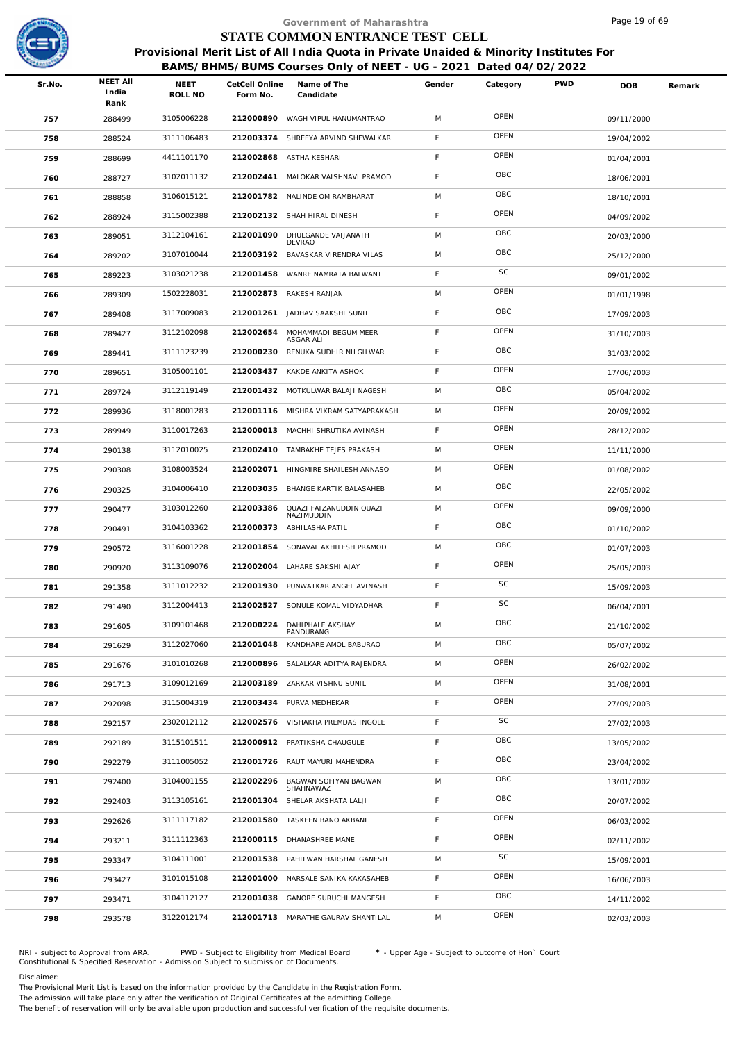

|        |                                  |                        |                            | Government of Maharashtra                                                                                                                                  |             |           |            | Page 19 of 69 |        |
|--------|----------------------------------|------------------------|----------------------------|------------------------------------------------------------------------------------------------------------------------------------------------------------|-------------|-----------|------------|---------------|--------|
|        |                                  |                        |                            | STATE COMMON ENTRANCE TEST CELL                                                                                                                            |             |           |            |               |        |
|        |                                  |                        |                            | Provisional Merit List of All India Quota in Private Unaided & Minority Institutes For<br>BAMS/BHMS/BUMS Courses Only of NEET - UG - 2021 Dated 04/02/2022 |             |           |            |               |        |
| Sr.No. | <b>NEET AII</b><br>India<br>Rank | <b>NEET</b><br>ROLL NO | CetCell Online<br>Form No. | Name of The<br>Candidate                                                                                                                                   | Gender      | Category  | <b>PWD</b> | <b>DOB</b>    | Remark |
| 757    | 288499                           | 3105006228             | 212000890                  | WAGH VIPUL HANUMANTRAO                                                                                                                                     | M           | OPEN      |            | 09/11/2000    |        |
| 758    | 288524                           | 3111106483             | 212003374                  | SHREEYA ARVIND SHEWALKAR                                                                                                                                   | F           | OPEN      |            | 19/04/2002    |        |
| 759    | 288699                           | 4411101170             |                            | 212002868 ASTHA KESHARI                                                                                                                                    | F           | OPEN      |            | 01/04/2001    |        |
| 760    | 288727                           | 3102011132             |                            | 212002441 MALOKAR VAISHNAVI PRAMOD                                                                                                                         | F           | OBC       |            | 18/06/2001    |        |
| 761    | 288858                           | 3106015121             |                            | 212001782 NALINDE OM RAMBHARAT                                                                                                                             | M           | OBC       |            | 18/10/2001    |        |
| 762    | 288924                           | 3115002388             |                            | 212002132 SHAH HIRAL DINESH                                                                                                                                | F           | OPEN      |            | 04/09/2002    |        |
| 763    | 289051                           | 3112104161             | 212001090                  | DHULGANDE VAIJANATH<br>DEVRAO                                                                                                                              | M           | OBC       |            | 20/03/2000    |        |
| 764    | 289202                           | 3107010044             | 212003192                  | BAVASKAR VIRENDRA VILAS                                                                                                                                    | M           | OBC       |            | 25/12/2000    |        |
| 765    | 289223                           | 3103021238             | 212001458                  | WANRE NAMRATA BALWANT                                                                                                                                      | F.          | SC        |            | 09/01/2002    |        |
| 766    | 289309                           | 1502228031             | 212002873                  | RAKESH RANJAN                                                                                                                                              | M           | OPEN      |            | 01/01/1998    |        |
| 767    | 289408                           | 3117009083             | 212001261                  | JADHAV SAAKSHI SUNIL                                                                                                                                       | F           | OBC       |            | 17/09/2003    |        |
| 768    | 289427                           | 3112102098             | 212002654                  | MOHAMMADI BEGUM MEER<br>ASGAR ALI                                                                                                                          | F           | OPEN      |            | 31/10/2003    |        |
| 769    | 289441                           | 3111123239             | 212000230                  | RENUKA SUDHIR NILGILWAR                                                                                                                                    | $\mathsf F$ | OBC       |            | 31/03/2002    |        |
| 770    | 289651                           | 3105001101             |                            | 212003437 KAKDE ANKITA ASHOK                                                                                                                               | F           | OPEN      |            | 17/06/2003    |        |
| 771    | 289724                           | 3112119149             |                            | 212001432 MOTKULWAR BALAJI NAGESH                                                                                                                          | M           | OBC       |            | 05/04/2002    |        |
| 772    | 289936                           | 3118001283             | 212001116                  | MISHRA VIKRAM SATYAPRAKASH                                                                                                                                 | M           | OPEN      |            | 20/09/2002    |        |
| 773    | 289949                           | 3110017263             |                            | 212000013 MACHHI SHRUTIKA AVINASH                                                                                                                          | F           | OPEN      |            | 28/12/2002    |        |
| 774    | 290138                           | 3112010025             | 212002410                  | TAMBAKHE TEJES PRAKASH                                                                                                                                     | M           | OPEN      |            | 11/11/2000    |        |
| 775    | 290308                           | 3108003524             | 212002071                  | HINGMIRE SHAILESH ANNASO                                                                                                                                   | M           | OPEN      |            | 01/08/2002    |        |
| 776    | 290325                           | 3104006410             | 212003035                  | BHANGE KARTIK BALASAHEB                                                                                                                                    | M           | OBC       |            | 22/05/2002    |        |
| 777    | 290477                           | 3103012260             | 212003386                  | QUAZI FAIZANUDDIN QUAZI<br>NAZIMUDDIN                                                                                                                      | M           | OPEN      |            | 09/09/2000    |        |
| 778    | 290491                           | 3104103362             | 212000373                  | ABHILASHA PATIL                                                                                                                                            | F.          | OBC       |            | 01/10/2002    |        |
| 779    | 290572                           | 3116001228             | 212001854                  | SONAVAL AKHILESH PRAMOD                                                                                                                                    | M           | OBC       |            | 01/07/2003    |        |
| 780    | 290920                           | 3113109076             |                            | 212002004 LAHARE SAKSHI AJAY                                                                                                                               | F           | OPEN      |            | 25/05/2003    |        |
| 781    | 291358                           | 3111012232             |                            | 212001930 PUNWATKAR ANGEL AVINASH                                                                                                                          | F.          | <b>SC</b> |            | 15/09/2003    |        |
| 782    | 291490                           | 3112004413             | 212002527                  | SONULE KOMAL VIDYADHAR                                                                                                                                     | F           | SC        |            | 06/04/2001    |        |
| 783    | 291605                           | 3109101468             | 212000224                  | DAHIPHALE AKSHAY<br>PANDURANG                                                                                                                              | M           | OBC       |            | 21/10/2002    |        |
| 784    | 291629                           | 3112027060             | 212001048                  | KANDHARE AMOL BABURAO                                                                                                                                      | M           | OBC       |            | 05/07/2002    |        |
| 785    | 291676                           | 3101010268             | 212000896                  | SALALKAR ADITYA RAJENDRA                                                                                                                                   | M           | OPEN      |            | 26/02/2002    |        |
| 786    | 291713                           | 3109012169             |                            | 212003189 ZARKAR VISHNU SUNIL                                                                                                                              | M           | OPEN      |            | 31/08/2001    |        |
| 787    | 292098                           | 3115004319             |                            | 212003434 PURVA MEDHEKAR                                                                                                                                   | F.          | OPEN      |            | 27/09/2003    |        |
| 788    | 292157                           | 2302012112             |                            | 212002576 VISHAKHA PREMDAS INGOLE                                                                                                                          | F           | SC        |            | 27/02/2003    |        |
| 789    | 292189                           | 3115101511             |                            | 212000912 PRATIKSHA CHAUGULE                                                                                                                               | F           | OBC       |            | 13/05/2002    |        |
| 790    | 292279                           | 3111005052             |                            | 212001726 RAUT MAYURI MAHENDRA                                                                                                                             | F           | OBC       |            | 23/04/2002    |        |
| 791    | 292400                           | 3104001155             | 212002296                  | BAGWAN SOFIYAN BAGWAN<br>SHAHNAWAZ                                                                                                                         | M           | OBC       |            | 13/01/2002    |        |
| 792    | 292403                           | 3113105161             | 212001304                  | SHELAR AKSHATA LALJI                                                                                                                                       | F           | OBC       |            | 20/07/2002    |        |
| 793    | 292626                           | 3111117182             | 212001580                  | TASKEEN BANO AKBANI                                                                                                                                        | F           | OPEN      |            | 06/03/2002    |        |
| 794    | 293211                           | 3111112363             |                            | 212000115 DHANASHREE MANE                                                                                                                                  | F           | OPEN      |            | 02/11/2002    |        |
| 795    | 293347                           | 3104111001             | 212001538                  | PAHILWAN HARSHAL GANESH                                                                                                                                    | M           | SC        |            | 15/09/2001    |        |
| 796    | 293427                           | 3101015108             | 212001000                  | NARSALE SANIKA KAKASAHEB                                                                                                                                   | F           | OPEN      |            | 16/06/2003    |        |
| 797    | 293471                           | 3104112127             | 212001038                  | GANORE SURUCHI MANGESH                                                                                                                                     | F           | OBC       |            | 14/11/2002    |        |
| 798    | 293578                           | 3122012174             |                            | 212001713 MARATHE GAURAV SHANTILAL                                                                                                                         | M           | OPEN      |            | 02/03/2003    |        |

NRI - subject to Approval from ARA. PWD - Subject to Eligibility from Medical Board \* - Upper Age - Subject to outcome of Hon` Court<br>Constitutional & Specified Reservation - Admission Subject to submissio

Disclaimer:

The Provisional Merit List is based on the information provided by the Candidate in the Registration Form.

The admission will take place only after the verification of Original Certificates at the admitting College.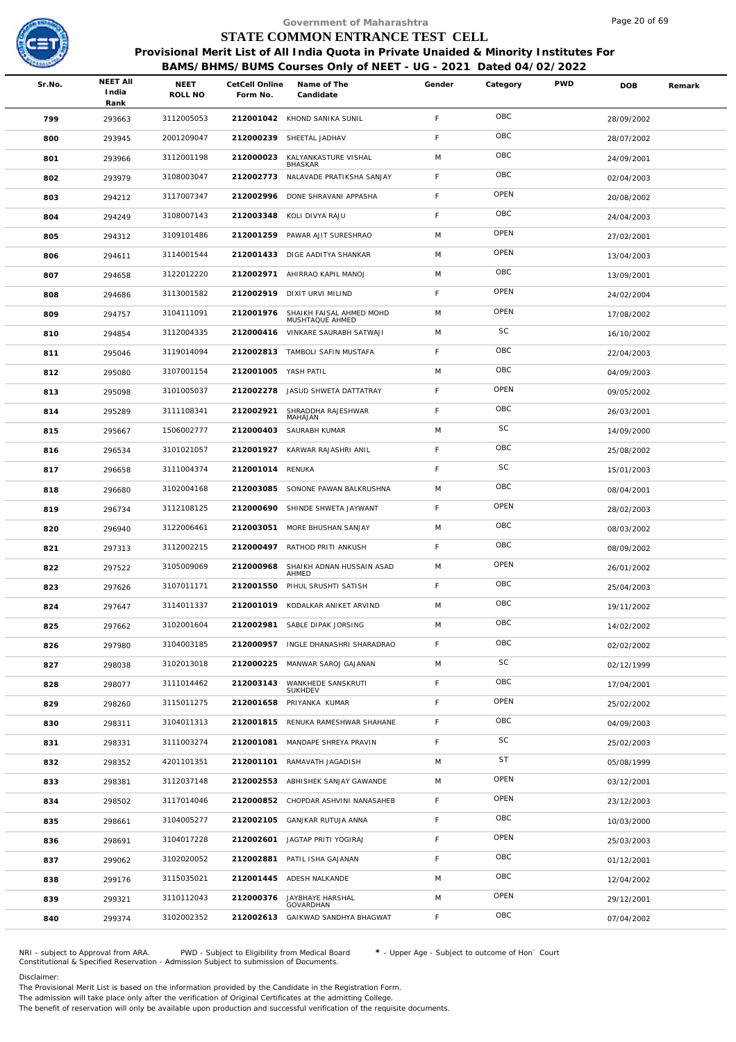

|        |                                  |                        |                            | Government of Maharashtra                                                                                                                                  |             |             |            | Page 20 of 69 |        |
|--------|----------------------------------|------------------------|----------------------------|------------------------------------------------------------------------------------------------------------------------------------------------------------|-------------|-------------|------------|---------------|--------|
|        |                                  |                        |                            | STATE COMMON ENTRANCE TEST CELL                                                                                                                            |             |             |            |               |        |
|        |                                  |                        |                            | Provisional Merit List of All India Quota in Private Unaided & Minority Institutes For<br>BAMS/BHMS/BUMS Courses Only of NEET - UG - 2021 Dated 04/02/2022 |             |             |            |               |        |
| Sr.No. | <b>NEET AII</b><br>India<br>Rank | <b>NEET</b><br>ROLL NO | CetCell Online<br>Form No. | Name of The<br>Candidate                                                                                                                                   | Gender      | Category    | <b>PWD</b> | <b>DOB</b>    | Remark |
| 799    | 293663                           | 3112005053             |                            | 212001042 KHOND SANIKA SUNIL                                                                                                                               | $\mathsf F$ | OBC         |            | 28/09/2002    |        |
| 800    | 293945                           | 2001209047             | 212000239                  | SHEETAL JADHAV                                                                                                                                             | F           | OBC         |            | 28/07/2002    |        |
| 801    | 293966                           | 3112001198             | 212000023                  | KALYANKASTURE VISHAL<br><b>BHASKAR</b>                                                                                                                     | M           | OBC         |            | 24/09/2001    |        |
| 802    | 293979                           | 3108003047             |                            | 212002773 NALAVADE PRATIKSHA SANJAY                                                                                                                        | F.          | OBC         |            | 02/04/2003    |        |
| 803    | 294212                           | 3117007347             |                            | 212002996 DONE SHRAVANI APPASHA                                                                                                                            | $\mathsf F$ | OPEN        |            | 20/08/2002    |        |
| 804    | 294249                           | 3108007143             |                            | 212003348 KOLI DIVYA RAJU                                                                                                                                  | F.          | OBC         |            | 24/04/2003    |        |
| 805    | 294312                           | 3109101486             |                            | 212001259 PAWAR AJIT SURESHRAO                                                                                                                             | M           | OPEN        |            | 27/02/2001    |        |
| 806    | 294611                           | 3114001544             |                            | 212001433 DIGE AADITYA SHANKAR                                                                                                                             | M           | OPEN        |            | 13/04/2003    |        |
| 807    | 294658                           | 3122012220             |                            | 212002971 AHIRRAO KAPIL MANOJ                                                                                                                              | M           | OBC         |            | 13/09/2001    |        |
| 808    | 294686                           | 3113001582             |                            | 212002919 DIXIT URVI MILIND                                                                                                                                | F.          | OPEN        |            | 24/02/2004    |        |
| 809    | 294757                           | 3104111091             | 212001976                  | SHAIKH FAISAL AHMED MOHD<br>MUSHTAQUE AHMED                                                                                                                | M           | OPEN        |            | 17/08/2002    |        |
| 810    | 294854                           | 3112004335             |                            | 212000416 VINKARE SAURABH SATWAJI                                                                                                                          | M           | SC          |            | 16/10/2002    |        |
| 811    | 295046                           | 3119014094             |                            | 212002813 TAMBOLI SAFIN MUSTAFA                                                                                                                            | F           | OBC         |            | 22/04/2003    |        |
| 812    | 295080                           | 3107001154             | 212001005 YASH PATIL       |                                                                                                                                                            | M           | OBC         |            | 04/09/2003    |        |
| 813    | 295098                           | 3101005037             |                            | 212002278 JASUD SHWETA DATTATRAY                                                                                                                           | F           | OPEN        |            | 09/05/2002    |        |
| 814    | 295289                           | 3111108341             | 212002921                  | SHRADDHA RAJESHWAR<br>MAHAJAN                                                                                                                              | F.          | OBC         |            | 26/03/2001    |        |
| 815    | 295667                           | 1506002777             |                            | 212000403 SAURABH KUMAR                                                                                                                                    | M           | SC          |            | 14/09/2000    |        |
| 816    | 296534                           | 3101021057             | 212001927                  | KARWAR RAJASHRI ANIL                                                                                                                                       | F.          | OBC         |            | 25/08/2002    |        |
| 817    | 296658                           | 3111004374             | 212001014 RENUKA           |                                                                                                                                                            | F.          | SC          |            | 15/01/2003    |        |
| 818    | 296680                           | 3102004168             |                            | 212003085 SONONE PAWAN BALKRUSHNA                                                                                                                          | M           | OBC         |            | 08/04/2001    |        |
| 819    | 296734                           | 3112108125             | 212000690                  | SHINDE SHWETA JAYWANT                                                                                                                                      | F           | OPEN        |            | 28/02/2003    |        |
| 820    | 296940                           | 3122006461             | 212003051                  | MORE BHUSHAN SANJAY                                                                                                                                        | M           | OBC         |            | 08/03/2002    |        |
| 821    | 297313                           | 3112002215             |                            | 212000497 RATHOD PRITI ANKUSH                                                                                                                              | F.          | OBC         |            | 08/09/2002    |        |
| 822    | 297522                           | 3105009069             |                            | 212000968 SHAIKH ADNAN HUSSAIN ASAD<br>AHMED                                                                                                               | M           | OPEN        |            | 26/01/2002    |        |
| 823    | 297626                           | 3107011171             |                            | 212001550 PIHUL SRUSHTI SATISH                                                                                                                             | F.          | OBC         |            | 25/04/2003    |        |
| 824    | 297647                           | 3114011337             |                            | 212001019 KODALKAR ANIKET ARVIND                                                                                                                           | M           | OBC         |            | 19/11/2002    |        |
| 825    | 297662                           | 3102001604             |                            | 212002981 SABLE DIPAK JORSING                                                                                                                              | M           | OBC         |            | 14/02/2002    |        |
| 826    | 297980                           | 3104003185             |                            | 212000957 INGLE DHANASHRI SHARADRAO                                                                                                                        | F.          | OBC         |            | 02/02/2002    |        |
| 827    | 298038                           | 3102013018             | 212000225                  | MANWAR SAROJ GAJANAN                                                                                                                                       | M           | SC          |            | 02/12/1999    |        |
| 828    | 298077                           | 3111014462             | 212003143                  | WANKHEDE SANSKRUTI<br><b>SUKHDEV</b>                                                                                                                       | F.          | OBC         |            | 17/04/2001    |        |
| 829    | 298260                           | 3115011275             |                            | 212001658 PRIYANKA KUMAR                                                                                                                                   | F.          | OPEN        |            | 25/02/2002    |        |
| 830    | 298311                           | 3104011313             |                            | 212001815 RENUKA RAMESHWAR SHAHANE                                                                                                                         | F.          | OBC         |            | 04/09/2003    |        |
| 831    | 298331                           | 3111003274             | 212001081                  | MANDAPE SHREYA PRAVIN                                                                                                                                      | $\mathsf F$ | SC          |            | 25/02/2003    |        |
| 832    | 298352                           | 4201101351             | 212001101                  | RAMAVATH JAGADISH                                                                                                                                          | M           | <b>ST</b>   |            | 05/08/1999    |        |
| 833    | 298381                           | 3112037148             |                            | 212002553 ABHISHEK SANJAY GAWANDE                                                                                                                          | M           | OPEN        |            | 03/12/2001    |        |
| 834    | 298502                           | 3117014046             |                            | 212000852 CHOPDAR ASHVINI NANASAHEB                                                                                                                        | $\mathsf F$ | OPEN        |            | 23/12/2003    |        |
| 835    | 298661                           | 3104005277             | 212002105                  | GANJKAR RUTUJA ANNA                                                                                                                                        | F           | OBC         |            | 10/03/2000    |        |
| 836    | 298691                           | 3104017228             |                            | 212002601 JAGTAP PRITI YOGIRAJ                                                                                                                             | F.          | <b>OPEN</b> |            | 25/03/2003    |        |
| 837    | 299062                           | 3102020052             |                            | 212002881 PATIL ISHA GAJANAN                                                                                                                               | F.          | OBC         |            | 01/12/2001    |        |
| 838    | 299176                           | 3115035021             |                            | 212001445 ADESH NALKANDE                                                                                                                                   | M           | OBC         |            | 12/04/2002    |        |
| 839    | 299321                           | 3110112043             |                            | 212000376 JAYBHAYE HARSHAL<br>GOVARDHAN                                                                                                                    | M           | OPEN        |            | 29/12/2001    |        |
| 840    | 299374                           | 3102002352             |                            | 212002613 GAIKWAD SANDHYA BHAGWAT                                                                                                                          | F.          | OBC         |            | 07/04/2002    |        |

NRI - subject to Approval from ARA. PWD - Subject to Eligibility from Medical Board \* - Upper Age - Subject to outcome of Hon` Court<br>Constitutional & Specified Reservation - Admission Subject to submissio

Disclaimer:

The Provisional Merit List is based on the information provided by the Candidate in the Registration Form. The admission will take place only after the verification of Original Certificates at the admitting College.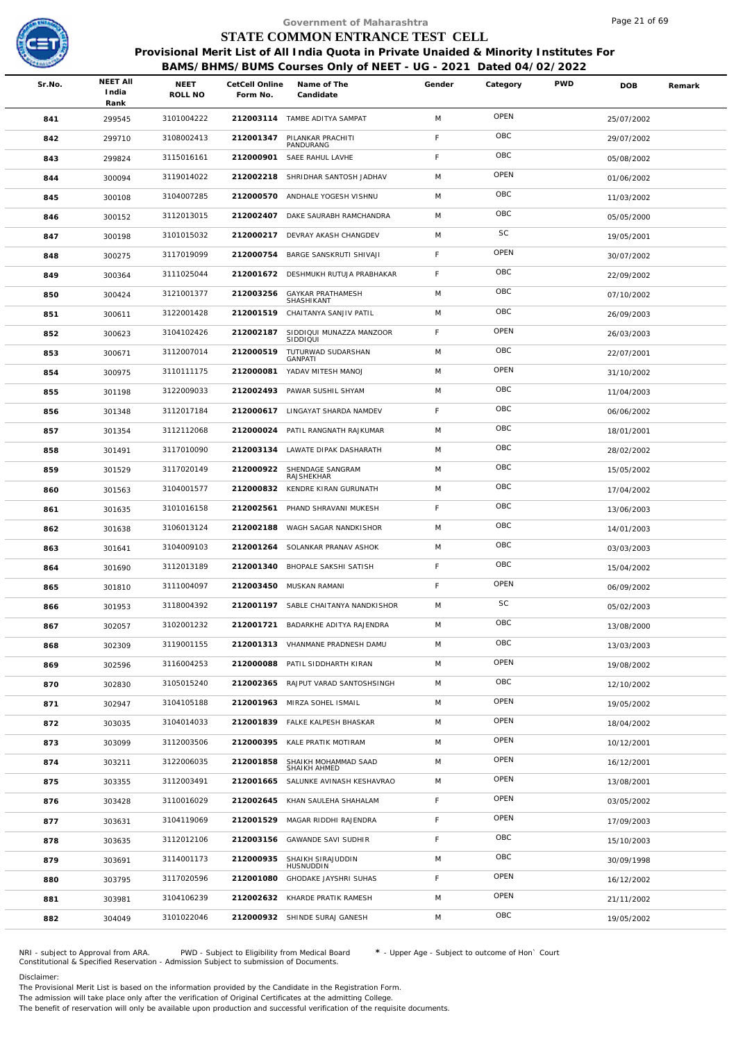

## **BAMS/BHMS/BUMS Courses Only of NEET - UG - 2021 Dated 04/02/2022**

|        |                                  |                        |                            | Government of Maharashtra                                                              |             |           |            | Page 21 of 69 |        |
|--------|----------------------------------|------------------------|----------------------------|----------------------------------------------------------------------------------------|-------------|-----------|------------|---------------|--------|
|        |                                  |                        |                            | STATE COMMON ENTRANCE TEST CELL                                                        |             |           |            |               |        |
|        |                                  |                        |                            | Provisional Merit List of All India Quota in Private Unaided & Minority Institutes For |             |           |            |               |        |
|        |                                  |                        |                            | BAMS/BHMS/BUMS Courses Only of NEET - UG - 2021 Dated 04/02/2022                       |             |           |            |               |        |
| Sr.No. | <b>NEET AII</b><br>India<br>Rank | <b>NEET</b><br>ROLL NO | CetCell Online<br>Form No. | Name of The<br>Candidate                                                               | Gender      | Category  | <b>PWD</b> | <b>DOB</b>    | Remark |
| 841    | 299545                           | 3101004222             |                            | 212003114 TAMBE ADITYA SAMPAT                                                          | M           | OPEN      |            | 25/07/2002    |        |
| 842    | 299710                           | 3108002413             | 212001347                  | PILANKAR PRACHITI<br>PANDURANG                                                         | F           | OBC       |            | 29/07/2002    |        |
| 843    | 299824                           | 3115016161             | 212000901                  | SAEE RAHUL LAVHE                                                                       | F           | OBC       |            | 05/08/2002    |        |
| 844    | 300094                           | 3119014022             |                            | 212002218 SHRIDHAR SANTOSH JADHAV                                                      | M           | OPEN      |            | 01/06/2002    |        |
| 845    | 300108                           | 3104007285             | 212000570                  | ANDHALE YOGESH VISHNU                                                                  | M           | OBC       |            | 11/03/2002    |        |
| 846    | 300152                           | 3112013015             |                            | 212002407 DAKE SAURABH RAMCHANDRA                                                      | M           | OBC       |            | 05/05/2000    |        |
| 847    | 300198                           | 3101015032             | 212000217                  | DEVRAY AKASH CHANGDEV                                                                  | M           | SC        |            | 19/05/2001    |        |
| 848    | 300275                           | 3117019099             | 212000754                  | BARGE SANSKRUTI SHIVAJI                                                                | F           | OPEN      |            | 30/07/2002    |        |
| 849    | 300364                           | 3111025044             |                            | 212001672 DESHMUKH RUTUJA PRABHAKAR                                                    | $\mathsf F$ | OBC       |            | 22/09/2002    |        |
| 850    | 300424                           | 3121001377             | 212003256                  | <b>GAYKAR PRATHAMESH</b>                                                               | M           | OBC       |            | 07/10/2002    |        |
| 851    | 300611                           | 3122001428             |                            | SHASHIKANT<br>212001519 CHAITANYA SANJIV PATIL                                         | M           | OBC       |            | 26/09/2003    |        |
| 852    | 300623                           | 3104102426             | 212002187                  | SIDDIQUI MUNAZZA MANZOOR                                                               | F           | OPEN      |            | 26/03/2003    |        |
| 853    | 300671                           | 3112007014             | 212000519                  | SIDDIQUI<br>TUTURWAD SUDARSHAN                                                         | M           | OBC       |            | 22/07/2001    |        |
| 854    | 300975                           | 3110111175             | 212000081                  | GANPATI<br>YADAV MITESH MANOJ                                                          | M           | OPEN      |            | 31/10/2002    |        |
| 855    | 301198                           | 3122009033             | 212002493                  | PAWAR SUSHIL SHYAM                                                                     | M           | OBC       |            | 11/04/2003    |        |
| 856    | 301348                           | 3112017184             |                            | 212000617 LINGAYAT SHARDA NAMDEV                                                       | F           | OBC       |            | 06/06/2002    |        |
| 857    | 301354                           | 3112112068             |                            | 212000024 PATIL RANGNATH RAJKUMAR                                                      | M           | OBC       |            | 18/01/2001    |        |
| 858    | 301491                           | 3117010090             | 212003134                  | LAWATE DIPAK DASHARATH                                                                 | M           | OBC       |            | 28/02/2002    |        |
| 859    | 301529                           | 3117020149             | 212000922                  | SHENDAGE SANGRAM                                                                       | M           | OBC       |            | 15/05/2002    |        |
| 860    | 301563                           | 3104001577             |                            | RAJSHEKHAR<br>212000832 KENDRE KIRAN GURUNATH                                          | M           | OBC       |            | 17/04/2002    |        |
| 861    | 301635                           | 3101016158             | 212002561                  | PHAND SHRAVANI MUKESH                                                                  | F           | OBC       |            | 13/06/2003    |        |
| 862    | 301638                           | 3106013124             | 212002188                  | WAGH SAGAR NANDKISHOR                                                                  | M           | OBC       |            | 14/01/2003    |        |
| 863    | 301641                           | 3104009103             | 212001264                  | SOLANKAR PRANAV ASHOK                                                                  | M           | OBC       |            | 03/03/2003    |        |
| 864    | 301690                           | 3112013189             |                            | 212001340 BHOPALE SAKSHI SATISH                                                        | F           | OBC       |            | 15/04/2002    |        |
| 865    | 301810                           | 3111004097             |                            | 212003450 MUSKAN RAMANI                                                                | F.          | OPEN      |            | 06/09/2002    |        |
| 866    | 301953                           | 3118004392             |                            | 212001197 SABLE CHAITANYA NANDKISHOR                                                   | M           | <b>SC</b> |            | 05/02/2003    |        |
| 867    | 302057                           | 3102001232             | 212001721                  | BADARKHE ADITYA RAJENDRA                                                               | M           | OBC       |            | 13/08/2000    |        |
| 868    | 302309                           | 3119001155             |                            | 212001313 VHANMANE PRADNESH DAMU                                                       | M           | OBC       |            | 13/03/2003    |        |
| 869    | 302596                           | 3116004253             | 212000088                  | PATIL SIDDHARTH KIRAN                                                                  | M           | OPEN      |            | 19/08/2002    |        |
| 870    | 302830                           | 3105015240             |                            | 212002365 RAJPUT VARAD SANTOSHSINGH                                                    | M           | OBC       |            | 12/10/2002    |        |
| 871    | 302947                           | 3104105188             |                            | 212001963 MIRZA SOHEL ISMAIL                                                           | M           | OPEN      |            | 19/05/2002    |        |
| 872    | 303035                           | 3104014033             |                            | 212001839 FALKE KALPESH BHASKAR                                                        | M           | OPEN      |            | 18/04/2002    |        |
| 873    | 303099                           | 3112003506             | 212000395                  | KALE PRATIK MOTIRAM                                                                    | M           | OPEN      |            | 10/12/2001    |        |
| 874    | 303211                           | 3122006035             | 212001858                  | SHAIKH MOHAMMAD SAAD                                                                   | M           | OPEN      |            | 16/12/2001    |        |
| 875    | 303355                           | 3112003491             | 212001665                  | SHAIKH AHMED<br>SALUNKE AVINASH KESHAVRAO                                              | M           | OPEN      |            | 13/08/2001    |        |
| 876    | 303428                           | 3110016029             |                            | 212002645 KHAN SAULEHA SHAHALAM                                                        | F           | OPEN      |            | 03/05/2002    |        |
| 877    | 303631                           | 3104119069             | 212001529                  | MAGAR RIDDHI RAJENDRA                                                                  | $\mathsf F$ | OPEN      |            | 17/09/2003    |        |
| 878    | 303635                           | 3112012106             |                            | 212003156 GAWANDE SAVI SUDHIR                                                          | F           | OBC       |            | 15/10/2003    |        |
| 879    | 303691                           | 3114001173             | 212000935                  | SHAIKH SIRAJUDDIN                                                                      | M           | OBC       |            | 30/09/1998    |        |
| 880    | 303795                           | 3117020596             | 212001080                  | HUSNUDDIN<br>GHODAKE JAYSHRI SUHAS                                                     | F           | OPEN      |            | 16/12/2002    |        |
| 881    | 303981                           | 3104106239             |                            | 212002632 KHARDE PRATIK RAMESH                                                         | M           | OPEN      |            | 21/11/2002    |        |
| 882    | 304049                           | 3101022046             |                            | 212000932 SHINDE SURAJ GANESH                                                          | M           | OBC       |            | 19/05/2002    |        |
|        |                                  |                        |                            |                                                                                        |             |           |            |               |        |

NRI - subject to Approval from ARA. PWD - Subject to Eligibility from Medical Board \* - Upper Age - Subject to outcome of Hon` Court<br>Constitutional & Specified Reservation - Admission Subject to submissio

Disclaimer:

The Provisional Merit List is based on the information provided by the Candidate in the Registration Form. The admission will take place only after the verification of Original Certificates at the admitting College.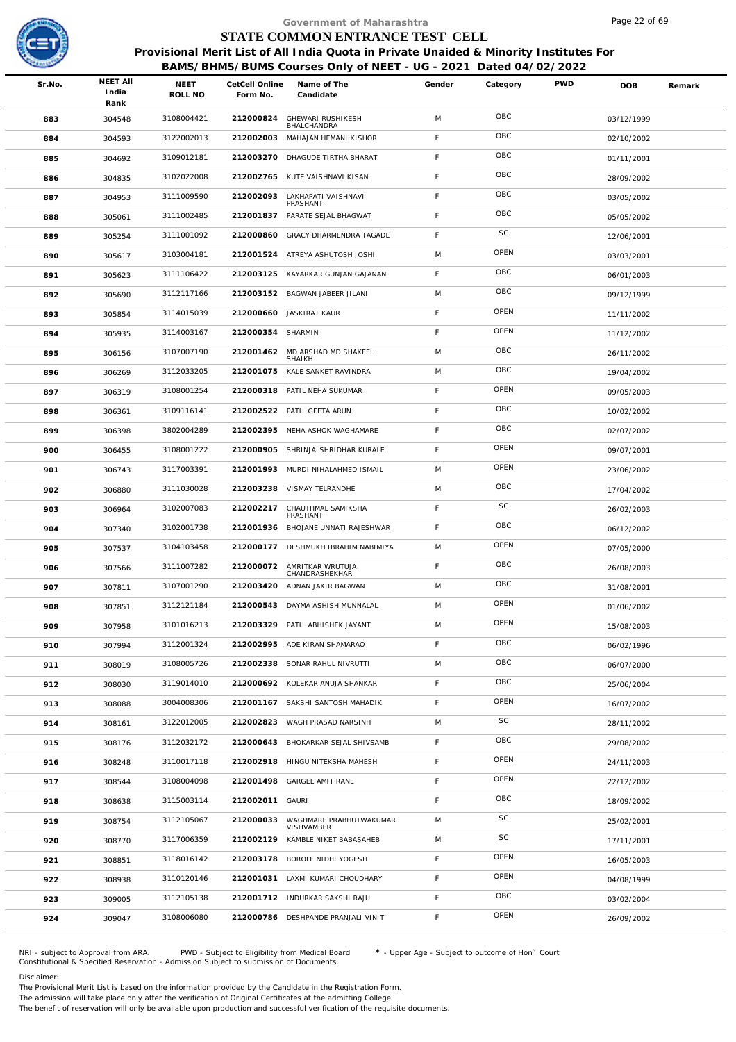

|        |                                  |                 |                            | Government of Maharashtra                                                              |             |          |            | Page 22 of 69 |        |
|--------|----------------------------------|-----------------|----------------------------|----------------------------------------------------------------------------------------|-------------|----------|------------|---------------|--------|
|        |                                  |                 |                            | STATE COMMON ENTRANCE TEST CELL                                                        |             |          |            |               |        |
|        |                                  |                 |                            | Provisional Merit List of All India Quota in Private Unaided & Minority Institutes For |             |          |            |               |        |
|        |                                  |                 |                            | BAMS/BHMS/BUMS Courses Only of NEET - UG - 2021 Dated 04/02/2022                       |             |          |            |               |        |
| Sr.No. | <b>NEET AII</b><br>India<br>Rank | NEET<br>ROLL NO | CetCell Online<br>Form No. | Name of The<br>Candidate                                                               | Gender      | Category | <b>PWD</b> | <b>DOB</b>    | Remark |
| 883    | 304548                           | 3108004421      | 212000824                  | GHEWARI RUSHIKESH<br>BHALCHANDRA                                                       | M           | OBC      |            | 03/12/1999    |        |
| 884    | 304593                           | 3122002013      | 212002003                  | MAHAJAN HEMANI KISHOR                                                                  | F           | OBC      |            | 02/10/2002    |        |
| 885    | 304692                           | 3109012181      | 212003270                  | DHAGUDE TIRTHA BHARAT                                                                  | $\mathsf F$ | OBC      |            | 01/11/2001    |        |
| 886    | 304835                           | 3102022008      |                            | 212002765 KUTE VAISHNAVI KISAN                                                         | F           | OBC      |            | 28/09/2002    |        |
| 887    | 304953                           | 3111009590      | 212002093                  | LAKHAPATI VAISHNAVI<br>PRASHANT                                                        | F           | OBC      |            | 03/05/2002    |        |
| 888    | 305061                           | 3111002485      | 212001837                  | PARATE SEJAL BHAGWAT                                                                   | F           | OBC      |            | 05/05/2002    |        |
| 889    | 305254                           | 3111001092      | 212000860                  | GRACY DHARMENDRA TAGADE                                                                | $\mathsf F$ | SC       |            | 12/06/2001    |        |
| 890    | 305617                           | 3103004181      | 212001524                  | ATREYA ASHUTOSH JOSHI                                                                  | M           | OPEN     |            | 03/03/2001    |        |
| 891    | 305623                           | 3111106422      |                            | 212003125 KAYARKAR GUNJAN GAJANAN                                                      | F           | OBC      |            | 06/01/2003    |        |
| 892    | 305690                           | 3112117166      |                            | 212003152 BAGWAN JABEER JILANI                                                         | M           | OBC      |            | 09/12/1999    |        |
| 893    | 305854                           | 3114015039      |                            | 212000660 JASKIRAT KAUR                                                                | F           | OPEN     |            | 11/11/2002    |        |
| 894    | 305935                           | 3114003167      | 212000354 SHARMIN          |                                                                                        | F           | OPEN     |            | 11/12/2002    |        |
| 895    | 306156                           | 3107007190      | 212001462                  | MD ARSHAD MD SHAKEEL<br><b>SHAIKH</b>                                                  | M           | OBC      |            | 26/11/2002    |        |
| 896    | 306269                           | 3112033205      |                            | 212001075 KALE SANKET RAVINDRA                                                         | M           | OBC      |            | 19/04/2002    |        |
| 897    | 306319                           | 3108001254      |                            | 212000318 PATIL NEHA SUKUMAR                                                           | F           | OPEN     |            | 09/05/2003    |        |
| 898    | 306361                           | 3109116141      |                            | 212002522 PATIL GEETA ARUN                                                             | F           | OBC      |            | 10/02/2002    |        |
| 899    | 306398                           | 3802004289      |                            | 212002395 NEHA ASHOK WAGHAMARE                                                         | F           | OBC      |            | 02/07/2002    |        |
| 900    | 306455                           | 3108001222      | 212000905                  | SHRINJALSHRIDHAR KURALE                                                                | F           | OPEN     |            | 09/07/2001    |        |
| 901    | 306743                           | 3117003391      |                            | 212001993 MURDI NIHALAHMED ISMAIL                                                      | M           | OPEN     |            | 23/06/2002    |        |
| 902    | 306880                           | 3111030028      |                            | 212003238 VISMAY TELRANDHE                                                             | M           | OBC      |            | 17/04/2002    |        |
| 903    | 306964                           | 3102007083      | 212002217                  | CHAUTHMAL SAMIKSHA<br>PRASHANT                                                         | $\mathsf F$ | SC       |            | 26/02/2003    |        |
| 904    | 307340                           | 3102001738      | 212001936                  | BHOJANE UNNATI RAJESHWAR                                                               | $\mathsf F$ | OBC      |            | 06/12/2002    |        |
| 905    | 307537                           | 3104103458      | 212000177                  | DESHMUKH IBRAHIM NABIMIYA                                                              | M           | OPEN     |            | 07/05/2000    |        |
| 906    | 307566                           | 3111007282      |                            | 212000072 AMRITKAR WRUTUJA<br>CHANDRASHEKHAR                                           | F           | OBC      |            | 26/08/2003    |        |
| 907    | 307811                           | 3107001290      |                            | 212003420 ADNAN JAKIR BAGWAN                                                           | M           | OBC      |            | 31/08/2001    |        |
| 908    | 307851                           | 3112121184      | 212000543                  | DAYMA ASHISH MUNNALAL                                                                  | M           | OPEN     |            | 01/06/2002    |        |
| 909    | 307958                           | 3101016213      | 212003329                  | PATIL ABHISHEK JAYANT                                                                  | M           | OPEN     |            | 15/08/2003    |        |
| 910    | 307994                           | 3112001324      |                            | 212002995 ADE KIRAN SHAMARAO                                                           | $\mathsf F$ | OBC      |            | 06/02/1996    |        |
| 911    | 308019                           | 3108005726      | 212002338                  | SONAR RAHUL NIVRUTTI                                                                   | M           | OBC      |            | 06/07/2000    |        |
| 912    | 308030                           | 3119014010      |                            | 212000692 KOLEKAR ANUJA SHANKAR                                                        | F.          | OBC      |            | 25/06/2004    |        |
| 913    | 308088                           | 3004008306      |                            | 212001167 SAKSHI SANTOSH MAHADIK                                                       | $\mathsf F$ | OPEN     |            | 16/07/2002    |        |
| 914    | 308161                           | 3122012005      | 212002823                  | WAGH PRASAD NARSINH                                                                    | M           | SC       |            | 28/11/2002    |        |
| 915    | 308176                           | 3112032172      | 212000643                  | BHOKARKAR SEJAL SHIVSAMB                                                               | $\mathsf F$ | OBC      |            | 29/08/2002    |        |
| 916    | 308248                           | 3110017118      |                            | 212002918 HINGU NITEKSHA MAHESH                                                        | $\mathsf F$ | OPEN     |            | 24/11/2003    |        |
| 917    | 308544                           | 3108004098      |                            | 212001498 GARGEE AMIT RANE                                                             | $\mathsf F$ | OPEN     |            | 22/12/2002    |        |
| 918    | 308638                           | 3115003114      | 212002011 GAURI            |                                                                                        | F           | OBC      |            | 18/09/2002    |        |
| 919    | 308754                           | 3112105067      | 212000033                  | WAGHMARE PRABHUTWAKUMAR<br>VISHVAMBER                                                  | M           | SC       |            | 25/02/2001    |        |
| 920    | 308770                           | 3117006359      | 212002129                  | KAMBLE NIKET BABASAHEB                                                                 | M           | SC       |            | 17/11/2001    |        |
| 921    | 308851                           | 3118016142      |                            | 212003178 BOROLE NIDHI YOGESH                                                          | $\mathsf F$ | OPEN     |            | 16/05/2003    |        |
| 922    | 308938                           | 3110120146      |                            | 212001031 LAXMI KUMARI CHOUDHARY                                                       | $\mathsf F$ | OPEN     |            | 04/08/1999    |        |
| 923    | 309005                           | 3112105138      |                            | 212001712 INDURKAR SAKSHI RAJU                                                         | $\mathsf F$ | OBC      |            | 03/02/2004    |        |
| 924    | 309047                           | 3108006080      |                            | 212000786 DESHPANDE PRANJALI VINIT                                                     | F.          | OPEN     |            | 26/09/2002    |        |

NRI - subject to Approval from ARA. PWD - Subject to Eligibility from Medical Board \* - Upper Age - Subject to outcome of Hon` Court<br>Constitutional & Specified Reservation - Admission Subject to submissio

Disclaimer:

The Provisional Merit List is based on the information provided by the Candidate in the Registration Form. The admission will take place only after the verification of Original Certificates at the admitting College.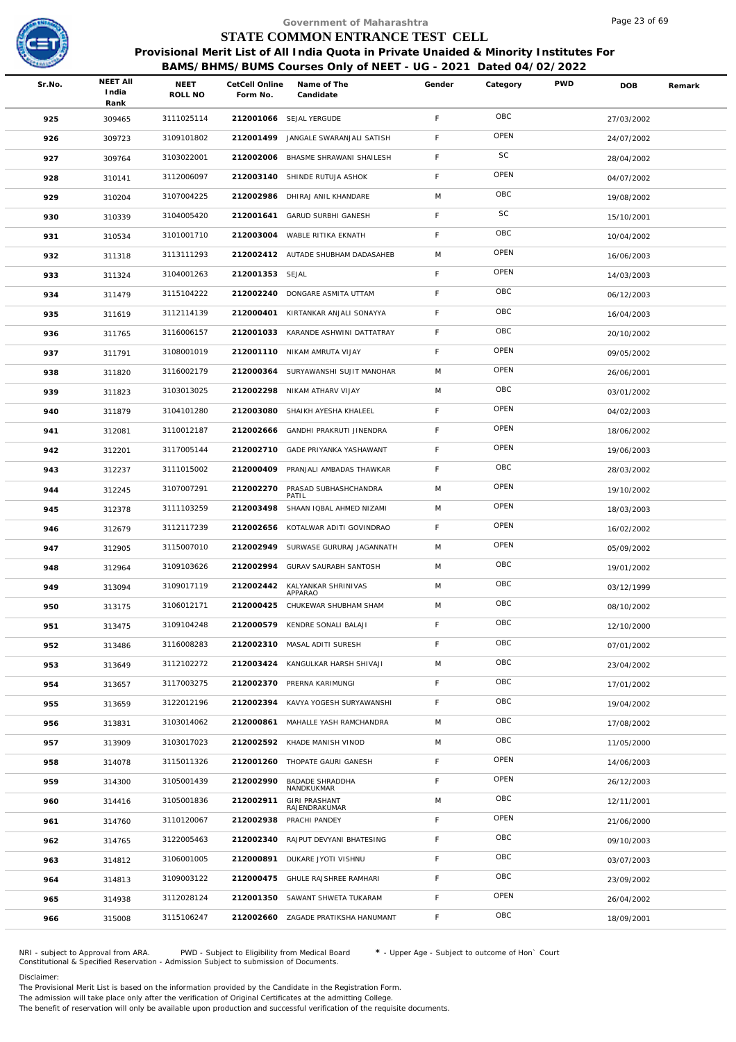

|        |               |                 |           |                                       |                                                                                                                                                                                                                                                                                                                                                                                                                                                                                                                                                             |                           |                                 | Page 23 of 69                                                    |                                                                                        |
|--------|---------------|-----------------|-----------|---------------------------------------|-------------------------------------------------------------------------------------------------------------------------------------------------------------------------------------------------------------------------------------------------------------------------------------------------------------------------------------------------------------------------------------------------------------------------------------------------------------------------------------------------------------------------------------------------------------|---------------------------|---------------------------------|------------------------------------------------------------------|----------------------------------------------------------------------------------------|
|        |               |                 |           |                                       |                                                                                                                                                                                                                                                                                                                                                                                                                                                                                                                                                             |                           |                                 |                                                                  |                                                                                        |
|        |               |                 |           |                                       |                                                                                                                                                                                                                                                                                                                                                                                                                                                                                                                                                             |                           |                                 |                                                                  |                                                                                        |
|        |               |                 |           |                                       |                                                                                                                                                                                                                                                                                                                                                                                                                                                                                                                                                             |                           |                                 |                                                                  |                                                                                        |
| Sr.No. | India<br>Rank | NEET<br>ROLL NO | Form No.  | Name of The<br>Candidate              | Gender                                                                                                                                                                                                                                                                                                                                                                                                                                                                                                                                                      | Category                  | <b>PWD</b>                      | DOB                                                              | Remark                                                                                 |
| 925    | 309465        | 3111025114      |           |                                       | F                                                                                                                                                                                                                                                                                                                                                                                                                                                                                                                                                           | OBC                       |                                 | 27/03/2002                                                       |                                                                                        |
| 926    | 309723        | 3109101802      | 212001499 | JANGALE SWARANJALI SATISH             | F                                                                                                                                                                                                                                                                                                                                                                                                                                                                                                                                                           | OPEN                      |                                 | 24/07/2002                                                       |                                                                                        |
| 927    | 309764        | 3103022001      | 212002006 | BHASME SHRAWANI SHAILESH              | F                                                                                                                                                                                                                                                                                                                                                                                                                                                                                                                                                           | SC                        |                                 | 28/04/2002                                                       |                                                                                        |
| 928    | 310141        | 3112006097      |           |                                       | $\mathsf F$                                                                                                                                                                                                                                                                                                                                                                                                                                                                                                                                                 | OPEN                      |                                 | 04/07/2002                                                       |                                                                                        |
| 929    | 310204        | 3107004225      | 212002986 | DHIRAJ ANIL KHANDARE                  | M                                                                                                                                                                                                                                                                                                                                                                                                                                                                                                                                                           | OBC                       |                                 | 19/08/2002                                                       |                                                                                        |
| 930    | 310339        | 3104005420      |           |                                       | $\mathsf F$                                                                                                                                                                                                                                                                                                                                                                                                                                                                                                                                                 | SC                        |                                 | 15/10/2001                                                       |                                                                                        |
| 931    | 310534        | 3101001710      |           |                                       | $\mathsf F$                                                                                                                                                                                                                                                                                                                                                                                                                                                                                                                                                 | OBC                       |                                 | 10/04/2002                                                       |                                                                                        |
| 932    | 311318        | 3113111293      |           |                                       | M                                                                                                                                                                                                                                                                                                                                                                                                                                                                                                                                                           | OPEN                      |                                 | 16/06/2003                                                       |                                                                                        |
| 933    | 311324        | 3104001263      |           |                                       | F                                                                                                                                                                                                                                                                                                                                                                                                                                                                                                                                                           | OPEN                      |                                 | 14/03/2003                                                       |                                                                                        |
| 934    | 311479        | 3115104222      | 212002240 | DONGARE ASMITA UTTAM                  | $\mathsf F$                                                                                                                                                                                                                                                                                                                                                                                                                                                                                                                                                 | OBC                       |                                 | 06/12/2003                                                       |                                                                                        |
| 935    | 311619        | 3112114139      | 212000401 | KIRTANKAR ANJALI SONAYYA              | F.                                                                                                                                                                                                                                                                                                                                                                                                                                                                                                                                                          | OBC                       |                                 | 16/04/2003                                                       |                                                                                        |
| 936    | 311765        | 3116006157      |           |                                       | $\mathsf F$                                                                                                                                                                                                                                                                                                                                                                                                                                                                                                                                                 | OBC                       |                                 | 20/10/2002                                                       |                                                                                        |
| 937    | 311791        | 3108001019      | 212001110 |                                       | $\mathsf F$                                                                                                                                                                                                                                                                                                                                                                                                                                                                                                                                                 | OPEN                      |                                 | 09/05/2002                                                       |                                                                                        |
| 938    | 311820        | 3116002179      |           |                                       | M                                                                                                                                                                                                                                                                                                                                                                                                                                                                                                                                                           | OPEN                      |                                 | 26/06/2001                                                       |                                                                                        |
| 939    | 311823        | 3103013025      | 212002298 |                                       | M                                                                                                                                                                                                                                                                                                                                                                                                                                                                                                                                                           | OBC                       |                                 | 03/01/2002                                                       |                                                                                        |
| 940    | 311879        | 3104101280      | 212003080 | SHAIKH AYESHA KHALEEL                 | F                                                                                                                                                                                                                                                                                                                                                                                                                                                                                                                                                           | OPEN                      |                                 | 04/02/2003                                                       |                                                                                        |
| 941    | 312081        | 3110012187      | 212002666 |                                       | F                                                                                                                                                                                                                                                                                                                                                                                                                                                                                                                                                           | OPEN                      |                                 | 18/06/2002                                                       |                                                                                        |
| 942    | 312201        | 3117005144      | 212002710 | GADE PRIYANKA YASHAWANT               | F                                                                                                                                                                                                                                                                                                                                                                                                                                                                                                                                                           | OPEN                      |                                 | 19/06/2003                                                       |                                                                                        |
| 943    | 312237        | 3111015002      | 212000409 | PRANJALI AMBADAS THAWKAR              | $\mathsf F$                                                                                                                                                                                                                                                                                                                                                                                                                                                                                                                                                 | OBC                       |                                 | 28/03/2002                                                       |                                                                                        |
| 944    | 312245        | 3107007291      | 212002270 | PRASAD SUBHASHCHANDRA<br>PATIL        | M                                                                                                                                                                                                                                                                                                                                                                                                                                                                                                                                                           | OPEN                      |                                 | 19/10/2002                                                       |                                                                                        |
| 945    | 312378        | 3111103259      | 212003498 | SHAAN IQBAL AHMED NIZAMI              | M                                                                                                                                                                                                                                                                                                                                                                                                                                                                                                                                                           | OPEN                      |                                 | 18/03/2003                                                       |                                                                                        |
| 946    | 312679        | 3112117239      | 212002656 | KOTALWAR ADITI GOVINDRAO              | F.                                                                                                                                                                                                                                                                                                                                                                                                                                                                                                                                                          | OPEN                      |                                 | 16/02/2002                                                       |                                                                                        |
| 947    | 312905        | 3115007010      | 212002949 | SURWASE GURURAJ JAGANNATH             | M                                                                                                                                                                                                                                                                                                                                                                                                                                                                                                                                                           | OPEN                      |                                 | 05/09/2002                                                       |                                                                                        |
| 948    | 312964        | 3109103626      |           |                                       | M                                                                                                                                                                                                                                                                                                                                                                                                                                                                                                                                                           | OBC                       |                                 | 19/01/2002                                                       |                                                                                        |
| 949    | 313094        | 3109017119      | 212002442 | KALYANKAR SHRINIVAS<br>APPARAO        | M                                                                                                                                                                                                                                                                                                                                                                                                                                                                                                                                                           | OBC                       |                                 | 03/12/1999                                                       |                                                                                        |
| 950    | 313175        | 3106012171      | 212000425 | CHUKEWAR SHUBHAM SHAM                 | M                                                                                                                                                                                                                                                                                                                                                                                                                                                                                                                                                           | OBC                       |                                 | 08/10/2002                                                       |                                                                                        |
| 951    | 313475        | 3109104248      | 212000579 | KENDRE SONALI BALAJI                  | F                                                                                                                                                                                                                                                                                                                                                                                                                                                                                                                                                           | OBC                       |                                 | 12/10/2000                                                       |                                                                                        |
| 952    | 313486        | 3116008283      |           |                                       | F                                                                                                                                                                                                                                                                                                                                                                                                                                                                                                                                                           | OBC                       |                                 | 07/01/2002                                                       |                                                                                        |
| 953    | 313649        | 3112102272      | 212003424 | KANGULKAR HARSH SHIVAJI               | M                                                                                                                                                                                                                                                                                                                                                                                                                                                                                                                                                           | OBC                       |                                 | 23/04/2002                                                       |                                                                                        |
| 954    | 313657        | 3117003275      |           |                                       | F                                                                                                                                                                                                                                                                                                                                                                                                                                                                                                                                                           | OBC                       |                                 | 17/01/2002                                                       |                                                                                        |
| 955    | 313659        | 3122012196      | 212002394 | KAVYA YOGESH SURYAWANSHI              | F                                                                                                                                                                                                                                                                                                                                                                                                                                                                                                                                                           | OBC                       |                                 | 19/04/2002                                                       |                                                                                        |
| 956    | 313831        | 3103014062      | 212000861 | MAHALLE YASH RAMCHANDRA               | M                                                                                                                                                                                                                                                                                                                                                                                                                                                                                                                                                           | OBC                       |                                 | 17/08/2002                                                       |                                                                                        |
| 957    | 313909        | 3103017023      |           |                                       | M                                                                                                                                                                                                                                                                                                                                                                                                                                                                                                                                                           | OBC                       |                                 | 11/05/2000                                                       |                                                                                        |
| 958    | 314078        | 3115011326      |           |                                       | F                                                                                                                                                                                                                                                                                                                                                                                                                                                                                                                                                           | OPEN                      |                                 | 14/06/2003                                                       |                                                                                        |
| 959    | 314300        | 3105001439      | 212002990 | BADADE SHRADDHA<br>NANDKUKMAR         | F                                                                                                                                                                                                                                                                                                                                                                                                                                                                                                                                                           | OPEN                      |                                 | 26/12/2003                                                       |                                                                                        |
| 960    | 314416        | 3105001836      | 212002911 | <b>GIRI PRASHANT</b><br>RAJENDRAKUMAR | M                                                                                                                                                                                                                                                                                                                                                                                                                                                                                                                                                           | OBC                       |                                 | 12/11/2001                                                       |                                                                                        |
| 961    | 314760        | 3110120067      | 212002938 | PRACHI PANDEY                         | F                                                                                                                                                                                                                                                                                                                                                                                                                                                                                                                                                           | OPEN                      |                                 | 21/06/2000                                                       |                                                                                        |
| 962    | 314765        | 3122005463      | 212002340 | RAJPUT DEVYANI BHATESING              | F                                                                                                                                                                                                                                                                                                                                                                                                                                                                                                                                                           | OBC                       |                                 | 09/10/2003                                                       |                                                                                        |
| 963    | 314812        | 3106001005      | 212000891 | DUKARE JYOTI VISHNU                   | F                                                                                                                                                                                                                                                                                                                                                                                                                                                                                                                                                           | OBC                       |                                 | 03/07/2003                                                       |                                                                                        |
| 964    | 314813        | 3109003122      | 212000475 | GHULE RAJSHREE RAMHARI                | F                                                                                                                                                                                                                                                                                                                                                                                                                                                                                                                                                           | OBC                       |                                 | 23/09/2002                                                       |                                                                                        |
| 965    | 314938        | 3112028124      | 212001350 | SAWANT SHWETA TUKARAM                 | F                                                                                                                                                                                                                                                                                                                                                                                                                                                                                                                                                           | OPEN                      |                                 | 26/04/2002                                                       |                                                                                        |
| 966    | 315008        | 3115106247      | 212002660 |                                       | F.                                                                                                                                                                                                                                                                                                                                                                                                                                                                                                                                                          | OBC                       |                                 | 18/09/2001                                                       |                                                                                        |
|        |               | <b>NEET AII</b> |           |                                       | CetCell Online<br>212001066 SEJAL YERGUDE<br>212003140 SHINDE RUTUJA ASHOK<br>212001641 GARUD SURBHI GANESH<br>212003004 WABLE RITIKA EKNATH<br>212002412 AUTADE SHUBHAM DADASAHEB<br>212001353 SEJAL<br>212001033 KARANDE ASHWINI DATTATRAY<br>NIKAM AMRUTA VIJAY<br>212000364 SURYAWANSHI SUJIT MANOHAR<br>NIKAM ATHARV VIJAY<br>GANDHI PRAKRUTI JINENDRA<br>212002994 GURAV SAURABH SANTOSH<br>212002310 MASAL ADITI SURESH<br>212002370 PRERNA KARIMUNGI<br>212002592 KHADE MANISH VINOD<br>212001260 THOPATE GAURI GANESH<br>ZAGADE PRATIKSHA HANUMANT | Government of Maharashtra | STATE COMMON ENTRANCE TEST CELL | BAMS/BHMS/BUMS Courses Only of NEET - UG - 2021 Dated 04/02/2022 | Provisional Merit List of All India Quota in Private Unaided & Minority Institutes For |

NRI - subject to Approval from ARA. PWD - Subject to Eligibility from Medical Board \* - Upper Age - Subject to outcome of Hon` Court<br>Constitutional & Specified Reservation - Admission Subject to submissio

Disclaimer:

The Provisional Merit List is based on the information provided by the Candidate in the Registration Form.

The admission will take place only after the verification of Original Certificates at the admitting College.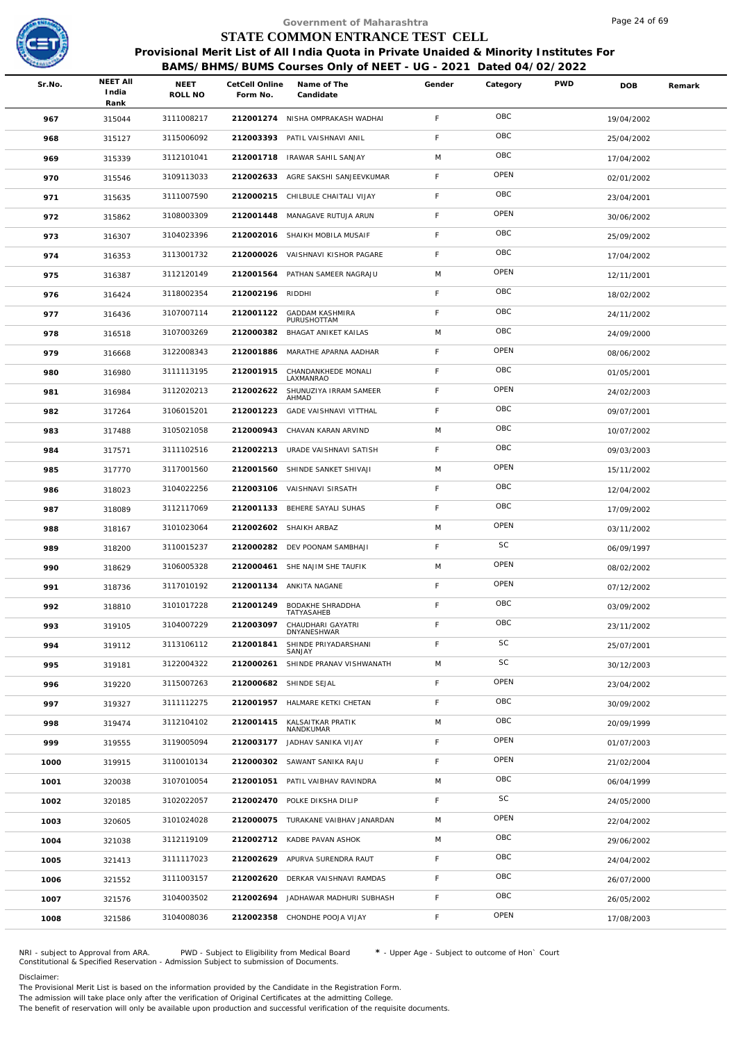

|        |                                  |                        |                            | Government of Maharashtra                                                                                                                                  |             |          |            | Page 24 of 69 |        |
|--------|----------------------------------|------------------------|----------------------------|------------------------------------------------------------------------------------------------------------------------------------------------------------|-------------|----------|------------|---------------|--------|
|        |                                  |                        |                            | STATE COMMON ENTRANCE TEST CELL                                                                                                                            |             |          |            |               |        |
|        |                                  |                        |                            | Provisional Merit List of All India Quota in Private Unaided & Minority Institutes For<br>BAMS/BHMS/BUMS Courses Only of NEET - UG - 2021 Dated 04/02/2022 |             |          |            |               |        |
| Sr.No. | <b>NEET AII</b><br>India<br>Rank | <b>NEET</b><br>ROLL NO | CetCell Online<br>Form No. | Name of The<br>Candidate                                                                                                                                   | Gender      | Category | <b>PWD</b> | <b>DOB</b>    | Remark |
| 967    | 315044                           | 3111008217             |                            | 212001274 NISHA OMPRAKASH WADHAI                                                                                                                           | F           | OBC      |            | 19/04/2002    |        |
| 968    | 315127                           | 3115006092             | 212003393                  | PATIL VAISHNAVI ANIL                                                                                                                                       | F.          | OBC      |            | 25/04/2002    |        |
| 969    | 315339                           | 3112101041             | 212001718                  | IRAWAR SAHIL SANJAY                                                                                                                                        | M           | OBC      |            | 17/04/2002    |        |
| 970    | 315546                           | 3109113033             |                            | 212002633 AGRE SAKSHI SANJEEVKUMAR                                                                                                                         | F           | OPEN     |            | 02/01/2002    |        |
| 971    | 315635                           | 3111007590             |                            | 212000215 CHILBULE CHAITALI VIJAY                                                                                                                          | $\mathsf F$ | OBC      |            | 23/04/2001    |        |
| 972    | 315862                           | 3108003309             |                            | 212001448 MANAGAVE RUTUJA ARUN                                                                                                                             | F.          | OPEN     |            | 30/06/2002    |        |
| 973    | 316307                           | 3104023396             |                            | 212002016 SHAIKH MOBILA MUSAIF                                                                                                                             | F           | OBC      |            | 25/09/2002    |        |
| 974    | 316353                           | 3113001732             |                            | 212000026 VAISHNAVI KISHOR PAGARE                                                                                                                          | F.          | OBC      |            | 17/04/2002    |        |
| 975    | 316387                           | 3112120149             |                            | 212001564 PATHAN SAMEER NAGRAJU                                                                                                                            | M           | OPEN     |            | 12/11/2001    |        |
| 976    | 316424                           | 3118002354             | 212002196 RIDDHI           |                                                                                                                                                            | F.          | OBC      |            | 18/02/2002    |        |
| 977    | 316436                           | 3107007114             | 212001122                  | <b>GADDAM KASHMIRA</b><br>PURUSHOTTAM                                                                                                                      | F.          | OBC      |            | 24/11/2002    |        |
| 978    | 316518                           | 3107003269             | 212000382                  | BHAGAT ANIKET KAILAS                                                                                                                                       | M           | OBC      |            | 24/09/2000    |        |
| 979    | 316668                           | 3122008343             | 212001886                  | MARATHE APARNA AADHAR                                                                                                                                      | F           | OPEN     |            | 08/06/2002    |        |
| 980    | 316980                           | 3111113195             | 212001915                  | CHANDANKHEDE MONALI<br>LAXMANRAO                                                                                                                           | F.          | OBC      |            | 01/05/2001    |        |
| 981    | 316984                           | 3112020213             | 212002622                  | SHUNUZIYA IRRAM SAMEER<br>AHMAD                                                                                                                            | F           | OPEN     |            | 24/02/2003    |        |
| 982    | 317264                           | 3106015201             | 212001223                  | GADE VAISHNAVI VITTHAL                                                                                                                                     | F.          | OBC      |            | 09/07/2001    |        |
| 983    | 317488                           | 3105021058             |                            | 212000943 CHAVAN KARAN ARVIND                                                                                                                              | M           | OBC      |            | 10/07/2002    |        |
| 984    | 317571                           | 3111102516             |                            | 212002213 URADE VAISHNAVI SATISH                                                                                                                           | F.          | OBC      |            | 09/03/2003    |        |
| 985    | 317770                           | 3117001560             |                            | 212001560 SHINDE SANKET SHIVAJI                                                                                                                            | M           | OPEN     |            | 15/11/2002    |        |
| 986    | 318023                           | 3104022256             |                            | 212003106 VAISHNAVI SIRSATH                                                                                                                                | F           | OBC      |            | 12/04/2002    |        |
| 987    | 318089                           | 3112117069             |                            | 212001133 BEHERE SAYALI SUHAS                                                                                                                              | F           | OBC      |            | 17/09/2002    |        |
| 988    | 318167                           | 3101023064             |                            | 212002602 SHAIKH ARBAZ                                                                                                                                     | M           | OPEN     |            | 03/11/2002    |        |
| 989    | 318200                           | 3110015237             |                            | 212000282 DEV POONAM SAMBHAJI                                                                                                                              | F.          | SC       |            | 06/09/1997    |        |
| 990    | 318629                           | 3106005328             |                            | 212000461 SHE NAJIM SHE TAUFIK                                                                                                                             | M           | OPEN     |            | 08/02/2002    |        |
| 991    | 318736                           | 3117010192             |                            | 212001134 ANKITA NAGANE                                                                                                                                    | F           | OPEN     |            | 07/12/2002    |        |
| 992    | 318810                           | 3101017228             | 212001249                  | <b>BODAKHE SHRADDHA</b><br>TATYASAHEB                                                                                                                      | F.          | OBC      |            | 03/09/2002    |        |
| 993    | 319105                           | 3104007229             | 212003097                  | CHAUDHARI GAYATRI<br><b>DNYANESHWAR</b>                                                                                                                    | F           | OBC      |            | 23/11/2002    |        |
| 994    | 319112                           | 3113106112             | 212001841                  | SHINDE PRIYADARSHANI<br>SANJAY                                                                                                                             | F           | SC       |            | 25/07/2001    |        |
| 995    | 319181                           | 3122004322             | 212000261                  | SHINDE PRANAV VISHWANATH                                                                                                                                   | M           | SC       |            | 30/12/2003    |        |
| 996    | 319220                           | 3115007263             |                            | 212000682 SHINDE SEJAL                                                                                                                                     | F.          | OPEN     |            | 23/04/2002    |        |
| 997    | 319327                           | 3111112275             |                            | 212001957 HALMARE KETKI CHETAN                                                                                                                             | F.          | OBC      |            | 30/09/2002    |        |
| 998    | 319474                           | 3112104102             | 212001415                  | KALSAITKAR PRATIK<br>NANDKUMAR                                                                                                                             | M           | OBC      |            | 20/09/1999    |        |
| 999    | 319555                           | 3119005094             |                            | 212003177 JADHAV SANIKA VIJAY                                                                                                                              | F           | OPEN     |            | 01/07/2003    |        |
| 1000   | 319915                           | 3110010134             |                            | 212000302 SAWANT SANIKA RAJU                                                                                                                               | F.          | OPEN     |            | 21/02/2004    |        |
| 1001   | 320038                           | 3107010054             |                            | 212001051 PATIL VAIBHAV RAVINDRA                                                                                                                           | M           | OBC      |            | 06/04/1999    |        |
| 1002   | 320185                           | 3102022057             |                            | 212002470 POLKE DIKSHA DILIP                                                                                                                               | F           | SC       |            | 24/05/2000    |        |
| 1003   | 320605                           | 3101024028             |                            | 212000075 TURAKANE VAIBHAV JANARDAN                                                                                                                        | M           | OPEN     |            | 22/04/2002    |        |
| 1004   | 321038                           | 3112119109             |                            | 212002712 KADBE PAVAN ASHOK                                                                                                                                | M           | OBC      |            | 29/06/2002    |        |
| 1005   | 321413                           | 3111117023             |                            | 212002629 APURVA SURENDRA RAUT                                                                                                                             | F           | OBC      |            | 24/04/2002    |        |
| 1006   | 321552                           | 3111003157             |                            | 212002620 DERKAR VAISHNAVI RAMDAS                                                                                                                          | F           | OBC      |            | 26/07/2000    |        |
| 1007   | 321576                           | 3104003502             |                            | 212002694 JADHAWAR MADHURI SUBHASH                                                                                                                         | F           | OBC      |            | 26/05/2002    |        |
| 1008   | 321586                           | 3104008036             |                            | 212002358 CHONDHE POOJA VIJAY                                                                                                                              | F.          | OPEN     |            | 17/08/2003    |        |
|        |                                  |                        |                            |                                                                                                                                                            |             |          |            |               |        |

NRI - subject to Approval from ARA. PWD - Subject to Eligibility from Medical Board \* - Upper Age - Subject to outcome of Hon` Court<br>Constitutional & Specified Reservation - Admission Subject to submissio

Disclaimer:

The Provisional Merit List is based on the information provided by the Candidate in the Registration Form.

The admission will take place only after the verification of Original Certificates at the admitting College.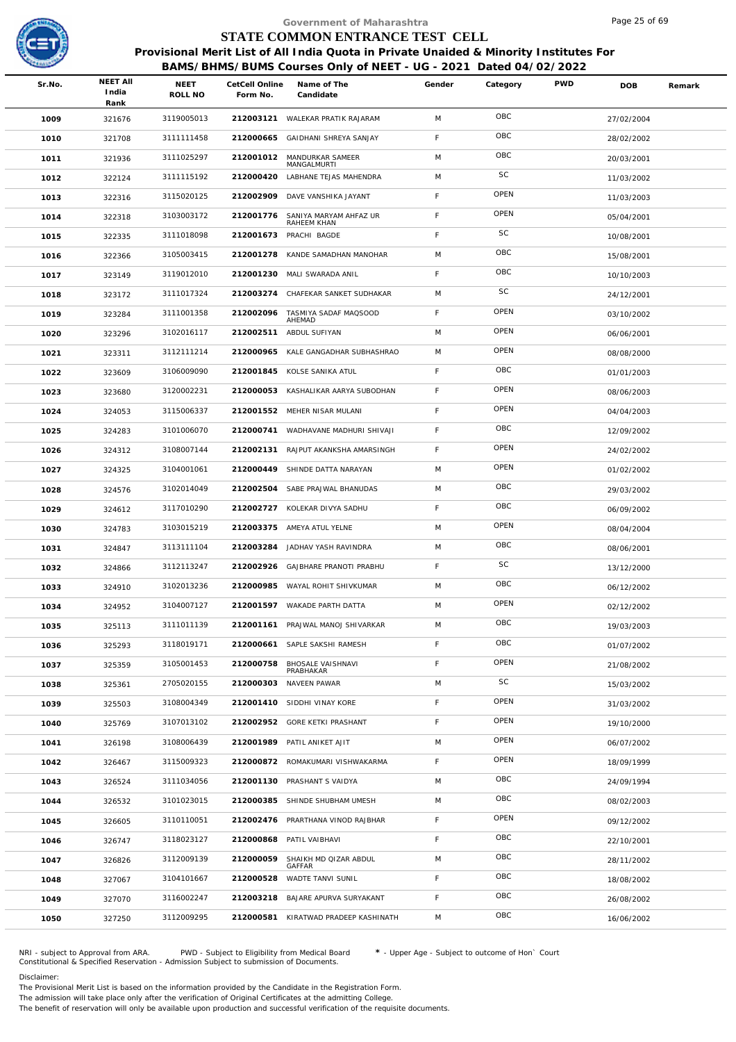

|        |                                  |                        |                            | Government of Maharashtra                                                                                                                                  |             |           |            | Page 25 of 69 |        |
|--------|----------------------------------|------------------------|----------------------------|------------------------------------------------------------------------------------------------------------------------------------------------------------|-------------|-----------|------------|---------------|--------|
|        |                                  |                        |                            | STATE COMMON ENTRANCE TEST CELL                                                                                                                            |             |           |            |               |        |
|        |                                  |                        |                            | Provisional Merit List of All India Quota in Private Unaided & Minority Institutes For<br>BAMS/BHMS/BUMS Courses Only of NEET - UG - 2021 Dated 04/02/2022 |             |           |            |               |        |
| Sr.No. | <b>NEET AII</b><br>India<br>Rank | <b>NEET</b><br>ROLL NO | CetCell Online<br>Form No. | Name of The<br>Candidate                                                                                                                                   | Gender      | Category  | <b>PWD</b> | <b>DOB</b>    | Remark |
| 1009   | 321676                           | 3119005013             |                            | 212003121 WALEKAR PRATIK RAJARAM                                                                                                                           | M           | OBC       |            | 27/02/2004    |        |
| 1010   | 321708                           | 3111111458             | 212000665                  | GAIDHANI SHREYA SANJAY                                                                                                                                     | F.          | OBC       |            | 28/02/2002    |        |
| 1011   | 321936                           | 3111025297             | 212001012                  | MANDURKAR SAMEER<br>MANGALMURTI                                                                                                                            | M           | OBC       |            | 20/03/2001    |        |
| 1012   | 322124                           | 3111115192             | 212000420                  | LABHANE TEJAS MAHENDRA                                                                                                                                     | M           | SC        |            | 11/03/2002    |        |
| 1013   | 322316                           | 3115020125             | 212002909                  | DAVE VANSHIKA JAYANT                                                                                                                                       | F.          | OPEN      |            | 11/03/2003    |        |
| 1014   | 322318                           | 3103003172             | 212001776                  | SANIYA MARYAM AHFAZ UR<br>RAHEEM KHAN                                                                                                                      | F.          | OPEN      |            | 05/04/2001    |        |
| 1015   | 322335                           | 3111018098             |                            | 212001673 PRACHI BAGDE                                                                                                                                     | F           | SC        |            | 10/08/2001    |        |
| 1016   | 322366                           | 3105003415             |                            | 212001278 KANDE SAMADHAN MANOHAR                                                                                                                           | M           | OBC       |            | 15/08/2001    |        |
| 1017   | 323149                           | 3119012010             |                            | 212001230 MALI SWARADA ANIL                                                                                                                                | F           | OBC       |            | 10/10/2003    |        |
| 1018   | 323172                           | 3111017324             | 212003274                  | CHAFEKAR SANKET SUDHAKAR                                                                                                                                   | M           | SC        |            | 24/12/2001    |        |
| 1019   | 323284                           | 3111001358             | 212002096                  | TASMIYA SADAF MAQSOOD<br>AHEMAD                                                                                                                            | F.          | OPEN      |            | 03/10/2002    |        |
| 1020   | 323296                           | 3102016117             | 212002511                  | ABDUL SUFIYAN                                                                                                                                              | M           | OPEN      |            | 06/06/2001    |        |
| 1021   | 323311                           | 3112111214             | 212000965                  | KALE GANGADHAR SUBHASHRAO                                                                                                                                  | M           | OPEN      |            | 08/08/2000    |        |
| 1022   | 323609                           | 3106009090             |                            | 212001845 KOLSE SANIKA ATUL                                                                                                                                | F.          | OBC       |            | 01/01/2003    |        |
| 1023   | 323680                           | 3120002231             |                            | 212000053 KASHALIKAR AARYA SUBODHAN                                                                                                                        | F           | OPEN      |            | 08/06/2003    |        |
| 1024   | 324053                           | 3115006337             | 212001552                  | MEHER NISAR MULANI                                                                                                                                         | $\mathsf F$ | OPEN      |            | 04/04/2003    |        |
| 1025   | 324283                           | 3101006070             |                            | 212000741 WADHAVANE MADHURI SHIVAJI                                                                                                                        | F           | OBC       |            | 12/09/2002    |        |
| 1026   | 324312                           | 3108007144             | 212002131                  | RAJPUT AKANKSHA AMARSINGH                                                                                                                                  | F.          | OPEN      |            | 24/02/2002    |        |
| 1027   | 324325                           | 3104001061             | 212000449                  | SHINDE DATTA NARAYAN                                                                                                                                       | M           | OPEN      |            | 01/02/2002    |        |
| 1028   | 324576                           | 3102014049             |                            | 212002504 SABE PRAJWAL BHANUDAS                                                                                                                            | M           | OBC       |            | 29/03/2002    |        |
| 1029   | 324612                           | 3117010290             |                            | 212002727 KOLEKAR DIVYA SADHU                                                                                                                              | F.          | OBC       |            | 06/09/2002    |        |
| 1030   | 324783                           | 3103015219             |                            | 212003375 AMEYA ATUL YELNE                                                                                                                                 | M           | OPEN      |            | 08/04/2004    |        |
| 1031   | 324847                           | 3113111104             | 212003284                  | JADHAV YASH RAVINDRA                                                                                                                                       | M           | OBC       |            | 08/06/2001    |        |
| 1032   | 324866                           | 3112113247             |                            | 212002926 GAJBHARE PRANOTI PRABHU                                                                                                                          | F.          | <b>SC</b> |            | 13/12/2000    |        |
| 1033   | 324910                           | 3102013236             |                            | 212000985 WAYAL ROHIT SHIVKUMAR                                                                                                                            | M           | OBC       |            | 06/12/2002    |        |
| 1034   | 324952                           | 3104007127             | 212001597                  | WAKADE PARTH DATTA                                                                                                                                         | M           | OPEN      |            | 02/12/2002    |        |
| 1035   | 325113                           | 3111011139             | 212001161                  | PRAJWAL MANOJ SHIVARKAR                                                                                                                                    | M           | OBC       |            | 19/03/2003    |        |
| 1036   | 325293                           | 3118019171             | 212000661                  | SAPLE SAKSHI RAMESH                                                                                                                                        | F           | OBC       |            | 01/07/2002    |        |
| 1037   | 325359                           | 3105001453             | 212000758                  | <b>BHOSALE VAISHNAVI</b><br>PRABHAKAR                                                                                                                      | F           | OPEN      |            | 21/08/2002    |        |
| 1038   | 325361                           | 2705020155             | 212000303                  | NAVEEN PAWAR                                                                                                                                               | M           | SC        |            | 15/03/2002    |        |
| 1039   | 325503                           | 3108004349             |                            | 212001410 SIDDHI VINAY KORE                                                                                                                                | F.          | OPEN      |            | 31/03/2002    |        |
| 1040   | 325769                           | 3107013102             |                            | 212002952 GORE KETKI PRASHANT                                                                                                                              | F.          | OPEN      |            | 19/10/2000    |        |
| 1041   | 326198                           | 3108006439             |                            | 212001989 PATIL ANIKET AJIT                                                                                                                                | M           | OPEN      |            | 06/07/2002    |        |
| 1042   | 326467                           | 3115009323             |                            | 212000872 ROMAKUMARI VISHWAKARMA                                                                                                                           | F.          | OPEN      |            | 18/09/1999    |        |
| 1043   | 326524                           | 3111034056             |                            | 212001130 PRASHANT S VAIDYA                                                                                                                                | M           | OBC       |            | 24/09/1994    |        |
| 1044   | 326532                           | 3101023015             |                            | 212000385 SHINDE SHUBHAM UMESH                                                                                                                             | M           | OBC       |            | 08/02/2003    |        |
| 1045   | 326605                           | 3110110051             |                            | 212002476 PRARTHANA VINOD RAJBHAR                                                                                                                          | F           | OPEN      |            | 09/12/2002    |        |
| 1046   | 326747                           | 3118023127             |                            | 212000868 PATIL VAIBHAVI                                                                                                                                   | F.          | OBC       |            | 22/10/2001    |        |
| 1047   | 326826                           | 3112009139             | 212000059                  | SHAIKH MD QIZAR ABDUL<br>GAFFAR                                                                                                                            | M           | OBC       |            | 28/11/2002    |        |
| 1048   | 327067                           | 3104101667             | 212000528                  | WADTE TANVI SUNIL                                                                                                                                          | F.          | OBC       |            | 18/08/2002    |        |
| 1049   | 327070                           | 3116002247             |                            | 212003218 BAJARE APURVA SURYAKANT                                                                                                                          | F           | OBC       |            | 26/08/2002    |        |
| 1050   | 327250                           | 3112009295             | 212000581                  | KIRATWAD PRADEEP KASHINATH                                                                                                                                 | M           | OBC       |            | 16/06/2002    |        |

NRI - subject to Approval from ARA. PWD - Subject to Eligibility from Medical Board \* - Upper Age - Subject to outcome of Hon` Court<br>Constitutional & Specified Reservation - Admission Subject to submissio

Disclaimer:

The Provisional Merit List is based on the information provided by the Candidate in the Registration Form.

The admission will take place only after the verification of Original Certificates at the admitting College.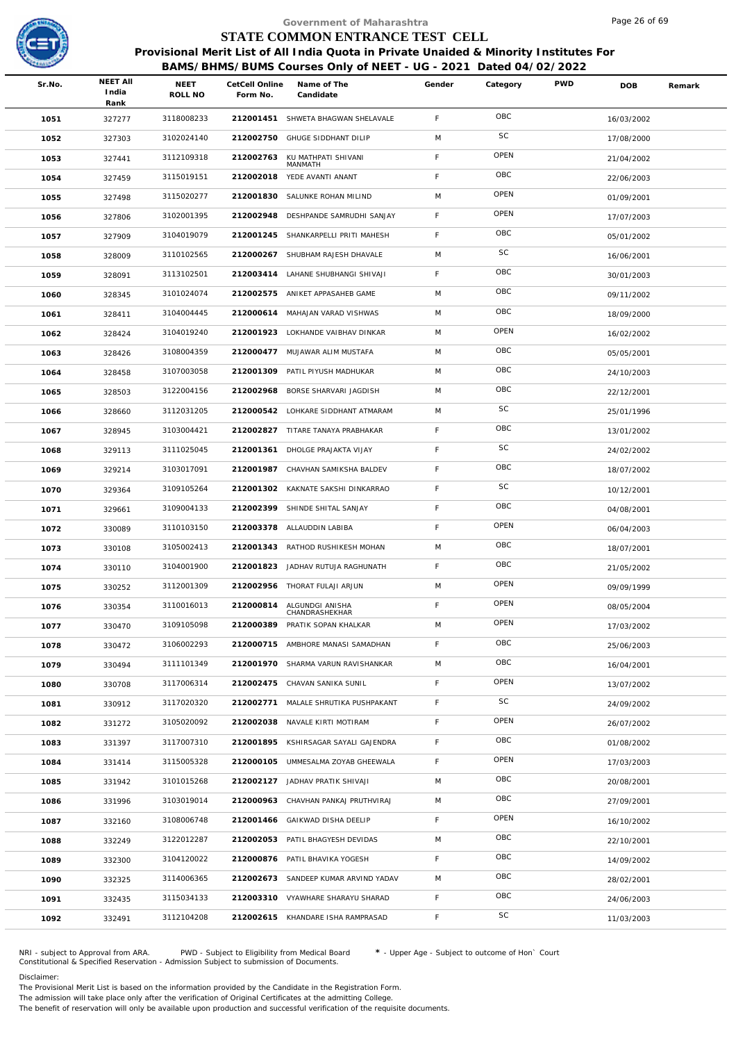

|        |                                  |                 |                            | Government of Maharashtra                                                                                                                                  |             |          |            | Page 26 of 69 |        |
|--------|----------------------------------|-----------------|----------------------------|------------------------------------------------------------------------------------------------------------------------------------------------------------|-------------|----------|------------|---------------|--------|
|        |                                  |                 |                            | STATE COMMON ENTRANCE TEST CELL                                                                                                                            |             |          |            |               |        |
|        |                                  |                 |                            | Provisional Merit List of All India Quota in Private Unaided & Minority Institutes For<br>BAMS/BHMS/BUMS Courses Only of NEET - UG - 2021 Dated 04/02/2022 |             |          |            |               |        |
| Sr.No. | <b>NEET AII</b><br>India<br>Rank | NEET<br>ROLL NO | CetCell Online<br>Form No. | Name of The<br>Candidate                                                                                                                                   | Gender      | Category | <b>PWD</b> | <b>DOB</b>    | Remark |
| 1051   | 327277                           | 3118008233      |                            | 212001451 SHWETA BHAGWAN SHELAVALE                                                                                                                         | F           | OBC      |            | 16/03/2002    |        |
| 1052   | 327303                           | 3102024140      | 212002750                  | <b>GHUGE SIDDHANT DILIP</b>                                                                                                                                | M           | SC       |            | 17/08/2000    |        |
| 1053   | 327441                           | 3112109318      | 212002763                  | KU MATHPATI SHIVANI<br>MANMATH                                                                                                                             | F           | OPEN     |            | 21/04/2002    |        |
| 1054   | 327459                           | 3115019151      | 212002018                  | YEDE AVANTI ANANT                                                                                                                                          | F.          | OBC      |            | 22/06/2003    |        |
| 1055   | 327498                           | 3115020277      | 212001830                  | SALUNKE ROHAN MILIND                                                                                                                                       | M           | OPEN     |            | 01/09/2001    |        |
| 1056   | 327806                           | 3102001395      | 212002948                  | DESHPANDE SAMRUDHI SANJAY                                                                                                                                  | F           | OPEN     |            | 17/07/2003    |        |
| 1057   | 327909                           | 3104019079      | 212001245                  | SHANKARPELLI PRITI MAHESH                                                                                                                                  | F.          | OBC      |            | 05/01/2002    |        |
| 1058   | 328009                           | 3110102565      | 212000267                  | SHUBHAM RAJESH DHAVALE                                                                                                                                     | M           | SC       |            | 16/06/2001    |        |
| 1059   | 328091                           | 3113102501      |                            | 212003414 LAHANE SHUBHANGI SHIVAJI                                                                                                                         | F           | OBC      |            | 30/01/2003    |        |
| 1060   | 328345                           | 3101024074      | 212002575                  | ANIKET APPASAHEB GAME                                                                                                                                      | M           | OBC      |            | 09/11/2002    |        |
| 1061   | 328411                           | 3104004445      |                            | 212000614 MAHAJAN VARAD VISHWAS                                                                                                                            | M           | OBC      |            | 18/09/2000    |        |
| 1062   | 328424                           | 3104019240      |                            | 212001923 LOKHANDE VAIBHAV DINKAR                                                                                                                          | M           | OPEN     |            | 16/02/2002    |        |
| 1063   | 328426                           | 3108004359      | 212000477                  | MUJAWAR ALIM MUSTAFA                                                                                                                                       | M           | OBC      |            | 05/05/2001    |        |
| 1064   | 328458                           | 3107003058      |                            | 212001309 PATIL PIYUSH MADHUKAR                                                                                                                            | M           | OBC      |            | 24/10/2003    |        |
| 1065   | 328503                           | 3122004156      | 212002968                  | BORSE SHARVARI JAGDISH                                                                                                                                     | M           | OBC      |            | 22/12/2001    |        |
| 1066   | 328660                           | 3112031205      | 212000542                  | LOHKARE SIDDHANT ATMARAM                                                                                                                                   | M           | SC       |            | 25/01/1996    |        |
| 1067   | 328945                           | 3103004421      |                            | 212002827 TITARE TANAYA PRABHAKAR                                                                                                                          | F           | OBC      |            | 13/01/2002    |        |
| 1068   | 329113                           | 3111025045      | 212001361                  | DHOLGE PRAJAKTA VIJAY                                                                                                                                      | F           | SC       |            | 24/02/2002    |        |
| 1069   | 329214                           | 3103017091      | 212001987                  | CHAVHAN SAMIKSHA BALDEV                                                                                                                                    | F           | OBC      |            | 18/07/2002    |        |
| 1070   | 329364                           | 3109105264      |                            | 212001302 KAKNATE SAKSHI DINKARRAO                                                                                                                         | F.          | SC       |            | 10/12/2001    |        |
| 1071   | 329661                           | 3109004133      | 212002399                  | SHINDE SHITAL SANJAY                                                                                                                                       | $\mathsf F$ | OBC      |            | 04/08/2001    |        |
| 1072   | 330089                           | 3110103150      |                            | 212003378 ALLAUDDIN LABIBA                                                                                                                                 | F.          | OPEN     |            | 06/04/2003    |        |
| 1073   | 330108                           | 3105002413      |                            | 212001343 RATHOD RUSHIKESH MOHAN                                                                                                                           | M           | OBC      |            | 18/07/2001    |        |
| 1074   | 330110                           | 3104001900      |                            | 212001823 JADHAV RUTUJA RAGHUNATH                                                                                                                          | F           | OBC      |            | 21/05/2002    |        |
| 1075   | 330252                           | 3112001309      |                            | 212002956 THORAT FULAJI ARJUN                                                                                                                              | M           | OPEN     |            | 09/09/1999    |        |
| 1076   | 330354                           | 3110016013      | 212000814                  | ALGUNDGI ANISHA<br>CHANDRASHEKHAR                                                                                                                          | F           | OPEN     |            | 08/05/2004    |        |
| 1077   | 330470                           | 3109105098      | 212000389                  | PRATIK SOPAN KHALKAR                                                                                                                                       | M           | OPEN     |            | 17/03/2002    |        |
| 1078   | 330472                           | 3106002293      |                            | 212000715 AMBHORE MANASI SAMADHAN                                                                                                                          | F           | OBC      |            | 25/06/2003    |        |
| 1079   | 330494                           | 3111101349      | 212001970                  | SHARMA VARUN RAVISHANKAR                                                                                                                                   | M           | OBC      |            | 16/04/2001    |        |
| 1080   | 330708                           | 3117006314      |                            | 212002475 CHAVAN SANIKA SUNIL                                                                                                                              | F           | OPEN     |            | 13/07/2002    |        |
| 1081   | 330912                           | 3117020320      | 212002771                  | MALALE SHRUTIKA PUSHPAKANT                                                                                                                                 | F.          | SC       |            | 24/09/2002    |        |
| 1082   | 331272                           | 3105020092      | 212002038                  | NAVALE KIRTI MOTIRAM                                                                                                                                       | F           | OPEN     |            | 26/07/2002    |        |
| 1083   | 331397                           | 3117007310      |                            | 212001895 KSHIRSAGAR SAYALI GAJENDRA                                                                                                                       | F           | OBC      |            | 01/08/2002    |        |
| 1084   | 331414                           | 3115005328      | 212000105                  | UMMESALMA ZOYAB GHEEWALA                                                                                                                                   | F           | OPEN     |            | 17/03/2003    |        |
| 1085   | 331942                           | 3101015268      | 212002127                  | JADHAV PRATIK SHIVAJI                                                                                                                                      | M           | OBC      |            | 20/08/2001    |        |
| 1086   | 331996                           | 3103019014      |                            | 212000963 CHAVHAN PANKAJ PRUTHVIRAJ                                                                                                                        | M           | OBC      |            | 27/09/2001    |        |
| 1087   | 332160                           | 3108006748      | 212001466                  | GAIKWAD DISHA DEELIP                                                                                                                                       | F           | OPEN     |            | 16/10/2002    |        |
| 1088   | 332249                           | 3122012287      |                            | 212002053 PATIL BHAGYESH DEVIDAS                                                                                                                           | M           | OBC      |            | 22/10/2001    |        |
| 1089   | 332300                           | 3104120022      | 212000876                  | PATIL BHAVIKA YOGESH                                                                                                                                       | F           | OBC      |            | 14/09/2002    |        |
| 1090   | 332325                           | 3114006365      |                            | 212002673 SANDEEP KUMAR ARVIND YADAV                                                                                                                       | M           | OBC      |            | 28/02/2001    |        |
| 1091   | 332435                           | 3115034133      |                            | 212003310 VYAWHARE SHARAYU SHARAD                                                                                                                          | F           | OBC      |            | 24/06/2003    |        |
| 1092   | 332491                           | 3112104208      |                            | 212002615 KHANDARE ISHA RAMPRASAD                                                                                                                          | F           | SC       |            | 11/03/2003    |        |
|        |                                  |                 |                            |                                                                                                                                                            |             |          |            |               |        |

NRI - subject to Approval from ARA. PWD - Subject to Eligibility from Medical Board \* - Upper Age - Subject to outcome of Hon` Court<br>Constitutional & Specified Reservation - Admission Subject to submissio

Disclaimer:

The Provisional Merit List is based on the information provided by the Candidate in the Registration Form. The admission will take place only after the verification of Original Certificates at the admitting College.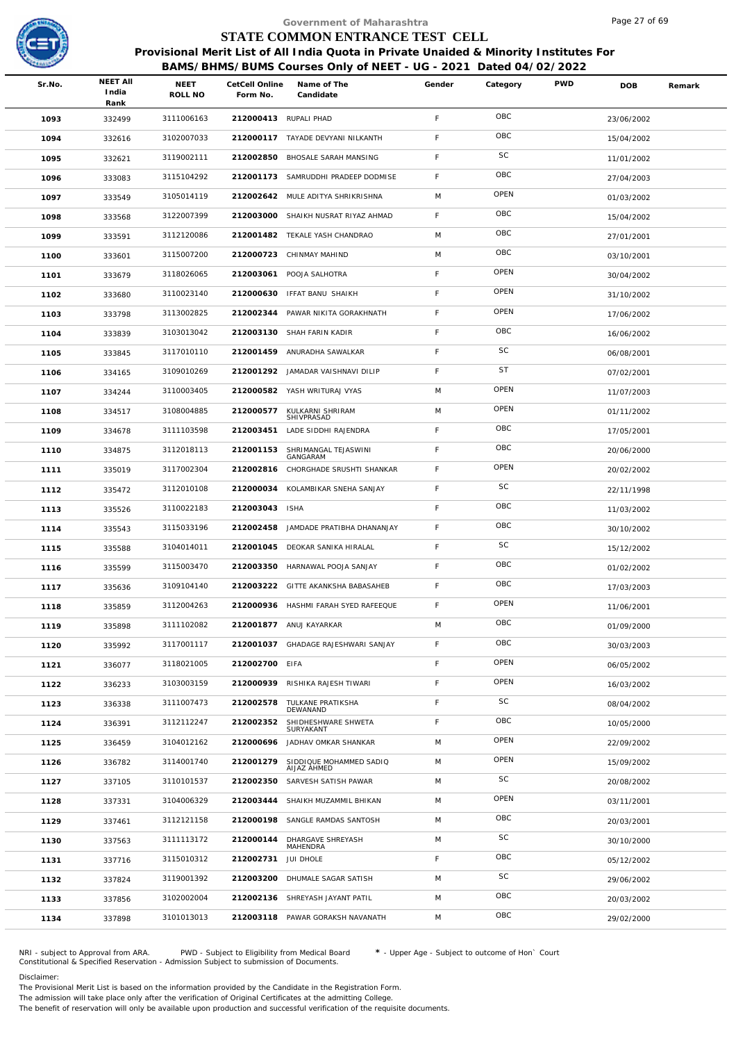

|        |                                  |                 |                            | Government of Maharashtra                                                              |             |           |            | Page 27 of 69 |        |
|--------|----------------------------------|-----------------|----------------------------|----------------------------------------------------------------------------------------|-------------|-----------|------------|---------------|--------|
|        |                                  |                 |                            | STATE COMMON ENTRANCE TEST CELL                                                        |             |           |            |               |        |
|        |                                  |                 |                            | Provisional Merit List of All India Quota in Private Unaided & Minority Institutes For |             |           |            |               |        |
|        |                                  |                 |                            | BAMS/BHMS/BUMS Courses Only of NEET - UG - 2021 Dated 04/02/2022                       |             |           |            |               |        |
| Sr.No. | <b>NEET AII</b><br>India<br>Rank | NEET<br>ROLL NO | CetCell Online<br>Form No. | Name of The<br>Candidate                                                               | Gender      | Category  | <b>PWD</b> | <b>DOB</b>    | Remark |
| 1093   | 332499                           | 3111006163      | 212000413 RUPALI PHAD      |                                                                                        | F           | OBC       |            | 23/06/2002    |        |
| 1094   | 332616                           | 3102007033      |                            | 212000117 TAYADE DEVYANI NILKANTH                                                      | F           | OBC       |            | 15/04/2002    |        |
| 1095   | 332621                           | 3119002111      |                            | 212002850 BHOSALE SARAH MANSING                                                        | F           | SC        |            | 11/01/2002    |        |
| 1096   | 333083                           | 3115104292      |                            | 212001173 SAMRUDDHI PRADEEP DODMISE                                                    | F           | OBC       |            | 27/04/2003    |        |
| 1097   | 333549                           | 3105014119      |                            | 212002642 MULE ADITYA SHRIKRISHNA                                                      | M           | OPEN      |            | 01/03/2002    |        |
| 1098   | 333568                           | 3122007399      |                            | 212003000 SHAIKH NUSRAT RIYAZ AHMAD                                                    | F           | OBC       |            | 15/04/2002    |        |
| 1099   | 333591                           | 3112120086      |                            | 212001482 TEKALE YASH CHANDRAO                                                         | M           | OBC       |            | 27/01/2001    |        |
| 1100   | 333601                           | 3115007200      | 212000723                  | CHINMAY MAHIND                                                                         | M           | OBC       |            | 03/10/2001    |        |
| 1101   | 333679                           | 3118026065      |                            | 212003061 POOJA SALHOTRA                                                               | F           | OPEN      |            | 30/04/2002    |        |
| 1102   | 333680                           | 3110023140      | 212000630                  | IFFAT BANU SHAIKH                                                                      | $\mathsf F$ | OPEN      |            | 31/10/2002    |        |
| 1103   | 333798                           | 3113002825      | 212002344                  | PAWAR NIKITA GORAKHNATH                                                                | F           | OPEN      |            | 17/06/2002    |        |
| 1104   | 333839                           | 3103013042      |                            | 212003130 SHAH FARIN KADIR                                                             | F           | OBC       |            | 16/06/2002    |        |
| 1105   | 333845                           | 3117010110      | 212001459                  | ANURADHA SAWALKAR                                                                      | F           | SC        |            | 06/08/2001    |        |
| 1106   | 334165                           | 3109010269      |                            | 212001292 JAMADAR VAISHNAVI DILIP                                                      | F           | <b>ST</b> |            | 07/02/2001    |        |
| 1107   | 334244                           | 3110003405      |                            | 212000582 YASH WRITURAJ VYAS                                                           | M           | OPEN      |            | 11/07/2003    |        |
| 1108   | 334517                           | 3108004885      | 212000577                  | KULKARNI SHRIRAM<br>SHIVPRASAD                                                         | M           | OPEN      |            | 01/11/2002    |        |
| 1109   | 334678                           | 3111103598      | 212003451                  | LADE SIDDHI RAJENDRA                                                                   | F           | OBC       |            | 17/05/2001    |        |
| 1110   | 334875                           | 3112018113      | 212001153                  | SHRIMANGAL TEJASWINI<br>GANGARAM                                                       | F           | OBC       |            | 20/06/2000    |        |
| 1111   | 335019                           | 3117002304      | 212002816                  | CHORGHADE SRUSHTI SHANKAR                                                              | F           | OPEN      |            | 20/02/2002    |        |
| 1112   | 335472                           | 3112010108      | 212000034                  | KOLAMBIKAR SNEHA SANJAY                                                                | F           | <b>SC</b> |            | 22/11/1998    |        |
| 1113   | 335526                           | 3110022183      | 212003043 ISHA             |                                                                                        | F           | OBC       |            | 11/03/2002    |        |
| 1114   | 335543                           | 3115033196      |                            | 212002458 JAMDADE PRATIBHA DHANANJAY                                                   | F           | OBC       |            | 30/10/2002    |        |
| 1115   | 335588                           | 3104014011      |                            | 212001045 DEOKAR SANIKA HIRALAL                                                        | F           | SC        |            | 15/12/2002    |        |
| 1116   | 335599                           | 3115003470      |                            | 212003350 HARNAWAL POOJA SANJAY                                                        | F           | OBC       |            | 01/02/2002    |        |
| 1117   | 335636                           | 3109104140      |                            | 212003222 GITTE AKANKSHA BABASAHEB                                                     | F.          | OBC       |            | 17/03/2003    |        |
| 1118   | 335859                           | 3112004263      |                            | 212000936 HASHMI FARAH SYED RAFEEQUE                                                   | F           | OPEN      |            | 11/06/2001    |        |
| 1119   | 335898                           | 3111102082      |                            | 212001877 ANUJ KAYARKAR                                                                | M           | OBC       |            | 01/09/2000    |        |
| 1120   | 335992                           | 3117001117      |                            | 212001037 GHADAGE RAJESHWARI SANJAY                                                    | F           | OBC       |            | 30/03/2003    |        |
| 1121   | 336077                           | 3118021005      | 212002700 EIFA             |                                                                                        | F           | OPEN      |            | 06/05/2002    |        |
| 1122   | 336233                           | 3103003159      |                            | 212000939 RISHIKA RAJESH TIWARI                                                        | F           | OPEN      |            | 16/03/2002    |        |
| 1123   | 336338                           | 3111007473      | 212002578                  | TULKANE PRATIKSHA<br>DEWANAND                                                          | F           | SC        |            | 08/04/2002    |        |
| 1124   | 336391                           | 3112112247      | 212002352                  | SHIDHESHWARE SHWETA<br>SURYAKANT                                                       | F           | OBC       |            | 10/05/2000    |        |
| 1125   | 336459                           | 3104012162      | 212000696                  | JADHAV OMKAR SHANKAR                                                                   | M           | OPEN      |            | 22/09/2002    |        |
| 1126   | 336782                           | 3114001740      | 212001279                  | SIDDIQUE MOHAMMED SADIQ<br>AIJAZ AHMED                                                 | M           | OPEN      |            | 15/09/2002    |        |
| 1127   | 337105                           | 3110101537      | 212002350                  | SARVESH SATISH PAWAR                                                                   | M           | SC        |            | 20/08/2002    |        |
| 1128   | 337331                           | 3104006329      |                            | 212003444 SHAIKH MUZAMMIL BHIKAN                                                       | M           | OPEN      |            | 03/11/2001    |        |
| 1129   | 337461                           | 3112121158      |                            | 212000198 SANGLE RAMDAS SANTOSH                                                        | M           | OBC       |            | 20/03/2001    |        |
| 1130   | 337563                           | 3111113172      | 212000144                  | DHARGAVE SHREYASH<br>MAHENDRA                                                          | M           | SC        |            | 30/10/2000    |        |
| 1131   | 337716                           | 3115010312      | 212002731                  | JUI DHOLE                                                                              | F           | OBC       |            | 05/12/2002    |        |
| 1132   | 337824                           | 3119001392      |                            | 212003200 DHUMALE SAGAR SATISH                                                         | M           | SC        |            | 29/06/2002    |        |
| 1133   | 337856                           | 3102002004      |                            | 212002136 SHREYASH JAYANT PATIL                                                        | M           | OBC       |            | 20/03/2002    |        |
| 1134   | 337898                           | 3101013013      |                            | 212003118 PAWAR GORAKSH NAVANATH                                                       | M           | OBC       |            | 29/02/2000    |        |
|        |                                  |                 |                            |                                                                                        |             |           |            |               |        |

NRI - subject to Approval from ARA. PWD - Subject to Eligibility from Medical Board \* - Upper Age - Subject to outcome of Hon` Court<br>Constitutional & Specified Reservation - Admission Subject to submissio

Disclaimer:

The Provisional Merit List is based on the information provided by the Candidate in the Registration Form. The admission will take place only after the verification of Original Certificates at the admitting College.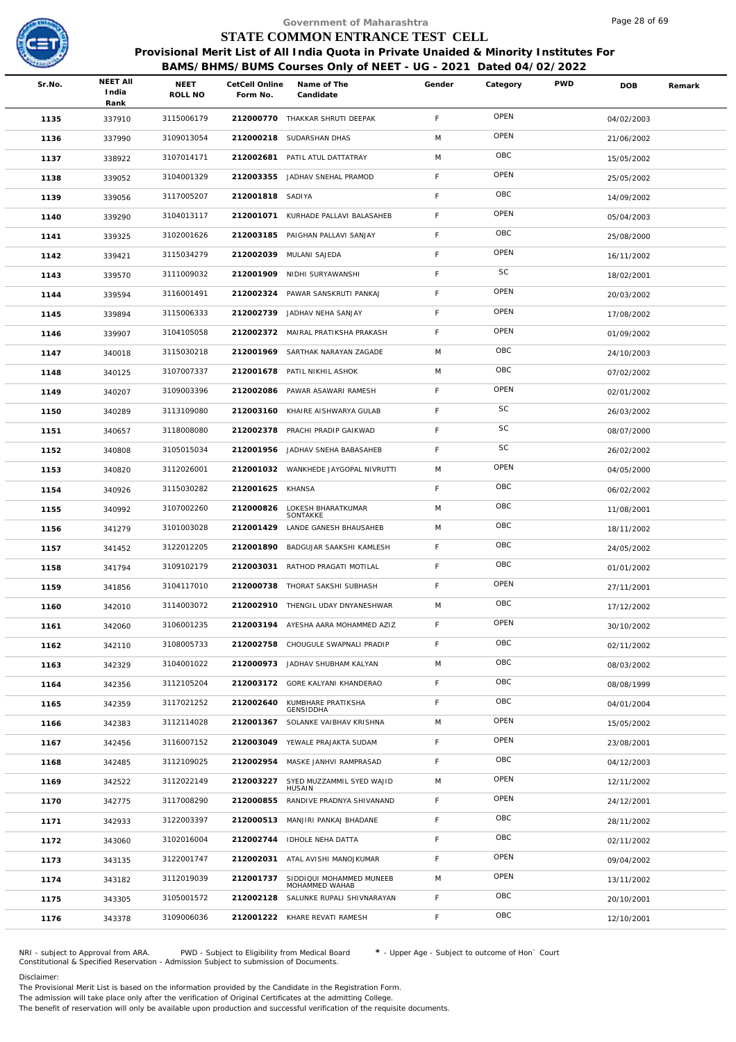

|        |                                  |                 |                            | Government of Maharashtra                                                                                                                                  |             |          |            | Page 28 of 69 |        |
|--------|----------------------------------|-----------------|----------------------------|------------------------------------------------------------------------------------------------------------------------------------------------------------|-------------|----------|------------|---------------|--------|
|        |                                  |                 |                            | STATE COMMON ENTRANCE TEST CELL                                                                                                                            |             |          |            |               |        |
|        |                                  |                 |                            | Provisional Merit List of All India Quota in Private Unaided & Minority Institutes For<br>BAMS/BHMS/BUMS Courses Only of NEET - UG - 2021 Dated 04/02/2022 |             |          |            |               |        |
| Sr.No. | <b>NEET AII</b><br>India<br>Rank | NEET<br>ROLL NO | CetCell Online<br>Form No. | Name of The<br>Candidate                                                                                                                                   | Gender      | Category | <b>PWD</b> | <b>DOB</b>    | Remark |
| 1135   | 337910                           | 3115006179      |                            | 212000770 THAKKAR SHRUTI DEEPAK                                                                                                                            | F           | OPEN     |            | 04/02/2003    |        |
| 1136   | 337990                           | 3109013054      |                            | 212000218 SUDARSHAN DHAS                                                                                                                                   | M           | OPEN     |            | 21/06/2002    |        |
| 1137   | 338922                           | 3107014171      | 212002681                  | PATIL ATUL DATTATRAY                                                                                                                                       | M           | OBC      |            | 15/05/2002    |        |
| 1138   | 339052                           | 3104001329      |                            | 212003355 JADHAV SNEHAL PRAMOD                                                                                                                             | F           | OPEN     |            | 25/05/2002    |        |
| 1139   | 339056                           | 3117005207      | 212001818 SADIYA           |                                                                                                                                                            | F           | OBC      |            | 14/09/2002    |        |
| 1140   | 339290                           | 3104013117      |                            | 212001071 KURHADE PALLAVI BALASAHEB                                                                                                                        | F           | OPEN     |            | 05/04/2003    |        |
| 1141   | 339325                           | 3102001626      |                            | 212003185 PAIGHAN PALLAVI SANJAY                                                                                                                           | $\mathsf F$ | OBC      |            | 25/08/2000    |        |
| 1142   | 339421                           | 3115034279      |                            | 212002039 MULANI SAJEDA                                                                                                                                    | F           | OPEN     |            | 16/11/2002    |        |
| 1143   | 339570                           | 3111009032      |                            | 212001909 NIDHI SURYAWANSHI                                                                                                                                | F           | SC       |            | 18/02/2001    |        |
| 1144   | 339594                           | 3116001491      | 212002324                  | PAWAR SANSKRUTI PANKAJ                                                                                                                                     | F           | OPEN     |            | 20/03/2002    |        |
| 1145   | 339894                           | 3115006333      |                            | 212002739 JADHAV NEHA SANJAY                                                                                                                               | $\mathsf F$ | OPEN     |            | 17/08/2002    |        |
| 1146   | 339907                           | 3104105058      |                            | 212002372 MAIRAL PRATIKSHA PRAKASH                                                                                                                         | F           | OPEN     |            | 01/09/2002    |        |
| 1147   | 340018                           | 3115030218      | 212001969                  | SARTHAK NARAYAN ZAGADE                                                                                                                                     | M           | OBC      |            | 24/10/2003    |        |
| 1148   | 340125                           | 3107007337      |                            | 212001678 PATIL NIKHIL ASHOK                                                                                                                               | M           | OBC      |            | 07/02/2002    |        |
| 1149   | 340207                           | 3109003396      |                            | 212002086 PAWAR ASAWARI RAMESH                                                                                                                             | $\mathsf F$ | OPEN     |            | 02/01/2002    |        |
| 1150   | 340289                           | 3113109080      | 212003160                  | KHAIRE AISHWARYA GULAB                                                                                                                                     | $\mathsf F$ | SC       |            | 26/03/2002    |        |
| 1151   | 340657                           | 3118008080      |                            | 212002378 PRACHI PRADIP GAIKWAD                                                                                                                            | $\mathsf F$ | SC       |            | 08/07/2000    |        |
| 1152   | 340808                           | 3105015034      |                            | 212001956 JADHAV SNEHA BABASAHEB                                                                                                                           | F           | SC       |            | 26/02/2002    |        |
| 1153   | 340820                           | 3112026001      |                            | 212001032 WANKHEDE JAYGOPAL NIVRUTTI                                                                                                                       | M           | OPEN     |            | 04/05/2000    |        |
| 1154   | 340926                           | 3115030282      | 212001625 KHANSA           |                                                                                                                                                            | F           | OBC      |            | 06/02/2002    |        |
| 1155   | 340992                           | 3107002260      | 212000826                  | LOKESH BHARATKUMAR<br>SONTAKKE                                                                                                                             | M           | OBC      |            | 11/08/2001    |        |
| 1156   | 341279                           | 3101003028      | 212001429                  | LANDE GANESH BHAUSAHEB                                                                                                                                     | M           | OBC      |            | 18/11/2002    |        |
| 1157   | 341452                           | 3122012205      | 212001890                  | BADGUJAR SAAKSHI KAMLESH                                                                                                                                   | $\mathsf F$ | OBC      |            | 24/05/2002    |        |
| 1158   | 341794                           | 3109102179      |                            | 212003031 RATHOD PRAGATI MOTILAL                                                                                                                           | F           | OBC      |            | 01/01/2002    |        |
| 1159   | 341856                           | 3104117010      |                            | 212000738 THORAT SAKSHI SUBHASH                                                                                                                            | F           | OPEN     |            | 27/11/2001    |        |
| 1160   | 342010                           | 3114003072      |                            | 212002910 THENGIL UDAY DNYANESHWAR                                                                                                                         | M           | OBC      |            | 17/12/2002    |        |
| 1161   | 342060                           | 3106001235      |                            | 212003194 AYESHA AARA MOHAMMED AZIZ                                                                                                                        | $\mathsf F$ | OPEN     |            | 30/10/2002    |        |
| 1162   | 342110                           | 3108005733      |                            | 212002758 CHOUGULE SWAPNALI PRADIP                                                                                                                         | F           | OBC      |            | 02/11/2002    |        |
| 1163   | 342329                           | 3104001022      |                            | 212000973 JADHAV SHUBHAM KALYAN                                                                                                                            | M           | OBC      |            | 08/03/2002    |        |
| 1164   | 342356                           | 3112105204      |                            | 212003172 GORE KALYANI KHANDERAO                                                                                                                           | F           | OBC      |            | 08/08/1999    |        |
| 1165   | 342359                           | 3117021252      | 212002640                  | KUMBHARE PRATIKSHA<br>GENSIDDHA                                                                                                                            | F           | OBC      |            | 04/01/2004    |        |
| 1166   | 342383                           | 3112114028      | 212001367                  | SOLANKE VAIBHAV KRISHNA                                                                                                                                    | M           | OPEN     |            | 15/05/2002    |        |
| 1167   | 342456                           | 3116007152      |                            | 212003049 YEWALE PRAJAKTA SUDAM                                                                                                                            | F           | OPEN     |            | 23/08/2001    |        |
| 1168   | 342485                           | 3112109025      | 212002954                  | MASKE JANHVI RAMPRASAD                                                                                                                                     | F           | OBC      |            | 04/12/2003    |        |
| 1169   | 342522                           | 3112022149      | 212003227                  | SYED MUZZAMMIL SYED WAJID<br>HUSAIN                                                                                                                        | M           | OPEN     |            | 12/11/2002    |        |
| 1170   | 342775                           | 3117008290      | 212000855                  | RANDIVE PRADNYA SHIVANAND                                                                                                                                  | F           | OPEN     |            | 24/12/2001    |        |
| 1171   | 342933                           | 3122003397      |                            | 212000513 MANJIRI PANKAJ BHADANE                                                                                                                           | F           | OBC      |            | 28/11/2002    |        |
| 1172   | 343060                           | 3102016004      |                            | 212002744 IDHOLE NEHA DATTA                                                                                                                                | F           | OBC      |            | 02/11/2002    |        |
| 1173   | 343135                           | 3122001747      | 212002031                  | ATAL AVISHI MANOJKUMAR                                                                                                                                     | F           | OPEN     |            | 09/04/2002    |        |
| 1174   | 343182                           | 3112019039      | 212001737                  | SIDDIQUI MOHAMMED MUNEEB<br>MOHAMMED WAHAB                                                                                                                 | M           | OPEN     |            | 13/11/2002    |        |
| 1175   | 343305                           | 3105001572      |                            | 212002128 SALUNKE RUPALI SHIVNARAYAN                                                                                                                       | F           | OBC      |            | 20/10/2001    |        |
| 1176   | 343378                           | 3109006036      |                            | 212001222 KHARE REVATI RAMESH                                                                                                                              | F           | OBC      |            | 12/10/2001    |        |
|        |                                  |                 |                            |                                                                                                                                                            |             |          |            |               |        |

NRI - subject to Approval from ARA. PWD - Subject to Eligibility from Medical Board \* - Upper Age - Subject to outcome of Hon` Court<br>Constitutional & Specified Reservation - Admission Subject to submissio

Disclaimer:

The Provisional Merit List is based on the information provided by the Candidate in the Registration Form.

The admission will take place only after the verification of Original Certificates at the admitting College.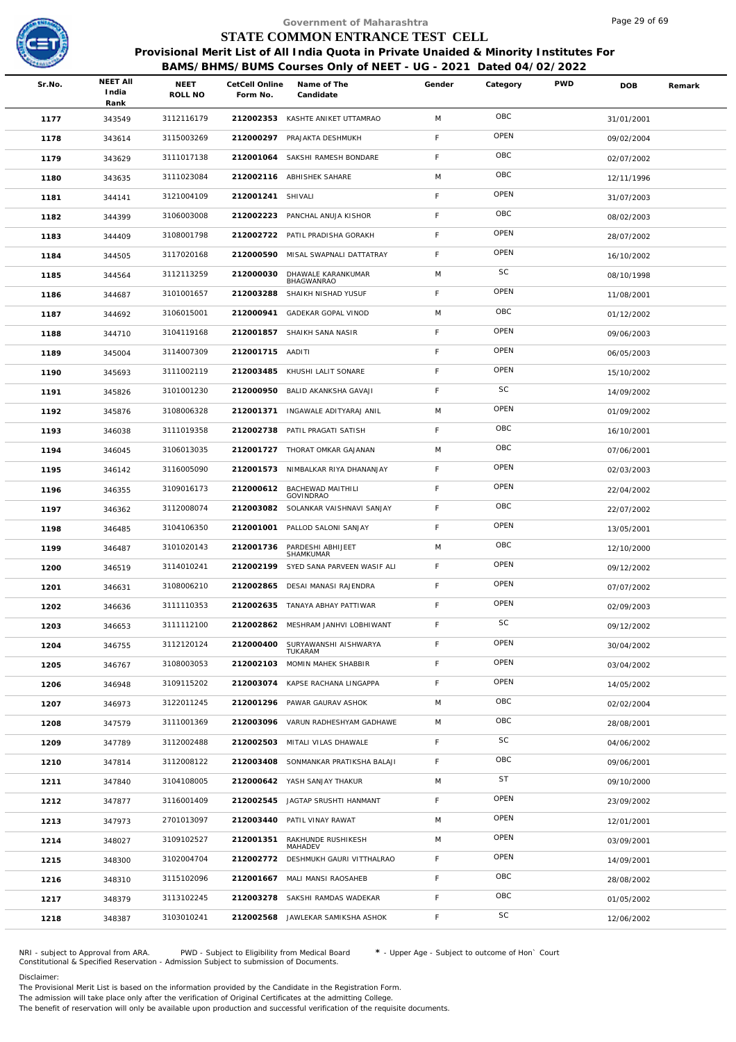

|        |                                  |                 |                            | Government of Maharashtra                                                                                                                                  |             |           |            | Page 29 of 69 |        |
|--------|----------------------------------|-----------------|----------------------------|------------------------------------------------------------------------------------------------------------------------------------------------------------|-------------|-----------|------------|---------------|--------|
|        |                                  |                 |                            | STATE COMMON ENTRANCE TEST CELL                                                                                                                            |             |           |            |               |        |
|        |                                  |                 |                            | Provisional Merit List of All India Quota in Private Unaided & Minority Institutes For<br>BAMS/BHMS/BUMS Courses Only of NEET - UG - 2021 Dated 04/02/2022 |             |           |            |               |        |
| Sr.No. | <b>NEET AII</b><br>India<br>Rank | NEET<br>ROLL NO | CetCell Online<br>Form No. | Name of The<br>Candidate                                                                                                                                   | Gender      | Category  | <b>PWD</b> | <b>DOB</b>    | Remark |
| 1177   | 343549                           | 3112116179      |                            | 212002353 KASHTE ANIKET UTTAMRAO                                                                                                                           | M           | OBC       |            | 31/01/2001    |        |
| 1178   | 343614                           | 3115003269      | 212000297                  | PRAJAKTA DESHMUKH                                                                                                                                          | F           | OPEN      |            | 09/02/2004    |        |
| 1179   | 343629                           | 3111017138      | 212001064                  | SAKSHI RAMESH BONDARE                                                                                                                                      | $\mathsf F$ | OBC       |            | 02/07/2002    |        |
| 1180   | 343635                           | 3111023084      |                            | 212002116 ABHISHEK SAHARE                                                                                                                                  | M           | OBC       |            | 12/11/1996    |        |
| 1181   | 344141                           | 3121004109      | 212001241 SHIVALI          |                                                                                                                                                            | F           | OPEN      |            | 31/07/2003    |        |
| 1182   | 344399                           | 3106003008      | 212002223                  | PANCHAL ANUJA KISHOR                                                                                                                                       | $\mathsf F$ | OBC       |            | 08/02/2003    |        |
| 1183   | 344409                           | 3108001798      |                            | 212002722 PATIL PRADISHA GORAKH                                                                                                                            | F           | OPEN      |            | 28/07/2002    |        |
| 1184   | 344505                           | 3117020168      | 212000590                  | MISAL SWAPNALI DATTATRAY                                                                                                                                   | F           | OPEN      |            | 16/10/2002    |        |
| 1185   | 344564                           | 3112113259      | 212000030                  | DHAWALE KARANKUMAR<br>BHAGWANRAO                                                                                                                           | M           | SC        |            | 08/10/1998    |        |
| 1186   | 344687                           | 3101001657      | 212003288                  | SHAIKH NISHAD YUSUF                                                                                                                                        | F           | OPEN      |            | 11/08/2001    |        |
| 1187   | 344692                           | 3106015001      | 212000941                  | GADEKAR GOPAL VINOD                                                                                                                                        | M           | OBC       |            | 01/12/2002    |        |
| 1188   | 344710                           | 3104119168      |                            | 212001857 SHAIKH SANA NASIR                                                                                                                                | F           | OPEN      |            | 09/06/2003    |        |
| 1189   | 345004                           | 3114007309      | 212001715 AADITI           |                                                                                                                                                            | F           | OPEN      |            | 06/05/2003    |        |
| 1190   | 345693                           | 3111002119      | 212003485                  | KHUSHI LALIT SONARE                                                                                                                                        | F           | OPEN      |            | 15/10/2002    |        |
| 1191   | 345826                           | 3101001230      | 212000950                  | BALID AKANKSHA GAVAJI                                                                                                                                      | F           | SC        |            | 14/09/2002    |        |
| 1192   | 345876                           | 3108006328      |                            | 212001371 INGAWALE ADITYARAJ ANIL                                                                                                                          | M           | OPEN      |            | 01/09/2002    |        |
| 1193   | 346038                           | 3111019358      |                            | 212002738 PATIL PRAGATI SATISH                                                                                                                             | $\mathsf F$ | OBC       |            | 16/10/2001    |        |
| 1194   | 346045                           | 3106013035      |                            | 212001727 THORAT OMKAR GAJANAN                                                                                                                             | M           | OBC       |            | 07/06/2001    |        |
| 1195   | 346142                           | 3116005090      |                            | 212001573 NIMBALKAR RIYA DHANANJAY                                                                                                                         | $\mathsf F$ | OPEN      |            | 02/03/2003    |        |
| 1196   | 346355                           | 3109016173      | 212000612                  | BACHEWAD MAITHILI<br>GOVINDRAO                                                                                                                             | F           | OPEN      |            | 22/04/2002    |        |
| 1197   | 346362                           | 3112008074      | 212003082                  | SOLANKAR VAISHNAVI SANJAY                                                                                                                                  | $\mathsf F$ | OBC       |            | 22/07/2002    |        |
| 1198   | 346485                           | 3104106350      | 212001001                  | PALLOD SALONI SANJAY                                                                                                                                       | $\mathsf F$ | OPEN      |            | 13/05/2001    |        |
| 1199   | 346487                           | 3101020143      | 212001736                  | PARDESHI ABHIJEET<br>SHAMKUMAR                                                                                                                             | M           | OBC       |            | 12/10/2000    |        |
| 1200   | 346519                           | 3114010241      |                            | 212002199 SYED SANA PARVEEN WASIF ALI                                                                                                                      | F           | OPEN      |            | 09/12/2002    |        |
| 1201   | 346631                           | 3108006210      |                            | 212002865 DESAI MANASI RAJENDRA                                                                                                                            | F.          | OPEN      |            | 07/07/2002    |        |
| 1202   | 346636                           | 3111110353      | 212002635                  | TANAYA ABHAY PATTIWAR                                                                                                                                      | F           | OPEN      |            | 02/09/2003    |        |
| 1203   | 346653                           | 3111112100      | 212002862                  | MESHRAM JANHVI LOBHIWANT                                                                                                                                   | $\mathsf F$ | SC        |            | 09/12/2002    |        |
| 1204   | 346755                           | 3112120124      | 212000400                  | SURYAWANSHI AISHWARYA<br>TUKARAM                                                                                                                           | $\mathsf F$ | OPEN      |            | 30/04/2002    |        |
| 1205   | 346767                           | 3108003053      | 212002103                  | MOMIN MAHEK SHABBIR                                                                                                                                        | F           | OPEN      |            | 03/04/2002    |        |
| 1206   | 346948                           | 3109115202      |                            | 212003074 KAPSE RACHANA LINGAPPA                                                                                                                           | F           | OPEN      |            | 14/05/2002    |        |
| 1207   | 346973                           | 3122011245      | 212001296                  | PAWAR GAURAV ASHOK                                                                                                                                         | M           | OBC       |            | 02/02/2004    |        |
| 1208   | 347579                           | 3111001369      | 212003096                  | VARUN RADHESHYAM GADHAWE                                                                                                                                   | M           | OBC       |            | 28/08/2001    |        |
| 1209   | 347789                           | 3112002488      |                            | 212002503 MITALI VILAS DHAWALE                                                                                                                             | F           | SC        |            | 04/06/2002    |        |
| 1210   | 347814                           | 3112008122      | 212003408                  | SONMANKAR PRATIKSHA BALAJI                                                                                                                                 | $\mathsf F$ | OBC       |            | 09/06/2001    |        |
| 1211   | 347840                           | 3104108005      |                            | 212000642 YASH SANJAY THAKUR                                                                                                                               | M           | <b>ST</b> |            | 09/10/2000    |        |
| 1212   | 347877                           | 3116001409      |                            | 212002545 JAGTAP SRUSHTI HANMANT                                                                                                                           | F           | OPEN      |            | 23/09/2002    |        |
| 1213   | 347973                           | 2701013097      | 212003440                  | PATIL VINAY RAWAT                                                                                                                                          | M           | OPEN      |            | 12/01/2001    |        |
| 1214   | 348027                           | 3109102527      | 212001351                  | RAKHUNDE RUSHIKESH<br>MAHADEV                                                                                                                              | M           | OPEN      |            | 03/09/2001    |        |
| 1215   | 348300                           | 3102004704      | 212002772                  | DESHMUKH GAURI VITTHALRAO                                                                                                                                  | $\mathsf F$ | OPEN      |            | 14/09/2001    |        |
| 1216   | 348310                           | 3115102096      | 212001667                  | MALI MANSI RAOSAHEB                                                                                                                                        | F           | OBC       |            | 28/08/2002    |        |
| 1217   | 348379                           | 3113102245      | 212003278                  | SAKSHI RAMDAS WADEKAR                                                                                                                                      | F           | OBC       |            | 01/05/2002    |        |
| 1218   | 348387                           | 3103010241      |                            | 212002568 JAWLEKAR SAMIKSHA ASHOK                                                                                                                          | $\mathsf F$ | SC        |            | 12/06/2002    |        |
|        |                                  |                 |                            |                                                                                                                                                            |             |           |            |               |        |

NRI - subject to Approval from ARA. PWD - Subject to Eligibility from Medical Board \* - Upper Age - Subject to outcome of Hon` Court<br>Constitutional & Specified Reservation - Admission Subject to submissio

Disclaimer:

The Provisional Merit List is based on the information provided by the Candidate in the Registration Form.

The admission will take place only after the verification of Original Certificates at the admitting College.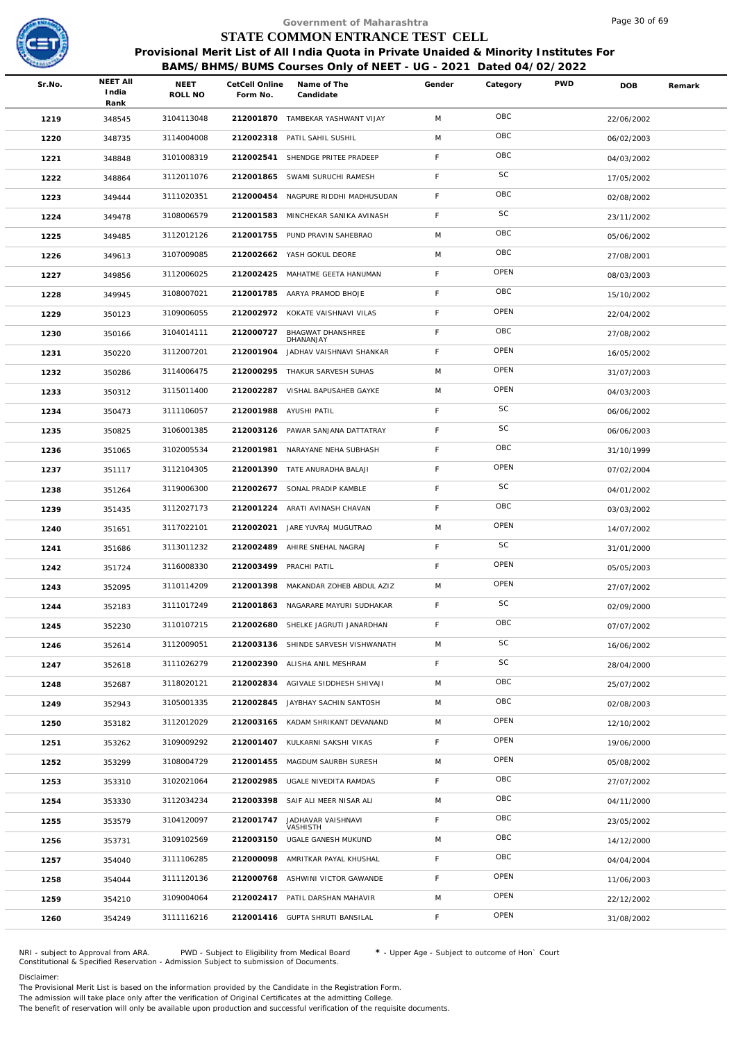

## **BAMS/BHMS/BUMS Courses Only of NEET - UG - 2021 Dated 04/02/2022**

|        |                                  |                          |                            | Government of Maharashtra                                                                                                                                  |             |          |            | Page 30 of 69 |        |
|--------|----------------------------------|--------------------------|----------------------------|------------------------------------------------------------------------------------------------------------------------------------------------------------|-------------|----------|------------|---------------|--------|
|        |                                  |                          |                            | STATE COMMON ENTRANCE TEST CELL                                                                                                                            |             |          |            |               |        |
|        |                                  |                          |                            | Provisional Merit List of All India Quota in Private Unaided & Minority Institutes For<br>BAMS/BHMS/BUMS Courses Only of NEET - UG - 2021 Dated 04/02/2022 |             |          |            |               |        |
| Sr.No. | <b>NEET AII</b><br>India<br>Rank | NEET<br>ROLL NO          | CetCell Online<br>Form No. | Name of The<br>Candidate                                                                                                                                   | Gender      | Category | <b>PWD</b> | <b>DOB</b>    | Remark |
| 1219   | 348545                           | 3104113048               |                            | 212001870 TAMBEKAR YASHWANT VIJAY                                                                                                                          | M           | OBC      |            | 22/06/2002    |        |
| 1220   | 348735                           | 3114004008               | 212002318                  | PATIL SAHIL SUSHIL                                                                                                                                         | M           | OBC      |            | 06/02/2003    |        |
| 1221   | 348848                           | 3101008319               | 212002541                  | SHENDGE PRITEE PRADEEP                                                                                                                                     | F           | OBC      |            | 04/03/2002    |        |
| 1222   | 348864                           | 3112011076               |                            | 212001865 SWAMI SURUCHI RAMESH                                                                                                                             | F           | SC       |            | 17/05/2002    |        |
| 1223   | 349444                           | 3111020351               | 212000454                  | NAGPURE RIDDHI MADHUSUDAN                                                                                                                                  | F           | OBC      |            | 02/08/2002    |        |
| 1224   | 349478                           | 3108006579               |                            | 212001583 MINCHEKAR SANIKA AVINASH                                                                                                                         | $\mathsf F$ | SC       |            | 23/11/2002    |        |
| 1225   | 349485                           | 3112012126               |                            | 212001755 PUND PRAVIN SAHEBRAO                                                                                                                             | M           | OBC      |            | 05/06/2002    |        |
| 1226   | 349613                           | 3107009085               |                            | 212002662 YASH GOKUL DEORE                                                                                                                                 | M           | OBC      |            | 27/08/2001    |        |
| 1227   | 349856                           | 3112006025               |                            | 212002425 MAHATME GEETA HANUMAN                                                                                                                            | F           | OPEN     |            | 08/03/2003    |        |
| 1228   | 349945                           | 3108007021               | 212001785                  | AARYA PRAMOD BHOJE                                                                                                                                         | F           | OBC      |            | 15/10/2002    |        |
| 1229   | 350123                           | 3109006055               |                            | 212002972 KOKATE VAISHNAVI VILAS                                                                                                                           | F           | OPEN     |            | 22/04/2002    |        |
| 1230   | 350166                           | 3104014111               | 212000727                  | BHAGWAT DHANSHREE                                                                                                                                          | F           | OBC      |            | 27/08/2002    |        |
| 1231   | 350220                           | 3112007201               | 212001904                  | DHANANJAY<br>JADHAV VAISHNAVI SHANKAR                                                                                                                      | F           | OPEN     |            | 16/05/2002    |        |
| 1232   | 350286                           | 3114006475               | 212000295                  | THAKUR SARVESH SUHAS                                                                                                                                       | M           | OPEN     |            | 31/07/2003    |        |
| 1233   | 350312                           | 3115011400               |                            | 212002287 VISHAL BAPUSAHEB GAYKE                                                                                                                           | M           | OPEN     |            | 04/03/2003    |        |
| 1234   | 350473                           | 3111106057               | 212001988                  | AYUSHI PATIL                                                                                                                                               | F           | SC       |            | 06/06/2002    |        |
|        |                                  | 3106001385               |                            | 212003126 PAWAR SANJANA DATTATRAY                                                                                                                          | F           | SC       |            |               |        |
| 1235   | 350825                           | 3102005534               | 212001981                  | NARAYANE NEHA SUBHASH                                                                                                                                      | F           | OBC      |            | 06/06/2003    |        |
| 1236   | 351065                           | 3112104305               | 212001390                  | TATE ANURADHA BALAJI                                                                                                                                       | F           | OPEN     |            | 31/10/1999    |        |
| 1237   | 351117                           | 3119006300               |                            | 212002677 SONAL PRADIP KAMBLE                                                                                                                              | $\mathsf F$ | SC       |            | 07/02/2004    |        |
| 1238   | 351264                           |                          |                            |                                                                                                                                                            | $\mathsf F$ | OBC      |            | 04/01/2002    |        |
| 1239   | 351435                           | 3112027173<br>3117022101 | 212001224                  | ARATI AVINASH CHAVAN<br>JARE YUVRAJ MUGUTRAO                                                                                                               | M           | OPEN     |            | 03/03/2002    |        |
| 1240   | 351651                           |                          | 212002021                  |                                                                                                                                                            | F           | SC       |            | 14/07/2002    |        |
| 1241   | 351686                           | 3113011232               | 212002489                  | AHIRE SNEHAL NAGRAJ                                                                                                                                        | F           | OPEN     |            | 31/01/2000    |        |
| 1242   | 351724                           | 3116008330               | 212003499 PRACHI PATIL     |                                                                                                                                                            |             | OPEN     |            | 05/05/2003    |        |
| 1243   | 352095                           | 3110114209               |                            | 212001398 MAKANDAR ZOHEB ABDUL AZIZ                                                                                                                        | M           | SC       |            | 27/07/2002    |        |
| 1244   | 352183                           | 3111017249               |                            | 212001863 NAGARARE MAYURI SUDHAKAR                                                                                                                         | $\mathsf F$ |          |            | 02/09/2000    |        |
| 1245   | 352230                           | 3110107215               | 212002680                  | SHELKE JAGRUTI JANARDHAN                                                                                                                                   | $\mathsf F$ | OBC      |            | 07/07/2002    |        |
| 1246   | 352614                           | 3112009051               |                            | 212003136 SHINDE SARVESH VISHWANATH                                                                                                                        | M           | SC       |            | 16/06/2002    |        |
| 1247   | 352618                           | 3111026279               | 212002390                  | ALISHA ANIL MESHRAM                                                                                                                                        | $\mathsf F$ | SC       |            | 28/04/2000    |        |
| 1248   | 352687                           | 3118020121               |                            | 212002834 AGIVALE SIDDHESH SHIVAJI                                                                                                                         | M           | OBC      |            | 25/07/2002    |        |
| 1249   | 352943                           | 3105001335               |                            | 212002845 JAYBHAY SACHIN SANTOSH                                                                                                                           | M           | OBC      |            | 02/08/2003    |        |
| 1250   | 353182                           | 3112012029               | 212003165                  | KADAM SHRIKANT DEVANAND                                                                                                                                    | M           | OPEN     |            | 12/10/2002    |        |
| 1251   | 353262                           | 3109009292               |                            | 212001407 KULKARNI SAKSHI VIKAS                                                                                                                            | $\mathsf F$ | OPEN     |            | 19/06/2000    |        |
| 1252   | 353299                           | 3108004729               |                            | 212001455 MAGDUM SAURBH SURESH                                                                                                                             | M           | OPEN     |            | 05/08/2002    |        |
| 1253   | 353310                           | 3102021064               |                            | 212002985 UGALE NIVEDITA RAMDAS                                                                                                                            | $\mathsf F$ | OBC      |            | 27/07/2002    |        |
| 1254   | 353330                           | 3112034234               |                            | 212003398 SAIF ALI MEER NISAR ALI                                                                                                                          | M           | OBC      |            | 04/11/2000    |        |
| 1255   | 353579                           | 3104120097               | 212001747                  | JADHAVAR VAISHNAVI<br>VASHISTH                                                                                                                             | $\mathsf F$ | OBC      |            | 23/05/2002    |        |
| 1256   | 353731                           | 3109102569               | 212003150                  | UGALE GANESH MUKUND                                                                                                                                        | M           | OBC      |            | 14/12/2000    |        |
| 1257   | 354040                           | 3111106285               | 212000098                  | AMRITKAR PAYAL KHUSHAL                                                                                                                                     | F.          | OBC      |            | 04/04/2004    |        |
| 1258   | 354044                           | 3111120136               |                            | 212000768 ASHWINI VICTOR GAWANDE                                                                                                                           | $\mathsf F$ | OPEN     |            | 11/06/2003    |        |
| 1259   | 354210                           | 3109004064               |                            | 212002417 PATIL DARSHAN MAHAVIR                                                                                                                            | M           | OPEN     |            | 22/12/2002    |        |
| 1260   | 354249                           | 3111116216               |                            | 212001416 GUPTA SHRUTI BANSILAL                                                                                                                            | F.          | OPEN     |            | 31/08/2002    |        |
|        |                                  |                          |                            |                                                                                                                                                            |             |          |            |               |        |

NRI - subject to Approval from ARA. PWD - Subject to Eligibility from Medical Board \* - Upper Age - Subject to outcome of Hon` Court<br>Constitutional & Specified Reservation - Admission Subject to submissio

Disclaimer:

The Provisional Merit List is based on the information provided by the Candidate in the Registration Form.

The admission will take place only after the verification of Original Certificates at the admitting College.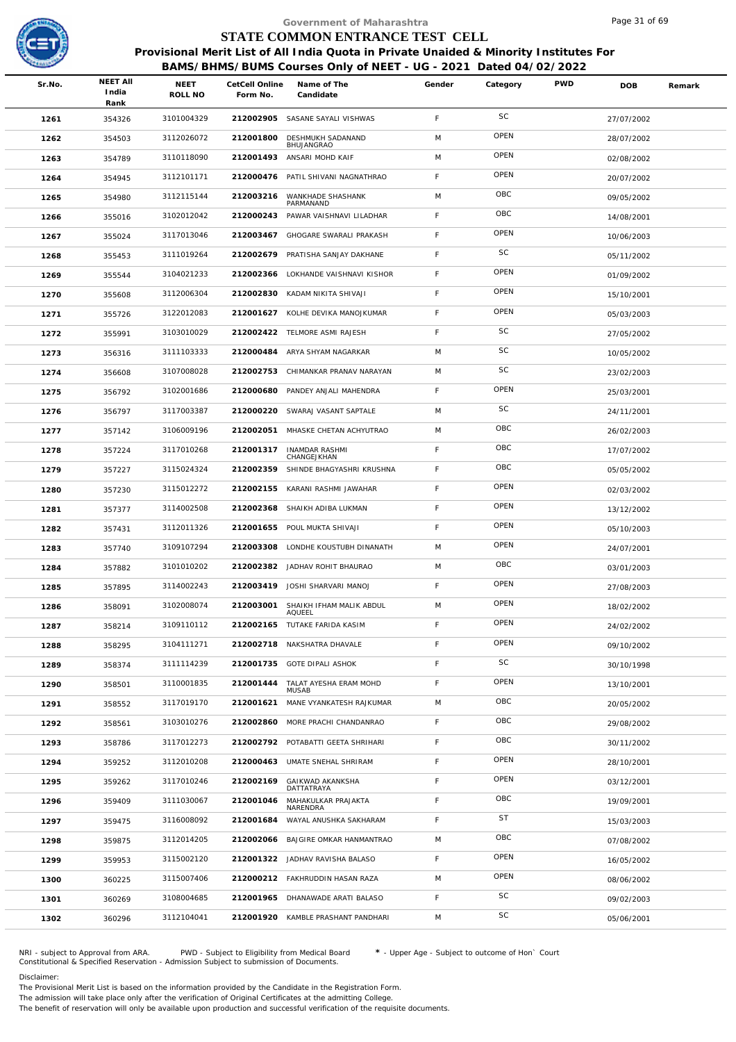

|        |                                  |                        |                            | Government of Maharashtra                                                                                                                                  |             |           |            | Page 31 of 69 |        |
|--------|----------------------------------|------------------------|----------------------------|------------------------------------------------------------------------------------------------------------------------------------------------------------|-------------|-----------|------------|---------------|--------|
|        |                                  |                        |                            | STATE COMMON ENTRANCE TEST CELL                                                                                                                            |             |           |            |               |        |
|        |                                  |                        |                            | Provisional Merit List of All India Quota in Private Unaided & Minority Institutes For<br>BAMS/BHMS/BUMS Courses Only of NEET - UG - 2021 Dated 04/02/2022 |             |           |            |               |        |
| Sr.No. | <b>NEET AII</b><br>India<br>Rank | <b>NEET</b><br>ROLL NO | CetCell Online<br>Form No. | Name of The<br>Candidate                                                                                                                                   | Gender      | Category  | <b>PWD</b> | <b>DOB</b>    | Remark |
| 1261   | 354326                           | 3101004329             |                            | 212002905 SASANE SAYALI VISHWAS                                                                                                                            | F           | SC        |            | 27/07/2002    |        |
| 1262   | 354503                           | 3112026072             | 212001800                  | DESHMUKH SADANAND<br>BHUJANGRAO                                                                                                                            | M           | OPEN      |            | 28/07/2002    |        |
| 1263   | 354789                           | 3110118090             | 212001493                  | ANSARI MOHD KAIF                                                                                                                                           | M           | OPEN      |            | 02/08/2002    |        |
| 1264   | 354945                           | 3112101171             |                            | 212000476 PATIL SHIVANI NAGNATHRAO                                                                                                                         | F           | OPEN      |            | 20/07/2002    |        |
| 1265   | 354980                           | 3112115144             | 212003216                  | WANKHADE SHASHANK<br>PARMANAND                                                                                                                             | M           | OBC       |            | 09/05/2002    |        |
| 1266   | 355016                           | 3102012042             | 212000243                  | PAWAR VAISHNAVI LILADHAR                                                                                                                                   | F.          | OBC       |            | 14/08/2001    |        |
| 1267   | 355024                           | 3117013046             | 212003467                  | GHOGARE SWARALI PRAKASH                                                                                                                                    | F           | OPEN      |            | 10/06/2003    |        |
| 1268   | 355453                           | 3111019264             | 212002679                  | PRATISHA SANJAY DAKHANE                                                                                                                                    | F.          | SC        |            | 05/11/2002    |        |
| 1269   | 355544                           | 3104021233             |                            | 212002366 LOKHANDE VAISHNAVI KISHOR                                                                                                                        | F           | OPEN      |            | 01/09/2002    |        |
| 1270   | 355608                           | 3112006304             | 212002830                  | KADAM NIKITA SHIVAJI                                                                                                                                       | F.          | OPEN      |            | 15/10/2001    |        |
| 1271   | 355726                           | 3122012083             |                            | 212001627 KOLHE DEVIKA MANOJKUMAR                                                                                                                          | F           | OPEN      |            | 05/03/2003    |        |
| 1272   | 355991                           | 3103010029             |                            | 212002422 TELMORE ASMI RAJESH                                                                                                                              | F           | SC        |            | 27/05/2002    |        |
| 1273   | 356316                           | 3111103333             | 212000484                  | ARYA SHYAM NAGARKAR                                                                                                                                        | M           | SC        |            | 10/05/2002    |        |
| 1274   | 356608                           | 3107008028             | 212002753                  | CHIMANKAR PRANAV NARAYAN                                                                                                                                   | M           | SC        |            | 23/02/2003    |        |
| 1275   | 356792                           | 3102001686             | 212000680                  | PANDEY ANJALI MAHENDRA                                                                                                                                     | $\mathsf F$ | OPEN      |            | 25/03/2001    |        |
| 1276   | 356797                           | 3117003387             | 212000220                  | SWARAJ VASANT SAPTALE                                                                                                                                      | M           | SC        |            | 24/11/2001    |        |
| 1277   | 357142                           | 3106009196             | 212002051                  | MHASKE CHETAN ACHYUTRAO                                                                                                                                    | M           | OBC       |            | 26/02/2003    |        |
| 1278   | 357224                           | 3117010268             | 212001317                  | <b>INAMDAR RASHMI</b><br>CHANGEJKHAN                                                                                                                       | F.          | OBC       |            | 17/07/2002    |        |
| 1279   | 357227                           | 3115024324             | 212002359                  | SHINDE BHAGYASHRI KRUSHNA                                                                                                                                  | F.          | OBC       |            | 05/05/2002    |        |
| 1280   | 357230                           | 3115012272             |                            | 212002155 KARANI RASHMI JAWAHAR                                                                                                                            | F           | OPEN      |            | 02/03/2002    |        |
| 1281   | 357377                           | 3114002508             | 212002368                  | SHAIKH ADIBA LUKMAN                                                                                                                                        | F           | OPEN      |            | 13/12/2002    |        |
| 1282   | 357431                           | 3112011326             |                            | 212001655 POUL MUKTA SHIVAJI                                                                                                                               | F.          | OPEN      |            | 05/10/2003    |        |
| 1283   | 357740                           | 3109107294             |                            | 212003308 LONDHE KOUSTUBH DINANATH                                                                                                                         | M           | OPEN      |            | 24/07/2001    |        |
| 1284   | 357882                           | 3101010202             |                            | 212002382 JADHAV ROHIT BHAURAO                                                                                                                             | M           | OBC       |            | 03/01/2003    |        |
| 1285   | 357895                           | 3114002243             |                            | 212003419 JOSHI SHARVARI MANOJ                                                                                                                             | F           | OPEN      |            | 27/08/2003    |        |
| 1286   | 358091                           | 3102008074             | 212003001                  | SHAIKH IFHAM MALIK ABDUL<br>AQUEEL                                                                                                                         | M           | OPEN      |            | 18/02/2002    |        |
| 1287   | 358214                           | 3109110112             | 212002165                  | TUTAKE FARIDA KASIM                                                                                                                                        | F.          | OPEN      |            | 24/02/2002    |        |
| 1288   | 358295                           | 3104111271             |                            | 212002718 NAKSHATRA DHAVALE                                                                                                                                | F           | OPEN      |            | 09/10/2002    |        |
| 1289   | 358374                           | 3111114239             | 212001735                  | <b>GOTE DIPALI ASHOK</b>                                                                                                                                   | F           | SC        |            | 30/10/1998    |        |
| 1290   | 358501                           | 3110001835             | 212001444                  | TALAT AYESHA ERAM MOHD<br><b>MUSAB</b>                                                                                                                     | F.          | OPEN      |            | 13/10/2001    |        |
| 1291   | 358552                           | 3117019170             | 212001621                  | MANE VYANKATESH RAJKUMAR                                                                                                                                   | M           | OBC       |            | 20/05/2002    |        |
| 1292   | 358561                           | 3103010276             | 212002860                  | MORE PRACHI CHANDANRAO                                                                                                                                     | F.          | OBC       |            | 29/08/2002    |        |
| 1293   | 358786                           | 3117012273             |                            | 212002792 POTABATTI GEETA SHRIHARI                                                                                                                         | F           | OBC       |            | 30/11/2002    |        |
| 1294   | 359252                           | 3112010208             |                            | 212000463 UMATE SNEHAL SHRIRAM                                                                                                                             | F.          | OPEN      |            | 28/10/2001    |        |
| 1295   | 359262                           | 3117010246             | 212002169                  | GAIKWAD AKANKSHA<br>DATTATRAYA                                                                                                                             | F           | OPEN      |            | 03/12/2001    |        |
| 1296   | 359409                           | 3111030067             | 212001046                  | MAHAKULKAR PRAJAKTA<br>NARENDRA                                                                                                                            | F           | OBC       |            | 19/09/2001    |        |
| 1297   | 359475                           | 3116008092             | 212001684                  | WAYAL ANUSHKA SAKHARAM                                                                                                                                     | F           | <b>ST</b> |            | 15/03/2003    |        |
| 1298   | 359875                           | 3112014205             |                            | 212002066 BAJGIRE OMKAR HANMANTRAO                                                                                                                         | M           | OBC       |            | 07/08/2002    |        |
| 1299   | 359953                           | 3115002120             |                            | 212001322 JADHAV RAVISHA BALASO                                                                                                                            | F           | OPEN      |            | 16/05/2002    |        |
| 1300   | 360225                           | 3115007406             |                            | 212000212 FAKHRUDDIN HASAN RAZA                                                                                                                            | M           | OPEN      |            | 08/06/2002    |        |
| 1301   | 360269                           | 3108004685             |                            | 212001965 DHANAWADE ARATI BALASO                                                                                                                           | F           | SC        |            | 09/02/2003    |        |
| 1302   | 360296                           | 3112104041             |                            | 212001920 KAMBLE PRASHANT PANDHARI                                                                                                                         | M           | SC        |            | 05/06/2001    |        |
|        |                                  |                        |                            |                                                                                                                                                            |             |           |            |               |        |

NRI - subject to Approval from ARA. PWD - Subject to Eligibility from Medical Board \* - Upper Age - Subject to outcome of Hon` Court<br>Constitutional & Specified Reservation - Admission Subject to submissio

Disclaimer:

The Provisional Merit List is based on the information provided by the Candidate in the Registration Form. The admission will take place only after the verification of Original Certificates at the admitting College.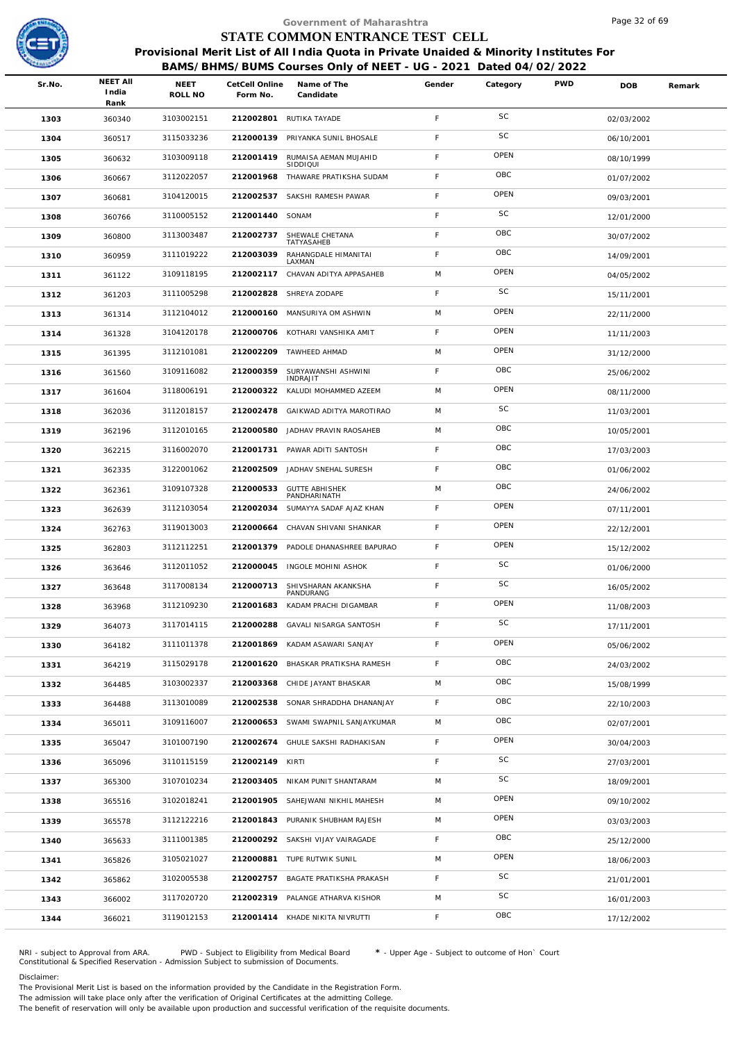

|        |                          |                        |           | Government of Maharashtra |                                                                                                                                                                                                                                                                                                                                                                                                                                                                                                                                                                                                                                                                                                                                                                                                                     |          |                                 | Page 32 of 69                                                    |                                                                                        |
|--------|--------------------------|------------------------|-----------|---------------------------|---------------------------------------------------------------------------------------------------------------------------------------------------------------------------------------------------------------------------------------------------------------------------------------------------------------------------------------------------------------------------------------------------------------------------------------------------------------------------------------------------------------------------------------------------------------------------------------------------------------------------------------------------------------------------------------------------------------------------------------------------------------------------------------------------------------------|----------|---------------------------------|------------------------------------------------------------------|----------------------------------------------------------------------------------------|
|        |                          |                        |           |                           |                                                                                                                                                                                                                                                                                                                                                                                                                                                                                                                                                                                                                                                                                                                                                                                                                     |          |                                 |                                                                  |                                                                                        |
|        |                          |                        |           |                           |                                                                                                                                                                                                                                                                                                                                                                                                                                                                                                                                                                                                                                                                                                                                                                                                                     |          |                                 |                                                                  |                                                                                        |
| Sr.No. | <b>NEET AII</b><br>India | <b>NEET</b><br>ROLL NO | Form No.  | Name of The<br>Candidate  | Gender                                                                                                                                                                                                                                                                                                                                                                                                                                                                                                                                                                                                                                                                                                                                                                                                              | Category | <b>PWD</b>                      | <b>DOB</b>                                                       | Remark                                                                                 |
| 1303   | 360340                   | 3103002151             |           |                           | $\mathsf F$                                                                                                                                                                                                                                                                                                                                                                                                                                                                                                                                                                                                                                                                                                                                                                                                         | SC       |                                 | 02/03/2002                                                       |                                                                                        |
| 1304   | 360517                   | 3115033236             | 212000139 | PRIYANKA SUNIL BHOSALE    | F                                                                                                                                                                                                                                                                                                                                                                                                                                                                                                                                                                                                                                                                                                                                                                                                                   | SC       |                                 | 06/10/2001                                                       |                                                                                        |
| 1305   | 360632                   | 3103009118             | 212001419 | RUMAISA AEMAN MUJAHID     | F                                                                                                                                                                                                                                                                                                                                                                                                                                                                                                                                                                                                                                                                                                                                                                                                                   | OPEN     |                                 | 08/10/1999                                                       |                                                                                        |
| 1306   | 360667                   | 3112022057             | 212001968 |                           | F.                                                                                                                                                                                                                                                                                                                                                                                                                                                                                                                                                                                                                                                                                                                                                                                                                  | OBC      |                                 | 01/07/2002                                                       |                                                                                        |
| 1307   | 360681                   | 3104120015             | 212002537 | SAKSHI RAMESH PAWAR       | F.                                                                                                                                                                                                                                                                                                                                                                                                                                                                                                                                                                                                                                                                                                                                                                                                                  | OPEN     |                                 | 09/03/2001                                                       |                                                                                        |
| 1308   | 360766                   | 3110005152             |           |                           | F.                                                                                                                                                                                                                                                                                                                                                                                                                                                                                                                                                                                                                                                                                                                                                                                                                  | SC       |                                 | 12/01/2000                                                       |                                                                                        |
| 1309   | 360800                   | 3113003487             | 212002737 | SHEWALE CHETANA           | F.                                                                                                                                                                                                                                                                                                                                                                                                                                                                                                                                                                                                                                                                                                                                                                                                                  | OBC      |                                 | 30/07/2002                                                       |                                                                                        |
| 1310   | 360959                   | 3111019222             | 212003039 | RAHANGDALE HIMANITAI      | F.                                                                                                                                                                                                                                                                                                                                                                                                                                                                                                                                                                                                                                                                                                                                                                                                                  | OBC      |                                 | 14/09/2001                                                       |                                                                                        |
| 1311   | 361122                   | 3109118195             | 212002117 | CHAVAN ADITYA APPASAHEB   | M                                                                                                                                                                                                                                                                                                                                                                                                                                                                                                                                                                                                                                                                                                                                                                                                                   | OPEN     |                                 | 04/05/2002                                                       |                                                                                        |
| 1312   | 361203                   | 3111005298             | 212002828 | SHREYA ZODAPE             | F.                                                                                                                                                                                                                                                                                                                                                                                                                                                                                                                                                                                                                                                                                                                                                                                                                  | SC       |                                 | 15/11/2001                                                       |                                                                                        |
| 1313   | 361314                   | 3112104012             | 212000160 | MANSURIYA OM ASHWIN       | M                                                                                                                                                                                                                                                                                                                                                                                                                                                                                                                                                                                                                                                                                                                                                                                                                   | OPEN     |                                 | 22/11/2000                                                       |                                                                                        |
| 1314   | 361328                   | 3104120178             |           |                           | F.                                                                                                                                                                                                                                                                                                                                                                                                                                                                                                                                                                                                                                                                                                                                                                                                                  | OPEN     |                                 | 11/11/2003                                                       |                                                                                        |
| 1315   | 361395                   | 3112101081             | 212002209 |                           | M                                                                                                                                                                                                                                                                                                                                                                                                                                                                                                                                                                                                                                                                                                                                                                                                                   | OPEN     |                                 | 31/12/2000                                                       |                                                                                        |
| 1316   | 361560                   | 3109116082             | 212000359 | SURYAWANSHI ASHWINI       | F.                                                                                                                                                                                                                                                                                                                                                                                                                                                                                                                                                                                                                                                                                                                                                                                                                  | OBC      |                                 | 25/06/2002                                                       |                                                                                        |
| 1317   | 361604                   | 3118006191             |           |                           | M                                                                                                                                                                                                                                                                                                                                                                                                                                                                                                                                                                                                                                                                                                                                                                                                                   | OPEN     |                                 | 08/11/2000                                                       |                                                                                        |
| 1318   | 362036                   | 3112018157             | 212002478 | GAIKWAD ADITYA MAROTIRAO  | M                                                                                                                                                                                                                                                                                                                                                                                                                                                                                                                                                                                                                                                                                                                                                                                                                   | SC       |                                 | 11/03/2001                                                       |                                                                                        |
| 1319   | 362196                   | 3112010165             |           |                           | M                                                                                                                                                                                                                                                                                                                                                                                                                                                                                                                                                                                                                                                                                                                                                                                                                   | OBC      |                                 | 10/05/2001                                                       |                                                                                        |
| 1320   | 362215                   | 3116002070             | 212001731 | PAWAR ADITI SANTOSH       | F.                                                                                                                                                                                                                                                                                                                                                                                                                                                                                                                                                                                                                                                                                                                                                                                                                  | OBC      |                                 | 17/03/2003                                                       |                                                                                        |
| 1321   | 362335                   | 3122001062             | 212002509 | JADHAV SNEHAL SURESH      | F.                                                                                                                                                                                                                                                                                                                                                                                                                                                                                                                                                                                                                                                                                                                                                                                                                  | OBC      |                                 | 01/06/2002                                                       |                                                                                        |
| 1322   | 362361                   | 3109107328             | 212000533 | <b>GUTTE ABHISHEK</b>     | M                                                                                                                                                                                                                                                                                                                                                                                                                                                                                                                                                                                                                                                                                                                                                                                                                   | OBC      |                                 | 24/06/2002                                                       |                                                                                        |
| 1323   | 362639                   | 3112103054             | 212002034 | SUMAYYA SADAF AJAZ KHAN   | F                                                                                                                                                                                                                                                                                                                                                                                                                                                                                                                                                                                                                                                                                                                                                                                                                   | OPEN     |                                 | 07/11/2001                                                       |                                                                                        |
| 1324   | 362763                   | 3119013003             | 212000664 | CHAVAN SHIVANI SHANKAR    | F                                                                                                                                                                                                                                                                                                                                                                                                                                                                                                                                                                                                                                                                                                                                                                                                                   | OPEN     |                                 | 22/12/2001                                                       |                                                                                        |
| 1325   | 362803                   | 3112112251             |           |                           | F.                                                                                                                                                                                                                                                                                                                                                                                                                                                                                                                                                                                                                                                                                                                                                                                                                  | OPEN     |                                 | 15/12/2002                                                       |                                                                                        |
| 1326   | 363646                   | 3112011052             |           |                           | F                                                                                                                                                                                                                                                                                                                                                                                                                                                                                                                                                                                                                                                                                                                                                                                                                   | SC       |                                 | 01/06/2000                                                       |                                                                                        |
| 1327   | 363648                   | 3117008134             | 212000713 | SHIVSHARAN AKANKSHA       | F.                                                                                                                                                                                                                                                                                                                                                                                                                                                                                                                                                                                                                                                                                                                                                                                                                  | SC       |                                 | 16/05/2002                                                       |                                                                                        |
| 1328   | 363968                   | 3112109230             | 212001683 | KADAM PRACHI DIGAMBAR     | F.                                                                                                                                                                                                                                                                                                                                                                                                                                                                                                                                                                                                                                                                                                                                                                                                                  | OPEN     |                                 | 11/08/2003                                                       |                                                                                        |
| 1329   | 364073                   | 3117014115             | 212000288 | GAVALI NISARGA SANTOSH    | F                                                                                                                                                                                                                                                                                                                                                                                                                                                                                                                                                                                                                                                                                                                                                                                                                   | SC       |                                 | 17/11/2001                                                       |                                                                                        |
| 1330   | 364182                   | 3111011378             |           |                           | F                                                                                                                                                                                                                                                                                                                                                                                                                                                                                                                                                                                                                                                                                                                                                                                                                   | OPEN     |                                 | 05/06/2002                                                       |                                                                                        |
| 1331   | 364219                   | 3115029178             | 212001620 | BHASKAR PRATIKSHA RAMESH  | $\mathsf F$                                                                                                                                                                                                                                                                                                                                                                                                                                                                                                                                                                                                                                                                                                                                                                                                         | OBC      |                                 | 24/03/2002                                                       |                                                                                        |
| 1332   | 364485                   | 3103002337             |           |                           | M                                                                                                                                                                                                                                                                                                                                                                                                                                                                                                                                                                                                                                                                                                                                                                                                                   | OBC      |                                 | 15/08/1999                                                       |                                                                                        |
| 1333   | 364488                   | 3113010089             |           |                           | F.                                                                                                                                                                                                                                                                                                                                                                                                                                                                                                                                                                                                                                                                                                                                                                                                                  | OBC      |                                 | 22/10/2003                                                       |                                                                                        |
| 1334   | 365011                   | 3109116007             | 212000653 | SWAMI SWAPNIL SANJAYKUMAR | M                                                                                                                                                                                                                                                                                                                                                                                                                                                                                                                                                                                                                                                                                                                                                                                                                   | OBC      |                                 | 02/07/2001                                                       |                                                                                        |
| 1335   | 365047                   | 3101007190             |           |                           | $\mathsf F$                                                                                                                                                                                                                                                                                                                                                                                                                                                                                                                                                                                                                                                                                                                                                                                                         | OPEN     |                                 | 30/04/2003                                                       |                                                                                        |
| 1336   | 365096                   | 3110115159             |           |                           | F.                                                                                                                                                                                                                                                                                                                                                                                                                                                                                                                                                                                                                                                                                                                                                                                                                  | SC       |                                 | 27/03/2001                                                       |                                                                                        |
| 1337   | 365300                   | 3107010234             |           |                           | M                                                                                                                                                                                                                                                                                                                                                                                                                                                                                                                                                                                                                                                                                                                                                                                                                   | SC       |                                 | 18/09/2001                                                       |                                                                                        |
| 1338   | 365516                   | 3102018241             |           |                           | M                                                                                                                                                                                                                                                                                                                                                                                                                                                                                                                                                                                                                                                                                                                                                                                                                   | OPEN     |                                 | 09/10/2002                                                       |                                                                                        |
| 1339   | 365578                   | 3112122216             |           |                           | M                                                                                                                                                                                                                                                                                                                                                                                                                                                                                                                                                                                                                                                                                                                                                                                                                   | OPEN     |                                 | 03/03/2003                                                       |                                                                                        |
| 1340   | 365633                   | 3111001385             |           |                           | F.                                                                                                                                                                                                                                                                                                                                                                                                                                                                                                                                                                                                                                                                                                                                                                                                                  | OBC      |                                 | 25/12/2000                                                       |                                                                                        |
| 1341   | 365826                   | 3105021027             |           |                           | M                                                                                                                                                                                                                                                                                                                                                                                                                                                                                                                                                                                                                                                                                                                                                                                                                   | OPEN     |                                 | 18/06/2003                                                       |                                                                                        |
| 1342   | 365862                   | 3102005538             |           | BAGATE PRATIKSHA PRAKASH  | F.                                                                                                                                                                                                                                                                                                                                                                                                                                                                                                                                                                                                                                                                                                                                                                                                                  | SC       |                                 | 21/01/2001                                                       |                                                                                        |
| 1343   | 366002                   | 3117020720             |           |                           | M                                                                                                                                                                                                                                                                                                                                                                                                                                                                                                                                                                                                                                                                                                                                                                                                                   | SC       |                                 | 16/01/2003                                                       |                                                                                        |
| 1344   | 366021                   | 3119012153             |           |                           | F.                                                                                                                                                                                                                                                                                                                                                                                                                                                                                                                                                                                                                                                                                                                                                                                                                  | OBC      |                                 | 17/12/2002                                                       |                                                                                        |
|        |                          | Rank                   |           |                           | CetCell Online<br>212002801 RUTIKA TAYADE<br>SIDDIQUI<br>THAWARE PRATIKSHA SUDAM<br>212001440 SONAM<br>TATYASAHEB<br>LAXMAN<br>212000706 KOTHARI VANSHIKA AMIT<br>TAWHEED AHMAD<br><b>INDRAJIT</b><br>212000322 KALUDI MOHAMMED AZEEM<br>212000580 JADHAV PRAVIN RAOSAHEB<br>PANDHARINATH<br>212001379 PADOLE DHANASHREE BAPURAO<br>212000045 INGOLE MOHINI ASHOK<br>PANDURANG<br>212001869 KADAM ASAWARI SANJAY<br>212003368 CHIDE JAYANT BHASKAR<br>212002538 SONAR SHRADDHA DHANANJAY<br>212002674 GHULE SAKSHI RADHAKISAN<br>212002149 KIRTI<br>212003405 NIKAM PUNIT SHANTARAM<br>212001905 SAHEJWANI NIKHIL MAHESH<br>212001843 PURANIK SHUBHAM RAJESH<br>212000292 SAKSHI VIJAY VAIRAGADE<br>212000881 TUPE RUTWIK SUNIL<br>212002757<br>212002319 PALANGE ATHARVA KISHOR<br>212001414 KHADE NIKITA NIVRUTTI |          | STATE COMMON ENTRANCE TEST CELL | BAMS/BHMS/BUMS Courses Only of NEET - UG - 2021 Dated 04/02/2022 | Provisional Merit List of All India Quota in Private Unaided & Minority Institutes For |

NRI - subject to Approval from ARA. PWD - Subject to Eligibility from Medical Board \* - Upper Age - Subject to outcome of Hon` Court<br>Constitutional & Specified Reservation - Admission Subject to submissio

Disclaimer:

The Provisional Merit List is based on the information provided by the Candidate in the Registration Form.

The admission will take place only after the verification of Original Certificates at the admitting College.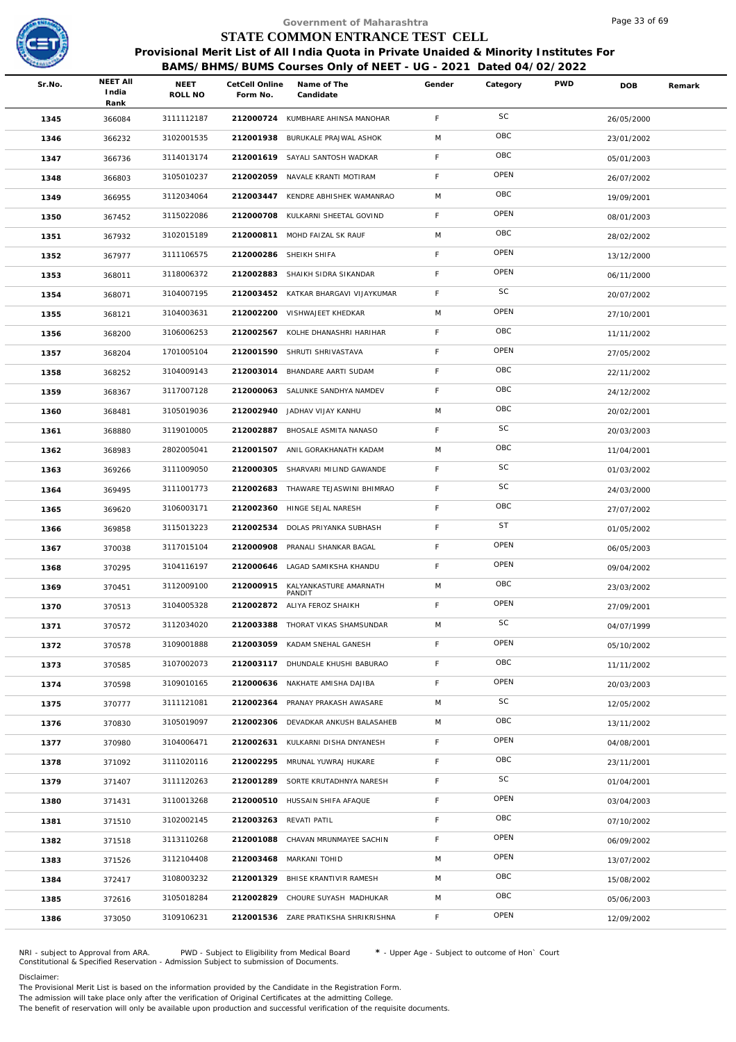

|        |                                  |                 |                            | Government of Maharashtra                                                              |             |           |            | Page 33 of 69 |        |
|--------|----------------------------------|-----------------|----------------------------|----------------------------------------------------------------------------------------|-------------|-----------|------------|---------------|--------|
|        |                                  |                 |                            | STATE COMMON ENTRANCE TEST CELL                                                        |             |           |            |               |        |
|        |                                  |                 |                            | Provisional Merit List of All India Quota in Private Unaided & Minority Institutes For |             |           |            |               |        |
|        |                                  |                 |                            | BAMS/BHMS/BUMS Courses Only of NEET - UG - 2021 Dated 04/02/2022                       |             |           |            |               |        |
| Sr.No. | <b>NEET AII</b><br>India<br>Rank | NEET<br>ROLL NO | CetCell Online<br>Form No. | Name of The<br>Candidate                                                               | Gender      | Category  | <b>PWD</b> | DOB           | Remark |
| 1345   | 366084                           | 3111112187      |                            | 212000724 KUMBHARE AHINSA MANOHAR                                                      | F           | SC        |            | 26/05/2000    |        |
| 1346   | 366232                           | 3102001535      | 212001938                  | BURUKALE PRAJWAL ASHOK                                                                 | M           | OBC       |            | 23/01/2002    |        |
| 1347   | 366736                           | 3114013174      | 212001619                  | SAYALI SANTOSH WADKAR                                                                  | F           | OBC       |            | 05/01/2003    |        |
| 1348   | 366803                           | 3105010237      |                            | 212002059 NAVALE KRANTI MOTIRAM                                                        | F.          | OPEN      |            | 26/07/2002    |        |
| 1349   | 366955                           | 3112034064      | 212003447                  | KENDRE ABHISHEK WAMANRAO                                                               | M           | OBC       |            | 19/09/2001    |        |
| 1350   | 367452                           | 3115022086      | 212000708                  | KULKARNI SHEETAL GOVIND                                                                | F.          | OPEN      |            | 08/01/2003    |        |
| 1351   | 367932                           | 3102015189      |                            | 212000811 MOHD FAIZAL SK RAUF                                                          | M           | OBC       |            | 28/02/2002    |        |
| 1352   | 367977                           | 3111106575      | 212000286                  | SHEIKH SHIFA                                                                           | F           | OPEN      |            | 13/12/2000    |        |
| 1353   | 368011                           | 3118006372      |                            | 212002883 SHAIKH SIDRA SIKANDAR                                                        | F           | OPEN      |            | 06/11/2000    |        |
| 1354   | 368071                           | 3104007195      |                            | 212003452 KATKAR BHARGAVI VIJAYKUMAR                                                   | F           | SC        |            | 20/07/2002    |        |
| 1355   | 368121                           | 3104003631      | 212002200                  | VISHWAJEET KHEDKAR                                                                     | M           | OPEN      |            | 27/10/2001    |        |
| 1356   | 368200                           | 3106006253      |                            | 212002567 KOLHE DHANASHRI HARIHAR                                                      | F.          | OBC       |            | 11/11/2002    |        |
| 1357   | 368204                           | 1701005104      | 212001590                  | SHRUTI SHRIVASTAVA                                                                     | $\mathsf F$ | OPEN      |            | 27/05/2002    |        |
| 1358   | 368252                           | 3104009143      |                            | 212003014 BHANDARE AARTI SUDAM                                                         | F           | OBC       |            | 22/11/2002    |        |
| 1359   | 368367                           | 3117007128      | 212000063                  | SALUNKE SANDHYA NAMDEV                                                                 | F           | OBC       |            | 24/12/2002    |        |
| 1360   | 368481                           | 3105019036      | 212002940                  | JADHAV VIJAY KANHU                                                                     | M           | OBC       |            | 20/02/2001    |        |
| 1361   | 368880                           | 3119010005      | 212002887                  | BHOSALE ASMITA NANASO                                                                  | F           | SC        |            | 20/03/2003    |        |
| 1362   | 368983                           | 2802005041      | 212001507                  | ANIL GORAKHANATH KADAM                                                                 | M           | OBC       |            | 11/04/2001    |        |
| 1363   | 369266                           | 3111009050      | 212000305                  | SHARVARI MILIND GAWANDE                                                                | F           | SC        |            | 01/03/2002    |        |
| 1364   | 369495                           | 3111001773      |                            | 212002683 THAWARE TEJASWINI BHIMRAO                                                    | F.          | SC        |            | 24/03/2000    |        |
| 1365   | 369620                           | 3106003171      | 212002360                  | HINGE SEJAL NARESH                                                                     | $\mathsf F$ | OBC       |            | 27/07/2002    |        |
| 1366   | 369858                           | 3115013223      |                            | 212002534 DOLAS PRIYANKA SUBHASH                                                       | F           | <b>ST</b> |            | 01/05/2002    |        |
| 1367   | 370038                           | 3117015104      | 212000908                  | PRANALI SHANKAR BAGAL                                                                  | F           | OPEN      |            | 06/05/2003    |        |
| 1368   | 370295                           | 3104116197      |                            | 212000646 LAGAD SAMIKSHA KHANDU                                                        | F           | OPEN      |            | 09/04/2002    |        |
| 1369   | 370451                           | 3112009100      | 212000915                  | KALYANKASTURE AMARNATH<br>PANDIT                                                       | M           | OBC       |            | 23/03/2002    |        |
| 1370   | 370513                           | 3104005328      |                            | 212002872 ALIYA FEROZ SHAIKH                                                           | F           | OPEN      |            | 27/09/2001    |        |
| 1371   | 370572                           | 3112034020      | 212003388                  | THORAT VIKAS SHAMSUNDAR                                                                | M           | SC        |            | 04/07/1999    |        |
| 1372   | 370578                           | 3109001888      |                            | 212003059 KADAM SNEHAL GANESH                                                          | F.          | OPEN      |            | 05/10/2002    |        |
| 1373   | 370585                           | 3107002073      | 212003117                  | DHUNDALE KHUSHI BABURAO                                                                | F           | OBC       |            | 11/11/2002    |        |
| 1374   | 370598                           | 3109010165      | 212000636                  | NAKHATE AMISHA DAJIBA                                                                  | F           | OPEN      |            | 20/03/2003    |        |
| 1375   | 370777                           | 3111121081      | 212002364                  | PRANAY PRAKASH AWASARE                                                                 | M           | SC        |            | 12/05/2002    |        |
| 1376   | 370830                           | 3105019097      | 212002306                  | DEVADKAR ANKUSH BALASAHEB                                                              | M           | OBC       |            | 13/11/2002    |        |
| 1377   | 370980                           | 3104006471      |                            | 212002631 KULKARNI DISHA DNYANESH                                                      | F.          | OPEN      |            | 04/08/2001    |        |
| 1378   | 371092                           | 3111020116      | 212002295                  | MRUNAL YUWRAJ HUKARE                                                                   | F.          | OBC       |            | 23/11/2001    |        |
| 1379   | 371407                           | 3111120263      | 212001289                  | SORTE KRUTADHNYA NARESH                                                                | F.          | SC        |            | 01/04/2001    |        |
| 1380   | 371431                           | 3110013268      |                            | 212000510 HUSSAIN SHIFA AFAQUE                                                         | F           | OPEN      |            | 03/04/2003    |        |
| 1381   | 371510                           | 3102002145      | 212003263                  | REVATI PATIL                                                                           | F           | OBC       |            | 07/10/2002    |        |
| 1382   | 371518                           | 3113110268      | 212001088                  | CHAVAN MRUNMAYEE SACHIN                                                                | F.          | OPEN      |            | 06/09/2002    |        |
| 1383   | 371526                           | 3112104408      | 212003468                  | MARKANI TOHID                                                                          | M           | OPEN      |            | 13/07/2002    |        |
| 1384   | 372417                           | 3108003232      | 212001329                  | BHISE KRANTIVIR RAMESH                                                                 | M           | OBC       |            | 15/08/2002    |        |
| 1385   | 372616                           | 3105018284      | 212002829                  | CHOURE SUYASH MADHUKAR                                                                 | M           | OBC       |            | 05/06/2003    |        |
| 1386   | 373050                           | 3109106231      |                            | 212001536 ZARE PRATIKSHA SHRIKRISHNA                                                   | F.          | OPEN      |            | 12/09/2002    |        |
|        |                                  |                 |                            |                                                                                        |             |           |            |               |        |

NRI - subject to Approval from ARA. PWD - Subject to Eligibility from Medical Board \* - Upper Age - Subject to outcome of Hon` Court<br>Constitutional & Specified Reservation - Admission Subject to submissio

Disclaimer:

The Provisional Merit List is based on the information provided by the Candidate in the Registration Form. The admission will take place only after the verification of Original Certificates at the admitting College.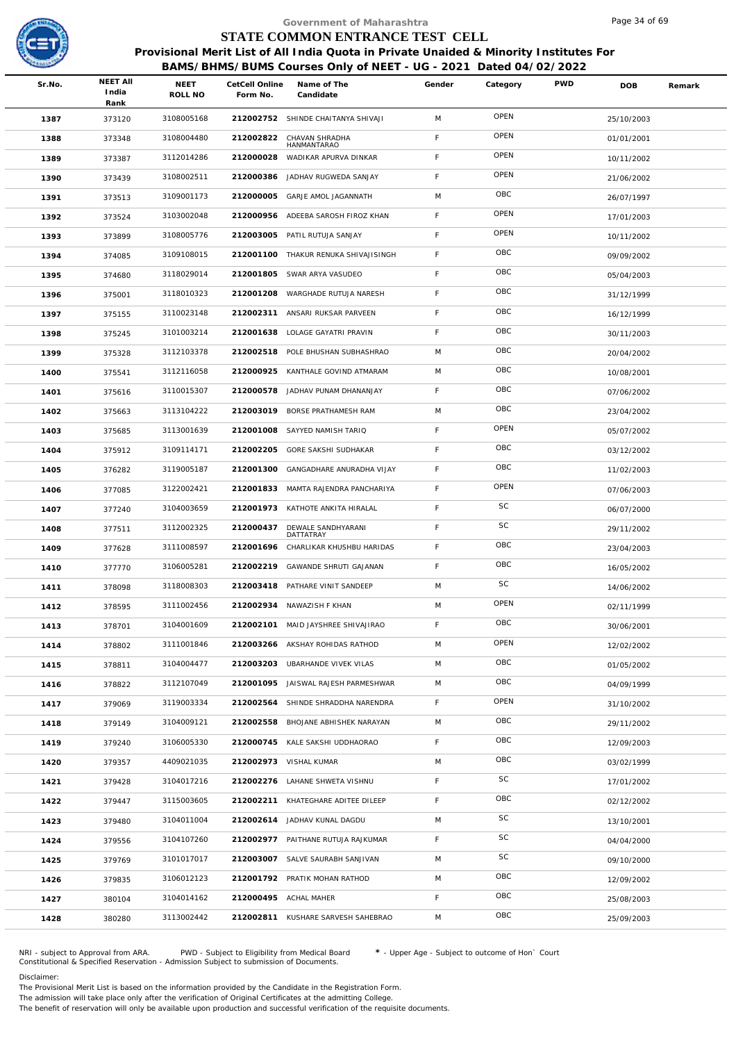

|        |                 |                 |                            | Government of Maharashtra                                                              |        |          |            | Page 34 of 69 |        |
|--------|-----------------|-----------------|----------------------------|----------------------------------------------------------------------------------------|--------|----------|------------|---------------|--------|
|        |                 |                 |                            | STATE COMMON ENTRANCE TEST CELL                                                        |        |          |            |               |        |
|        |                 |                 |                            | Provisional Merit List of All India Quota in Private Unaided & Minority Institutes For |        |          |            |               |        |
|        | <b>NEET AII</b> |                 |                            | BAMS/BHMS/BUMS Courses Only of NEET - UG - 2021 Dated 04/02/2022                       |        |          |            |               |        |
| Sr.No. | India<br>Rank   | NEET<br>ROLL NO | CetCell Online<br>Form No. | Name of The<br>Candidate                                                               | Gender | Category | <b>PWD</b> | <b>DOB</b>    | Remark |
| 1387   | 373120          | 3108005168      |                            | 212002752 SHINDE CHAITANYA SHIVAJI                                                     | M      | OPEN     |            | 25/10/2003    |        |
| 1388   | 373348          | 3108004480      | 212002822                  | CHAVAN SHRADHA<br>HANMANTARAO                                                          | F      | OPEN     |            | 01/01/2001    |        |
| 1389   | 373387          | 3112014286      | 212000028                  | WADIKAR APURVA DINKAR                                                                  | F      | OPEN     |            | 10/11/2002    |        |
| 1390   | 373439          | 3108002511      | 212000386                  | JADHAV RUGWEDA SANJAY                                                                  | F      | OPEN     |            | 21/06/2002    |        |
| 1391   | 373513          | 3109001173      | 212000005                  | GARJE AMOL JAGANNATH                                                                   | M      | OBC      |            | 26/07/1997    |        |
| 1392   | 373524          | 3103002048      | 212000956                  | ADEEBA SAROSH FIROZ KHAN                                                               | F      | OPEN     |            | 17/01/2003    |        |
| 1393   | 373899          | 3108005776      | 212003005                  | PATIL RUTUJA SANJAY                                                                    | F      | OPEN     |            | 10/11/2002    |        |
| 1394   | 374085          | 3109108015      | 212001100                  | THAKUR RENUKA SHIVAJISINGH                                                             | F      | OBC      |            | 09/09/2002    |        |
| 1395   | 374680          | 3118029014      | 212001805                  | SWAR ARYA VASUDEO                                                                      | F      | OBC      |            | 05/04/2003    |        |
| 1396   | 375001          | 3118010323      | 212001208                  | WARGHADE RUTUJA NARESH                                                                 | F      | OBC      |            | 31/12/1999    |        |
| 1397   | 375155          | 3110023148      |                            | 212002311 ANSARI RUKSAR PARVEEN                                                        | F      | OBC      |            | 16/12/1999    |        |
| 1398   | 375245          | 3101003214      |                            | 212001638 LOLAGE GAYATRI PRAVIN                                                        | F      | OBC      |            | 30/11/2003    |        |
| 1399   | 375328          | 3112103378      | 212002518                  | POLE BHUSHAN SUBHASHRAO                                                                | M      | OBC      |            | 20/04/2002    |        |
| 1400   | 375541          | 3112116058      | 212000925                  | KANTHALE GOVIND ATMARAM                                                                | M      | OBC      |            | 10/08/2001    |        |
| 1401   | 375616          | 3110015307      | 212000578                  | JADHAV PUNAM DHANANJAY                                                                 | F.     | OBC      |            | 07/06/2002    |        |
| 1402   | 375663          | 3113104222      | 212003019                  | BORSE PRATHAMESH RAM                                                                   | M      | OBC      |            | 23/04/2002    |        |
| 1403   | 375685          | 3113001639      | 212001008                  | SAYYED NAMISH TARIQ                                                                    | F      | OPEN     |            | 05/07/2002    |        |
| 1404   | 375912          | 3109114171      | 212002205                  | GORE SAKSHI SUDHAKAR                                                                   | F      | OBC      |            | 03/12/2002    |        |
| 1405   | 376282          | 3119005187      | 212001300                  | GANGADHARE ANURADHA VIJAY                                                              | F      | OBC      |            | 11/02/2003    |        |
| 1406   | 377085          | 3122002421      |                            | 212001833 MAMTA RAJENDRA PANCHARIYA                                                    | F.     | OPEN     |            | 07/06/2003    |        |
| 1407   | 377240          | 3104003659      | 212001973                  | KATHOTE ANKITA HIRALAL                                                                 | F      | SC       |            | 06/07/2000    |        |
| 1408   | 377511          | 3112002325      | 212000437                  | DEWALE SANDHYARANI<br>DATTATRAY                                                        | F      | SC       |            | 29/11/2002    |        |
| 1409   | 377628          | 3111008597      | 212001696                  | CHARLIKAR KHUSHBU HARIDAS                                                              | F      | OBC      |            | 23/04/2003    |        |
| 1410   | 377770          | 3106005281      |                            | 212002219 GAWANDE SHRUTI GAJANAN                                                       | F      | OBC      |            | 16/05/2002    |        |
| 1411   | 378098          | 3118008303      |                            | 212003418 PATHARE VINIT SANDEEP                                                        | M      | SC       |            | 14/06/2002    |        |
| 1412   | 378595          | 3111002456      |                            | 212002934 NAWAZISH F KHAN                                                              | M      | OPEN     |            | 02/11/1999    |        |
| 1413   | 378701          | 3104001609      | 212002101                  | MAID JAYSHREE SHIVAJIRAO                                                               | F.     | OBC      |            | 30/06/2001    |        |
| 1414   | 378802          | 3111001846      |                            | 212003266 AKSHAY ROHIDAS RATHOD                                                        | M      | OPEN     |            | 12/02/2002    |        |
| 1415   | 378811          | 3104004477      | 212003203                  | UBARHANDE VIVEK VILAS                                                                  | M      | OBC      |            | 01/05/2002    |        |
| 1416   | 378822          | 3112107049      | 212001095                  | JAISWAL RAJESH PARMESHWAR                                                              | M      | OBC      |            | 04/09/1999    |        |
| 1417   | 379069          | 3119003334      |                            | 212002564 SHINDE SHRADDHA NARENDRA                                                     | F.     | OPEN     |            | 31/10/2002    |        |
| 1418   | 379149          | 3104009121      | 212002558                  | BHOJANE ABHISHEK NARAYAN                                                               | M      | OBC      |            | 29/11/2002    |        |
| 1419   | 379240          | 3106005330      |                            | 212000745 KALE SAKSHI UDDHAORAO                                                        | F.     | OBC      |            | 12/09/2003    |        |
| 1420   | 379357          | 4409021035      |                            | 212002973 VISHAL KUMAR                                                                 | M      | OBC      |            | 03/02/1999    |        |
| 1421   | 379428          | 3104017216      |                            | 212002276 LAHANE SHWETA VISHNU                                                         | F.     | SC       |            | 17/01/2002    |        |
| 1422   | 379447          | 3115003605      |                            | 212002211 KHATEGHARE ADITEE DILEEP                                                     | F      | OBC      |            | 02/12/2002    |        |
| 1423   | 379480          | 3104011004      |                            | 212002614 JADHAV KUNAL DAGDU                                                           | M      | SC       |            | 13/10/2001    |        |
| 1424   | 379556          | 3104107260      |                            | 212002977 PAITHANE RUTUJA RAJKUMAR                                                     | F.     | SC       |            | 04/04/2000    |        |
| 1425   | 379769          | 3101017017      |                            | 212003007 SALVE SAURABH SANJIVAN                                                       | M      | SC       |            | 09/10/2000    |        |
| 1426   | 379835          | 3106012123      |                            | 212001792 PRATIK MOHAN RATHOD                                                          | M      | OBC      |            | 12/09/2002    |        |
| 1427   | 380104          | 3104014162      |                            | 212000495 ACHAL MAHER                                                                  | F      | OBC      |            | 25/08/2003    |        |
| 1428   | 380280          | 3113002442      |                            | 212002811 KUSHARE SARVESH SAHEBRAO                                                     | M      | OBC      |            | 25/09/2003    |        |

NRI - subject to Approval from ARA. PWD - Subject to Eligibility from Medical Board \* - Upper Age - Subject to outcome of Hon` Court<br>Constitutional & Specified Reservation - Admission Subject to submissio

Disclaimer:

The Provisional Merit List is based on the information provided by the Candidate in the Registration Form.

The admission will take place only after the verification of Original Certificates at the admitting College.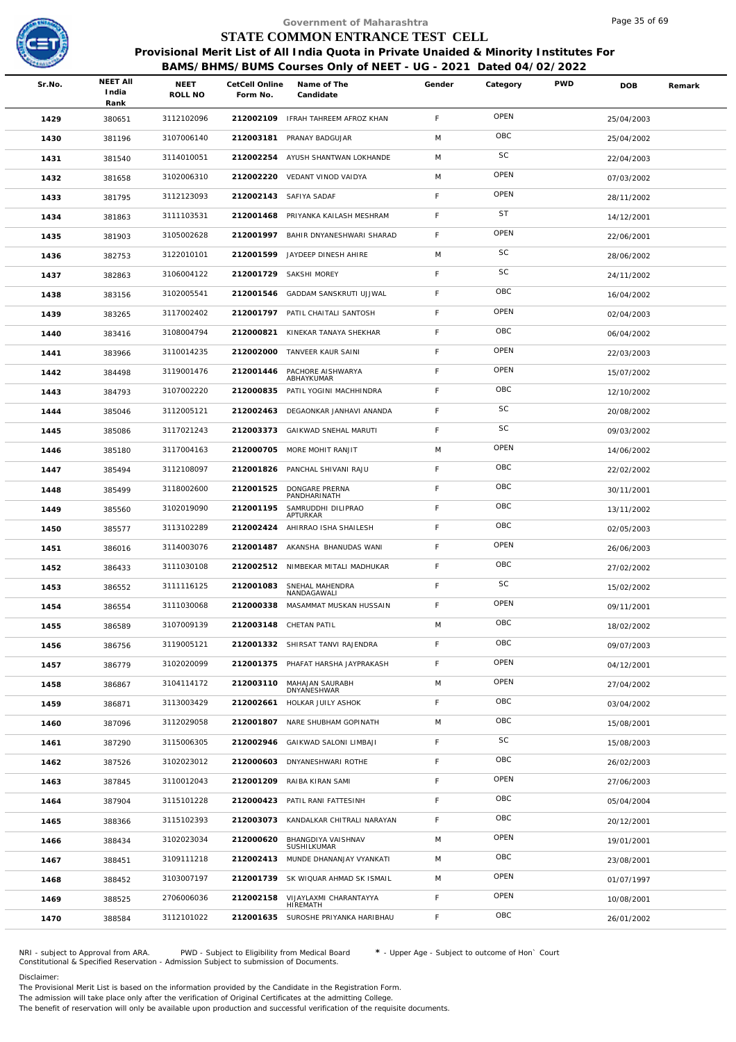

|        |                                  |                        |                            | Government of Maharashtra                                                                                                                                  |        |           |            | Page 35 of 69 |        |
|--------|----------------------------------|------------------------|----------------------------|------------------------------------------------------------------------------------------------------------------------------------------------------------|--------|-----------|------------|---------------|--------|
|        |                                  |                        |                            | STATE COMMON ENTRANCE TEST CELL                                                                                                                            |        |           |            |               |        |
|        |                                  |                        |                            | Provisional Merit List of All India Quota in Private Unaided & Minority Institutes For<br>BAMS/BHMS/BUMS Courses Only of NEET - UG - 2021 Dated 04/02/2022 |        |           |            |               |        |
| Sr.No. | <b>NEET AII</b><br>India<br>Rank | <b>NEET</b><br>ROLL NO | CetCell Online<br>Form No. | Name of The<br>Candidate                                                                                                                                   | Gender | Category  | <b>PWD</b> | <b>DOB</b>    | Remark |
| 1429   | 380651                           | 3112102096             |                            | 212002109 IFRAH TAHREEM AFROZ KHAN                                                                                                                         | F.     | OPEN      |            | 25/04/2003    |        |
| 1430   | 381196                           | 3107006140             | 212003181                  | PRANAY BADGUJAR                                                                                                                                            | M      | OBC       |            | 25/04/2002    |        |
| 1431   | 381540                           | 3114010051             | 212002254                  | AYUSH SHANTWAN LOKHANDE                                                                                                                                    | M      | SC        |            | 22/04/2003    |        |
| 1432   | 381658                           | 3102006310             |                            | 212002220 VEDANT VINOD VAIDYA                                                                                                                              | M      | OPEN      |            | 07/03/2002    |        |
| 1433   | 381795                           | 3112123093             |                            | 212002143 SAFIYA SADAF                                                                                                                                     | F.     | OPEN      |            | 28/11/2002    |        |
| 1434   | 381863                           | 3111103531             |                            | 212001468 PRIYANKA KAILASH MESHRAM                                                                                                                         | F      | <b>ST</b> |            | 14/12/2001    |        |
| 1435   | 381903                           | 3105002628             | 212001997                  | BAHIR DNYANESHWARI SHARAD                                                                                                                                  | F      | OPEN      |            | 22/06/2001    |        |
| 1436   | 382753                           | 3122010101             | 212001599                  | JAYDEEP DINESH AHIRE                                                                                                                                       | M      | SC        |            | 28/06/2002    |        |
| 1437   | 382863                           | 3106004122             |                            | 212001729 SAKSHI MOREY                                                                                                                                     | F      | SC        |            | 24/11/2002    |        |
| 1438   | 383156                           | 3102005541             | 212001546                  | GADDAM SANSKRUTI UJJWAL                                                                                                                                    | F      | OBC       |            | 16/04/2002    |        |
| 1439   | 383265                           | 3117002402             |                            | 212001797 PATIL CHAITALI SANTOSH                                                                                                                           | F      | OPEN      |            | 02/04/2003    |        |
| 1440   | 383416                           | 3108004794             | 212000821                  | KINEKAR TANAYA SHEKHAR                                                                                                                                     | F      | OBC       |            | 06/04/2002    |        |
| 1441   | 383966                           | 3110014235             |                            | 212002000 TANVEER KAUR SAINI                                                                                                                               | F      | OPEN      |            | 22/03/2003    |        |
| 1442   | 384498                           | 3119001476             |                            | 212001446 PACHORE AISHWARYA<br>ABHAYKUMAR                                                                                                                  | F.     | OPEN      |            | 15/07/2002    |        |
| 1443   | 384793                           | 3107002220             | 212000835                  | PATIL YOGINI MACHHINDRA                                                                                                                                    | F      | OBC       |            | 12/10/2002    |        |
| 1444   | 385046                           | 3112005121             | 212002463                  | DEGAONKAR JANHAVI ANANDA                                                                                                                                   | F      | SC        |            | 20/08/2002    |        |
| 1445   | 385086                           | 3117021243             |                            | 212003373 GAIKWAD SNEHAL MARUTI                                                                                                                            | F      | SC        |            | 09/03/2002    |        |
| 1446   | 385180                           | 3117004163             |                            | 212000705 MORE MOHIT RANJIT                                                                                                                                | M      | OPEN      |            | 14/06/2002    |        |
| 1447   | 385494                           | 3112108097             |                            | 212001826 PANCHAL SHIVANI RAJU                                                                                                                             | F      | OBC       |            | 22/02/2002    |        |
| 1448   | 385499                           | 3118002600             | 212001525                  | DONGARE PRERNA<br>PANDHARINATH                                                                                                                             | F      | OBC       |            | 30/11/2001    |        |
| 1449   | 385560                           | 3102019090             | 212001195                  | SAMRUDDHI DILIPRAO<br><b>APTURKAR</b>                                                                                                                      | F      | OBC       |            | 13/11/2002    |        |
| 1450   | 385577                           | 3113102289             | 212002424                  | AHIRRAO ISHA SHAILESH                                                                                                                                      | F      | OBC       |            | 02/05/2003    |        |
| 1451   | 386016                           | 3114003076             |                            | 212001487 AKANSHA BHANUDAS WANI                                                                                                                            | F.     | OPEN      |            | 26/06/2003    |        |
| 1452   | 386433                           | 3111030108             |                            | 212002512 NIMBEKAR MITALI MADHUKAR                                                                                                                         | F.     | OBC       |            | 27/02/2002    |        |
| 1453   | 386552                           | 3111116125             | 212001083                  | SNEHAL MAHENDRA<br>NANDAGAWALI                                                                                                                             | F.     | <b>SC</b> |            | 15/02/2002    |        |
| 1454   | 386554                           | 3111030068             | 212000338                  | MASAMMAT MUSKAN HUSSAIN                                                                                                                                    | F.     | OPEN      |            | 09/11/2001    |        |
| 1455   | 386589                           | 3107009139             |                            | 212003148 CHETAN PATIL                                                                                                                                     | M      | OBC       |            | 18/02/2002    |        |
| 1456   | 386756                           | 3119005121             |                            | 212001332 SHIRSAT TANVI RAJENDRA                                                                                                                           | F      | OBC       |            | 09/07/2003    |        |
| 1457   | 386779                           | 3102020099             | 212001375                  | PHAFAT HARSHA JAYPRAKASH                                                                                                                                   | F      | OPEN      |            | 04/12/2001    |        |
| 1458   | 386867                           | 3104114172             | 212003110                  | MAHAJAN SAURABH<br>DNYANESHWAR                                                                                                                             | M      | OPEN      |            | 27/04/2002    |        |
| 1459   | 386871                           | 3113003429             | 212002661                  | HOLKAR JUILY ASHOK                                                                                                                                         | F      | OBC       |            | 03/04/2002    |        |
| 1460   | 387096                           | 3112029058             | 212001807                  | NARE SHUBHAM GOPINATH                                                                                                                                      | M      | OBC       |            | 15/08/2001    |        |
| 1461   | 387290                           | 3115006305             |                            | 212002946 GAIKWAD SALONI LIMBAJI                                                                                                                           | F      | SC        |            | 15/08/2003    |        |
| 1462   | 387526                           | 3102023012             | 212000603                  | DNYANESHWARI ROTHE                                                                                                                                         | F.     | OBC       |            | 26/02/2003    |        |
| 1463   | 387845                           | 3110012043             | 212001209                  | RAIBA KIRAN SAMI                                                                                                                                           | F.     | OPEN      |            | 27/06/2003    |        |
| 1464   | 387904                           | 3115101228             |                            | 212000423 PATIL RANI FATTESINH                                                                                                                             | F      | OBC       |            | 05/04/2004    |        |
| 1465   | 388366                           | 3115102393             | 212003073                  | KANDALKAR CHITRALI NARAYAN                                                                                                                                 | F      | OBC       |            | 20/12/2001    |        |
| 1466   | 388434                           | 3102023034             | 212000620                  | BHANGDIYA VAISHNAV<br>SUSHILKUMAR                                                                                                                          | M      | OPEN      |            | 19/01/2001    |        |
| 1467   | 388451                           | 3109111218             |                            | 212002413 MUNDE DHANANJAY VYANKATI                                                                                                                         | M      | OBC       |            | 23/08/2001    |        |
| 1468   | 388452                           | 3103007197             |                            | 212001739 SK WIQUAR AHMAD SK ISMAIL                                                                                                                        | M      | OPEN      |            | 01/07/1997    |        |
| 1469   | 388525                           | 2706006036             |                            | 212002158 VIJAYLAXMI CHARANTAYYA<br>HIREMATH                                                                                                               | F      | OPEN      |            | 10/08/2001    |        |
| 1470   | 388584                           | 3112101022             |                            | 212001635 SUROSHE PRIYANKA HARIBHAU                                                                                                                        | F.     | OBC       |            | 26/01/2002    |        |
|        |                                  |                        |                            |                                                                                                                                                            |        |           |            |               |        |

NRI - subject to Approval from ARA. PWD - Subject to Eligibility from Medical Board \* - Upper Age - Subject to outcome of Hon` Court<br>Constitutional & Specified Reservation - Admission Subject to submissio

Disclaimer:

The Provisional Merit List is based on the information provided by the Candidate in the Registration Form.

The admission will take place only after the verification of Original Certificates at the admitting College.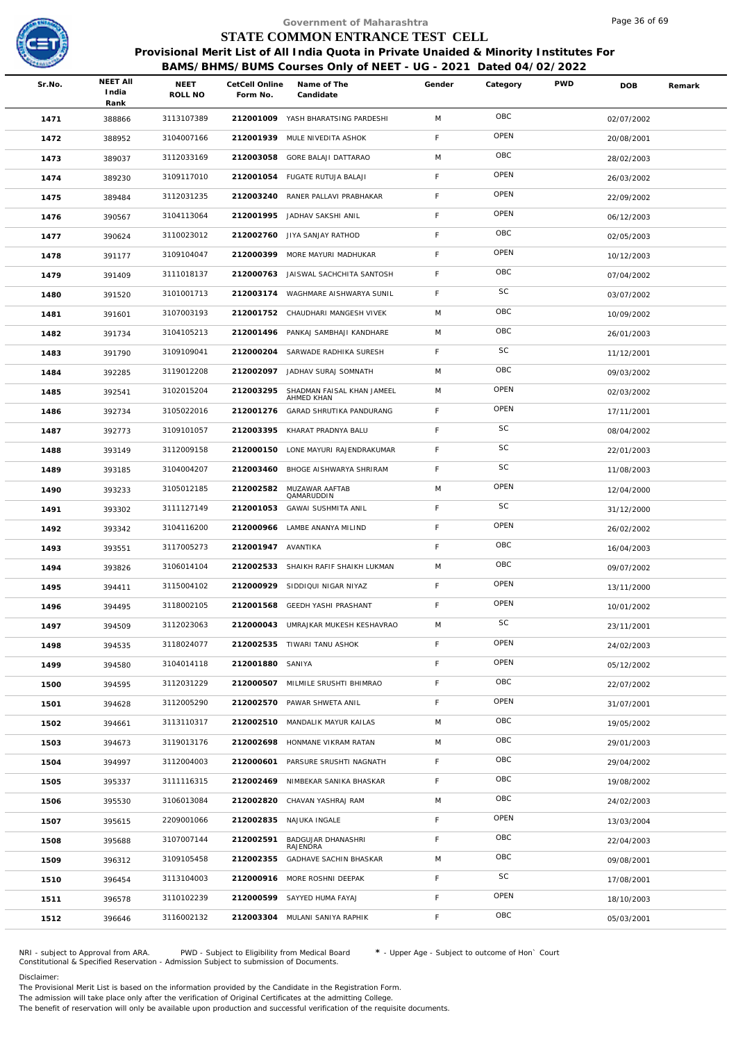

|        |                                  |                        |                            | Government of Maharashtra                                                                                                                                  |             |          |            | Page 36 of 69 |        |
|--------|----------------------------------|------------------------|----------------------------|------------------------------------------------------------------------------------------------------------------------------------------------------------|-------------|----------|------------|---------------|--------|
|        |                                  |                        |                            | STATE COMMON ENTRANCE TEST CELL                                                                                                                            |             |          |            |               |        |
|        |                                  |                        |                            | Provisional Merit List of All India Quota in Private Unaided & Minority Institutes For<br>BAMS/BHMS/BUMS Courses Only of NEET - UG - 2021 Dated 04/02/2022 |             |          |            |               |        |
| Sr.No. | <b>NEET AII</b><br>India<br>Rank | <b>NEET</b><br>ROLL NO | CetCell Online<br>Form No. | Name of The<br>Candidate                                                                                                                                   | Gender      | Category | <b>PWD</b> | <b>DOB</b>    | Remark |
| 1471   | 388866                           | 3113107389             |                            | 212001009 YASH BHARATSING PARDESHI                                                                                                                         | M           | OBC      |            | 02/07/2002    |        |
| 1472   | 388952                           | 3104007166             | 212001939                  | MULE NIVEDITA ASHOK                                                                                                                                        | F.          | OPEN     |            | 20/08/2001    |        |
| 1473   | 389037                           | 3112033169             | 212003058                  | GORE BALAJI DATTARAO                                                                                                                                       | M           | OBC      |            | 28/02/2003    |        |
| 1474   | 389230                           | 3109117010             |                            | 212001054 FUGATE RUTUJA BALAJI                                                                                                                             | F.          | OPEN     |            | 26/03/2002    |        |
| 1475   | 389484                           | 3112031235             | 212003240                  | RANER PALLAVI PRABHAKAR                                                                                                                                    | $\mathsf F$ | OPEN     |            | 22/09/2002    |        |
| 1476   | 390567                           | 3104113064             |                            | 212001995 JADHAV SAKSHI ANIL                                                                                                                               | F.          | OPEN     |            | 06/12/2003    |        |
| 1477   | 390624                           | 3110023012             |                            | 212002760 JIYA SANJAY RATHOD                                                                                                                               | F           | OBC      |            | 02/05/2003    |        |
| 1478   | 391177                           | 3109104047             | 212000399                  | MORE MAYURI MADHUKAR                                                                                                                                       | F           | OPEN     |            | 10/12/2003    |        |
| 1479   | 391409                           | 3111018137             |                            | 212000763 JAISWAL SACHCHITA SANTOSH                                                                                                                        | F           | OBC      |            | 07/04/2002    |        |
| 1480   | 391520                           | 3101001713             | 212003174                  | WAGHMARE AISHWARYA SUNIL                                                                                                                                   | F           | SC       |            | 03/07/2002    |        |
| 1481   | 391601                           | 3107003193             |                            | 212001752 CHAUDHARI MANGESH VIVEK                                                                                                                          | M           | OBC      |            | 10/09/2002    |        |
| 1482   | 391734                           | 3104105213             |                            | 212001496 PANKAJ SAMBHAJI KANDHARE                                                                                                                         | M           | OBC      |            | 26/01/2003    |        |
| 1483   | 391790                           | 3109109041             | 212000204                  | SARWADE RADHIKA SURESH                                                                                                                                     | F           | SC       |            | 11/12/2001    |        |
| 1484   | 392285                           | 3119012208             |                            | 212002097 JADHAV SURAJ SOMNATH                                                                                                                             | M           | OBC      |            | 09/03/2002    |        |
| 1485   | 392541                           | 3102015204             | 212003295                  | SHADMAN FAISAL KHAN JAMEEL<br>AHMED KHAN                                                                                                                   | M           | OPEN     |            | 02/03/2002    |        |
| 1486   | 392734                           | 3105022016             | 212001276                  | GARAD SHRUTIKA PANDURANG                                                                                                                                   | F.          | OPEN     |            | 17/11/2001    |        |
| 1487   | 392773                           | 3109101057             |                            | 212003395 KHARAT PRADNYA BALU                                                                                                                              | F           | SC       |            | 08/04/2002    |        |
| 1488   | 393149                           | 3112009158             | 212000150                  | LONE MAYURI RAJENDRAKUMAR                                                                                                                                  | F.          | SC       |            | 22/01/2003    |        |
| 1489   | 393185                           | 3104004207             | 212003460                  | BHOGE AISHWARYA SHRIRAM                                                                                                                                    | F           | SC       |            | 11/08/2003    |        |
| 1490   | 393233                           | 3105012185             | 212002582                  | MUZAWAR AAFTAB<br>QAMARUDDIN                                                                                                                               | M           | OPEN     |            | 12/04/2000    |        |
| 1491   | 393302                           | 3111127149             | 212001053                  | GAWAI SUSHMITA ANIL                                                                                                                                        | F           | SC       |            | 31/12/2000    |        |
| 1492   | 393342                           | 3104116200             |                            | 212000966 LAMBE ANANYA MILIND                                                                                                                              | F.          | OPEN     |            | 26/02/2002    |        |
| 1493   | 393551                           | 3117005273             | 212001947 AVANTIKA         |                                                                                                                                                            | F.          | OBC      |            | 16/04/2003    |        |
| 1494   | 393826                           | 3106014104             |                            | 212002533 SHAIKH RAFIF SHAIKH LUKMAN                                                                                                                       | M           | OBC      |            | 09/07/2002    |        |
| 1495   | 394411                           | 3115004102             |                            | 212000929 SIDDIQUI NIGAR NIYAZ                                                                                                                             | $\mathsf F$ | OPEN     |            | 13/11/2000    |        |
| 1496   | 394495                           | 3118002105             |                            | 212001568 GEEDH YASHI PRASHANT                                                                                                                             | F.          | OPEN     |            | 10/01/2002    |        |
| 1497   | 394509                           | 3112023063             |                            | 212000043 UMRAJKAR MUKESH KESHAVRAO                                                                                                                        | M           | SC       |            | 23/11/2001    |        |
| 1498   | 394535                           | 3118024077             |                            | 212002535 TIWARI TANU ASHOK                                                                                                                                | F           | OPEN     |            | 24/02/2003    |        |
| 1499   | 394580                           | 3104014118             | 212001880 SANIYA           |                                                                                                                                                            | F.          | OPEN     |            | 05/12/2002    |        |
| 1500   | 394595                           | 3112031229             |                            | 212000507 MILMILE SRUSHTI BHIMRAO                                                                                                                          | F.          | OBC      |            | 22/07/2002    |        |
| 1501   | 394628                           | 3112005290             |                            | 212002570 PAWAR SHWETA ANIL                                                                                                                                | F.          | OPEN     |            | 31/07/2001    |        |
| 1502   | 394661                           | 3113110317             | 212002510                  | MANDALIK MAYUR KAILAS                                                                                                                                      | M           | OBC      |            | 19/05/2002    |        |
| 1503   | 394673                           | 3119013176             |                            | 212002698 HONMANE VIKRAM RATAN                                                                                                                             | M           | OBC      |            | 29/01/2003    |        |
| 1504   | 394997                           | 3112004003             | 212000601                  | PARSURE SRUSHTI NAGNATH                                                                                                                                    | F.          | OBC      |            | 29/04/2002    |        |
| 1505   | 395337                           | 3111116315             |                            | 212002469 NIMBEKAR SANIKA BHASKAR                                                                                                                          | F.          | OBC      |            | 19/08/2002    |        |
| 1506   | 395530                           | 3106013084             |                            | 212002820 CHAVAN YASHRAJ RAM                                                                                                                               | M           | OBC      |            | 24/02/2003    |        |
| 1507   | 395615                           | 2209001066             | 212002835                  | NAJUKA INGALE                                                                                                                                              | F.          | OPEN     |            | 13/03/2004    |        |
| 1508   | 395688                           | 3107007144             | 212002591                  | BADGUJAR DHANASHRI<br>RAJENDRA                                                                                                                             | F.          | OBC      |            | 22/04/2003    |        |
| 1509   | 396312                           | 3109105458             | 212002355                  | GADHAVE SACHIN BHASKAR                                                                                                                                     | M           | OBC      |            | 09/08/2001    |        |
| 1510   | 396454                           | 3113104003             |                            | 212000916 MORE ROSHNI DEEPAK                                                                                                                               | F.          | SC       |            | 17/08/2001    |        |
| 1511   | 396578                           | 3110102239             |                            | 212000599 SAYYED HUMA FAYAJ                                                                                                                                | F.          | OPEN     |            | 18/10/2003    |        |
| 1512   | 396646                           | 3116002132             |                            | 212003304 MULANI SANIYA RAPHIK                                                                                                                             | F.          | OBC      |            | 05/03/2001    |        |
|        |                                  |                        |                            |                                                                                                                                                            |             |          |            |               |        |

NRI - subject to Approval from ARA. PWD - Subject to Eligibility from Medical Board \* - Upper Age - Subject to outcome of Hon` Court<br>Constitutional & Specified Reservation - Admission Subject to submissio

Disclaimer:

The Provisional Merit List is based on the information provided by the Candidate in the Registration Form.

The admission will take place only after the verification of Original Certificates at the admitting College.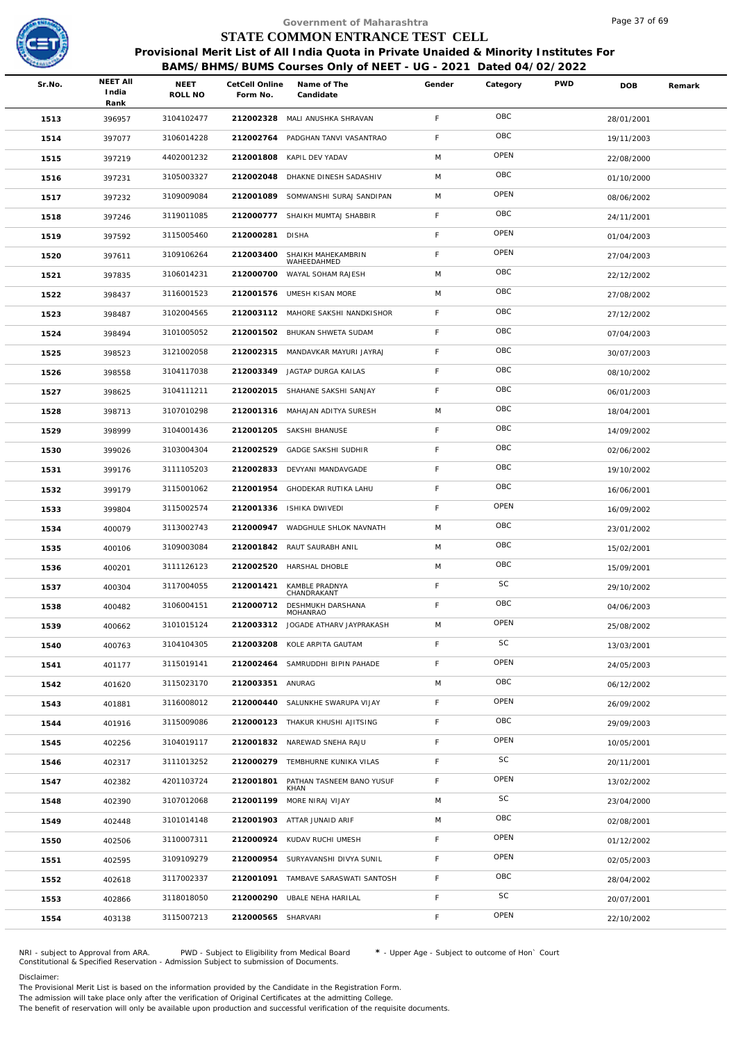

|        |                                  |                        |                            | Government of Maharashtra                                                                                                                                  |        |           |            | Page 37 of 69 |        |
|--------|----------------------------------|------------------------|----------------------------|------------------------------------------------------------------------------------------------------------------------------------------------------------|--------|-----------|------------|---------------|--------|
|        |                                  |                        |                            | STATE COMMON ENTRANCE TEST CELL                                                                                                                            |        |           |            |               |        |
|        |                                  |                        |                            | Provisional Merit List of All India Quota in Private Unaided & Minority Institutes For<br>BAMS/BHMS/BUMS Courses Only of NEET - UG - 2021 Dated 04/02/2022 |        |           |            |               |        |
| Sr.No. | <b>NEET AII</b><br>India<br>Rank | <b>NEET</b><br>ROLL NO | CetCell Online<br>Form No. | Name of The<br>Candidate                                                                                                                                   | Gender | Category  | <b>PWD</b> | <b>DOB</b>    | Remark |
| 1513   | 396957                           | 3104102477             |                            | 212002328 MALI ANUSHKA SHRAVAN                                                                                                                             | F      | OBC       |            | 28/01/2001    |        |
| 1514   | 397077                           | 3106014228             | 212002764                  | PADGHAN TANVI VASANTRAO                                                                                                                                    | F      | OBC       |            | 19/11/2003    |        |
| 1515   | 397219                           | 4402001232             | 212001808                  | KAPIL DEV YADAV                                                                                                                                            | M      | OPEN      |            | 22/08/2000    |        |
| 1516   | 397231                           | 3105003327             |                            | 212002048 DHAKNE DINESH SADASHIV                                                                                                                           | M      | OBC       |            | 01/10/2000    |        |
| 1517   | 397232                           | 3109009084             | 212001089                  | SOMWANSHI SURAJ SANDIPAN                                                                                                                                   | M      | OPEN      |            | 08/06/2002    |        |
| 1518   | 397246                           | 3119011085             |                            | 212000777 SHAIKH MUMTAJ SHABBIR                                                                                                                            | F      | OBC       |            | 24/11/2001    |        |
| 1519   | 397592                           | 3115005460             | 212000281                  | <b>DISHA</b>                                                                                                                                               | F      | OPEN      |            | 01/04/2003    |        |
| 1520   | 397611                           | 3109106264             | 212003400                  | SHAIKH MAHEKAMBRIN<br>WAHEEDAHMED                                                                                                                          | F      | OPEN      |            | 27/04/2003    |        |
| 1521   | 397835                           | 3106014231             | 212000700                  | WAYAL SOHAM RAJESH                                                                                                                                         | M      | OBC       |            | 22/12/2002    |        |
| 1522   | 398437                           | 3116001523             | 212001576                  | UMESH KISAN MORE                                                                                                                                           | M      | OBC       |            | 27/08/2002    |        |
| 1523   | 398487                           | 3102004565             |                            | 212003112 MAHORE SAKSHI NANDKISHOR                                                                                                                         | F      | OBC       |            | 27/12/2002    |        |
| 1524   | 398494                           | 3101005052             |                            | 212001502 BHUKAN SHWETA SUDAM                                                                                                                              | F      | OBC       |            | 07/04/2003    |        |
| 1525   | 398523                           | 3121002058             | 212002315                  | MANDAVKAR MAYURI JAYRAJ                                                                                                                                    | F      | OBC       |            | 30/07/2003    |        |
| 1526   | 398558                           | 3104117038             |                            | 212003349 JAGTAP DURGA KAILAS                                                                                                                              | F      | OBC       |            | 08/10/2002    |        |
| 1527   | 398625                           | 3104111211             |                            | 212002015 SHAHANE SAKSHI SANJAY                                                                                                                            | F      | OBC       |            | 06/01/2003    |        |
| 1528   | 398713                           | 3107010298             |                            | 212001316 MAHAJAN ADITYA SURESH                                                                                                                            | M      | OBC       |            | 18/04/2001    |        |
| 1529   | 398999                           | 3104001436             |                            | 212001205 SAKSHI BHANUSE                                                                                                                                   | F      | OBC       |            | 14/09/2002    |        |
| 1530   | 399026                           | 3103004304             | 212002529                  | <b>GADGE SAKSHI SUDHIR</b>                                                                                                                                 | F.     | OBC       |            | 02/06/2002    |        |
| 1531   | 399176                           | 3111105203             | 212002833                  | DEVYANI MANDAVGADE                                                                                                                                         | F      | OBC       |            | 19/10/2002    |        |
| 1532   | 399179                           | 3115001062             | 212001954                  | GHODEKAR RUTIKA LAHU                                                                                                                                       | F      | OBC       |            | 16/06/2001    |        |
| 1533   | 399804                           | 3115002574             | 212001336                  | ISHIKA DWIVEDI                                                                                                                                             | F.     | OPEN      |            | 16/09/2002    |        |
| 1534   | 400079                           | 3113002743             |                            | 212000947 WADGHULE SHLOK NAVNATH                                                                                                                           | M      | OBC       |            | 23/01/2002    |        |
| 1535   | 400106                           | 3109003084             |                            | 212001842 RAUT SAURABH ANIL                                                                                                                                | M      | OBC       |            | 15/02/2001    |        |
| 1536   | 400201                           | 3111126123             |                            | 212002520 HARSHAL DHOBLE                                                                                                                                   | M      | OBC       |            | 15/09/2001    |        |
| 1537   | 400304                           | 3117004055             | 212001421                  | KAMBLE PRADNYA<br>CHANDRAKANT                                                                                                                              | F.     | <b>SC</b> |            | 29/10/2002    |        |
| 1538   | 400482                           | 3106004151             | 212000712                  | DESHMUKH DARSHANA<br>MOHANRAO                                                                                                                              | F.     | OBC       |            | 04/06/2003    |        |
| 1539   | 400662                           | 3101015124             |                            | 212003312 JOGADE ATHARV JAYPRAKASH                                                                                                                         | M      | OPEN      |            | 25/08/2002    |        |
| 1540   | 400763                           | 3104104305             |                            | 212003208 KOLE ARPITA GAUTAM                                                                                                                               | F      | <b>SC</b> |            | 13/03/2001    |        |
| 1541   | 401177                           | 3115019141             | 212002464                  | SAMRUDDHI BIPIN PAHADE                                                                                                                                     | F      | OPEN      |            | 24/05/2003    |        |
| 1542   | 401620                           | 3115023170             | 212003351 ANURAG           |                                                                                                                                                            | M      | OBC       |            | 06/12/2002    |        |
| 1543   | 401881                           | 3116008012             |                            | 212000440 SALUNKHE SWARUPA VIJAY                                                                                                                           | F.     | OPEN      |            | 26/09/2002    |        |
| 1544   | 401916                           | 3115009086             |                            | 212000123 THAKUR KHUSHI AJITSING                                                                                                                           | F.     | OBC       |            | 29/09/2003    |        |
| 1545   | 402256                           | 3104019117             |                            | 212001832 NAREWAD SNEHA RAJU                                                                                                                               | F      | OPEN      |            | 10/05/2001    |        |
| 1546   | 402317                           | 3111013252             |                            | 212000279 TEMBHURNE KUNIKA VILAS                                                                                                                           | F      | SC        |            | 20/11/2001    |        |
| 1547   | 402382                           | 4201103724             | 212001801                  | PATHAN TASNEEM BANO YUSUF<br>KHAN                                                                                                                          | F.     | OPEN      |            | 13/02/2002    |        |
| 1548   | 402390                           | 3107012068             | 212001199                  | MORE NIRAJ VIJAY                                                                                                                                           | M      | SC        |            | 23/04/2000    |        |
| 1549   | 402448                           | 3101014148             |                            | 212001903 ATTAR JUNAID ARIF                                                                                                                                | M      | OBC       |            | 02/08/2001    |        |
| 1550   | 402506                           | 3110007311             | 212000924                  | KUDAV RUCHI UMESH                                                                                                                                          | F      | OPEN      |            | 01/12/2002    |        |
| 1551   | 402595                           | 3109109279             | 212000954                  | SURYAVANSHI DIVYA SUNIL                                                                                                                                    | F      | OPEN      |            | 02/05/2003    |        |
| 1552   | 402618                           | 3117002337             |                            | 212001091 TAMBAVE SARASWATI SANTOSH                                                                                                                        | F      | OBC       |            | 28/04/2002    |        |
| 1553   | 402866                           | 3118018050             |                            | 212000290 UBALE NEHA HARILAL                                                                                                                               | F      | SC        |            | 20/07/2001    |        |
| 1554   | 403138                           | 3115007213             | 212000565                  | SHARVARI                                                                                                                                                   | F      | OPEN      |            | 22/10/2002    |        |
|        |                                  |                        |                            |                                                                                                                                                            |        |           |            |               |        |

NRI - subject to Approval from ARA. PWD - Subject to Eligibility from Medical Board \* - Upper Age - Subject to outcome of Hon` Court<br>Constitutional & Specified Reservation - Admission Subject to submissio

Disclaimer:

The Provisional Merit List is based on the information provided by the Candidate in the Registration Form.

The admission will take place only after the verification of Original Certificates at the admitting College.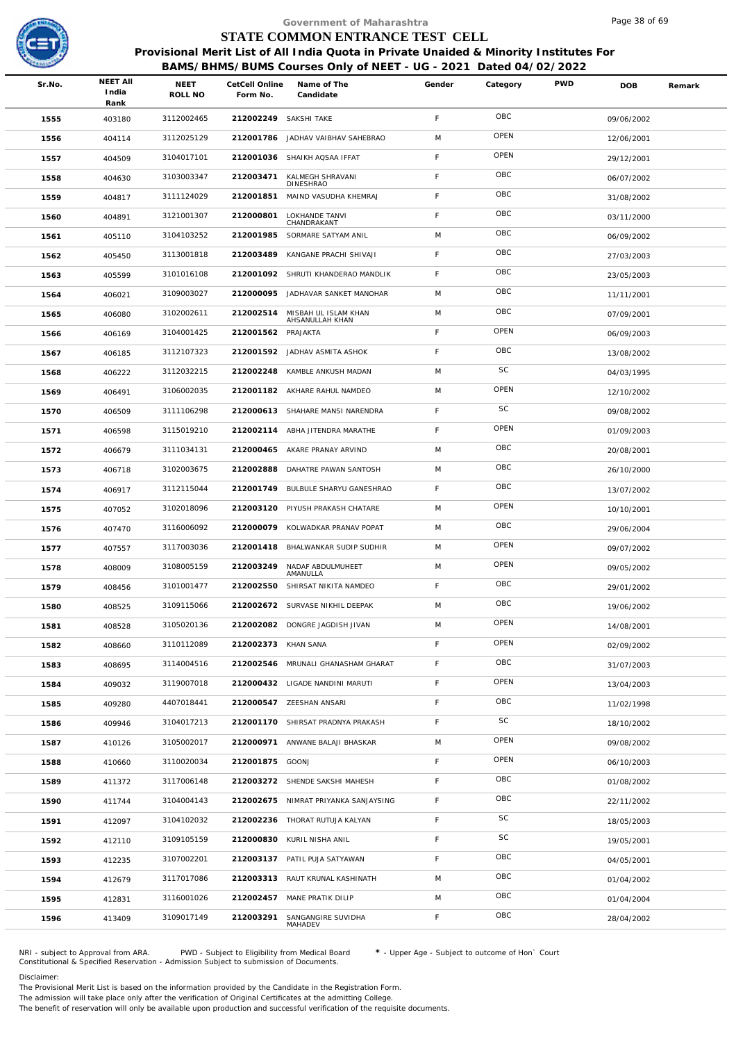

|        |                                  |                        |                            | Government of Maharashtra                                                                                                                                  |             |             |            | Page 38 of 69 |        |
|--------|----------------------------------|------------------------|----------------------------|------------------------------------------------------------------------------------------------------------------------------------------------------------|-------------|-------------|------------|---------------|--------|
|        |                                  |                        |                            | STATE COMMON ENTRANCE TEST CELL                                                                                                                            |             |             |            |               |        |
|        |                                  |                        |                            | Provisional Merit List of All India Quota in Private Unaided & Minority Institutes For<br>BAMS/BHMS/BUMS Courses Only of NEET - UG - 2021 Dated 04/02/2022 |             |             |            |               |        |
| Sr.No. | <b>NEET AII</b><br>India<br>Rank | <b>NEET</b><br>ROLL NO | CetCell Online<br>Form No. | Name of The<br>Candidate                                                                                                                                   | Gender      | Category    | <b>PWD</b> | <b>DOB</b>    | Remark |
| 1555   | 403180                           | 3112002465             | 212002249 SAKSHI TAKE      |                                                                                                                                                            | $\mathsf F$ | OBC         |            | 09/06/2002    |        |
| 1556   | 404114                           | 3112025129             | 212001786                  | JADHAV VAIBHAV SAHEBRAO                                                                                                                                    | M           | OPEN        |            | 12/06/2001    |        |
| 1557   | 404509                           | 3104017101             |                            | 212001036 SHAIKH AQSAA IFFAT                                                                                                                               | F           | OPEN        |            | 29/12/2001    |        |
| 1558   | 404630                           | 3103003347             | 212003471                  | KALMEGH SHRAVANI<br><b>DINESHRAO</b>                                                                                                                       | F           | OBC         |            | 06/07/2002    |        |
| 1559   | 404817                           | 3111124029             | 212001851                  | MAIND VASUDHA KHEMRAJ                                                                                                                                      | $\mathsf F$ | OBC         |            | 31/08/2002    |        |
| 1560   | 404891                           | 3121001307             | 212000801                  | LOKHANDE TANVI<br>CHANDRAKANT                                                                                                                              | F.          | OBC         |            | 03/11/2000    |        |
| 1561   | 405110                           | 3104103252             | 212001985                  | SORMARE SATYAM ANIL                                                                                                                                        | M           | OBC         |            | 06/09/2002    |        |
| 1562   | 405450                           | 3113001818             | 212003489                  | KANGANE PRACHI SHIVAJI                                                                                                                                     | F.          | OBC         |            | 27/03/2003    |        |
| 1563   | 405599                           | 3101016108             |                            | 212001092 SHRUTI KHANDERAO MANDLIK                                                                                                                         | F           | OBC         |            | 23/05/2003    |        |
| 1564   | 406021                           | 3109003027             | 212000095                  | JADHAVAR SANKET MANOHAR                                                                                                                                    | M           | OBC         |            | 11/11/2001    |        |
| 1565   | 406080                           | 3102002611             | 212002514                  | MISBAH UL ISLAM KHAN<br>AHSANULLAH KHAN                                                                                                                    | M           | OBC         |            | 07/09/2001    |        |
| 1566   | 406169                           | 3104001425             | 212001562 PRAJAKTA         |                                                                                                                                                            | F           | OPEN        |            | 06/09/2003    |        |
| 1567   | 406185                           | 3112107323             |                            | 212001592 JADHAV ASMITA ASHOK                                                                                                                              | $\mathsf F$ | OBC         |            | 13/08/2002    |        |
| 1568   | 406222                           | 3112032215             |                            | 212002248 KAMBLE ANKUSH MADAN                                                                                                                              | M           | SC          |            | 04/03/1995    |        |
| 1569   | 406491                           | 3106002035             |                            | 212001182 AKHARE RAHUL NAMDEO                                                                                                                              | M           | OPEN        |            | 12/10/2002    |        |
| 1570   | 406509                           | 3111106298             |                            | 212000613 SHAHARE MANSI NARENDRA                                                                                                                           | F.          | SC          |            | 09/08/2002    |        |
| 1571   | 406598                           | 3115019210             |                            | 212002114 ABHA JITENDRA MARATHE                                                                                                                            | F           | OPEN        |            | 01/09/2003    |        |
| 1572   | 406679                           | 3111034131             |                            | 212000465 AKARE PRANAY ARVIND                                                                                                                              | M           | OBC         |            | 20/08/2001    |        |
| 1573   | 406718                           | 3102003675             | 212002888                  | DAHATRE PAWAN SANTOSH                                                                                                                                      | M           | OBC         |            | 26/10/2000    |        |
| 1574   | 406917                           | 3112115044             |                            | 212001749 BULBULE SHARYU GANESHRAO                                                                                                                         | $\mathsf F$ | OBC         |            | 13/07/2002    |        |
| 1575   | 407052                           | 3102018096             | 212003120                  | PIYUSH PRAKASH CHATARE                                                                                                                                     | M           | OPEN        |            | 10/10/2001    |        |
| 1576   | 407470                           | 3116006092             |                            | 212000079 KOLWADKAR PRANAV POPAT                                                                                                                           | M           | OBC         |            | 29/06/2004    |        |
| 1577   | 407557                           | 3117003036             |                            | 212001418 BHALWANKAR SUDIP SUDHIR                                                                                                                          | M           | OPEN        |            | 09/07/2002    |        |
| 1578   | 408009                           | 3108005159             |                            | 212003249 NADAF ABDULMUHEET<br>AMANULLA                                                                                                                    | M           | OPEN        |            | 09/05/2002    |        |
| 1579   | 408456                           | 3101001477             |                            | 212002550 SHIRSAT NIKITA NAMDEO                                                                                                                            | F.          | OBC         |            | 29/01/2002    |        |
| 1580   | 408525                           | 3109115066             |                            | 212002672 SURVASE NIKHIL DEEPAK                                                                                                                            | M           | OBC         |            | 19/06/2002    |        |
| 1581   | 408528                           | 3105020136             |                            | 212002082 DONGRE JAGDISH JIVAN                                                                                                                             | M           | OPEN        |            | 14/08/2001    |        |
| 1582   | 408660                           | 3110112089             | 212002373 KHAN SANA        |                                                                                                                                                            | F.          | OPEN        |            | 02/09/2002    |        |
| 1583   | 408695                           | 3114004516             |                            | 212002546 MRUNALI GHANASHAM GHARAT                                                                                                                         | $\mathsf F$ | OBC         |            | 31/07/2003    |        |
| 1584   | 409032                           | 3119007018             |                            | 212000432 LIGADE NANDINI MARUTI                                                                                                                            | F.          | <b>OPEN</b> |            | 13/04/2003    |        |
| 1585   | 409280                           | 4407018441             |                            | 212000547 ZEESHAN ANSARI                                                                                                                                   | F.          | OBC         |            | 11/02/1998    |        |
| 1586   | 409946                           | 3104017213             |                            | 212001170 SHIRSAT PRADNYA PRAKASH                                                                                                                          | F.          | SC          |            | 18/10/2002    |        |
| 1587   | 410126                           | 3105002017             |                            | 212000971 ANWANE BALAJI BHASKAR                                                                                                                            | M           | OPEN        |            | 09/08/2002    |        |
| 1588   | 410660                           | 3110020034             | 212001875 GOONJ            |                                                                                                                                                            | F.          | OPEN        |            | 06/10/2003    |        |
| 1589   | 411372                           | 3117006148             |                            | 212003272 SHENDE SAKSHI MAHESH                                                                                                                             | F.          | OBC         |            | 01/08/2002    |        |
| 1590   | 411744                           | 3104004143             |                            | 212002675 NIMRAT PRIYANKA SANJAYSING                                                                                                                       | F           | OBC         |            | 22/11/2002    |        |
| 1591   | 412097                           | 3104102032             |                            | 212002236 THORAT RUTUJA KALYAN                                                                                                                             | F           | SC          |            | 18/05/2003    |        |
| 1592   | 412110                           | 3109105159             |                            | 212000830 KURIL NISHA ANIL                                                                                                                                 | F.          | SC          |            | 19/05/2001    |        |
| 1593   | 412235                           | 3107002201             |                            | 212003137 PATIL PUJA SATYAWAN                                                                                                                              | F.          | OBC         |            | 04/05/2001    |        |
| 1594   | 412679                           | 3117017086             |                            | 212003313 RAUT KRUNAL KASHINATH                                                                                                                            | M           | OBC         |            | 01/04/2002    |        |
| 1595   | 412831                           | 3116001026             |                            | 212002457 MANE PRATIK DILIP                                                                                                                                | M           | OBC         |            | 01/04/2004    |        |
| 1596   | 413409                           | 3109017149             | 212003291                  | SANGANGIRE SUVIDHA<br>MAHADEV                                                                                                                              | F.          | OBC         |            | 28/04/2002    |        |

NRI - subject to Approval from ARA. PWD - Subject to Eligibility from Medical Board \* - Upper Age - Subject to outcome of Hon` Court<br>Constitutional & Specified Reservation - Admission Subject to submissio

Disclaimer:

The Provisional Merit List is based on the information provided by the Candidate in the Registration Form.

The admission will take place only after the verification of Original Certificates at the admitting College.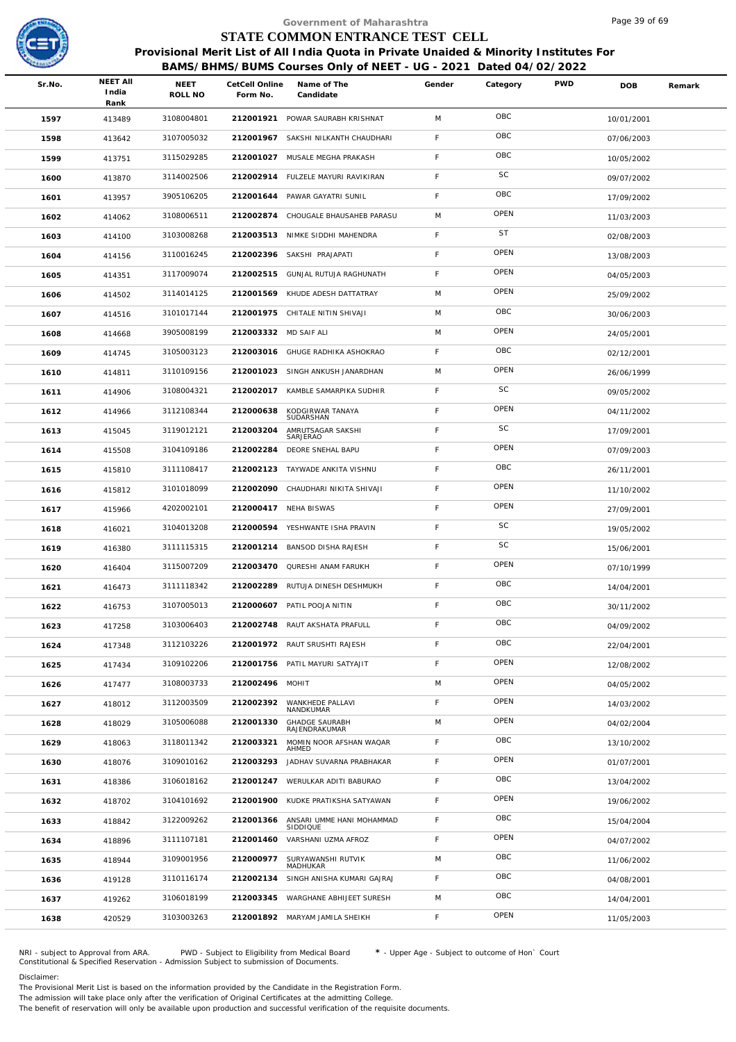

|        |                                  |                 |                            | Government of Maharashtra                                                                                                                                  |             |             |            | Page 39 of 69 |        |
|--------|----------------------------------|-----------------|----------------------------|------------------------------------------------------------------------------------------------------------------------------------------------------------|-------------|-------------|------------|---------------|--------|
|        |                                  |                 |                            | STATE COMMON ENTRANCE TEST CELL                                                                                                                            |             |             |            |               |        |
|        |                                  |                 |                            | Provisional Merit List of All India Quota in Private Unaided & Minority Institutes For<br>BAMS/BHMS/BUMS Courses Only of NEET - UG - 2021 Dated 04/02/2022 |             |             |            |               |        |
| Sr.No. | <b>NEET AII</b><br>India<br>Rank | NEET<br>ROLL NO | CetCell Online<br>Form No. | Name of The<br>Candidate                                                                                                                                   | Gender      | Category    | <b>PWD</b> | DOB           | Remark |
| 1597   | 413489                           | 3108004801      |                            | 212001921 POWAR SAURABH KRISHNAT                                                                                                                           | M           | OBC         |            | 10/01/2001    |        |
| 1598   | 413642                           | 3107005032      | 212001967                  | SAKSHI NILKANTH CHAUDHARI                                                                                                                                  | F           | OBC         |            | 07/06/2003    |        |
| 1599   | 413751                           | 3115029285      | 212001027                  | MUSALE MEGHA PRAKASH                                                                                                                                       | $\mathsf F$ | OBC         |            | 10/05/2002    |        |
| 1600   | 413870                           | 3114002506      |                            | 212002914 FULZELE MAYURI RAVIKIRAN                                                                                                                         | F           | SC          |            | 09/07/2002    |        |
| 1601   | 413957                           | 3905106205      | 212001644                  | PAWAR GAYATRI SUNIL                                                                                                                                        | $\mathsf F$ | OBC         |            | 17/09/2002    |        |
| 1602   | 414062                           | 3108006511      |                            | 212002874 CHOUGALE BHAUSAHEB PARASU                                                                                                                        | M           | OPEN        |            | 11/03/2003    |        |
| 1603   | 414100                           | 3103008268      |                            | 212003513 NIMKE SIDDHI MAHENDRA                                                                                                                            | $\mathsf F$ | <b>ST</b>   |            | 02/08/2003    |        |
| 1604   | 414156                           | 3110016245      | 212002396                  | SAKSHI PRAJAPATI                                                                                                                                           | F           | OPEN        |            | 13/08/2003    |        |
| 1605   | 414351                           | 3117009074      |                            | 212002515 GUNJAL RUTUJA RAGHUNATH                                                                                                                          | $\mathsf F$ | OPEN        |            | 04/05/2003    |        |
| 1606   | 414502                           | 3114014125      | 212001569                  | KHUDE ADESH DATTATRAY                                                                                                                                      | M           | OPEN        |            | 25/09/2002    |        |
| 1607   | 414516                           | 3101017144      |                            | 212001975 CHITALE NITIN SHIVAJI                                                                                                                            | M           | OBC         |            | 30/06/2003    |        |
| 1608   | 414668                           | 3905008199      | 212003332 MD SAIF ALI      |                                                                                                                                                            | M           | OPEN        |            | 24/05/2001    |        |
| 1609   | 414745                           | 3105003123      |                            | 212003016 GHUGE RADHIKA ASHOKRAO                                                                                                                           | $\mathsf F$ | OBC         |            | 02/12/2001    |        |
| 1610   | 414811                           | 3110109156      |                            | 212001023 SINGH ANKUSH JANARDHAN                                                                                                                           | M           | OPEN        |            | 26/06/1999    |        |
| 1611   | 414906                           | 3108004321      | 212002017                  | KAMBLE SAMARPIKA SUDHIR                                                                                                                                    | $\mathsf F$ | SC          |            | 09/05/2002    |        |
| 1612   | 414966                           | 3112108344      | 212000638                  | KODGIRWAR TANAYA<br>SUDARSHAN                                                                                                                              | F           | OPEN        |            | 04/11/2002    |        |
| 1613   | 415045                           | 3119012121      | 212003204                  | AMRUTSAGAR SAKSHI<br>SARJERAO                                                                                                                              | $\mathsf F$ | SC          |            | 17/09/2001    |        |
| 1614   | 415508                           | 3104109186      | 212002284                  | DEORE SNEHAL BAPU                                                                                                                                          | F           | OPEN        |            | 07/09/2003    |        |
| 1615   | 415810                           | 3111108417      |                            | 212002123 TAYWADE ANKITA VISHNU                                                                                                                            | $\mathsf F$ | OBC         |            | 26/11/2001    |        |
| 1616   | 415812                           | 3101018099      |                            | 212002090 CHAUDHARI NIKITA SHIVAJI                                                                                                                         | $\mathsf F$ | OPEN        |            | 11/10/2002    |        |
| 1617   | 415966                           | 4202002101      |                            | 212000417 NEHA BISWAS                                                                                                                                      | F           | OPEN        |            | 27/09/2001    |        |
| 1618   | 416021                           | 3104013208      |                            | 212000594 YESHWANTE ISHA PRAVIN                                                                                                                            | $\mathsf F$ | SC          |            | 19/05/2002    |        |
| 1619   | 416380                           | 3111115315      |                            | 212001214 BANSOD DISHA RAJESH                                                                                                                              | F           | SC          |            | 15/06/2001    |        |
| 1620   | 416404                           | 3115007209      |                            | 212003470 QURESHI ANAM FARUKH                                                                                                                              | F           | OPEN        |            | 07/10/1999    |        |
| 1621   | 416473                           | 3111118342      |                            | 212002289 RUTUJA DINESH DESHMUKH                                                                                                                           | F.          | OBC         |            | 14/04/2001    |        |
| 1622   | 416753                           | 3107005013      | 212000607                  | PATIL POOJA NITIN                                                                                                                                          | F           | OBC         |            | 30/11/2002    |        |
| 1623   | 417258                           | 3103006403      |                            | 212002748 RAUT AKSHATA PRAFULL                                                                                                                             | $\mathsf F$ | OBC         |            | 04/09/2002    |        |
| 1624   | 417348                           | 3112103226      |                            | 212001972 RAUT SRUSHTI RAJESH                                                                                                                              | F           | OBC         |            | 22/04/2001    |        |
| 1625   | 417434                           | 3109102206      |                            | 212001756 PATIL MAYURI SATYAJIT                                                                                                                            | F           | OPEN        |            | 12/08/2002    |        |
| 1626   | 417477                           | 3108003733      | 212002496 MOHIT            |                                                                                                                                                            | M           | OPEN        |            | 04/05/2002    |        |
| 1627   | 418012                           | 3112003509      | 212002392                  | WANKHEDE PALLAVI<br>NANDKUMAR                                                                                                                              | F           | OPEN        |            | 14/03/2002    |        |
| 1628   | 418029                           | 3105006088      | 212001330                  | <b>GHADGE SAURABH</b><br>RAJENDRAKUMAR                                                                                                                     | M           | OPEN        |            | 04/02/2004    |        |
| 1629   | 418063                           | 3118011342      | 212003321                  | MOMIN NOOR AFSHAN WAQAR<br>AHMED                                                                                                                           | F           | OBC         |            | 13/10/2002    |        |
| 1630   | 418076                           | 3109010162      | 212003293                  | JADHAV SUVARNA PRABHAKAR                                                                                                                                   | F           | <b>OPEN</b> |            | 01/07/2001    |        |
| 1631   | 418386                           | 3106018162      | 212001247                  | WERULKAR ADITI BABURAO                                                                                                                                     | $\mathsf F$ | OBC         |            | 13/04/2002    |        |
| 1632   | 418702                           | 3104101692      | 212001900                  | KUDKE PRATIKSHA SATYAWAN                                                                                                                                   | F           | OPEN        |            | 19/06/2002    |        |
| 1633   | 418842                           | 3122009262      | 212001366                  | ANSARI UMME HANI MOHAMMAD<br>SIDDIQUE                                                                                                                      | F           | OBC         |            | 15/04/2004    |        |
| 1634   | 418896                           | 3111107181      | 212001460                  | VARSHANI UZMA AFROZ                                                                                                                                        | F           | OPEN        |            | 04/07/2002    |        |
| 1635   | 418944                           | 3109001956      | 212000977                  | SURYAWANSHI RUTVIK<br>MADHUKAR                                                                                                                             | M           | OBC         |            | 11/06/2002    |        |
| 1636   | 419128                           | 3110116174      | 212002134                  | SINGH ANISHA KUMARI GAJRAJ                                                                                                                                 | F           | OBC         |            | 04/08/2001    |        |
| 1637   | 419262                           | 3106018199      | 212003345                  | WARGHANE ABHIJEET SURESH                                                                                                                                   | M           | OBC         |            | 14/04/2001    |        |
| 1638   | 420529                           | 3103003263      |                            | 212001892 MARYAM JAMILA SHEIKH                                                                                                                             | $\mathsf F$ | OPEN        |            | 11/05/2003    |        |

NRI - subject to Approval from ARA. PWD - Subject to Eligibility from Medical Board \* - Upper Age - Subject to outcome of Hon` Court<br>Constitutional & Specified Reservation - Admission Subject to submissio

Disclaimer:

The Provisional Merit List is based on the information provided by the Candidate in the Registration Form.

The admission will take place only after the verification of Original Certificates at the admitting College.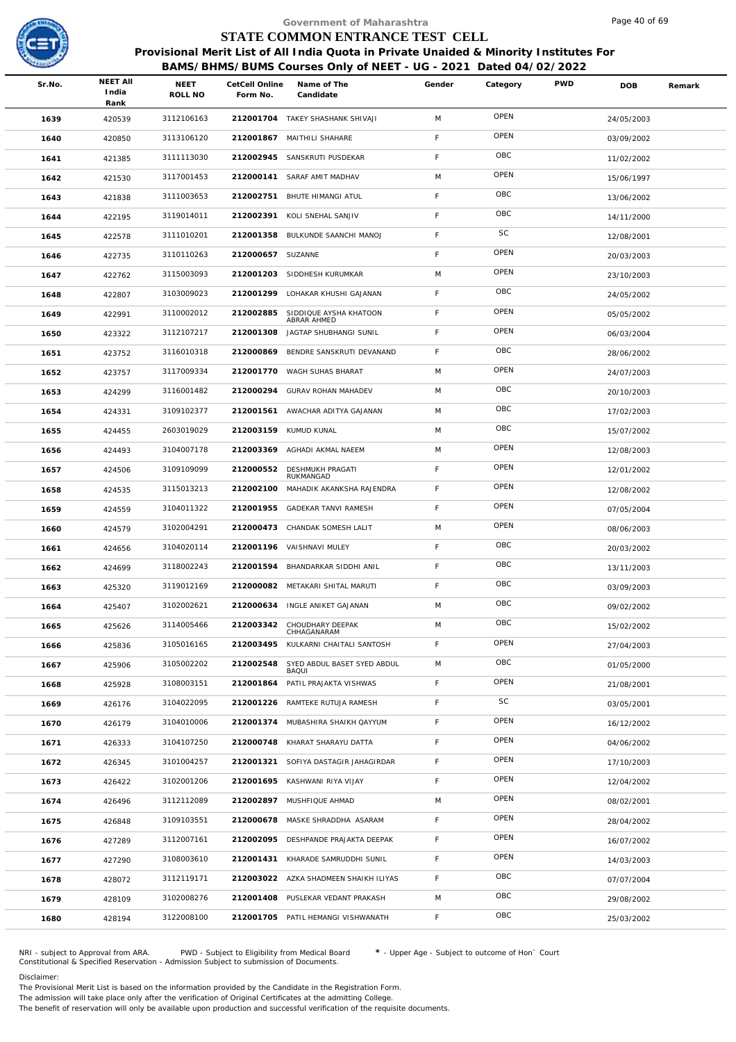

|        |                                  |                 |                            | Government of Maharashtra                                                              |             |          |            | Page 40 of 69 |        |
|--------|----------------------------------|-----------------|----------------------------|----------------------------------------------------------------------------------------|-------------|----------|------------|---------------|--------|
|        |                                  |                 |                            | STATE COMMON ENTRANCE TEST CELL                                                        |             |          |            |               |        |
|        |                                  |                 |                            | Provisional Merit List of All India Quota in Private Unaided & Minority Institutes For |             |          |            |               |        |
|        |                                  |                 |                            | BAMS/BHMS/BUMS Courses Only of NEET - UG - 2021 Dated 04/02/2022                       |             |          |            |               |        |
| Sr.No. | <b>NEET AII</b><br>India<br>Rank | NEET<br>ROLL NO | CetCell Online<br>Form No. | Name of The<br>Candidate                                                               | Gender      | Category | <b>PWD</b> | <b>DOB</b>    | Remark |
| 1639   | 420539                           | 3112106163      |                            | 212001704 TAKEY SHASHANK SHIVAJI                                                       | M           | OPEN     |            | 24/05/2003    |        |
| 1640   | 420850                           | 3113106120      |                            | 212001867 MAITHILI SHAHARE                                                             | F           | OPEN     |            | 03/09/2002    |        |
| 1641   | 421385                           | 3111113030      | 212002945                  | SANSKRUTI PUSDEKAR                                                                     | F           | OBC      |            | 11/02/2002    |        |
| 1642   | 421530                           | 3117001453      |                            | 212000141 SARAF AMIT MADHAV                                                            | M           | OPEN     |            | 15/06/1997    |        |
| 1643   | 421838                           | 3111003653      | 212002751                  | <b>BHUTE HIMANGI ATUL</b>                                                              | F           | OBC      |            | 13/06/2002    |        |
| 1644   | 422195                           | 3119014011      | 212002391                  | KOLI SNEHAL SANJIV                                                                     | F           | OBC      |            | 14/11/2000    |        |
| 1645   | 422578                           | 3111010201      | 212001358                  | BULKUNDE SAANCHI MANOJ                                                                 | F           | SC       |            | 12/08/2001    |        |
| 1646   | 422735                           | 3110110263      | 212000657 SUZANNE          |                                                                                        | F           | OPEN     |            | 20/03/2003    |        |
| 1647   | 422762                           | 3115003093      |                            | 212001203 SIDDHESH KURUMKAR                                                            | M           | OPEN     |            | 23/10/2003    |        |
| 1648   | 422807                           | 3103009023      | 212001299                  | LOHAKAR KHUSHI GAJANAN                                                                 | F           | OBC      |            | 24/05/2002    |        |
| 1649   | 422991                           | 3110002012      | 212002885                  | SIDDIQUE AYSHA KHATOON<br>ABRAR AHMED                                                  | F           | OPEN     |            | 05/05/2002    |        |
| 1650   | 423322                           | 3112107217      | 212001308                  | JAGTAP SHUBHANGI SUNIL                                                                 | $\mathsf F$ | OPEN     |            | 06/03/2004    |        |
| 1651   | 423752                           | 3116010318      | 212000869                  | BENDRE SANSKRUTI DEVANAND                                                              | F           | OBC      |            | 28/06/2002    |        |
| 1652   | 423757                           | 3117009334      | 212001770                  | WAGH SUHAS BHARAT                                                                      | M           | OPEN     |            | 24/07/2003    |        |
| 1653   | 424299                           | 3116001482      | 212000294                  | GURAV ROHAN MAHADEV                                                                    | M           | OBC      |            | 20/10/2003    |        |
| 1654   | 424331                           | 3109102377      | 212001561                  | AWACHAR ADITYA GAJANAN                                                                 | M           | OBC      |            | 17/02/2003    |        |
| 1655   | 424455                           | 2603019029      | 212003159                  | KUMUD KUNAL                                                                            | M           | OBC      |            | 15/07/2002    |        |
| 1656   | 424493                           | 3104007178      | 212003369                  | AGHADI AKMAL NAEEM                                                                     | M           | OPEN     |            | 12/08/2003    |        |
| 1657   | 424506                           | 3109109099      | 212000552                  | DESHMUKH PRAGATI<br>RUKMANGAD                                                          | F           | OPEN     |            | 12/01/2002    |        |
| 1658   | 424535                           | 3115013213      | 212002100                  | MAHADIK AKANKSHA RAJENDRA                                                              | $\mathsf F$ | OPEN     |            | 12/08/2002    |        |
| 1659   | 424559                           | 3104011322      | 212001955                  | GADEKAR TANVI RAMESH                                                                   | $\mathsf F$ | OPEN     |            | 07/05/2004    |        |
| 1660   | 424579                           | 3102004291      |                            | 212000473 CHANDAK SOMESH LALIT                                                         | M           | OPEN     |            | 08/06/2003    |        |
| 1661   | 424656                           | 3104020114      |                            | 212001196 VAISHNAVI MULEY                                                              | F           | OBC      |            | 20/03/2002    |        |
| 1662   | 424699                           | 3118002243      |                            | 212001594 BHANDARKAR SIDDHI ANIL                                                       | F           | OBC      |            | 13/11/2003    |        |
| 1663   | 425320                           | 3119012169      |                            | 212000082 METAKARI SHITAL MARUTI                                                       | F           | OBC      |            | 03/09/2003    |        |
| 1664   | 425407                           | 3102002621      | 212000634                  | INGLE ANIKET GAJANAN                                                                   | M           | OBC      |            | 09/02/2002    |        |
| 1665   | 425626                           | 3114005466      | 212003342                  | CHOUDHARY DEEPAK<br>CHHAGANARAM                                                        | M           | OBC      |            | 15/02/2002    |        |
| 1666   | 425836                           | 3105016165      | 212003495                  | KULKARNI CHAITALI SANTOSH                                                              | F           | OPEN     |            | 27/04/2003    |        |
| 1667   | 425906                           | 3105002202      | 212002548                  | SYED ABDUL BASET SYED ABDUL<br><b>BAQUI</b>                                            | M           | OBC      |            | 01/05/2000    |        |
| 1668   | 425928                           | 3108003151      | 212001864                  | PATIL PRAJAKTA VISHWAS                                                                 | F           | OPEN     |            | 21/08/2001    |        |
| 1669   | 426176                           | 3104022095      | 212001226                  | RAMTEKE RUTUJA RAMESH                                                                  | $\mathsf F$ | SC       |            | 03/05/2001    |        |
| 1670   | 426179                           | 3104010006      | 212001374                  | MUBASHIRA SHAIKH QAYYUM                                                                | F           | OPEN     |            | 16/12/2002    |        |
| 1671   | 426333                           | 3104107250      | 212000748                  | KHARAT SHARAYU DATTA                                                                   | F           | OPEN     |            | 04/06/2002    |        |
| 1672   | 426345                           | 3101004257      | 212001321                  | SOFIYA DASTAGIR JAHAGIRDAR                                                             | F           | OPEN     |            | 17/10/2003    |        |
| 1673   | 426422                           | 3102001206      | 212001695                  | KASHWANI RIYA VIJAY                                                                    | F           | OPEN     |            | 12/04/2002    |        |
| 1674   | 426496                           | 3112112089      |                            | 212002897 MUSHFIQUE AHMAD                                                              | M           | OPEN     |            | 08/02/2001    |        |
| 1675   | 426848                           | 3109103551      | 212000678                  | MASKE SHRADDHA ASARAM                                                                  | $\mathsf F$ | OPEN     |            | 28/04/2002    |        |
| 1676   | 427289                           | 3112007161      | 212002095                  | DESHPANDE PRAJAKTA DEEPAK                                                              | F.          | OPEN     |            | 16/07/2002    |        |
| 1677   | 427290                           | 3108003610      | 212001431                  | KHARADE SAMRUDDHI SUNIL                                                                | $\mathsf F$ | OPEN     |            | 14/03/2003    |        |
| 1678   | 428072                           | 3112119171      |                            | 212003022 AZKA SHADMEEN SHAIKH ILIYAS                                                  | F           | OBC      |            | 07/07/2004    |        |
| 1679   | 428109                           | 3102008276      |                            | 212001408 PUSLEKAR VEDANT PRAKASH                                                      | M           | OBC      |            | 29/08/2002    |        |
| 1680   | 428194                           | 3122008100      |                            | 212001705 PATIL HEMANGI VISHWANATH                                                     | F.          | OBC      |            | 25/03/2002    |        |

NRI - subject to Approval from ARA. PWD - Subject to Eligibility from Medical Board \* - Upper Age - Subject to outcome of Hon` Court<br>Constitutional & Specified Reservation - Admission Subject to submissio

Disclaimer:

The Provisional Merit List is based on the information provided by the Candidate in the Registration Form. The admission will take place only after the verification of Original Certificates at the admitting College.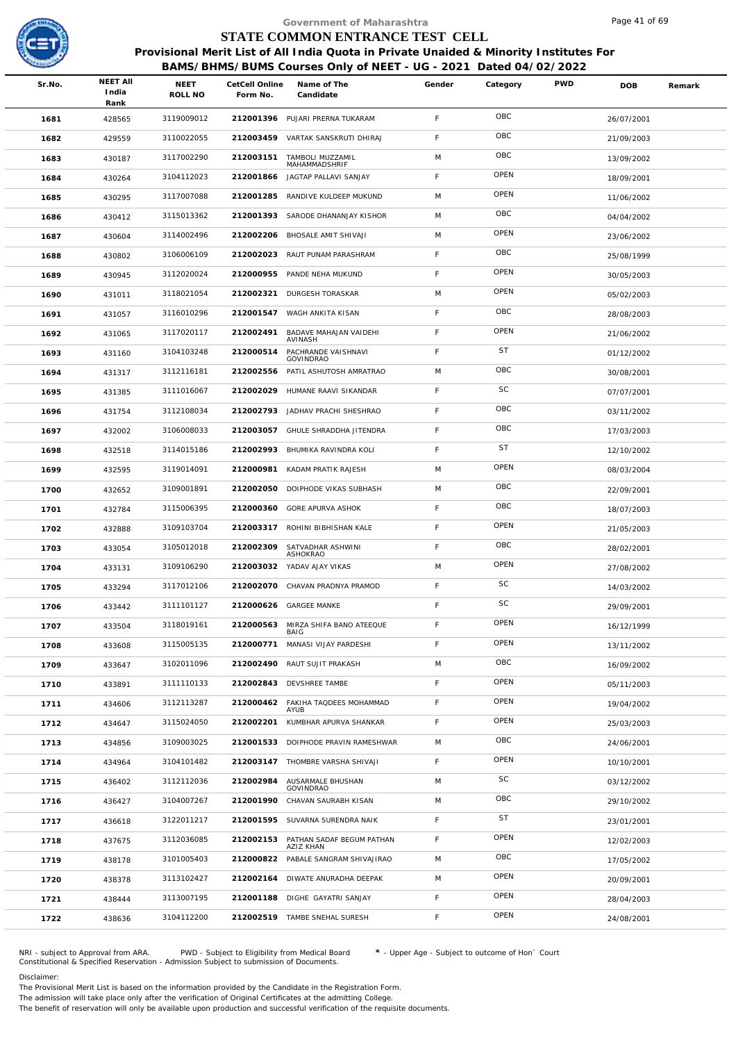

## <sup>9</sup><br>STATE COMMON ENTRANCE TEST CELL<br>Provisional Merit List of All India Quota in Private Unaided & Minority Institutes For  **STATE COMMON ENTRANCE TEST CELL**

|                                            |                        |                            | Provisional Merit List of All India Quota in Private Unaided & Minority Institutes For<br>BAMS/BHMS/BUMS Courses Only of NEET - UG - 2021 Dated 04/02/2022 |        |             |            |            |        |
|--------------------------------------------|------------------------|----------------------------|------------------------------------------------------------------------------------------------------------------------------------------------------------|--------|-------------|------------|------------|--------|
| <b>NEET AII</b><br>Sr.No.<br>India<br>Rank | <b>NEET</b><br>ROLL NO | CetCell Online<br>Form No. | Name of The<br>Candidate                                                                                                                                   | Gender | Category    | <b>PWD</b> | DOB        | Remark |
| 1681<br>428565                             | 3119009012             |                            | 212001396 PUJARI PRERNA TUKARAM                                                                                                                            | F.     | OBC         |            | 26/07/2001 |        |
| 1682<br>429559                             | 3110022055             |                            | 212003459 VARTAK SANSKRUTI DHIRAJ                                                                                                                          | F.     | OBC         |            | 21/09/2003 |        |
| 1683<br>430187                             | 3117002290             | 212003151                  | TAMBOLI MUZZAMIL<br>MAHAMMADSHRIF                                                                                                                          | M      | OBC         |            | 13/09/2002 |        |
| 430264<br>1684                             | 3104112023             | 212001866                  | JAGTAP PALLAVI SANJAY                                                                                                                                      | F.     | OPEN        |            | 18/09/2001 |        |
| 430295<br>1685                             | 3117007088             | 212001285                  | RANDIVE KULDEEP MUKUND                                                                                                                                     | M      | OPEN        |            | 11/06/2002 |        |
| 1686<br>430412                             | 3115013362             | 212001393                  | SARODE DHANANJAY KISHOR                                                                                                                                    | M      | OBC         |            | 04/04/2002 |        |
| 430604<br>1687                             | 3114002496             |                            | 212002206 BHOSALE AMIT SHIVAJI                                                                                                                             | M      | OPEN        |            | 23/06/2002 |        |
| 1688<br>430802                             | 3106006109             | 212002023                  | RAUT PUNAM PARASHRAM                                                                                                                                       | F.     | OBC         |            | 25/08/1999 |        |
| 430945<br>1689                             | 3112020024             |                            | 212000955 PANDE NEHA MUKUND                                                                                                                                | F.     | OPEN        |            | 30/05/2003 |        |
| 1690<br>431011                             | 3118021054             | 212002321                  | DURGESH TORASKAR                                                                                                                                           | M      | OPEN        |            | 05/02/2003 |        |
| 1691<br>431057                             | 3116010296             |                            | 212001547 WAGH ANKITA KISAN                                                                                                                                | F      | OBC         |            | 28/08/2003 |        |
| 1692<br>431065                             | 3117020117             | 212002491                  | BADAVE MAHAJAN VAIDEHI<br>AVINASH                                                                                                                          | F.     | OPEN        |            | 21/06/2002 |        |
| 1693<br>431160                             | 3104103248             | 212000514                  | PACHRANDE VAISHNAVI<br>GOVINDRAO                                                                                                                           | F.     | <b>ST</b>   |            | 01/12/2002 |        |
| 1694<br>431317                             | 3112116181             | 212002556                  | PATIL ASHUTOSH AMRATRAO                                                                                                                                    | M      | OBC         |            | 30/08/2001 |        |
| 1695<br>431385                             | 3111016067             |                            | 212002029 HUMANE RAAVI SIKANDAR                                                                                                                            | F.     | SC          |            | 07/07/2001 |        |
| 1696<br>431754                             | 3112108034             | 212002793                  | JADHAV PRACHI SHESHRAO                                                                                                                                     | F.     | OBC         |            | 03/11/2002 |        |
| 1697<br>432002                             | 3106008033             |                            | 212003057 GHULE SHRADDHA JITENDRA                                                                                                                          | F      | OBC         |            | 17/03/2003 |        |
| 1698<br>432518                             | 3114015186             | 212002993                  | BHUMIKA RAVINDRA KOLI                                                                                                                                      | F.     | <b>ST</b>   |            | 12/10/2002 |        |
| 1699<br>432595                             | 3119014091             | 212000981                  | KADAM PRATIK RAJESH                                                                                                                                        | M      | OPEN        |            | 08/03/2004 |        |
| 1700<br>432652                             | 3109001891             | 212002050                  | DOIPHODE VIKAS SUBHASH                                                                                                                                     | M      | OBC         |            | 22/09/2001 |        |
| 1701<br>432784                             | 3115006395             | 212000360                  | GORE APURVA ASHOK                                                                                                                                          | F.     | OBC         |            | 18/07/2003 |        |
| 1702<br>432888                             | 3109103704             | 212003317                  | ROHINI BIBHISHAN KALE                                                                                                                                      | F.     | OPEN        |            | 21/05/2003 |        |
| 1703<br>433054                             | 3105012018             | 212002309                  | SATVADHAR ASHWINI<br><b>ASHOKRAO</b>                                                                                                                       | F.     | OBC         |            | 28/02/2001 |        |
| 1704<br>433131                             | 3109106290             |                            | 212003032 YADAV AJAY VIKAS                                                                                                                                 | M      | OPEN        |            | 27/08/2002 |        |
| 433294<br>1705                             | 3117012106             |                            | 212002070 CHAVAN PRADNYA PRAMOD                                                                                                                            | F      | SC          |            | 14/03/2002 |        |
| 1706<br>433442                             | 3111101127             |                            | 212000626 GARGEE MANKE                                                                                                                                     |        | <b>SC</b>   |            | 29/09/2001 |        |
| 1707<br>433504                             | 3118019161             | 212000563                  | MIRZA SHIFA BANO ATEEQUE<br>BAIG                                                                                                                           | F.     | OPEN        |            | 16/12/1999 |        |
| 1708<br>433608                             | 3115005135             |                            | 212000771 MANASI VIJAY PARDESHI                                                                                                                            | F.     | OPEN        |            | 13/11/2002 |        |
| 1709<br>433647                             | 3102011096             | 212002490                  | RAUT SUJIT PRAKASH                                                                                                                                         | M      | OBC         |            | 16/09/2002 |        |
| 1710<br>433891                             | 3111110133             |                            | 212002843 DEVSHREE TAMBE                                                                                                                                   | F.     | OPEN        |            | 05/11/2003 |        |
| 1711<br>434606                             | 3112113287             |                            | 212000462 FAKIHA TAQDEES MOHAMMAD<br>AYUB                                                                                                                  | F.     | OPEN        |            | 19/04/2002 |        |
| 1712<br>434647                             | 3115024050             | 212002201                  | KUMBHAR APURVA SHANKAR                                                                                                                                     | F.     | OPEN        |            | 25/03/2003 |        |
| 1713<br>434856                             | 3109003025             |                            | 212001533 DOIPHODE PRAVIN RAMESHWAR                                                                                                                        | M      | OBC         |            | 24/06/2001 |        |
| 1714<br>434964                             | 3104101482             |                            | 212003147 THOMBRE VARSHA SHIVAJI                                                                                                                           | F.     | OPEN        |            | 10/10/2001 |        |
| 1715<br>436402                             | 3112112036             | 212002984                  | AUSARMALE BHUSHAN<br>GOVINDRAO                                                                                                                             | M      | SC          |            | 03/12/2002 |        |
| 1716<br>436427                             | 3104007267             | 212001990                  | CHAVAN SAURABH KISAN                                                                                                                                       | M      | OBC         |            | 29/10/2002 |        |
| 1717<br>436618                             | 3122011217             |                            | 212001595 SUVARNA SURENDRA NAIK                                                                                                                            | F.     | <b>ST</b>   |            | 23/01/2001 |        |
| 1718<br>437675                             | 3112036085             | 212002153                  | PATHAN SADAF BEGUM PATHAN<br>AZIZ KHAN                                                                                                                     | F.     | OPEN        |            | 12/02/2003 |        |
| 1719<br>438178                             | 3101005403             | 212000822                  | PABALE SANGRAM SHIVAJIRAO                                                                                                                                  | M      | OBC<br>OPEN |            | 17/05/2002 |        |
| 1720<br>438378                             | 3113102427             | 212002164                  | DIWATE ANURADHA DEEPAK                                                                                                                                     | M      | OPEN        |            | 20/09/2001 |        |
| 1721<br>438444                             | 3113007195             |                            | 212001188 DIGHE GAYATRI SANJAY                                                                                                                             | F.     | OPEN        |            | 28/04/2003 |        |
| 1722<br>438636                             | 3104112200             |                            | 212002519 TAMBE SNEHAL SURESH                                                                                                                              | F.     |             |            | 24/08/2001 |        |

NRI - subject to Approval from ARA. PWD - Subject to Eligibility from Medical Board \* - Upper Age - Subject to outcome of Hon` Court<br>Constitutional & Specified Reservation - Admission Subject to submissio

Disclaimer:

The Provisional Merit List is based on the information provided by the Candidate in the Registration Form. The admission will take place only after the verification of Original Certificates at the admitting College.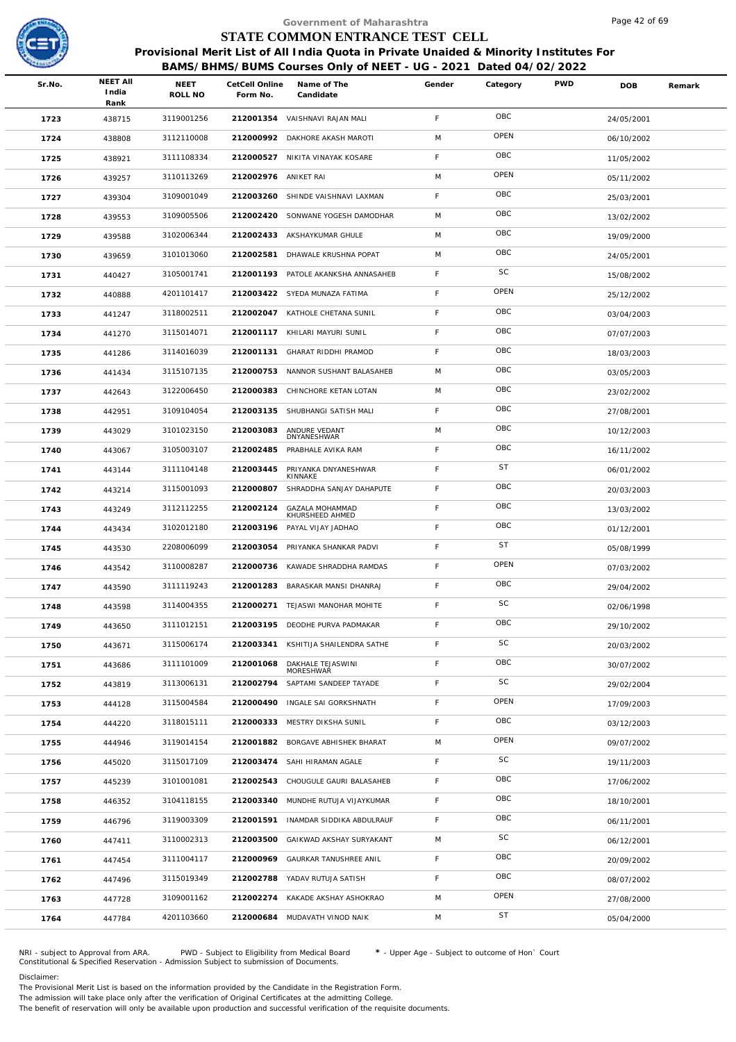

|        |                                  |                        |                            | Government of Maharashtra                                                                                                                                  |             |           |            | Page 42 of 69 |        |
|--------|----------------------------------|------------------------|----------------------------|------------------------------------------------------------------------------------------------------------------------------------------------------------|-------------|-----------|------------|---------------|--------|
|        |                                  |                        |                            | STATE COMMON ENTRANCE TEST CELL                                                                                                                            |             |           |            |               |        |
|        |                                  |                        |                            | Provisional Merit List of All India Quota in Private Unaided & Minority Institutes For<br>BAMS/BHMS/BUMS Courses Only of NEET - UG - 2021 Dated 04/02/2022 |             |           |            |               |        |
| Sr.No. | <b>NEET AII</b><br>India<br>Rank | <b>NEET</b><br>ROLL NO | CetCell Online<br>Form No. | Name of The<br>Candidate                                                                                                                                   | Gender      | Category  | <b>PWD</b> | <b>DOB</b>    | Remark |
| 1723   | 438715                           | 3119001256             |                            | 212001354 VAISHNAVI RAJAN MALI                                                                                                                             | F           | OBC       |            | 24/05/2001    |        |
| 1724   | 438808                           | 3112110008             | 212000992                  | DAKHORE AKASH MAROTI                                                                                                                                       | M           | OPEN      |            | 06/10/2002    |        |
| 1725   | 438921                           | 3111108334             |                            | 212000527 NIKITA VINAYAK KOSARE                                                                                                                            | F.          | OBC       |            | 11/05/2002    |        |
| 1726   | 439257                           | 3110113269             | 212002976 ANIKET RAI       |                                                                                                                                                            | M           | OPEN      |            | 05/11/2002    |        |
| 1727   | 439304                           | 3109001049             | 212003260                  | SHINDE VAISHNAVI LAXMAN                                                                                                                                    | F           | OBC       |            | 25/03/2001    |        |
| 1728   | 439553                           | 3109005506             |                            | 212002420 SONWANE YOGESH DAMODHAR                                                                                                                          | M           | OBC       |            | 13/02/2002    |        |
| 1729   | 439588                           | 3102006344             |                            | 212002433 AKSHAYKUMAR GHULE                                                                                                                                | M           | OBC       |            | 19/09/2000    |        |
| 1730   | 439659                           | 3101013060             | 212002581                  | DHAWALE KRUSHNA POPAT                                                                                                                                      | M           | OBC       |            | 24/05/2001    |        |
| 1731   | 440427                           | 3105001741             |                            | 212001193 PATOLE AKANKSHA ANNASAHEB                                                                                                                        | F           | SC        |            | 15/08/2002    |        |
| 1732   | 440888                           | 4201101417             |                            | 212003422 SYEDA MUNAZA FATIMA                                                                                                                              | F.          | OPEN      |            | 25/12/2002    |        |
| 1733   | 441247                           | 3118002511             |                            | 212002047 KATHOLE CHETANA SUNIL                                                                                                                            | F           | OBC       |            | 03/04/2003    |        |
| 1734   | 441270                           | 3115014071             |                            | 212001117 KHILARI MAYURI SUNIL                                                                                                                             | F           | OBC       |            | 07/07/2003    |        |
| 1735   | 441286                           | 3114016039             | 212001131                  | GHARAT RIDDHI PRAMOD                                                                                                                                       | F           | OBC       |            | 18/03/2003    |        |
| 1736   | 441434                           | 3115107135             |                            | 212000753 NANNOR SUSHANT BALASAHEB                                                                                                                         | M           | OBC       |            | 03/05/2003    |        |
| 1737   | 442643                           | 3122006450             |                            | 212000383 CHINCHORE KETAN LOTAN                                                                                                                            | M           | OBC       |            | 23/02/2002    |        |
| 1738   | 442951                           | 3109104054             | 212003135                  | SHUBHANGI SATISH MALI                                                                                                                                      | F.          | OBC       |            | 27/08/2001    |        |
| 1739   | 443029                           | 3101023150             | 212003083                  | ANDURE VEDANT<br>DNYANESHWAR                                                                                                                               | M           | OBC       |            | 10/12/2003    |        |
| 1740   | 443067                           | 3105003107             | 212002485                  | PRABHALE AVIKA RAM                                                                                                                                         | F.          | OBC       |            | 16/11/2002    |        |
| 1741   | 443144                           | 3111104148             | 212003445                  | PRIYANKA DNYANESHWAR<br>KINNAKE                                                                                                                            | F           | <b>ST</b> |            | 06/01/2002    |        |
| 1742   | 443214                           | 3115001093             | 212000807                  | SHRADDHA SANJAY DAHAPUTE                                                                                                                                   | F           | OBC       |            | 20/03/2003    |        |
| 1743   | 443249                           | 3112112255             | 212002124                  | GAZALA MOHAMMAD<br>KHURSHEED AHMED                                                                                                                         | F           | OBC       |            | 13/03/2002    |        |
| 1744   | 443434                           | 3102012180             | 212003196                  | PAYAL VIJAY JADHAO                                                                                                                                         | F.          | OBC       |            | 01/12/2001    |        |
| 1745   | 443530                           | 2208006099             | 212003054                  | PRIYANKA SHANKAR PADVI                                                                                                                                     | F.          | <b>ST</b> |            | 05/08/1999    |        |
| 1746   | 443542                           | 3110008287             |                            | 212000736 KAWADE SHRADDHA RAMDAS                                                                                                                           | F.          | OPEN      |            | 07/03/2002    |        |
| 1747   | 443590                           | 3111119243             |                            | 212001283 BARASKAR MANSI DHANRAJ                                                                                                                           | F.          | OBC       |            | 29/04/2002    |        |
| 1748   | 443598                           | 3114004355             | 212000271                  | TEJASWI MANOHAR MOHITE                                                                                                                                     | F.          | SC        |            | 02/06/1998    |        |
| 1749   | 443650                           | 3111012151             |                            | 212003195 DEODHE PURVA PADMAKAR                                                                                                                            | F           | OBC       |            | 29/10/2002    |        |
| 1750   | 443671                           | 3115006174             |                            | 212003341 KSHITIJA SHAILENDRA SATHE                                                                                                                        | F           | SC        |            | 20/03/2002    |        |
| 1751   | 443686                           | 3111101009             | 212001068                  | DAKHALE TEJASWINI<br>MORESHWAR                                                                                                                             | F           | OBC       |            | 30/07/2002    |        |
| 1752   | 443819                           | 3113006131             | 212002794                  | SAPTAMI SANDEEP TAYADE                                                                                                                                     | F.          | SC        |            | 29/02/2004    |        |
| 1753   | 444128                           | 3115004584             | 212000490                  | INGALE SAI GORKSHNATH                                                                                                                                      | F           | OPEN      |            | 17/09/2003    |        |
| 1754   | 444220                           | 3118015111             | 212000333                  | MESTRY DIKSHA SUNIL                                                                                                                                        | F.          | OBC       |            | 03/12/2003    |        |
| 1755   | 444946                           | 3119014154             |                            | 212001882 BORGAVE ABHISHEK BHARAT                                                                                                                          | M           | OPEN      |            | 09/07/2002    |        |
| 1756   | 445020                           | 3115017109             | 212003474                  | SAHI HIRAMAN AGALE                                                                                                                                         | F.          | SC        |            | 19/11/2003    |        |
| 1757   | 445239                           | 3101001081             |                            | 212002543 CHOUGULE GAURI BALASAHEB                                                                                                                         | F.          | OBC       |            | 17/06/2002    |        |
| 1758   | 446352                           | 3104118155             |                            | 212003340 MUNDHE RUTUJA VIJAYKUMAR                                                                                                                         | $\mathsf F$ | OBC       |            | 18/10/2001    |        |
| 1759   | 446796                           | 3119003309             | 212001591                  | INAMDAR SIDDIKA ABDULRAUF                                                                                                                                  | $\mathsf F$ | OBC       |            | 06/11/2001    |        |
| 1760   | 447411                           | 3110002313             | 212003500                  | GAIKWAD AKSHAY SURYAKANT                                                                                                                                   | M           | SC        |            | 06/12/2001    |        |
| 1761   | 447454                           | 3111004117             | 212000969                  | GAURKAR TANUSHREE ANIL                                                                                                                                     | $\mathsf F$ | OBC       |            | 20/09/2002    |        |
| 1762   | 447496                           | 3115019349             |                            | 212002788 YADAV RUTUJA SATISH                                                                                                                              | F.          | OBC       |            | 08/07/2002    |        |
| 1763   | 447728                           | 3109001162             |                            | 212002274 KAKADE AKSHAY ASHOKRAO                                                                                                                           | M           | OPEN      |            | 27/08/2000    |        |
| 1764   | 447784                           | 4201103660             |                            | 212000684 MUDAVATH VINOD NAIK                                                                                                                              | M           | <b>ST</b> |            | 05/04/2000    |        |
|        |                                  |                        |                            |                                                                                                                                                            |             |           |            |               |        |

NRI - subject to Approval from ARA. PWD - Subject to Eligibility from Medical Board \* - Upper Age - Subject to outcome of Hon` Court<br>Constitutional & Specified Reservation - Admission Subject to submissio

Disclaimer:

The Provisional Merit List is based on the information provided by the Candidate in the Registration Form. The admission will take place only after the verification of Original Certificates at the admitting College.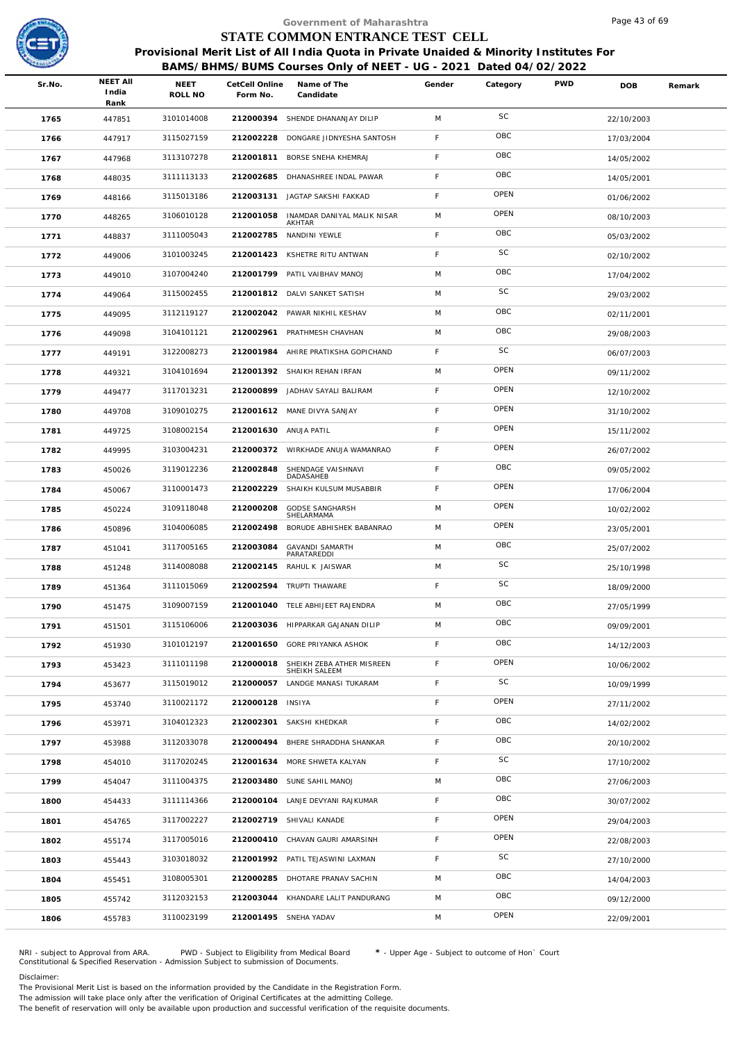

|        |                                  |                        |                            | Government of Maharashtra                                                                                                                                  |        |           |            | Page 43 of 69 |        |
|--------|----------------------------------|------------------------|----------------------------|------------------------------------------------------------------------------------------------------------------------------------------------------------|--------|-----------|------------|---------------|--------|
|        |                                  |                        |                            | STATE COMMON ENTRANCE TEST CELL                                                                                                                            |        |           |            |               |        |
|        |                                  |                        |                            | Provisional Merit List of All India Quota in Private Unaided & Minority Institutes For<br>BAMS/BHMS/BUMS Courses Only of NEET - UG - 2021 Dated 04/02/2022 |        |           |            |               |        |
| Sr.No. | <b>NEET AII</b><br>India<br>Rank | <b>NEET</b><br>ROLL NO | CetCell Online<br>Form No. | Name of The<br>Candidate                                                                                                                                   | Gender | Category  | <b>PWD</b> | <b>DOB</b>    | Remark |
| 1765   | 447851                           | 3101014008             |                            | 212000394 SHENDE DHANANJAY DILIP                                                                                                                           | M      | <b>SC</b> |            | 22/10/2003    |        |
| 1766   | 447917                           | 3115027159             | 212002228                  | DONGARE JIDNYESHA SANTOSH                                                                                                                                  | F      | OBC       |            | 17/03/2004    |        |
| 1767   | 447968                           | 3113107278             | 212001811                  | BORSE SNEHA KHEMRAJ                                                                                                                                        | F      | OBC       |            | 14/05/2002    |        |
| 1768   | 448035                           | 3111113133             |                            | 212002685 DHANASHREE INDAL PAWAR                                                                                                                           | F      | OBC       |            | 14/05/2001    |        |
| 1769   | 448166                           | 3115013186             |                            | 212003131 JAGTAP SAKSHI FAKKAD                                                                                                                             | F      | OPEN      |            | 01/06/2002    |        |
| 1770   | 448265                           | 3106010128             | 212001058                  | INAMDAR DANIYAL MALIK NISAR<br>AKHTAR                                                                                                                      | M      | OPEN      |            | 08/10/2003    |        |
| 1771   | 448837                           | 3111005043             | 212002785                  | NANDINI YEWLE                                                                                                                                              | F      | OBC       |            | 05/03/2002    |        |
| 1772   | 449006                           | 3101003245             | 212001423                  | KSHETRE RITU ANTWAN                                                                                                                                        | F      | <b>SC</b> |            | 02/10/2002    |        |
| 1773   | 449010                           | 3107004240             |                            | 212001799 PATIL VAIBHAV MANOJ                                                                                                                              | M      | OBC       |            | 17/04/2002    |        |
| 1774   | 449064                           | 3115002455             |                            | 212001812 DALVI SANKET SATISH                                                                                                                              | M      | SC        |            | 29/03/2002    |        |
| 1775   | 449095                           | 3112119127             | 212002042                  | PAWAR NIKHIL KESHAV                                                                                                                                        | M      | OBC       |            | 02/11/2001    |        |
| 1776   | 449098                           | 3104101121             |                            | 212002961 PRATHMESH CHAVHAN                                                                                                                                | M      | OBC       |            | 29/08/2003    |        |
| 1777   | 449191                           | 3122008273             | 212001984                  | AHIRE PRATIKSHA GOPICHAND                                                                                                                                  | F      | SC        |            | 06/07/2003    |        |
| 1778   | 449321                           | 3104101694             |                            | 212001392 SHAIKH REHAN IRFAN                                                                                                                               | M      | OPEN      |            | 09/11/2002    |        |
| 1779   | 449477                           | 3117013231             | 212000899                  | JADHAV SAYALI BALIRAM                                                                                                                                      | F      | OPEN      |            | 12/10/2002    |        |
| 1780   | 449708                           | 3109010275             |                            | 212001612 MANE DIVYA SANJAY                                                                                                                                | F      | OPEN      |            | 31/10/2002    |        |
| 1781   | 449725                           | 3108002154             | 212001630 ANUJA PATIL      |                                                                                                                                                            | F      | OPEN      |            | 15/11/2002    |        |
| 1782   | 449995                           | 3103004231             | 212000372                  | WIRKHADE ANUJA WAMANRAO                                                                                                                                    | F      | OPEN      |            | 26/07/2002    |        |
| 1783   | 450026                           | 3119012236             | 212002848                  | SHENDAGE VAISHNAVI<br>DADASAHEB                                                                                                                            | F      | OBC       |            | 09/05/2002    |        |
| 1784   | 450067                           | 3110001473             | 212002229                  | SHAIKH KULSUM MUSABBIR                                                                                                                                     | F      | OPEN      |            | 17/06/2004    |        |
| 1785   | 450224                           | 3109118048             | 212000208                  | <b>GODSE SANGHARSH</b><br>SHELARMAMA                                                                                                                       | M      | OPEN      |            | 10/02/2002    |        |
| 1786   | 450896                           | 3104006085             | 212002498                  | BORUDE ABHISHEK BABANRAO                                                                                                                                   | M      | OPEN      |            | 23/05/2001    |        |
| 1787   | 451041                           | 3117005165             | 212003084                  | <b>GAVANDI SAMARTH</b><br>PARATAREDDI                                                                                                                      | M      | OBC       |            | 25/07/2002    |        |
| 1788   | 451248                           | 3114008088             |                            | 212002145 RAHUL K JAISWAR                                                                                                                                  | M      | <b>SC</b> |            | 25/10/1998    |        |
| 1789   | 451364                           | 3111015069             |                            | 212002594 TRUPTI THAWARE                                                                                                                                   | F.     | <b>SC</b> |            | 18/09/2000    |        |
| 1790   | 451475                           | 3109007159             |                            | 212001040 TELE ABHIJEET RAJENDRA                                                                                                                           | M      | OBC       |            | 27/05/1999    |        |
| 1791   | 451501                           | 3115106006             |                            | 212003036 HIPPARKAR GAJANAN DILIP                                                                                                                          | M      | OBC       |            | 09/09/2001    |        |
| 1792   | 451930                           | 3101012197             |                            | 212001650 GORE PRIYANKA ASHOK                                                                                                                              | F      | OBC       |            | 14/12/2003    |        |
| 1793   | 453423                           | 3111011198             | 212000018                  | SHEIKH ZEBA ATHER MISREEN<br>SHEIKH SALEEM                                                                                                                 | F      | OPEN      |            | 10/06/2002    |        |
| 1794   | 453677                           | 3115019012             | 212000057                  | LANDGE MANASI TUKARAM                                                                                                                                      | F      | SC        |            | 10/09/1999    |        |
| 1795   | 453740                           | 3110021172             | 212000128 INSIYA           |                                                                                                                                                            | F.     | OPEN      |            | 27/11/2002    |        |
| 1796   | 453971                           | 3104012323             | 212002301                  | SAKSHI KHEDKAR                                                                                                                                             | F      | OBC       |            | 14/02/2002    |        |
| 1797   | 453988                           | 3112033078             |                            | 212000494 BHERE SHRADDHA SHANKAR                                                                                                                           | F      | OBC       |            | 20/10/2002    |        |
| 1798   | 454010                           | 3117020245             |                            | 212001634 MORE SHWETA KALYAN                                                                                                                               | F      | SC        |            | 17/10/2002    |        |
| 1799   | 454047                           | 3111004375             |                            | 212003480 SUNE SAHIL MANOJ                                                                                                                                 | M      | OBC       |            | 27/06/2003    |        |
| 1800   | 454433                           | 3111114366             |                            | 212000104 LANJE DEVYANI RAJKUMAR                                                                                                                           | F      | OBC       |            | 30/07/2002    |        |
| 1801   | 454765                           | 3117002227             |                            | 212002719 SHIVALI KANADE                                                                                                                                   | F      | OPEN      |            | 29/04/2003    |        |
| 1802   | 455174                           | 3117005016             |                            | 212000410 CHAVAN GAURI AMARSINH                                                                                                                            | F      | OPEN      |            | 22/08/2003    |        |
| 1803   | 455443                           | 3103018032             |                            | 212001992 PATIL TEJASWINI LAXMAN                                                                                                                           | F.     | SC        |            | 27/10/2000    |        |
| 1804   | 455451                           | 3108005301             |                            | 212000285 DHOTARE PRANAV SACHIN                                                                                                                            | M      | OBC       |            | 14/04/2003    |        |
| 1805   | 455742                           | 3112032153             |                            | 212003044 KHANDARE LALIT PANDURANG                                                                                                                         | M      | OBC       |            | 09/12/2000    |        |
| 1806   | 455783                           | 3110023199             |                            | 212001495 SNEHA YADAV                                                                                                                                      | M      | OPEN      |            | 22/09/2001    |        |
|        |                                  |                        |                            |                                                                                                                                                            |        |           |            |               |        |

NRI - subject to Approval from ARA. PWD - Subject to Eligibility from Medical Board \* - Upper Age - Subject to outcome of Hon` Court<br>Constitutional & Specified Reservation - Admission Subject to submissio

Disclaimer:

The Provisional Merit List is based on the information provided by the Candidate in the Registration Form.

The admission will take place only after the verification of Original Certificates at the admitting College.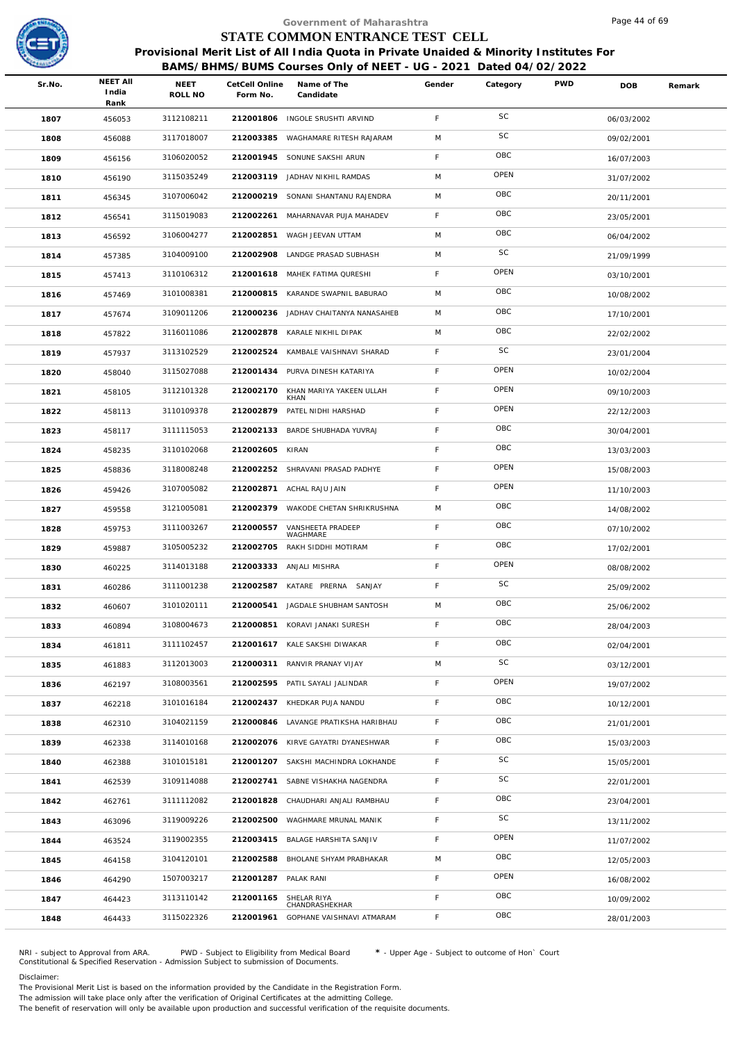

|        |                                  |                 |                            | Government of Maharashtra                                                                                                                                  |             |           |            | Page 44 of 69 |        |
|--------|----------------------------------|-----------------|----------------------------|------------------------------------------------------------------------------------------------------------------------------------------------------------|-------------|-----------|------------|---------------|--------|
|        |                                  |                 |                            | STATE COMMON ENTRANCE TEST CELL                                                                                                                            |             |           |            |               |        |
|        |                                  |                 |                            | Provisional Merit List of All India Quota in Private Unaided & Minority Institutes For<br>BAMS/BHMS/BUMS Courses Only of NEET - UG - 2021 Dated 04/02/2022 |             |           |            |               |        |
| Sr.No. | <b>NEET AII</b><br>India<br>Rank | NEET<br>ROLL NO | CetCell Online<br>Form No. | Name of The<br>Candidate                                                                                                                                   | Gender      | Category  | <b>PWD</b> | DOB           | Remark |
| 1807   | 456053                           | 3112108211      |                            | 212001806 INGOLE SRUSHTI ARVIND                                                                                                                            | F           | <b>SC</b> |            | 06/03/2002    |        |
| 1808   | 456088                           | 3117018007      | 212003385                  | WAGHAMARE RITESH RAJARAM                                                                                                                                   | M           | SC        |            | 09/02/2001    |        |
| 1809   | 456156                           | 3106020052      | 212001945                  | SONUNE SAKSHI ARUN                                                                                                                                         | $\mathsf F$ | OBC       |            | 16/07/2003    |        |
| 1810   | 456190                           | 3115035249      |                            | 212003119 JADHAV NIKHIL RAMDAS                                                                                                                             | M           | OPEN      |            | 31/07/2002    |        |
| 1811   | 456345                           | 3107006042      | 212000219                  | SONANI SHANTANU RAJENDRA                                                                                                                                   | M           | OBC       |            | 20/11/2001    |        |
| 1812   | 456541                           | 3115019083      |                            | 212002261 MAHARNAVAR PUJA MAHADEV                                                                                                                          | $\mathsf F$ | OBC       |            | 23/05/2001    |        |
| 1813   | 456592                           | 3106004277      |                            | 212002851 WAGH JEEVAN UTTAM                                                                                                                                | M           | OBC       |            | 06/04/2002    |        |
| 1814   | 457385                           | 3104009100      | 212002908                  | LANDGE PRASAD SUBHASH                                                                                                                                      | M           | SC        |            | 21/09/1999    |        |
| 1815   | 457413                           | 3110106312      |                            | 212001618 MAHEK FATIMA QURESHI                                                                                                                             | $\mathsf F$ | OPEN      |            | 03/10/2001    |        |
| 1816   | 457469                           | 3101008381      | 212000815                  | KARANDE SWAPNIL BABURAO                                                                                                                                    | M           | OBC       |            | 10/08/2002    |        |
| 1817   | 457674                           | 3109011206      |                            | 212000236 JADHAV CHAITANYA NANASAHEB                                                                                                                       | M           | OBC       |            | 17/10/2001    |        |
| 1818   | 457822                           | 3116011086      |                            | 212002878 KARALE NIKHIL DIPAK                                                                                                                              | M           | OBC       |            | 22/02/2002    |        |
| 1819   | 457937                           | 3113102529      | 212002524                  | KAMBALE VAISHNAVI SHARAD                                                                                                                                   | $\mathsf F$ | SC        |            | 23/01/2004    |        |
| 1820   | 458040                           | 3115027088      |                            | 212001434 PURVA DINESH KATARIYA                                                                                                                            | $\mathsf F$ | OPEN      |            | 10/02/2004    |        |
| 1821   | 458105                           | 3112101328      | 212002170                  | KHAN MARIYA YAKEEN ULLAH<br>KHAN                                                                                                                           | $\mathsf F$ | OPEN      |            | 09/10/2003    |        |
| 1822   | 458113                           | 3110109378      | 212002879                  | PATEL NIDHI HARSHAD                                                                                                                                        | F           | OPEN      |            | 22/12/2003    |        |
| 1823   | 458117                           | 3111115053      |                            | 212002133 BARDE SHUBHADA YUVRAJ                                                                                                                            | $\mathsf F$ | OBC       |            | 30/04/2001    |        |
| 1824   | 458235                           | 3110102068      | 212002605                  | KIRAN                                                                                                                                                      | F           | OBC       |            | 13/03/2003    |        |
| 1825   | 458836                           | 3118008248      | 212002252                  | SHRAVANI PRASAD PADHYE                                                                                                                                     | $\mathsf F$ | OPEN      |            | 15/08/2003    |        |
| 1826   | 459426                           | 3107005082      |                            | 212002871 ACHAL RAJU JAIN                                                                                                                                  | $\mathsf F$ | OPEN      |            | 11/10/2003    |        |
| 1827   | 459558                           | 3121005081      | 212002379                  | WAKODE CHETAN SHRIKRUSHNA                                                                                                                                  | M           | OBC       |            | 14/08/2002    |        |
| 1828   | 459753                           | 3111003267      | 212000557                  | VANSHEETA PRADEEP<br>WAGHMARE                                                                                                                              | $\mathsf F$ | OBC       |            | 07/10/2002    |        |
| 1829   | 459887                           | 3105005232      | 212002705                  | RAKH SIDDHI MOTIRAM                                                                                                                                        | F           | OBC       |            | 17/02/2001    |        |
| 1830   | 460225                           | 3114013188      |                            | 212003333 ANJALI MISHRA                                                                                                                                    | F           | OPEN      |            | 08/08/2002    |        |
| 1831   | 460286                           | 3111001238      |                            | 212002587 KATARE PRERNA SANJAY                                                                                                                             | F.          | SC        |            | 25/09/2002    |        |
| 1832   | 460607                           | 3101020111      | 212000541                  | JAGDALE SHUBHAM SANTOSH                                                                                                                                    | M           | OBC       |            | 25/06/2002    |        |
| 1833   | 460894                           | 3108004673      |                            | 212000851 KORAVI JANAKI SURESH                                                                                                                             | $\mathsf F$ | OBC       |            | 28/04/2003    |        |
| 1834   | 461811                           | 3111102457      |                            | 212001617 KALE SAKSHI DIWAKAR                                                                                                                              | $\mathsf F$ | OBC       |            | 02/04/2001    |        |
| 1835   | 461883                           | 3112013003      | 212000311                  | RANVIR PRANAY VIJAY                                                                                                                                        | M           | SC        |            | 03/12/2001    |        |
| 1836   | 462197                           | 3108003561      |                            | 212002595 PATIL SAYALI JALINDAR                                                                                                                            | $\mathsf F$ | OPEN      |            | 19/07/2002    |        |
| 1837   | 462218                           | 3101016184      |                            | 212002437 KHEDKAR PUJA NANDU                                                                                                                               | $\mathsf F$ | OBC       |            | 10/12/2001    |        |
| 1838   | 462310                           | 3104021159      | 212000846                  | LAVANGE PRATIKSHA HARIBHAU                                                                                                                                 | F           | OBC       |            | 21/01/2001    |        |
| 1839   | 462338                           | 3114010168      |                            | 212002076 KIRVE GAYATRI DYANESHWAR                                                                                                                         | $\mathsf F$ | OBC       |            | 15/03/2003    |        |
| 1840   | 462388                           | 3101015181      | 212001207                  | SAKSHI MACHINDRA LOKHANDE                                                                                                                                  | $\mathsf F$ | SC        |            | 15/05/2001    |        |
| 1841   | 462539                           | 3109114088      | 212002741                  | SABNE VISHAKHA NAGENDRA                                                                                                                                    | $\mathsf F$ | SC        |            | 22/01/2001    |        |
| 1842   | 462761                           | 3111112082      | 212001828                  | CHAUDHARI ANJALI RAMBHAU                                                                                                                                   | F           | OBC       |            | 23/04/2001    |        |
| 1843   | 463096                           | 3119009226      | 212002500                  | WAGHMARE MRUNAL MANIK                                                                                                                                      | $\mathsf F$ | SC        |            | 13/11/2002    |        |
| 1844   | 463524                           | 3119002355      | 212003415                  | BALAGE HARSHITA SANJIV                                                                                                                                     | F           | OPEN      |            | 11/07/2002    |        |
| 1845   | 464158                           | 3104120101      | 212002588                  | BHOLANE SHYAM PRABHAKAR                                                                                                                                    | M           | OBC       |            | 12/05/2003    |        |
| 1846   | 464290                           | 1507003217      | 212001287                  | PALAK RANI                                                                                                                                                 | $\mathsf F$ | OPEN      |            | 16/08/2002    |        |
| 1847   | 464423                           | 3113110142      | 212001165                  | SHELAR RIYA<br>CHANDRASHEKHAR                                                                                                                              | F           | OBC       |            | 10/09/2002    |        |
| 1848   | 464433                           | 3115022326      |                            | 212001961 GOPHANE VAISHNAVI ATMARAM                                                                                                                        | F.          | OBC       |            | 28/01/2003    |        |
|        |                                  |                 |                            |                                                                                                                                                            |             |           |            |               |        |

NRI - subject to Approval from ARA. PWD - Subject to Eligibility from Medical Board \* - Upper Age - Subject to outcome of Hon` Court<br>Constitutional & Specified Reservation - Admission Subject to submissio

Disclaimer:

The Provisional Merit List is based on the information provided by the Candidate in the Registration Form. The admission will take place only after the verification of Original Certificates at the admitting College.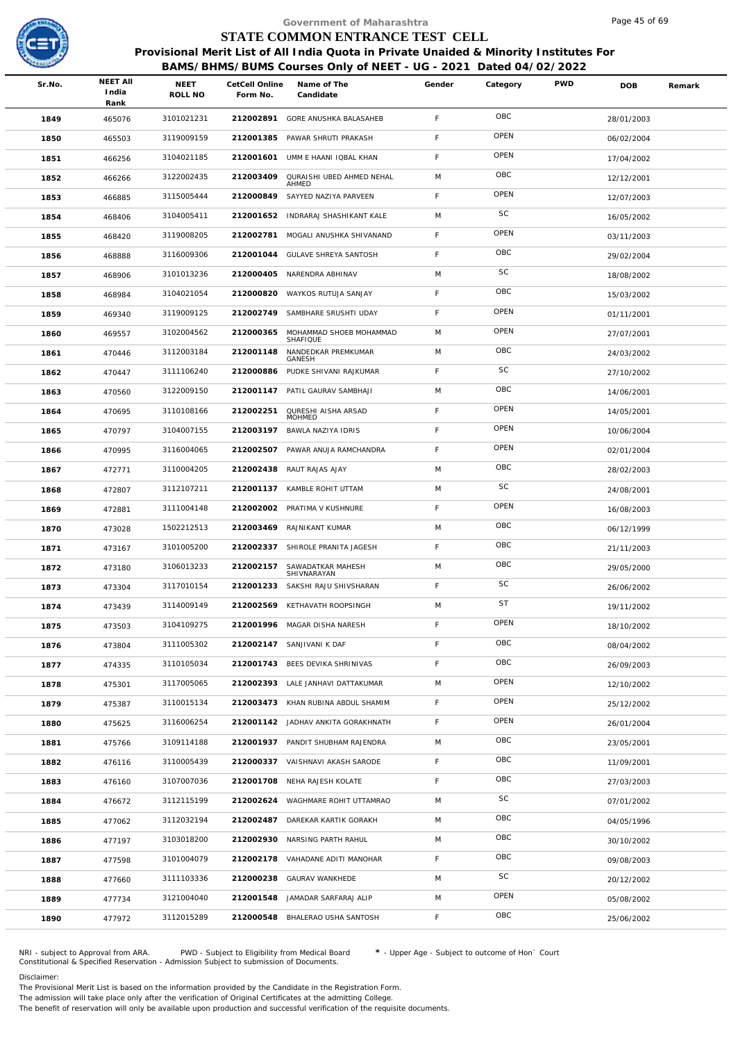

|        |                                  |                        |                            | Government of Maharashtra                                                              |        |           |            | Page 45 of 69 |        |
|--------|----------------------------------|------------------------|----------------------------|----------------------------------------------------------------------------------------|--------|-----------|------------|---------------|--------|
|        |                                  |                        |                            | STATE COMMON ENTRANCE TEST CELL                                                        |        |           |            |               |        |
|        |                                  |                        |                            | Provisional Merit List of All India Quota in Private Unaided & Minority Institutes For |        |           |            |               |        |
|        |                                  |                        |                            | BAMS/BHMS/BUMS Courses Only of NEET - UG - 2021 Dated 04/02/2022                       |        |           |            |               |        |
| Sr.No. | <b>NEET AII</b><br>India<br>Rank | <b>NEET</b><br>ROLL NO | CetCell Online<br>Form No. | Name of The<br>Candidate                                                               | Gender | Category  | <b>PWD</b> | <b>DOB</b>    | Remark |
| 1849   | 465076                           | 3101021231             | 212002891                  | GORE ANUSHKA BALASAHEB                                                                 | F.     | OBC       |            | 28/01/2003    |        |
| 1850   | 465503                           | 3119009159             | 212001385                  | PAWAR SHRUTI PRAKASH                                                                   | F.     | OPEN      |            | 06/02/2004    |        |
| 1851   | 466256                           | 3104021185             | 212001601                  | UMM E HAANI IQBAL KHAN                                                                 | F      | OPEN      |            | 17/04/2002    |        |
| 1852   | 466266                           | 3122002435             | 212003409                  | QURAISHI UBED AHMED NEHAL                                                              | M      | OBC       |            | 12/12/2001    |        |
| 1853   | 466885                           | 3115005444             | 212000849                  | AHMED<br>SAYYED NAZIYA PARVEEN                                                         | F.     | OPEN      |            | 12/07/2003    |        |
| 1854   | 468406                           | 3104005411             |                            | 212001652 INDRARAJ SHASHIKANT KALE                                                     | M      | SC        |            | 16/05/2002    |        |
| 1855   | 468420                           | 3119008205             |                            | 212002781 MOGALI ANUSHKA SHIVANAND                                                     | F      | OPEN      |            | 03/11/2003    |        |
| 1856   | 468888                           | 3116009306             | 212001044                  | GULAVE SHREYA SANTOSH                                                                  | F      | OBC       |            | 29/02/2004    |        |
| 1857   | 468906                           | 3101013236             |                            | 212000405 NARENDRA ABHINAV                                                             | M      | SC        |            | 18/08/2002    |        |
| 1858   | 468984                           | 3104021054             | 212000820                  | WAYKOS RUTUJA SANJAY                                                                   | F.     | OBC       |            | 15/03/2002    |        |
| 1859   | 469340                           | 3119009125             | 212002749                  | SAMBHARE SRUSHTI UDAY                                                                  | F.     | OPEN      |            | 01/11/2001    |        |
| 1860   | 469557                           | 3102004562             | 212000365                  | MOHAMMAD SHOEB MOHAMMAD                                                                | M      | OPEN      |            | 27/07/2001    |        |
| 1861   | 470446                           | 3112003184             | 212001148                  | SHAFIQUE<br>NANDEDKAR PREMKUMAR                                                        | M      | OBC       |            | 24/03/2002    |        |
| 1862   | 470447                           | 3111106240             | 212000886                  | GANESH<br>PUDKE SHIVANI RAJKUMAR                                                       | F      | SC        |            | 27/10/2002    |        |
| 1863   | 470560                           | 3122009150             | 212001147                  | PATIL GAURAV SAMBHAJI                                                                  | M      | OBC       |            | 14/06/2001    |        |
| 1864   | 470695                           | 3110108166             | 212002251                  | QURESHI AISHA ARSAD                                                                    | F      | OPEN      |            | 14/05/2001    |        |
| 1865   | 470797                           | 3104007155             | 212003197                  | MOHMED<br>BAWLA NAZIYA IDRIS                                                           | F      | OPEN      |            | 10/06/2004    |        |
| 1866   | 470995                           | 3116004065             | 212002507                  | PAWAR ANUJA RAMCHANDRA                                                                 | F.     | OPEN      |            | 02/01/2004    |        |
| 1867   | 472771                           | 3110004205             | 212002438                  | RAUT RAJAS AJAY                                                                        | M      | OBC       |            | 28/02/2003    |        |
| 1868   | 472807                           | 3112107211             | 212001137                  | KAMBLE ROHIT UTTAM                                                                     | M      | SC        |            | 24/08/2001    |        |
| 1869   | 472881                           | 3111004148             | 212002002                  | PRATIMA V KUSHNURE                                                                     | F      | OPEN      |            | 16/08/2003    |        |
| 1870   | 473028                           | 1502212513             |                            | 212003469 RAJNIKANT KUMAR                                                              | M      | OBC       |            | 06/12/1999    |        |
| 1871   | 473167                           | 3101005200             |                            | 212002337 SHIROLE PRANITA JAGESH                                                       | F.     | OBC       |            | 21/11/2003    |        |
| 1872   | 473180                           | 3106013233             |                            | 212002157 SAWADATKAR MAHESH                                                            | M      | OBC       |            | 29/05/2000    |        |
| 1873   | 473304                           | 3117010154             |                            | SHIVNARAYAN<br>212001233 SAKSHI RAJU SHIVSHARAN                                        | F.     | SC        |            | 26/06/2002    |        |
| 1874   | 473439                           | 3114009149             |                            | 212002569 KETHAVATH ROOPSINGH                                                          | M      | <b>ST</b> |            | 19/11/2002    |        |
| 1875   | 473503                           | 3104109275             |                            | 212001996 MAGAR DISHA NARESH                                                           | F.     | OPEN      |            | 18/10/2002    |        |
| 1876   | 473804                           | 3111005302             |                            | 212002147 SANJIVANI K DAF                                                              | F      | OBC       |            | 08/04/2002    |        |
| 1877   | 474335                           | 3110105034             |                            | 212001743 BEES DEVIKA SHRINIVAS                                                        | F.     | OBC       |            | 26/09/2003    |        |
| 1878   | 475301                           | 3117005065             |                            | 212002393 LALE JANHAVI DATTAKUMAR                                                      | M      | OPEN      |            | 12/10/2002    |        |
| 1879   |                                  | 3110015134             |                            | 212003473 KHAN RUBINA ABDUL SHAMIM                                                     | F.     | OPEN      |            |               |        |
|        | 475387                           | 3116006254             |                            | 212001142 JADHAV ANKITA GORAKHNATH                                                     | F.     | OPEN      |            | 25/12/2002    |        |
| 1880   | 475625                           | 3109114188             |                            | 212001937 PANDIT SHUBHAM RAJENDRA                                                      | M      | OBC       |            | 26/01/2004    |        |
| 1881   | 475766                           | 3110005439             |                            | 212000337 VAISHNAVI AKASH SARODE                                                       | F.     | OBC       |            | 23/05/2001    |        |
| 1882   | 476116                           | 3107007036             |                            | 212001708 NEHA RAJESH KOLATE                                                           | F.     | OBC       |            | 11/09/2001    |        |
| 1883   | 476160                           |                        |                            |                                                                                        | M      | SC        |            | 27/03/2003    |        |
| 1884   | 476672                           | 3112115199             |                            | 212002624 WAGHMARE ROHIT UTTAMRAO                                                      |        | OBC       |            | 07/01/2002    |        |
| 1885   | 477062                           | 3112032194             | 212002487                  | DAREKAR KARTIK GORAKH                                                                  | M      | OBC       |            | 04/05/1996    |        |
| 1886   | 477197                           | 3103018200             |                            | 212002930 NARSING PARTH RAHUL                                                          | M      | OBC       |            | 30/10/2002    |        |
| 1887   | 477598                           | 3101004079             |                            | 212002178 VAHADANE ADITI MANOHAR                                                       | F.     | SC        |            | 09/08/2003    |        |
| 1888   | 477660                           | 3111103336             |                            | 212000238 GAURAV WANKHEDE                                                              | M      | OPEN      |            | 20/12/2002    |        |
| 1889   | 477734                           | 3121004040             |                            | 212001548 JAMADAR SARFARAJ ALIP                                                        | M      |           |            | 05/08/2002    |        |
| 1890   | 477972                           | 3112015289             | 212000548                  | BHALERAO USHA SANTOSH                                                                  | F.     | OBC       |            | 25/06/2002    |        |

NRI - subject to Approval from ARA. PWD - Subject to Eligibility from Medical Board \* - Upper Age - Subject to outcome of Hon` Court<br>Constitutional & Specified Reservation - Admission Subject to submissio

Disclaimer:

The Provisional Merit List is based on the information provided by the Candidate in the Registration Form. The admission will take place only after the verification of Original Certificates at the admitting College.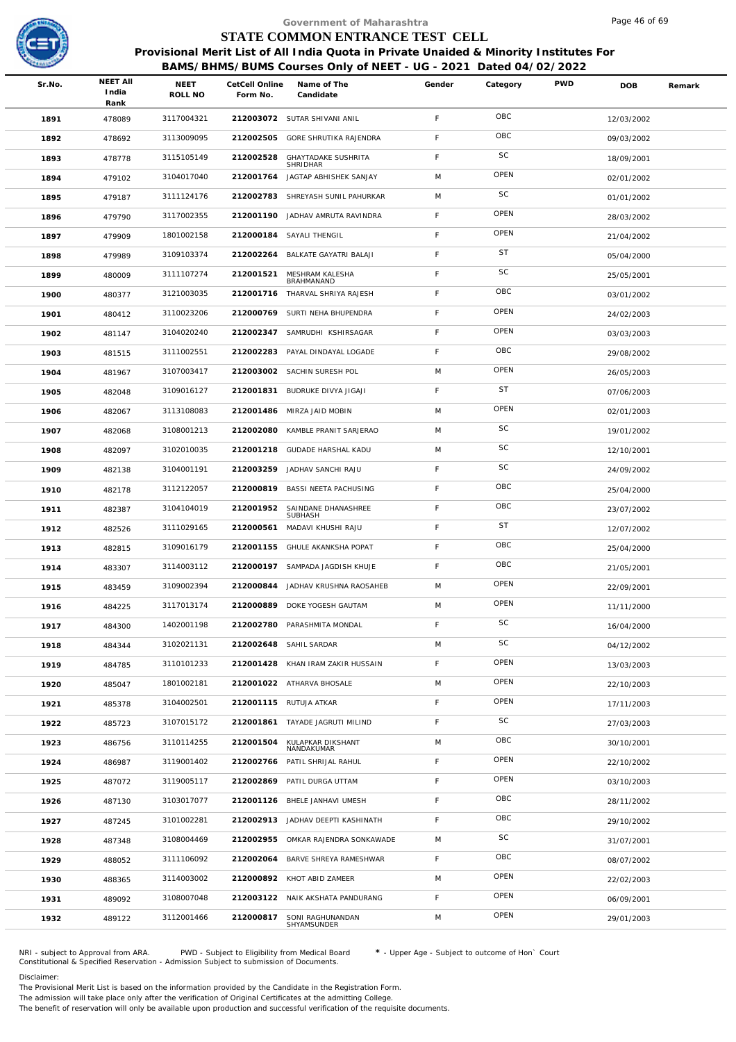

|        |                                  |                 |                            | Government of Maharashtra                                                                                                                                  |             |           |            | Page 46 of 69 |        |
|--------|----------------------------------|-----------------|----------------------------|------------------------------------------------------------------------------------------------------------------------------------------------------------|-------------|-----------|------------|---------------|--------|
|        |                                  |                 |                            | STATE COMMON ENTRANCE TEST CELL                                                                                                                            |             |           |            |               |        |
|        |                                  |                 |                            | Provisional Merit List of All India Quota in Private Unaided & Minority Institutes For<br>BAMS/BHMS/BUMS Courses Only of NEET - UG - 2021 Dated 04/02/2022 |             |           |            |               |        |
| Sr.No. | <b>NEET AII</b><br>India<br>Rank | NEET<br>ROLL NO | CetCell Online<br>Form No. | Name of The<br>Candidate                                                                                                                                   | Gender      | Category  | <b>PWD</b> | DOB           | Remark |
| 1891   | 478089                           | 3117004321      |                            | 212003072 SUTAR SHIVANI ANIL                                                                                                                               | F           | OBC       |            | 12/03/2002    |        |
| 1892   | 478692                           | 3113009095      | 212002505                  | GORE SHRUTIKA RAJENDRA                                                                                                                                     | F           | OBC       |            | 09/03/2002    |        |
| 1893   | 478778                           | 3115105149      | 212002528                  | <b>GHAYTADAKE SUSHRITA</b><br>SHRIDHAR                                                                                                                     | $\mathsf F$ | SC        |            | 18/09/2001    |        |
| 1894   | 479102                           | 3104017040      |                            | 212001764 JAGTAP ABHISHEK SANJAY                                                                                                                           | M           | OPEN      |            | 02/01/2002    |        |
| 1895   | 479187                           | 3111124176      | 212002783                  | SHREYASH SUNIL PAHURKAR                                                                                                                                    | M           | SC        |            | 01/01/2002    |        |
| 1896   | 479790                           | 3117002355      |                            | 212001190 JADHAV AMRUTA RAVINDRA                                                                                                                           | $\mathsf F$ | OPEN      |            | 28/03/2002    |        |
| 1897   | 479909                           | 1801002158      |                            | 212000184 SAYALI THENGIL                                                                                                                                   | F           | OPEN      |            | 21/04/2002    |        |
| 1898   | 479989                           | 3109103374      | 212002264                  | BALKATE GAYATRI BALAJI                                                                                                                                     | $\mathsf F$ | <b>ST</b> |            | 05/04/2000    |        |
| 1899   | 480009                           | 3111107274      | 212001521                  | MESHRAM KALESHA<br>BRAHMANAND                                                                                                                              | F           | SC        |            | 25/05/2001    |        |
| 1900   | 480377                           | 3121003035      | 212001716                  | THARVAL SHRIYA RAJESH                                                                                                                                      | F           | OBC       |            | 03/01/2002    |        |
| 1901   | 480412                           | 3110023206      | 212000769                  | SURTI NEHA BHUPENDRA                                                                                                                                       | F           | OPEN      |            | 24/02/2003    |        |
| 1902   | 481147                           | 3104020240      |                            | 212002347 SAMRUDHI KSHIRSAGAR                                                                                                                              | F           | OPEN      |            | 03/03/2003    |        |
| 1903   | 481515                           | 3111002551      | 212002283                  | PAYAL DINDAYAL LOGADE                                                                                                                                      | $\mathsf F$ | OBC       |            | 29/08/2002    |        |
| 1904   | 481967                           | 3107003417      |                            | 212003002 SACHIN SURESH POL                                                                                                                                | M           | OPEN      |            | 26/05/2003    |        |
| 1905   | 482048                           | 3109016127      |                            | 212001831 BUDRUKE DIVYA JIGAJI                                                                                                                             | $\mathsf F$ | <b>ST</b> |            | 07/06/2003    |        |
| 1906   | 482067                           | 3113108083      | 212001486                  | MIRZA JAID MOBIN                                                                                                                                           | M           | OPEN      |            | 02/01/2003    |        |
| 1907   | 482068                           | 3108001213      | 212002080                  | KAMBLE PRANIT SARJERAO                                                                                                                                     | M           | SC        |            | 19/01/2002    |        |
| 1908   | 482097                           | 3102010035      | 212001218                  | <b>GUDADE HARSHAL KADU</b>                                                                                                                                 | M           | SC        |            | 12/10/2001    |        |
| 1909   | 482138                           | 3104001191      | 212003259                  | JADHAV SANCHI RAJU                                                                                                                                         | $\mathsf F$ | SC        |            | 24/09/2002    |        |
| 1910   | 482178                           | 3112122057      |                            | 212000819 BASSI NEETA PACHUSING                                                                                                                            | $\mathsf F$ | OBC       |            | 25/04/2000    |        |
| 1911   | 482387                           | 3104104019      | 212001952                  | SAINDANE DHANASHREE<br>SUBHASH                                                                                                                             | F           | OBC       |            | 23/07/2002    |        |
| 1912   | 482526                           | 3111029165      | 212000561                  | MADAVI KHUSHI RAJU                                                                                                                                         | $\mathsf F$ | <b>ST</b> |            | 12/07/2002    |        |
| 1913   | 482815                           | 3109016179      | 212001155                  | <b>GHULE AKANKSHA POPAT</b>                                                                                                                                | F           | OBC       |            | 25/04/2000    |        |
| 1914   | 483307                           | 3114003112      |                            | 212000197 SAMPADA JAGDISH KHUJE                                                                                                                            | F           | OBC       |            | 21/05/2001    |        |
| 1915   | 483459                           | 3109002394      |                            | 212000844 JADHAV KRUSHNA RAOSAHEB                                                                                                                          | M           | OPEN      |            | 22/09/2001    |        |
| 1916   | 484225                           | 3117013174      | 212000889                  | DOKE YOGESH GAUTAM                                                                                                                                         | M           | OPEN      |            | 11/11/2000    |        |
| 1917   | 484300                           | 1402001198      | 212002780                  | PARASHMITA MONDAL                                                                                                                                          | $\mathsf F$ | SC        |            | 16/04/2000    |        |
| 1918   | 484344                           | 3102021131      |                            | 212002648 SAHIL SARDAR                                                                                                                                     | M           | SC        |            | 04/12/2002    |        |
| 1919   | 484785                           | 3110101233      | 212001428                  | KHAN IRAM ZAKIR HUSSAIN                                                                                                                                    | F           | OPEN      |            | 13/03/2003    |        |
| 1920   | 485047                           | 1801002181      |                            | 212001022 ATHARVA BHOSALE                                                                                                                                  | M           | OPEN      |            | 22/10/2003    |        |
| 1921   | 485378                           | 3104002501      |                            | 212001115 RUTUJA ATKAR                                                                                                                                     | F           | OPEN      |            | 17/11/2003    |        |
| 1922   | 485723                           | 3107015172      |                            | 212001861 TAYADE JAGRUTI MILIND                                                                                                                            | F           | SC        |            | 27/03/2003    |        |
| 1923   | 486756                           | 3110114255      | 212001504                  | KULAPKAR DIKSHANT<br>NANDAKUMAR                                                                                                                            | M           | OBC       |            | 30/10/2001    |        |
| 1924   | 486987                           | 3119001402      | 212002766                  | PATIL SHRIJAL RAHUL                                                                                                                                        | F           | OPEN      |            | 22/10/2002    |        |
| 1925   | 487072                           | 3119005117      | 212002869                  | PATIL DURGA UTTAM                                                                                                                                          | F           | OPEN      |            | 03/10/2003    |        |
| 1926   | 487130                           | 3103017077      |                            | 212001126 BHELE JANHAVI UMESH                                                                                                                              | F           | OBC       |            | 28/11/2002    |        |
| 1927   | 487245                           | 3101002281      | 212002913                  | JADHAV DEEPTI KASHINATH                                                                                                                                    | $\mathsf F$ | OBC       |            | 29/10/2002    |        |
| 1928   | 487348                           | 3108004469      | 212002955                  | OMKAR RAJENDRA SONKAWADE                                                                                                                                   | M           | SC        |            | 31/07/2001    |        |
| 1929   | 488052                           | 3111106092      | 212002064                  | BARVE SHREYA RAMESHWAR                                                                                                                                     | $\mathsf F$ | OBC       |            | 08/07/2002    |        |
| 1930   | 488365                           | 3114003002      |                            | 212000892 KHOT ABID ZAMEER                                                                                                                                 | M           | OPEN      |            | 22/02/2003    |        |
| 1931   | 489092                           | 3108007048      |                            | 212003122 NAIK AKSHATA PANDURANG                                                                                                                           | F           | OPEN      |            | 06/09/2001    |        |
| 1932   | 489122                           | 3112001466      | 212000817                  | SONI RAGHUNANDAN<br>SHYAMSUNDER                                                                                                                            | M           | OPEN      |            | 29/01/2003    |        |
|        |                                  |                 |                            |                                                                                                                                                            |             |           |            |               |        |

NRI - subject to Approval from ARA. PWD - Subject to Eligibility from Medical Board \* - Upper Age - Subject to outcome of Hon` Court<br>Constitutional & Specified Reservation - Admission Subject to submissio

Disclaimer:

The Provisional Merit List is based on the information provided by the Candidate in the Registration Form.

The admission will take place only after the verification of Original Certificates at the admitting College.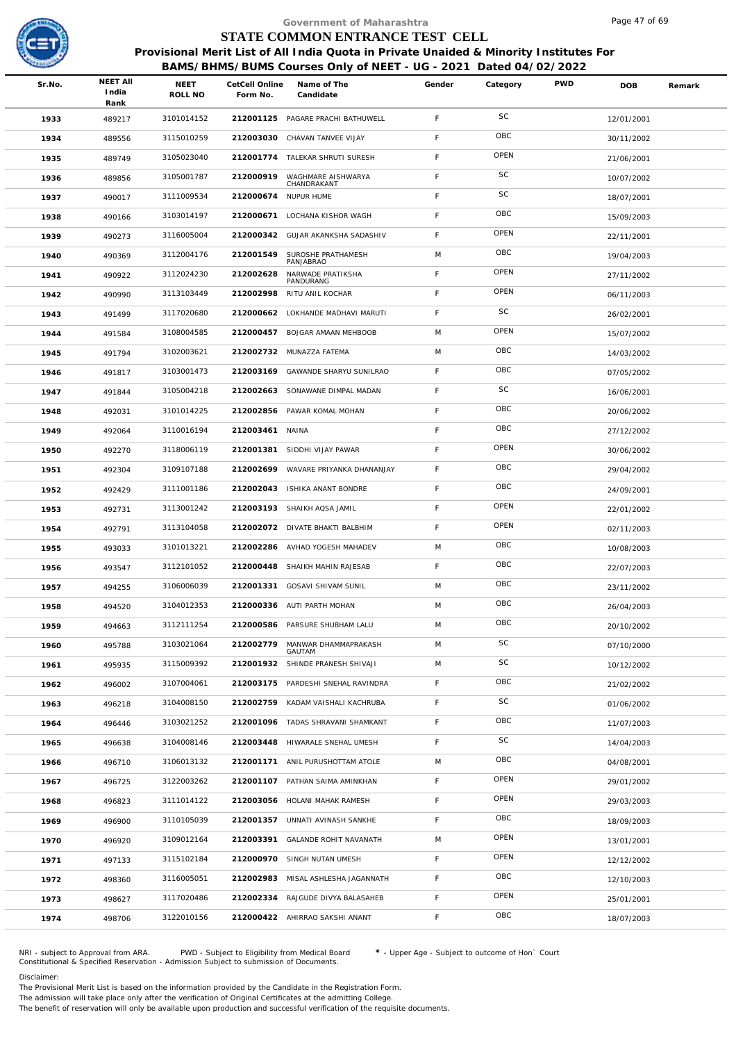

| India<br>Rank | NEET<br>ROLL NO | Form No.  | Name of The<br>Candidate              | Gender                                                                                                                                                                                                                                                                                                                                                                                                                                                                                                                                                                                                                                                                                                                                                                                                                                                                                                                       | Category                  | <b>PWD</b>                      | <b>DOB</b>                                                       | Remark                                                                                                   |
|---------------|-----------------|-----------|---------------------------------------|------------------------------------------------------------------------------------------------------------------------------------------------------------------------------------------------------------------------------------------------------------------------------------------------------------------------------------------------------------------------------------------------------------------------------------------------------------------------------------------------------------------------------------------------------------------------------------------------------------------------------------------------------------------------------------------------------------------------------------------------------------------------------------------------------------------------------------------------------------------------------------------------------------------------------|---------------------------|---------------------------------|------------------------------------------------------------------|----------------------------------------------------------------------------------------------------------|
| 489217        | 3101014152      |           |                                       | F                                                                                                                                                                                                                                                                                                                                                                                                                                                                                                                                                                                                                                                                                                                                                                                                                                                                                                                            | <b>SC</b>                 |                                 | 12/01/2001                                                       |                                                                                                          |
| 489556        | 3115010259      | 212003030 | CHAVAN TANVEE VIJAY                   | F                                                                                                                                                                                                                                                                                                                                                                                                                                                                                                                                                                                                                                                                                                                                                                                                                                                                                                                            | OBC                       |                                 | 30/11/2002                                                       |                                                                                                          |
| 489749        | 3105023040      |           |                                       | F                                                                                                                                                                                                                                                                                                                                                                                                                                                                                                                                                                                                                                                                                                                                                                                                                                                                                                                            | OPEN                      |                                 | 21/06/2001                                                       |                                                                                                          |
| 489856        | 3105001787      | 212000919 | WAGHMARE AISHWARYA                    | F                                                                                                                                                                                                                                                                                                                                                                                                                                                                                                                                                                                                                                                                                                                                                                                                                                                                                                                            | SC                        |                                 | 10/07/2002                                                       |                                                                                                          |
| 490017        | 3111009534      |           |                                       | F                                                                                                                                                                                                                                                                                                                                                                                                                                                                                                                                                                                                                                                                                                                                                                                                                                                                                                                            | SC                        |                                 | 18/07/2001                                                       |                                                                                                          |
| 490166        | 3103014197      |           |                                       | F                                                                                                                                                                                                                                                                                                                                                                                                                                                                                                                                                                                                                                                                                                                                                                                                                                                                                                                            | OBC                       |                                 | 15/09/2003                                                       |                                                                                                          |
| 490273        | 3116005004      | 212000342 |                                       | F                                                                                                                                                                                                                                                                                                                                                                                                                                                                                                                                                                                                                                                                                                                                                                                                                                                                                                                            | OPEN                      |                                 | 22/11/2001                                                       |                                                                                                          |
| 490369        | 3112004176      | 212001549 | SUROSHE PRATHAMESH                    | M                                                                                                                                                                                                                                                                                                                                                                                                                                                                                                                                                                                                                                                                                                                                                                                                                                                                                                                            | OBC                       |                                 | 19/04/2003                                                       |                                                                                                          |
| 490922        | 3112024230      | 212002628 | NARWADE PRATIKSHA                     | F                                                                                                                                                                                                                                                                                                                                                                                                                                                                                                                                                                                                                                                                                                                                                                                                                                                                                                                            | OPEN                      |                                 | 27/11/2002                                                       |                                                                                                          |
| 490990        | 3113103449      | 212002998 | RITU ANIL KOCHAR                      | F                                                                                                                                                                                                                                                                                                                                                                                                                                                                                                                                                                                                                                                                                                                                                                                                                                                                                                                            | OPEN                      |                                 | 06/11/2003                                                       |                                                                                                          |
| 491499        | 3117020680      | 212000662 |                                       | F                                                                                                                                                                                                                                                                                                                                                                                                                                                                                                                                                                                                                                                                                                                                                                                                                                                                                                                            | SC                        |                                 | 26/02/2001                                                       |                                                                                                          |
| 491584        | 3108004585      |           |                                       | M                                                                                                                                                                                                                                                                                                                                                                                                                                                                                                                                                                                                                                                                                                                                                                                                                                                                                                                            | OPEN                      |                                 | 15/07/2002                                                       |                                                                                                          |
| 491794        | 3102003621      | 212002732 |                                       | M                                                                                                                                                                                                                                                                                                                                                                                                                                                                                                                                                                                                                                                                                                                                                                                                                                                                                                                            | OBC                       |                                 | 14/03/2002                                                       |                                                                                                          |
| 491817        | 3103001473      | 212003169 | GAWANDE SHARYU SUNILRAO               | F                                                                                                                                                                                                                                                                                                                                                                                                                                                                                                                                                                                                                                                                                                                                                                                                                                                                                                                            | OBC                       |                                 | 07/05/2002                                                       |                                                                                                          |
| 491844        | 3105004218      | 212002663 |                                       | F                                                                                                                                                                                                                                                                                                                                                                                                                                                                                                                                                                                                                                                                                                                                                                                                                                                                                                                            | SC                        |                                 | 16/06/2001                                                       |                                                                                                          |
| 492031        | 3101014225      | 212002856 | PAWAR KOMAL MOHAN                     | $\mathsf F$                                                                                                                                                                                                                                                                                                                                                                                                                                                                                                                                                                                                                                                                                                                                                                                                                                                                                                                  | OBC                       |                                 | 20/06/2002                                                       |                                                                                                          |
| 492064        | 3110016194      |           |                                       | F                                                                                                                                                                                                                                                                                                                                                                                                                                                                                                                                                                                                                                                                                                                                                                                                                                                                                                                            | OBC                       |                                 | 27/12/2002                                                       |                                                                                                          |
| 492270        | 3118006119      | 212001381 | SIDDHI VIJAY PAWAR                    | F                                                                                                                                                                                                                                                                                                                                                                                                                                                                                                                                                                                                                                                                                                                                                                                                                                                                                                                            | OPEN                      |                                 | 30/06/2002                                                       |                                                                                                          |
| 492304        | 3109107188      | 212002699 | WAVARE PRIYANKA DHANANJAY             | F                                                                                                                                                                                                                                                                                                                                                                                                                                                                                                                                                                                                                                                                                                                                                                                                                                                                                                                            | OBC                       |                                 | 29/04/2002                                                       |                                                                                                          |
| 492429        | 3111001186      |           |                                       | F                                                                                                                                                                                                                                                                                                                                                                                                                                                                                                                                                                                                                                                                                                                                                                                                                                                                                                                            | OBC                       |                                 | 24/09/2001                                                       |                                                                                                          |
| 492731        | 3113001242      | 212003193 | SHAIKH AQSA JAMIL                     | F                                                                                                                                                                                                                                                                                                                                                                                                                                                                                                                                                                                                                                                                                                                                                                                                                                                                                                                            | OPEN                      |                                 | 22/01/2002                                                       |                                                                                                          |
| 492791        | 3113104058      |           |                                       | F                                                                                                                                                                                                                                                                                                                                                                                                                                                                                                                                                                                                                                                                                                                                                                                                                                                                                                                            | OPEN                      |                                 | 02/11/2003                                                       |                                                                                                          |
| 493033        | 3101013221      | 212002286 |                                       | M                                                                                                                                                                                                                                                                                                                                                                                                                                                                                                                                                                                                                                                                                                                                                                                                                                                                                                                            | OBC                       |                                 | 10/08/2003                                                       |                                                                                                          |
| 493547        | 3112101052      |           |                                       | F                                                                                                                                                                                                                                                                                                                                                                                                                                                                                                                                                                                                                                                                                                                                                                                                                                                                                                                            | OBC                       |                                 | 22/07/2003                                                       |                                                                                                          |
| 494255        | 3106006039      |           |                                       | M                                                                                                                                                                                                                                                                                                                                                                                                                                                                                                                                                                                                                                                                                                                                                                                                                                                                                                                            | OBC                       |                                 | 23/11/2002                                                       |                                                                                                          |
| 494520        | 3104012353      | 212000336 |                                       | M                                                                                                                                                                                                                                                                                                                                                                                                                                                                                                                                                                                                                                                                                                                                                                                                                                                                                                                            | OBC                       |                                 | 26/04/2003                                                       |                                                                                                          |
| 494663        | 3112111254      | 212000586 | PARSURE SHUBHAM LALU                  | M                                                                                                                                                                                                                                                                                                                                                                                                                                                                                                                                                                                                                                                                                                                                                                                                                                                                                                                            | OBC                       |                                 | 20/10/2002                                                       |                                                                                                          |
| 495788        | 3103021064      | 212002779 | MANWAR DHAMMAPRAKASH<br><b>GAUTAM</b> | M                                                                                                                                                                                                                                                                                                                                                                                                                                                                                                                                                                                                                                                                                                                                                                                                                                                                                                                            | SC                        |                                 | 07/10/2000                                                       |                                                                                                          |
| 495935        | 3115009392      |           |                                       | M                                                                                                                                                                                                                                                                                                                                                                                                                                                                                                                                                                                                                                                                                                                                                                                                                                                                                                                            | SC                        |                                 | 10/12/2002                                                       |                                                                                                          |
| 496002        | 3107004061      |           |                                       | F                                                                                                                                                                                                                                                                                                                                                                                                                                                                                                                                                                                                                                                                                                                                                                                                                                                                                                                            | OBC                       |                                 | 21/02/2002                                                       |                                                                                                          |
| 496218        | 3104008150      |           |                                       | F.                                                                                                                                                                                                                                                                                                                                                                                                                                                                                                                                                                                                                                                                                                                                                                                                                                                                                                                           | SC                        |                                 | 01/06/2002                                                       |                                                                                                          |
| 496446        | 3103021252      |           |                                       | F.                                                                                                                                                                                                                                                                                                                                                                                                                                                                                                                                                                                                                                                                                                                                                                                                                                                                                                                           | OBC                       |                                 | 11/07/2003                                                       |                                                                                                          |
| 496638        | 3104008146      |           |                                       | F.                                                                                                                                                                                                                                                                                                                                                                                                                                                                                                                                                                                                                                                                                                                                                                                                                                                                                                                           | SC                        |                                 | 14/04/2003                                                       |                                                                                                          |
| 496710        | 3106013132      |           |                                       | M                                                                                                                                                                                                                                                                                                                                                                                                                                                                                                                                                                                                                                                                                                                                                                                                                                                                                                                            | OBC                       |                                 | 04/08/2001                                                       |                                                                                                          |
| 496725        | 3122003262      | 212001107 | PATHAN SAIMA AMINKHAN                 | F.                                                                                                                                                                                                                                                                                                                                                                                                                                                                                                                                                                                                                                                                                                                                                                                                                                                                                                                           | OPEN                      |                                 | 29/01/2002                                                       |                                                                                                          |
| 496823        | 3111014122      |           |                                       | F                                                                                                                                                                                                                                                                                                                                                                                                                                                                                                                                                                                                                                                                                                                                                                                                                                                                                                                            | OPEN                      |                                 | 29/03/2003                                                       |                                                                                                          |
| 496900        | 3110105039      | 212001357 |                                       | F.                                                                                                                                                                                                                                                                                                                                                                                                                                                                                                                                                                                                                                                                                                                                                                                                                                                                                                                           | OBC                       |                                 | 18/09/2003                                                       |                                                                                                          |
| 496920        | 3109012164      | 212003391 | <b>GALANDE ROHIT NAVANATH</b>         | M                                                                                                                                                                                                                                                                                                                                                                                                                                                                                                                                                                                                                                                                                                                                                                                                                                                                                                                            | OPEN                      |                                 | 13/01/2001                                                       |                                                                                                          |
| 497133        | 3115102184      | 212000970 | SINGH NUTAN UMESH                     | F.                                                                                                                                                                                                                                                                                                                                                                                                                                                                                                                                                                                                                                                                                                                                                                                                                                                                                                                           | OPEN                      |                                 | 12/12/2002                                                       |                                                                                                          |
| 498360        | 3116005051      | 212002983 |                                       | F.                                                                                                                                                                                                                                                                                                                                                                                                                                                                                                                                                                                                                                                                                                                                                                                                                                                                                                                           | OBC                       |                                 | 12/10/2003                                                       |                                                                                                          |
| 498627        | 3117020486      |           |                                       | F                                                                                                                                                                                                                                                                                                                                                                                                                                                                                                                                                                                                                                                                                                                                                                                                                                                                                                                            | OPEN                      |                                 | 25/01/2001                                                       |                                                                                                          |
| 498706        | 3122010156      |           |                                       | F.                                                                                                                                                                                                                                                                                                                                                                                                                                                                                                                                                                                                                                                                                                                                                                                                                                                                                                                           | OBC                       |                                 | 18/07/2003                                                       |                                                                                                          |
|               | <b>NEET AII</b> |           |                                       | CetCell Online<br>212001125 PAGARE PRACHI BATHUWELL<br>212001774 TALEKAR SHRUTI SURESH<br>CHANDRAKANT<br>212000674 NUPUR HUME<br>212000671 LOCHANA KISHOR WAGH<br>GUJAR AKANKSHA SADASHIV<br>PANJABRAO<br>PANDURANG<br>LOKHANDE MADHAVI MARUTI<br>212000457 BOJGAR AMAAN MEHBOOB<br>MUNAZZA FATEMA<br>SONAWANE DIMPAL MADAN<br>212003461 NAINA<br>212002043 ISHIKA ANANT BONDRE<br>212002072 DIVATE BHAKTI BALBHIM<br>AVHAD YOGESH MAHADEV<br>212000448 SHAIKH MAHIN RAJESAB<br>212001331 GOSAVI SHIVAM SUNIL<br>AUTI PARTH MOHAN<br>212001932 SHINDE PRANESH SHIVAJI<br>212003175 PARDESHI SNEHAL RAVINDRA<br>212002759<br>KADAM VAISHALI KACHRUBA<br>212001096 TADAS SHRAVANI SHAMKANT<br>212003448 HIWARALE SNEHAL UMESH<br>212001171 ANIL PURUSHOTTAM ATOLE<br>212003056 HOLANI MAHAK RAMESH<br>UNNATI AVINASH SANKHE<br>MISAL ASHLESHA JAGANNATH<br>212002334 RAJGUDE DIVYA BALASAHEB<br>212000422 AHIRRAO SAKSHI ANANT | Government of Maharashtra | STATE COMMON ENTRANCE TEST CELL | BAMS/BHMS/BUMS Courses Only of NEET - UG - 2021 Dated 04/02/2022 | Page 4 / of 69<br>Provisional Merit List of All India Quota in Private Unaided & Minority Institutes For |

NRI - subject to Approval from ARA. PWD - Subject to Eligibility from Medical Board \* - Upper Age - Subject to outcome of Hon` Court<br>Constitutional & Specified Reservation - Admission Subject to submissio

Disclaimer:

The Provisional Merit List is based on the information provided by the Candidate in the Registration Form.

The admission will take place only after the verification of Original Certificates at the admitting College.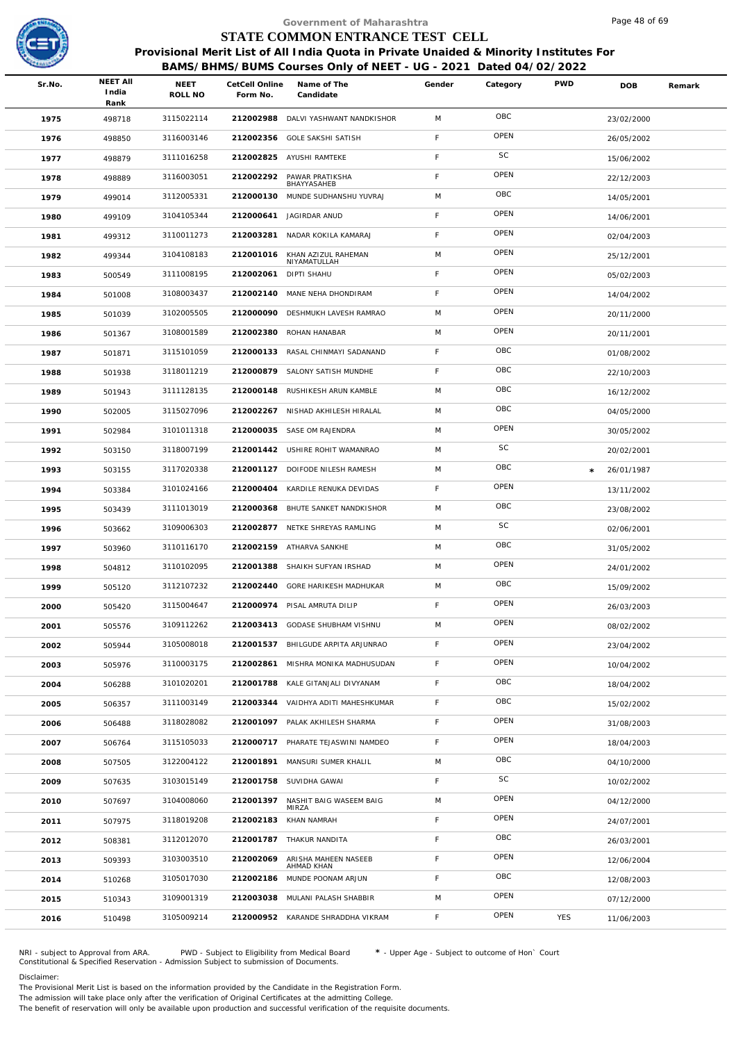

|        |                                  |                 |                            | Government of Maharashtra                                                              |        |          |            | Page 48 of 69 |        |
|--------|----------------------------------|-----------------|----------------------------|----------------------------------------------------------------------------------------|--------|----------|------------|---------------|--------|
|        |                                  |                 |                            | STATE COMMON ENTRANCE TEST CELL                                                        |        |          |            |               |        |
|        |                                  |                 |                            | Provisional Merit List of All India Quota in Private Unaided & Minority Institutes For |        |          |            |               |        |
|        |                                  |                 |                            | BAMS/BHMS/BUMS Courses Only of NEET - UG - 2021 Dated 04/02/2022                       |        |          |            |               |        |
| Sr.No. | <b>NEET AII</b><br>India<br>Rank | NEET<br>ROLL NO | CetCell Online<br>Form No. | Name of The<br>Candidate                                                               | Gender | Category | <b>PWD</b> | <b>DOB</b>    | Remark |
| 1975   | 498718                           | 3115022114      | 212002988                  | DALVI YASHWANT NANDKISHOR                                                              | M      | OBC      |            | 23/02/2000    |        |
| 1976   | 498850                           | 3116003146      | 212002356                  | <b>GOLE SAKSHI SATISH</b>                                                              | F      | OPEN     |            | 26/05/2002    |        |
| 1977   | 498879                           | 3111016258      | 212002825                  | AYUSHI RAMTEKE                                                                         | F      | SC       |            | 15/06/2002    |        |
| 1978   | 498889                           | 3116003051      | 212002292                  | PAWAR PRATIKSHA<br>BHAYYASAHEB                                                         | F      | OPEN     |            | 22/12/2003    |        |
| 1979   | 499014                           | 3112005331      | 212000130                  | MUNDE SUDHANSHU YUVRAJ                                                                 | M      | OBC      |            | 14/05/2001    |        |
| 1980   | 499109                           | 3104105344      | 212000641                  | JAGIRDAR ANUD                                                                          | F      | OPEN     |            | 14/06/2001    |        |
| 1981   | 499312                           | 3110011273      | 212003281                  | NADAR KOKILA KAMARAJ                                                                   | F      | OPEN     |            | 02/04/2003    |        |
| 1982   | 499344                           | 3104108183      | 212001016                  | KHAN AZIZUL RAHEMAN<br>NIYAMATULLAH                                                    | M      | OPEN     |            | 25/12/2001    |        |
| 1983   | 500549                           | 3111008195      | 212002061                  | <b>DIPTI SHAHU</b>                                                                     | F      | OPEN     |            | 05/02/2003    |        |
| 1984   | 501008                           | 3108003437      | 212002140                  | MANE NEHA DHONDIRAM                                                                    | F      | OPEN     |            | 14/04/2002    |        |
| 1985   | 501039                           | 3102005505      | 212000090                  | DESHMUKH LAVESH RAMRAO                                                                 | M      | OPEN     |            | 20/11/2000    |        |
| 1986   | 501367                           | 3108001589      | 212002380                  | ROHAN HANABAR                                                                          | M      | OPEN     |            | 20/11/2001    |        |
| 1987   | 501871                           | 3115101059      | 212000133                  | RASAL CHINMAYI SADANAND                                                                | F      | OBC      |            | 01/08/2002    |        |
| 1988   | 501938                           | 3118011219      | 212000879                  | SALONY SATISH MUNDHE                                                                   | F      | OBC      |            | 22/10/2003    |        |
| 1989   | 501943                           | 3111128135      | 212000148                  | RUSHIKESH ARUN KAMBLE                                                                  | M      | OBC      |            | 16/12/2002    |        |
| 1990   | 502005                           | 3115027096      |                            | 212002267 NISHAD AKHILESH HIRALAL                                                      | M      | OBC      |            | 04/05/2000    |        |
| 1991   | 502984                           | 3101011318      |                            | 212000035 SASE OM RAJENDRA                                                             | M      | OPEN     |            | 30/05/2002    |        |
| 1992   | 503150                           | 3118007199      |                            | 212001442 USHIRE ROHIT WAMANRAO                                                        | M      | SC       |            | 20/02/2001    |        |
| 1993   | 503155                           | 3117020338      |                            | 212001127 DOIFODE NILESH RAMESH                                                        | M      | OBC      | $\star$    | 26/01/1987    |        |
| 1994   | 503384                           | 3101024166      |                            | 212000404 KARDILE RENUKA DEVIDAS                                                       | F.     | OPEN     |            | 13/11/2002    |        |
| 1995   | 503439                           | 3111013019      | 212000368                  | BHUTE SANKET NANDKISHOR                                                                | M      | OBC      |            | 23/08/2002    |        |
| 1996   | 503662                           | 3109006303      |                            | 212002877 NETKE SHREYAS RAMLING                                                        | M      | SC       |            | 02/06/2001    |        |
| 1997   | 503960                           | 3110116170      |                            | 212002159 ATHARVA SANKHE                                                               | M      | OBC      |            | 31/05/2002    |        |
| 1998   | 504812                           | 3110102095      |                            | 212001388 SHAIKH SUFYAN IRSHAD                                                         | M      | OPEN     |            | 24/01/2002    |        |
| 1999   | 505120                           | 3112107232      |                            | 212002440 GORE HARIKESH MADHUKAR                                                       | M      | OBC      |            | 15/09/2002    |        |
| 2000   | 505420                           | 3115004647      | 212000974                  | PISAL AMRUTA DILIP                                                                     | F      | OPEN     |            | 26/03/2003    |        |
| 2001   | 505576                           | 3109112262      |                            | 212003413 GODASE SHUBHAM VISHNU                                                        | M      | OPEN     |            | 08/02/2002    |        |
| 2002   | 505944                           | 3105008018      |                            | 212001537 BHILGUDE ARPITA ARJUNRAO                                                     | F      | OPEN     |            | 23/04/2002    |        |
| 2003   | 505976                           | 3110003175      | 212002861                  | MISHRA MONIKA MADHUSUDAN                                                               | F      | OPEN     |            | 10/04/2002    |        |
| 2004   | 506288                           | 3101020201      |                            | 212001788 KALE GITANJALI DIVYANAM                                                      | F      | OBC      |            | 18/04/2002    |        |
| 2005   | 506357                           | 3111003149      | 212003344                  | VAIDHYA ADITI MAHESHKUMAR                                                              | F.     | OBC      |            | 15/02/2002    |        |
| 2006   | 506488                           | 3118028082      | 212001097                  | PALAK AKHILESH SHARMA                                                                  | F      | OPEN     |            | 31/08/2003    |        |
| 2007   | 506764                           | 3115105033      |                            | 212000717 PHARATE TEJASWINI NAMDEO                                                     | F      | OPEN     |            | 18/04/2003    |        |
| 2008   | 507505                           | 3122004122      | 212001891                  | MANSURI SUMER KHALIL                                                                   | M      | OBC      |            | 04/10/2000    |        |
| 2009   | 507635                           | 3103015149      | 212001758                  | SUVIDHA GAWAI                                                                          | F.     | SC       |            | 10/02/2002    |        |
| 2010   | 507697                           | 3104008060      | 212001397                  | NASHIT BAIG WASEEM BAIG<br>MIRZA                                                       | M      | OPEN     |            | 04/12/2000    |        |
| 2011   | 507975                           | 3118019208      | 212002183                  | KHAN NAMRAH                                                                            | F      | OPEN     |            | 24/07/2001    |        |
| 2012   | 508381                           | 3112012070      |                            | 212001787 THAKUR NANDITA                                                               | F      | OBC      |            | 26/03/2001    |        |
| 2013   | 509393                           | 3103003510      | 212002069                  | ARISHA MAHEEN NASEEB<br>AHMAD KHAN                                                     | F      | OPEN     |            | 12/06/2004    |        |
| 2014   | 510268                           | 3105017030      | 212002186                  | MUNDE POONAM ARJUN                                                                     | F      | OBC      |            | 12/08/2003    |        |
| 2015   | 510343                           | 3109001319      | 212003038                  | MULANI PALASH SHABBIR                                                                  | M      | OPEN     |            | 07/12/2000    |        |
| 2016   | 510498                           | 3105009214      |                            | 212000952 KARANDE SHRADDHA VIKRAM                                                      | F.     | OPEN     | YES        | 11/06/2003    |        |
|        |                                  |                 |                            |                                                                                        |        |          |            |               |        |

NRI - subject to Approval from ARA. PWD - Subject to Eligibility from Medical Board \* - Upper Age - Subject to outcome of Hon` Court<br>Constitutional & Specified Reservation - Admission Subject to submissio

Disclaimer:

The Provisional Merit List is based on the information provided by the Candidate in the Registration Form.

The admission will take place only after the verification of Original Certificates at the admitting College.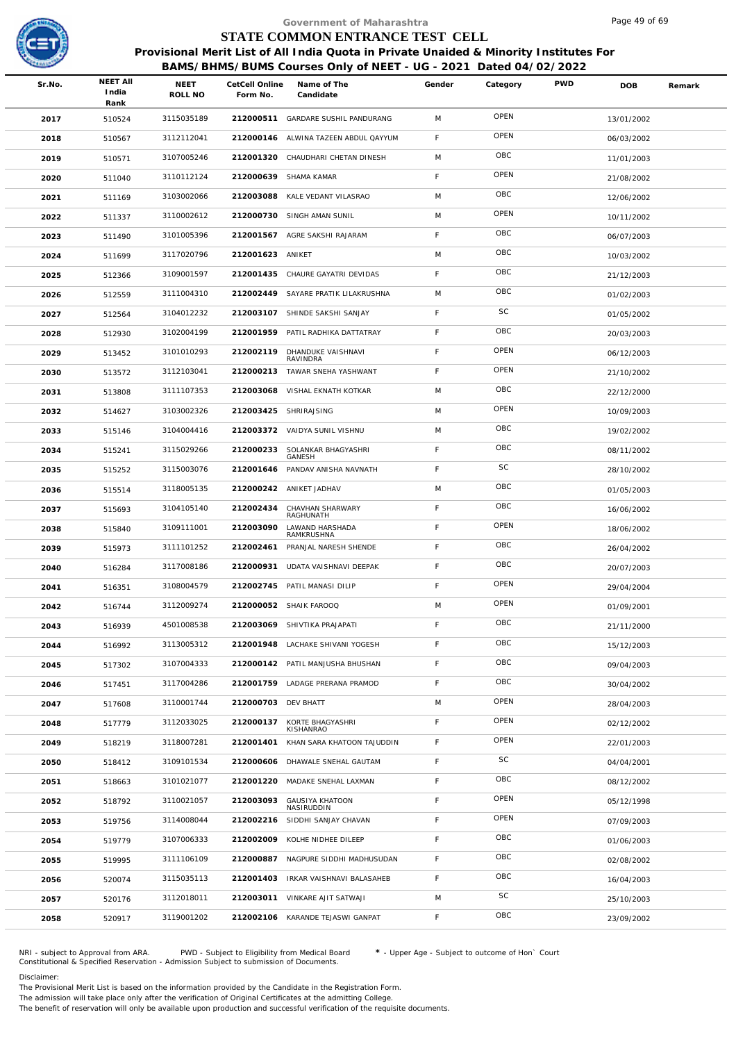

|        |                                  |                 |                            | Government of Maharashtra                                                                                                                                  |             |          |            | Page 49 of 69 |        |
|--------|----------------------------------|-----------------|----------------------------|------------------------------------------------------------------------------------------------------------------------------------------------------------|-------------|----------|------------|---------------|--------|
|        |                                  |                 |                            | STATE COMMON ENTRANCE TEST CELL                                                                                                                            |             |          |            |               |        |
|        |                                  |                 |                            | Provisional Merit List of All India Quota in Private Unaided & Minority Institutes For<br>BAMS/BHMS/BUMS Courses Only of NEET - UG - 2021 Dated 04/02/2022 |             |          |            |               |        |
| Sr.No. | <b>NEET AII</b><br>India<br>Rank | NEET<br>ROLL NO | CetCell Online<br>Form No. | Name of The<br>Candidate                                                                                                                                   | Gender      | Category | <b>PWD</b> | <b>DOB</b>    | Remark |
| 2017   | 510524                           | 3115035189      |                            | 212000511 GARDARE SUSHIL PANDURANG                                                                                                                         | M           | OPEN     |            | 13/01/2002    |        |
| 2018   | 510567                           | 3112112041      | 212000146                  | ALWINA TAZEEN ABDUL QAYYUM                                                                                                                                 | F           | OPEN     |            | 06/03/2002    |        |
| 2019   | 510571                           | 3107005246      | 212001320                  | CHAUDHARI CHETAN DINESH                                                                                                                                    | M           | OBC      |            | 11/01/2003    |        |
| 2020   | 511040                           | 3110112124      | 212000639                  | SHAMA KAMAR                                                                                                                                                | F           | OPEN     |            | 21/08/2002    |        |
| 2021   | 511169                           | 3103002066      | 212003088                  | KALE VEDANT VILASRAO                                                                                                                                       | M           | OBC      |            | 12/06/2002    |        |
| 2022   | 511337                           | 3110002612      |                            | 212000730 SINGH AMAN SUNIL                                                                                                                                 | M           | OPEN     |            | 10/11/2002    |        |
| 2023   | 511490                           | 3101005396      |                            | 212001567 AGRE SAKSHI RAJARAM                                                                                                                              | F           | OBC      |            | 06/07/2003    |        |
| 2024   | 511699                           | 3117020796      | 212001623 ANIKET           |                                                                                                                                                            | M           | OBC      |            | 10/03/2002    |        |
| 2025   | 512366                           | 3109001597      | 212001435                  | CHAURE GAYATRI DEVIDAS                                                                                                                                     | F           | OBC      |            | 21/12/2003    |        |
| 2026   | 512559                           | 3111004310      | 212002449                  | SAYARE PRATIK LILAKRUSHNA                                                                                                                                  | M           | OBC      |            | 01/02/2003    |        |
| 2027   | 512564                           | 3104012232      | 212003107                  | SHINDE SAKSHI SANJAY                                                                                                                                       | F           | SC       |            | 01/05/2002    |        |
| 2028   | 512930                           | 3102004199      |                            | 212001959 PATIL RADHIKA DATTATRAY                                                                                                                          | F           | OBC      |            | 20/03/2003    |        |
| 2029   | 513452                           | 3101010293      | 212002119                  | DHANDUKE VAISHNAVI                                                                                                                                         | F           | OPEN     |            | 06/12/2003    |        |
| 2030   | 513572                           | 3112103041      |                            | RAVINDRA<br>212000213 TAWAR SNEHA YASHWANT                                                                                                                 | $\mathsf F$ | OPEN     |            | 21/10/2002    |        |
| 2031   | 513808                           | 3111107353      | 212003068                  | VISHAL EKNATH KOTKAR                                                                                                                                       | M           | OBC      |            | 22/12/2000    |        |
| 2032   | 514627                           | 3103002326      | 212003425                  | SHRIRAJSING                                                                                                                                                | M           | OPEN     |            | 10/09/2003    |        |
| 2033   | 515146                           | 3104004416      |                            | 212003372 VAIDYA SUNIL VISHNU                                                                                                                              | M           | OBC      |            | 19/02/2002    |        |
| 2034   | 515241                           | 3115029266      | 212000233                  | SOLANKAR BHAGYASHRI                                                                                                                                        | F           | OBC      |            | 08/11/2002    |        |
| 2035   | 515252                           | 3115003076      | 212001646                  | GANESH<br>PANDAV ANISHA NAVNATH                                                                                                                            | F           | SC       |            | 28/10/2002    |        |
| 2036   | 515514                           | 3118005135      |                            | 212000242 ANIKET JADHAV                                                                                                                                    | M           | OBC      |            | 01/05/2003    |        |
| 2037   |                                  | 3104105140      | 212002434                  | CHAVHAN SHARWARY                                                                                                                                           | F           | OBC      |            |               |        |
|        | 515693                           | 3109111001      | 212003090                  | RAGHUNATH<br>LAWAND HARSHADA                                                                                                                               | F           | OPEN     |            | 16/06/2002    |        |
| 2038   | 515840                           | 3111101252      | 212002461                  | RAMKRUSHNA<br>PRANJAL NARESH SHENDE                                                                                                                        | F           | OBC      |            | 18/06/2002    |        |
| 2039   | 515973                           | 3117008186      |                            | 212000931 UDATA VAISHNAVI DEEPAK                                                                                                                           | F           | OBC      |            | 26/04/2002    |        |
| 2040   | 516284                           |                 |                            |                                                                                                                                                            | F           | OPEN     |            | 20/07/2003    |        |
| 2041   | 516351                           | 3108004579      |                            | 212002745 PATIL MANASI DILIP                                                                                                                               |             | OPEN     |            | 29/04/2004    |        |
| 2042   | 516744                           | 3112009274      |                            | 212000052 SHAIK FAROOQ                                                                                                                                     | M           | OBC      |            | 01/09/2001    |        |
| 2043   | 516939                           | 4501008538      |                            | 212003069 SHIVTIKA PRAJAPATI                                                                                                                               | F           | OBC      |            | 21/11/2000    |        |
| 2044   | 516992                           | 3113005312      |                            | 212001948 LACHAKE SHIVANI YOGESH                                                                                                                           | F           | OBC      |            | 15/12/2003    |        |
| 2045   | 517302                           | 3107004333      |                            | 212000142 PATIL MANJUSHA BHUSHAN                                                                                                                           | F           |          |            | 09/04/2003    |        |
| 2046   | 517451                           | 3117004286      |                            | 212001759 LADAGE PRERANA PRAMOD                                                                                                                            | F           | OBC      |            | 30/04/2002    |        |
| 2047   | 517608                           | 3110001744      | 212000703 DEV BHATT        |                                                                                                                                                            | M           | OPEN     |            | 28/04/2003    |        |
| 2048   | 517779                           | 3112033025      | 212000137                  | KORTE BHAGYASHRI<br>KISHANRAO                                                                                                                              | F           | OPEN     |            | 02/12/2002    |        |
| 2049   | 518219                           | 3118007281      | 212001401                  | KHAN SARA KHATOON TAJUDDIN                                                                                                                                 | F           | OPEN     |            | 22/01/2003    |        |
| 2050   | 518412                           | 3109101534      | 212000606                  | DHAWALE SNEHAL GAUTAM                                                                                                                                      | F           | SC       |            | 04/04/2001    |        |
| 2051   | 518663                           | 3101021077      | 212001220                  | MADAKE SNEHAL LAXMAN                                                                                                                                       | F           | OBC      |            | 08/12/2002    |        |
| 2052   | 518792                           | 3110021057      | 212003093                  | <b>GAUSIYA KHATOON</b><br>NASIRUDDIN                                                                                                                       | F           | OPEN     |            | 05/12/1998    |        |
| 2053   | 519756                           | 3114008044      | 212002216                  | SIDDHI SANJAY CHAVAN                                                                                                                                       | F           | OPEN     |            | 07/09/2003    |        |
| 2054   | 519779                           | 3107006333      | 212002009                  | KOLHE NIDHEE DILEEP                                                                                                                                        | F           | OBC      |            | 01/06/2003    |        |
| 2055   | 519995                           | 3111106109      | 212000887                  | NAGPURE SIDDHI MADHUSUDAN                                                                                                                                  | F           | OBC      |            | 02/08/2002    |        |
| 2056   | 520074                           | 3115035113      | 212001403                  | IRKAR VAISHNAVI BALASAHEB                                                                                                                                  | F           | OBC      |            | 16/04/2003    |        |
| 2057   | 520176                           | 3112018011      |                            | 212003011 VINKARE AJIT SATWAJI                                                                                                                             | M           | SC       |            | 25/10/2003    |        |
| 2058   | 520917                           | 3119001202      | 212002106                  | KARANDE TEJASWI GANPAT                                                                                                                                     | F.          | OBC      |            | 23/09/2002    |        |
|        |                                  |                 |                            |                                                                                                                                                            |             |          |            |               |        |

NRI - subject to Approval from ARA. PWD - Subject to Eligibility from Medical Board \* - Upper Age - Subject to outcome of Hon` Court<br>Constitutional & Specified Reservation - Admission Subject to submissio

Disclaimer:

The Provisional Merit List is based on the information provided by the Candidate in the Registration Form.

The admission will take place only after the verification of Original Certificates at the admitting College.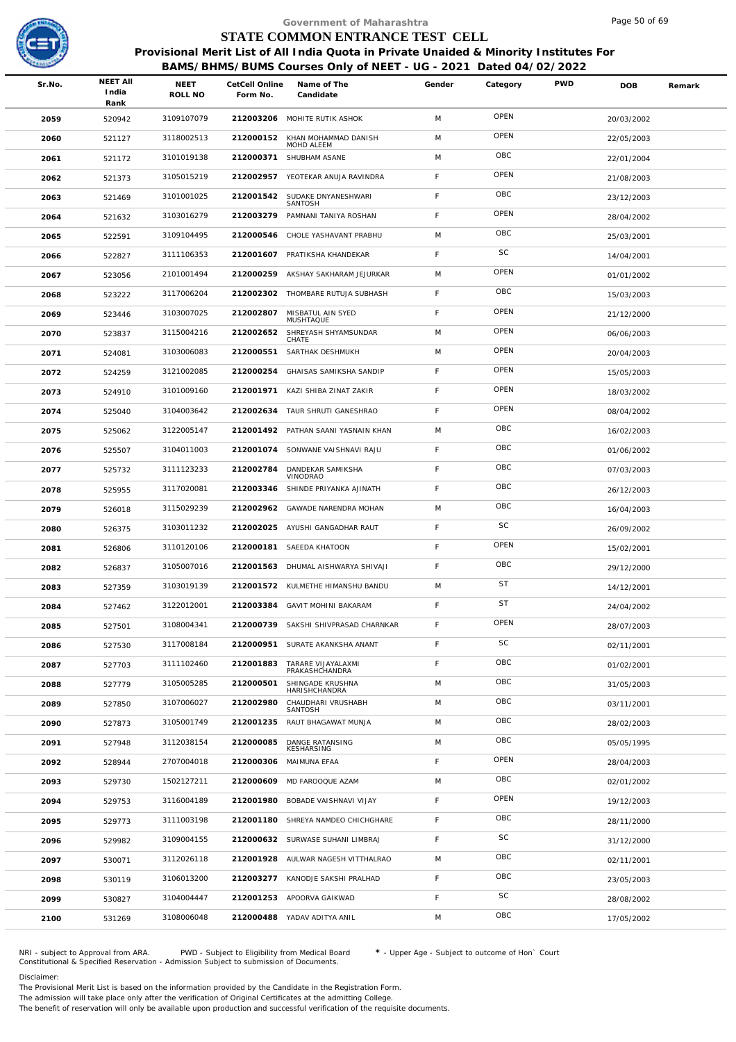

|                                    |                 |           |                                      |                                                                                                                                                                                                                                                                                                                                                                                                                                                                                                                                                                                                                                                                                         |                           |                                 | Page 50 of 69                                                    |                                                                                        |
|------------------------------------|-----------------|-----------|--------------------------------------|-----------------------------------------------------------------------------------------------------------------------------------------------------------------------------------------------------------------------------------------------------------------------------------------------------------------------------------------------------------------------------------------------------------------------------------------------------------------------------------------------------------------------------------------------------------------------------------------------------------------------------------------------------------------------------------------|---------------------------|---------------------------------|------------------------------------------------------------------|----------------------------------------------------------------------------------------|
|                                    |                 |           |                                      |                                                                                                                                                                                                                                                                                                                                                                                                                                                                                                                                                                                                                                                                                         |                           |                                 |                                                                  |                                                                                        |
|                                    |                 |           |                                      |                                                                                                                                                                                                                                                                                                                                                                                                                                                                                                                                                                                                                                                                                         |                           |                                 |                                                                  |                                                                                        |
| <b>NEET AII</b><br>Sr.No.<br>India | NEET<br>ROLL NO | Form No.  | Name of The<br>Candidate             | Gender                                                                                                                                                                                                                                                                                                                                                                                                                                                                                                                                                                                                                                                                                  | Category                  | <b>PWD</b>                      | <b>DOB</b>                                                       | Remark                                                                                 |
| 2059<br>520942                     | 3109107079      |           |                                      | M                                                                                                                                                                                                                                                                                                                                                                                                                                                                                                                                                                                                                                                                                       | OPEN                      |                                 | 20/03/2002                                                       |                                                                                        |
| 2060<br>521127                     | 3118002513      | 212000152 |                                      | M                                                                                                                                                                                                                                                                                                                                                                                                                                                                                                                                                                                                                                                                                       | OPEN                      |                                 | 22/05/2003                                                       |                                                                                        |
| 2061<br>521172                     | 3101019138      | 212000371 | SHUBHAM ASANE                        | M                                                                                                                                                                                                                                                                                                                                                                                                                                                                                                                                                                                                                                                                                       | OBC                       |                                 | 22/01/2004                                                       |                                                                                        |
| 2062<br>521373                     | 3105015219      |           |                                      | F                                                                                                                                                                                                                                                                                                                                                                                                                                                                                                                                                                                                                                                                                       | OPEN                      |                                 | 21/08/2003                                                       |                                                                                        |
| 2063<br>521469                     | 3101001025      | 212001542 | SUDAKE DNYANESHWARI                  | $\mathsf F$                                                                                                                                                                                                                                                                                                                                                                                                                                                                                                                                                                                                                                                                             | OBC                       |                                 | 23/12/2003                                                       |                                                                                        |
| 2064<br>521632                     | 3103016279      | 212003279 | PAMNANI TANIYA ROSHAN                | F                                                                                                                                                                                                                                                                                                                                                                                                                                                                                                                                                                                                                                                                                       | OPEN                      |                                 | 28/04/2002                                                       |                                                                                        |
| 2065<br>522591                     | 3109104495      | 212000546 | CHOLE YASHAVANT PRABHU               | M                                                                                                                                                                                                                                                                                                                                                                                                                                                                                                                                                                                                                                                                                       | OBC                       |                                 | 25/03/2001                                                       |                                                                                        |
| 2066<br>522827                     | 3111106353      | 212001607 | PRATIKSHA KHANDEKAR                  | F                                                                                                                                                                                                                                                                                                                                                                                                                                                                                                                                                                                                                                                                                       | <b>SC</b>                 |                                 | 14/04/2001                                                       |                                                                                        |
| 2067<br>523056                     | 2101001494      | 212000259 | AKSHAY SAKHARAM JEJURKAR             | M                                                                                                                                                                                                                                                                                                                                                                                                                                                                                                                                                                                                                                                                                       | OPEN                      |                                 | 01/01/2002                                                       |                                                                                        |
| 2068<br>523222                     | 3117006204      |           |                                      | $\mathsf F$                                                                                                                                                                                                                                                                                                                                                                                                                                                                                                                                                                                                                                                                             | OBC                       |                                 | 15/03/2003                                                       |                                                                                        |
| 2069<br>523446                     | 3103007025      | 212002807 | MISBATUL AIN SYED                    | F                                                                                                                                                                                                                                                                                                                                                                                                                                                                                                                                                                                                                                                                                       | OPEN                      |                                 | 21/12/2000                                                       |                                                                                        |
| 2070<br>523837                     | 3115004216      | 212002652 | SHREYASH SHYAMSUNDAR                 | M                                                                                                                                                                                                                                                                                                                                                                                                                                                                                                                                                                                                                                                                                       | OPEN                      |                                 | 06/06/2003                                                       |                                                                                        |
| 2071<br>524081                     | 3103006083      | 212000551 | SARTHAK DESHMUKH                     | M                                                                                                                                                                                                                                                                                                                                                                                                                                                                                                                                                                                                                                                                                       | OPEN                      |                                 | 20/04/2003                                                       |                                                                                        |
| 2072<br>524259                     | 3121002085      | 212000254 | GHAISAS SAMIKSHA SANDIP              | F                                                                                                                                                                                                                                                                                                                                                                                                                                                                                                                                                                                                                                                                                       | OPEN                      |                                 | 15/05/2003                                                       |                                                                                        |
| 524910<br>2073                     | 3101009160      | 212001971 | KAZI SHIBA ZINAT ZAKIR               | $\mathsf F$                                                                                                                                                                                                                                                                                                                                                                                                                                                                                                                                                                                                                                                                             | OPEN                      |                                 | 18/03/2002                                                       |                                                                                        |
| 2074<br>525040                     | 3104003642      | 212002634 |                                      | F                                                                                                                                                                                                                                                                                                                                                                                                                                                                                                                                                                                                                                                                                       | OPEN                      |                                 | 08/04/2002                                                       |                                                                                        |
| 2075<br>525062                     | 3122005147      |           |                                      | M                                                                                                                                                                                                                                                                                                                                                                                                                                                                                                                                                                                                                                                                                       | OBC                       |                                 | 16/02/2003                                                       |                                                                                        |
| 2076<br>525507                     | 3104011003      | 212001074 | SONWANE VAISHNAVI RAJU               | F                                                                                                                                                                                                                                                                                                                                                                                                                                                                                                                                                                                                                                                                                       | OBC                       |                                 | 01/06/2002                                                       |                                                                                        |
| 2077<br>525732                     | 3111123233      | 212002784 | DANDEKAR SAMIKSHA                    | $\mathsf F$                                                                                                                                                                                                                                                                                                                                                                                                                                                                                                                                                                                                                                                                             | OBC                       |                                 | 07/03/2003                                                       |                                                                                        |
| 2078<br>525955                     | 3117020081      | 212003346 | SHINDE PRIYANKA AJINATH              | F                                                                                                                                                                                                                                                                                                                                                                                                                                                                                                                                                                                                                                                                                       | OBC                       |                                 | 26/12/2003                                                       |                                                                                        |
| 2079<br>526018                     | 3115029239      | 212002962 | GAWADE NARENDRA MOHAN                | M                                                                                                                                                                                                                                                                                                                                                                                                                                                                                                                                                                                                                                                                                       | OBC                       |                                 | 16/04/2003                                                       |                                                                                        |
| 2080<br>526375                     | 3103011232      | 212002025 |                                      | $\mathsf F$                                                                                                                                                                                                                                                                                                                                                                                                                                                                                                                                                                                                                                                                             | <b>SC</b>                 |                                 | 26/09/2002                                                       |                                                                                        |
| 2081<br>526806                     | 3110120106      | 212000181 | SAEEDA KHATOON                       | F                                                                                                                                                                                                                                                                                                                                                                                                                                                                                                                                                                                                                                                                                       | OPEN                      |                                 | 15/02/2001                                                       |                                                                                        |
| 2082<br>526837                     | 3105007016      |           |                                      | F                                                                                                                                                                                                                                                                                                                                                                                                                                                                                                                                                                                                                                                                                       | OBC                       |                                 | 29/12/2000                                                       |                                                                                        |
| 2083<br>527359                     | 3103019139      |           |                                      | M                                                                                                                                                                                                                                                                                                                                                                                                                                                                                                                                                                                                                                                                                       | <b>ST</b>                 |                                 | 14/12/2001                                                       |                                                                                        |
| 2084<br>527462                     | 3122012001      | 212003384 | GAVIT MOHINI BAKARAM                 | F                                                                                                                                                                                                                                                                                                                                                                                                                                                                                                                                                                                                                                                                                       | <b>ST</b>                 |                                 | 24/04/2002                                                       |                                                                                        |
| 527501<br>2085                     | 3108004341      |           |                                      | $\mathsf F$                                                                                                                                                                                                                                                                                                                                                                                                                                                                                                                                                                                                                                                                             | OPEN                      |                                 | 28/07/2003                                                       |                                                                                        |
| 2086<br>527530                     | 3117008184      |           |                                      | F                                                                                                                                                                                                                                                                                                                                                                                                                                                                                                                                                                                                                                                                                       | SC                        |                                 | 02/11/2001                                                       |                                                                                        |
| 2087<br>527703                     | 3111102460      | 212001883 | TARARE VIJAYALAXMI<br>PRAKASHCHANDRA | F                                                                                                                                                                                                                                                                                                                                                                                                                                                                                                                                                                                                                                                                                       | OBC                       |                                 | 01/02/2001                                                       |                                                                                        |
| 2088<br>527779                     | 3105005285      | 212000501 | SHINGADE KRUSHNA<br>HARISHCHANDRA    | M                                                                                                                                                                                                                                                                                                                                                                                                                                                                                                                                                                                                                                                                                       | OBC                       |                                 | 31/05/2003                                                       |                                                                                        |
| 2089<br>527850                     | 3107006027      | 212002980 | CHAUDHARI VRUSHABH<br>SANTOSH        | M                                                                                                                                                                                                                                                                                                                                                                                                                                                                                                                                                                                                                                                                                       | OBC                       |                                 | 03/11/2001                                                       |                                                                                        |
| 2090<br>527873                     | 3105001749      | 212001235 | RAUT BHAGAWAT MUNJA                  | M                                                                                                                                                                                                                                                                                                                                                                                                                                                                                                                                                                                                                                                                                       | OBC                       |                                 | 28/02/2003                                                       |                                                                                        |
| 2091<br>527948                     | 3112038154      | 212000085 | DANGE RATANSING<br>KESHARSING        | M                                                                                                                                                                                                                                                                                                                                                                                                                                                                                                                                                                                                                                                                                       | OBC                       |                                 | 05/05/1995                                                       |                                                                                        |
| 2092<br>528944                     | 2707004018      | 212000306 | MAIMUNA EFAA                         | F                                                                                                                                                                                                                                                                                                                                                                                                                                                                                                                                                                                                                                                                                       | OPEN                      |                                 | 28/04/2003                                                       |                                                                                        |
| 2093<br>529730                     | 1502127211      | 212000609 | MD FAROOQUE AZAM                     | M                                                                                                                                                                                                                                                                                                                                                                                                                                                                                                                                                                                                                                                                                       | OBC                       |                                 | 02/01/2002                                                       |                                                                                        |
| 2094<br>529753                     | 3116004189      |           |                                      | F                                                                                                                                                                                                                                                                                                                                                                                                                                                                                                                                                                                                                                                                                       | OPEN                      |                                 | 19/12/2003                                                       |                                                                                        |
| 2095<br>529773                     | 3111003198      |           |                                      | F                                                                                                                                                                                                                                                                                                                                                                                                                                                                                                                                                                                                                                                                                       | OBC                       |                                 | 28/11/2000                                                       |                                                                                        |
| 2096<br>529982                     | 3109004155      |           |                                      | F.                                                                                                                                                                                                                                                                                                                                                                                                                                                                                                                                                                                                                                                                                      | SC                        |                                 | 31/12/2000                                                       |                                                                                        |
| 2097<br>530071                     | 3112026118      |           |                                      | M                                                                                                                                                                                                                                                                                                                                                                                                                                                                                                                                                                                                                                                                                       | OBC                       |                                 | 02/11/2001                                                       |                                                                                        |
| 2098<br>530119                     | 3106013200      |           | KANODJE SAKSHI PRALHAD               | F                                                                                                                                                                                                                                                                                                                                                                                                                                                                                                                                                                                                                                                                                       | OBC                       |                                 | 23/05/2003                                                       |                                                                                        |
| 2099<br>530827                     | 3104004447      |           |                                      | F                                                                                                                                                                                                                                                                                                                                                                                                                                                                                                                                                                                                                                                                                       | SC                        |                                 | 28/08/2002                                                       |                                                                                        |
| 2100<br>531269                     | 3108006048      |           |                                      | M                                                                                                                                                                                                                                                                                                                                                                                                                                                                                                                                                                                                                                                                                       | OBC                       |                                 | 17/05/2002                                                       |                                                                                        |
|                                    | Rank            |           |                                      | CetCell Online<br>212003206 MOHITE RUTIK ASHOK<br>KHAN MOHAMMAD DANISH<br>MOHD ALEEM<br>212002957 YEOTEKAR ANUJA RAVINDRA<br>SANTOSH<br>212002302 THOMBARE RUTUJA SUBHASH<br>MUSHTAQUE<br>CHATE<br>TAUR SHRUTI GANESHRAO<br>212001492 PATHAN SAANI YASNAIN KHAN<br>VINODRAO<br>AYUSHI GANGADHAR RAUT<br>212001563 DHUMAL AISHWARYA SHIVAJI<br>212001572 KULMETHE HIMANSHU BANDU<br>212000739 SAKSHI SHIVPRASAD CHARNKAR<br>212000951 SURATE AKANKSHA ANANT<br>212001980 BOBADE VAISHNAVI VIJAY<br>212001180 SHREYA NAMDEO CHICHGHARE<br>212000632 SURWASE SUHANI LIMBRAJ<br>212001928 AULWAR NAGESH VITTHALRAO<br>212003277<br>212001253 APOORVA GAIKWAD<br>212000488 YADAV ADITYA ANIL | Government of Maharashtra | STATE COMMON ENTRANCE TEST CELL | BAMS/BHMS/BUMS Courses Only of NEET - UG - 2021 Dated 04/02/2022 | Provisional Merit List of All India Quota in Private Unaided & Minority Institutes For |

NRI - subject to Approval from ARA. PWD - Subject to Eligibility from Medical Board \* - Upper Age - Subject to outcome of Hon` Court<br>Constitutional & Specified Reservation - Admission Subject to submissio

Disclaimer:

The Provisional Merit List is based on the information provided by the Candidate in the Registration Form.

The admission will take place only after the verification of Original Certificates at the admitting College.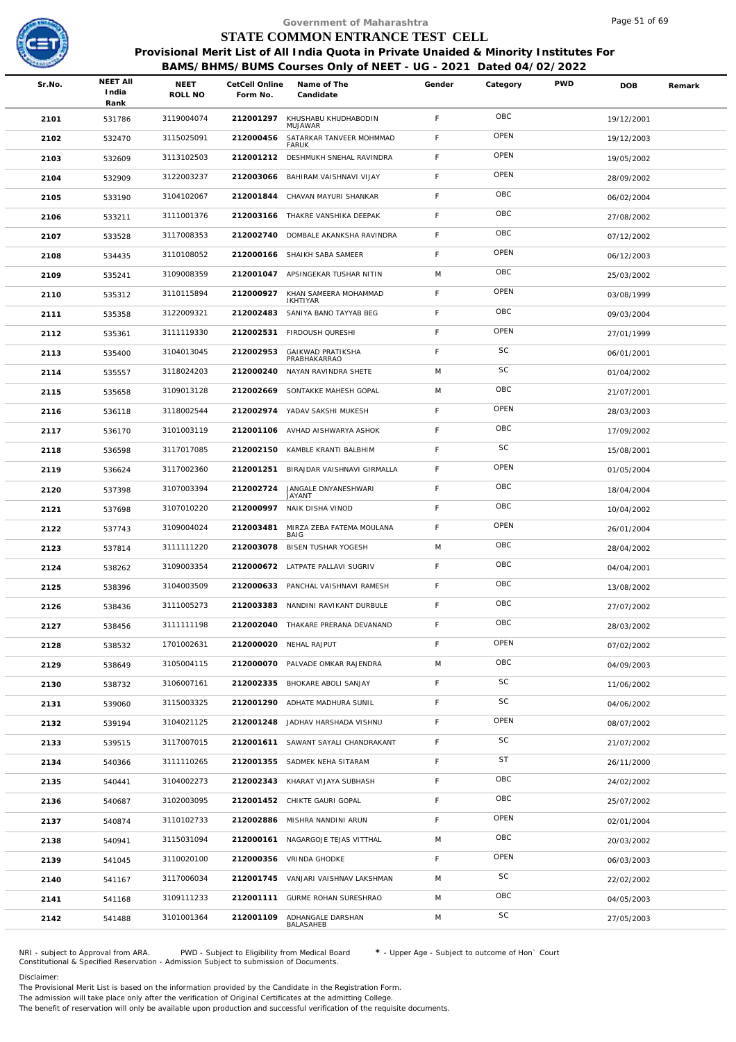

| STATE COMMON ENTRANCE TEST CELL<br>Provisional Merit List of All India Quota in Private Unaided & Minority Institutes For<br>BAMS/BHMS/BUMS Courses Only of NEET - UG - 2021 Dated 04/02/2022<br><b>NEET AII</b><br><b>PWD</b><br>Sr.No.<br>NEET<br>CetCell Online<br>Name of The<br>Gender<br>Category<br><b>DOB</b><br>Remark<br>India<br>ROLL NO<br>Form No.<br>Candidate<br>Rank<br>OBC<br>F<br>3119004074<br>212001297<br>KHUSHABU KHUDHABODIN<br>2101<br>531786<br>19/12/2001<br>MUJAWAR<br>OPEN<br>F<br>3115025091<br>212000456<br>SATARKAR TANVEER MOHMMAD<br>2102<br>532470<br>19/12/2003<br><b>FARUK</b><br>OPEN<br>$\mathsf F$<br>3113102503<br>212001212<br>DESHMUKH SNEHAL RAVINDRA<br>2103<br>532609<br>19/05/2002<br>OPEN<br>F<br>3122003237<br>BAHIRAM VAISHNAVI VIJAY<br>532909<br>212003066<br>2104<br>28/09/2002<br>OBC<br>$\mathsf F$<br>3104102067<br>212001844<br>CHAVAN MAYURI SHANKAR<br>2105<br>533190<br>06/02/2004<br>OBC<br>F<br>3111001376<br>212003166 THAKRE VANSHIKA DEEPAK<br>2106<br>533211<br>27/08/2002<br>OBC<br>$\mathsf F$<br>3117008353<br>212002740<br>DOMBALE AKANKSHA RAVINDRA<br>2107<br>533528<br>07/12/2002<br>OPEN<br>F<br>3110108052<br>SHAIKH SABA SAMEER<br>2108<br>212000166<br>534435<br>06/12/2003<br>OBC<br>M<br>3109008359<br>212001047 APSINGEKAR TUSHAR NITIN<br>2109<br>535241<br>25/03/2002<br>OPEN<br>F<br>3110115894<br>212000927<br>KHAN SAMEERA MOHAMMAD<br>2110<br>535312<br>03/08/1999<br><b>IKHTIYAR</b><br>OBC<br>$\mathsf F$<br>212002483<br>SANIYA BANO TAYYAB BEG<br>3122009321<br>2111<br>535358<br>09/03/2004<br>OPEN<br>F<br>3111119330<br>212002531<br>FIRDOUSH QURESHI<br>2112<br>535361<br>27/01/1999<br>SC<br>F<br>3104013045<br>212002953<br><b>GAIKWAD PRATIKSHA</b><br>535400<br>2113<br>06/01/2001<br>PRABHAKARRAO<br>SC<br>3118024203<br>212000240<br>NAYAN RAVINDRA SHETE<br>M<br>2114<br>535557<br>01/04/2002<br>OBC<br>M<br>3109013128<br>212002669<br>SONTAKKE MAHESH GOPAL<br>2115<br>535658<br>21/07/2001<br>OPEN<br>F<br>3118002544<br>212002974<br>YADAV SAKSHI MUKESH<br>2116<br>536118<br>28/03/2003<br>OBC<br>$\mathsf F$<br>3101003119<br>212001106 AVHAD AISHWARYA ASHOK<br>2117<br>536170<br>17/09/2002<br>SC<br>F<br>3117017085<br>212002150<br>KAMBLE KRANTI BALBHIM<br>2118<br>536598<br>15/08/2001<br>OPEN<br>$\mathsf F$<br>3117002360<br>212001251<br>BIRAJDAR VAISHNAVI GIRMALLA<br>2119<br>536624<br>01/05/2004<br>OBC<br>F<br>3107003394<br>212002724<br>JANGALE DNYANESHWARI<br>2120<br>537398<br>18/04/2004<br>JAYANT<br>OBC<br>F<br>3107010220<br>212000997<br>NAIK DISHA VINOD<br>2121<br>537698<br>10/04/2002<br>OPEN<br>$\mathsf F$<br>3109004024<br>212003481<br>MIRZA ZEBA FATEMA MOULANA<br>2122<br>537743<br>26/01/2004<br>BAIG<br>OBC<br>M<br>3111111220<br>212003078<br>BISEN TUSHAR YOGESH<br>537814<br>2123<br>28/04/2002<br>OBC<br>F<br>3109003354<br>212000672 LATPATE PALLAVI SUGRIV<br>538262<br>2124<br>04/04/2001<br>OBC<br>F.<br>3104003509<br>212000633 PANCHAL VAISHNAVI RAMESH<br>2125<br>538396<br>13/08/2002<br>OBC<br>F<br>3111005273<br>212003383<br>NANDINI RAVIKANT DURBULE<br>2126<br>538436<br>27/07/2002<br>OBC<br>$\mathsf F$<br>3111111198<br>212002040 THAKARE PRERANA DEVANAND<br>2127<br>538456<br>28/03/2002<br>OPEN<br>F<br>1701002631<br>212000020 NEHAL RAJPUT<br>2128<br>538532<br>07/02/2002<br>OBC<br>M<br>3105004115<br>212000070<br>PALVADE OMKAR RAJENDRA<br>2129<br>538649<br>04/09/2003<br>SC<br>F<br>3106007161<br>212002335<br>BHOKARE ABOLI SANJAY<br>2130<br>538732<br>11/06/2002<br>SC<br>$\mathsf F$<br>3115003325<br>212001290<br>ADHATE MADHURA SUNIL<br>2131<br>539060<br>04/06/2002<br>OPEN<br>F<br>3104021125<br>212001248<br>JADHAV HARSHADA VISHNU<br>2132<br>539194<br>08/07/2002<br>SC<br>$\mathsf F$<br>3117007015<br>212001611 SAWANT SAYALI CHANDRAKANT<br>2133<br>539515<br>21/07/2002<br><b>ST</b><br>F<br>3111110265<br>SADMEK NEHA SITARAM<br>212001355<br>2134<br>540366<br>26/11/2000<br>OBC<br>$\mathsf F$<br>3104002273<br>212002343<br>KHARAT VIJAYA SUBHASH<br>2135<br>540441<br>24/02/2002<br>OBC<br>F<br>3102003095<br>212001452 CHIKTE GAURI GOPAL<br>2136<br>540687<br>25/07/2002<br>OPEN<br>F<br>3110102733<br>212002886<br>MISHRA NANDINI ARUN<br>2137<br>540874<br>02/01/2004<br>OBC<br>M<br>3115031094<br>212000161 NAGARGOJE TEJAS VITTHAL<br>2138<br>540941<br>20/03/2002<br>OPEN<br>$\mathsf F$<br>3110020100<br>212000356 VRINDA GHODKE<br>2139<br>541045<br>06/03/2003<br>SC<br>M<br>3117006034<br>212001745 VANJARI VAISHNAV LAKSHMAN<br>2140<br>541167<br>22/02/2002<br>OBC<br>M<br>3109111233<br>212001111 GURME ROHAN SURESHRAO<br>2141<br>541168<br>04/05/2003 |      |        |            |           | Government of Maharashtra |   |    | Page 51 of 69 |  |
|-------------------------------------------------------------------------------------------------------------------------------------------------------------------------------------------------------------------------------------------------------------------------------------------------------------------------------------------------------------------------------------------------------------------------------------------------------------------------------------------------------------------------------------------------------------------------------------------------------------------------------------------------------------------------------------------------------------------------------------------------------------------------------------------------------------------------------------------------------------------------------------------------------------------------------------------------------------------------------------------------------------------------------------------------------------------------------------------------------------------------------------------------------------------------------------------------------------------------------------------------------------------------------------------------------------------------------------------------------------------------------------------------------------------------------------------------------------------------------------------------------------------------------------------------------------------------------------------------------------------------------------------------------------------------------------------------------------------------------------------------------------------------------------------------------------------------------------------------------------------------------------------------------------------------------------------------------------------------------------------------------------------------------------------------------------------------------------------------------------------------------------------------------------------------------------------------------------------------------------------------------------------------------------------------------------------------------------------------------------------------------------------------------------------------------------------------------------------------------------------------------------------------------------------------------------------------------------------------------------------------------------------------------------------------------------------------------------------------------------------------------------------------------------------------------------------------------------------------------------------------------------------------------------------------------------------------------------------------------------------------------------------------------------------------------------------------------------------------------------------------------------------------------------------------------------------------------------------------------------------------------------------------------------------------------------------------------------------------------------------------------------------------------------------------------------------------------------------------------------------------------------------------------------------------------------------------------------------------------------------------------------------------------------------------------------------------------------------------------------------------------------------------------------------------------------------------------------------------------------------------------------------------------------------------------------------------------------------------------------------------------------------------------------------------------------------------------------------------------------------------------------------------------------------------------------------------------------------------------------------------------------------------------------------------------------------------------------------------------------------------------------------------------------------------------------------------------------------------------------------------------------------------------------------------------------------------------------------------------------------------------------------------------------------------|------|--------|------------|-----------|---------------------------|---|----|---------------|--|
|                                                                                                                                                                                                                                                                                                                                                                                                                                                                                                                                                                                                                                                                                                                                                                                                                                                                                                                                                                                                                                                                                                                                                                                                                                                                                                                                                                                                                                                                                                                                                                                                                                                                                                                                                                                                                                                                                                                                                                                                                                                                                                                                                                                                                                                                                                                                                                                                                                                                                                                                                                                                                                                                                                                                                                                                                                                                                                                                                                                                                                                                                                                                                                                                                                                                                                                                                                                                                                                                                                                                                                                                                                                                                                                                                                                                                                                                                                                                                                                                                                                                                                                                                                                                                                                                                                                                                                                                                                                                                                                                                                                                                                                                         |      |        |            |           |                           |   |    |               |  |
|                                                                                                                                                                                                                                                                                                                                                                                                                                                                                                                                                                                                                                                                                                                                                                                                                                                                                                                                                                                                                                                                                                                                                                                                                                                                                                                                                                                                                                                                                                                                                                                                                                                                                                                                                                                                                                                                                                                                                                                                                                                                                                                                                                                                                                                                                                                                                                                                                                                                                                                                                                                                                                                                                                                                                                                                                                                                                                                                                                                                                                                                                                                                                                                                                                                                                                                                                                                                                                                                                                                                                                                                                                                                                                                                                                                                                                                                                                                                                                                                                                                                                                                                                                                                                                                                                                                                                                                                                                                                                                                                                                                                                                                                         |      |        |            |           |                           |   |    |               |  |
|                                                                                                                                                                                                                                                                                                                                                                                                                                                                                                                                                                                                                                                                                                                                                                                                                                                                                                                                                                                                                                                                                                                                                                                                                                                                                                                                                                                                                                                                                                                                                                                                                                                                                                                                                                                                                                                                                                                                                                                                                                                                                                                                                                                                                                                                                                                                                                                                                                                                                                                                                                                                                                                                                                                                                                                                                                                                                                                                                                                                                                                                                                                                                                                                                                                                                                                                                                                                                                                                                                                                                                                                                                                                                                                                                                                                                                                                                                                                                                                                                                                                                                                                                                                                                                                                                                                                                                                                                                                                                                                                                                                                                                                                         |      |        |            |           |                           |   |    |               |  |
|                                                                                                                                                                                                                                                                                                                                                                                                                                                                                                                                                                                                                                                                                                                                                                                                                                                                                                                                                                                                                                                                                                                                                                                                                                                                                                                                                                                                                                                                                                                                                                                                                                                                                                                                                                                                                                                                                                                                                                                                                                                                                                                                                                                                                                                                                                                                                                                                                                                                                                                                                                                                                                                                                                                                                                                                                                                                                                                                                                                                                                                                                                                                                                                                                                                                                                                                                                                                                                                                                                                                                                                                                                                                                                                                                                                                                                                                                                                                                                                                                                                                                                                                                                                                                                                                                                                                                                                                                                                                                                                                                                                                                                                                         |      |        |            |           |                           |   |    |               |  |
|                                                                                                                                                                                                                                                                                                                                                                                                                                                                                                                                                                                                                                                                                                                                                                                                                                                                                                                                                                                                                                                                                                                                                                                                                                                                                                                                                                                                                                                                                                                                                                                                                                                                                                                                                                                                                                                                                                                                                                                                                                                                                                                                                                                                                                                                                                                                                                                                                                                                                                                                                                                                                                                                                                                                                                                                                                                                                                                                                                                                                                                                                                                                                                                                                                                                                                                                                                                                                                                                                                                                                                                                                                                                                                                                                                                                                                                                                                                                                                                                                                                                                                                                                                                                                                                                                                                                                                                                                                                                                                                                                                                                                                                                         |      |        |            |           |                           |   |    |               |  |
|                                                                                                                                                                                                                                                                                                                                                                                                                                                                                                                                                                                                                                                                                                                                                                                                                                                                                                                                                                                                                                                                                                                                                                                                                                                                                                                                                                                                                                                                                                                                                                                                                                                                                                                                                                                                                                                                                                                                                                                                                                                                                                                                                                                                                                                                                                                                                                                                                                                                                                                                                                                                                                                                                                                                                                                                                                                                                                                                                                                                                                                                                                                                                                                                                                                                                                                                                                                                                                                                                                                                                                                                                                                                                                                                                                                                                                                                                                                                                                                                                                                                                                                                                                                                                                                                                                                                                                                                                                                                                                                                                                                                                                                                         |      |        |            |           |                           |   |    |               |  |
|                                                                                                                                                                                                                                                                                                                                                                                                                                                                                                                                                                                                                                                                                                                                                                                                                                                                                                                                                                                                                                                                                                                                                                                                                                                                                                                                                                                                                                                                                                                                                                                                                                                                                                                                                                                                                                                                                                                                                                                                                                                                                                                                                                                                                                                                                                                                                                                                                                                                                                                                                                                                                                                                                                                                                                                                                                                                                                                                                                                                                                                                                                                                                                                                                                                                                                                                                                                                                                                                                                                                                                                                                                                                                                                                                                                                                                                                                                                                                                                                                                                                                                                                                                                                                                                                                                                                                                                                                                                                                                                                                                                                                                                                         |      |        |            |           |                           |   |    |               |  |
|                                                                                                                                                                                                                                                                                                                                                                                                                                                                                                                                                                                                                                                                                                                                                                                                                                                                                                                                                                                                                                                                                                                                                                                                                                                                                                                                                                                                                                                                                                                                                                                                                                                                                                                                                                                                                                                                                                                                                                                                                                                                                                                                                                                                                                                                                                                                                                                                                                                                                                                                                                                                                                                                                                                                                                                                                                                                                                                                                                                                                                                                                                                                                                                                                                                                                                                                                                                                                                                                                                                                                                                                                                                                                                                                                                                                                                                                                                                                                                                                                                                                                                                                                                                                                                                                                                                                                                                                                                                                                                                                                                                                                                                                         |      |        |            |           |                           |   |    |               |  |
|                                                                                                                                                                                                                                                                                                                                                                                                                                                                                                                                                                                                                                                                                                                                                                                                                                                                                                                                                                                                                                                                                                                                                                                                                                                                                                                                                                                                                                                                                                                                                                                                                                                                                                                                                                                                                                                                                                                                                                                                                                                                                                                                                                                                                                                                                                                                                                                                                                                                                                                                                                                                                                                                                                                                                                                                                                                                                                                                                                                                                                                                                                                                                                                                                                                                                                                                                                                                                                                                                                                                                                                                                                                                                                                                                                                                                                                                                                                                                                                                                                                                                                                                                                                                                                                                                                                                                                                                                                                                                                                                                                                                                                                                         |      |        |            |           |                           |   |    |               |  |
|                                                                                                                                                                                                                                                                                                                                                                                                                                                                                                                                                                                                                                                                                                                                                                                                                                                                                                                                                                                                                                                                                                                                                                                                                                                                                                                                                                                                                                                                                                                                                                                                                                                                                                                                                                                                                                                                                                                                                                                                                                                                                                                                                                                                                                                                                                                                                                                                                                                                                                                                                                                                                                                                                                                                                                                                                                                                                                                                                                                                                                                                                                                                                                                                                                                                                                                                                                                                                                                                                                                                                                                                                                                                                                                                                                                                                                                                                                                                                                                                                                                                                                                                                                                                                                                                                                                                                                                                                                                                                                                                                                                                                                                                         |      |        |            |           |                           |   |    |               |  |
|                                                                                                                                                                                                                                                                                                                                                                                                                                                                                                                                                                                                                                                                                                                                                                                                                                                                                                                                                                                                                                                                                                                                                                                                                                                                                                                                                                                                                                                                                                                                                                                                                                                                                                                                                                                                                                                                                                                                                                                                                                                                                                                                                                                                                                                                                                                                                                                                                                                                                                                                                                                                                                                                                                                                                                                                                                                                                                                                                                                                                                                                                                                                                                                                                                                                                                                                                                                                                                                                                                                                                                                                                                                                                                                                                                                                                                                                                                                                                                                                                                                                                                                                                                                                                                                                                                                                                                                                                                                                                                                                                                                                                                                                         |      |        |            |           |                           |   |    |               |  |
|                                                                                                                                                                                                                                                                                                                                                                                                                                                                                                                                                                                                                                                                                                                                                                                                                                                                                                                                                                                                                                                                                                                                                                                                                                                                                                                                                                                                                                                                                                                                                                                                                                                                                                                                                                                                                                                                                                                                                                                                                                                                                                                                                                                                                                                                                                                                                                                                                                                                                                                                                                                                                                                                                                                                                                                                                                                                                                                                                                                                                                                                                                                                                                                                                                                                                                                                                                                                                                                                                                                                                                                                                                                                                                                                                                                                                                                                                                                                                                                                                                                                                                                                                                                                                                                                                                                                                                                                                                                                                                                                                                                                                                                                         |      |        |            |           |                           |   |    |               |  |
|                                                                                                                                                                                                                                                                                                                                                                                                                                                                                                                                                                                                                                                                                                                                                                                                                                                                                                                                                                                                                                                                                                                                                                                                                                                                                                                                                                                                                                                                                                                                                                                                                                                                                                                                                                                                                                                                                                                                                                                                                                                                                                                                                                                                                                                                                                                                                                                                                                                                                                                                                                                                                                                                                                                                                                                                                                                                                                                                                                                                                                                                                                                                                                                                                                                                                                                                                                                                                                                                                                                                                                                                                                                                                                                                                                                                                                                                                                                                                                                                                                                                                                                                                                                                                                                                                                                                                                                                                                                                                                                                                                                                                                                                         |      |        |            |           |                           |   |    |               |  |
|                                                                                                                                                                                                                                                                                                                                                                                                                                                                                                                                                                                                                                                                                                                                                                                                                                                                                                                                                                                                                                                                                                                                                                                                                                                                                                                                                                                                                                                                                                                                                                                                                                                                                                                                                                                                                                                                                                                                                                                                                                                                                                                                                                                                                                                                                                                                                                                                                                                                                                                                                                                                                                                                                                                                                                                                                                                                                                                                                                                                                                                                                                                                                                                                                                                                                                                                                                                                                                                                                                                                                                                                                                                                                                                                                                                                                                                                                                                                                                                                                                                                                                                                                                                                                                                                                                                                                                                                                                                                                                                                                                                                                                                                         |      |        |            |           |                           |   |    |               |  |
|                                                                                                                                                                                                                                                                                                                                                                                                                                                                                                                                                                                                                                                                                                                                                                                                                                                                                                                                                                                                                                                                                                                                                                                                                                                                                                                                                                                                                                                                                                                                                                                                                                                                                                                                                                                                                                                                                                                                                                                                                                                                                                                                                                                                                                                                                                                                                                                                                                                                                                                                                                                                                                                                                                                                                                                                                                                                                                                                                                                                                                                                                                                                                                                                                                                                                                                                                                                                                                                                                                                                                                                                                                                                                                                                                                                                                                                                                                                                                                                                                                                                                                                                                                                                                                                                                                                                                                                                                                                                                                                                                                                                                                                                         |      |        |            |           |                           |   |    |               |  |
|                                                                                                                                                                                                                                                                                                                                                                                                                                                                                                                                                                                                                                                                                                                                                                                                                                                                                                                                                                                                                                                                                                                                                                                                                                                                                                                                                                                                                                                                                                                                                                                                                                                                                                                                                                                                                                                                                                                                                                                                                                                                                                                                                                                                                                                                                                                                                                                                                                                                                                                                                                                                                                                                                                                                                                                                                                                                                                                                                                                                                                                                                                                                                                                                                                                                                                                                                                                                                                                                                                                                                                                                                                                                                                                                                                                                                                                                                                                                                                                                                                                                                                                                                                                                                                                                                                                                                                                                                                                                                                                                                                                                                                                                         |      |        |            |           |                           |   |    |               |  |
|                                                                                                                                                                                                                                                                                                                                                                                                                                                                                                                                                                                                                                                                                                                                                                                                                                                                                                                                                                                                                                                                                                                                                                                                                                                                                                                                                                                                                                                                                                                                                                                                                                                                                                                                                                                                                                                                                                                                                                                                                                                                                                                                                                                                                                                                                                                                                                                                                                                                                                                                                                                                                                                                                                                                                                                                                                                                                                                                                                                                                                                                                                                                                                                                                                                                                                                                                                                                                                                                                                                                                                                                                                                                                                                                                                                                                                                                                                                                                                                                                                                                                                                                                                                                                                                                                                                                                                                                                                                                                                                                                                                                                                                                         |      |        |            |           |                           |   |    |               |  |
|                                                                                                                                                                                                                                                                                                                                                                                                                                                                                                                                                                                                                                                                                                                                                                                                                                                                                                                                                                                                                                                                                                                                                                                                                                                                                                                                                                                                                                                                                                                                                                                                                                                                                                                                                                                                                                                                                                                                                                                                                                                                                                                                                                                                                                                                                                                                                                                                                                                                                                                                                                                                                                                                                                                                                                                                                                                                                                                                                                                                                                                                                                                                                                                                                                                                                                                                                                                                                                                                                                                                                                                                                                                                                                                                                                                                                                                                                                                                                                                                                                                                                                                                                                                                                                                                                                                                                                                                                                                                                                                                                                                                                                                                         |      |        |            |           |                           |   |    |               |  |
|                                                                                                                                                                                                                                                                                                                                                                                                                                                                                                                                                                                                                                                                                                                                                                                                                                                                                                                                                                                                                                                                                                                                                                                                                                                                                                                                                                                                                                                                                                                                                                                                                                                                                                                                                                                                                                                                                                                                                                                                                                                                                                                                                                                                                                                                                                                                                                                                                                                                                                                                                                                                                                                                                                                                                                                                                                                                                                                                                                                                                                                                                                                                                                                                                                                                                                                                                                                                                                                                                                                                                                                                                                                                                                                                                                                                                                                                                                                                                                                                                                                                                                                                                                                                                                                                                                                                                                                                                                                                                                                                                                                                                                                                         |      |        |            |           |                           |   |    |               |  |
|                                                                                                                                                                                                                                                                                                                                                                                                                                                                                                                                                                                                                                                                                                                                                                                                                                                                                                                                                                                                                                                                                                                                                                                                                                                                                                                                                                                                                                                                                                                                                                                                                                                                                                                                                                                                                                                                                                                                                                                                                                                                                                                                                                                                                                                                                                                                                                                                                                                                                                                                                                                                                                                                                                                                                                                                                                                                                                                                                                                                                                                                                                                                                                                                                                                                                                                                                                                                                                                                                                                                                                                                                                                                                                                                                                                                                                                                                                                                                                                                                                                                                                                                                                                                                                                                                                                                                                                                                                                                                                                                                                                                                                                                         |      |        |            |           |                           |   |    |               |  |
|                                                                                                                                                                                                                                                                                                                                                                                                                                                                                                                                                                                                                                                                                                                                                                                                                                                                                                                                                                                                                                                                                                                                                                                                                                                                                                                                                                                                                                                                                                                                                                                                                                                                                                                                                                                                                                                                                                                                                                                                                                                                                                                                                                                                                                                                                                                                                                                                                                                                                                                                                                                                                                                                                                                                                                                                                                                                                                                                                                                                                                                                                                                                                                                                                                                                                                                                                                                                                                                                                                                                                                                                                                                                                                                                                                                                                                                                                                                                                                                                                                                                                                                                                                                                                                                                                                                                                                                                                                                                                                                                                                                                                                                                         |      |        |            |           |                           |   |    |               |  |
|                                                                                                                                                                                                                                                                                                                                                                                                                                                                                                                                                                                                                                                                                                                                                                                                                                                                                                                                                                                                                                                                                                                                                                                                                                                                                                                                                                                                                                                                                                                                                                                                                                                                                                                                                                                                                                                                                                                                                                                                                                                                                                                                                                                                                                                                                                                                                                                                                                                                                                                                                                                                                                                                                                                                                                                                                                                                                                                                                                                                                                                                                                                                                                                                                                                                                                                                                                                                                                                                                                                                                                                                                                                                                                                                                                                                                                                                                                                                                                                                                                                                                                                                                                                                                                                                                                                                                                                                                                                                                                                                                                                                                                                                         |      |        |            |           |                           |   |    |               |  |
|                                                                                                                                                                                                                                                                                                                                                                                                                                                                                                                                                                                                                                                                                                                                                                                                                                                                                                                                                                                                                                                                                                                                                                                                                                                                                                                                                                                                                                                                                                                                                                                                                                                                                                                                                                                                                                                                                                                                                                                                                                                                                                                                                                                                                                                                                                                                                                                                                                                                                                                                                                                                                                                                                                                                                                                                                                                                                                                                                                                                                                                                                                                                                                                                                                                                                                                                                                                                                                                                                                                                                                                                                                                                                                                                                                                                                                                                                                                                                                                                                                                                                                                                                                                                                                                                                                                                                                                                                                                                                                                                                                                                                                                                         |      |        |            |           |                           |   |    |               |  |
|                                                                                                                                                                                                                                                                                                                                                                                                                                                                                                                                                                                                                                                                                                                                                                                                                                                                                                                                                                                                                                                                                                                                                                                                                                                                                                                                                                                                                                                                                                                                                                                                                                                                                                                                                                                                                                                                                                                                                                                                                                                                                                                                                                                                                                                                                                                                                                                                                                                                                                                                                                                                                                                                                                                                                                                                                                                                                                                                                                                                                                                                                                                                                                                                                                                                                                                                                                                                                                                                                                                                                                                                                                                                                                                                                                                                                                                                                                                                                                                                                                                                                                                                                                                                                                                                                                                                                                                                                                                                                                                                                                                                                                                                         |      |        |            |           |                           |   |    |               |  |
|                                                                                                                                                                                                                                                                                                                                                                                                                                                                                                                                                                                                                                                                                                                                                                                                                                                                                                                                                                                                                                                                                                                                                                                                                                                                                                                                                                                                                                                                                                                                                                                                                                                                                                                                                                                                                                                                                                                                                                                                                                                                                                                                                                                                                                                                                                                                                                                                                                                                                                                                                                                                                                                                                                                                                                                                                                                                                                                                                                                                                                                                                                                                                                                                                                                                                                                                                                                                                                                                                                                                                                                                                                                                                                                                                                                                                                                                                                                                                                                                                                                                                                                                                                                                                                                                                                                                                                                                                                                                                                                                                                                                                                                                         |      |        |            |           |                           |   |    |               |  |
|                                                                                                                                                                                                                                                                                                                                                                                                                                                                                                                                                                                                                                                                                                                                                                                                                                                                                                                                                                                                                                                                                                                                                                                                                                                                                                                                                                                                                                                                                                                                                                                                                                                                                                                                                                                                                                                                                                                                                                                                                                                                                                                                                                                                                                                                                                                                                                                                                                                                                                                                                                                                                                                                                                                                                                                                                                                                                                                                                                                                                                                                                                                                                                                                                                                                                                                                                                                                                                                                                                                                                                                                                                                                                                                                                                                                                                                                                                                                                                                                                                                                                                                                                                                                                                                                                                                                                                                                                                                                                                                                                                                                                                                                         |      |        |            |           |                           |   |    |               |  |
|                                                                                                                                                                                                                                                                                                                                                                                                                                                                                                                                                                                                                                                                                                                                                                                                                                                                                                                                                                                                                                                                                                                                                                                                                                                                                                                                                                                                                                                                                                                                                                                                                                                                                                                                                                                                                                                                                                                                                                                                                                                                                                                                                                                                                                                                                                                                                                                                                                                                                                                                                                                                                                                                                                                                                                                                                                                                                                                                                                                                                                                                                                                                                                                                                                                                                                                                                                                                                                                                                                                                                                                                                                                                                                                                                                                                                                                                                                                                                                                                                                                                                                                                                                                                                                                                                                                                                                                                                                                                                                                                                                                                                                                                         |      |        |            |           |                           |   |    |               |  |
|                                                                                                                                                                                                                                                                                                                                                                                                                                                                                                                                                                                                                                                                                                                                                                                                                                                                                                                                                                                                                                                                                                                                                                                                                                                                                                                                                                                                                                                                                                                                                                                                                                                                                                                                                                                                                                                                                                                                                                                                                                                                                                                                                                                                                                                                                                                                                                                                                                                                                                                                                                                                                                                                                                                                                                                                                                                                                                                                                                                                                                                                                                                                                                                                                                                                                                                                                                                                                                                                                                                                                                                                                                                                                                                                                                                                                                                                                                                                                                                                                                                                                                                                                                                                                                                                                                                                                                                                                                                                                                                                                                                                                                                                         |      |        |            |           |                           |   |    |               |  |
|                                                                                                                                                                                                                                                                                                                                                                                                                                                                                                                                                                                                                                                                                                                                                                                                                                                                                                                                                                                                                                                                                                                                                                                                                                                                                                                                                                                                                                                                                                                                                                                                                                                                                                                                                                                                                                                                                                                                                                                                                                                                                                                                                                                                                                                                                                                                                                                                                                                                                                                                                                                                                                                                                                                                                                                                                                                                                                                                                                                                                                                                                                                                                                                                                                                                                                                                                                                                                                                                                                                                                                                                                                                                                                                                                                                                                                                                                                                                                                                                                                                                                                                                                                                                                                                                                                                                                                                                                                                                                                                                                                                                                                                                         |      |        |            |           |                           |   |    |               |  |
|                                                                                                                                                                                                                                                                                                                                                                                                                                                                                                                                                                                                                                                                                                                                                                                                                                                                                                                                                                                                                                                                                                                                                                                                                                                                                                                                                                                                                                                                                                                                                                                                                                                                                                                                                                                                                                                                                                                                                                                                                                                                                                                                                                                                                                                                                                                                                                                                                                                                                                                                                                                                                                                                                                                                                                                                                                                                                                                                                                                                                                                                                                                                                                                                                                                                                                                                                                                                                                                                                                                                                                                                                                                                                                                                                                                                                                                                                                                                                                                                                                                                                                                                                                                                                                                                                                                                                                                                                                                                                                                                                                                                                                                                         |      |        |            |           |                           |   |    |               |  |
|                                                                                                                                                                                                                                                                                                                                                                                                                                                                                                                                                                                                                                                                                                                                                                                                                                                                                                                                                                                                                                                                                                                                                                                                                                                                                                                                                                                                                                                                                                                                                                                                                                                                                                                                                                                                                                                                                                                                                                                                                                                                                                                                                                                                                                                                                                                                                                                                                                                                                                                                                                                                                                                                                                                                                                                                                                                                                                                                                                                                                                                                                                                                                                                                                                                                                                                                                                                                                                                                                                                                                                                                                                                                                                                                                                                                                                                                                                                                                                                                                                                                                                                                                                                                                                                                                                                                                                                                                                                                                                                                                                                                                                                                         |      |        |            |           |                           |   |    |               |  |
|                                                                                                                                                                                                                                                                                                                                                                                                                                                                                                                                                                                                                                                                                                                                                                                                                                                                                                                                                                                                                                                                                                                                                                                                                                                                                                                                                                                                                                                                                                                                                                                                                                                                                                                                                                                                                                                                                                                                                                                                                                                                                                                                                                                                                                                                                                                                                                                                                                                                                                                                                                                                                                                                                                                                                                                                                                                                                                                                                                                                                                                                                                                                                                                                                                                                                                                                                                                                                                                                                                                                                                                                                                                                                                                                                                                                                                                                                                                                                                                                                                                                                                                                                                                                                                                                                                                                                                                                                                                                                                                                                                                                                                                                         |      |        |            |           |                           |   |    |               |  |
|                                                                                                                                                                                                                                                                                                                                                                                                                                                                                                                                                                                                                                                                                                                                                                                                                                                                                                                                                                                                                                                                                                                                                                                                                                                                                                                                                                                                                                                                                                                                                                                                                                                                                                                                                                                                                                                                                                                                                                                                                                                                                                                                                                                                                                                                                                                                                                                                                                                                                                                                                                                                                                                                                                                                                                                                                                                                                                                                                                                                                                                                                                                                                                                                                                                                                                                                                                                                                                                                                                                                                                                                                                                                                                                                                                                                                                                                                                                                                                                                                                                                                                                                                                                                                                                                                                                                                                                                                                                                                                                                                                                                                                                                         |      |        |            |           |                           |   |    |               |  |
|                                                                                                                                                                                                                                                                                                                                                                                                                                                                                                                                                                                                                                                                                                                                                                                                                                                                                                                                                                                                                                                                                                                                                                                                                                                                                                                                                                                                                                                                                                                                                                                                                                                                                                                                                                                                                                                                                                                                                                                                                                                                                                                                                                                                                                                                                                                                                                                                                                                                                                                                                                                                                                                                                                                                                                                                                                                                                                                                                                                                                                                                                                                                                                                                                                                                                                                                                                                                                                                                                                                                                                                                                                                                                                                                                                                                                                                                                                                                                                                                                                                                                                                                                                                                                                                                                                                                                                                                                                                                                                                                                                                                                                                                         |      |        |            |           |                           |   |    |               |  |
|                                                                                                                                                                                                                                                                                                                                                                                                                                                                                                                                                                                                                                                                                                                                                                                                                                                                                                                                                                                                                                                                                                                                                                                                                                                                                                                                                                                                                                                                                                                                                                                                                                                                                                                                                                                                                                                                                                                                                                                                                                                                                                                                                                                                                                                                                                                                                                                                                                                                                                                                                                                                                                                                                                                                                                                                                                                                                                                                                                                                                                                                                                                                                                                                                                                                                                                                                                                                                                                                                                                                                                                                                                                                                                                                                                                                                                                                                                                                                                                                                                                                                                                                                                                                                                                                                                                                                                                                                                                                                                                                                                                                                                                                         |      |        |            |           |                           |   |    |               |  |
|                                                                                                                                                                                                                                                                                                                                                                                                                                                                                                                                                                                                                                                                                                                                                                                                                                                                                                                                                                                                                                                                                                                                                                                                                                                                                                                                                                                                                                                                                                                                                                                                                                                                                                                                                                                                                                                                                                                                                                                                                                                                                                                                                                                                                                                                                                                                                                                                                                                                                                                                                                                                                                                                                                                                                                                                                                                                                                                                                                                                                                                                                                                                                                                                                                                                                                                                                                                                                                                                                                                                                                                                                                                                                                                                                                                                                                                                                                                                                                                                                                                                                                                                                                                                                                                                                                                                                                                                                                                                                                                                                                                                                                                                         |      |        |            |           |                           |   |    |               |  |
|                                                                                                                                                                                                                                                                                                                                                                                                                                                                                                                                                                                                                                                                                                                                                                                                                                                                                                                                                                                                                                                                                                                                                                                                                                                                                                                                                                                                                                                                                                                                                                                                                                                                                                                                                                                                                                                                                                                                                                                                                                                                                                                                                                                                                                                                                                                                                                                                                                                                                                                                                                                                                                                                                                                                                                                                                                                                                                                                                                                                                                                                                                                                                                                                                                                                                                                                                                                                                                                                                                                                                                                                                                                                                                                                                                                                                                                                                                                                                                                                                                                                                                                                                                                                                                                                                                                                                                                                                                                                                                                                                                                                                                                                         |      |        |            |           |                           |   |    |               |  |
|                                                                                                                                                                                                                                                                                                                                                                                                                                                                                                                                                                                                                                                                                                                                                                                                                                                                                                                                                                                                                                                                                                                                                                                                                                                                                                                                                                                                                                                                                                                                                                                                                                                                                                                                                                                                                                                                                                                                                                                                                                                                                                                                                                                                                                                                                                                                                                                                                                                                                                                                                                                                                                                                                                                                                                                                                                                                                                                                                                                                                                                                                                                                                                                                                                                                                                                                                                                                                                                                                                                                                                                                                                                                                                                                                                                                                                                                                                                                                                                                                                                                                                                                                                                                                                                                                                                                                                                                                                                                                                                                                                                                                                                                         |      |        |            |           |                           |   |    |               |  |
|                                                                                                                                                                                                                                                                                                                                                                                                                                                                                                                                                                                                                                                                                                                                                                                                                                                                                                                                                                                                                                                                                                                                                                                                                                                                                                                                                                                                                                                                                                                                                                                                                                                                                                                                                                                                                                                                                                                                                                                                                                                                                                                                                                                                                                                                                                                                                                                                                                                                                                                                                                                                                                                                                                                                                                                                                                                                                                                                                                                                                                                                                                                                                                                                                                                                                                                                                                                                                                                                                                                                                                                                                                                                                                                                                                                                                                                                                                                                                                                                                                                                                                                                                                                                                                                                                                                                                                                                                                                                                                                                                                                                                                                                         |      |        |            |           |                           |   |    |               |  |
|                                                                                                                                                                                                                                                                                                                                                                                                                                                                                                                                                                                                                                                                                                                                                                                                                                                                                                                                                                                                                                                                                                                                                                                                                                                                                                                                                                                                                                                                                                                                                                                                                                                                                                                                                                                                                                                                                                                                                                                                                                                                                                                                                                                                                                                                                                                                                                                                                                                                                                                                                                                                                                                                                                                                                                                                                                                                                                                                                                                                                                                                                                                                                                                                                                                                                                                                                                                                                                                                                                                                                                                                                                                                                                                                                                                                                                                                                                                                                                                                                                                                                                                                                                                                                                                                                                                                                                                                                                                                                                                                                                                                                                                                         |      |        |            |           |                           |   |    |               |  |
|                                                                                                                                                                                                                                                                                                                                                                                                                                                                                                                                                                                                                                                                                                                                                                                                                                                                                                                                                                                                                                                                                                                                                                                                                                                                                                                                                                                                                                                                                                                                                                                                                                                                                                                                                                                                                                                                                                                                                                                                                                                                                                                                                                                                                                                                                                                                                                                                                                                                                                                                                                                                                                                                                                                                                                                                                                                                                                                                                                                                                                                                                                                                                                                                                                                                                                                                                                                                                                                                                                                                                                                                                                                                                                                                                                                                                                                                                                                                                                                                                                                                                                                                                                                                                                                                                                                                                                                                                                                                                                                                                                                                                                                                         |      |        |            |           |                           |   |    |               |  |
|                                                                                                                                                                                                                                                                                                                                                                                                                                                                                                                                                                                                                                                                                                                                                                                                                                                                                                                                                                                                                                                                                                                                                                                                                                                                                                                                                                                                                                                                                                                                                                                                                                                                                                                                                                                                                                                                                                                                                                                                                                                                                                                                                                                                                                                                                                                                                                                                                                                                                                                                                                                                                                                                                                                                                                                                                                                                                                                                                                                                                                                                                                                                                                                                                                                                                                                                                                                                                                                                                                                                                                                                                                                                                                                                                                                                                                                                                                                                                                                                                                                                                                                                                                                                                                                                                                                                                                                                                                                                                                                                                                                                                                                                         |      |        |            |           |                           |   |    |               |  |
|                                                                                                                                                                                                                                                                                                                                                                                                                                                                                                                                                                                                                                                                                                                                                                                                                                                                                                                                                                                                                                                                                                                                                                                                                                                                                                                                                                                                                                                                                                                                                                                                                                                                                                                                                                                                                                                                                                                                                                                                                                                                                                                                                                                                                                                                                                                                                                                                                                                                                                                                                                                                                                                                                                                                                                                                                                                                                                                                                                                                                                                                                                                                                                                                                                                                                                                                                                                                                                                                                                                                                                                                                                                                                                                                                                                                                                                                                                                                                                                                                                                                                                                                                                                                                                                                                                                                                                                                                                                                                                                                                                                                                                                                         |      |        |            |           |                           |   |    |               |  |
|                                                                                                                                                                                                                                                                                                                                                                                                                                                                                                                                                                                                                                                                                                                                                                                                                                                                                                                                                                                                                                                                                                                                                                                                                                                                                                                                                                                                                                                                                                                                                                                                                                                                                                                                                                                                                                                                                                                                                                                                                                                                                                                                                                                                                                                                                                                                                                                                                                                                                                                                                                                                                                                                                                                                                                                                                                                                                                                                                                                                                                                                                                                                                                                                                                                                                                                                                                                                                                                                                                                                                                                                                                                                                                                                                                                                                                                                                                                                                                                                                                                                                                                                                                                                                                                                                                                                                                                                                                                                                                                                                                                                                                                                         |      |        |            |           |                           |   |    |               |  |
| BALASAHEB                                                                                                                                                                                                                                                                                                                                                                                                                                                                                                                                                                                                                                                                                                                                                                                                                                                                                                                                                                                                                                                                                                                                                                                                                                                                                                                                                                                                                                                                                                                                                                                                                                                                                                                                                                                                                                                                                                                                                                                                                                                                                                                                                                                                                                                                                                                                                                                                                                                                                                                                                                                                                                                                                                                                                                                                                                                                                                                                                                                                                                                                                                                                                                                                                                                                                                                                                                                                                                                                                                                                                                                                                                                                                                                                                                                                                                                                                                                                                                                                                                                                                                                                                                                                                                                                                                                                                                                                                                                                                                                                                                                                                                                               | 2142 | 541488 | 3101001364 | 212001109 | ADHANGALE DARSHAN         | M | SC | 27/05/2003    |  |

NRI - subject to Approval from ARA. PWD - Subject to Eligibility from Medical Board \* - Upper Age - Subject to outcome of Hon` Court<br>Constitutional & Specified Reservation - Admission Subject to submissio

Disclaimer:

The Provisional Merit List is based on the information provided by the Candidate in the Registration Form.

The admission will take place only after the verification of Original Certificates at the admitting College.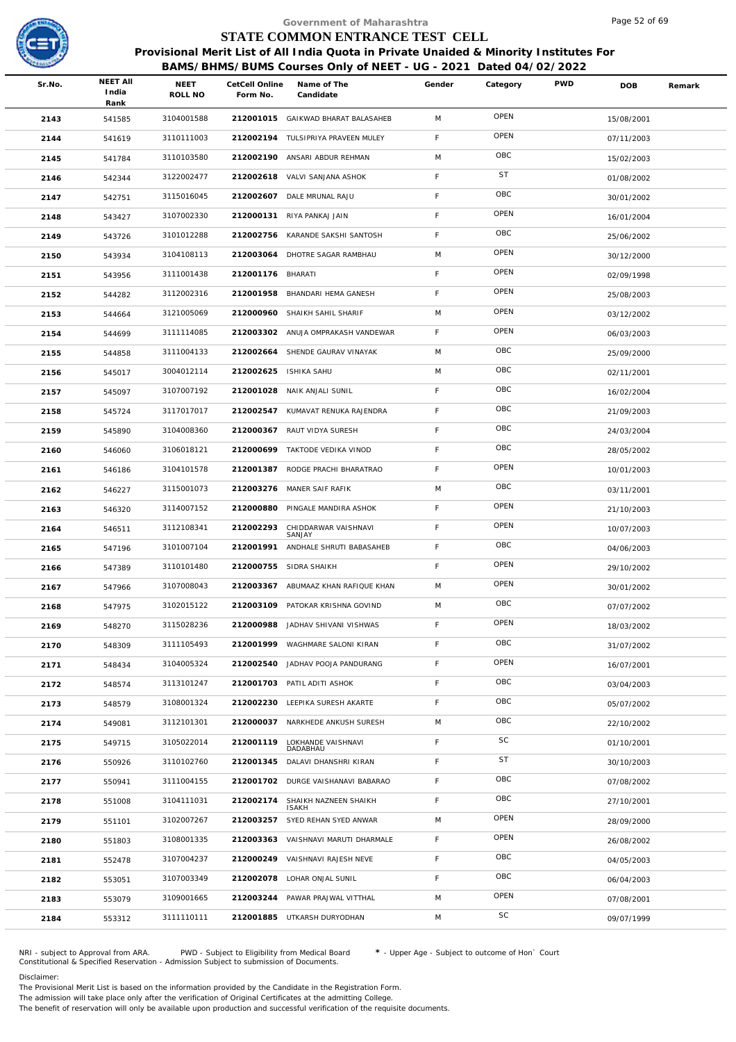

|        |                                  |                 |                            | Government of Maharashtra                                                                                                                                  |             |           |            | Page 52 of 69 |        |
|--------|----------------------------------|-----------------|----------------------------|------------------------------------------------------------------------------------------------------------------------------------------------------------|-------------|-----------|------------|---------------|--------|
|        |                                  |                 |                            | STATE COMMON ENTRANCE TEST CELL                                                                                                                            |             |           |            |               |        |
|        |                                  |                 |                            | Provisional Merit List of All India Quota in Private Unaided & Minority Institutes For<br>BAMS/BHMS/BUMS Courses Only of NEET - UG - 2021 Dated 04/02/2022 |             |           |            |               |        |
| Sr.No. | <b>NEET AII</b><br>India<br>Rank | NEET<br>ROLL NO | CetCell Online<br>Form No. | Name of The<br>Candidate                                                                                                                                   | Gender      | Category  | <b>PWD</b> | DOB           | Remark |
| 2143   | 541585                           | 3104001588      |                            | 212001015 GAIKWAD BHARAT BALASAHEB                                                                                                                         | M           | OPEN      |            | 15/08/2001    |        |
| 2144   | 541619                           | 3110111003      |                            | 212002194 TULSIPRIYA PRAVEEN MULEY                                                                                                                         | F           | OPEN      |            | 07/11/2003    |        |
| 2145   | 541784                           | 3110103580      |                            | 212002190 ANSARI ABDUR REHMAN                                                                                                                              | M           | OBC       |            | 15/02/2003    |        |
| 2146   | 542344                           | 3122002477      |                            | 212002618 VALVI SANJANA ASHOK                                                                                                                              | F.          | <b>ST</b> |            | 01/08/2002    |        |
| 2147   | 542751                           | 3115016045      |                            | 212002607 DALE MRUNAL RAJU                                                                                                                                 | F           | OBC       |            | 30/01/2002    |        |
| 2148   | 543427                           | 3107002330      |                            | 212000131 RIYA PANKAJ JAIN                                                                                                                                 | F           | OPEN      |            | 16/01/2004    |        |
| 2149   | 543726                           | 3101012288      | 212002756                  | KARANDE SAKSHI SANTOSH                                                                                                                                     | F.          | OBC       |            | 25/06/2002    |        |
| 2150   | 543934                           | 3104108113      | 212003064                  | DHOTRE SAGAR RAMBHAU                                                                                                                                       | M           | OPEN      |            | 30/12/2000    |        |
| 2151   | 543956                           | 3111001438      | 212001176 BHARATI          |                                                                                                                                                            | F           | OPEN      |            | 02/09/1998    |        |
| 2152   | 544282                           | 3112002316      | 212001958                  | BHANDARI HEMA GANESH                                                                                                                                       | F.          | OPEN      |            | 25/08/2003    |        |
| 2153   | 544664                           | 3121005069      | 212000960                  | SHAIKH SAHIL SHARIF                                                                                                                                        | M           | OPEN      |            | 03/12/2002    |        |
| 2154   | 544699                           | 3111114085      |                            | 212003302 ANUJA OMPRAKASH VANDEWAR                                                                                                                         | F           | OPEN      |            | 06/03/2003    |        |
| 2155   | 544858                           | 3111004133      | 212002664                  | SHENDE GAURAV VINAYAK                                                                                                                                      | M           | OBC       |            | 25/09/2000    |        |
| 2156   | 545017                           | 3004012114      | 212002625                  | <b>ISHIKA SAHU</b>                                                                                                                                         | M           | OBC       |            | 02/11/2001    |        |
| 2157   | 545097                           | 3107007192      | 212001028                  | NAIK ANJALI SUNIL                                                                                                                                          | F           | OBC       |            | 16/02/2004    |        |
| 2158   | 545724                           | 3117017017      | 212002547                  | KUMAVAT RENUKA RAJENDRA                                                                                                                                    | F           | OBC       |            | 21/09/2003    |        |
| 2159   | 545890                           | 3104008360      |                            | 212000367 RAUT VIDYA SURESH                                                                                                                                | F           | OBC       |            | 24/03/2004    |        |
| 2160   | 546060                           | 3106018121      | 212000699                  | TAKTODE VEDIKA VINOD                                                                                                                                       | F           | OBC       |            | 28/05/2002    |        |
| 2161   | 546186                           | 3104101578      | 212001387                  | RODGE PRACHI BHARATRAO                                                                                                                                     | F           | OPEN      |            | 10/01/2003    |        |
| 2162   | 546227                           | 3115001073      |                            | 212003276 MANER SAIF RAFIK                                                                                                                                 | M           | OBC       |            | 03/11/2001    |        |
| 2163   | 546320                           | 3114007152      | 212000880                  | PINGALE MANDIRA ASHOK                                                                                                                                      | $\mathsf F$ | OPEN      |            | 21/10/2003    |        |
| 2164   | 546511                           | 3112108341      | 212002293                  | CHIDDARWAR VAISHNAVI<br>SANJAY                                                                                                                             | F.          | OPEN      |            | 10/07/2003    |        |
| 2165   | 547196                           | 3101007104      | 212001991                  | ANDHALE SHRUTI BABASAHEB                                                                                                                                   | F           | OBC       |            | 04/06/2003    |        |
| 2166   | 547389                           | 3110101480      |                            | 212000755 SIDRA SHAIKH                                                                                                                                     | F           | OPEN      |            | 29/10/2002    |        |
| 2167   | 547966                           | 3107008043      |                            | 212003367 ABUMAAZ KHAN RAFIQUE KHAN                                                                                                                        | M           | OPEN      |            | 30/01/2002    |        |
| 2168   | 547975                           | 3102015122      | 212003109                  | PATOKAR KRISHNA GOVIND                                                                                                                                     | M           | OBC       |            | 07/07/2002    |        |
| 2169   | 548270                           | 3115028236      | 212000988                  | JADHAV SHIVANI VISHWAS                                                                                                                                     | F.          | OPEN      |            | 18/03/2002    |        |
| 2170   | 548309                           | 3111105493      |                            | 212001999 WAGHMARE SALONI KIRAN                                                                                                                            | F.          | OBC       |            | 31/07/2002    |        |
| 2171   | 548434                           | 3104005324      | 212002540                  | JADHAV POOJA PANDURANG                                                                                                                                     | $\mathsf F$ | OPEN      |            | 16/07/2001    |        |
| 2172   | 548574                           | 3113101247      |                            | 212001703 PATIL ADITI ASHOK                                                                                                                                | F           | OBC       |            | 03/04/2003    |        |
| 2173   | 548579                           | 3108001324      |                            | 212002230 LEEPIKA SURESH AKARTE                                                                                                                            | F.          | OBC       |            | 05/07/2002    |        |
| 2174   | 549081                           | 3112101301      | 212000037                  | NARKHEDE ANKUSH SURESH                                                                                                                                     | M           | OBC       |            | 22/10/2002    |        |
| 2175   | 549715                           | 3105022014      | 212001119                  | LOKHANDE VAISHNAVI<br>DADABHAU                                                                                                                             | F           | SC        |            | 01/10/2001    |        |
| 2176   | 550926                           | 3110102760      |                            | 212001345 DALAVI DHANSHRI KIRAN                                                                                                                            | F.          | <b>ST</b> |            | 30/10/2003    |        |
| 2177   | 550941                           | 3111004155      |                            | 212001702 DURGE VAISHANAVI BABARAO                                                                                                                         | F.          | OBC       |            | 07/08/2002    |        |
| 2178   | 551008                           | 3104111031      | 212002174                  | SHAIKH NAZNEEN SHAIKH<br><b>ISAKH</b>                                                                                                                      | F           | OBC       |            | 27/10/2001    |        |
| 2179   | 551101                           | 3102007267      | 212003257                  | SYED REHAN SYED ANWAR                                                                                                                                      | M           | OPEN      |            | 28/09/2000    |        |
| 2180   | 551803                           | 3108001335      | 212003363                  | VAISHNAVI MARUTI DHARMALE                                                                                                                                  | F.          | OPEN      |            | 26/08/2002    |        |
| 2181   | 552478                           | 3107004237      | 212000249                  | VAISHNAVI RAJESH NEVE                                                                                                                                      | F           | OBC       |            | 04/05/2003    |        |
| 2182   | 553051                           | 3107003349      |                            | 212002078 LOHAR ONJAL SUNIL                                                                                                                                | F           | OBC       |            | 06/04/2003    |        |
| 2183   | 553079                           | 3109001665      |                            | 212003244 PAWAR PRAJWAL VITTHAL                                                                                                                            | M           | OPEN      |            | 07/08/2001    |        |
| 2184   | 553312                           | 3111110111      |                            | 212001885 UTKARSH DURYODHAN                                                                                                                                | M           | SC        |            | 09/07/1999    |        |
|        |                                  |                 |                            |                                                                                                                                                            |             |           |            |               |        |

NRI - subject to Approval from ARA. PWD - Subject to Eligibility from Medical Board \* - Upper Age - Subject to outcome of Hon` Court<br>Constitutional & Specified Reservation - Admission Subject to submissio

Disclaimer:

The Provisional Merit List is based on the information provided by the Candidate in the Registration Form.

The admission will take place only after the verification of Original Certificates at the admitting College.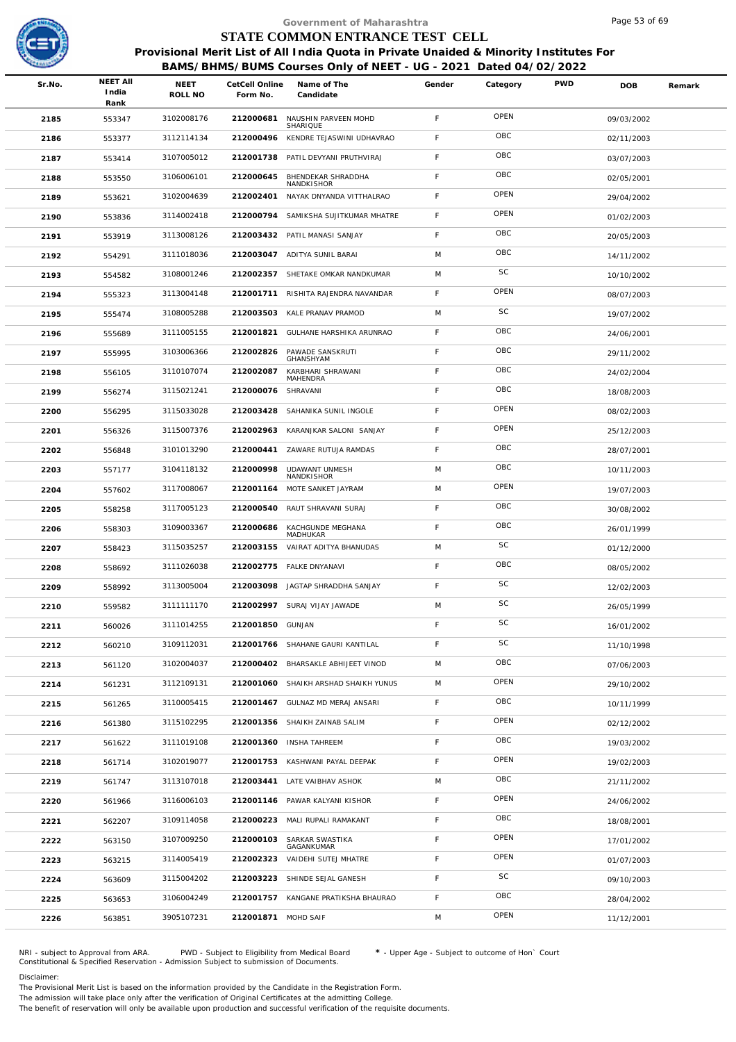

|        |                                  |                 |                            | Government of Maharashtra                                                                                                                                  |        |           |            | Page 53 of 69 |        |
|--------|----------------------------------|-----------------|----------------------------|------------------------------------------------------------------------------------------------------------------------------------------------------------|--------|-----------|------------|---------------|--------|
|        |                                  |                 |                            | STATE COMMON ENTRANCE TEST CELL                                                                                                                            |        |           |            |               |        |
|        |                                  |                 |                            | Provisional Merit List of All India Quota in Private Unaided & Minority Institutes For<br>BAMS/BHMS/BUMS Courses Only of NEET - UG - 2021 Dated 04/02/2022 |        |           |            |               |        |
| Sr.No. | <b>NEET AII</b><br>India<br>Rank | NEET<br>ROLL NO | CetCell Online<br>Form No. | Name of The<br>Candidate                                                                                                                                   | Gender | Category  | <b>PWD</b> | DOB           | Remark |
| 2185   | 553347                           | 3102008176      | 212000681                  | NAUSHIN PARVEEN MOHD<br>SHARIQUE                                                                                                                           | F      | OPEN      |            | 09/03/2002    |        |
| 2186   | 553377                           | 3112114134      | 212000496                  | KENDRE TEJASWINI UDHAVRAO                                                                                                                                  | F      | OBC       |            | 02/11/2003    |        |
| 2187   | 553414                           | 3107005012      | 212001738                  | PATIL DEVYANI PRUTHVIRAJ                                                                                                                                   | F      | OBC       |            | 03/07/2003    |        |
| 2188   | 553550                           | 3106006101      | 212000645                  | BHENDEKAR SHRADDHA<br>NANDKISHOR                                                                                                                           | F      | OBC       |            | 02/05/2001    |        |
| 2189   | 553621                           | 3102004639      | 212002401                  | NAYAK DNYANDA VITTHALRAO                                                                                                                                   | F      | OPEN      |            | 29/04/2002    |        |
| 2190   | 553836                           | 3114002418      | 212000794                  | SAMIKSHA SUJITKUMAR MHATRE                                                                                                                                 | F      | OPEN      |            | 01/02/2003    |        |
| 2191   | 553919                           | 3113008126      |                            | 212003432 PATIL MANASI SANJAY                                                                                                                              | F      | OBC       |            | 20/05/2003    |        |
| 2192   | 554291                           | 3111018036      |                            | 212003047 ADITYA SUNIL BARAI                                                                                                                               | M      | OBC       |            | 14/11/2002    |        |
| 2193   | 554582                           | 3108001246      |                            | 212002357 SHETAKE OMKAR NANDKUMAR                                                                                                                          | M      | SC        |            | 10/10/2002    |        |
| 2194   | 555323                           | 3113004148      | 212001711                  | RISHITA RAJENDRA NAVANDAR                                                                                                                                  | F.     | OPEN      |            | 08/07/2003    |        |
| 2195   | 555474                           | 3108005288      | 212003503                  | KALE PRANAV PRAMOD                                                                                                                                         | M      | SC        |            | 19/07/2002    |        |
| 2196   | 555689                           | 3111005155      | 212001821                  | GULHANE HARSHIKA ARUNRAO                                                                                                                                   | F      | OBC       |            | 24/06/2001    |        |
| 2197   | 555995                           | 3103006366      | 212002826                  | PAWADE SANSKRUTI<br>GHANSHYAM                                                                                                                              | F      | OBC       |            | 29/11/2002    |        |
| 2198   | 556105                           | 3110107074      | 212002087                  | KARBHARI SHRAWANI<br>MAHENDRA                                                                                                                              | F      | OBC       |            | 24/02/2004    |        |
| 2199   | 556274                           | 3115021241      | 212000076                  | SHRAVANI                                                                                                                                                   | F      | OBC       |            | 18/08/2003    |        |
| 2200   | 556295                           | 3115033028      | 212003428                  | SAHANIKA SUNIL INGOLE                                                                                                                                      | F      | OPEN      |            | 08/02/2003    |        |
| 2201   | 556326                           | 3115007376      |                            | 212002963 KARANJKAR SALONI SANJAY                                                                                                                          | F      | OPEN      |            | 25/12/2003    |        |
| 2202   | 556848                           | 3101013290      | 212000441                  | ZAWARE RUTUJA RAMDAS                                                                                                                                       | F      | OBC       |            | 28/07/2001    |        |
| 2203   | 557177                           | 3104118132      | 212000998                  | UDAWANT UNMESH<br>NANDKISHOR                                                                                                                               | M      | OBC       |            | 10/11/2003    |        |
| 2204   | 557602                           | 3117008067      | 212001164                  | MOTE SANKET JAYRAM                                                                                                                                         | M      | OPEN      |            | 19/07/2003    |        |
| 2205   | 558258                           | 3117005123      | 212000540                  | RAUT SHRAVANI SURAJ                                                                                                                                        | F      | OBC       |            | 30/08/2002    |        |
| 2206   | 558303                           | 3109003367      | 212000686                  | KACHGUNDE MEGHANA<br>MADHUKAR                                                                                                                              | F      | OBC       |            | 26/01/1999    |        |
| 2207   | 558423                           | 3115035257      |                            | 212003155 VAIRAT ADITYA BHANUDAS                                                                                                                           | M      | SC        |            | 01/12/2000    |        |
| 2208   | 558692                           | 3111026038      |                            | 212002775 FALKE DNYANAVI                                                                                                                                   | F      | OBC       |            | 08/05/2002    |        |
| 2209   | 558992                           | 3113005004      |                            | 212003098 JAGTAP SHRADDHA SANJAY                                                                                                                           | F.     | <b>SC</b> |            | 12/02/2003    |        |
| 2210   | 559582                           | 3111111170      | 212002997                  | SURAJ VIJAY JAWADE                                                                                                                                         | M      | SC        |            | 26/05/1999    |        |
| 2211   | 560026                           | 3111014255      | 212001850                  | GUNJAN                                                                                                                                                     | F      | SC        |            | 16/01/2002    |        |
| 2212   | 560210                           | 3109112031      |                            | 212001766 SHAHANE GAURI KANTILAL                                                                                                                           | F.     | SC        |            | 11/10/1998    |        |
| 2213   | 561120                           | 3102004037      | 212000402                  | BHARSAKLE ABHIJEET VINOD                                                                                                                                   | M      | OBC       |            | 07/06/2003    |        |
| 2214   | 561231                           | 3112109131      |                            | 212001060 SHAIKH ARSHAD SHAIKH YUNUS                                                                                                                       | M      | OPEN      |            | 29/10/2002    |        |
| 2215   | 561265                           | 3110005415      |                            | 212001467 GULNAZ MD MERAJ ANSARI                                                                                                                           | F.     | OBC       |            | 10/11/1999    |        |
| 2216   | 561380                           | 3115102295      | 212001356                  | SHAIKH ZAINAB SALIM                                                                                                                                        | F      | OPEN      |            | 02/12/2002    |        |
| 2217   | 561622                           | 3111019108      |                            | 212001360 INSHA TAHREEM                                                                                                                                    | F      | OBC       |            | 19/03/2002    |        |
| 2218   | 561714                           | 3102019077      |                            | 212001753 KASHWANI PAYAL DEEPAK                                                                                                                            | F      | OPEN      |            | 19/02/2003    |        |
| 2219   | 561747                           | 3113107018      |                            | 212003441 LATE VAIBHAV ASHOK                                                                                                                               | M      | OBC       |            | 21/11/2002    |        |
| 2220   | 561966                           | 3116006103      |                            | 212001146 PAWAR KALYANI KISHOR                                                                                                                             | F      | OPEN      |            | 24/06/2002    |        |
| 2221   | 562207                           | 3109114058      | 212000223                  | MALI RUPALI RAMAKANT                                                                                                                                       | F      | OBC       |            | 18/08/2001    |        |
| 2222   | 563150                           | 3107009250      | 212000103                  | SARKAR SWASTIKA<br>GAGANKUMAR                                                                                                                              | F      | OPEN      |            | 17/01/2002    |        |
| 2223   | 563215                           | 3114005419      | 212002323                  | VAIDEHI SUTEJ MHATRE                                                                                                                                       | F      | OPEN      |            | 01/07/2003    |        |
| 2224   | 563609                           | 3115004202      |                            | 212003223 SHINDE SEJAL GANESH                                                                                                                              | F      | SC        |            | 09/10/2003    |        |
| 2225   | 563653                           | 3106004249      |                            | 212001757 KANGANE PRATIKSHA BHAURAO                                                                                                                        | F.     | OBC       |            | 28/04/2002    |        |
| 2226   | 563851                           | 3905107231      | 212001871 MOHD SAIF        |                                                                                                                                                            | M      | OPEN      |            | 11/12/2001    |        |
|        |                                  |                 |                            |                                                                                                                                                            |        |           |            |               |        |

NRI - subject to Approval from ARA. PWD - Subject to Eligibility from Medical Board \* - Upper Age - Subject to outcome of Hon` Court<br>Constitutional & Specified Reservation - Admission Subject to submissio

Disclaimer:

The Provisional Merit List is based on the information provided by the Candidate in the Registration Form.

The admission will take place only after the verification of Original Certificates at the admitting College.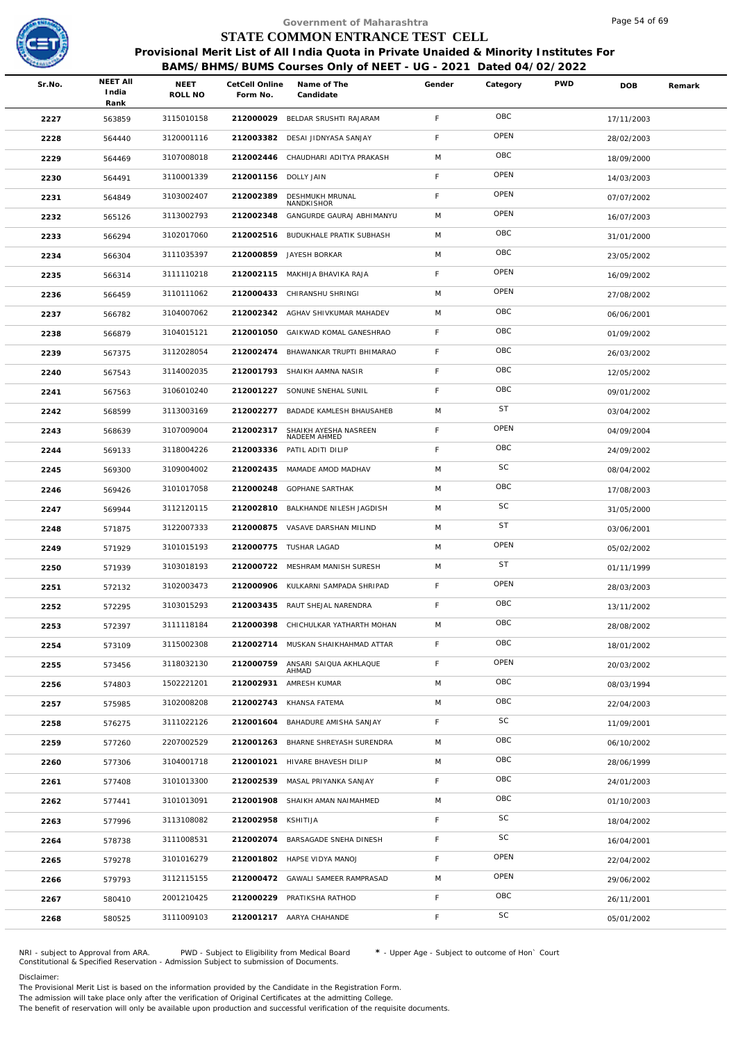

|        |                                  |                 |                            | Government of Maharashtra                                                                                                                                  |             |           |            | Page 54 of 69 |        |
|--------|----------------------------------|-----------------|----------------------------|------------------------------------------------------------------------------------------------------------------------------------------------------------|-------------|-----------|------------|---------------|--------|
|        |                                  |                 |                            | STATE COMMON ENTRANCE TEST CELL                                                                                                                            |             |           |            |               |        |
|        |                                  |                 |                            | Provisional Merit List of All India Quota in Private Unaided & Minority Institutes For<br>BAMS/BHMS/BUMS Courses Only of NEET - UG - 2021 Dated 04/02/2022 |             |           |            |               |        |
| Sr.No. | <b>NEET AII</b><br>India<br>Rank | NEET<br>ROLL NO | CetCell Online<br>Form No. | Name of The<br>Candidate                                                                                                                                   | Gender      | Category  | <b>PWD</b> | <b>DOB</b>    | Remark |
| 2227   | 563859                           | 3115010158      | 212000029                  | BELDAR SRUSHTI RAJARAM                                                                                                                                     | F           | OBC       |            | 17/11/2003    |        |
| 2228   | 564440                           | 3120001116      | 212003382                  | DESAI JIDNYASA SANJAY                                                                                                                                      | F           | OPEN      |            | 28/02/2003    |        |
| 2229   | 564469                           | 3107008018      | 212002446                  | CHAUDHARI ADITYA PRAKASH                                                                                                                                   | M           | OBC       |            | 18/09/2000    |        |
| 2230   | 564491                           | 3110001339      | 212001156 DOLLY JAIN       |                                                                                                                                                            | F           | OPEN      |            | 14/03/2003    |        |
| 2231   | 564849                           | 3103002407      | 212002389                  | <b>DESHMUKH MRUNAL</b>                                                                                                                                     | $\mathsf F$ | OPEN      |            | 07/07/2002    |        |
| 2232   | 565126                           | 3113002793      | 212002348                  | NANDKISHOR<br>GANGURDE GAURAJ ABHIMANYU                                                                                                                    | M           | OPEN      |            | 16/07/2003    |        |
| 2233   | 566294                           | 3102017060      |                            | 212002516 BUDUKHALE PRATIK SUBHASH                                                                                                                         | M           | OBC       |            | 31/01/2000    |        |
| 2234   | 566304                           | 3111035397      | 212000859                  | JAYESH BORKAR                                                                                                                                              | M           | OBC       |            | 23/05/2002    |        |
| 2235   | 566314                           | 3111110218      |                            | 212002115 MAKHIJA BHAVIKA RAJA                                                                                                                             | F           | OPEN      |            | 16/09/2002    |        |
| 2236   | 566459                           | 3110111062      | 212000433                  | CHIRANSHU SHRINGI                                                                                                                                          | M           | OPEN      |            | 27/08/2002    |        |
| 2237   | 566782                           | 3104007062      |                            | 212002342 AGHAV SHIVKUMAR MAHADEV                                                                                                                          | M           | OBC       |            | 06/06/2001    |        |
| 2238   | 566879                           | 3104015121      |                            | 212001050 GAIKWAD KOMAL GANESHRAO                                                                                                                          | F           | OBC       |            | 01/09/2002    |        |
| 2239   | 567375                           | 3112028054      | 212002474                  | BHAWANKAR TRUPTI BHIMARAO                                                                                                                                  | $\mathsf F$ | OBC       |            | 26/03/2002    |        |
| 2240   | 567543                           | 3114002035      |                            | 212001793 SHAIKH AAMNA NASIR                                                                                                                               | $\mathsf F$ | OBC       |            | 12/05/2002    |        |
| 2241   | 567563                           | 3106010240      | 212001227                  | SONUNE SNEHAL SUNIL                                                                                                                                        | F           | OBC       |            | 09/01/2002    |        |
| 2242   | 568599                           | 3113003169      | 212002277                  | BADADE KAMLESH BHAUSAHEB                                                                                                                                   | M           | <b>ST</b> |            | 03/04/2002    |        |
| 2243   | 568639                           | 3107009004      | 212002317                  | SHAIKH AYESHA NASREEN<br>NADEEM AHMED                                                                                                                      | $\mathsf F$ | OPEN      |            | 04/09/2004    |        |
| 2244   | 569133                           | 3118004226      | 212003336                  | PATIL ADITI DILIP                                                                                                                                          | F           | OBC       |            | 24/09/2002    |        |
| 2245   | 569300                           | 3109004002      | 212002435                  | MAMADE AMOD MADHAV                                                                                                                                         | M           | SC        |            | 08/04/2002    |        |
| 2246   | 569426                           | 3101017058      | 212000248                  | <b>GOPHANE SARTHAK</b>                                                                                                                                     | M           | OBC       |            | 17/08/2003    |        |
| 2247   | 569944                           | 3112120115      | 212002810                  | BALKHANDE NILESH JAGDISH                                                                                                                                   | M           | SC        |            | 31/05/2000    |        |
| 2248   | 571875                           | 3122007333      |                            | 212000875 VASAVE DARSHAN MILIND                                                                                                                            | M           | <b>ST</b> |            | 03/06/2001    |        |
| 2249   | 571929                           | 3101015193      |                            | 212000775 TUSHAR LAGAD                                                                                                                                     | M           | OPEN      |            | 05/02/2002    |        |
| 2250   | 571939                           | 3103018193      |                            | 212000722 MESHRAM MANISH SURESH                                                                                                                            | M           | <b>ST</b> |            | 01/11/1999    |        |
| 2251   | 572132                           | 3102003473      |                            | 212000906 KULKARNI SAMPADA SHRIPAD                                                                                                                         | F.          | OPEN      |            | 28/03/2003    |        |
| 2252   | 572295                           | 3103015293      | 212003435                  | RAUT SHEJAL NARENDRA                                                                                                                                       | F           | OBC       |            | 13/11/2002    |        |
| 2253   | 572397                           | 3111118184      | 212000398                  | CHICHULKAR YATHARTH MOHAN                                                                                                                                  | M           | OBC       |            | 28/08/2002    |        |
| 2254   | 573109                           | 3115002308      |                            | 212002714 MUSKAN SHAIKHAHMAD ATTAR                                                                                                                         | F.          | OBC       |            | 18/01/2002    |        |
| 2255   | 573456                           | 3118032130      | 212000759                  | ANSARI SAIQUA AKHLAQUE<br>AHMAD                                                                                                                            | $\mathsf F$ | OPEN      |            | 20/03/2002    |        |
| 2256   | 574803                           | 1502221201      | 212002931                  | AMRESH KUMAR                                                                                                                                               | M           | OBC       |            | 08/03/1994    |        |
| 2257   | 575985                           | 3102008208      | 212002743                  | KHANSA FATEMA                                                                                                                                              | M           | OBC       |            | 22/04/2003    |        |
| 2258   | 576275                           | 3111022126      | 212001604                  | BAHADURE AMISHA SANJAY                                                                                                                                     | F           | SC        |            | 11/09/2001    |        |
| 2259   | 577260                           | 2207002529      |                            | 212001263 BHARNE SHREYASH SURENDRA                                                                                                                         | M           | OBC       |            | 06/10/2002    |        |
| 2260   | 577306                           | 3104001718      | 212001021                  | HIVARE BHAVESH DILIP                                                                                                                                       | M           | OBC       |            | 28/06/1999    |        |
| 2261   | 577408                           | 3101013300      | 212002539                  | MASAL PRIYANKA SANJAY                                                                                                                                      | $\mathsf F$ | OBC       |            | 24/01/2003    |        |
| 2262   | 577441                           | 3101013091      |                            | 212001908 SHAIKH AMAN NAIMAHMED                                                                                                                            | M           | OBC       |            | 01/10/2003    |        |
| 2263   | 577996                           | 3113108082      | 212002958                  | KSHITIJA                                                                                                                                                   | F           | SC        |            | 18/04/2002    |        |
| 2264   | 578738                           | 3111008531      |                            | 212002074 BARSAGADE SNEHA DINESH                                                                                                                           | F           | SC        |            | 16/04/2001    |        |
| 2265   | 579278                           | 3101016279      |                            | 212001802 HAPSE VIDYA MANOJ                                                                                                                                | $\mathsf F$ | OPEN      |            | 22/04/2002    |        |
| 2266   | 579793                           | 3112115155      |                            | 212000472 GAWALI SAMEER RAMPRASAD                                                                                                                          | M           | OPEN      |            | 29/06/2002    |        |
| 2267   | 580410                           | 2001210425      |                            | 212000229 PRATIKSHA RATHOD                                                                                                                                 | F           | OBC       |            | 26/11/2001    |        |
| 2268   | 580525                           | 3111009103      |                            | 212001217 AARYA CHAHANDE                                                                                                                                   | F.          | SC        |            | 05/01/2002    |        |
|        |                                  |                 |                            |                                                                                                                                                            |             |           |            |               |        |

NRI - subject to Approval from ARA. PWD - Subject to Eligibility from Medical Board \* - Upper Age - Subject to outcome of Hon` Court<br>Constitutional & Specified Reservation - Admission Subject to submissio

Disclaimer:

The Provisional Merit List is based on the information provided by the Candidate in the Registration Form.

The admission will take place only after the verification of Original Certificates at the admitting College.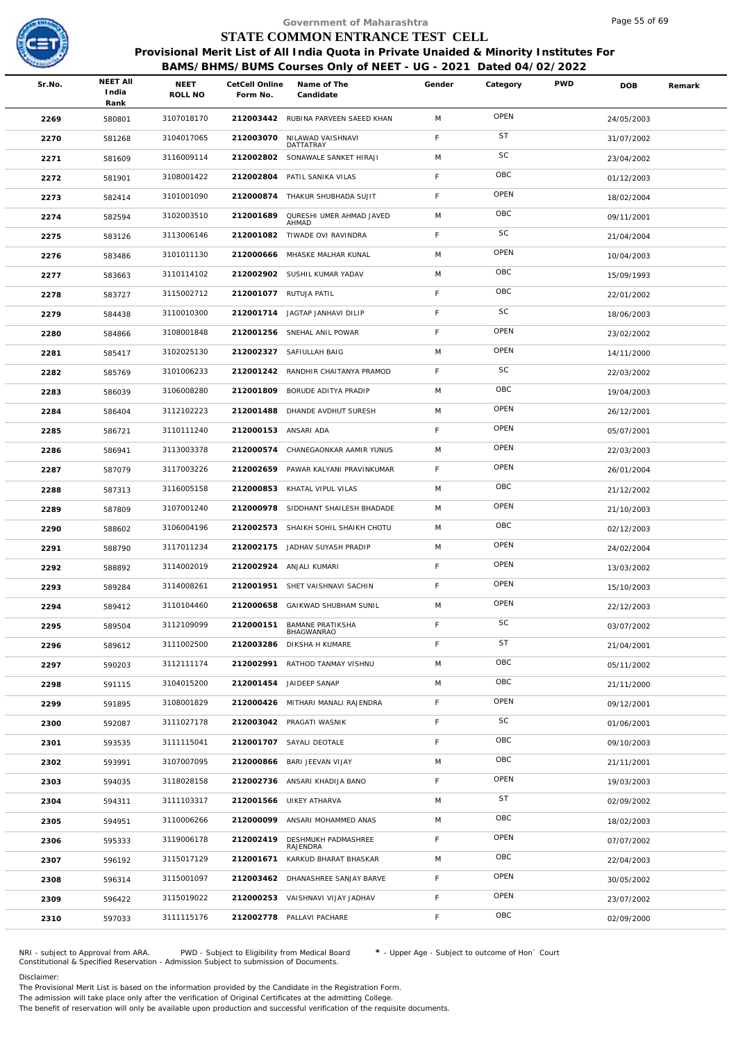

|        |                                  |                 |                            | Government of Maharashtra                                                                                                                                  |             |           |            | Page 55 of 69 |        |
|--------|----------------------------------|-----------------|----------------------------|------------------------------------------------------------------------------------------------------------------------------------------------------------|-------------|-----------|------------|---------------|--------|
|        |                                  |                 |                            | STATE COMMON ENTRANCE TEST CELL                                                                                                                            |             |           |            |               |        |
|        |                                  |                 |                            | Provisional Merit List of All India Quota in Private Unaided & Minority Institutes For<br>BAMS/BHMS/BUMS Courses Only of NEET - UG - 2021 Dated 04/02/2022 |             |           |            |               |        |
| Sr.No. | <b>NEET AII</b><br>India<br>Rank | NEET<br>ROLL NO | CetCell Online<br>Form No. | Name of The<br>Candidate                                                                                                                                   | Gender      | Category  | <b>PWD</b> | <b>DOB</b>    | Remark |
| 2269   | 580801                           | 3107018170      |                            | 212003442 RUBINA PARVEEN SAEED KHAN                                                                                                                        | M           | OPEN      |            | 24/05/2003    |        |
| 2270   | 581268                           | 3104017065      | 212003070                  | NILAWAD VAISHNAVI                                                                                                                                          | F           | <b>ST</b> |            | 31/07/2002    |        |
| 2271   | 581609                           | 3116009114      | 212002802                  | DATTATRAY<br>SONAWALE SANKET HIRAJI                                                                                                                        | M           | SC        |            | 23/04/2002    |        |
| 2272   | 581901                           | 3108001422      |                            | 212002804 PATIL SANIKA VILAS                                                                                                                               | F           | OBC       |            | 01/12/2003    |        |
| 2273   | 582414                           | 3101001090      | 212000874                  | THAKUR SHUBHADA SUJIT                                                                                                                                      | $\mathsf F$ | OPEN      |            | 18/02/2004    |        |
| 2274   | 582594                           | 3102003510      | 212001689                  | QURESHI UMER AHMAD JAVED                                                                                                                                   | M           | OBC       |            | 09/11/2001    |        |
| 2275   | 583126                           | 3113006146      | 212001082                  | AHMAD<br>TIWADE OVI RAVINDRA                                                                                                                               | F.          | SC        |            | 21/04/2004    |        |
| 2276   | 583486                           | 3101011130      | 212000666                  | MHASKE MALHAR KUNAL                                                                                                                                        | M           | OPEN      |            | 10/04/2003    |        |
| 2277   | 583663                           | 3110114102      |                            | 212002902 SUSHIL KUMAR YADAV                                                                                                                               | M           | OBC       |            | 15/09/1993    |        |
| 2278   | 583727                           | 3115002712      |                            | 212001077 RUTUJA PATIL                                                                                                                                     | F.          | OBC       |            | 22/01/2002    |        |
| 2279   | 584438                           | 3110010300      |                            | 212001714 JAGTAP JANHAVI DILIP                                                                                                                             | F           | SC        |            | 18/06/2003    |        |
| 2280   | 584866                           | 3108001848      |                            | 212001256 SNEHAL ANIL POWAR                                                                                                                                | F           | OPEN      |            | 23/02/2002    |        |
| 2281   | 585417                           | 3102025130      | 212002327                  | SAFIULLAH BAIG                                                                                                                                             | M           | OPEN      |            | 14/11/2000    |        |
| 2282   | 585769                           | 3101006233      |                            | 212001242 RANDHIR CHAITANYA PRAMOD                                                                                                                         | F           | SC        |            | 22/03/2002    |        |
| 2283   | 586039                           | 3106008280      | 212001809                  | BORUDE ADITYA PRADIP                                                                                                                                       | M           | OBC       |            | 19/04/2003    |        |
| 2284   | 586404                           | 3112102223      | 212001488                  | DHANDE AVDHUT SURESH                                                                                                                                       | M           | OPEN      |            | 26/12/2001    |        |
| 2285   | 586721                           | 3110111240      | 212000153 ANSARI ADA       |                                                                                                                                                            | F           | OPEN      |            | 05/07/2001    |        |
| 2286   | 586941                           | 3113003378      | 212000574                  | CHANEGAONKAR AAMIR YUNUS                                                                                                                                   | M           | OPEN      |            | 22/03/2003    |        |
| 2287   | 587079                           | 3117003226      | 212002659                  | PAWAR KALYANI PRAVINKUMAR                                                                                                                                  | F.          | OPEN      |            | 26/01/2004    |        |
| 2288   | 587313                           | 3116005158      |                            | 212000853 KHATAL VIPUL VILAS                                                                                                                               | M           | OBC       |            | 21/12/2002    |        |
| 2289   | 587809                           | 3107001240      | 212000978                  | SIDDHANT SHAILESH BHADADE                                                                                                                                  | M           | OPEN      |            | 21/10/2003    |        |
| 2290   | 588602                           | 3106004196      |                            | 212002573 SHAIKH SOHIL SHAIKH CHOTU                                                                                                                        | M           | OBC       |            | 02/12/2003    |        |
| 2291   | 588790                           | 3117011234      |                            | 212002175 JADHAV SUYASH PRADIP                                                                                                                             | M           | OPEN      |            | 24/02/2004    |        |
| 2292   | 588892                           | 3114002019      |                            | 212002924 ANJALI KUMARI                                                                                                                                    | F           | OPEN      |            | 13/03/2002    |        |
| 2293   | 589284                           | 3114008261      |                            | 212001951 SHET VAISHNAVI SACHIN                                                                                                                            | F.          | OPEN      |            | 15/10/2003    |        |
| 2294   | 589412                           | 3110104460      | 212000658                  | GAIKWAD SHUBHAM SUNIL                                                                                                                                      | M           | OPEN      |            | 22/12/2003    |        |
| 2295   | 589504                           | 3112109099      | 212000151                  | <b>BAMANE PRATIKSHA</b>                                                                                                                                    | F           | SC        |            | 03/07/2002    |        |
| 2296   | 589612                           | 3111002500      | 212003286                  | BHAGWANRAO<br>DIKSHA H KUMARE                                                                                                                              | F           | <b>ST</b> |            | 21/04/2001    |        |
| 2297   | 590203                           | 3112111174      | 212002991                  | RATHOD TANMAY VISHNU                                                                                                                                       | M           | OBC       |            | 05/11/2002    |        |
| 2298   | 591115                           | 3104015200      |                            | 212001454 JAIDEEP SANAP                                                                                                                                    | M           | OBC       |            | 21/11/2000    |        |
| 2299   | 591895                           | 3108001829      |                            | 212000426 MITHARI MANALI RAJENDRA                                                                                                                          | F.          | OPEN      |            | 09/12/2001    |        |
| 2300   | 592087                           | 3111027178      |                            | 212003042 PRAGATI WASNIK                                                                                                                                   | F           | SC        |            | 01/06/2001    |        |
| 2301   | 593535                           | 3111115041      |                            | 212001707 SAYALI DEOTALE                                                                                                                                   | F           | OBC       |            | 09/10/2003    |        |
| 2302   | 593991                           | 3107007095      | 212000866                  | BARI JEEVAN VIJAY                                                                                                                                          | M           | OBC       |            | 21/11/2001    |        |
| 2303   | 594035                           | 3118028158      |                            | 212002736 ANSARI KHADIJA BANO                                                                                                                              | F           | OPEN      |            | 19/03/2003    |        |
| 2304   | 594311                           | 3111103317      |                            | 212001566 UIKEY ATHARVA                                                                                                                                    | M           | <b>ST</b> |            | 02/09/2002    |        |
| 2305   | 594951                           | 3110006266      | 212000099                  | ANSARI MOHAMMED ANAS                                                                                                                                       | M           | OBC       |            | 18/02/2003    |        |
| 2306   | 595333                           | 3119006178      | 212002419                  | DESHMUKH PADMASHREE                                                                                                                                        | F           | OPEN      |            | 07/07/2002    |        |
| 2307   | 596192                           | 3115017129      | 212001671                  | RAJENDRA<br>KARKUD BHARAT BHASKAR                                                                                                                          | M           | OBC       |            | 22/04/2003    |        |
| 2308   | 596314                           | 3115001097      |                            | 212003462 DHANASHREE SANJAY BARVE                                                                                                                          | F.          | OPEN      |            | 30/05/2002    |        |
| 2309   | 596422                           | 3115019022      |                            | 212000253 VAISHNAVI VIJAY JADHAV                                                                                                                           | F           | OPEN      |            | 23/07/2002    |        |
| 2310   | 597033                           | 3111115176      |                            | 212002778 PALLAVI PACHARE                                                                                                                                  | F           | OBC       |            | 02/09/2000    |        |
|        |                                  |                 |                            |                                                                                                                                                            |             |           |            |               |        |

NRI - subject to Approval from ARA. PWD - Subject to Eligibility from Medical Board \* - Upper Age - Subject to outcome of Hon` Court<br>Constitutional & Specified Reservation - Admission Subject to submissio

Disclaimer:

The Provisional Merit List is based on the information provided by the Candidate in the Registration Form. The admission will take place only after the verification of Original Certificates at the admitting College.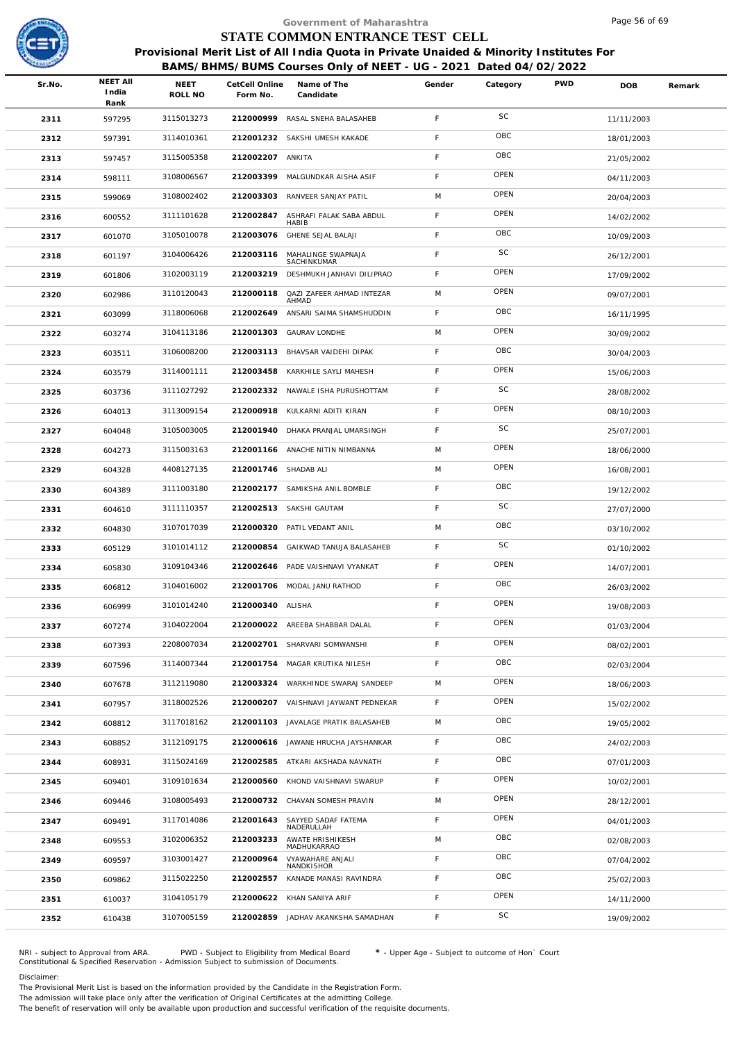

|                         |                 |                 |                                           |                                                                                                                                                                                                                                                                                                                                                                                                                                                                                                                                                                                                                                                                                                                                                                                                                                                                                           |                           |                                 | Page 56 of 69                                                                  |                                                                                        |
|-------------------------|-----------------|-----------------|-------------------------------------------|-------------------------------------------------------------------------------------------------------------------------------------------------------------------------------------------------------------------------------------------------------------------------------------------------------------------------------------------------------------------------------------------------------------------------------------------------------------------------------------------------------------------------------------------------------------------------------------------------------------------------------------------------------------------------------------------------------------------------------------------------------------------------------------------------------------------------------------------------------------------------------------------|---------------------------|---------------------------------|--------------------------------------------------------------------------------|----------------------------------------------------------------------------------------|
|                         |                 |                 |                                           |                                                                                                                                                                                                                                                                                                                                                                                                                                                                                                                                                                                                                                                                                                                                                                                                                                                                                           |                           |                                 |                                                                                |                                                                                        |
|                         |                 |                 |                                           |                                                                                                                                                                                                                                                                                                                                                                                                                                                                                                                                                                                                                                                                                                                                                                                                                                                                                           |                           |                                 |                                                                                |                                                                                        |
|                         |                 |                 |                                           |                                                                                                                                                                                                                                                                                                                                                                                                                                                                                                                                                                                                                                                                                                                                                                                                                                                                                           |                           |                                 |                                                                                |                                                                                        |
| Sr.No.<br>India<br>Rank | NEET<br>ROLL NO | Form No.        | Name of The<br>Candidate                  | Gender                                                                                                                                                                                                                                                                                                                                                                                                                                                                                                                                                                                                                                                                                                                                                                                                                                                                                    | Category                  |                                 | DOB                                                                            | Remark                                                                                 |
| 2311<br>597295          | 3115013273      |                 |                                           | F                                                                                                                                                                                                                                                                                                                                                                                                                                                                                                                                                                                                                                                                                                                                                                                                                                                                                         | <b>SC</b>                 |                                 | 11/11/2003                                                                     |                                                                                        |
| 597391<br>2312          | 3114010361      |                 |                                           | F                                                                                                                                                                                                                                                                                                                                                                                                                                                                                                                                                                                                                                                                                                                                                                                                                                                                                         | OBC                       |                                 | 18/01/2003                                                                     |                                                                                        |
| 2313<br>597457          | 3115005358      |                 |                                           | F                                                                                                                                                                                                                                                                                                                                                                                                                                                                                                                                                                                                                                                                                                                                                                                                                                                                                         | OBC                       |                                 | 21/05/2002                                                                     |                                                                                        |
| 598111<br>2314          | 3108006567      |                 |                                           | F                                                                                                                                                                                                                                                                                                                                                                                                                                                                                                                                                                                                                                                                                                                                                                                                                                                                                         | OPEN                      |                                 | 04/11/2003                                                                     |                                                                                        |
| 2315<br>599069          | 3108002402      | 212003303       | RANVEER SANJAY PATIL                      | M                                                                                                                                                                                                                                                                                                                                                                                                                                                                                                                                                                                                                                                                                                                                                                                                                                                                                         | OPEN                      |                                 | 20/04/2003                                                                     |                                                                                        |
| 2316<br>600552          | 3111101628      | 212002847       | ASHRAFI FALAK SABA ABDUL<br><b>HABIB</b>  | $\mathsf F$                                                                                                                                                                                                                                                                                                                                                                                                                                                                                                                                                                                                                                                                                                                                                                                                                                                                               | OPEN                      |                                 | 14/02/2002                                                                     |                                                                                        |
| 2317<br>601070          | 3105010078      |                 |                                           | F                                                                                                                                                                                                                                                                                                                                                                                                                                                                                                                                                                                                                                                                                                                                                                                                                                                                                         | OBC                       |                                 | 10/09/2003                                                                     |                                                                                        |
| 2318<br>601197          | 3104006426      | 212003116       | MAHALINGE SWAPNAJA<br>SACHINKUMAR         | $\mathsf F$                                                                                                                                                                                                                                                                                                                                                                                                                                                                                                                                                                                                                                                                                                                                                                                                                                                                               | SC                        |                                 | 26/12/2001                                                                     |                                                                                        |
| 2319<br>601806          | 3102003119      | 212003219       | DESHMUKH JANHAVI DILIPRAO                 | $\mathsf F$                                                                                                                                                                                                                                                                                                                                                                                                                                                                                                                                                                                                                                                                                                                                                                                                                                                                               | OPEN                      |                                 | 17/09/2002                                                                     |                                                                                        |
| 2320<br>602986          | 3110120043      | 212000118       | <b>QAZI ZAFEER AHMAD INTEZAR</b><br>AHMAD | M                                                                                                                                                                                                                                                                                                                                                                                                                                                                                                                                                                                                                                                                                                                                                                                                                                                                                         | OPEN                      |                                 | 09/07/2001                                                                     |                                                                                        |
| 2321<br>603099          | 3118006068      | 212002649       | ANSARI SAIMA SHAMSHUDDIN                  | $\mathsf F$                                                                                                                                                                                                                                                                                                                                                                                                                                                                                                                                                                                                                                                                                                                                                                                                                                                                               | OBC                       |                                 | 16/11/1995                                                                     |                                                                                        |
| 603274<br>2322          | 3104113186      |                 |                                           | M                                                                                                                                                                                                                                                                                                                                                                                                                                                                                                                                                                                                                                                                                                                                                                                                                                                                                         | OPEN                      |                                 | 30/09/2002                                                                     |                                                                                        |
| 2323<br>603511          | 3106008200      | 212003113       | BHAVSAR VAIDEHI DIPAK                     | F                                                                                                                                                                                                                                                                                                                                                                                                                                                                                                                                                                                                                                                                                                                                                                                                                                                                                         | OBC                       |                                 | 30/04/2003                                                                     |                                                                                        |
| 2324<br>603579          | 3114001111      |                 |                                           | F                                                                                                                                                                                                                                                                                                                                                                                                                                                                                                                                                                                                                                                                                                                                                                                                                                                                                         | OPEN                      |                                 | 15/06/2003                                                                     |                                                                                        |
| 2325<br>603736          | 3111027292      |                 |                                           | $\mathsf F$                                                                                                                                                                                                                                                                                                                                                                                                                                                                                                                                                                                                                                                                                                                                                                                                                                                                               | SC                        |                                 | 28/08/2002                                                                     |                                                                                        |
| 2326<br>604013          | 3113009154      |                 |                                           | F                                                                                                                                                                                                                                                                                                                                                                                                                                                                                                                                                                                                                                                                                                                                                                                                                                                                                         | OPEN                      |                                 | 08/10/2003                                                                     |                                                                                        |
| 2327<br>604048          | 3105003005      |                 |                                           | $\mathsf F$                                                                                                                                                                                                                                                                                                                                                                                                                                                                                                                                                                                                                                                                                                                                                                                                                                                                               | SC                        |                                 | 25/07/2001                                                                     |                                                                                        |
| 2328<br>604273          | 3115003163      |                 |                                           | M                                                                                                                                                                                                                                                                                                                                                                                                                                                                                                                                                                                                                                                                                                                                                                                                                                                                                         | OPEN                      |                                 | 18/06/2000                                                                     |                                                                                        |
| 2329<br>604328          | 4408127135      |                 |                                           | M                                                                                                                                                                                                                                                                                                                                                                                                                                                                                                                                                                                                                                                                                                                                                                                                                                                                                         | OPEN                      |                                 | 16/08/2001                                                                     |                                                                                        |
| 2330<br>604389          | 3111003180      |                 |                                           | F                                                                                                                                                                                                                                                                                                                                                                                                                                                                                                                                                                                                                                                                                                                                                                                                                                                                                         | OBC                       |                                 | 19/12/2002                                                                     |                                                                                        |
| 2331<br>604610          | 3111110357      |                 |                                           | F                                                                                                                                                                                                                                                                                                                                                                                                                                                                                                                                                                                                                                                                                                                                                                                                                                                                                         | SC                        |                                 | 27/07/2000                                                                     |                                                                                        |
| 2332<br>604830          | 3107017039      |                 |                                           | M                                                                                                                                                                                                                                                                                                                                                                                                                                                                                                                                                                                                                                                                                                                                                                                                                                                                                         | OBC                       |                                 | 03/10/2002                                                                     |                                                                                        |
| 2333<br>605129          | 3101014112      |                 |                                           | $\mathsf F$                                                                                                                                                                                                                                                                                                                                                                                                                                                                                                                                                                                                                                                                                                                                                                                                                                                                               | SC                        |                                 | 01/10/2002                                                                     |                                                                                        |
| 605830<br>2334          | 3109104346      |                 |                                           | F                                                                                                                                                                                                                                                                                                                                                                                                                                                                                                                                                                                                                                                                                                                                                                                                                                                                                         | OPEN                      |                                 | 14/07/2001                                                                     |                                                                                        |
| 2335<br>606812          | 3104016002      |                 |                                           | F                                                                                                                                                                                                                                                                                                                                                                                                                                                                                                                                                                                                                                                                                                                                                                                                                                                                                         | OBC                       |                                 | 26/03/2002                                                                     |                                                                                        |
| 2336<br>606999          | 3101014240      |                 |                                           | F                                                                                                                                                                                                                                                                                                                                                                                                                                                                                                                                                                                                                                                                                                                                                                                                                                                                                         | OPEN                      |                                 | 19/08/2003                                                                     |                                                                                        |
| 2337<br>607274          | 3104022004      |                 |                                           | $\mathsf F$                                                                                                                                                                                                                                                                                                                                                                                                                                                                                                                                                                                                                                                                                                                                                                                                                                                                               | OPEN                      |                                 | 01/03/2004                                                                     |                                                                                        |
| 2338<br>607393          | 2208007034      |                 |                                           | F                                                                                                                                                                                                                                                                                                                                                                                                                                                                                                                                                                                                                                                                                                                                                                                                                                                                                         | OPEN                      |                                 | 08/02/2001                                                                     |                                                                                        |
| 2339<br>607596          | 3114007344      | 212001754       | MAGAR KRUTIKA NILESH                      | F                                                                                                                                                                                                                                                                                                                                                                                                                                                                                                                                                                                                                                                                                                                                                                                                                                                                                         | OBC                       |                                 | 02/03/2004                                                                     |                                                                                        |
| 2340<br>607678          | 3112119080      |                 |                                           | M                                                                                                                                                                                                                                                                                                                                                                                                                                                                                                                                                                                                                                                                                                                                                                                                                                                                                         | OPEN                      |                                 | 18/06/2003                                                                     |                                                                                        |
| 2341<br>607957          | 3118002526      |                 |                                           | F.                                                                                                                                                                                                                                                                                                                                                                                                                                                                                                                                                                                                                                                                                                                                                                                                                                                                                        | OPEN                      |                                 | 15/02/2002                                                                     |                                                                                        |
| 2342<br>608812          | 3117018162      | 212001103       | JAVALAGE PRATIK BALASAHEB                 | M                                                                                                                                                                                                                                                                                                                                                                                                                                                                                                                                                                                                                                                                                                                                                                                                                                                                                         | OBC                       |                                 | 19/05/2002                                                                     |                                                                                        |
| 2343<br>608852          | 3112109175      |                 |                                           | F                                                                                                                                                                                                                                                                                                                                                                                                                                                                                                                                                                                                                                                                                                                                                                                                                                                                                         | OBC                       |                                 | 24/02/2003                                                                     |                                                                                        |
| 2344<br>608931          | 3115024169      | 212002585       | ATKARI AKSHADA NAVNATH                    | $\mathsf F$                                                                                                                                                                                                                                                                                                                                                                                                                                                                                                                                                                                                                                                                                                                                                                                                                                                                               | OBC                       |                                 | 07/01/2003                                                                     |                                                                                        |
| 2345<br>609401          | 3109101634      | 212000560       |                                           | $\mathsf F$                                                                                                                                                                                                                                                                                                                                                                                                                                                                                                                                                                                                                                                                                                                                                                                                                                                                               | OPEN                      |                                 | 10/02/2001                                                                     |                                                                                        |
| 2346<br>609446          | 3108005493      |                 |                                           | M                                                                                                                                                                                                                                                                                                                                                                                                                                                                                                                                                                                                                                                                                                                                                                                                                                                                                         | OPEN                      |                                 | 28/12/2001                                                                     |                                                                                        |
| 609491<br>2347          | 3117014086      | 212001643       | SAYYED SADAF FATEMA<br>NADERULLAH         | F                                                                                                                                                                                                                                                                                                                                                                                                                                                                                                                                                                                                                                                                                                                                                                                                                                                                                         | OPEN                      |                                 | 04/01/2003                                                                     |                                                                                        |
| 2348<br>609553          | 3102006352      | 212003233       | AWATE HRISHIKESH<br>MADHUKARRAO           | M                                                                                                                                                                                                                                                                                                                                                                                                                                                                                                                                                                                                                                                                                                                                                                                                                                                                                         | OBC                       |                                 | 02/08/2003                                                                     |                                                                                        |
| 2349<br>609597          | 3103001427      | 212000964       | VYAWAHARE ANJALI<br>NANDKISHOR            | $\mathsf F$                                                                                                                                                                                                                                                                                                                                                                                                                                                                                                                                                                                                                                                                                                                                                                                                                                                                               | OBC                       |                                 | 07/04/2002                                                                     |                                                                                        |
| 2350<br>609862          | 3115022250      | 212002557       | KANADE MANASI RAVINDRA                    | F                                                                                                                                                                                                                                                                                                                                                                                                                                                                                                                                                                                                                                                                                                                                                                                                                                                                                         | OBC                       |                                 | 25/02/2003                                                                     |                                                                                        |
| 2351<br>610037          | 3104105179      | 212000622       | KHAN SANIYA ARIF                          | F                                                                                                                                                                                                                                                                                                                                                                                                                                                                                                                                                                                                                                                                                                                                                                                                                                                                                         | OPEN                      |                                 | 14/11/2000                                                                     |                                                                                        |
| 2352<br>610438          | 3107005159      | 212002859       | JADHAV AKANKSHA SAMADHAN                  | F                                                                                                                                                                                                                                                                                                                                                                                                                                                                                                                                                                                                                                                                                                                                                                                                                                                                                         | SC                        |                                 | 19/09/2002                                                                     |                                                                                        |
|                         |                 | <b>NEET AII</b> |                                           | CetCell Online<br>212000999 RASAL SNEHA BALASAHEB<br>212001232 SAKSHI UMESH KAKADE<br>212002207 ANKITA<br>212003399 MALGUNDKAR AISHA ASIF<br>212003076 GHENE SEJAL BALAJI<br>212001303 GAURAV LONDHE<br>212003458 KARKHILE SAYLI MAHESH<br>212002332 NAWALE ISHA PURUSHOTTAM<br>212000918 KULKARNI ADITI KIRAN<br>212001940 DHAKA PRANJAL UMARSINGH<br>212001166 ANACHE NITIN NIMBANNA<br>212001746 SHADAB ALI<br>212002177 SAMIKSHA ANIL BOMBLE<br>212002513 SAKSHI GAUTAM<br>212000320 PATIL VEDANT ANIL<br>212000854 GAIKWAD TANUJA BALASAHEB<br>212002646 PADE VAISHNAVI VYANKAT<br>212001706 MODAL JANU RATHOD<br>212000340 ALISHA<br>212000022 AREEBA SHABBAR DALAL<br>212002701 SHARVARI SOMWANSHI<br>212003324 WARKHINDE SWARAJ SANDEEP<br>212000207 VAISHNAVI JAYWANT PEDNEKAR<br>212000616 JAWANE HRUCHA JAYSHANKAR<br>KHOND VAISHNAVI SWARUP<br>212000732 CHAVAN SOMESH PRAVIN | Government of Maharashtra | STATE COMMON ENTRANCE TEST CELL | BAMS/BHMS/BUMS Courses Only of NEET - UG - 2021 Dated 04/02/2022<br><b>PWD</b> | Provisional Merit List of All India Quota in Private Unaided & Minority Institutes For |

NRI - subject to Approval from ARA. PWD - Subject to Eligibility from Medical Board \* - Upper Age - Subject to outcome of Hon` Court<br>Constitutional & Specified Reservation - Admission Subject to submissio

Disclaimer:

The Provisional Merit List is based on the information provided by the Candidate in the Registration Form.

The admission will take place only after the verification of Original Certificates at the admitting College.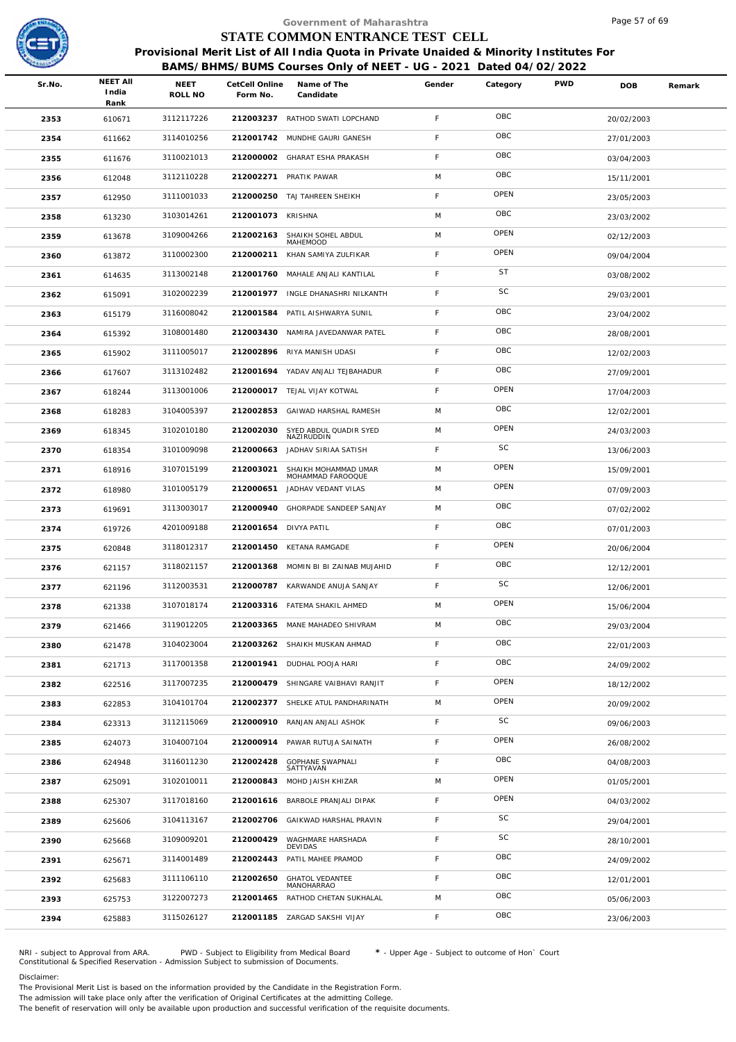

|        |                                  |                 |                            | Government of Maharashtra                                                                                                                                  |             |           |            | Page 5 / of 69 |        |
|--------|----------------------------------|-----------------|----------------------------|------------------------------------------------------------------------------------------------------------------------------------------------------------|-------------|-----------|------------|----------------|--------|
|        |                                  |                 |                            | STATE COMMON ENTRANCE TEST CELL                                                                                                                            |             |           |            |                |        |
|        |                                  |                 |                            | Provisional Merit List of All India Quota in Private Unaided & Minority Institutes For<br>BAMS/BHMS/BUMS Courses Only of NEET - UG - 2021 Dated 04/02/2022 |             |           |            |                |        |
| Sr.No. | <b>NEET AII</b><br>India<br>Rank | NEET<br>ROLL NO | CetCell Online<br>Form No. | Name of The<br>Candidate                                                                                                                                   | Gender      | Category  | <b>PWD</b> | DOB            | Remark |
| 2353   | 610671                           | 3112117226      |                            | 212003237 RATHOD SWATI LOPCHAND                                                                                                                            | F           | OBC       |            | 20/02/2003     |        |
| 2354   | 611662                           | 3114010256      | 212001742                  | MUNDHE GAURI GANESH                                                                                                                                        | F           | OBC       |            | 27/01/2003     |        |
| 2355   | 611676                           | 3110021013      | 212000002                  | GHARAT ESHA PRAKASH                                                                                                                                        | $\mathsf F$ | OBC       |            | 03/04/2003     |        |
| 2356   | 612048                           | 3112110228      |                            | 212002271 PRATIK PAWAR                                                                                                                                     | M           | OBC       |            | 15/11/2001     |        |
| 2357   | 612950                           | 3111001033      |                            | 212000250 TAJ TAHREEN SHEIKH                                                                                                                               | $\mathsf F$ | OPEN      |            | 23/05/2003     |        |
| 2358   | 613230                           | 3103014261      | 212001073 KRISHNA          |                                                                                                                                                            | M           | OBC       |            | 23/03/2002     |        |
| 2359   | 613678                           | 3109004266      | 212002163                  | SHAIKH SOHEL ABDUL<br>MAHEMOOD                                                                                                                             | M           | OPEN      |            | 02/12/2003     |        |
| 2360   | 613872                           | 3110002300      |                            | 212000211 KHAN SAMIYA ZULFIKAR                                                                                                                             | F           | OPEN      |            | 09/04/2004     |        |
| 2361   | 614635                           | 3113002148      |                            | 212001760 MAHALE ANJALI KANTILAL                                                                                                                           | F           | <b>ST</b> |            | 03/08/2002     |        |
| 2362   | 615091                           | 3102002239      | 212001977                  | INGLE DHANASHRI NILKANTH                                                                                                                                   | F           | SC        |            | 29/03/2001     |        |
| 2363   | 615179                           | 3116008042      | 212001584                  | PATIL AISHWARYA SUNIL                                                                                                                                      | F           | OBC       |            | 23/04/2002     |        |
| 2364   | 615392                           | 3108001480      |                            | 212003430 NAMIRA JAVEDANWAR PATEL                                                                                                                          | F           | OBC       |            | 28/08/2001     |        |
| 2365   | 615902                           | 3111005017      | 212002896                  | RIYA MANISH UDASI                                                                                                                                          | F           | OBC       |            | 12/02/2003     |        |
| 2366   | 617607                           | 3113102482      |                            | 212001694 YADAV ANJALI TEJBAHADUR                                                                                                                          | $\mathsf F$ | OBC       |            | 27/09/2001     |        |
| 2367   | 618244                           | 3113001006      |                            | 212000017 TEJAL VIJAY KOTWAL                                                                                                                               | F           | OPEN      |            | 17/04/2003     |        |
| 2368   | 618283                           | 3104005397      | 212002853                  | GAIWAD HARSHAL RAMESH                                                                                                                                      | M           | OBC       |            | 12/02/2001     |        |
| 2369   | 618345                           | 3102010180      | 212002030                  | SYED ABDUL QUADIR SYED<br>NAZIRUDDIN                                                                                                                       | M           | OPEN      |            | 24/03/2003     |        |
| 2370   | 618354                           | 3101009098      | 212000663                  | JADHAV SIRIAA SATISH                                                                                                                                       | F           | SC        |            | 13/06/2003     |        |
| 2371   | 618916                           | 3107015199      | 212003021                  | SHAIKH MOHAMMAD UMAR<br>MOHAMMAD FAROOQUE                                                                                                                  | M           | OPEN      |            | 15/09/2001     |        |
| 2372   | 618980                           | 3101005179      |                            | 212000651 JADHAV VEDANT VILAS                                                                                                                              | M           | OPEN      |            | 07/09/2003     |        |
| 2373   | 619691                           | 3113003017      | 212000940                  | GHORPADE SANDEEP SANJAY                                                                                                                                    | M           | OBC       |            | 07/02/2002     |        |
| 2374   | 619726                           | 4201009188      | 212001654 DIVYA PATIL      |                                                                                                                                                            | $\mathsf F$ | OBC       |            | 07/01/2003     |        |
| 2375   | 620848                           | 3118012317      |                            | 212001450 KETANA RAMGADE                                                                                                                                   | F           | OPEN      |            | 20/06/2004     |        |
| 2376   | 621157                           | 3118021157      |                            | 212001368 MOMIN BI BI ZAINAB MUJAHID                                                                                                                       | F           | OBC       |            | 12/12/2001     |        |
| 2377   | 621196                           | 3112003531      |                            | 212000787 KARWANDE ANUJA SANJAY                                                                                                                            | F           | <b>SC</b> |            | 12/06/2001     |        |
| 2378   | 621338                           | 3107018174      |                            | 212003316 FATEMA SHAKIL AHMED                                                                                                                              | M           | OPEN      |            | 15/06/2004     |        |
| 2379   | 621466                           | 3119012205      |                            | 212003365 MANE MAHADEO SHIVRAM                                                                                                                             | M           | OBC       |            | 29/03/2004     |        |
| 2380   | 621478                           | 3104023004      |                            | 212003262 SHAIKH MUSKAN AHMAD                                                                                                                              | F           | OBC       |            | 22/01/2003     |        |
| 2381   | 621713                           | 3117001358      | 212001941                  | DUDHAL POOJA HARI                                                                                                                                          | F           | OBC       |            | 24/09/2002     |        |
| 2382   | 622516                           | 3117007235      |                            | 212000479 SHINGARE VAIBHAVI RANJIT                                                                                                                         | F           | OPEN      |            | 18/12/2002     |        |
| 2383   | 622853                           | 3104101704      |                            | 212002377 SHELKE ATUL PANDHARINATH                                                                                                                         | M           | OPEN      |            | 20/09/2002     |        |
| 2384   | 623313                           | 3112115069      | 212000910                  | RANJAN ANJALI ASHOK                                                                                                                                        | F           | SC        |            | 09/06/2003     |        |
| 2385   | 624073                           | 3104007104      | 212000914                  | PAWAR RUTUJA SAINATH                                                                                                                                       | F           | OPEN      |            | 26/08/2002     |        |
| 2386   | 624948                           | 3116011230      | 212002428                  | <b>GOPHANE SWAPNALI</b><br>SATTYAVAN                                                                                                                       | F           | OBC       |            | 04/08/2003     |        |
| 2387   | 625091                           | 3102010011      | 212000843                  | MOHD JAISH KHIZAR                                                                                                                                          | M           | OPEN      |            | 01/05/2001     |        |
| 2388   | 625307                           | 3117018160      |                            | 212001616 BARBOLE PRANJALI DIPAK                                                                                                                           | F           | OPEN      |            | 04/03/2002     |        |
| 2389   | 625606                           | 3104113167      | 212002706                  | GAIKWAD HARSHAL PRAVIN                                                                                                                                     | $\mathsf F$ | SC        |            | 29/04/2001     |        |
| 2390   | 625668                           | 3109009201      | 212000429                  | WAGHMARE HARSHADA<br>DEVIDAS                                                                                                                               | F           | SC        |            | 28/10/2001     |        |
| 2391   | 625671                           | 3114001489      | 212002443                  | PATIL MAHEE PRAMOD                                                                                                                                         | F           | OBC       |            | 24/09/2002     |        |
| 2392   | 625683                           | 3111106110      | 212002650                  | <b>GHATOL VEDANTEE</b><br>MANOHARRAO                                                                                                                       | F           | OBC       |            | 12/01/2001     |        |
| 2393   | 625753                           | 3122007273      | 212001465                  | RATHOD CHETAN SUKHALAL                                                                                                                                     | M           | OBC       |            | 05/06/2003     |        |
| 2394   | 625883                           | 3115026127      |                            | 212001185 ZARGAD SAKSHI VIJAY                                                                                                                              | F.          | OBC       |            | 23/06/2003     |        |
|        |                                  |                 |                            |                                                                                                                                                            |             |           |            |                |        |

NRI - subject to Approval from ARA. PWD - Subject to Eligibility from Medical Board \* - Upper Age - Subject to outcome of Hon` Court<br>Constitutional & Specified Reservation - Admission Subject to submissio

Disclaimer:

The Provisional Merit List is based on the information provided by the Candidate in the Registration Form. The admission will take place only after the verification of Original Certificates at the admitting College.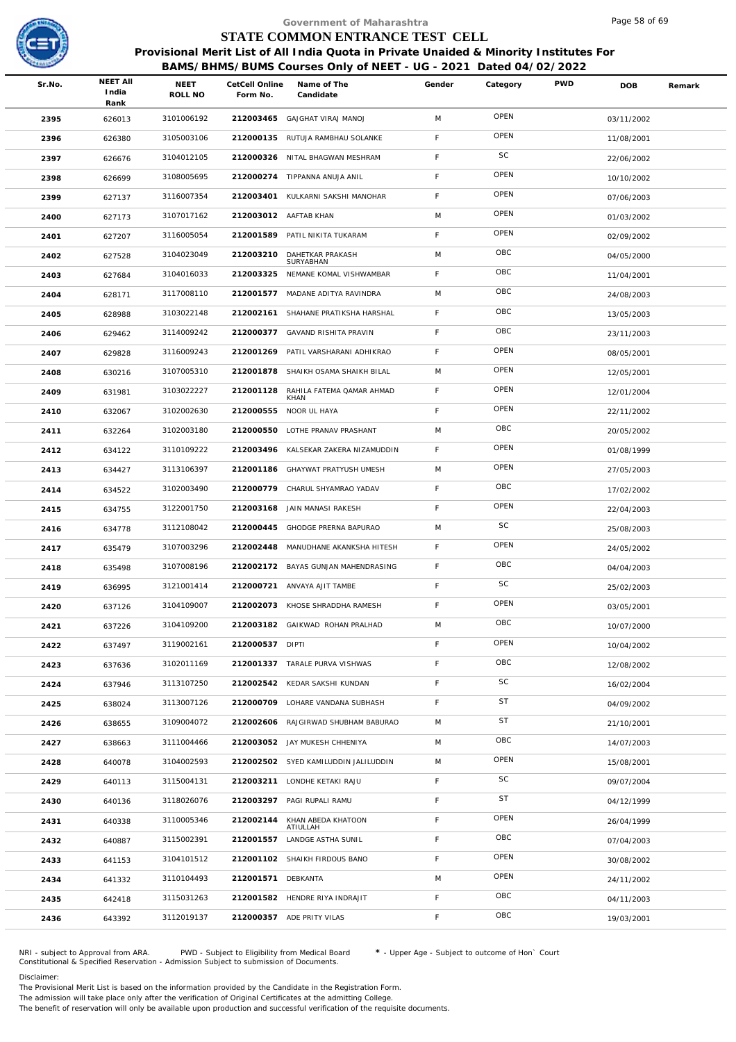

|        |                                  |                 |                            | Government of Maharashtra                                                              |             |           |            | Page 58 of 69 |        |
|--------|----------------------------------|-----------------|----------------------------|----------------------------------------------------------------------------------------|-------------|-----------|------------|---------------|--------|
|        |                                  |                 |                            | STATE COMMON ENTRANCE TEST CELL                                                        |             |           |            |               |        |
|        |                                  |                 |                            | Provisional Merit List of All India Quota in Private Unaided & Minority Institutes For |             |           |            |               |        |
|        |                                  |                 |                            | BAMS/BHMS/BUMS Courses Only of NEET - UG - 2021 Dated 04/02/2022                       |             |           |            |               |        |
| Sr.No. | <b>NEET AII</b><br>India<br>Rank | NEET<br>ROLL NO | CetCell Online<br>Form No. | Name of The<br>Candidate                                                               | Gender      | Category  | <b>PWD</b> | <b>DOB</b>    | Remark |
| 2395   | 626013                           | 3101006192      |                            | 212003465 GAJGHAT VIRAJ MANOJ                                                          | M           | OPEN      |            | 03/11/2002    |        |
| 2396   | 626380                           | 3105003106      | 212000135                  | RUTUJA RAMBHAU SOLANKE                                                                 | F           | OPEN      |            | 11/08/2001    |        |
| 2397   | 626676                           | 3104012105      |                            | 212000326 NITAL BHAGWAN MESHRAM                                                        | F           | SC        |            | 22/06/2002    |        |
| 2398   | 626699                           | 3108005695      |                            | 212000274 TIPPANNA ANUJA ANIL                                                          | F           | OPEN      |            | 10/10/2002    |        |
| 2399   | 627137                           | 3116007354      |                            | 212003401 KULKARNI SAKSHI MANOHAR                                                      | $\mathsf F$ | OPEN      |            | 07/06/2003    |        |
| 2400   | 627173                           | 3107017162      |                            | 212003012 AAFTAB KHAN                                                                  | M           | OPEN      |            | 01/03/2002    |        |
| 2401   | 627207                           | 3116005054      |                            | 212001589 PATIL NIKITA TUKARAM                                                         | F           | OPEN      |            | 02/09/2002    |        |
| 2402   | 627528                           | 3104023049      | 212003210                  | DAHETKAR PRAKASH<br>SURYABHAN                                                          | M           | OBC       |            | 04/05/2000    |        |
| 2403   | 627684                           | 3104016033      | 212003325                  | NEMANE KOMAL VISHWAMBAR                                                                | F           | OBC       |            | 11/04/2001    |        |
| 2404   | 628171                           | 3117008110      | 212001577                  | MADANE ADITYA RAVINDRA                                                                 | M           | OBC       |            | 24/08/2003    |        |
| 2405   | 628988                           | 3103022148      | 212002161                  | SHAHANE PRATIKSHA HARSHAL                                                              | F           | OBC       |            | 13/05/2003    |        |
| 2406   | 629462                           | 3114009242      |                            | 212000377 GAVAND RISHITA PRAVIN                                                        | F           | OBC       |            | 23/11/2003    |        |
| 2407   | 629828                           | 3116009243      | 212001269                  | PATIL VARSHARANI ADHIKRAO                                                              | F           | OPEN      |            | 08/05/2001    |        |
| 2408   | 630216                           | 3107005310      | 212001878                  | SHAIKH OSAMA SHAIKH BILAL                                                              | M           | OPEN      |            | 12/05/2001    |        |
| 2409   | 631981                           | 3103022227      | 212001128                  | RAHILA FATEMA QAMAR AHMAD<br>KHAN                                                      | F.          | OPEN      |            | 12/01/2004    |        |
| 2410   | 632067                           | 3102002630      | 212000555                  | NOOR UL HAYA                                                                           | $\mathsf F$ | OPEN      |            | 22/11/2002    |        |
| 2411   | 632264                           | 3102003180      | 212000550                  | LOTHE PRANAV PRASHANT                                                                  | M           | OBC       |            | 20/05/2002    |        |
| 2412   | 634122                           | 3110109222      | 212003496                  | KALSEKAR ZAKERA NIZAMUDDIN                                                             | F           | OPEN      |            | 01/08/1999    |        |
| 2413   | 634427                           | 3113106397      | 212001186                  | GHAYWAT PRATYUSH UMESH                                                                 | M           | OPEN      |            | 27/05/2003    |        |
| 2414   | 634522                           | 3102003490      |                            | 212000779 CHARUL SHYAMRAO YADAV                                                        | F.          | OBC       |            | 17/02/2002    |        |
| 2415   | 634755                           | 3122001750      | 212003168                  | JAIN MANASI RAKESH                                                                     | F           | OPEN      |            | 22/04/2003    |        |
| 2416   | 634778                           | 3112108042      |                            | 212000445 GHODGE PRERNA BAPURAO                                                        | M           | SC        |            | 25/08/2003    |        |
| 2417   | 635479                           | 3107003296      | 212002448                  | MANUDHANE AKANKSHA HITESH                                                              | F.          | OPEN      |            | 24/05/2002    |        |
| 2418   | 635498                           | 3107008196      |                            | 212002172 BAYAS GUNJAN MAHENDRASING                                                    | F           | OBC       |            | 04/04/2003    |        |
| 2419   | 636995                           | 3121001414      |                            | 212000721 ANVAYA AJIT TAMBE                                                            | F.          | SC        |            | 25/02/2003    |        |
| 2420   | 637126                           | 3104109007      |                            | 212002073 KHOSE SHRADDHA RAMESH                                                        | F           | OPEN      |            | 03/05/2001    |        |
| 2421   | 637226                           | 3104109200      |                            | 212003182 GAIKWAD ROHAN PRALHAD                                                        | M           | OBC       |            | 10/07/2000    |        |
| 2422   | 637497                           | 3119002161      | 212000537 DIPTI            |                                                                                        | F           | OPEN      |            | 10/04/2002    |        |
| 2423   | 637636                           | 3102011169      |                            | 212001337 TARALE PURVA VISHWAS                                                         | F           | OBC       |            | 12/08/2002    |        |
| 2424   | 637946                           | 3113107250      |                            | 212002542 KEDAR SAKSHI KUNDAN                                                          | F           | SC        |            | 16/02/2004    |        |
| 2425   | 638024                           | 3113007126      |                            | 212000709 LOHARE VANDANA SUBHASH                                                       | F.          | <b>ST</b> |            | 04/09/2002    |        |
| 2426   | 638655                           | 3109004072      | 212002606                  | RAJGIRWAD SHUBHAM BABURAO                                                              | M           | ST        |            | 21/10/2001    |        |
| 2427   | 638663                           | 3111004466      |                            | 212003052 JAY MUKESH CHHENIYA                                                          | M           | OBC       |            | 14/07/2003    |        |
| 2428   | 640078                           | 3104002593      |                            | 212002502 SYED KAMILUDDIN JALILUDDIN                                                   | M           | OPEN      |            | 15/08/2001    |        |
| 2429   | 640113                           | 3115004131      |                            | 212003211 LONDHE KETAKI RAJU                                                           | F.          | SC        |            | 09/07/2004    |        |
| 2430   | 640136                           | 3118026076      |                            | 212003297 PAGI RUPALI RAMU                                                             | F           | ST        |            | 04/12/1999    |        |
| 2431   | 640338                           | 3110005346      | 212002144                  | KHAN ABEDA KHATOON<br>ATIULLAH                                                         | F           | OPEN      |            | 26/04/1999    |        |
| 2432   | 640887                           | 3115002391      |                            | 212001557 LANDGE ASTHA SUNIL                                                           | F.          | OBC       |            | 07/04/2003    |        |
| 2433   | 641153                           | 3104101512      |                            | 212001102 SHAIKH FIRDOUS BANO                                                          | F           | OPEN      |            | 30/08/2002    |        |
| 2434   | 641332                           | 3110104493      | 212001571 DEBKANTA         |                                                                                        | M           | OPEN      |            | 24/11/2002    |        |
| 2435   | 642418                           | 3115031263      |                            | 212001582 HENDRE RIYA INDRAJIT                                                         | F           | OBC       |            | 04/11/2003    |        |
| 2436   | 643392                           | 3112019137      |                            | 212000357 ADE PRITY VILAS                                                              | F.          | OBC       |            | 19/03/2001    |        |
|        |                                  |                 |                            |                                                                                        |             |           |            |               |        |

NRI - subject to Approval from ARA. PWD - Subject to Eligibility from Medical Board \* - Upper Age - Subject to outcome of Hon` Court<br>Constitutional & Specified Reservation - Admission Subject to submissio

Disclaimer:

The Provisional Merit List is based on the information provided by the Candidate in the Registration Form. The admission will take place only after the verification of Original Certificates at the admitting College.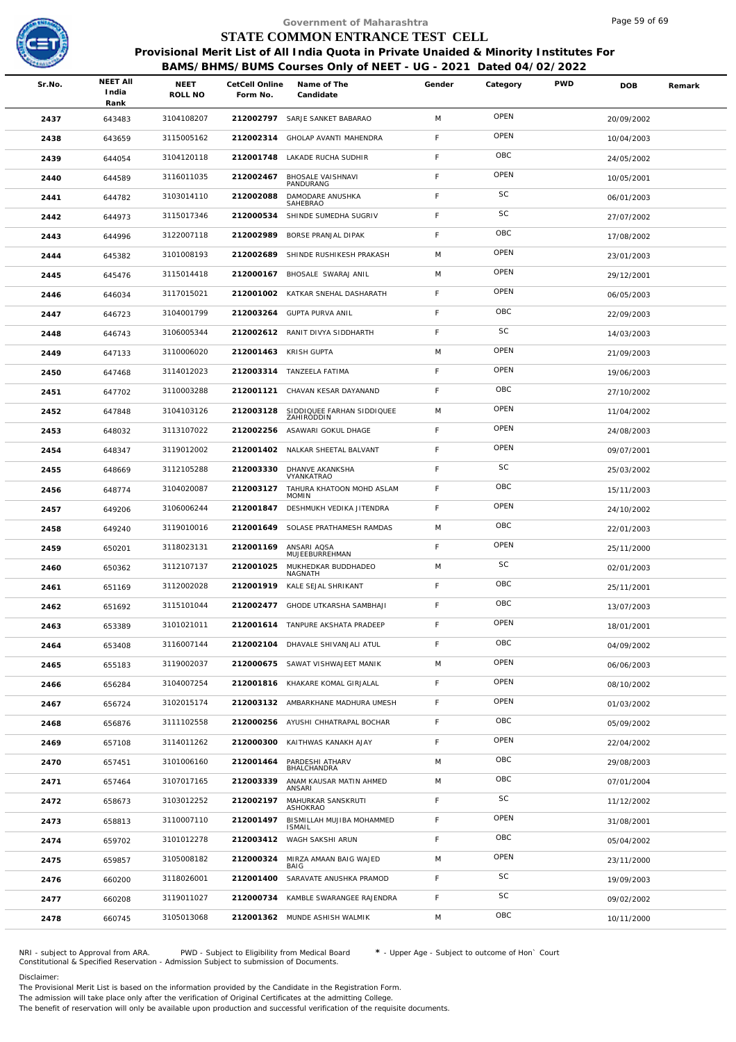

|              |                          |                 |                            | Government of Maharashtra                                                                    |        |           |            | Page 59 of 69            |        |
|--------------|--------------------------|-----------------|----------------------------|----------------------------------------------------------------------------------------------|--------|-----------|------------|--------------------------|--------|
|              |                          |                 |                            | STATE COMMON ENTRANCE TEST CELL                                                              |        |           |            |                          |        |
|              |                          |                 |                            | Provisional Merit List of All India Quota in Private Unaided & Minority Institutes For       |        |           |            |                          |        |
| Sr.No.       | <b>NEET AII</b><br>India | NEET<br>ROLL NO | CetCell Online<br>Form No. | BAMS/BHMS/BUMS Courses Only of NEET - UG - 2021 Dated 04/02/2022<br>Name of The<br>Candidate | Gender | Category  | <b>PWD</b> | <b>DOB</b>               | Remark |
|              | Rank                     | 3104108207      |                            | 212002797 SARJE SANKET BABARAO                                                               | M      | OPEN      |            |                          |        |
| 2437         | 643483                   | 3115005162      | 212002314                  | GHOLAP AVANTI MAHENDRA                                                                       | F      | OPEN      |            | 20/09/2002               |        |
| 2438         | 643659                   | 3104120118      | 212001748                  | LAKADE RUCHA SUDHIR                                                                          | F      | OBC       |            | 10/04/2003               |        |
| 2439         | 644054                   | 3116011035      | 212002467                  | BHOSALE VAISHNAVI                                                                            | F      | OPEN      |            | 24/05/2002               |        |
| 2440<br>2441 | 644589<br>644782         | 3103014110      | 212002088                  | PANDURANG<br>DAMODARE ANUSHKA                                                                | F      | SC        |            | 10/05/2001<br>06/01/2003 |        |
| 2442         | 644973                   | 3115017346      | 212000534                  | SAHEBRAO<br>SHINDE SUMEDHA SUGRIV                                                            | F      | SC        |            | 27/07/2002               |        |
| 2443         | 644996                   | 3122007118      | 212002989                  | BORSE PRANJAL DIPAK                                                                          | F      | OBC       |            | 17/08/2002               |        |
| 2444         | 645382                   | 3101008193      | 212002689                  | SHINDE RUSHIKESH PRAKASH                                                                     | M      | OPEN      |            | 23/01/2003               |        |
|              |                          | 3115014418      |                            | 212000167 BHOSALE SWARAJ ANIL                                                                | M      | OPEN      |            |                          |        |
| 2445         | 645476                   | 3117015021      | 212001002                  | KATKAR SNEHAL DASHARATH                                                                      | F      | OPEN      |            | 29/12/2001               |        |
| 2446         | 646034                   | 3104001799      | 212003264                  | <b>GUPTA PURVA ANIL</b>                                                                      | F      | OBC       |            | 06/05/2003               |        |
| 2447<br>2448 | 646723<br>646743         | 3106005344      |                            | 212002612 RANIT DIVYA SIDDHARTH                                                              | F      | SC        |            | 22/09/2003<br>14/03/2003 |        |
|              |                          | 3110006020      | 212001463 KRISH GUPTA      |                                                                                              | M      | OPEN      |            |                          |        |
| 2449<br>2450 | 647133<br>647468         | 3114012023      |                            | 212003314 TANZEELA FATIMA                                                                    | F      | OPEN      |            | 21/09/2003<br>19/06/2003 |        |
| 2451         | 647702                   | 3110003288      | 212001121                  | CHAVAN KESAR DAYANAND                                                                        | F      | OBC       |            | 27/10/2002               |        |
| 2452         | 647848                   | 3104103126      | 212003128                  | SIDDIQUEE FARHAN SIDDIQUEE                                                                   | M      | OPEN      |            | 11/04/2002               |        |
| 2453         | 648032                   | 3113107022      | 212002256                  | ZAHIRODDIN<br>ASAWARI GOKUL DHAGE                                                            | F      | OPEN      |            | 24/08/2003               |        |
| 2454         | 648347                   | 3119012002      | 212001402                  | NALKAR SHEETAL BALVANT                                                                       | F      | OPEN      |            | 09/07/2001               |        |
| 2455         | 648669                   | 3112105288      | 212003330                  | DHANVE AKANKSHA                                                                              | F      | SC        |            | 25/03/2002               |        |
| 2456         | 648774                   | 3104020087      | 212003127                  | VYANKATRAO<br>TAHURA KHATOON MOHD ASLAM                                                      | F      | OBC       |            | 15/11/2003               |        |
| 2457         | 649206                   | 3106006244      | 212001847                  | <b>MOMIN</b><br>DESHMUKH VEDIKA JITENDRA                                                     | F      | OPEN      |            | 24/10/2002               |        |
| 2458         | 649240                   | 3119010016      | 212001649                  | SOLASE PRATHAMESH RAMDAS                                                                     | M      | OBC       |            | 22/01/2003               |        |
| 2459         | 650201                   | 3118023131      | 212001169                  | ANSARI AQSA                                                                                  | F      | OPEN      |            | 25/11/2000               |        |
| 2460         | 650362                   | 3112107137      |                            | MUJEEBURREHMAN<br>212001025 MUKHEDKAR BUDDHADEO                                              | M      | <b>SC</b> |            | 02/01/2003               |        |
| 2461         | 651169                   | 3112002028      |                            | NAGNATH<br>212001919 KALE SEJAL SHRIKANT                                                     | F.     | OBC       |            | 25/11/2001               |        |
| 2462         | 651692                   | 3115101044      |                            | 212002477 GHODE UTKARSHA SAMBHAJI                                                            | F      | OBC       |            | 13/07/2003               |        |
| 2463         | 653389                   | 3101021011      |                            | 212001614 TANPURE AKSHATA PRADEEP                                                            | F      | OPEN      |            | 18/01/2001               |        |
| 2464         | 653408                   | 3116007144      |                            | 212002104 DHAVALE SHIVANJALI ATUL                                                            | F.     | OBC       |            | 04/09/2002               |        |
| 2465         | 655183                   | 3119002037      | 212000675                  | SAWAT VISHWAJEET MANIK                                                                       | M      | OPEN      |            | 06/06/2003               |        |
| 2466         | 656284                   | 3104007254      |                            | 212001816 KHAKARE KOMAL GIRJALAL                                                             | F      | OPEN      |            | 08/10/2002               |        |
| 2467         | 656724                   | 3102015174      |                            | 212003132 AMBARKHANE MADHURA UMESH                                                           | F.     | OPEN      |            | 01/03/2002               |        |
| 2468         | 656876                   | 3111102558      | 212000256                  | AYUSHI CHHATRAPAL BOCHAR                                                                     | F      | OBC       |            | 05/09/2002               |        |
| 2469         | 657108                   | 3114011262      | 212000300                  | KAITHWAS KANAKH AJAY                                                                         | F      | OPEN      |            | 22/04/2002               |        |
| 2470         | 657451                   | 3101006160      | 212001464                  | PARDESHI ATHARV                                                                              | M      | OBC       |            | 29/08/2003               |        |
| 2471         | 657464                   | 3107017165      | 212003339                  | BHALCHANDRA<br>ANAM KAUSAR MATIN AHMED                                                       | M      | OBC       |            | 07/01/2004               |        |
| 2472         | 658673                   | 3103012252      | 212002197                  | ANSARI<br>MAHURKAR SANSKRUTI                                                                 | F      | SC        |            | 11/12/2002               |        |
| 2473         | 658813                   | 3110007110      | 212001497                  | ASHOKRAO<br>BISMILLAH MUJIBA MOHAMMED                                                        | F      | OPEN      |            | 31/08/2001               |        |
| 2474         | 659702                   | 3101012278      | 212003412                  | <b>ISMAIL</b><br>WAGH SAKSHI ARUN                                                            | F      | OBC       |            | 05/04/2002               |        |
| 2475         | 659857                   | 3105008182      | 212000324                  | MIRZA AMAAN BAIG WAJED                                                                       | M      | OPEN      |            | 23/11/2000               |        |
| 2476         | 660200                   | 3118026001      | 212001400                  | BAIG<br>SARAVATE ANUSHKA PRAMOD                                                              | F      | SC        |            | 19/09/2003               |        |
| 2477         | 660208                   | 3119011027      |                            | 212000734 KAMBLE SWARANGEE RAJENDRA                                                          | F      | SC        |            | 09/02/2002               |        |
| 2478         | 660745                   | 3105013068      |                            | 212001362 MUNDE ASHISH WALMIK                                                                | M      | OBC       |            | 10/11/2000               |        |
|              |                          |                 |                            |                                                                                              |        |           |            |                          |        |

NRI - subject to Approval from ARA. PWD - Subject to Eligibility from Medical Board \* - Upper Age - Subject to outcome of Hon` Court<br>Constitutional & Specified Reservation - Admission Subject to submissio

Disclaimer:

The Provisional Merit List is based on the information provided by the Candidate in the Registration Form. The admission will take place only after the verification of Original Certificates at the admitting College.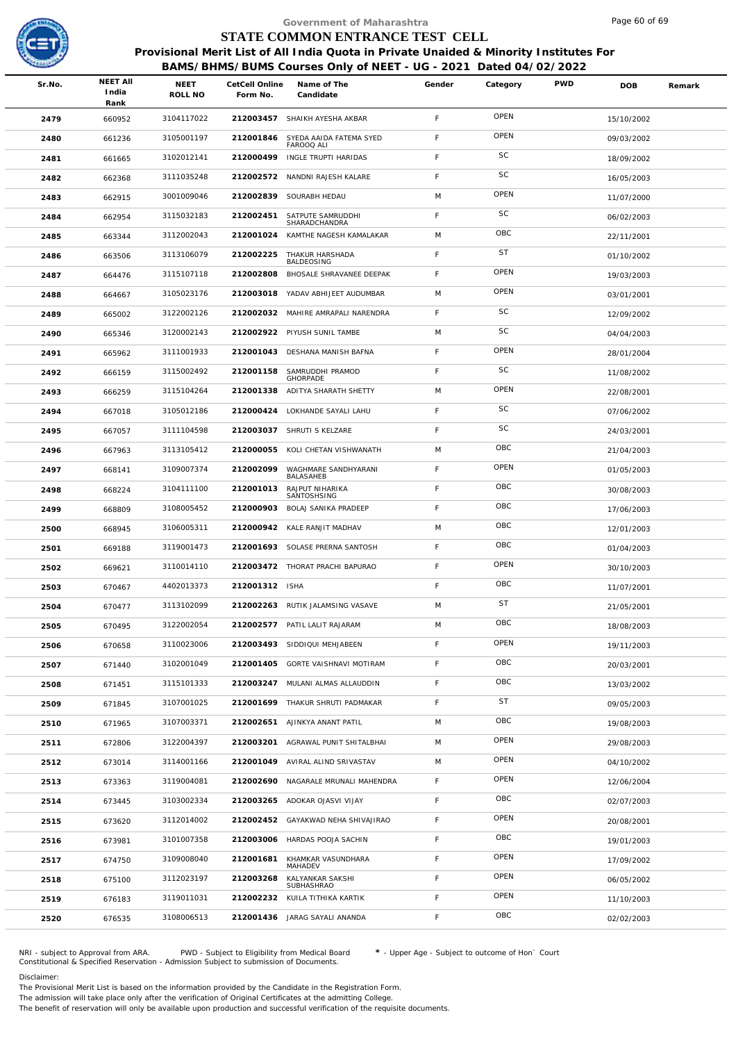

|        |                                  |                        |                            | Government of Maharashtra                                                                                                                                  |             |           |            | Page 60 of 69 |        |
|--------|----------------------------------|------------------------|----------------------------|------------------------------------------------------------------------------------------------------------------------------------------------------------|-------------|-----------|------------|---------------|--------|
|        |                                  |                        |                            | STATE COMMON ENTRANCE TEST CELL                                                                                                                            |             |           |            |               |        |
|        |                                  |                        |                            | Provisional Merit List of All India Quota in Private Unaided & Minority Institutes For<br>BAMS/BHMS/BUMS Courses Only of NEET - UG - 2021 Dated 04/02/2022 |             |           |            |               |        |
| Sr.No. | <b>NEET AII</b><br>India<br>Rank | <b>NEET</b><br>ROLL NO | CetCell Online<br>Form No. | Name of The<br>Candidate                                                                                                                                   | Gender      | Category  | <b>PWD</b> | <b>DOB</b>    | Remark |
| 2479   | 660952                           | 3104117022             |                            | 212003457 SHAIKH AYESHA AKBAR                                                                                                                              | $\mathsf F$ | OPEN      |            | 15/10/2002    |        |
| 2480   | 661236                           | 3105001197             | 212001846                  | SYEDA AAIDA FATEMA SYED<br>FAROOQ ALI                                                                                                                      | F           | OPEN      |            | 09/03/2002    |        |
| 2481   | 661665                           | 3102012141             | 212000499                  | INGLE TRUPTI HARIDAS                                                                                                                                       | $\mathsf F$ | SC        |            | 18/09/2002    |        |
| 2482   | 662368                           | 3111035248             |                            | 212002572 NANDNI RAJESH KALARE                                                                                                                             | F.          | <b>SC</b> |            | 16/05/2003    |        |
| 2483   | 662915                           | 3001009046             | 212002839                  | SOURABH HEDAU                                                                                                                                              | M           | OPEN      |            | 11/07/2000    |        |
| 2484   | 662954                           | 3115032183             | 212002451                  | SATPUTE SAMRUDDHI<br>SHARADCHANDRA                                                                                                                         | F.          | SC        |            | 06/02/2003    |        |
| 2485   | 663344                           | 3112002043             | 212001024                  | KAMTHE NAGESH KAMALAKAR                                                                                                                                    | M           | OBC       |            | 22/11/2001    |        |
| 2486   | 663506                           | 3113106079             | 212002225                  | THAKUR HARSHADA<br>BALDEOSING                                                                                                                              | F           | <b>ST</b> |            | 01/10/2002    |        |
| 2487   | 664476                           | 3115107118             | 212002808                  | BHOSALE SHRAVANEE DEEPAK                                                                                                                                   | $\mathsf F$ | OPEN      |            | 19/03/2003    |        |
| 2488   | 664667                           | 3105023176             | 212003018                  | YADAV ABHIJEET AUDUMBAR                                                                                                                                    | M           | OPEN      |            | 03/01/2001    |        |
| 2489   | 665002                           | 3122002126             |                            | 212002032 MAHIRE AMRAPALI NARENDRA                                                                                                                         | F.          | SC        |            | 12/09/2002    |        |
| 2490   | 665346                           | 3120002143             |                            | 212002922 PIYUSH SUNIL TAMBE                                                                                                                               | M           | SC        |            | 04/04/2003    |        |
| 2491   | 665962                           | 3111001933             | 212001043                  | DESHANA MANISH BAFNA                                                                                                                                       | $\mathsf F$ | OPEN      |            | 28/01/2004    |        |
| 2492   | 666159                           | 3115002492             | 212001158                  | SAMRUDDHI PRAMOD<br>GHORPADE                                                                                                                               | F           | SC        |            | 11/08/2002    |        |
| 2493   | 666259                           | 3115104264             | 212001338                  | ADITYA SHARATH SHETTY                                                                                                                                      | M           | OPEN      |            | 22/08/2001    |        |
| 2494   | 667018                           | 3105012186             | 212000424                  | LOKHANDE SAYALI LAHU                                                                                                                                       | F.          | SC        |            | 07/06/2002    |        |
| 2495   | 667057                           | 3111104598             |                            | 212003037 SHRUTI S KELZARE                                                                                                                                 | F           | SC        |            | 24/03/2001    |        |
| 2496   | 667963                           | 3113105412             | 212000055                  | KOLI CHETAN VISHWANATH                                                                                                                                     | M           | OBC       |            | 21/04/2003    |        |
| 2497   | 668141                           | 3109007374             | 212002099                  | WAGHMARE SANDHYARANI<br>BALASAHEB                                                                                                                          | F           | OPEN      |            | 01/05/2003    |        |
| 2498   | 668224                           | 3104111100             | 212001013                  | RAJPUT NIHARIKA<br>SANTOSHSING                                                                                                                             | F           | OBC       |            | 30/08/2003    |        |
| 2499   | 668809                           | 3108005452             | 212000903                  | BOLAJ SANIKA PRADEEP                                                                                                                                       | F           | OBC       |            | 17/06/2003    |        |
| 2500   | 668945                           | 3106005311             |                            | 212000942 KALE RANJIT MADHAV                                                                                                                               | M           | OBC       |            | 12/01/2003    |        |
| 2501   | 669188                           | 3119001473             |                            | 212001693 SOLASE PRERNA SANTOSH                                                                                                                            | F.          | OBC       |            | 01/04/2003    |        |
| 2502   | 669621                           | 3110014110             |                            | 212003472 THORAT PRACHI BAPURAO                                                                                                                            | F           | OPEN      |            | 30/10/2003    |        |
| 2503   | 670467                           | 4402013373             | 212001312 ISHA             |                                                                                                                                                            | F.          | OBC       |            | 11/07/2001    |        |
| 2504   | 670477                           | 3113102099             |                            | 212002263 RUTIK JALAMSING VASAVE                                                                                                                           | M           | <b>ST</b> |            | 21/05/2001    |        |
| 2505   | 670495                           | 3122002054             |                            | 212002577 PATIL LALIT RAJARAM                                                                                                                              | M           | OBC       |            | 18/08/2003    |        |
| 2506   | 670658                           | 3110023006             |                            | 212003493 SIDDIQUI MEHJABEEN                                                                                                                               | F           | OPEN      |            | 19/11/2003    |        |
| 2507   | 671440                           | 3102001049             | 212001405                  | GORTE VAISHNAVI MOTIRAM                                                                                                                                    | $\mathsf F$ | OBC       |            | 20/03/2001    |        |
| 2508   | 671451                           | 3115101333             |                            | 212003247 MULANI ALMAS ALLAUDDIN                                                                                                                           | F.          | OBC       |            | 13/03/2002    |        |
| 2509   | 671845                           | 3107001025             |                            | 212001699 THAKUR SHRUTI PADMAKAR                                                                                                                           | $\mathsf F$ | <b>ST</b> |            | 09/05/2003    |        |
| 2510   | 671965                           | 3107003371             | 212002651                  | AJINKYA ANANT PATIL                                                                                                                                        | M           | OBC       |            | 19/08/2003    |        |
| 2511   | 672806                           | 3122004397             | 212003201                  | AGRAWAL PUNIT SHITALBHAI                                                                                                                                   | M           | OPEN      |            | 29/08/2003    |        |
| 2512   | 673014                           | 3114001166             |                            | 212001049 AVIRAL ALIND SRIVASTAV                                                                                                                           | M           | OPEN      |            | 04/10/2002    |        |
| 2513   | 673363                           | 3119004081             |                            | 212002690 NAGARALE MRUNALI MAHENDRA                                                                                                                        | F.          | OPEN      |            | 12/06/2004    |        |
| 2514   | 673445                           | 3103002334             |                            | 212003265 ADOKAR OJASVI VIJAY                                                                                                                              | F           | OBC       |            | 02/07/2003    |        |
| 2515   | 673620                           | 3112014002             | 212002452                  | GAYAKWAD NEHA SHIVAJIRAO                                                                                                                                   | $\mathsf F$ | OPEN      |            | 20/08/2001    |        |
| 2516   | 673981                           | 3101007358             |                            | 212003006 HARDAS POOJA SACHIN                                                                                                                              | F.          | OBC       |            | 19/01/2003    |        |
| 2517   | 674750                           | 3109008040             | 212001681                  | KHAMKAR VASUNDHARA<br>MAHADEV                                                                                                                              | F           | OPEN      |            | 17/09/2002    |        |
| 2518   | 675100                           | 3112023197             | 212003268                  | KALYANKAR SAKSHI<br>SUBHASHRAO                                                                                                                             | F.          | OPEN      |            | 06/05/2002    |        |
| 2519   | 676183                           | 3119011031             | 212002232                  | KUILA TITHIKA KARTIK                                                                                                                                       | F           | OPEN      |            | 11/10/2003    |        |
| 2520   | 676535                           | 3108006513             |                            | 212001436 JARAG SAYALI ANANDA                                                                                                                              | F.          | OBC       |            | 02/02/2003    |        |
|        |                                  |                        |                            |                                                                                                                                                            |             |           |            |               |        |

NRI - subject to Approval from ARA. PWD - Subject to Eligibility from Medical Board \* - Upper Age - Subject to outcome of Hon` Court<br>Constitutional & Specified Reservation - Admission Subject to submissio

Disclaimer:

The Provisional Merit List is based on the information provided by the Candidate in the Registration Form. The admission will take place only after the verification of Original Certificates at the admitting College.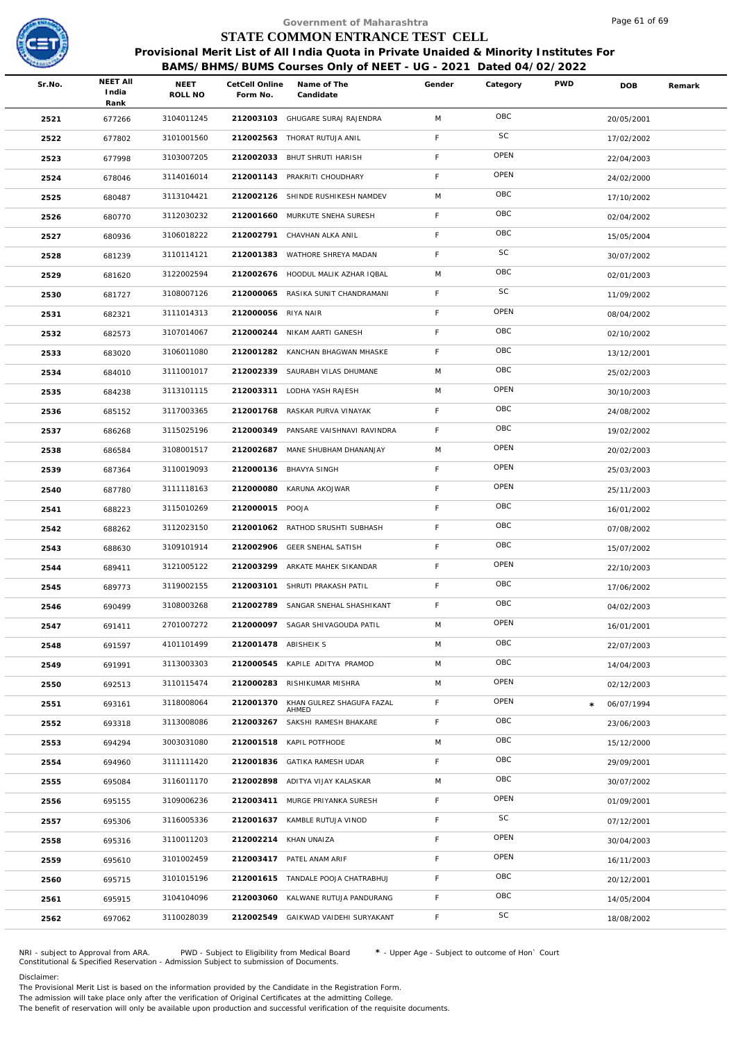

## **BAMS/BHMS/BUMS Courses Only of NEET - UG - 2021 Dated 04/02/2022**

|        |                                  |                 |                            | Government of Maharashtra                                                                                                                                  |             |          |            | Page 61 of 69 |        |
|--------|----------------------------------|-----------------|----------------------------|------------------------------------------------------------------------------------------------------------------------------------------------------------|-------------|----------|------------|---------------|--------|
|        |                                  |                 |                            | STATE COMMON ENTRANCE TEST CELL                                                                                                                            |             |          |            |               |        |
|        |                                  |                 |                            | Provisional Merit List of All India Quota in Private Unaided & Minority Institutes For<br>BAMS/BHMS/BUMS Courses Only of NEET - UG - 2021 Dated 04/02/2022 |             |          |            |               |        |
| Sr.No. | <b>NEET AII</b><br>India<br>Rank | NEET<br>ROLL NO | CetCell Online<br>Form No. | Name of The<br>Candidate                                                                                                                                   | Gender      | Category | <b>PWD</b> | <b>DOB</b>    | Remark |
| 2521   | 677266                           | 3104011245      |                            | 212003103 GHUGARE SURAJ RAJENDRA                                                                                                                           | M           | OBC      |            | 20/05/2001    |        |
| 2522   | 677802                           | 3101001560      |                            | 212002563 THORAT RUTUJA ANIL                                                                                                                               | $\mathsf F$ | SC       |            | 17/02/2002    |        |
| 2523   | 677998                           | 3103007205      |                            | 212002033 BHUT SHRUTI HARISH                                                                                                                               | $\mathsf F$ | OPEN     |            | 22/04/2003    |        |
| 2524   | 678046                           | 3114016014      |                            | 212001143 PRAKRITI CHOUDHARY                                                                                                                               | F           | OPEN     |            | 24/02/2000    |        |
| 2525   | 680487                           | 3113104421      |                            | 212002126 SHINDE RUSHIKESH NAMDEV                                                                                                                          | M           | OBC      |            | 17/10/2002    |        |
| 2526   | 680770                           | 3112030232      |                            | 212001660 MURKUTE SNEHA SURESH                                                                                                                             | $\mathsf F$ | OBC      |            | 02/04/2002    |        |
| 2527   | 680936                           | 3106018222      |                            | 212002791 CHAVHAN ALKA ANIL                                                                                                                                | $\mathsf F$ | OBC      |            | 15/05/2004    |        |
| 2528   | 681239                           | 3110114121      |                            | 212001383 WATHORE SHREYA MADAN                                                                                                                             | F           | SC       |            | 30/07/2002    |        |
| 2529   | 681620                           | 3122002594      |                            | 212002676 HOODUL MALIK AZHAR IQBAL                                                                                                                         | M           | OBC      |            | 02/01/2003    |        |
| 2530   | 681727                           | 3108007126      |                            | 212000065 RASIKA SUNIT CHANDRAMANI                                                                                                                         | $\mathsf F$ | SC       |            | 11/09/2002    |        |
| 2531   | 682321                           | 3111014313      | 212000056 RIYA NAIR        |                                                                                                                                                            | F           | OPEN     |            | 08/04/2002    |        |
| 2532   | 682573                           | 3107014067      |                            | 212000244 NIKAM AARTI GANESH                                                                                                                               | F           | OBC      |            | 02/10/2002    |        |
| 2533   | 683020                           | 3106011080      |                            | 212001282 KANCHAN BHAGWAN MHASKE                                                                                                                           | F           | OBC      |            | 13/12/2001    |        |
| 2534   | 684010                           | 3111001017      |                            | 212002339 SAURABH VILAS DHUMANE                                                                                                                            | M           | OBC      |            | 25/02/2003    |        |
| 2535   | 684238                           | 3113101115      |                            | 212003311 LODHA YASH RAJESH                                                                                                                                | M           | OPEN     |            | 30/10/2003    |        |
| 2536   | 685152                           | 3117003365      |                            | 212001768 RASKAR PURVA VINAYAK                                                                                                                             | F           | OBC      |            | 24/08/2002    |        |
| 2537   | 686268                           | 3115025196      |                            | 212000349 PANSARE VAISHNAVI RAVINDRA                                                                                                                       | F           | OBC      |            | 19/02/2002    |        |
| 2538   | 686584                           | 3108001517      | 212002687                  | MANE SHUBHAM DHANANJAY                                                                                                                                     | M           | OPEN     |            | 20/02/2003    |        |
| 2539   | 687364                           | 3110019093      |                            | 212000136 BHAVYA SINGH                                                                                                                                     | F           | OPEN     |            | 25/03/2003    |        |
| 2540   | 687780                           | 3111118163      |                            | 212000080 KARUNA AKOJWAR                                                                                                                                   | F           | OPEN     |            | 25/11/2003    |        |
| 2541   | 688223                           | 3115010269      | 212000015 POOJA            |                                                                                                                                                            | F           | OBC      |            | 16/01/2002    |        |
| 2542   | 688262                           | 3112023150      |                            | 212001062 RATHOD SRUSHTI SUBHASH                                                                                                                           | F           | OBC      |            | 07/08/2002    |        |
| 2543   | 688630                           | 3109101914      |                            | 212002906 GEER SNEHAL SATISH                                                                                                                               | F           | OBC      |            | 15/07/2002    |        |
| 2544   | 689411                           | 3121005122      |                            | 212003299 ARKATE MAHEK SIKANDAR                                                                                                                            | F           | OPEN     |            | 22/10/2003    |        |
| 2545   | 689773                           | 3119002155      |                            | 212003101 SHRUTI PRAKASH PATIL                                                                                                                             | F.          | OBC      |            | 17/06/2002    |        |
| 2546   | 690499                           | 3108003268      |                            | 212002789 SANGAR SNEHAL SHASHIKANT                                                                                                                         | F           | OBC      |            | 04/02/2003    |        |
| 2547   | 691411                           | 2701007272      |                            | 212000097 SAGAR SHIVAGOUDA PATIL                                                                                                                           | M           | OPEN     |            | 16/01/2001    |        |
| 2548   | 691597                           | 4101101499      | 212001478 ABISHEIK S       |                                                                                                                                                            | M           | OBC      |            | 22/07/2003    |        |
| 2549   | 691991                           | 3113003303      |                            | 212000545 KAPILE ADITYA PRAMOD                                                                                                                             | M           | OBC      |            | 14/04/2003    |        |
| 2550   | 692513                           | 3110115474      |                            | 212000283 RISHIKUMAR MISHRA                                                                                                                                | M           | OPEN     |            | 02/12/2003    |        |
| 2551   | 693161                           | 3118008064      | 212001370                  | KHAN GULREZ SHAGUFA FAZAL<br>AHMED                                                                                                                         | $\mathsf F$ | OPEN     |            | * 06/07/1994  |        |
| 2552   | 693318                           | 3113008086      | 212003267                  | SAKSHI RAMESH BHAKARE                                                                                                                                      | F           | OBC      |            | 23/06/2003    |        |
| 2553   | 694294                           | 3003031080      |                            | 212001518 KAPIL POTFHODE                                                                                                                                   | M           | OBC      |            | 15/12/2000    |        |
| 2554   | 694960                           | 3111111420      |                            | 212001836 GATIKA RAMESH UDAR                                                                                                                               | F           | OBC      |            | 29/09/2001    |        |
| 2555   | 695084                           | 3116011170      |                            | 212002898 ADITYA VIJAY KALASKAR                                                                                                                            | M           | OBC      |            | 30/07/2002    |        |
| 2556   | 695155                           | 3109006236      |                            | 212003411 MURGE PRIYANKA SURESH                                                                                                                            | $\mathsf F$ | OPEN     |            | 01/09/2001    |        |
| 2557   | 695306                           | 3116005336      | 212001637                  | KAMBLE RUTUJA VINOD                                                                                                                                        | F           | SC       |            | 07/12/2001    |        |
| 2558   | 695316                           | 3110011203      |                            | 212002214 KHAN UNAIZA                                                                                                                                      | F.          | OPEN     |            | 30/04/2003    |        |
| 2559   | 695610                           | 3101002459      |                            | 212003417 PATEL ANAM ARIF                                                                                                                                  | F           | OPEN     |            | 16/11/2003    |        |
| 2560   | 695715                           | 3101015196      |                            | 212001615 TANDALE POOJA CHATRABHUJ                                                                                                                         | F           | OBC      |            | 20/12/2001    |        |
| 2561   | 695915                           | 3104104096      |                            | 212003060 KALWANE RUTUJA PANDURANG                                                                                                                         | F           | OBC      |            | 14/05/2004    |        |
| 2562   | 697062                           | 3110028039      |                            | 212002549 GAIKWAD VAIDEHI SURYAKANT                                                                                                                        | F           | SC       |            | 18/08/2002    |        |
|        |                                  |                 |                            |                                                                                                                                                            |             |          |            |               |        |

NRI - subject to Approval from ARA. PWD - Subject to Eligibility from Medical Board \* - Upper Age - Subject to outcome of Hon` Court<br>Constitutional & Specified Reservation - Admission Subject to submissio

Disclaimer:

The Provisional Merit List is based on the information provided by the Candidate in the Registration Form.

The admission will take place only after the verification of Original Certificates at the admitting College.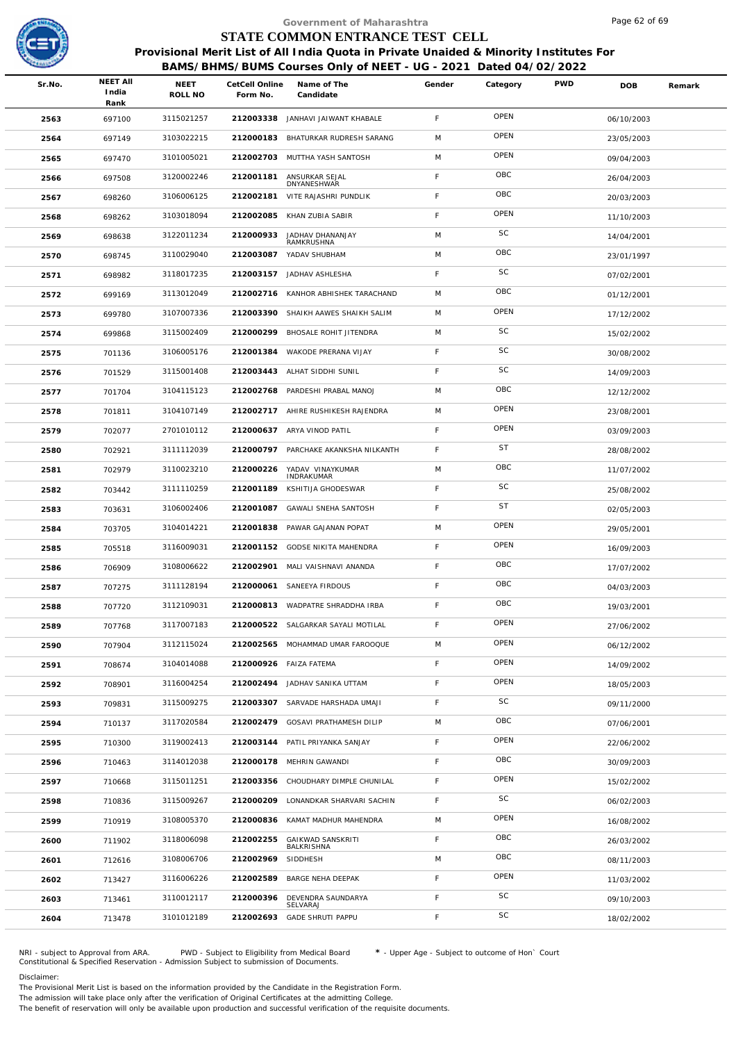

Page 62 of 69

|        |                                  |                 |                            | Government of Maharashtra                                                                                                                                  |             |           |            | Page 62 of 69 |        |
|--------|----------------------------------|-----------------|----------------------------|------------------------------------------------------------------------------------------------------------------------------------------------------------|-------------|-----------|------------|---------------|--------|
|        |                                  |                 |                            | STATE COMMON ENTRANCE TEST CELL                                                                                                                            |             |           |            |               |        |
|        |                                  |                 |                            | Provisional Merit List of All India Quota in Private Unaided & Minority Institutes For<br>BAMS/BHMS/BUMS Courses Only of NEET - UG - 2021 Dated 04/02/2022 |             |           |            |               |        |
| Sr.No. | <b>NEET AII</b><br>India<br>Rank | NEET<br>ROLL NO | CetCell Online<br>Form No. | Name of The<br>Candidate                                                                                                                                   | Gender      | Category  | <b>PWD</b> | <b>DOB</b>    | Remark |
| 2563   | 697100                           | 3115021257      | 212003338                  | JANHAVI JAIWANT KHABALE                                                                                                                                    | F           | OPEN      |            | 06/10/2003    |        |
| 2564   | 697149                           | 3103022215      | 212000183                  | BHATURKAR RUDRESH SARANG                                                                                                                                   | M           | OPEN      |            | 23/05/2003    |        |
| 2565   | 697470                           | 3101005021      | 212002703                  | MUTTHA YASH SANTOSH                                                                                                                                        | M           | OPEN      |            | 09/04/2003    |        |
| 2566   | 697508                           | 3120002246      | 212001181                  | ANSURKAR SEJAL<br>DNYANESHWAR                                                                                                                              | F           | OBC       |            | 26/04/2003    |        |
| 2567   | 698260                           | 3106006125      | 212002181                  | VITE RAJASHRI PUNDLIK                                                                                                                                      | $\mathsf F$ | OBC       |            | 20/03/2003    |        |
| 2568   | 698262                           | 3103018094      | 212002085                  | KHAN ZUBIA SABIR                                                                                                                                           | F           | OPEN      |            | 11/10/2003    |        |
| 2569   | 698638                           | 3122011234      | 212000933                  | JADHAV DHANANJAY<br>RAMKRUSHNA                                                                                                                             | M           | SC        |            | 14/04/2001    |        |
| 2570   | 698745                           | 3110029040      | 212003087                  | YADAV SHUBHAM                                                                                                                                              | M           | OBC       |            | 23/01/1997    |        |
| 2571   | 698982                           | 3118017235      |                            | 212003157 JADHAV ASHLESHA                                                                                                                                  | F           | SC        |            | 07/02/2001    |        |
| 2572   | 699169                           | 3113012049      | 212002716                  | KANHOR ABHISHEK TARACHAND                                                                                                                                  | M           | OBC       |            | 01/12/2001    |        |
| 2573   | 699780                           | 3107007336      | 212003390                  | SHAIKH AAWES SHAIKH SALIM                                                                                                                                  | M           | OPEN      |            | 17/12/2002    |        |
| 2574   | 699868                           | 3115002409      | 212000299                  | BHOSALE ROHIT JITENDRA                                                                                                                                     | M           | SC        |            | 15/02/2002    |        |
| 2575   | 701136                           | 3106005176      | 212001384                  | WAKODE PRERANA VIJAY                                                                                                                                       | F           | SC        |            | 30/08/2002    |        |
| 2576   | 701529                           | 3115001408      |                            | 212003443 ALHAT SIDDHI SUNIL                                                                                                                               | F           | SC        |            | 14/09/2003    |        |
| 2577   | 701704                           | 3104115123      | 212002768                  | PARDESHI PRABAL MANOJ                                                                                                                                      | M           | OBC       |            | 12/12/2002    |        |
| 2578   | 701811                           | 3104107149      |                            | 212002717 AHIRE RUSHIKESH RAJENDRA                                                                                                                         | M           | OPEN      |            | 23/08/2001    |        |
| 2579   | 702077                           | 2701010112      |                            | 212000637 ARYA VINOD PATIL                                                                                                                                 | F           | OPEN      |            | 03/09/2003    |        |
| 2580   | 702921                           | 3111112039      | 212000797                  | PARCHAKE AKANKSHA NILKANTH                                                                                                                                 | F           | <b>ST</b> |            | 28/08/2002    |        |
| 2581   | 702979                           | 3110023210      | 212000226                  | YADAV VINAYKUMAR<br>INDRAKUMAR                                                                                                                             | M           | OBC       |            | 11/07/2002    |        |
| 2582   | 703442                           | 3111110259      | 212001189                  | KSHITIJA GHODESWAR                                                                                                                                         | F           | SC        |            | 25/08/2002    |        |
| 2583   | 703631                           | 3106002406      | 212001087                  | GAWALI SNEHA SANTOSH                                                                                                                                       | F           | <b>ST</b> |            | 02/05/2003    |        |
| 2584   | 703705                           | 3104014221      | 212001838                  | PAWAR GAJANAN POPAT                                                                                                                                        | M           | OPEN      |            | 29/05/2001    |        |
| 2585   | 705518                           | 3116009031      | 212001152                  | GODSE NIKITA MAHENDRA                                                                                                                                      | F           | OPEN      |            | 16/09/2003    |        |
| 2586   | 706909                           | 3108006622      |                            | 212002901 MALI VAISHNAVI ANANDA                                                                                                                            | F           | OBC       |            | 17/07/2002    |        |
| 2587   | 707275                           | 3111128194      |                            | 212000061 SANEEYA FIRDOUS                                                                                                                                  | F           | OBC       |            | 04/03/2003    |        |
| 2588   | 707720                           | 3112109031      | 212000813                  | WADPATRE SHRADDHA IRBA                                                                                                                                     | F           | OBC       |            | 19/03/2001    |        |
| 2589   | 707768                           | 3117007183      |                            | 212000522 SALGARKAR SAYALI MOTILAL                                                                                                                         | $\mathsf F$ | OPEN      |            | 27/06/2002    |        |
| 2590   | 707904                           | 3112115024      |                            | 212002565 MOHAMMAD UMAR FAROOQUE                                                                                                                           | M           | OPEN      |            | 06/12/2002    |        |
| 2591   | 708674                           | 3104014088      |                            | 212000926 FAIZA FATEMA                                                                                                                                     | F           | OPEN      |            | 14/09/2002    |        |
| 2592   | 708901                           | 3116004254      | 212002494                  | JADHAV SANIKA UTTAM                                                                                                                                        | F           | OPEN      |            | 18/05/2003    |        |
| 2593   | 709831                           | 3115009275      | 212003307                  | SARVADE HARSHADA UMAJI                                                                                                                                     | $\mathsf F$ | SC        |            | 09/11/2000    |        |
| 2594   | 710137                           | 3117020584      | 212002479                  | GOSAVI PRATHAMESH DILIP                                                                                                                                    | M           | OBC       |            | 07/06/2001    |        |
| 2595   | 710300                           | 3119002413      |                            | 212003144 PATIL PRIYANKA SANJAY                                                                                                                            | F           | OPEN      |            | 22/06/2002    |        |
| 2596   | 710463                           | 3114012038      |                            | 212000178 MEHRIN GAWANDI                                                                                                                                   | F           | OBC       |            | 30/09/2003    |        |
| 2597   | 710668                           | 3115011251      | 212003356                  | CHOUDHARY DIMPLE CHUNILAL                                                                                                                                  | F           | OPEN      |            | 15/02/2002    |        |
| 2598   | 710836                           | 3115009267      |                            | 212000209 LONANDKAR SHARVARI SACHIN                                                                                                                        | F           | SC        |            | 06/02/2003    |        |
| 2599   | 710919                           | 3108005370      | 212000836                  | KAMAT MADHUR MAHENDRA                                                                                                                                      | M           | OPEN      |            | 16/08/2002    |        |
| 2600   | 711902                           | 3118006098      | 212002255                  | <b>GAIKWAD SANSKRITI</b><br>BALKRISHNA                                                                                                                     | F           | OBC       |            | 26/03/2002    |        |
| 2601   | 712616                           | 3108006706      | 212002969                  | SIDDHESH                                                                                                                                                   | M           | OBC       |            | 08/11/2003    |        |
| 2602   | 713427                           | 3116006226      | 212002589                  | BARGE NEHA DEEPAK                                                                                                                                          | F           | OPEN      |            | 11/03/2002    |        |
| 2603   | 713461                           | 3110012117      | 212000396                  | DEVENDRA SAUNDARYA<br>SELVARAJ                                                                                                                             | F           | SC        |            | 09/10/2003    |        |
| 2604   | 713478                           | 3101012189      | 212002693                  | <b>GADE SHRUTI PAPPU</b>                                                                                                                                   | F           | SC        |            | 18/02/2002    |        |
|        |                                  |                 |                            |                                                                                                                                                            |             |           |            |               |        |

NRI - subject to Approval from ARA. PWD - Subject to Eligibility from Medical Board \* - Upper Age - Subject to outcome of Hon` Court<br>Constitutional & Specified Reservation - Admission Subject to submissio

Disclaimer:

The Provisional Merit List is based on the information provided by the Candidate in the Registration Form. The admission will take place only after the verification of Original Certificates at the admitting College.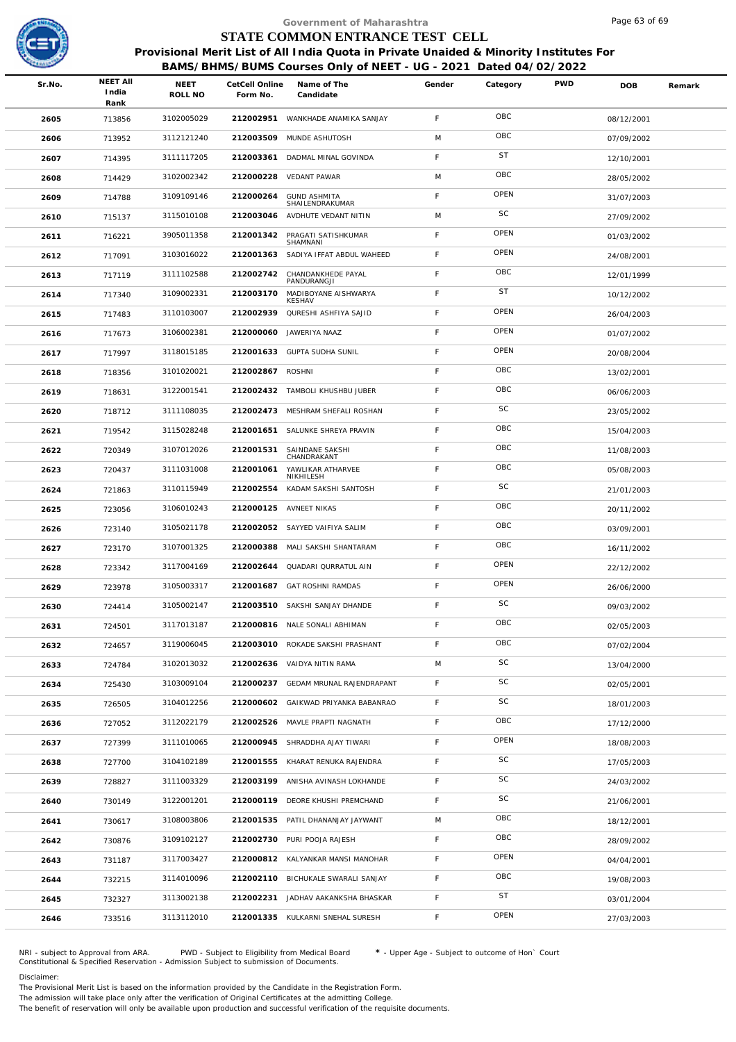

|        |                                  |                 |                            | Government of Maharashtra                                                              |             |           |            | Page 63 of 69 |        |
|--------|----------------------------------|-----------------|----------------------------|----------------------------------------------------------------------------------------|-------------|-----------|------------|---------------|--------|
|        |                                  |                 |                            | STATE COMMON ENTRANCE TEST CELL                                                        |             |           |            |               |        |
|        |                                  |                 |                            | Provisional Merit List of All India Quota in Private Unaided & Minority Institutes For |             |           |            |               |        |
|        |                                  |                 |                            | BAMS/BHMS/BUMS Courses Only of NEET - UG - 2021 Dated 04/02/2022                       |             |           |            |               |        |
| Sr.No. | <b>NEET AII</b><br>India<br>Rank | NEET<br>ROLL NO | CetCell Online<br>Form No. | Name of The<br>Candidate                                                               | Gender      | Category  | <b>PWD</b> | <b>DOB</b>    | Remark |
| 2605   | 713856                           | 3102005029      |                            | 212002951 WANKHADE ANAMIKA SANJAY                                                      | F           | OBC       |            | 08/12/2001    |        |
| 2606   | 713952                           | 3112121240      | 212003509                  | MUNDE ASHUTOSH                                                                         | M           | OBC       |            | 07/09/2002    |        |
| 2607   | 714395                           | 3111117205      | 212003361                  | DADMAL MINAL GOVINDA                                                                   | $\mathsf F$ | <b>ST</b> |            | 12/10/2001    |        |
| 2608   | 714429                           | 3102002342      | 212000228                  | <b>VEDANT PAWAR</b>                                                                    | M           | OBC       |            | 28/05/2002    |        |
| 2609   | 714788                           | 3109109146      | 212000264                  | <b>GUND ASHMITA</b><br>SHAILENDRAKUMAR                                                 | F           | OPEN      |            | 31/07/2003    |        |
| 2610   | 715137                           | 3115010108      | 212003046                  | AVDHUTE VEDANT NITIN                                                                   | M           | SC        |            | 27/09/2002    |        |
| 2611   | 716221                           | 3905011358      | 212001342                  | PRAGATI SATISHKUMAR<br>SHAMNANI                                                        | F           | OPEN      |            | 01/03/2002    |        |
| 2612   | 717091                           | 3103016022      | 212001363                  | SADIYA IFFAT ABDUL WAHEED                                                              | F           | OPEN      |            | 24/08/2001    |        |
| 2613   | 717119                           | 3111102588      | 212002742                  | CHANDANKHEDE PAYAL<br>PANDURANGJI                                                      | F           | OBC       |            | 12/01/1999    |        |
| 2614   | 717340                           | 3109002331      | 212003170                  | MADIBOYANE AISHWARYA<br><b>KESHAV</b>                                                  | F           | <b>ST</b> |            | 10/12/2002    |        |
| 2615   | 717483                           | 3110103007      | 212002939                  | QURESHI ASHFIYA SAJID                                                                  | F           | OPEN      |            | 26/04/2003    |        |
| 2616   | 717673                           | 3106002381      |                            | 212000060 JAWERIYA NAAZ                                                                | F           | OPEN      |            | 01/07/2002    |        |
| 2617   | 717997                           | 3118015185      | 212001633                  | <b>GUPTA SUDHA SUNIL</b>                                                               | F           | OPEN      |            | 20/08/2004    |        |
| 2618   | 718356                           | 3101020021      | 212002867 ROSHNI           |                                                                                        | F           | OBC       |            | 13/02/2001    |        |
| 2619   | 718631                           | 3122001541      |                            | 212002432 TAMBOLI KHUSHBU JUBER                                                        | F           | OBC       |            | 06/06/2003    |        |
| 2620   | 718712                           | 3111108035      |                            | 212002473 MESHRAM SHEFALI ROSHAN                                                       | F           | SC        |            | 23/05/2002    |        |
| 2621   | 719542                           | 3115028248      |                            | 212001651 SALUNKE SHREYA PRAVIN                                                        | F           | OBC       |            | 15/04/2003    |        |
| 2622   | 720349                           | 3107012026      | 212001531                  | SAINDANE SAKSHI<br>CHANDRAKANT                                                         | F           | OBC       |            | 11/08/2003    |        |
| 2623   | 720437                           | 3111031008      | 212001061                  | YAWLIKAR ATHARVEE<br>NIKHILESH                                                         | F           | OBC       |            | 05/08/2003    |        |
| 2624   | 721863                           | 3110115949      | 212002554                  | KADAM SAKSHI SANTOSH                                                                   | F           | <b>SC</b> |            | 21/01/2003    |        |
| 2625   | 723056                           | 3106010243      | 212000125                  | AVNEET NIKAS                                                                           | F           | OBC       |            | 20/11/2002    |        |
| 2626   | 723140                           | 3105021178      |                            | 212002052 SAYYED VAIFIYA SALIM                                                         | $\mathsf F$ | OBC       |            | 03/09/2001    |        |
| 2627   | 723170                           | 3107001325      | 212000388                  | MALI SAKSHI SHANTARAM                                                                  | F           | OBC       |            | 16/11/2002    |        |
| 2628   | 723342                           | 3117004169      |                            | 212002644 QUADARI QURRATUL AIN                                                         | F           | OPEN      |            | 22/12/2002    |        |
| 2629   | 723978                           | 3105003317      |                            | 212001687 GAT ROSHNI RAMDAS                                                            | F.          | OPEN      |            | 26/06/2000    |        |
| 2630   | 724414                           | 3105002147      |                            | 212003510 SAKSHI SANJAY DHANDE                                                         | F           | SC        |            | 09/03/2002    |        |
| 2631   | 724501                           | 3117013187      |                            | 212000816 NALE SONALI ABHIMAN                                                          | $\mathsf F$ | OBC       |            | 02/05/2003    |        |
| 2632   | 724657                           | 3119006045      |                            | 212003010 ROKADE SAKSHI PRASHANT                                                       | $\mathsf F$ | OBC       |            | 07/02/2004    |        |
| 2633   | 724784                           | 3102013032      |                            | 212002636 VAIDYA NITIN RAMA                                                            | M           | SC        |            | 13/04/2000    |        |
| 2634   | 725430                           | 3103009104      |                            | 212000237 GEDAM MRUNAL RAJENDRAPANT                                                    | F           | SC        |            | 02/05/2001    |        |
| 2635   | 726505                           | 3104012256      |                            | 212000602 GAIKWAD PRIYANKA BABANRAO                                                    | $\mathsf F$ | SC        |            | 18/01/2003    |        |
| 2636   | 727052                           | 3112022179      |                            | 212002526 MAVLE PRAPTI NAGNATH                                                         | $\mathsf F$ | OBC       |            | 17/12/2000    |        |
| 2637   | 727399                           | 3111010065      |                            | 212000945 SHRADDHA AJAY TIWARI                                                         | $\mathsf F$ | OPEN      |            | 18/08/2003    |        |
| 2638   | 727700                           | 3104102189      | 212001555                  | KHARAT RENUKA RAJENDRA                                                                 | $\mathsf F$ | SC        |            | 17/05/2003    |        |
| 2639   | 728827                           | 3111003329      |                            | 212003199 ANISHA AVINASH LOKHANDE                                                      | $\mathsf F$ | SC        |            | 24/03/2002    |        |
| 2640   | 730149                           | 3122001201      |                            | 212000119 DEORE KHUSHI PREMCHAND                                                       | $\mathsf F$ | SC        |            | 21/06/2001    |        |
| 2641   | 730617                           | 3108003806      | 212001535                  | PATIL DHANANJAY JAYWANT                                                                | M           | OBC       |            | 18/12/2001    |        |
| 2642   | 730876                           | 3109102127      |                            | 212002730 PURI POOJA RAJESH                                                            | F           | OBC       |            | 28/09/2002    |        |
| 2643   | 731187                           | 3117003427      |                            | 212000812 KALYANKAR MANSI MANOHAR                                                      | $\mathsf F$ | OPEN      |            | 04/04/2001    |        |
| 2644   | 732215                           | 3114010096      |                            | 212002110 BICHUKALE SWARALI SANJAY                                                     | $\mathsf F$ | OBC       |            | 19/08/2003    |        |
| 2645   | 732327                           | 3113002138      |                            | 212002231 JADHAV AAKANKSHA BHASKAR                                                     | $\mathsf F$ | <b>ST</b> |            | 03/01/2004    |        |
| 2646   | 733516                           | 3113112010      |                            | 212001335 KULKARNI SNEHAL SURESH                                                       | $\mathsf F$ | OPEN      |            | 27/03/2003    |        |
|        |                                  |                 |                            |                                                                                        |             |           |            |               |        |

NRI - subject to Approval from ARA. PWD - Subject to Eligibility from Medical Board \* - Upper Age - Subject to outcome of Hon` Court<br>Constitutional & Specified Reservation - Admission Subject to submissio

Disclaimer:

The Provisional Merit List is based on the information provided by the Candidate in the Registration Form.

The admission will take place only after the verification of Original Certificates at the admitting College.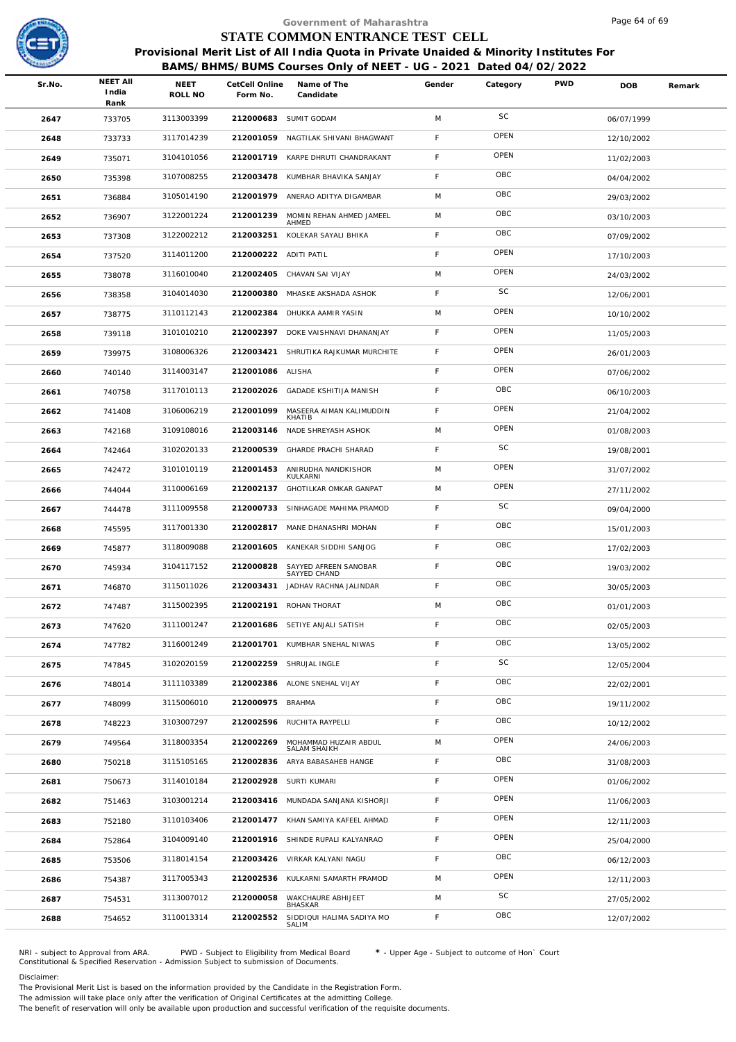

|        |                                  |                        |                            | Government of Maharashtra                                                                                                                                  |        |             |            | Page 64 of 69 |        |
|--------|----------------------------------|------------------------|----------------------------|------------------------------------------------------------------------------------------------------------------------------------------------------------|--------|-------------|------------|---------------|--------|
|        |                                  |                        |                            | STATE COMMON ENTRANCE TEST CELL                                                                                                                            |        |             |            |               |        |
|        |                                  |                        |                            | Provisional Merit List of All India Quota in Private Unaided & Minority Institutes For<br>BAMS/BHMS/BUMS Courses Only of NEET - UG - 2021 Dated 04/02/2022 |        |             |            |               |        |
| Sr.No. | <b>NEET AII</b><br>India<br>Rank | <b>NEET</b><br>ROLL NO | CetCell Online<br>Form No. | Name of The<br>Candidate                                                                                                                                   | Gender | Category    | <b>PWD</b> | <b>DOB</b>    | Remark |
| 2647   | 733705                           | 3113003399             |                            | 212000683 SUMIT GODAM                                                                                                                                      | M      | SC          |            | 06/07/1999    |        |
| 2648   | 733733                           | 3117014239             |                            | 212001059 NAGTILAK SHIVANI BHAGWANT                                                                                                                        | F.     | OPEN        |            | 12/10/2002    |        |
| 2649   | 735071                           | 3104101056             |                            | 212001719 KARPE DHRUTI CHANDRAKANT                                                                                                                         | F      | OPEN        |            | 11/02/2003    |        |
| 2650   | 735398                           | 3107008255             |                            | 212003478 KUMBHAR BHAVIKA SANJAY                                                                                                                           | F      | OBC         |            | 04/04/2002    |        |
| 2651   | 736884                           | 3105014190             | 212001979                  | ANERAO ADITYA DIGAMBAR                                                                                                                                     | M      | OBC         |            | 29/03/2002    |        |
| 2652   | 736907                           | 3122001224             | 212001239                  | MOMIN REHAN AHMED JAMEEL<br>AHMED                                                                                                                          | M      | OBC         |            | 03/10/2003    |        |
| 2653   | 737308                           | 3122002212             | 212003251                  | KOLEKAR SAYALI BHIKA                                                                                                                                       | F      | OBC         |            | 07/09/2002    |        |
| 2654   | 737520                           | 3114011200             | 212000222 ADITI PATIL      |                                                                                                                                                            | F.     | OPEN        |            | 17/10/2003    |        |
| 2655   | 738078                           | 3116010040             |                            | 212002405 CHAVAN SAI VIJAY                                                                                                                                 | M      | OPEN        |            | 24/03/2002    |        |
| 2656   | 738358                           | 3104014030             | 212000380                  | MHASKE AKSHADA ASHOK                                                                                                                                       | F.     | SC          |            | 12/06/2001    |        |
| 2657   | 738775                           | 3110112143             | 212002384                  | DHUKKA AAMIR YASIN                                                                                                                                         | M      | OPEN        |            | 10/10/2002    |        |
| 2658   | 739118                           | 3101010210             |                            | 212002397 DOKE VAISHNAVI DHANANJAY                                                                                                                         | F      | OPEN        |            | 11/05/2003    |        |
| 2659   | 739975                           | 3108006326             | 212003421                  | SHRUTIKA RAJKUMAR MURCHITE                                                                                                                                 | F      | OPEN        |            | 26/01/2003    |        |
| 2660   | 740140                           | 3114003147             | 212001086 ALISHA           |                                                                                                                                                            | F      | OPEN        |            | 07/06/2002    |        |
| 2661   | 740758                           | 3117010113             | 212002026                  | <b>GADADE KSHITIJA MANISH</b>                                                                                                                              | F.     | OBC         |            | 06/10/2003    |        |
| 2662   | 741408                           | 3106006219             | 212001099                  | MASEERA AIMAN KALIMUDDIN<br>KHATIB                                                                                                                         | F.     | OPEN        |            | 21/04/2002    |        |
| 2663   | 742168                           | 3109108016             |                            | 212003146 NADE SHREYASH ASHOK                                                                                                                              | M      | OPEN        |            | 01/08/2003    |        |
| 2664   | 742464                           | 3102020133             | 212000539                  | GHARDE PRACHI SHARAD                                                                                                                                       | F.     | SC          |            | 19/08/2001    |        |
| 2665   | 742472                           | 3101010119             | 212001453                  | ANIRUDHA NANDKISHOR<br>KULKARNI                                                                                                                            | M      | OPEN        |            | 31/07/2002    |        |
| 2666   | 744044                           | 3110006169             | 212002137                  | GHOTILKAR OMKAR GANPAT                                                                                                                                     | M      | OPEN        |            | 27/11/2002    |        |
| 2667   | 744478                           | 3111009558             | 212000733                  | SINHAGADE MAHIMA PRAMOD                                                                                                                                    | F      | SC          |            | 09/04/2000    |        |
| 2668   | 745595                           | 3117001330             |                            | 212002817 MANE DHANASHRI MOHAN                                                                                                                             | F      | OBC         |            | 15/01/2003    |        |
| 2669   | 745877                           | 3118009088             |                            | 212001605 KANEKAR SIDDHI SANJOG                                                                                                                            | F.     | OBC         |            | 17/02/2003    |        |
| 2670   | 745934                           | 3104117152             |                            | 212000828 SAYYED AFREEN SANOBAR<br>SAYYED CHAND                                                                                                            | F      | OBC         |            | 19/03/2002    |        |
| 2671   | 746870                           | 3115011026             |                            | 212003431 JADHAV RACHNA JALINDAR                                                                                                                           | F.     | OBC         |            | 30/05/2003    |        |
| 2672   | 747487                           | 3115002395             | 212002191                  | ROHAN THORAT                                                                                                                                               | M      | OBC         |            | 01/01/2003    |        |
| 2673   | 747620                           | 3111001247             |                            | 212001686 SETIYE ANJALI SATISH                                                                                                                             | F.     | OBC         |            | 02/05/2003    |        |
| 2674   | 747782                           | 3116001249             |                            | 212001701 KUMBHAR SNEHAL NIWAS                                                                                                                             | F      | OBC         |            | 13/05/2002    |        |
| 2675   | 747845                           | 3102020159             |                            | 212002259 SHRUJAL INGLE                                                                                                                                    | F.     | SC          |            | 12/05/2004    |        |
| 2676   | 748014                           | 3111103389             |                            | 212002386 ALONE SNEHAL VIJAY                                                                                                                               | F.     | OBC         |            | 22/02/2001    |        |
| 2677   | 748099                           | 3115006010             | 212000975 BRAHMA           |                                                                                                                                                            | F.     | OBC         |            | 19/11/2002    |        |
| 2678   | 748223                           | 3103007297             |                            | 212002596 RUCHITA RAYPELLI                                                                                                                                 | F.     | OBC         |            | 10/12/2002    |        |
| 2679   | 749564                           | 3118003354             | 212002269                  | MOHAMMAD HUZAIR ABDUL<br>SALAM SHAIKH                                                                                                                      | M      | OPEN        |            | 24/06/2003    |        |
| 2680   | 750218                           | 3115105165             |                            | 212002836 ARYA BABASAHEB HANGE                                                                                                                             | F.     | OBC         |            | 31/08/2003    |        |
| 2681   | 750673                           | 3114010184             |                            | 212002928 SURTI KUMARI                                                                                                                                     | F.     | OPEN        |            | 01/06/2002    |        |
| 2682   | 751463                           | 3103001214             |                            | 212003416 MUNDADA SANJANA KISHORJI                                                                                                                         | F      | OPEN        |            | 11/06/2003    |        |
| 2683   | 752180                           | 3110103406             |                            | 212001477 KHAN SAMIYA KAFEEL AHMAD                                                                                                                         | F      | OPEN        |            | 12/11/2003    |        |
| 2684   | 752864                           | 3104009140             |                            | 212001916 SHINDE RUPALI KALYANRAO                                                                                                                          | F.     | <b>OPEN</b> |            | 25/04/2000    |        |
| 2685   | 753506                           | 3118014154             |                            | 212003426 VIRKAR KALYANI NAGU                                                                                                                              | F.     | OBC         |            | 06/12/2003    |        |
| 2686   | 754387                           | 3117005343             |                            | 212002536 KULKARNI SAMARTH PRAMOD                                                                                                                          | M      | OPEN        |            | 12/11/2003    |        |
| 2687   | 754531                           | 3113007012             | 212000058                  | WAKCHAURE ABHIJEET<br>BHASKAR                                                                                                                              | M      | SC          |            | 27/05/2002    |        |
| 2688   | 754652                           | 3110013314             | 212002552                  | SIDDIQUI HALIMA SADIYA MO<br>SALIM                                                                                                                         | F.     | OBC         |            | 12/07/2002    |        |
|        |                                  |                        |                            |                                                                                                                                                            |        |             |            |               |        |

NRI - subject to Approval from ARA. PWD - Subject to Eligibility from Medical Board \* - Upper Age - Subject to outcome of Hon` Court<br>Constitutional & Specified Reservation - Admission Subject to submissio

Disclaimer:

The Provisional Merit List is based on the information provided by the Candidate in the Registration Form.

The admission will take place only after the verification of Original Certificates at the admitting College.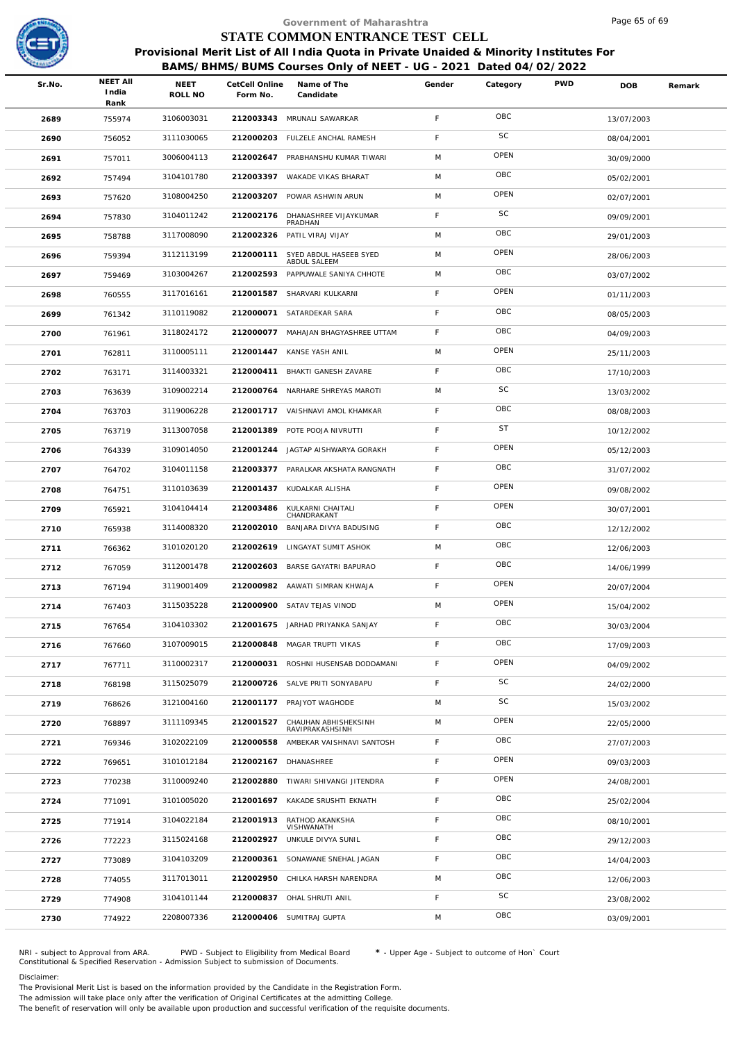

|        |                 |            |                            | Government of Maharashtra                                                              |             |           |            | Page 65 of 69 |        |
|--------|-----------------|------------|----------------------------|----------------------------------------------------------------------------------------|-------------|-----------|------------|---------------|--------|
|        |                 |            |                            | STATE COMMON ENTRANCE TEST CELL                                                        |             |           |            |               |        |
|        |                 |            |                            | Provisional Merit List of All India Quota in Private Unaided & Minority Institutes For |             |           |            |               |        |
|        | <b>NEET AII</b> | NEET       |                            | BAMS/BHMS/BUMS Courses Only of NEET - UG - 2021 Dated 04/02/2022<br>Name of The        |             |           | <b>PWD</b> |               |        |
| Sr.No. | India<br>Rank   | ROLL NO    | CetCell Online<br>Form No. | Candidate                                                                              | Gender      | Category  |            | <b>DOB</b>    | Remark |
| 2689   | 755974          | 3106003031 |                            | 212003343 MRUNALI SAWARKAR                                                             | F           | OBC       |            | 13/07/2003    |        |
| 2690   | 756052          | 3111030065 | 212000203                  | FULZELE ANCHAL RAMESH                                                                  | F           | SC        |            | 08/04/2001    |        |
| 2691   | 757011          | 3006004113 | 212002647                  | PRABHANSHU KUMAR TIWARI                                                                | M           | OPEN      |            | 30/09/2000    |        |
| 2692   | 757494          | 3104101780 |                            | 212003397 WAKADE VIKAS BHARAT                                                          | M           | OBC       |            | 05/02/2001    |        |
| 2693   | 757620          | 3108004250 | 212003207                  | POWAR ASHWIN ARUN                                                                      | M           | OPEN      |            | 02/07/2001    |        |
| 2694   | 757830          | 3104011242 | 212002176                  | DHANASHREE VIJAYKUMAR<br>PRADHAN                                                       | F           | SC        |            | 09/09/2001    |        |
| 2695   | 758788          | 3117008090 |                            | 212002326 PATIL VIRAJ VIJAY                                                            | M           | OBC       |            | 29/01/2003    |        |
| 2696   | 759394          | 3112113199 | 212000111                  | SYED ABDUL HASEEB SYED<br>ABDUL SALEEM                                                 | M           | OPEN      |            | 28/06/2003    |        |
| 2697   | 759469          | 3103004267 | 212002593                  | PAPPUWALE SANIYA CHHOTE                                                                | M           | OBC       |            | 03/07/2002    |        |
| 2698   | 760555          | 3117016161 | 212001587                  | SHARVARI KULKARNI                                                                      | F           | OPEN      |            | 01/11/2003    |        |
| 2699   | 761342          | 3110119082 | 212000071                  | SATARDEKAR SARA                                                                        | F           | OBC       |            | 08/05/2003    |        |
| 2700   | 761961          | 3118024172 |                            | 212000077 MAHAJAN BHAGYASHREE UTTAM                                                    | F           | OBC       |            | 04/09/2003    |        |
| 2701   | 762811          | 3110005111 | 212001447                  | KANSE YASH ANIL                                                                        | M           | OPEN      |            | 25/11/2003    |        |
| 2702   | 763171          | 3114003321 | 212000411                  | BHAKTI GANESH ZAVARE                                                                   | F           | OBC       |            | 17/10/2003    |        |
| 2703   | 763639          | 3109002214 |                            | 212000764 NARHARE SHREYAS MAROTI                                                       | M           | SC        |            | 13/03/2002    |        |
| 2704   | 763703          | 3119006228 |                            | 212001717 VAISHNAVI AMOL KHAMKAR                                                       | F           | OBC       |            | 08/08/2003    |        |
| 2705   | 763719          | 3113007058 |                            | 212001389 POTE POOJA NIVRUTTI                                                          | F           | <b>ST</b> |            | 10/12/2002    |        |
| 2706   | 764339          | 3109014050 | 212001244                  | JAGTAP AISHWARYA GORAKH                                                                | F           | OPEN      |            | 05/12/2003    |        |
| 2707   | 764702          | 3104011158 |                            | 212003377 PARALKAR AKSHATA RANGNATH                                                    | F           | OBC       |            | 31/07/2002    |        |
| 2708   | 764751          | 3110103639 |                            | 212001437 KUDALKAR ALISHA                                                              | F           | OPEN      |            | 09/08/2002    |        |
| 2709   | 765921          | 3104104414 | 212003486                  | KULKARNI CHAITALI<br>CHANDRAKANT                                                       | F           | OPEN      |            | 30/07/2001    |        |
| 2710   | 765938          | 3114008320 | 212002010                  | BANJARA DIVYA BADUSING                                                                 | $\mathsf F$ | OBC       |            | 12/12/2002    |        |
| 2711   | 766362          | 3101020120 | 212002619                  | LINGAYAT SUMIT ASHOK                                                                   | M           | OBC       |            | 12/06/2003    |        |
| 2712   | 767059          | 3112001478 |                            | 212002603 BARSE GAYATRI BAPURAO                                                        | F           | OBC       |            | 14/06/1999    |        |
| 2713   | 767194          | 3119001409 |                            | 212000982 AAWATI SIMRAN KHWAJA                                                         | F           | OPEN      |            | 20/07/2004    |        |
| 2714   | 767403          | 3115035228 | 212000900                  | SATAV TEJAS VINOD                                                                      | M           | OPEN      |            | 15/04/2002    |        |
| 2715   | 767654          | 3104103302 |                            | 212001675 JARHAD PRIYANKA SANJAY                                                       | F           | OBC       |            | 30/03/2004    |        |
| 2716   | 767660          | 3107009015 |                            | 212000848 MAGAR TRUPTI VIKAS                                                           | F           | OBC       |            | 17/09/2003    |        |
| 2717   | 767711          | 3110002317 | 212000031                  | ROSHNI HUSENSAB DODDAMANI                                                              | F           | OPEN      |            | 04/09/2002    |        |
| 2718   | 768198          | 3115025079 |                            | 212000726 SALVE PRITI SONYABAPU                                                        | F           | SC.       |            | 24/02/2000    |        |
| 2719   | 768626          | 3121004160 |                            | 212001177 PRAJYOT WAGHODE                                                              | M           | SC        |            | 15/03/2002    |        |
| 2720   | 768897          | 3111109345 | 212001527                  | CHAUHAN ABHISHEKSINH<br>RAVIPRAKASHSINH                                                | M           | OPEN      |            | 22/05/2000    |        |
| 2721   | 769346          | 3102022109 | 212000558                  | AMBEKAR VAISHNAVI SANTOSH                                                              | F           | OBC       |            | 27/07/2003    |        |
| 2722   | 769651          | 3101012184 | 212002167 DHANASHREE       |                                                                                        | F           | OPEN      |            | 09/03/2003    |        |
| 2723   | 770238          | 3110009240 | 212002880                  | TIWARI SHIVANGI JITENDRA                                                               | F           | OPEN      |            | 24/08/2001    |        |
| 2724   | 771091          | 3101005020 |                            | 212001697 KAKADE SRUSHTI EKNATH                                                        | F           | OBC       |            | 25/02/2004    |        |
| 2725   | 771914          | 3104022184 | 212001913                  | RATHOD AKANKSHA<br>VISHWANATH                                                          | F           | OBC       |            | 08/10/2001    |        |
| 2726   | 772223          | 3115024168 | 212002927                  | UNKULE DIVYA SUNIL                                                                     | F           | OBC       |            | 29/12/2003    |        |
| 2727   | 773089          | 3104103209 | 212000361                  | SONAWANE SNEHAL JAGAN                                                                  | F           | OBC       |            | 14/04/2003    |        |
| 2728   | 774055          | 3117013011 | 212002950                  | CHILKA HARSH NARENDRA                                                                  | M           | OBC       |            | 12/06/2003    |        |
| 2729   | 774908          | 3104101144 | 212000837                  | OHAL SHRUTI ANIL                                                                       | F           | SC        |            | 23/08/2002    |        |
| 2730   | 774922          | 2208007336 | 212000406                  | SUMITRAJ GUPTA                                                                         | M           | OBC       |            | 03/09/2001    |        |
|        |                 |            |                            |                                                                                        |             |           |            |               |        |

NRI - subject to Approval from ARA. PWD - Subject to Eligibility from Medical Board \* - Upper Age - Subject to outcome of Hon` Court<br>Constitutional & Specified Reservation - Admission Subject to submissio

Disclaimer:

The Provisional Merit List is based on the information provided by the Candidate in the Registration Form.

The admission will take place only after the verification of Original Certificates at the admitting College.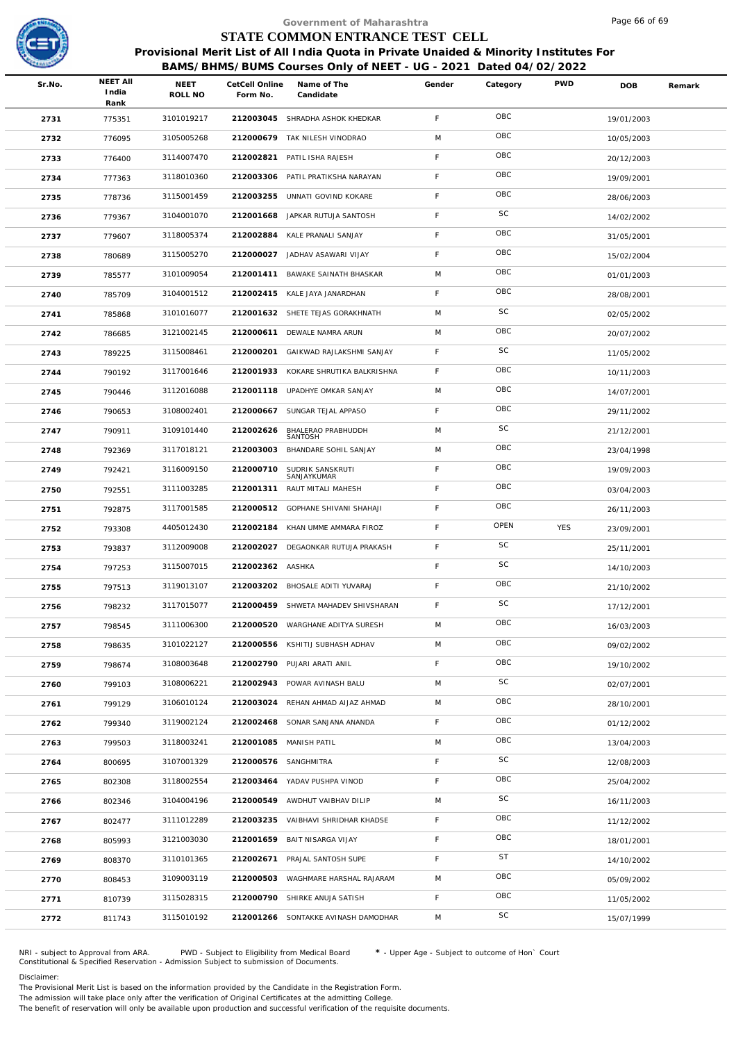

**India**

# Government of Maharashtra<br> **STATE COMMON ENTRANCE TEST CELL**<br>
SIONAL Merit List of All India Quota in Private Unaided & Minority In<br>
<u>RAMS/BHMS/BUMS Courses Only of NEET - UG - 2021 Dated 04/01<br>
NEET CetCell Online Name of</u>  **STATE COMMON ENTRANCE TEST CELL**

**Form No. NEET All Category**

Sr.No. **THE CONFIGET AND SAME ONLINE** Online Name of The **Canadian Category** 

**PWD DOB Remark**

**Provisional Merit List of All India Quota in Private Unaided & Minority Institutes For**<br>**BAMS/BHMS/BUMS Courses Only of NEET - UG - 2021** Dated 04/02/2022<br>**EET All** NEET CetCell Online Name of The Gender Category PWD DOB

**Name of The Candidate Candidate** 

**BAMS/BHMS/BUMS Courses Only of NEET - UG - 2021 Dated 04/02/2022**

SHRADHA ASHOK KHEDKAR <sup>775351</sup> <sup>3101019217</sup> **<sup>212003045</sup>** <sup>F</sup> 19/01/2003 OBC TAK NILESH VINODRAO <sup>776095</sup> <sup>3105005268</sup> **<sup>212000679</sup>** <sup>M</sup> 10/05/2003 OBC PATIL ISHA RAJESH <sup>776400</sup> <sup>3114007470</sup> **<sup>212002821</sup>** <sup>F</sup> 20/12/2003 OBC PATIL PRATIKSHA NARAYAN <sup>777363</sup> <sup>3118010360</sup> **<sup>212003306</sup>** <sup>F</sup> 19/09/2001 OBC UNNATI GOVIND KOKARE <sup>778736</sup> <sup>3115001459</sup> **<sup>212003255</sup>** <sup>F</sup> 28/06/2003 OBC 2736 779367 3104001070 212001668 JAPKAR RUTUJA SANTOSH F SC 14/02/2002 KALE PRANALI SANJAY <sup>779607</sup> <sup>3118005374</sup> **<sup>212002884</sup>** <sup>F</sup> 31/05/2001 OBC JADHAV ASAWARI VIJAY <sup>780689</sup> <sup>3115005270</sup> **<sup>212000027</sup>** <sup>F</sup> 15/02/2004 OBC BAWAKE SAINATH BHASKAR <sup>785577</sup> <sup>3101009054</sup> **<sup>212001411</sup>** <sup>M</sup> 01/01/2003 OBC KALE JAYA JANARDHAN <sup>785709</sup> <sup>3104001512</sup> **<sup>212002415</sup>** <sup>F</sup> 28/08/2001 OBC SHETE TEJAS GORAKHNATH <sup>785868</sup> <sup>3101016077</sup> **<sup>212001632</sup>** <sup>M</sup> 02/05/2002 SC DEWALE NAMRA ARUN <sup>786685</sup> <sup>3121002145</sup> **<sup>212000611</sup>** <sup>M</sup> 20/07/2002 OBC GAIKWAD RAJLAKSHMI SANJAY <sup>789225</sup> <sup>3115008461</sup> **<sup>212000201</sup>** <sup>F</sup> 11/05/2002 SC KOKARE SHRUTIKA BALKRISHNA <sup>790192</sup> <sup>3117001646</sup> **<sup>212001933</sup>** <sup>F</sup> 10/11/2003 OBC UPADHYE OMKAR SANJAY <sup>790446</sup> <sup>3112016088</sup> **<sup>212001118</sup>** <sup>M</sup> 14/07/2001 OBC SUNGAR TEJAL APPASO <sup>790653</sup> <sup>3108002401</sup> **<sup>212000667</sup>** <sup>F</sup> 29/11/2002 OBC BHALERAO PRABHUDDH SANTOSH <sup>790911</sup> <sup>3109101440</sup> **<sup>212002626</sup>** <sup>M</sup> 21/12/2001 SC BHANDARE SOHIL SANJAY <sup>792369</sup> <sup>3117018121</sup> **<sup>212003003</sup>** <sup>M</sup> 23/04/1998 OBC SUDRIK SANSKRUTI SANJAYKUMAR <sup>792421</sup> <sup>3116009150</sup> **<sup>212000710</sup>** <sup>F</sup> 19/09/2003 OBC RAUT MITALI MAHESH <sup>792551</sup> <sup>3111003285</sup> **<sup>212001311</sup>** <sup>F</sup> 03/04/2003 OBC GOPHANE SHIVANI SHAHAJI <sup>792875</sup> <sup>3117001585</sup> **<sup>212000512</sup>** <sup>F</sup> 26/11/2003 OBC KHAN UMME AMMARA FIROZ <sup>793308</sup> <sup>4405012430</sup> **<sup>212002184</sup>** <sup>F</sup> YES 23/09/2001 OPEN DEGAONKAR RUTUJA PRAKASH <sup>793837</sup> <sup>3112009008</sup> **<sup>212002027</sup>** <sup>F</sup> 25/11/2001 SC AASHKA <sup>797253</sup> <sup>3115007015</sup> **<sup>212002362</sup>** <sup>F</sup> 14/10/2003 SC BHOSALE ADITI YUVARAJ <sup>797513</sup> <sup>3119013107</sup> **<sup>212003202</sup>** <sup>F</sup> 21/10/2002 OBC SHWETA MAHADEV SHIVSHARAN <sup>798232</sup> <sup>3117015077</sup> **<sup>212000459</sup>** <sup>F</sup> 17/12/2001 SC WARGHANE ADITYA SURESH <sup>798545</sup> <sup>3111006300</sup> **<sup>212000520</sup>** <sup>M</sup> 16/03/2003 OBC 2758 798635 3101022127 212000556 KSHITIJ SUBHASH ADHAV M OBC 2758 798635 3101022127 PUJARI ARATI ANIL <sup>798674</sup> <sup>3108003648</sup> **<sup>212002790</sup>** <sup>F</sup> 19/10/2002 OBC POWAR AVINASH BALU <sup>799103</sup> <sup>3108006221</sup> **<sup>212002943</sup>** <sup>M</sup> 02/07/2001 SC REHAN AHMAD AIJAZ AHMAD <sup>799129</sup> <sup>3106010124</sup> **<sup>212003024</sup>** <sup>M</sup> 28/10/2001 OBC SONAR SANJANA ANANDA <sup>799340</sup> <sup>3119002124</sup> **<sup>212002468</sup>** <sup>F</sup> 01/12/2002 OBC 2763 799503 3118003241 212001085 MANISH PATIL M 13/04/2003 OBC 13/04/2003 SANGHMITRA <sup>800695</sup> <sup>3107001329</sup> **<sup>212000576</sup>** <sup>F</sup> 12/08/2003 SC YADAV PUSHPA VINOD <sup>802308</sup> <sup>3118002554</sup> **<sup>212003464</sup>** <sup>F</sup> 25/04/2002 OBC AWDHUT VAIBHAV DILIP <sup>802346</sup> <sup>3104004196</sup> **<sup>212000549</sup>** <sup>M</sup> 16/11/2003 SC VAIBHAVI SHRIDHAR KHADSE <sup>802477</sup> <sup>3111012289</sup> **<sup>212003235</sup>** <sup>F</sup> 11/12/2002 OBC BAIT NISARGA VIJAY <sup>805993</sup> <sup>3121003030</sup> **<sup>212001659</sup>** <sup>F</sup> 18/01/2001 OBC 2769 808370 3110101365 212002671 PRAJAL SANTOSH SUPE F ST 14/10/2002 WAGHMARE HARSHAL RAJARAM <sup>808453</sup> <sup>3109003119</sup> **<sup>212000503</sup>** <sup>M</sup> 05/09/2002 OBC SHIRKE ANUJA SATISH <sup>810739</sup> <sup>3115028315</sup> **<sup>212000790</sup>** <sup>F</sup> 11/05/2002 OBC SONTAKKE AVINASH DAMODHAR <sup>811743</sup> <sup>3115010192</sup> **<sup>212001266</sup>** <sup>M</sup> 15/07/1999 SC NRI - subject to Approval from ARA. PWD - Subject to Eligibility from Medical Board **\*** - Upper Age - Subject to outcome of Hon` Court

Constitutional & Specified Reservation - Admission Subject to submission of Documents.

Disclaimer:

The Provisional Merit List is based on the information provided by the Candidate in the Registration Form. The admission will take place only after the verification of Original Certificates at the admitting College.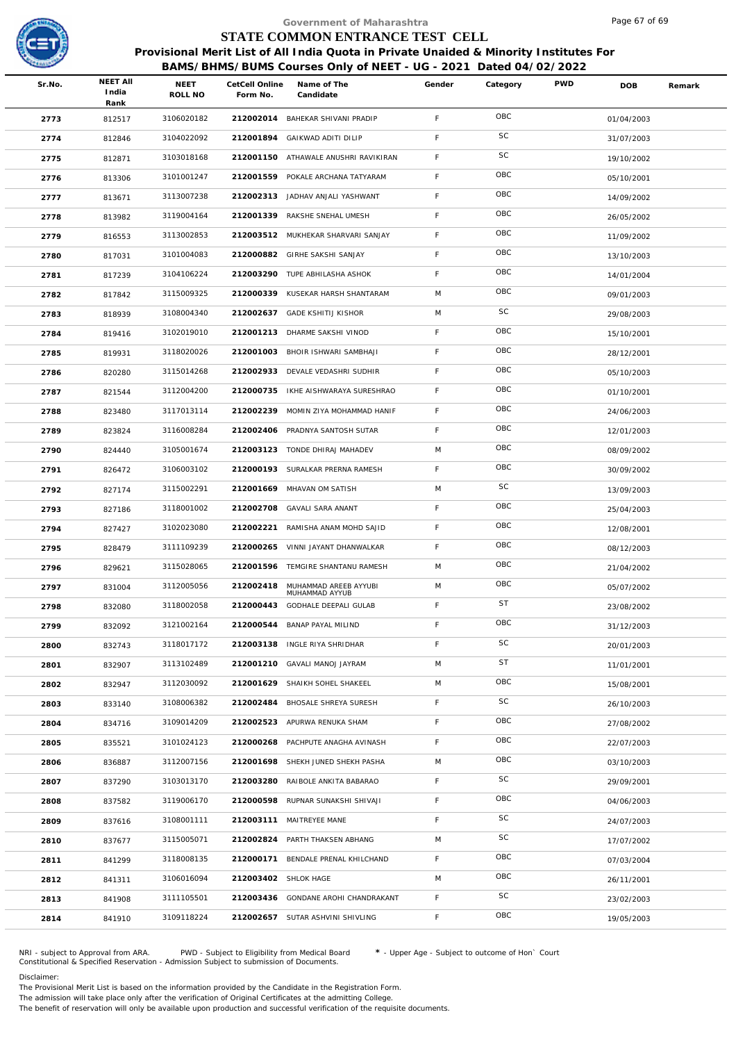

|        |                                  |                 |                            | Government of Maharashtra                                                                                                                                  |             |          |            | Page 6/ of 69 |        |
|--------|----------------------------------|-----------------|----------------------------|------------------------------------------------------------------------------------------------------------------------------------------------------------|-------------|----------|------------|---------------|--------|
|        |                                  |                 |                            | STATE COMMON ENTRANCE TEST CELL                                                                                                                            |             |          |            |               |        |
|        |                                  |                 |                            | Provisional Merit List of All India Quota in Private Unaided & Minority Institutes For<br>BAMS/BHMS/BUMS Courses Only of NEET - UG - 2021 Dated 04/02/2022 |             |          |            |               |        |
| Sr.No. | <b>NEET AII</b><br>India<br>Rank | NEET<br>ROLL NO | CetCell Online<br>Form No. | Name of The<br>Candidate                                                                                                                                   | Gender      | Category | <b>PWD</b> | DOB           | Remark |
| 2773   | 812517                           | 3106020182      |                            | 212002014 BAHEKAR SHIVANI PRADIP                                                                                                                           | F           | OBC      |            | 01/04/2003    |        |
| 2774   | 812846                           | 3104022092      | 212001894                  | GAIKWAD ADITI DILIP                                                                                                                                        | F           | SC       |            | 31/07/2003    |        |
| 2775   | 812871                           | 3103018168      |                            | 212001150 ATHAWALE ANUSHRI RAVIKIRAN                                                                                                                       | F           | SC       |            | 19/10/2002    |        |
| 2776   | 813306                           | 3101001247      |                            | 212001559 POKALE ARCHANA TATYARAM                                                                                                                          | $\mathsf F$ | OBC      |            | 05/10/2001    |        |
| 2777   | 813671                           | 3113007238      |                            | 212002313 JADHAV ANJALI YASHWANT                                                                                                                           | F           | OBC      |            | 14/09/2002    |        |
| 2778   | 813982                           | 3119004164      |                            | 212001339 RAKSHE SNEHAL UMESH                                                                                                                              | F           | OBC      |            | 26/05/2002    |        |
| 2779   | 816553                           | 3113002853      |                            | 212003512 MUKHEKAR SHARVARI SANJAY                                                                                                                         | F           | OBC      |            | 11/09/2002    |        |
| 2780   | 817031                           | 3101004083      |                            | 212000882 GIRHE SAKSHI SANJAY                                                                                                                              | F           | OBC      |            | 13/10/2003    |        |
| 2781   | 817239                           | 3104106224      |                            | 212003290 TUPE ABHILASHA ASHOK                                                                                                                             | $\mathsf F$ | OBC      |            | 14/01/2004    |        |
| 2782   | 817842                           | 3115009325      | 212000339                  | KUSEKAR HARSH SHANTARAM                                                                                                                                    | M           | OBC      |            | 09/01/2003    |        |
| 2783   | 818939                           | 3108004340      |                            | 212002637 GADE KSHITIJ KISHOR                                                                                                                              | M           | SC       |            | 29/08/2003    |        |
| 2784   | 819416                           | 3102019010      |                            | 212001213 DHARME SAKSHI VINOD                                                                                                                              | F           | OBC      |            | 15/10/2001    |        |
| 2785   | 819931                           | 3118020026      | 212001003                  | BHOIR ISHWARI SAMBHAJI                                                                                                                                     | $\mathsf F$ | OBC      |            | 28/12/2001    |        |
| 2786   | 820280                           | 3115014268      |                            | 212002933 DEVALE VEDASHRI SUDHIR                                                                                                                           | F.          | OBC      |            | 05/10/2003    |        |
| 2787   | 821544                           | 3112004200      | 212000735                  | IKHE AISHWARAYA SURESHRAO                                                                                                                                  | $\mathsf F$ | OBC      |            | 01/10/2001    |        |
| 2788   | 823480                           | 3117013114      | 212002239                  | MOMIN ZIYA MOHAMMAD HANIF                                                                                                                                  | $\mathsf F$ | OBC      |            | 24/06/2003    |        |
| 2789   | 823824                           | 3116008284      |                            | 212002406 PRADNYA SANTOSH SUTAR                                                                                                                            | $\mathsf F$ | OBC      |            | 12/01/2003    |        |
| 2790   | 824440                           | 3105001674      |                            | 212003123 TONDE DHIRAJ MAHADEV                                                                                                                             | M           | OBC      |            | 08/09/2002    |        |
| 2791   | 826472                           | 3106003102      |                            | 212000193 SURALKAR PRERNA RAMESH                                                                                                                           | $\mathsf F$ | OBC      |            | 30/09/2002    |        |
| 2792   | 827174                           | 3115002291      |                            | 212001669 MHAVAN OM SATISH                                                                                                                                 | M           | SC       |            | 13/09/2003    |        |
| 2793   | 827186                           | 3118001002      | 212002708                  | GAVALI SARA ANANT                                                                                                                                          | $\mathsf F$ | OBC      |            | 25/04/2003    |        |
| 2794   | 827427                           | 3102023080      | 212002221                  | RAMISHA ANAM MOHD SAJID                                                                                                                                    | F.          | OBC      |            | 12/08/2001    |        |
| 2795   | 828479                           | 3111109239      | 212000265                  | VINNI JAYANT DHANWALKAR                                                                                                                                    | $\mathsf F$ | OBC      |            | 08/12/2003    |        |
| 2796   | 829621                           | 3115028065      |                            | 212001596 TEMGIRE SHANTANU RAMESH                                                                                                                          | M           | OBC      |            | 21/04/2002    |        |
| 2797   | 831004                           | 3112005056      | 212002418                  | MUHAMMAD AREEB AYYUBI                                                                                                                                      | M           | OBC      |            | 05/07/2002    |        |
| 2798   | 832080                           | 3118002058      | 212000443                  | MUHAMMAD AYYUB<br><b>GODHALE DEEPALI GULAB</b>                                                                                                             | F           | ST       |            | 23/08/2002    |        |
| 2799   | 832092                           | 3121002164      | 212000544                  | BANAP PAYAL MILIND                                                                                                                                         | $\mathsf F$ | OBC      |            | 31/12/2003    |        |
| 2800   | 832743                           | 3118017172      |                            | 212003138 INGLE RIYA SHRIDHAR                                                                                                                              | F           | SC       |            | 20/01/2003    |        |
| 2801   | 832907                           | 3113102489      | 212001210                  | GAVALI MANOJ JAYRAM                                                                                                                                        | M           | ST       |            | 11/01/2001    |        |
| 2802   | 832947                           | 3112030092      | 212001629                  | SHAIKH SOHEL SHAKEEL                                                                                                                                       | M           | OBC      |            | 15/08/2001    |        |
| 2803   | 833140                           | 3108006382      | 212002484                  | BHOSALE SHREYA SURESH                                                                                                                                      | $\mathsf F$ | SC       |            | 26/10/2003    |        |
| 2804   | 834716                           | 3109014209      | 212002523                  | APURWA RENUKA SHAM                                                                                                                                         | F           | OBC      |            | 27/08/2002    |        |
| 2805   | 835521                           | 3101024123      | 212000268                  | PACHPUTE ANAGHA AVINASH                                                                                                                                    | $\mathsf F$ | OBC      |            | 22/07/2003    |        |
| 2806   | 836887                           | 3112007156      | 212001698                  | SHEKH JUNED SHEKH PASHA                                                                                                                                    | M           | OBC      |            | 03/10/2003    |        |
| 2807   | 837290                           | 3103013170      | 212003280                  | RAIBOLE ANKITA BABARAO                                                                                                                                     | $\mathsf F$ | SC       |            | 29/09/2001    |        |
| 2808   | 837582                           | 3119006170      | 212000598                  | RUPNAR SUNAKSHI SHIVAJI                                                                                                                                    | F           | OBC      |            | 04/06/2003    |        |
| 2809   | 837616                           | 3108001111      |                            | 212003111 MAITREYEE MANE                                                                                                                                   | F           | SC       |            | 24/07/2003    |        |
| 2810   | 837677                           | 3115005071      |                            | 212002824 PARTH THAKSEN ABHANG                                                                                                                             | M           | SC       |            | 17/07/2002    |        |
| 2811   | 841299                           | 3118008135      | 212000171                  | BENDALE PRENAL KHILCHAND                                                                                                                                   | $\mathsf F$ | OBC      |            | 07/03/2004    |        |
| 2812   | 841311                           | 3106016094      | 212003402                  | SHLOK HAGE                                                                                                                                                 | M           | OBC      |            | 26/11/2001    |        |
| 2813   | 841908                           | 3111105501      |                            | 212003436 GONDANE AROHI CHANDRAKANT                                                                                                                        | $\mathsf F$ | SC       |            | 23/02/2003    |        |
| 2814   | 841910                           | 3109118224      |                            | 212002657 SUTAR ASHVINI SHIVLING                                                                                                                           | F.          | OBC      |            | 19/05/2003    |        |
|        |                                  |                 |                            |                                                                                                                                                            |             |          |            |               |        |

NRI - subject to Approval from ARA. PWD - Subject to Eligibility from Medical Board \* - Upper Age - Subject to outcome of Hon` Court<br>Constitutional & Specified Reservation - Admission Subject to submissio

Disclaimer:

The Provisional Merit List is based on the information provided by the Candidate in the Registration Form.

The admission will take place only after the verification of Original Certificates at the admitting College.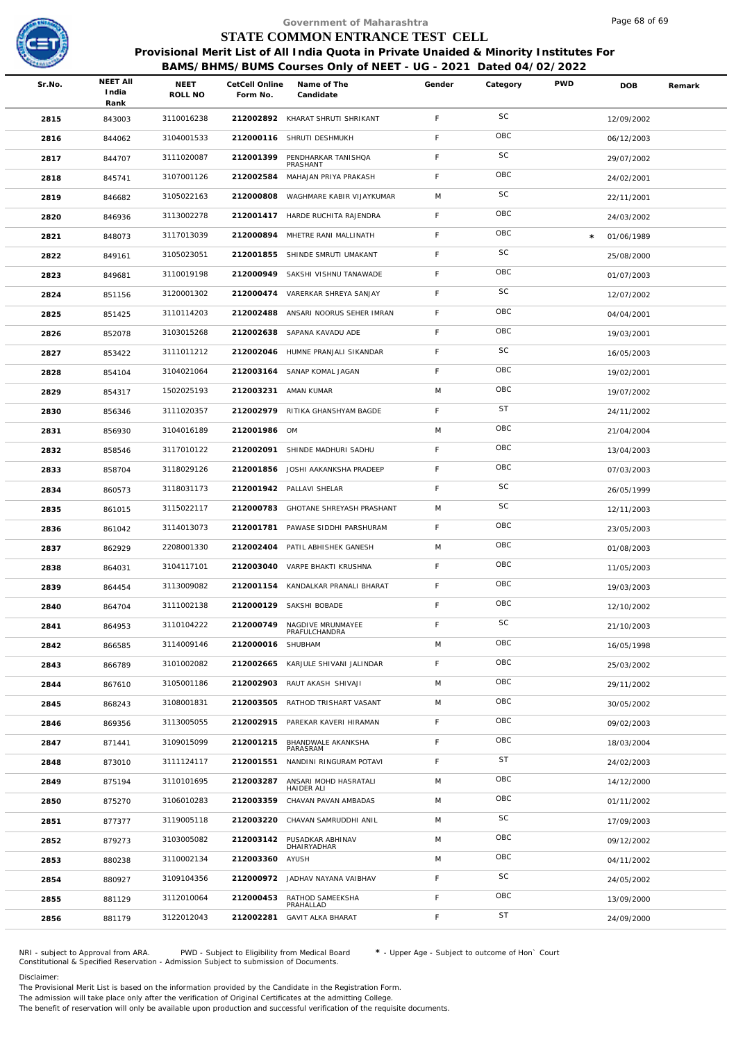

|        |                                  |                        |                            | Government of Maharashtra                                                                                                                                  |             |           |            | Page 68 of 69 |        |
|--------|----------------------------------|------------------------|----------------------------|------------------------------------------------------------------------------------------------------------------------------------------------------------|-------------|-----------|------------|---------------|--------|
|        |                                  |                        |                            | STATE COMMON ENTRANCE TEST CELL                                                                                                                            |             |           |            |               |        |
|        |                                  |                        |                            | Provisional Merit List of All India Quota in Private Unaided & Minority Institutes For<br>BAMS/BHMS/BUMS Courses Only of NEET - UG - 2021 Dated 04/02/2022 |             |           |            |               |        |
| Sr.No. | <b>NEET AII</b><br>India<br>Rank | <b>NEET</b><br>ROLL NO | CetCell Online<br>Form No. | Name of The<br>Candidate                                                                                                                                   | Gender      | Category  | <b>PWD</b> | <b>DOB</b>    | Remark |
| 2815   | 843003                           | 3110016238             |                            | 212002892 KHARAT SHRUTI SHRIKANT                                                                                                                           | $\mathsf F$ | SC        |            | 12/09/2002    |        |
| 2816   | 844062                           | 3104001533             | 212000116                  | SHRUTI DESHMUKH                                                                                                                                            | F           | OBC       |            | 06/12/2003    |        |
| 2817   | 844707                           | 3111020087             | 212001399                  | PENDHARKAR TANISHQA<br>PRASHANT                                                                                                                            | $\mathsf F$ | SC        |            | 29/07/2002    |        |
| 2818   | 845741                           | 3107001126             | 212002584                  | MAHAJAN PRIYA PRAKASH                                                                                                                                      | F.          | OBC       |            | 24/02/2001    |        |
| 2819   | 846682                           | 3105022163             | 212000808                  | WAGHMARE KABIR VIJAYKUMAR                                                                                                                                  | M           | SC        |            | 22/11/2001    |        |
| 2820   | 846936                           | 3113002278             |                            | 212001417 HARDE RUCHITA RAJENDRA                                                                                                                           | F.          | OBC       |            | 24/03/2002    |        |
| 2821   | 848073                           | 3117013039             | 212000894                  | MHETRE RANI MALLINATH                                                                                                                                      | F.          | OBC       | $\star$    | 01/06/1989    |        |
| 2822   | 849161                           | 3105023051             | 212001855                  | SHINDE SMRUTI UMAKANT                                                                                                                                      | F.          | SC        |            | 25/08/2000    |        |
| 2823   | 849681                           | 3110019198             |                            | 212000949 SAKSHI VISHNU TANAWADE                                                                                                                           | $\mathsf F$ | OBC       |            | 01/07/2003    |        |
| 2824   | 851156                           | 3120001302             | 212000474                  | VARERKAR SHREYA SANJAY                                                                                                                                     | F.          | SC        |            | 12/07/2002    |        |
| 2825   | 851425                           | 3110114203             | 212002488                  | ANSARI NOORUS SEHER IMRAN                                                                                                                                  | F.          | OBC       |            | 04/04/2001    |        |
| 2826   | 852078                           | 3103015268             |                            | 212002638 SAPANA KAVADU ADE                                                                                                                                | F           | OBC       |            | 19/03/2001    |        |
| 2827   | 853422                           | 3111011212             |                            | 212002046 HUMNE PRANJALI SIKANDAR                                                                                                                          | $\mathsf F$ | SC        |            | 16/05/2003    |        |
| 2828   | 854104                           | 3104021064             |                            | 212003164 SANAP KOMAL JAGAN                                                                                                                                | F.          | OBC       |            | 19/02/2001    |        |
| 2829   | 854317                           | 1502025193             |                            | 212003231 AMAN KUMAR                                                                                                                                       | M           | OBC       |            | 19/07/2002    |        |
| 2830   | 856346                           | 3111020357             |                            | 212002979 RITIKA GHANSHYAM BAGDE                                                                                                                           | F.          | <b>ST</b> |            | 24/11/2002    |        |
| 2831   | 856930                           | 3104016189             | 212001986 OM               |                                                                                                                                                            | M           | OBC       |            | 21/04/2004    |        |
| 2832   | 858546                           | 3117010122             | 212002091                  | SHINDE MADHURI SADHU                                                                                                                                       | F.          | OBC       |            | 13/04/2003    |        |
| 2833   | 858704                           | 3118029126             |                            | 212001856 JOSHI AAKANKSHA PRADEEP                                                                                                                          | $\mathsf F$ | OBC       |            | 07/03/2003    |        |
| 2834   | 860573                           | 3118031173             |                            | 212001942 PALLAVI SHELAR                                                                                                                                   | F           | SC        |            | 26/05/1999    |        |
| 2835   | 861015                           | 3115022117             | 212000783                  | GHOTANE SHREYASH PRASHANT                                                                                                                                  | M           | SC        |            | 12/11/2003    |        |
| 2836   | 861042                           | 3114013073             |                            | 212001781 PAWASE SIDDHI PARSHURAM                                                                                                                          | F.          | OBC       |            | 23/05/2003    |        |
| 2837   | 862929                           | 2208001330             | 212002404                  | PATIL ABHISHEK GANESH                                                                                                                                      | M           | OBC       |            | 01/08/2003    |        |
| 2838   | 864031                           | 3104117101             |                            | 212003040 VARPE BHAKTI KRUSHNA                                                                                                                             | F           | OBC       |            | 11/05/2003    |        |
| 2839   | 864454                           | 3113009082             |                            | 212001154 KANDALKAR PRANALI BHARAT                                                                                                                         | $\mathsf F$ | OBC       |            | 19/03/2003    |        |
| 2840   | 864704                           | 3111002138             |                            | 212000129 SAKSHI BOBADE                                                                                                                                    | F.          | OBC       |            | 12/10/2002    |        |
| 2841   | 864953                           | 3110104222             | 212000749                  | NAGDIVE MRUNMAYEE<br>PRAFULCHANDRA                                                                                                                         | F           | SC        |            | 21/10/2003    |        |
| 2842   | 866585                           | 3114009146             | 212000016 SHUBHAM          |                                                                                                                                                            | M           | OBC       |            | 16/05/1998    |        |
| 2843   | 866789                           | 3101002082             |                            | 212002665 KARJULE SHIVANI JALINDAR                                                                                                                         | $\mathsf F$ | OBC       |            | 25/03/2002    |        |
| 2844   | 867610                           | 3105001186             |                            | 212002903 RAUT AKASH SHIVAJI                                                                                                                               | M           | OBC       |            | 29/11/2002    |        |
| 2845   | 868243                           | 3108001831             |                            | 212003505 RATHOD TRISHART VASANT                                                                                                                           | M           | OBC       |            | 30/05/2002    |        |
| 2846   | 869356                           | 3113005055             | 212002915                  | PAREKAR KAVERI HIRAMAN                                                                                                                                     | F.          | OBC       |            | 09/02/2003    |        |
| 2847   | 871441                           | 3109015099             | 212001215                  | BHANDWALE AKANKSHA<br>PARASRAM                                                                                                                             | F           | OBC       |            | 18/03/2004    |        |
| 2848   | 873010                           | 3111124117             | 212001551                  | NANDINI RINGURAM POTAVI                                                                                                                                    | F.          | <b>ST</b> |            | 24/02/2003    |        |
| 2849   | 875194                           | 3110101695             | 212003287                  | ANSARI MOHD HASRATALI<br>HAIDER ALI                                                                                                                        | M           | OBC       |            | 14/12/2000    |        |
| 2850   | 875270                           | 3106010283             | 212003359                  | CHAVAN PAVAN AMBADAS                                                                                                                                       | M           | OBC       |            | 01/11/2002    |        |
| 2851   | 877377                           | 3119005118             | 212003220                  | CHAVAN SAMRUDDHI ANIL                                                                                                                                      | M           | SC        |            | 17/09/2003    |        |
| 2852   | 879273                           | 3103005082             | 212003142                  | PUSADKAR ABHINAV<br>DHAIRYADHAR                                                                                                                            | M           | OBC       |            | 09/12/2002    |        |
| 2853   | 880238                           | 3110002134             | 212003360 AYUSH            |                                                                                                                                                            | M           | OBC       |            | 04/11/2002    |        |
| 2854   | 880927                           | 3109104356             |                            | 212000972 JADHAV NAYANA VAIBHAV                                                                                                                            | F           | SC        |            | 24/05/2002    |        |
| 2855   | 881129                           | 3112010064             | 212000453                  | RATHOD SAMEEKSHA<br>PRAHALLAD                                                                                                                              | F           | OBC       |            | 13/09/2000    |        |
| 2856   | 881179                           | 3122012043             | 212002281                  | <b>GAVIT ALKA BHARAT</b>                                                                                                                                   | F           | <b>ST</b> |            | 24/09/2000    |        |
|        |                                  |                        |                            |                                                                                                                                                            |             |           |            |               |        |

NRI - subject to Approval from ARA. PWD - Subject to Eligibility from Medical Board \* - Upper Age - Subject to outcome of Hon` Court<br>Constitutional & Specified Reservation - Admission Subject to submissio

### Disclaimer:

The Provisional Merit List is based on the information provided by the Candidate in the Registration Form. The admission will take place only after the verification of Original Certificates at the admitting College.